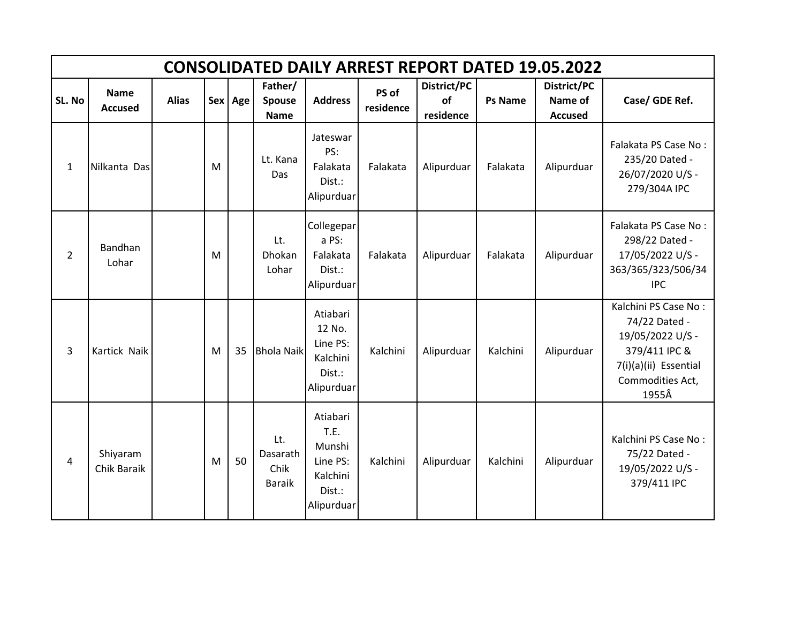|                | <b>CONSOLIDATED DAILY ARREST REPORT DATED 19.05.2022</b> |              |   |         |                                          |                                                                            |                    |                                |                |                                          |                                                                                                                                  |  |  |  |
|----------------|----------------------------------------------------------|--------------|---|---------|------------------------------------------|----------------------------------------------------------------------------|--------------------|--------------------------------|----------------|------------------------------------------|----------------------------------------------------------------------------------------------------------------------------------|--|--|--|
| SL. No         | <b>Name</b><br><b>Accused</b>                            | <b>Alias</b> |   | Sex Age | Father/<br><b>Spouse</b><br><b>Name</b>  | <b>Address</b>                                                             | PS of<br>residence | District/PC<br>of<br>residence | <b>Ps Name</b> | District/PC<br>Name of<br><b>Accused</b> | Case/ GDE Ref.                                                                                                                   |  |  |  |
| $\mathbf{1}$   | Nilkanta Das                                             |              | M |         | Lt. Kana<br>Das                          | Jateswar<br>PS:<br>Falakata<br>Dist.:<br>Alipurduar                        | Falakata           | Alipurduar                     | Falakata       | Alipurduar                               | Falakata PS Case No:<br>235/20 Dated -<br>26/07/2020 U/S -<br>279/304A IPC                                                       |  |  |  |
| $\overline{2}$ | <b>Bandhan</b><br>Lohar                                  |              | M |         | Lt.<br>Dhokan<br>Lohar                   | Collegepar<br>a PS:<br>Falakata<br>Dist.:<br>Alipurduar                    | Falakata           | Alipurduar                     | Falakata       | Alipurduar                               | Falakata PS Case No:<br>298/22 Dated -<br>17/05/2022 U/S -<br>363/365/323/506/34<br><b>IPC</b>                                   |  |  |  |
| 3              | Kartick Naik                                             |              | M | 35      | <b>Bhola Naik</b>                        | Atiabari<br>12 No.<br>Line PS:<br>Kalchini<br>Dist.:<br>Alipurduar         | Kalchini           | Alipurduar                     | Kalchini       | Alipurduar                               | Kalchini PS Case No:<br>74/22 Dated -<br>19/05/2022 U/S -<br>379/411 IPC &<br>7(i)(a)(ii) Essential<br>Commodities Act,<br>1955Â |  |  |  |
| 4              | Shiyaram<br>Chik Baraik                                  |              | M | 50      | Lt.<br>Dasarath<br>Chik<br><b>Baraik</b> | Atiabari<br>T.E.<br>Munshi<br>Line PS:<br>Kalchini<br>Dist.:<br>Alipurduar | Kalchini           | Alipurduar                     | Kalchini       | Alipurduar                               | Kalchini PS Case No:<br>75/22 Dated -<br>19/05/2022 U/S -<br>379/411 IPC                                                         |  |  |  |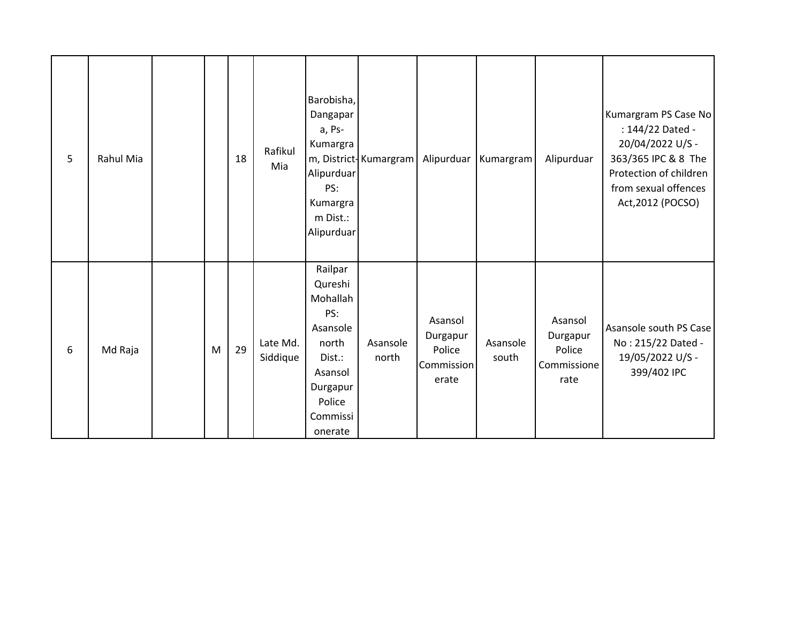| 5 | Rahul Mia |   | 18 | Rafikul<br>Mia       | Barobisha,<br>Dangapar<br>a, Ps-<br>Kumargra<br>Alipurduar<br>PS:<br>Kumargra<br>m Dist.:<br>Alipurduar                      | m, District-Kumargram | Alipurduar                                           | Kumargram         | Alipurduar                                           | Kumargram PS Case No<br>: 144/22 Dated -<br>20/04/2022 U/S -<br>363/365 IPC & 8 The<br>Protection of children<br>from sexual offences<br>Act, 2012 (POCSO) |
|---|-----------|---|----|----------------------|------------------------------------------------------------------------------------------------------------------------------|-----------------------|------------------------------------------------------|-------------------|------------------------------------------------------|------------------------------------------------------------------------------------------------------------------------------------------------------------|
| 6 | Md Raja   | M | 29 | Late Md.<br>Siddique | Railpar<br>Qureshi<br>Mohallah<br>PS:<br>Asansole<br>north<br>Dist.:<br>Asansol<br>Durgapur<br>Police<br>Commissi<br>onerate | Asansole<br>north     | Asansol<br>Durgapur<br>Police<br>Commission<br>erate | Asansole<br>south | Asansol<br>Durgapur<br>Police<br>Commissione<br>rate | Asansole south PS Case<br>No: 215/22 Dated -<br>19/05/2022 U/S -<br>399/402 IPC                                                                            |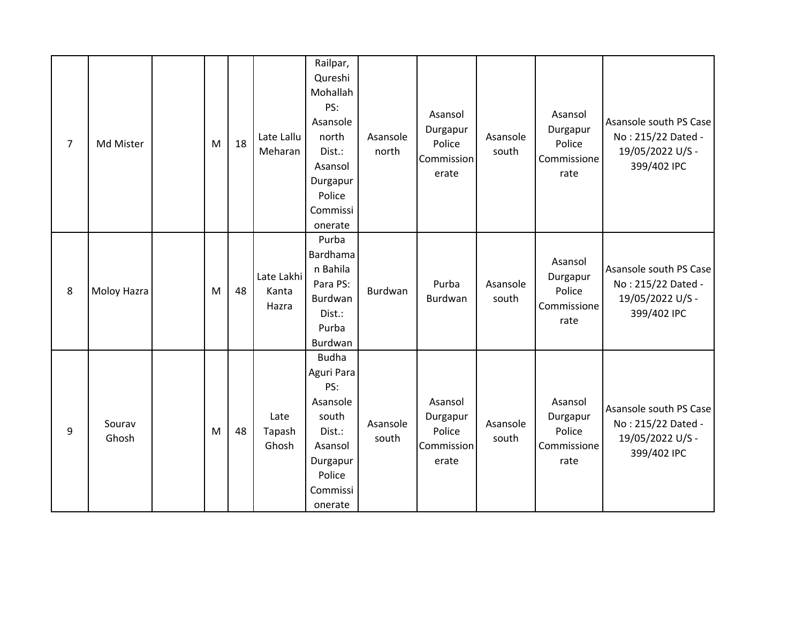| $\overline{7}$ | Md Mister       | M | 18 | Late Lallu<br>Meharan        | Railpar,<br>Qureshi<br>Mohallah<br>PS:<br>Asansole<br>north<br>Dist.:<br>Asansol<br>Durgapur<br>Police<br>Commissi<br>onerate | Asansole<br>north | Asansol<br>Durgapur<br>Police<br>Commission<br>erate | Asansole<br>south | Asansol<br>Durgapur<br>Police<br>Commissione<br>rate | Asansole south PS Case<br>No: 215/22 Dated -<br>19/05/2022 U/S -<br>399/402 IPC |
|----------------|-----------------|---|----|------------------------------|-------------------------------------------------------------------------------------------------------------------------------|-------------------|------------------------------------------------------|-------------------|------------------------------------------------------|---------------------------------------------------------------------------------|
| 8              | Moloy Hazra     | M | 48 | Late Lakhi<br>Kanta<br>Hazra | Purba<br>Bardhama<br>n Bahila<br>Para PS:<br>Burdwan<br>Dist.:<br>Purba<br>Burdwan                                            | <b>Burdwan</b>    | Purba<br>Burdwan                                     | Asansole<br>south | Asansol<br>Durgapur<br>Police<br>Commissione<br>rate | Asansole south PS Case<br>No: 215/22 Dated -<br>19/05/2022 U/S -<br>399/402 IPC |
| 9              | Sourav<br>Ghosh | M | 48 | Late<br>Tapash<br>Ghosh      | <b>Budha</b><br>Aguri Para<br>PS:<br>Asansole<br>south<br>Dist.:<br>Asansol<br>Durgapur<br>Police<br>Commissi<br>onerate      | Asansole<br>south | Asansol<br>Durgapur<br>Police<br>Commission<br>erate | Asansole<br>south | Asansol<br>Durgapur<br>Police<br>Commissione<br>rate | Asansole south PS Case<br>No: 215/22 Dated -<br>19/05/2022 U/S -<br>399/402 IPC |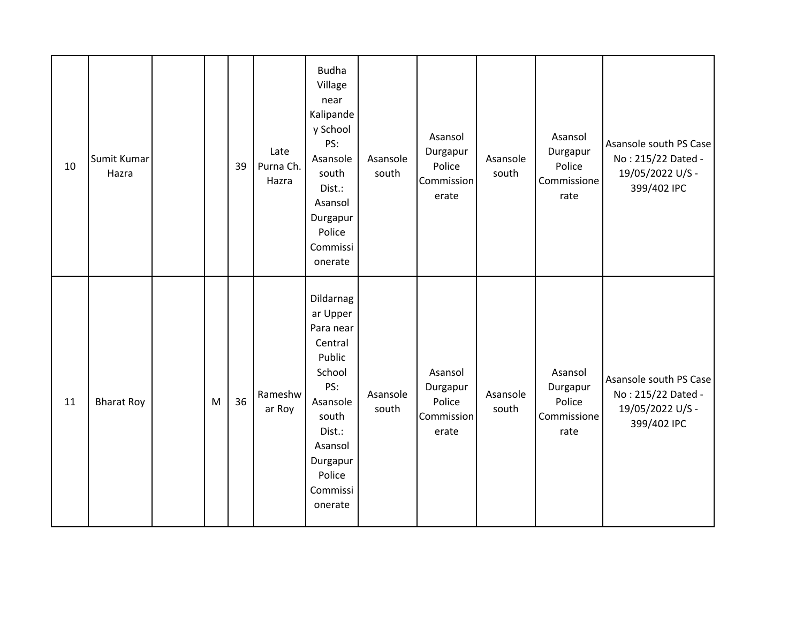| 10 | Sumit Kumar<br>Hazra |   | 39 | Late<br>Purna Ch.<br>Hazra | <b>Budha</b><br>Village<br>near<br>Kalipande<br>y School<br>PS:<br>Asansole<br>south<br>Dist.:<br>Asansol<br>Durgapur<br>Police<br>Commissi<br>onerate          | Asansole<br>south | Asansol<br>Durgapur<br>Police<br>Commission<br>erate | Asansole<br>south | Asansol<br>Durgapur<br>Police<br>Commissione<br>rate | Asansole south PS Case<br>No: 215/22 Dated -<br>19/05/2022 U/S -<br>399/402 IPC |
|----|----------------------|---|----|----------------------------|-----------------------------------------------------------------------------------------------------------------------------------------------------------------|-------------------|------------------------------------------------------|-------------------|------------------------------------------------------|---------------------------------------------------------------------------------|
| 11 | <b>Bharat Roy</b>    | M | 36 | Rameshw<br>ar Roy          | Dildarnag<br>ar Upper<br>Para near<br>Central<br>Public<br>School<br>PS:<br>Asansole<br>south<br>Dist.:<br>Asansol<br>Durgapur<br>Police<br>Commissi<br>onerate | Asansole<br>south | Asansol<br>Durgapur<br>Police<br>Commission<br>erate | Asansole<br>south | Asansol<br>Durgapur<br>Police<br>Commissione<br>rate | Asansole south PS Case<br>No: 215/22 Dated -<br>19/05/2022 U/S -<br>399/402 IPC |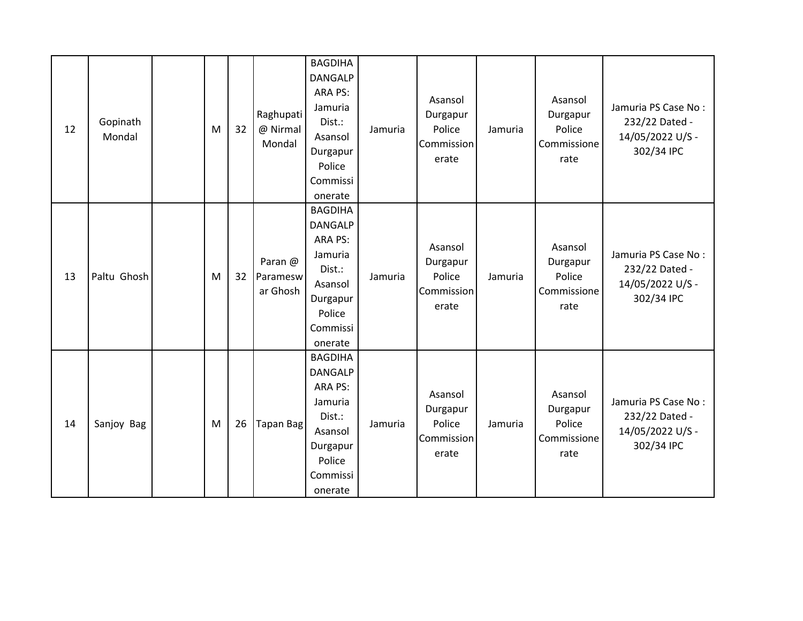| 12 | Gopinath<br>Mondal | M | 32 | Raghupati<br>@ Nirmal<br>Mondal | <b>BAGDIHA</b><br><b>DANGALP</b><br>ARA PS:<br>Jamuria<br>Dist.:<br>Asansol<br>Durgapur<br>Police<br>Commissi<br>onerate | Jamuria | Asansol<br>Durgapur<br>Police<br>Commission<br>erate | Jamuria | Asansol<br>Durgapur<br>Police<br>Commissione<br>rate | Jamuria PS Case No:<br>232/22 Dated -<br>14/05/2022 U/S -<br>302/34 IPC |
|----|--------------------|---|----|---------------------------------|--------------------------------------------------------------------------------------------------------------------------|---------|------------------------------------------------------|---------|------------------------------------------------------|-------------------------------------------------------------------------|
| 13 | Paltu Ghosh        | M | 32 | Paran @<br>Paramesw<br>ar Ghosh | <b>BAGDIHA</b><br><b>DANGALP</b><br>ARA PS:<br>Jamuria<br>Dist.:<br>Asansol<br>Durgapur<br>Police<br>Commissi<br>onerate | Jamuria | Asansol<br>Durgapur<br>Police<br>Commission<br>erate | Jamuria | Asansol<br>Durgapur<br>Police<br>Commissione<br>rate | Jamuria PS Case No:<br>232/22 Dated -<br>14/05/2022 U/S -<br>302/34 IPC |
| 14 | Sanjoy Bag         | M | 26 | Tapan Bag                       | <b>BAGDIHA</b><br><b>DANGALP</b><br>ARA PS:<br>Jamuria<br>Dist.:<br>Asansol<br>Durgapur<br>Police<br>Commissi<br>onerate | Jamuria | Asansol<br>Durgapur<br>Police<br>Commission<br>erate | Jamuria | Asansol<br>Durgapur<br>Police<br>Commissione<br>rate | Jamuria PS Case No:<br>232/22 Dated -<br>14/05/2022 U/S -<br>302/34 IPC |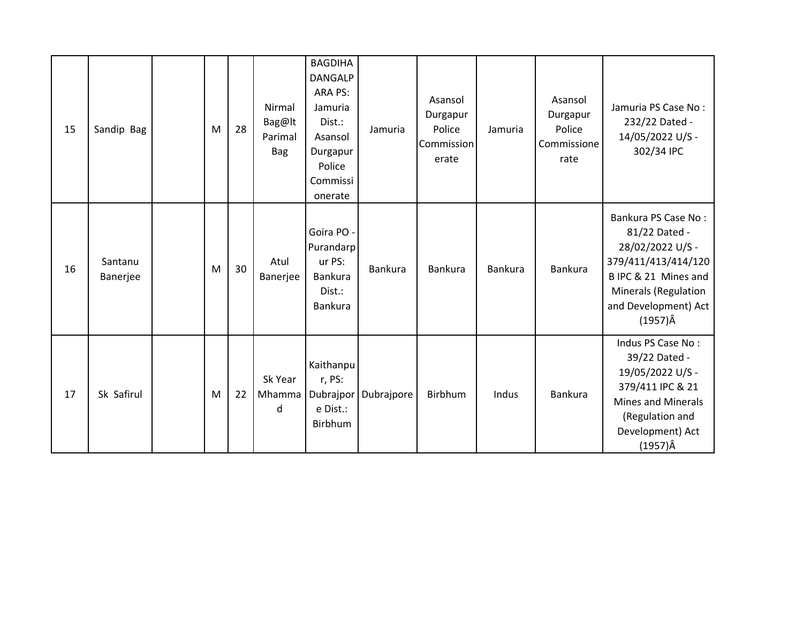| 15 | Sandip Bag          | M | 28 | Nirmal<br>Bag@lt<br>Parimal<br><b>Bag</b> | <b>BAGDIHA</b><br><b>DANGALP</b><br>ARA PS:<br>Jamuria<br>Dist.:<br>Asansol<br>Durgapur<br>Police<br>Commissi<br>onerate | Jamuria    | Asansol<br>Durgapur<br>Police<br>Commission<br>erate | Jamuria        | Asansol<br>Durgapur<br>Police<br>Commissione<br>rate | Jamuria PS Case No:<br>232/22 Dated -<br>14/05/2022 U/S -<br>302/34 IPC                                                                                                           |
|----|---------------------|---|----|-------------------------------------------|--------------------------------------------------------------------------------------------------------------------------|------------|------------------------------------------------------|----------------|------------------------------------------------------|-----------------------------------------------------------------------------------------------------------------------------------------------------------------------------------|
| 16 | Santanu<br>Banerjee | M | 30 | Atul<br>Banerjee                          | Goira PO -<br>Purandarp<br>ur PS:<br>Bankura<br>Dist.:<br>Bankura                                                        | Bankura    | Bankura                                              | <b>Bankura</b> | Bankura                                              | Bankura PS Case No:<br>81/22 Dated -<br>28/02/2022 U/S -<br>379/411/413/414/120<br>B IPC & 21 Mines and<br><b>Minerals (Regulation</b><br>and Development) Act<br>$(1957)\hat{A}$ |
| 17 | Sk Safirul          | M | 22 | Sk Year<br>Mhamma<br>d                    | Kaithanpu<br>r, PS:<br>Dubrajpor<br>e Dist.:<br>Birbhum                                                                  | Dubrajpore | Birbhum                                              | Indus          | Bankura                                              | Indus PS Case No:<br>39/22 Dated -<br>19/05/2022 U/S -<br>379/411 IPC & 21<br><b>Mines and Minerals</b><br>(Regulation and<br>Development) Act<br>$(1957)\hat{A}$                 |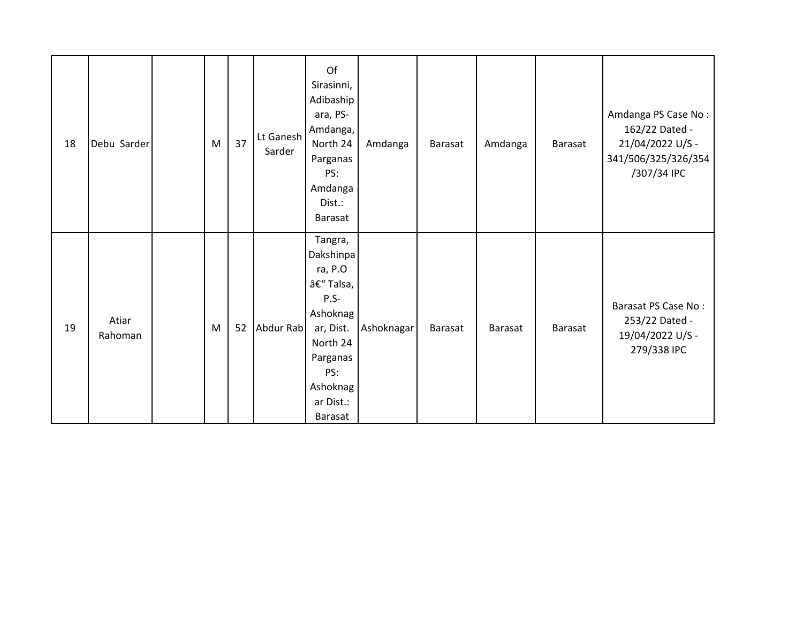| 18 | Debu Sarder      | M | 37 | Lt Ganesh<br>Sarder | Of<br>Sirasinni,<br>Adibaship<br>ara, PS-<br>Amdanga,<br>North 24<br>Parganas<br>PS:<br>Amdanga<br>Dist.:<br>Barasat                              | Amdanga    | Barasat        | Amdanga | Barasat        | Amdanga PS Case No:<br>162/22 Dated -<br>21/04/2022 U/S -<br>341/506/325/326/354<br>/307/34 IPC |
|----|------------------|---|----|---------------------|---------------------------------------------------------------------------------------------------------------------------------------------------|------------|----------------|---------|----------------|-------------------------------------------------------------------------------------------------|
| 19 | Atiar<br>Rahoman | M | 52 | Abdur Rab           | Tangra,<br>Dakshinpa<br>ra, P.O<br>– Talsa,<br>$P.S-$<br>Ashoknag<br>ar, Dist.<br>North 24<br>Parganas<br>PS:<br>Ashoknag<br>ar Dist.:<br>Barasat | Ashoknagar | <b>Barasat</b> | Barasat | <b>Barasat</b> | Barasat PS Case No:<br>253/22 Dated -<br>19/04/2022 U/S -<br>279/338 IPC                        |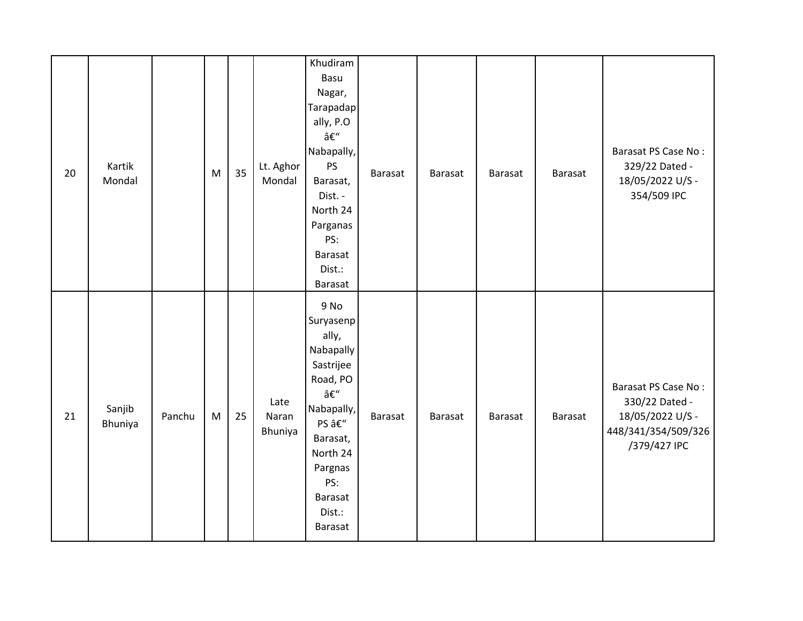| 20 | Kartik<br>Mondal  |        | M | 35 | Lt. Aghor<br>Mondal      | Khudiram<br>Basu<br>Nagar,<br>Tarapadap<br>ally, P.O<br>–<br>Nabapally,<br>PS<br>Barasat,<br>Dist. -<br>North 24<br>Parganas<br>PS:<br>Barasat<br>Dist.:<br>Barasat   | <b>Barasat</b> | Barasat        | Barasat | <b>Barasat</b> | Barasat PS Case No:<br>329/22 Dated -<br>18/05/2022 U/S -<br>354/509 IPC                         |
|----|-------------------|--------|---|----|--------------------------|-----------------------------------------------------------------------------------------------------------------------------------------------------------------------|----------------|----------------|---------|----------------|--------------------------------------------------------------------------------------------------|
| 21 | Sanjib<br>Bhuniya | Panchu | M | 25 | Late<br>Naran<br>Bhuniya | 9 No<br>Suryasenp<br>ally,<br>Nabapally<br>Sastrijee<br>Road, PO<br>–<br>Nabapally,<br>PS –<br>Barasat,<br>North 24<br>Pargnas<br>PS:<br>Barasat<br>Dist.:<br>Barasat | <b>Barasat</b> | <b>Barasat</b> | Barasat | Barasat        | Barasat PS Case No:<br>330/22 Dated -<br>18/05/2022 U/S -<br>448/341/354/509/326<br>/379/427 IPC |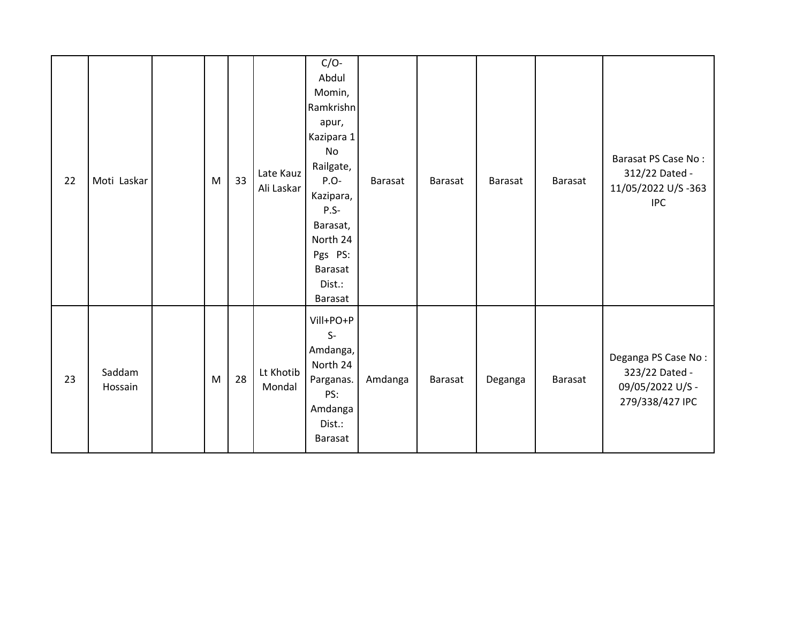| 22 | Moti Laskar       | M | 33 | Late Kauz<br>Ali Laskar | $C/O-$<br>Abdul<br>Momin,<br>Ramkrishn<br>apur,<br>Kazipara 1<br>No<br>Railgate,<br>P.O-<br>Kazipara,<br>$P.S-$<br>Barasat,<br>North 24<br>Pgs PS:<br>Barasat<br>Dist.:<br>Barasat | Barasat | <b>Barasat</b> | Barasat | <b>Barasat</b> | Barasat PS Case No:<br>312/22 Dated -<br>11/05/2022 U/S-363<br><b>IPC</b>    |
|----|-------------------|---|----|-------------------------|------------------------------------------------------------------------------------------------------------------------------------------------------------------------------------|---------|----------------|---------|----------------|------------------------------------------------------------------------------|
| 23 | Saddam<br>Hossain | M | 28 | Lt Khotib<br>Mondal     | Vill+PO+P<br>$S-$<br>Amdanga,<br>North 24<br>Parganas.<br>PS:<br>Amdanga<br>Dist.:<br>Barasat                                                                                      | Amdanga | <b>Barasat</b> | Deganga | Barasat        | Deganga PS Case No:<br>323/22 Dated -<br>09/05/2022 U/S -<br>279/338/427 IPC |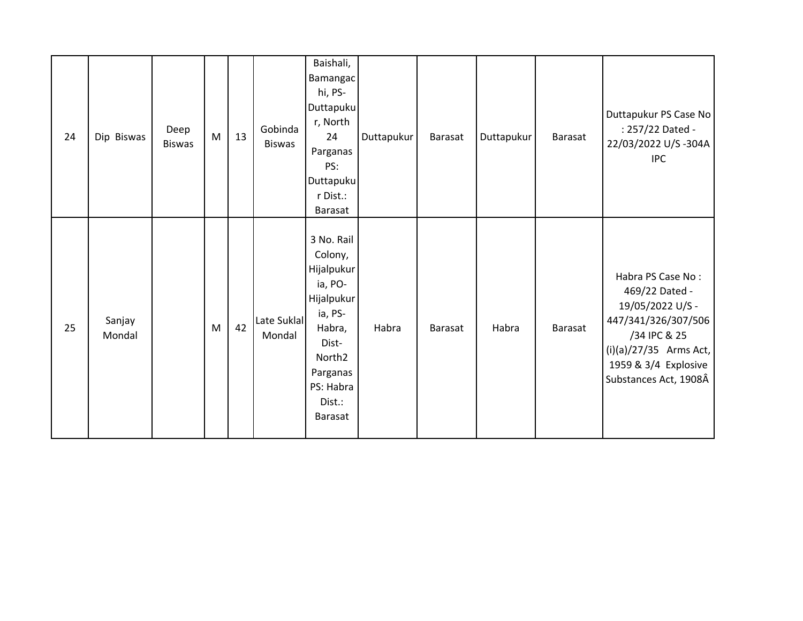| 24 | Dip Biswas       | Deep<br><b>Biswas</b> | M | 13 | Gobinda<br><b>Biswas</b> | Baishali,<br><b>Bamangac</b><br>hi, PS-<br>Duttapuku<br>r, North<br>24<br>Parganas<br>PS:<br>Duttapuku<br>r Dist.:<br><b>Barasat</b>                                         | Duttapukur | Barasat        | Duttapukur | Barasat        | Duttapukur PS Case No<br>: 257/22 Dated -<br>22/03/2022 U/S -304A<br><b>IPC</b>                                                                                             |
|----|------------------|-----------------------|---|----|--------------------------|------------------------------------------------------------------------------------------------------------------------------------------------------------------------------|------------|----------------|------------|----------------|-----------------------------------------------------------------------------------------------------------------------------------------------------------------------------|
| 25 | Sanjay<br>Mondal |                       | M | 42 | Late Suklal<br>Mondal    | 3 No. Rail<br>Colony,<br>Hijalpukur<br>ia, PO-<br><b>Hijalpukur</b><br>ia, PS-<br>Habra,<br>Dist-<br>North <sub>2</sub><br>Parganas<br>PS: Habra<br>Dist.:<br><b>Barasat</b> | Habra      | <b>Barasat</b> | Habra      | <b>Barasat</b> | Habra PS Case No:<br>469/22 Dated -<br>19/05/2022 U/S -<br>447/341/326/307/506<br>/34 IPC & 25<br>$(i)(a)/27/35$ Arms Act,<br>1959 & 3/4 Explosive<br>Substances Act, 1908Â |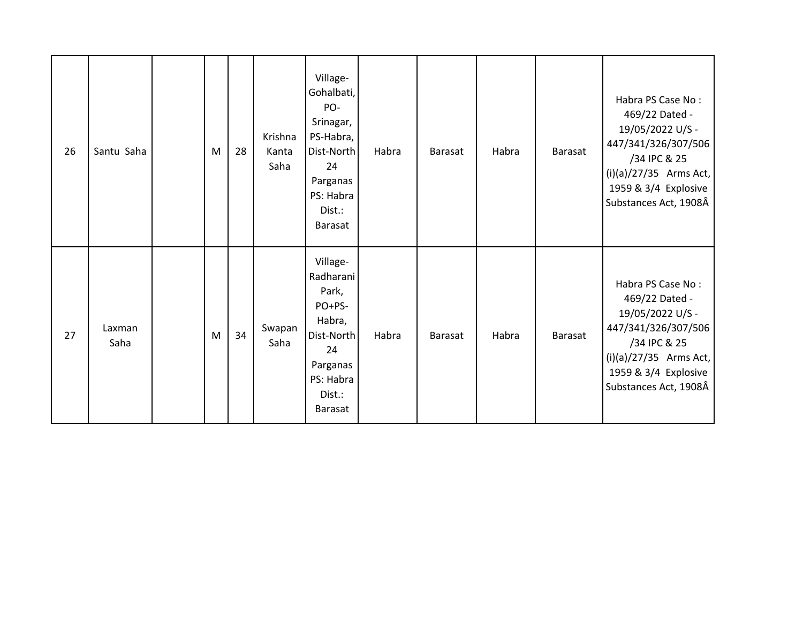| 26 | Santu Saha     | M | 28 | Krishna<br>Kanta<br>Saha | Village-<br>Gohalbati,<br>PO-<br>Srinagar,<br>PS-Habra,<br>Dist-North<br>24<br>Parganas<br>PS: Habra<br>Dist.:<br><b>Barasat</b> | Habra | Barasat | Habra | Barasat | Habra PS Case No:<br>469/22 Dated -<br>19/05/2022 U/S -<br>447/341/326/307/506<br>/34 IPC & 25<br>$(i)(a)/27/35$ Arms Act,<br>1959 & 3/4 Explosive<br>Substances Act, 1908Â |
|----|----------------|---|----|--------------------------|----------------------------------------------------------------------------------------------------------------------------------|-------|---------|-------|---------|-----------------------------------------------------------------------------------------------------------------------------------------------------------------------------|
| 27 | Laxman<br>Saha | M | 34 | Swapan<br>Saha           | Village-<br>Radharani<br>Park,<br>PO+PS-<br>Habra,<br>Dist-North<br>24<br>Parganas<br>PS: Habra<br>Dist.:<br>Barasat             | Habra | Barasat | Habra | Barasat | Habra PS Case No:<br>469/22 Dated -<br>19/05/2022 U/S -<br>447/341/326/307/506<br>/34 IPC & 25<br>$(i)(a)/27/35$ Arms Act,<br>1959 & 3/4 Explosive<br>Substances Act, 1908Â |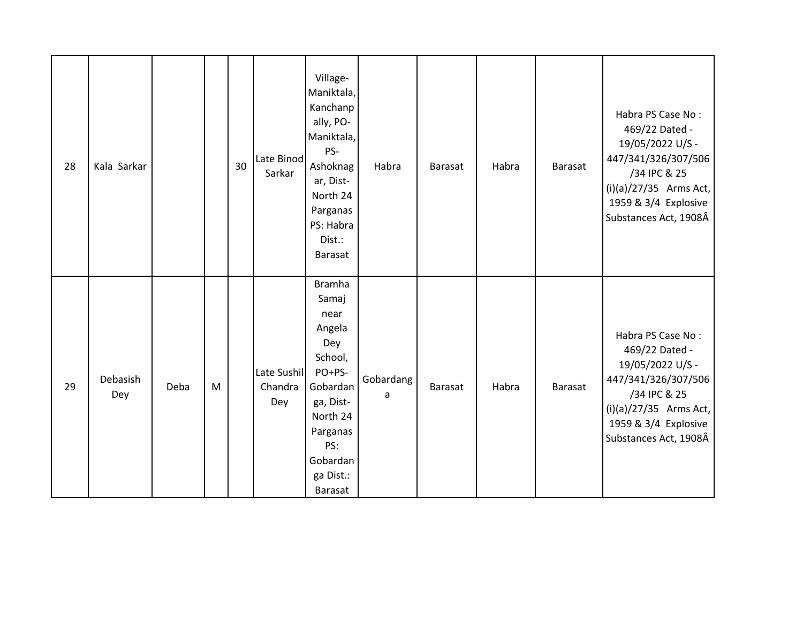| 28 | Kala Sarkar     |      |   | 30 | Late Binod<br>Sarkar          | Village-<br>Maniktala,<br>Kanchanp<br>ally, PO-<br>Maniktala,<br>PS-<br>Ashoknag<br>ar, Dist-<br>North 24<br>Parganas<br>PS: Habra<br>Dist.:<br><b>Barasat</b>   | Habra          | Barasat | Habra | <b>Barasat</b> | Habra PS Case No:<br>469/22 Dated -<br>19/05/2022 U/S -<br>447/341/326/307/506<br>/34 IPC & 25<br>$(i)(a)/27/35$ Arms Act,<br>1959 & 3/4 Explosive<br>Substances Act, 1908Â |
|----|-----------------|------|---|----|-------------------------------|------------------------------------------------------------------------------------------------------------------------------------------------------------------|----------------|---------|-------|----------------|-----------------------------------------------------------------------------------------------------------------------------------------------------------------------------|
| 29 | Debasish<br>Dey | Deba | M |    | Late Sushil<br>Chandra<br>Dey | <b>Bramha</b><br>Samaj<br>near<br>Angela<br>Dey<br>School,<br>PO+PS-<br>Gobardan<br>ga, Dist-<br>North 24<br>Parganas<br>PS:<br>Gobardan<br>ga Dist.:<br>Barasat | Gobardang<br>a | Barasat | Habra | <b>Barasat</b> | Habra PS Case No:<br>469/22 Dated -<br>19/05/2022 U/S -<br>447/341/326/307/506<br>/34 IPC & 25<br>$(i)(a)/27/35$ Arms Act,<br>1959 & 3/4 Explosive<br>Substances Act, 1908Â |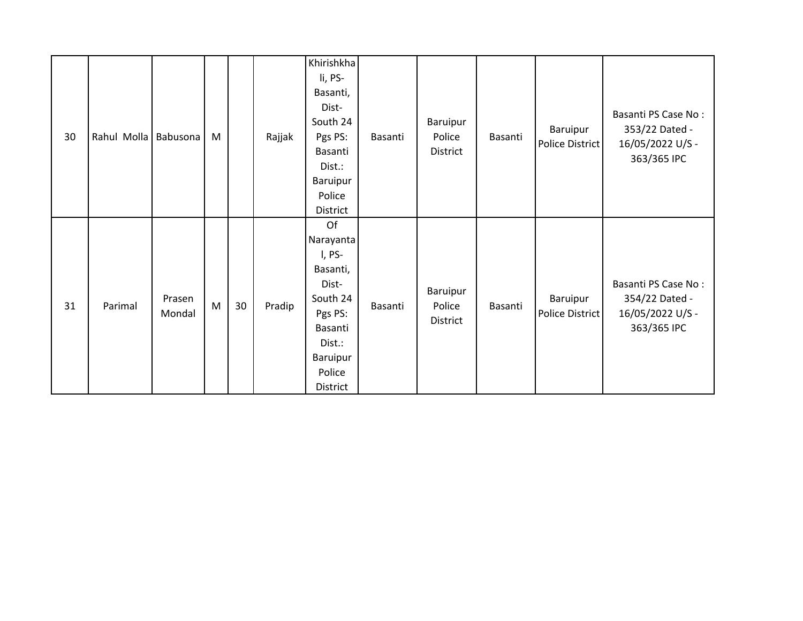| 30 | Rahul Molla Babusona |                  | M            |    | Rajjak | Khirishkha<br>li, PS-<br>Basanti,<br>Dist-<br>South 24<br>Pgs PS:<br>Basanti<br>Dist.:<br>Baruipur<br>Police<br>District            | Basanti | Baruipur<br>Police<br>District | Basanti | Baruipur<br>Police District        | Basanti PS Case No:<br>353/22 Dated -<br>16/05/2022 U/S -<br>363/365 IPC |
|----|----------------------|------------------|--------------|----|--------|-------------------------------------------------------------------------------------------------------------------------------------|---------|--------------------------------|---------|------------------------------------|--------------------------------------------------------------------------|
| 31 | Parimal              | Prasen<br>Mondal | $\mathsf{M}$ | 30 | Pradip | Of<br>Narayanta<br>I, PS-<br>Basanti,<br>Dist-<br>South 24<br>Pgs PS:<br>Basanti<br>Dist.:<br><b>Baruipur</b><br>Police<br>District | Basanti | Baruipur<br>Police<br>District | Basanti | Baruipur<br><b>Police District</b> | Basanti PS Case No:<br>354/22 Dated -<br>16/05/2022 U/S -<br>363/365 IPC |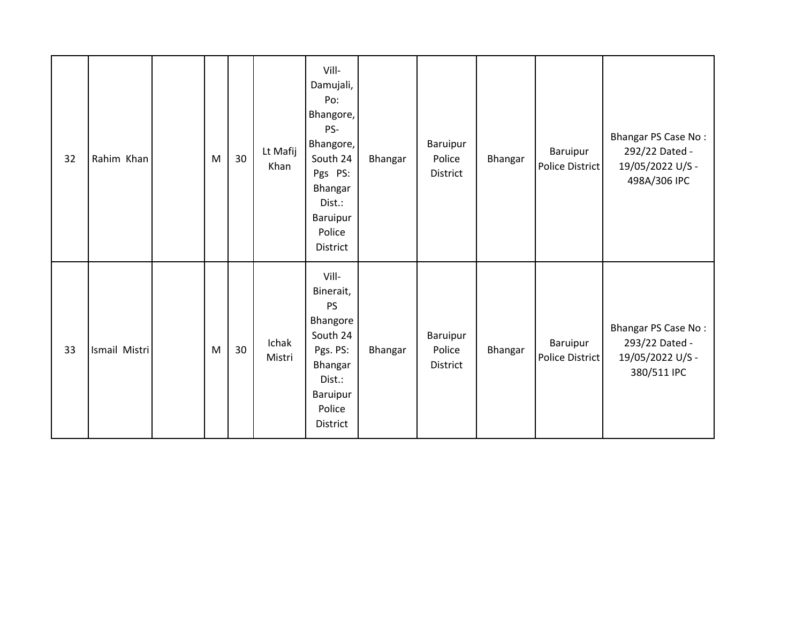| 32 | Rahim Khan    | M | 30 | Lt Mafij<br>Khan | Vill-<br>Damujali,<br>Po:<br>Bhangore,<br>PS-<br>Bhangore,<br>South 24<br>Pgs PS:<br>Bhangar<br>Dist.:<br>Baruipur<br>Police<br>District | Bhangar | Baruipur<br>Police<br>District | Bhangar | Baruipur<br>Police District | Bhangar PS Case No:<br>292/22 Dated -<br>19/05/2022 U/S -<br>498A/306 IPC |
|----|---------------|---|----|------------------|------------------------------------------------------------------------------------------------------------------------------------------|---------|--------------------------------|---------|-----------------------------|---------------------------------------------------------------------------|
| 33 | Ismail Mistri | M | 30 | Ichak<br>Mistri  | Vill-<br>Binerait,<br><b>PS</b><br>Bhangore<br>South 24<br>Pgs. PS:<br>Bhangar<br>Dist.:<br>Baruipur<br>Police<br>District               | Bhangar | Baruipur<br>Police<br>District | Bhangar | Baruipur<br>Police District | Bhangar PS Case No:<br>293/22 Dated -<br>19/05/2022 U/S -<br>380/511 IPC  |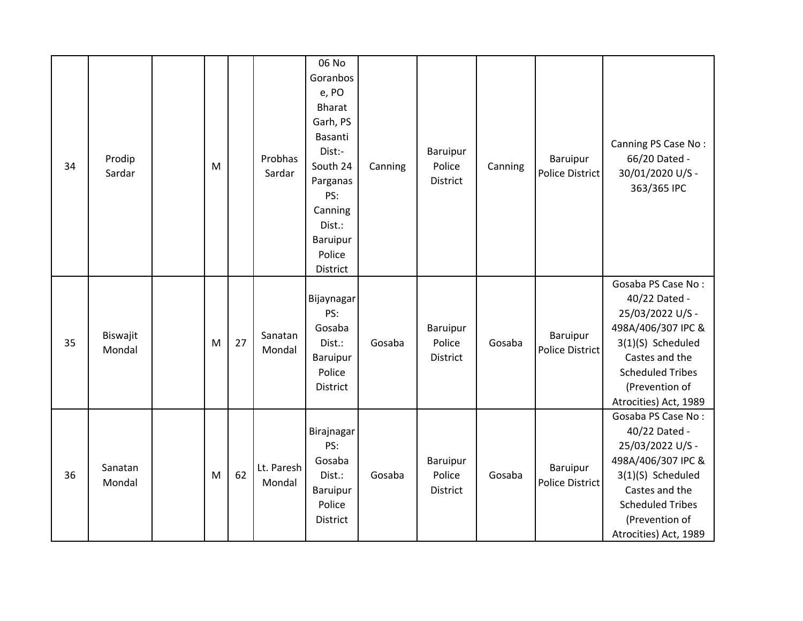| 34 | Prodip<br>Sardar   | M |    | Probhas<br>Sardar    | 06 No<br>Goranbos<br>e, PO<br>Bharat<br>Garh, PS<br>Basanti<br>Dist:-<br>South 24<br>Parganas<br>PS:<br>Canning<br>Dist.:<br><b>Baruipur</b><br>Police<br>District | Canning | Baruipur<br>Police<br>District        | Canning | Baruipur<br><b>Police District</b> | Canning PS Case No:<br>66/20 Dated -<br>30/01/2020 U/S -<br>363/365 IPC                                                                                                                    |
|----|--------------------|---|----|----------------------|--------------------------------------------------------------------------------------------------------------------------------------------------------------------|---------|---------------------------------------|---------|------------------------------------|--------------------------------------------------------------------------------------------------------------------------------------------------------------------------------------------|
| 35 | Biswajit<br>Mondal | M | 27 | Sanatan<br>Mondal    | Bijaynagar<br>PS:<br>Gosaba<br>Dist.:<br>Baruipur<br>Police<br>District                                                                                            | Gosaba  | <b>Baruipur</b><br>Police<br>District | Gosaba  | Baruipur<br><b>Police District</b> | Gosaba PS Case No:<br>40/22 Dated -<br>25/03/2022 U/S -<br>498A/406/307 IPC &<br>3(1)(S) Scheduled<br>Castes and the<br><b>Scheduled Tribes</b><br>(Prevention of<br>Atrocities) Act, 1989 |
| 36 | Sanatan<br>Mondal  | M | 62 | Lt. Paresh<br>Mondal | Birajnagar<br>PS:<br>Gosaba<br>Dist.:<br>Baruipur<br>Police<br>District                                                                                            | Gosaba  | Baruipur<br>Police<br>District        | Gosaba  | Baruipur<br><b>Police District</b> | Gosaba PS Case No:<br>40/22 Dated -<br>25/03/2022 U/S -<br>498A/406/307 IPC &<br>3(1)(S) Scheduled<br>Castes and the<br><b>Scheduled Tribes</b><br>(Prevention of<br>Atrocities) Act, 1989 |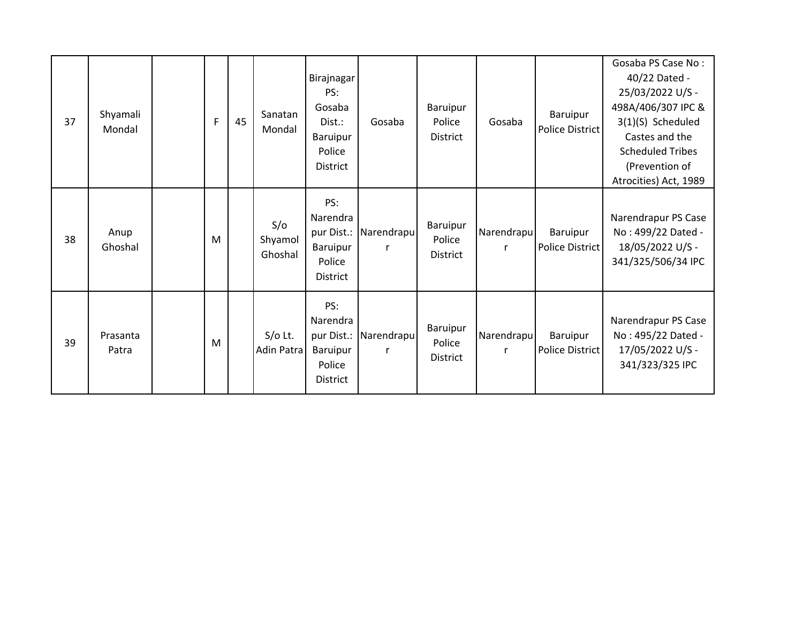| 37 | Shyamali<br>Mondal | F | 45 | Sanatan<br>Mondal         | Birajnagar<br>PS:<br>Gosaba<br>Dist.:<br>Baruipur<br>Police<br><b>District</b> | Gosaba          | Baruipur<br>Police<br><b>District</b> | Gosaba          | Baruipur<br><b>Police District</b> | Gosaba PS Case No:<br>40/22 Dated -<br>25/03/2022 U/S -<br>498A/406/307 IPC &<br>3(1)(S) Scheduled<br>Castes and the<br><b>Scheduled Tribes</b><br>(Prevention of |
|----|--------------------|---|----|---------------------------|--------------------------------------------------------------------------------|-----------------|---------------------------------------|-----------------|------------------------------------|-------------------------------------------------------------------------------------------------------------------------------------------------------------------|
| 38 | Anup<br>Ghoshal    | M |    | S/O<br>Shyamol<br>Ghoshal | PS:<br>Narendra<br>pur Dist.:<br>Baruipur<br>Police<br><b>District</b>         | Narendrapu<br>r | Baruipur<br>Police<br><b>District</b> | Narendrapu<br>r | Baruipur<br>Police District        | Atrocities) Act, 1989<br>Narendrapur PS Case<br>No: 499/22 Dated -<br>18/05/2022 U/S -<br>341/325/506/34 IPC                                                      |
| 39 | Prasanta<br>Patra  | M |    | $S/O$ Lt.<br>Adin Patra   | PS:<br>Narendra<br>pur Dist.:<br>Baruipur<br>Police<br><b>District</b>         | Narendrapu<br>r | Baruipur<br>Police<br><b>District</b> | Narendrapu<br>r | Baruipur<br>Police District        | Narendrapur PS Case<br>No: 495/22 Dated -<br>17/05/2022 U/S -<br>341/323/325 IPC                                                                                  |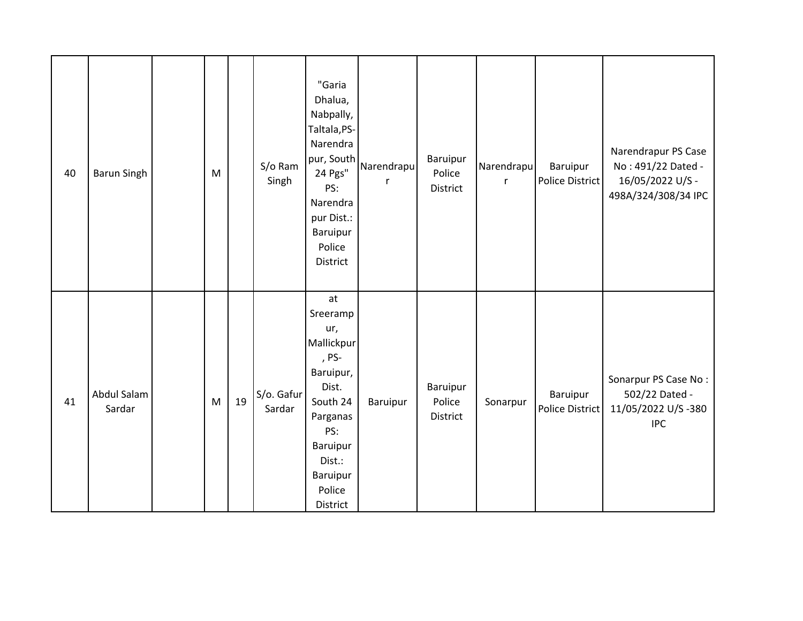| 40 | <b>Barun Singh</b>    | M |    | S/o Ram<br>Singh     | "Garia<br>Dhalua,<br>Nabpally,<br>Taltala, PS-<br>Narendra<br>pur, South<br>24 Pgs"<br>PS:<br>Narendra<br>pur Dist.:<br>Baruipur<br>Police<br>District    | Narendrapu | Baruipur<br>Police<br>District | Narendrapu<br>$\mathsf{r}$ | Baruipur<br>Police District        | Narendrapur PS Case<br>No: 491/22 Dated -<br>16/05/2022 U/S -<br>498A/324/308/34 IPC |
|----|-----------------------|---|----|----------------------|-----------------------------------------------------------------------------------------------------------------------------------------------------------|------------|--------------------------------|----------------------------|------------------------------------|--------------------------------------------------------------------------------------|
| 41 | Abdul Salam<br>Sardar | M | 19 | S/o. Gafur<br>Sardar | at<br>Sreeramp<br>ur,<br>Mallickpur<br>, PS-<br>Baruipur,<br>Dist.<br>South 24<br>Parganas<br>PS:<br>Baruipur<br>Dist.:<br>Baruipur<br>Police<br>District | Baruipur   | Baruipur<br>Police<br>District | Sonarpur                   | Baruipur<br><b>Police District</b> | Sonarpur PS Case No:<br>502/22 Dated -<br>11/05/2022 U/S-380<br><b>IPC</b>           |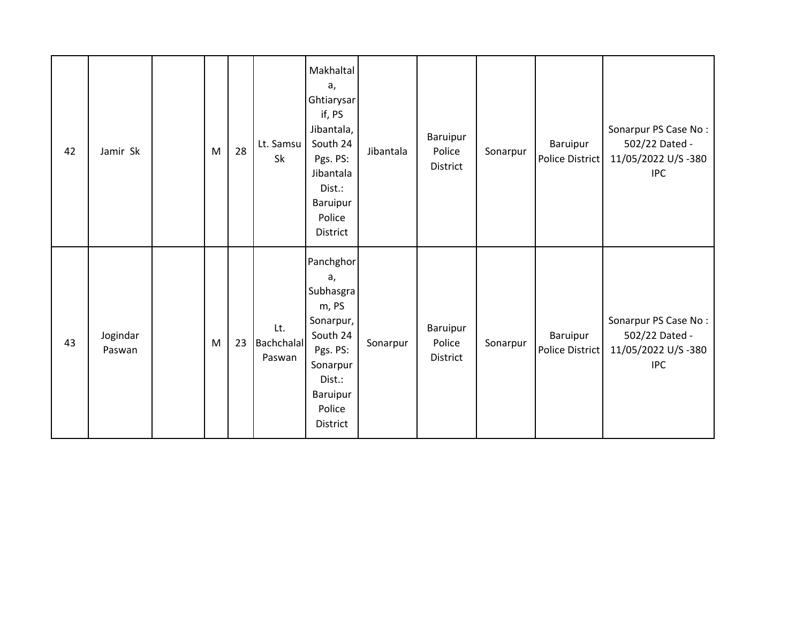| 42 | Jamir Sk           | M | 28 | Lt. Samsu<br>Sk             | Makhaltal<br>a,<br>Ghtiarysar<br>if, PS<br>Jibantala,<br>South 24<br>Pgs. PS:<br>Jibantala<br>Dist.:<br>Baruipur<br>Police<br>District | Jibantala | Baruipur<br>Police<br>District | Sonarpur | Baruipur<br>Police District | Sonarpur PS Case No:<br>502/22 Dated -<br>11/05/2022 U/S-380<br><b>IPC</b> |
|----|--------------------|---|----|-----------------------------|----------------------------------------------------------------------------------------------------------------------------------------|-----------|--------------------------------|----------|-----------------------------|----------------------------------------------------------------------------|
| 43 | Jogindar<br>Paswan | M | 23 | Lt.<br>Bachchalal<br>Paswan | Panchghor<br>a,<br>Subhasgra<br>m, PS<br>Sonarpur,<br>South 24<br>Pgs. PS:<br>Sonarpur<br>Dist.:<br>Baruipur<br>Police<br>District     | Sonarpur  | Baruipur<br>Police<br>District | Sonarpur | Baruipur<br>Police District | Sonarpur PS Case No:<br>502/22 Dated -<br>11/05/2022 U/S-380<br><b>IPC</b> |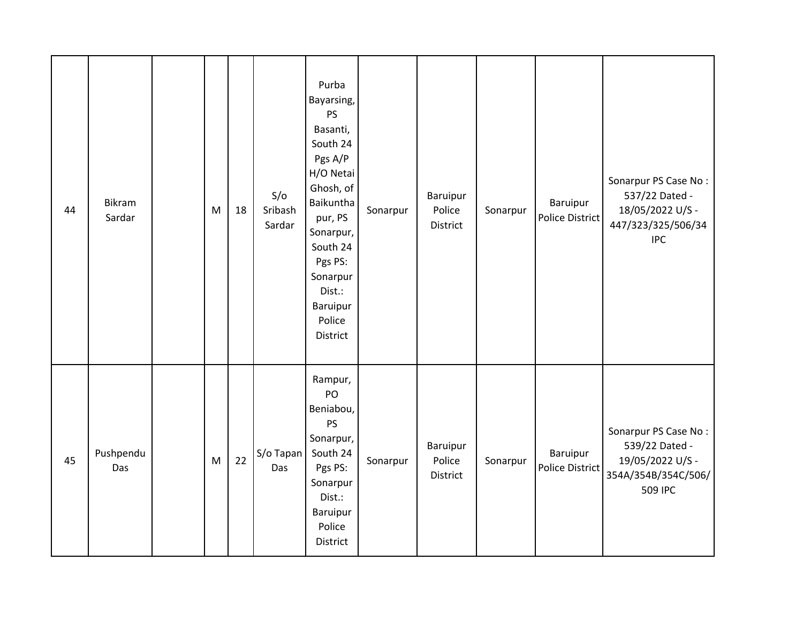| 44 | <b>Bikram</b><br>Sardar | M | 18 | S/O<br>Sribash<br>Sardar | Purba<br>Bayarsing,<br>PS<br>Basanti,<br>South 24<br>Pgs A/P<br>H/O Netai<br>Ghosh, of<br>Baikuntha<br>pur, PS<br>Sonarpur,<br>South 24<br>Pgs PS:<br>Sonarpur<br>Dist.:<br>Baruipur<br>Police<br>District | Sonarpur | Baruipur<br>Police<br>District | Sonarpur | Baruipur<br><b>Police District</b> | Sonarpur PS Case No:<br>537/22 Dated -<br>18/05/2022 U/S -<br>447/323/325/506/34<br><b>IPC</b> |
|----|-------------------------|---|----|--------------------------|------------------------------------------------------------------------------------------------------------------------------------------------------------------------------------------------------------|----------|--------------------------------|----------|------------------------------------|------------------------------------------------------------------------------------------------|
| 45 | Pushpendu<br>Das        | M | 22 | S/o Tapan<br>Das         | Rampur,<br>PO<br>Beniabou,<br><b>PS</b><br>Sonarpur,<br>South 24<br>Pgs PS:<br>Sonarpur<br>Dist.:<br>Baruipur<br>Police<br><b>District</b>                                                                 | Sonarpur | Baruipur<br>Police<br>District | Sonarpur | Baruipur<br>Police District        | Sonarpur PS Case No:<br>539/22 Dated -<br>19/05/2022 U/S -<br>354A/354B/354C/506/<br>509 IPC   |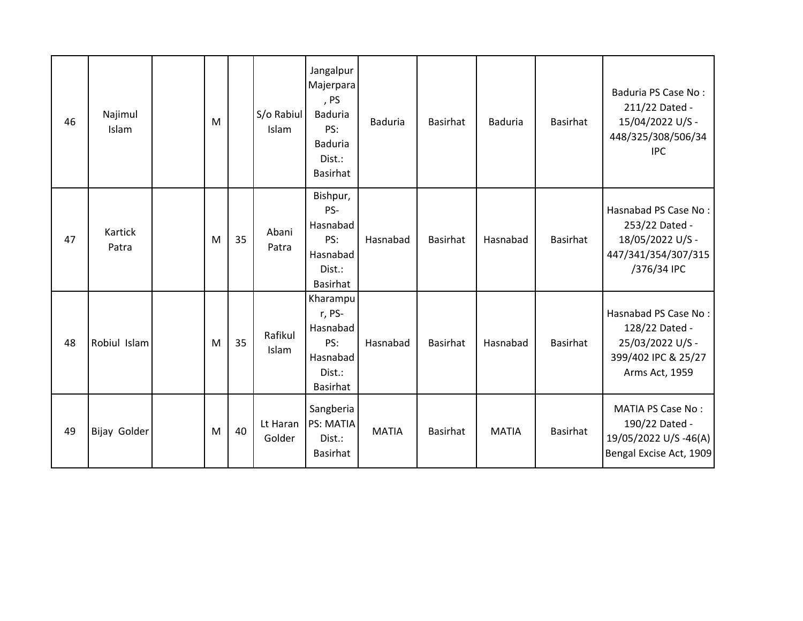| 46 | Najimul<br>Islam | M |    | S/o Rabiul<br>Islam | Jangalpur<br>Majerpara<br>, PS<br>Baduria<br>PS:<br><b>Baduria</b><br>Dist.:<br><b>Basirhat</b> | <b>Baduria</b> | <b>Basirhat</b> | <b>Baduria</b> | <b>Basirhat</b> | Baduria PS Case No:<br>211/22 Dated -<br>15/04/2022 U/S -<br>448/325/308/506/34<br><b>IPC</b>       |
|----|------------------|---|----|---------------------|-------------------------------------------------------------------------------------------------|----------------|-----------------|----------------|-----------------|-----------------------------------------------------------------------------------------------------|
| 47 | Kartick<br>Patra | M | 35 | Abani<br>Patra      | Bishpur,<br>PS-<br>Hasnabad<br>PS:<br>Hasnabad<br>Dist.:<br>Basirhat                            | Hasnabad       | Basirhat        | Hasnabad       | Basirhat        | Hasnabad PS Case No:<br>253/22 Dated -<br>18/05/2022 U/S -<br>447/341/354/307/315<br>/376/34 IPC    |
| 48 | Robiul Islam     | M | 35 | Rafikul<br>Islam    | Kharampu<br>r, PS-<br>Hasnabad<br>PS:<br>Hasnabad<br>Dist.:<br>Basirhat                         | Hasnabad       | <b>Basirhat</b> | Hasnabad       | <b>Basirhat</b> | Hasnabad PS Case No:<br>128/22 Dated -<br>25/03/2022 U/S -<br>399/402 IPC & 25/27<br>Arms Act, 1959 |
| 49 | Bijay Golder     | M | 40 | Lt Haran<br>Golder  | Sangberia<br>PS: MATIA<br>Dist.:<br><b>Basirhat</b>                                             | <b>MATIA</b>   | <b>Basirhat</b> | <b>MATIA</b>   | <b>Basirhat</b> | <b>MATIA PS Case No:</b><br>190/22 Dated -<br>19/05/2022 U/S-46(A)<br>Bengal Excise Act, 1909       |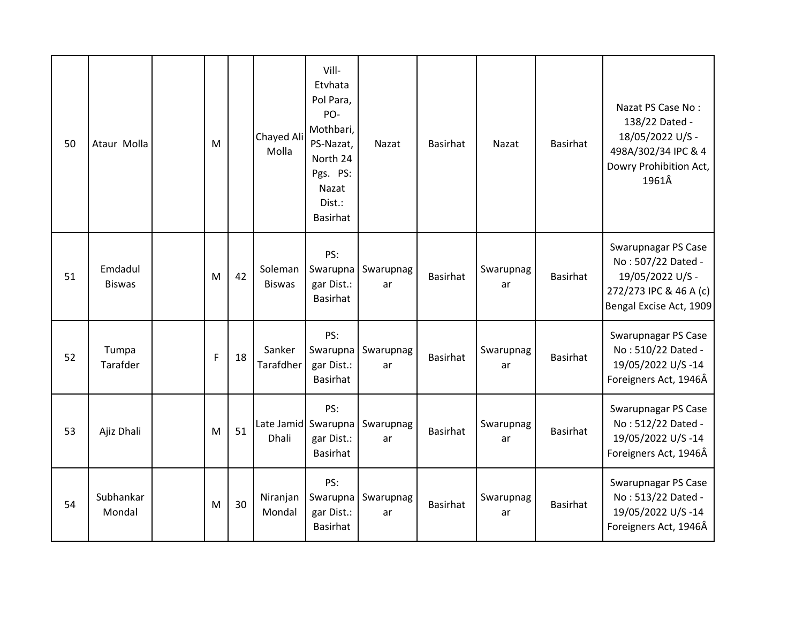| 50 | Ataur Molla              | M            |    | Chayed Ali<br>Molla                 | Vill-<br>Etvhata<br>Pol Para,<br>PO-<br>Mothbari,<br>PS-Nazat,<br>North 24<br>Pgs. PS:<br>Nazat<br>Dist.:<br>Basirhat | Nazat           | <b>Basirhat</b> | Nazat           | Basirhat        | Nazat PS Case No:<br>138/22 Dated -<br>18/05/2022 U/S -<br>498A/302/34 IPC & 4<br>Dowry Prohibition Act,<br>1961Â  |
|----|--------------------------|--------------|----|-------------------------------------|-----------------------------------------------------------------------------------------------------------------------|-----------------|-----------------|-----------------|-----------------|--------------------------------------------------------------------------------------------------------------------|
| 51 | Emdadul<br><b>Biswas</b> | M            | 42 | Soleman<br><b>Biswas</b>            | PS:<br>Swarupna<br>gar Dist.:<br>Basirhat                                                                             | Swarupnag<br>ar | <b>Basirhat</b> | Swarupnag<br>ar | <b>Basirhat</b> | Swarupnagar PS Case<br>No: 507/22 Dated -<br>19/05/2022 U/S -<br>272/273 IPC & 46 A (c)<br>Bengal Excise Act, 1909 |
| 52 | Tumpa<br>Tarafder        | $\mathsf{F}$ | 18 | Sanker<br>Tarafdher                 | PS:<br>Swarupna<br>gar Dist.:<br>Basirhat                                                                             | Swarupnag<br>ar | <b>Basirhat</b> | Swarupnag<br>ar | <b>Basirhat</b> | Swarupnagar PS Case<br>No: 510/22 Dated -<br>19/05/2022 U/S-14<br>Foreigners Act, 1946Â                            |
| 53 | Ajiz Dhali               | M            | 51 | Late Jamid Swarupna<br><b>Dhali</b> | PS:<br>gar Dist.:<br>Basirhat                                                                                         | Swarupnag<br>ar | <b>Basirhat</b> | Swarupnag<br>ar | <b>Basirhat</b> | Swarupnagar PS Case<br>No: 512/22 Dated -<br>19/05/2022 U/S-14<br>Foreigners Act, 1946Â                            |
| 54 | Subhankar<br>Mondal      | M            | 30 | Niranjan<br>Mondal                  | PS:<br>Swarupna<br>gar Dist.:<br>Basirhat                                                                             | Swarupnag<br>ar | <b>Basirhat</b> | Swarupnag<br>ar | <b>Basirhat</b> | Swarupnagar PS Case<br>No: 513/22 Dated -<br>19/05/2022 U/S-14<br>Foreigners Act, 1946Â                            |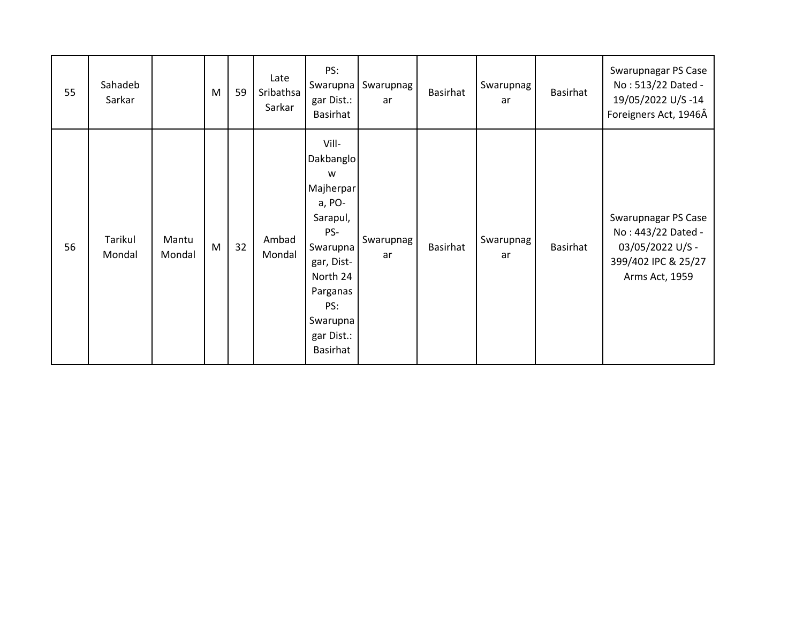| 55 | Sahadeb<br>Sarkar |                 | M | 59 | Late<br>Sribathsa<br>Sarkar | PS:<br>Swarupna<br>gar Dist.:<br>Basirhat                                                                                                                        | Swarupnag<br>ar | Basirhat | Swarupnag<br>ar        | Basirhat | Swarupnagar PS Case<br>No: 513/22 Dated -<br>19/05/2022 U/S-14<br>Foreigners Act, 1946Â                |
|----|-------------------|-----------------|---|----|-----------------------------|------------------------------------------------------------------------------------------------------------------------------------------------------------------|-----------------|----------|------------------------|----------|--------------------------------------------------------------------------------------------------------|
| 56 | Tarikul<br>Mondal | Mantu<br>Mondal | M | 32 | Ambad<br>Mondal             | Vill-<br>Dakbanglo<br>W<br>Majherpar<br>a, PO-<br>Sarapul,<br>PS-<br>Swarupna<br>gar, Dist-<br>North 24<br>Parganas<br>PS:<br>Swarupna<br>gar Dist.:<br>Basirhat | Swarupnag<br>ar | Basirhat | <b>Swarupnag</b><br>ar | Basirhat | Swarupnagar PS Case<br>No: 443/22 Dated -<br>03/05/2022 U/S -<br>399/402 IPC & 25/27<br>Arms Act, 1959 |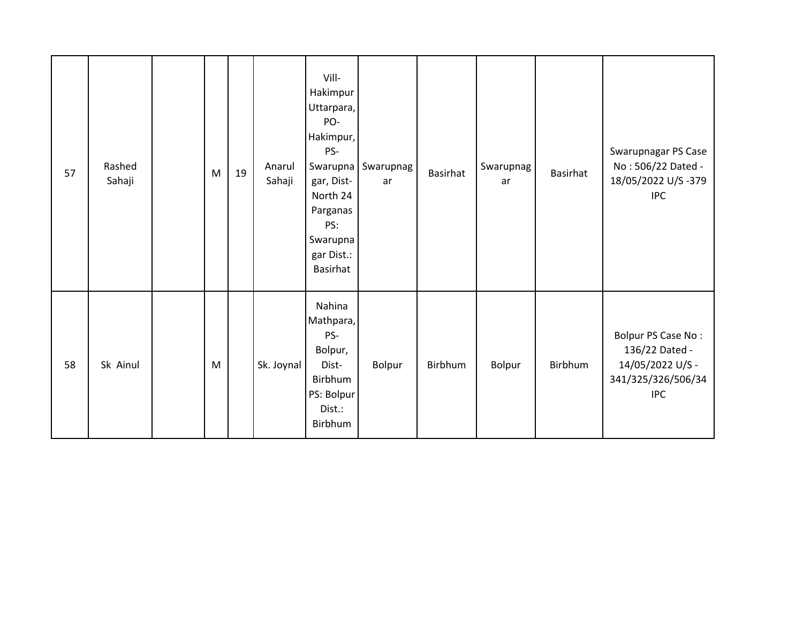| 57 | Rashed<br>Sahaji | M | 19 | Anarul<br>Sahaji | Vill-<br>Hakimpur<br>Uttarpara,<br>PO-<br>Hakimpur,<br>PS-<br>Swarupna<br>gar, Dist-<br>North 24<br>Parganas<br>PS:<br>Swarupna<br>gar Dist.:<br>Basirhat | Swarupnag<br>ar | <b>Basirhat</b> | Swarupnag<br>ar | Basirhat | Swarupnagar PS Case<br>No: 506/22 Dated -<br>18/05/2022 U/S-379<br><b>IPC</b>                |
|----|------------------|---|----|------------------|-----------------------------------------------------------------------------------------------------------------------------------------------------------|-----------------|-----------------|-----------------|----------|----------------------------------------------------------------------------------------------|
| 58 | Sk Ainul         | M |    | Sk. Joynal       | Nahina<br>Mathpara,<br>PS-<br>Bolpur,<br>Dist-<br>Birbhum<br>PS: Bolpur<br>Dist.:<br>Birbhum                                                              | Bolpur          | Birbhum         | Bolpur          | Birbhum  | Bolpur PS Case No:<br>136/22 Dated -<br>14/05/2022 U/S -<br>341/325/326/506/34<br><b>IPC</b> |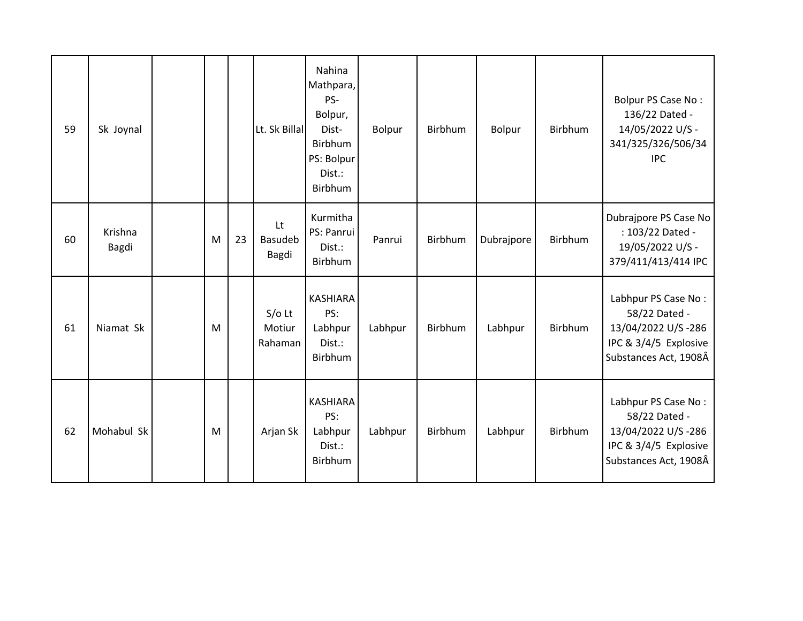| 59 | Sk Joynal        |   |    | Lt. Sk Billal                 | Nahina<br>Mathpara,<br>PS-<br>Bolpur,<br>Dist-<br>Birbhum<br>PS: Bolpur<br>Dist.:<br>Birbhum | <b>Bolpur</b> | Birbhum | <b>Bolpur</b> | Birbhum        | Bolpur PS Case No:<br>136/22 Dated -<br>14/05/2022 U/S -<br>341/325/326/506/34<br><b>IPC</b>                 |
|----|------------------|---|----|-------------------------------|----------------------------------------------------------------------------------------------|---------------|---------|---------------|----------------|--------------------------------------------------------------------------------------------------------------|
| 60 | Krishna<br>Bagdi | M | 23 | Lt<br>Basudeb<br>Bagdi        | Kurmitha<br>PS: Panrui<br>Dist.:<br>Birbhum                                                  | Panrui        | Birbhum | Dubrajpore    | <b>Birbhum</b> | Dubrajpore PS Case No<br>: 103/22 Dated -<br>19/05/2022 U/S -<br>379/411/413/414 IPC                         |
| 61 | Niamat Sk        | M |    | $S/O$ Lt<br>Motiur<br>Rahaman | <b>KASHIARA</b><br>PS:<br>Labhpur<br>Dist.:<br>Birbhum                                       | Labhpur       | Birbhum | Labhpur       | Birbhum        | Labhpur PS Case No:<br>58/22 Dated -<br>13/04/2022 U/S-286<br>IPC & 3/4/5 Explosive<br>Substances Act, 1908Â |
| 62 | Mohabul Sk       | M |    | Arjan Sk                      | <b>KASHIARA</b><br>PS:<br>Labhpur<br>Dist.:<br>Birbhum                                       | Labhpur       | Birbhum | Labhpur       | Birbhum        | Labhpur PS Case No:<br>58/22 Dated -<br>13/04/2022 U/S-286<br>IPC & 3/4/5 Explosive<br>Substances Act, 1908Â |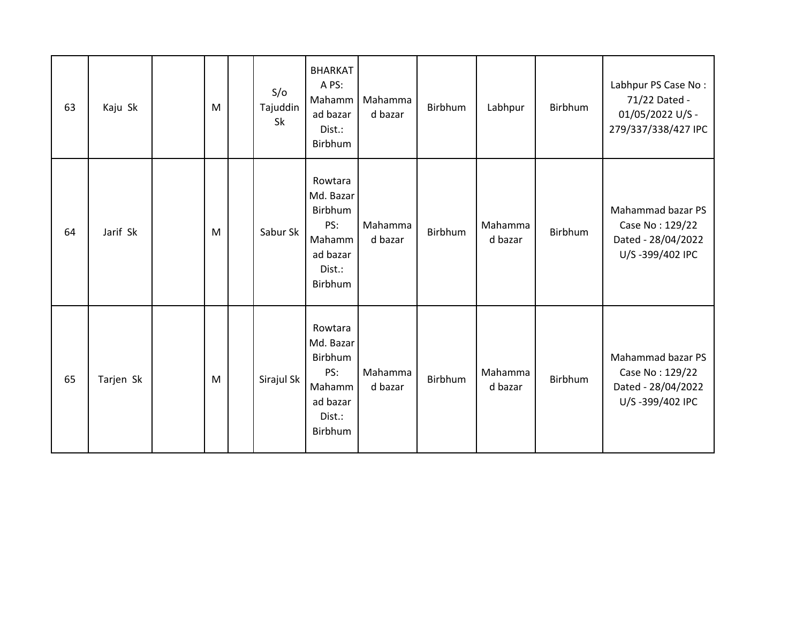| 63 | Kaju Sk   | M | S/O<br>Tajuddin<br>Sk | <b>BHARKAT</b><br>A PS:<br>Mahamm<br>ad bazar<br>Dist.:<br>Birbhum                | Mahamma<br>d bazar | Birbhum | Labhpur            | Birbhum | Labhpur PS Case No:<br>71/22 Dated -<br>01/05/2022 U/S -<br>279/337/338/427 IPC |
|----|-----------|---|-----------------------|-----------------------------------------------------------------------------------|--------------------|---------|--------------------|---------|---------------------------------------------------------------------------------|
| 64 | Jarif Sk  | M | Sabur Sk              | Rowtara<br>Md. Bazar<br>Birbhum<br>PS:<br>Mahamm<br>ad bazar<br>Dist.:<br>Birbhum | Mahamma<br>d bazar | Birbhum | Mahamma<br>d bazar | Birbhum | Mahammad bazar PS<br>Case No: 129/22<br>Dated - 28/04/2022<br>U/S-399/402 IPC   |
| 65 | Tarjen Sk | M | Sirajul Sk            | Rowtara<br>Md. Bazar<br>Birbhum<br>PS:<br>Mahamm<br>ad bazar<br>Dist.:<br>Birbhum | Mahamma<br>d bazar | Birbhum | Mahamma<br>d bazar | Birbhum | Mahammad bazar PS<br>Case No: 129/22<br>Dated - 28/04/2022<br>U/S-399/402 IPC   |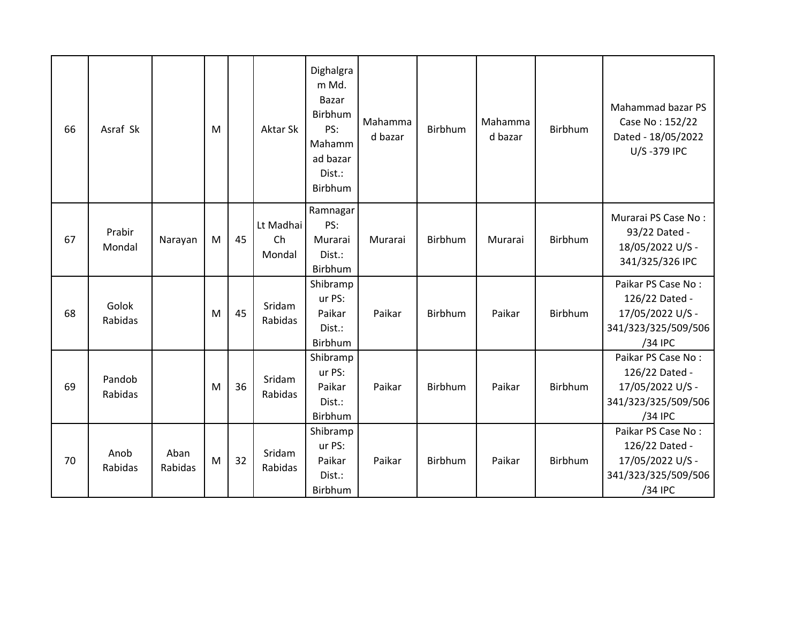| 66 | Asraf Sk          |                 | M |    | Aktar Sk                  | Dighalgra<br>m Md.<br>Bazar<br>Birbhum<br>PS:<br>Mahamm<br>ad bazar<br>Dist.:<br><b>Birbhum</b> | Mahamma<br>d bazar | <b>Birbhum</b> | Mahamma<br>d bazar | <b>Birbhum</b> | Mahammad bazar PS<br>Case No: 152/22<br>Dated - 18/05/2022<br>U/S-379 IPC                  |
|----|-------------------|-----------------|---|----|---------------------------|-------------------------------------------------------------------------------------------------|--------------------|----------------|--------------------|----------------|--------------------------------------------------------------------------------------------|
| 67 | Prabir<br>Mondal  | Narayan         | M | 45 | Lt Madhai<br>Ch<br>Mondal | Ramnagar<br>PS:<br>Murarai<br>Dist.:<br>Birbhum                                                 | Murarai            | Birbhum        | Murarai            | Birbhum        | Murarai PS Case No:<br>93/22 Dated -<br>18/05/2022 U/S -<br>341/325/326 IPC                |
| 68 | Golok<br>Rabidas  |                 | M | 45 | Sridam<br>Rabidas         | Shibramp<br>ur PS:<br>Paikar<br>Dist.:<br>Birbhum                                               | Paikar             | Birbhum        | Paikar             | Birbhum        | Paikar PS Case No:<br>126/22 Dated -<br>17/05/2022 U/S -<br>341/323/325/509/506<br>/34 IPC |
| 69 | Pandob<br>Rabidas |                 | M | 36 | Sridam<br>Rabidas         | Shibramp<br>ur PS:<br>Paikar<br>Dist.:<br>Birbhum                                               | Paikar             | Birbhum        | Paikar             | Birbhum        | Paikar PS Case No:<br>126/22 Dated -<br>17/05/2022 U/S -<br>341/323/325/509/506<br>/34 IPC |
| 70 | Anob<br>Rabidas   | Aban<br>Rabidas | M | 32 | Sridam<br>Rabidas         | Shibramp<br>ur PS:<br>Paikar<br>Dist.:<br>Birbhum                                               | Paikar             | Birbhum        | Paikar             | Birbhum        | Paikar PS Case No:<br>126/22 Dated -<br>17/05/2022 U/S -<br>341/323/325/509/506<br>/34 IPC |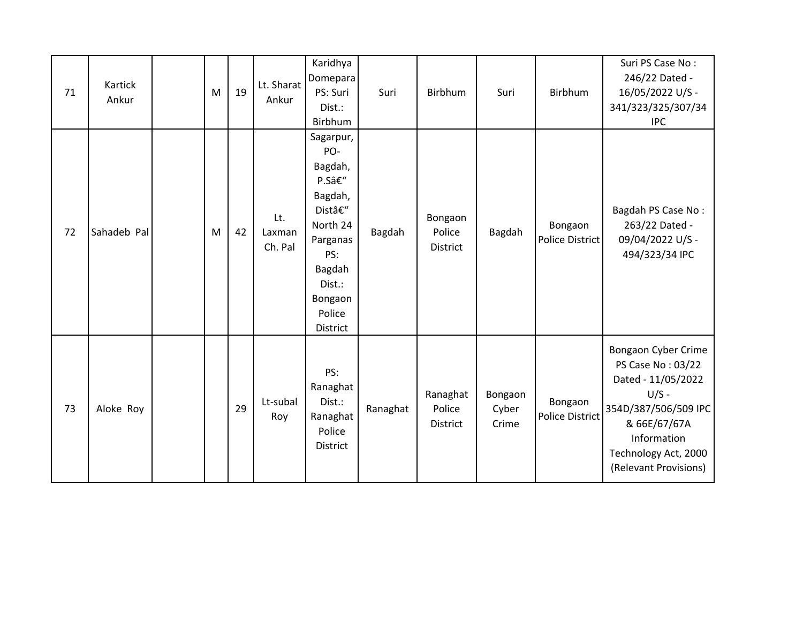| 71 | Kartick<br>Ankur | M | 19 | Lt. Sharat<br>Ankur      | Karidhya<br>Domepara<br>PS: Suri<br>Dist.:<br>Birbhum                                                                                       | Suri     | Birbhum                               | Suri                      | Birbhum                           | Suri PS Case No:<br>246/22 Dated -<br>16/05/2022 U/S -<br>341/323/325/307/34<br><b>IPC</b>                                                                                        |
|----|------------------|---|----|--------------------------|---------------------------------------------------------------------------------------------------------------------------------------------|----------|---------------------------------------|---------------------------|-----------------------------------|-----------------------------------------------------------------------------------------------------------------------------------------------------------------------------------|
| 72 | Sahadeb Pal      | M | 42 | Lt.<br>Laxman<br>Ch. Pal | Sagarpur,<br>PO-<br>Bagdah,<br>P.S–<br>Bagdah,<br>Dist–<br>North 24<br>Parganas<br>PS:<br>Bagdah<br>Dist.:<br>Bongaon<br>Police<br>District | Bagdah   | Bongaon<br>Police<br><b>District</b>  | Bagdah                    | Bongaon<br>Police District        | Bagdah PS Case No:<br>263/22 Dated -<br>09/04/2022 U/S -<br>494/323/34 IPC                                                                                                        |
| 73 | Aloke Roy        |   | 29 | Lt-subal<br>Roy          | PS:<br>Ranaghat<br>Dist.:<br>Ranaghat<br>Police<br>District                                                                                 | Ranaghat | Ranaghat<br>Police<br><b>District</b> | Bongaon<br>Cyber<br>Crime | Bongaon<br><b>Police District</b> | Bongaon Cyber Crime<br>PS Case No: 03/22<br>Dated - 11/05/2022<br>$U/S -$<br>354D/387/506/509 IPC<br>& 66E/67/67A<br>Information<br>Technology Act, 2000<br>(Relevant Provisions) |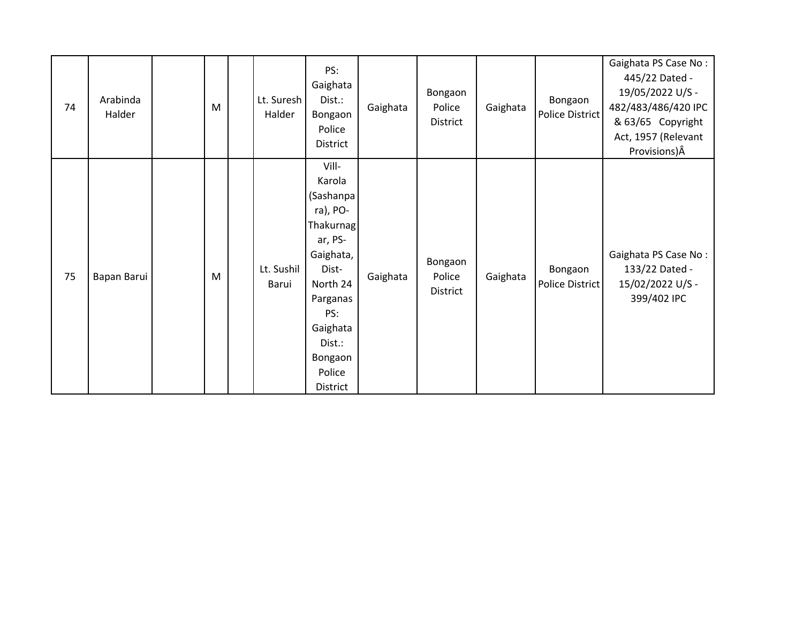| 74 | Arabinda<br>Halder | M | Lt. Suresh<br>Halder | PS:<br>Gaighata<br>Dist.:<br>Bongaon<br>Police<br>District                                                                                                                   | Gaighata | Bongaon<br>Police<br>District | Gaighata | Bongaon<br><b>Police District</b> | Gaighata PS Case No:<br>445/22 Dated -<br>19/05/2022 U/S -<br>482/483/486/420 IPC<br>& 63/65 Copyright<br>Act, 1957 (Relevant<br>Provisions) $\hat{A}$ |
|----|--------------------|---|----------------------|------------------------------------------------------------------------------------------------------------------------------------------------------------------------------|----------|-------------------------------|----------|-----------------------------------|--------------------------------------------------------------------------------------------------------------------------------------------------------|
| 75 | Bapan Barui        | M | Lt. Sushil<br>Barui  | Vill-<br>Karola<br>(Sashanpa<br>ra), PO-<br>Thakurnag<br>ar, PS-<br>Gaighata,<br>Dist-<br>North 24<br>Parganas<br>PS:<br>Gaighata<br>Dist.:<br>Bongaon<br>Police<br>District | Gaighata | Bongaon<br>Police<br>District | Gaighata | Bongaon<br>Police District        | Gaighata PS Case No:<br>133/22 Dated -<br>15/02/2022 U/S -<br>399/402 IPC                                                                              |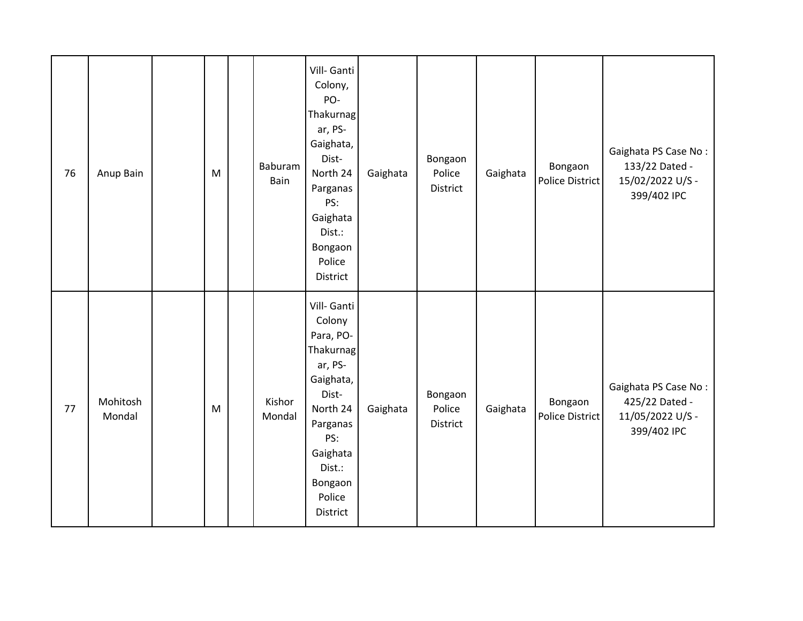| 76 | Anup Bain          | ${\sf M}$ | Baburam<br>Bain  | Vill- Ganti<br>Colony,<br>PO-<br>Thakurnag<br>ar, PS-<br>Gaighata,<br>Dist-<br>North 24<br>Parganas<br>PS:<br>Gaighata<br>Dist.:<br>Bongaon<br>Police<br>District      | Gaighata | Bongaon<br>Police<br><b>District</b> | Gaighata | Bongaon<br>Police District | Gaighata PS Case No:<br>133/22 Dated -<br>15/02/2022 U/S -<br>399/402 IPC |
|----|--------------------|-----------|------------------|------------------------------------------------------------------------------------------------------------------------------------------------------------------------|----------|--------------------------------------|----------|----------------------------|---------------------------------------------------------------------------|
| 77 | Mohitosh<br>Mondal | ${\sf M}$ | Kishor<br>Mondal | Vill- Ganti<br>Colony<br>Para, PO-<br>Thakurnag<br>ar, PS-<br>Gaighata,<br>Dist-<br>North 24<br>Parganas<br>PS:<br>Gaighata<br>Dist.:<br>Bongaon<br>Police<br>District | Gaighata | Bongaon<br>Police<br>District        | Gaighata | Bongaon<br>Police District | Gaighata PS Case No:<br>425/22 Dated -<br>11/05/2022 U/S -<br>399/402 IPC |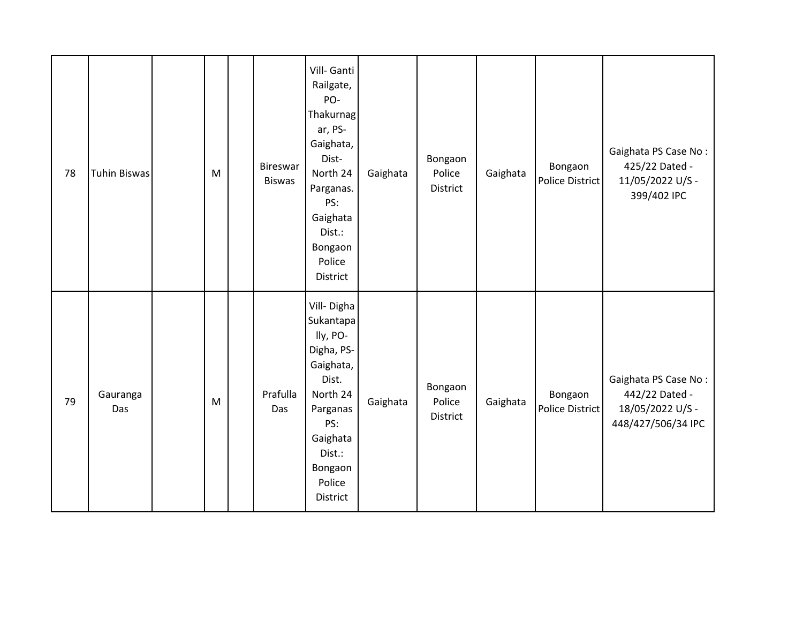| 78 | <b>Tuhin Biswas</b> | M | <b>Bireswar</b><br><b>Biswas</b> | Vill- Ganti<br>Railgate,<br>PO-<br>Thakurnag<br>ar, PS-<br>Gaighata,<br>Dist-<br>North 24<br>Parganas.<br>PS:<br>Gaighata<br>Dist.:<br>Bongaon<br>Police<br>District | Gaighata | Bongaon<br>Police<br>District | Gaighata | Bongaon<br>Police District | Gaighata PS Case No:<br>425/22 Dated -<br>11/05/2022 U/S -<br>399/402 IPC        |
|----|---------------------|---|----------------------------------|----------------------------------------------------------------------------------------------------------------------------------------------------------------------|----------|-------------------------------|----------|----------------------------|----------------------------------------------------------------------------------|
| 79 | Gauranga<br>Das     | M | Prafulla<br>Das                  | Vill-Digha<br>Sukantapa<br>lly, PO-<br>Digha, PS-<br>Gaighata,<br>Dist.<br>North 24<br>Parganas<br>PS:<br>Gaighata<br>Dist.:<br>Bongaon<br>Police<br>District        | Gaighata | Bongaon<br>Police<br>District | Gaighata | Bongaon<br>Police District | Gaighata PS Case No:<br>442/22 Dated -<br>18/05/2022 U/S -<br>448/427/506/34 IPC |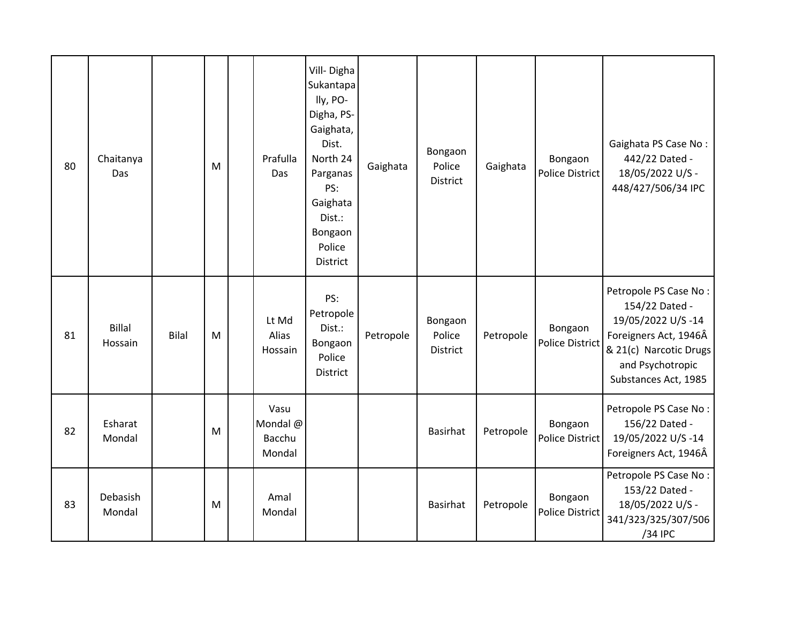| 80 | Chaitanya<br>Das         |       | M | Prafulla<br>Das                      | Vill-Digha<br>Sukantapa<br>lly, PO-<br>Digha, PS-<br>Gaighata,<br>Dist.<br>North 24<br>Parganas<br>PS:<br>Gaighata<br>Dist.:<br>Bongaon<br>Police<br>District | Gaighata  | Bongaon<br>Police<br>District | Gaighata  | Bongaon<br><b>Police District</b> | Gaighata PS Case No:<br>442/22 Dated -<br>18/05/2022 U/S -<br>448/427/506/34 IPC                                                                            |
|----|--------------------------|-------|---|--------------------------------------|---------------------------------------------------------------------------------------------------------------------------------------------------------------|-----------|-------------------------------|-----------|-----------------------------------|-------------------------------------------------------------------------------------------------------------------------------------------------------------|
| 81 | <b>Billal</b><br>Hossain | Bilal | M | Lt Md<br>Alias<br>Hossain            | PS:<br>Petropole<br>Dist.:<br>Bongaon<br>Police<br><b>District</b>                                                                                            | Petropole | Bongaon<br>Police<br>District | Petropole | Bongaon<br><b>Police District</b> | Petropole PS Case No:<br>154/22 Dated -<br>19/05/2022 U/S-14<br>Foreigners Act, 1946Â<br>& 21(c) Narcotic Drugs<br>and Psychotropic<br>Substances Act, 1985 |
| 82 | Esharat<br>Mondal        |       | M | Vasu<br>Mondal @<br>Bacchu<br>Mondal |                                                                                                                                                               |           | <b>Basirhat</b>               | Petropole | Bongaon<br><b>Police District</b> | Petropole PS Case No:<br>156/22 Dated -<br>19/05/2022 U/S-14<br>Foreigners Act, 1946Â                                                                       |
| 83 | Debasish<br>Mondal       |       | M | Amal<br>Mondal                       |                                                                                                                                                               |           | <b>Basirhat</b>               | Petropole | Bongaon<br><b>Police District</b> | Petropole PS Case No:<br>153/22 Dated -<br>18/05/2022 U/S -<br>341/323/325/307/506<br>/34 IPC                                                               |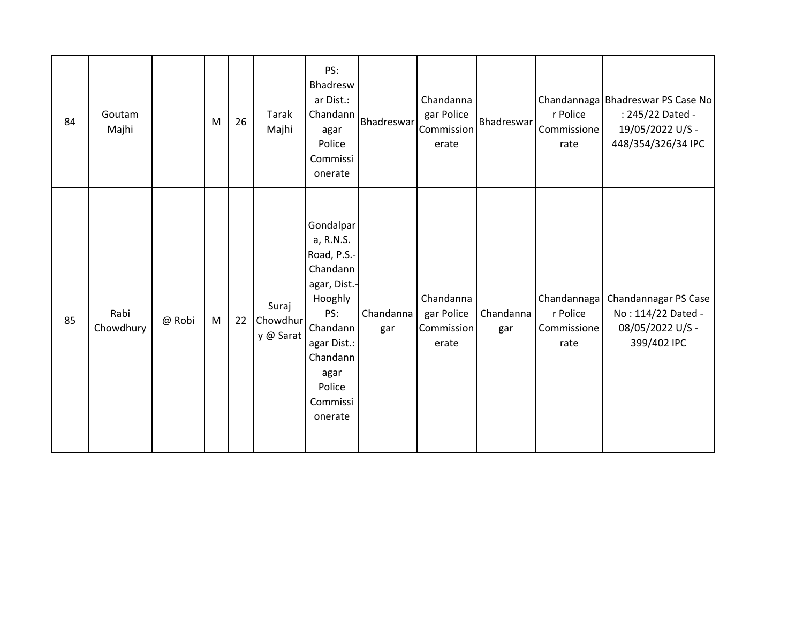| 84 | Goutam<br>Majhi   |        | M | 26 | Tarak<br>Majhi                 | PS:<br>Bhadresw<br>ar Dist.:<br>Chandann<br>agar<br>Police<br>Commissi<br>onerate                                                                                   | Bhadreswar       | Chandanna<br>gar Police<br>Commission<br>erate | Bhadreswar       | r Police<br>Commissione<br>rate                | Chandannaga   Bhadreswar PS Case No<br>: 245/22 Dated -<br>19/05/2022 U/S -<br>448/354/326/34 IPC |
|----|-------------------|--------|---|----|--------------------------------|---------------------------------------------------------------------------------------------------------------------------------------------------------------------|------------------|------------------------------------------------|------------------|------------------------------------------------|---------------------------------------------------------------------------------------------------|
| 85 | Rabi<br>Chowdhury | @ Robi | M | 22 | Suraj<br>Chowdhur<br>y @ Sarat | Gondalpar<br>a, R.N.S.<br>Road, P.S.-<br>Chandann<br>agar, Dist.-<br>Hooghly<br>PS:<br>Chandann<br>agar Dist.:<br>Chandann<br>agar<br>Police<br>Commissi<br>onerate | Chandanna<br>gar | Chandanna<br>gar Police<br>Commission<br>erate | Chandanna<br>gar | Chandannaga<br>r Police<br>Commissione<br>rate | Chandannagar PS Case<br>No: 114/22 Dated -<br>08/05/2022 U/S -<br>399/402 IPC                     |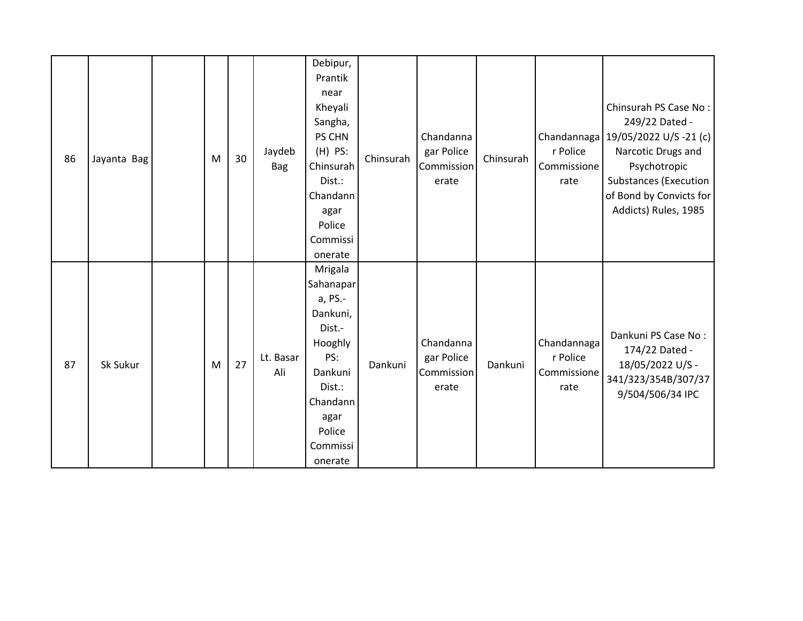| 86 | Jayanta Bag | M | 30 | Jaydeb<br><b>Bag</b> | Debipur,<br>Prantik<br>near<br>Kheyali<br>Sangha,<br>PS CHN<br>$(H)$ PS:<br>Chinsurah<br>Dist.:<br>Chandann<br>agar<br>Police<br>Commissi<br>onerate | Chinsurah | Chandanna<br>gar Police<br>Commission<br>erate | Chinsurah | r Police<br>Commissione<br>rate                | Chinsurah PS Case No:<br>249/22 Dated -<br>Chandannaga   19/05/2022 U/S -21 (c)  <br>Narcotic Drugs and<br>Psychotropic<br><b>Substances (Execution</b><br>of Bond by Convicts for<br>Addicts) Rules, 1985 |
|----|-------------|---|----|----------------------|------------------------------------------------------------------------------------------------------------------------------------------------------|-----------|------------------------------------------------|-----------|------------------------------------------------|------------------------------------------------------------------------------------------------------------------------------------------------------------------------------------------------------------|
| 87 | Sk Sukur    | M | 27 | Lt. Basar<br>Ali     | Mrigala<br>Sahanapar<br>a, PS.-<br>Dankuni,<br>Dist.-<br>Hooghly<br>PS:<br>Dankuni<br>Dist.:<br>Chandann<br>agar<br>Police<br>Commissi<br>onerate    | Dankuni   | Chandanna<br>gar Police<br>Commission<br>erate | Dankuni   | Chandannaga<br>r Police<br>Commissione<br>rate | Dankuni PS Case No:<br>174/22 Dated -<br>18/05/2022 U/S -<br>341/323/354B/307/37<br>9/504/506/34 IPC                                                                                                       |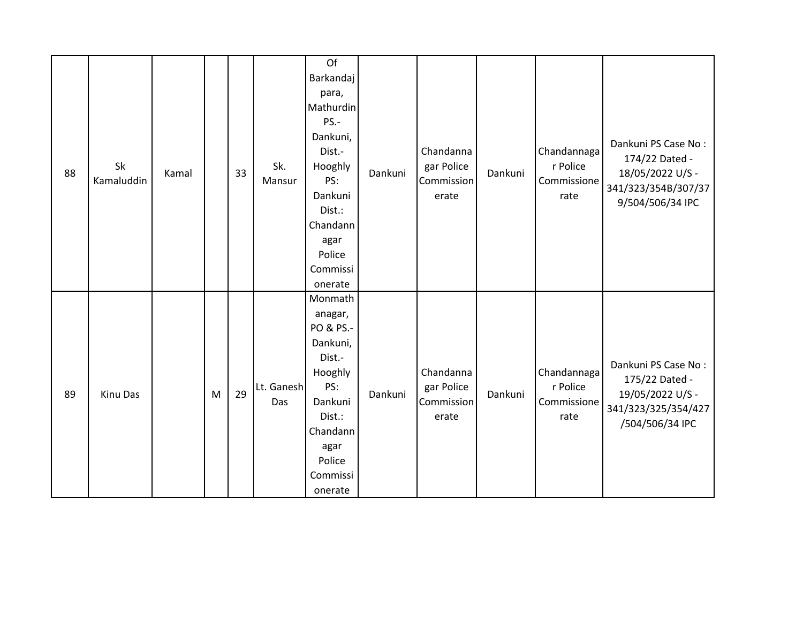| 88 | Sk<br>Kamaluddin | Kamal |   | 33 | Sk.<br>Mansur     | Of<br>Barkandaj<br>para,<br>Mathurdin<br>PS.-<br>Dankuni,<br>Dist.-<br>Hooghly<br>PS:<br>Dankuni<br>Dist.:<br>Chandann<br>agar<br>Police<br>Commissi<br>onerate | Dankuni | Chandanna<br>gar Police<br>Commission<br>erate | Dankuni | Chandannaga<br>r Police<br>Commissione<br>rate | Dankuni PS Case No:<br>174/22 Dated -<br>18/05/2022 U/S -<br>341/323/354B/307/37<br>9/504/506/34 IPC |
|----|------------------|-------|---|----|-------------------|-----------------------------------------------------------------------------------------------------------------------------------------------------------------|---------|------------------------------------------------|---------|------------------------------------------------|------------------------------------------------------------------------------------------------------|
| 89 | Kinu Das         |       | M | 29 | Lt. Ganesh<br>Das | Monmath<br>anagar,<br>PO & PS.-<br>Dankuni,<br>Dist.-<br>Hooghly<br>PS:<br>Dankuni<br>Dist.:<br>Chandann<br>agar<br>Police<br>Commissi<br>onerate               | Dankuni | Chandanna<br>gar Police<br>Commission<br>erate | Dankuni | Chandannaga<br>r Police<br>Commissione<br>rate | Dankuni PS Case No:<br>175/22 Dated -<br>19/05/2022 U/S -<br>341/323/325/354/427<br>/504/506/34 IPC  |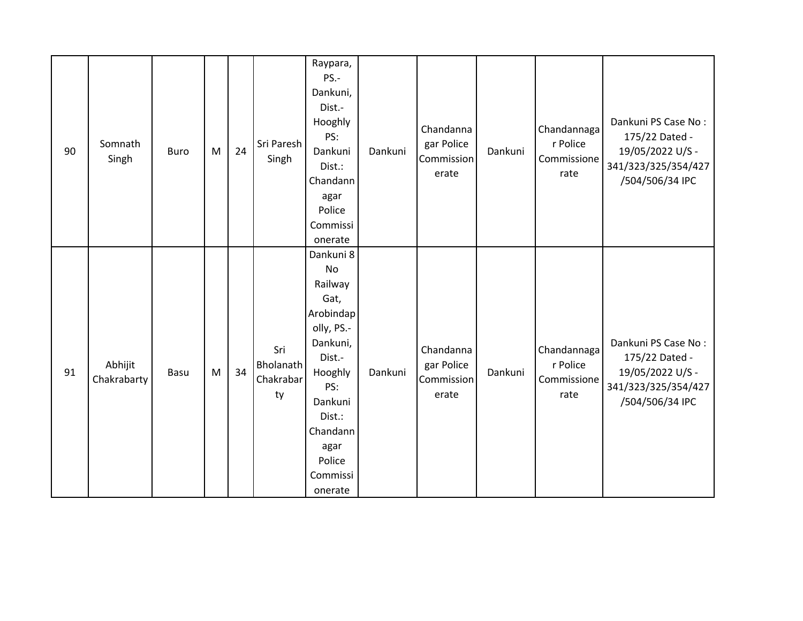| 90 | Somnath<br>Singh       | <b>Buro</b> | M | 24 | Sri Paresh<br>Singh                 | Raypara,<br>PS.-<br>Dankuni,<br>Dist.-<br>Hooghly<br>PS:<br>Dankuni<br>Dist.:<br>Chandann<br>agar<br>Police<br>Commissi<br>onerate                                              | Dankuni | Chandanna<br>gar Police<br>Commission<br>erate | Dankuni | Chandannaga<br>r Police<br>Commissione<br>rate | Dankuni PS Case No:<br>175/22 Dated -<br>19/05/2022 U/S -<br>341/323/325/354/427<br>/504/506/34 IPC |
|----|------------------------|-------------|---|----|-------------------------------------|---------------------------------------------------------------------------------------------------------------------------------------------------------------------------------|---------|------------------------------------------------|---------|------------------------------------------------|-----------------------------------------------------------------------------------------------------|
| 91 | Abhijit<br>Chakrabarty | Basu        | M | 34 | Sri<br>Bholanath<br>Chakrabar<br>ty | Dankuni 8<br>No<br>Railway<br>Gat,<br>Arobindap<br>olly, PS.-<br>Dankuni,<br>Dist.-<br>Hooghly<br>PS:<br>Dankuni<br>Dist.:<br>Chandann<br>agar<br>Police<br>Commissi<br>onerate | Dankuni | Chandanna<br>gar Police<br>Commission<br>erate | Dankuni | Chandannaga<br>r Police<br>Commissione<br>rate | Dankuni PS Case No:<br>175/22 Dated -<br>19/05/2022 U/S -<br>341/323/325/354/427<br>/504/506/34 IPC |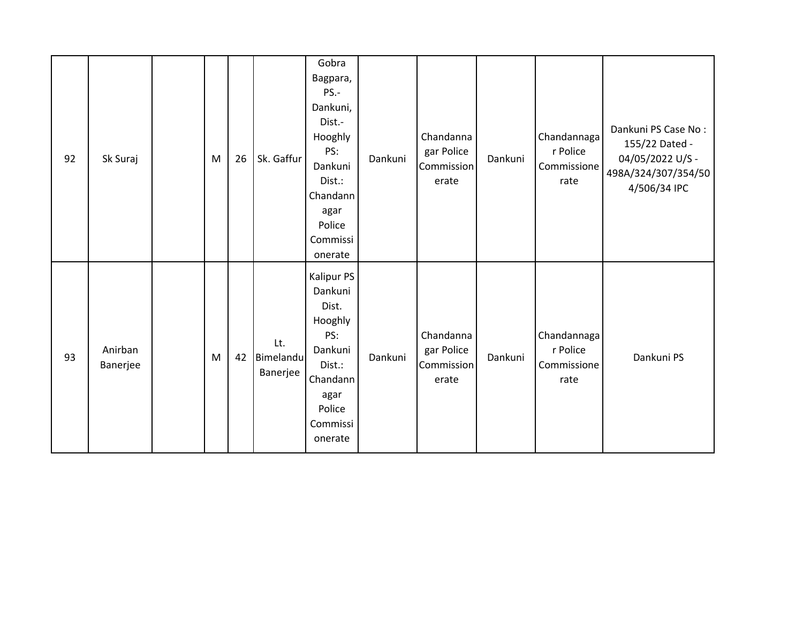| 92 | Sk Suraj            | M | 26 | Sk. Gaffur                   | Gobra<br>Bagpara,<br>PS.-<br>Dankuni,<br>Dist.-<br>Hooghly<br>PS:<br>Dankuni<br>Dist.:<br>Chandann<br>agar<br>Police<br>Commissi<br>onerate | Dankuni | Chandanna<br>gar Police<br>Commission<br>erate | Dankuni | Chandannaga<br>r Police<br>Commissione<br>rate | Dankuni PS Case No:<br>155/22 Dated -<br>04/05/2022 U/S -<br>498A/324/307/354/50<br>4/506/34 IPC |
|----|---------------------|---|----|------------------------------|---------------------------------------------------------------------------------------------------------------------------------------------|---------|------------------------------------------------|---------|------------------------------------------------|--------------------------------------------------------------------------------------------------|
| 93 | Anirban<br>Banerjee | M | 42 | Lt.<br>Bimelandu<br>Banerjee | Kalipur PS<br>Dankuni<br>Dist.<br>Hooghly<br>PS:<br>Dankuni<br>Dist.:<br>Chandann<br>agar<br>Police<br>Commissi<br>onerate                  | Dankuni | Chandanna<br>gar Police<br>Commission<br>erate | Dankuni | Chandannaga<br>r Police<br>Commissione<br>rate | Dankuni PS                                                                                       |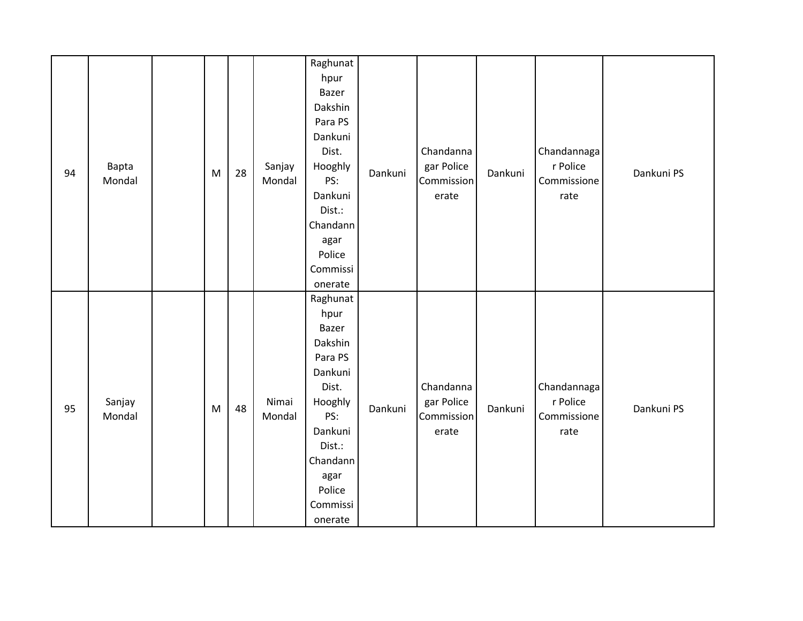| 94 | Bapta<br>Mondal  | ${\sf M}$ | 28 | Sanjay<br>Mondal | Raghunat<br>hpur<br>Bazer<br>Dakshin<br>Para PS<br>Dankuni<br>Dist.<br>Hooghly<br>PS:<br>Dankuni<br>Dist.:<br>Chandann<br>agar<br>Police<br>Commissi<br>onerate | Dankuni | Chandanna<br>gar Police<br>Commission<br>erate | Dankuni | Chandannaga<br>r Police<br>Commissione<br>rate | Dankuni PS |
|----|------------------|-----------|----|------------------|-----------------------------------------------------------------------------------------------------------------------------------------------------------------|---------|------------------------------------------------|---------|------------------------------------------------|------------|
| 95 | Sanjay<br>Mondal | M         | 48 | Nimai<br>Mondal  | Raghunat<br>hpur<br>Bazer<br>Dakshin<br>Para PS<br>Dankuni<br>Dist.<br>Hooghly<br>PS:<br>Dankuni<br>Dist.:<br>Chandann<br>agar<br>Police<br>Commissi<br>onerate | Dankuni | Chandanna<br>gar Police<br>Commission<br>erate | Dankuni | Chandannaga<br>r Police<br>Commissione<br>rate | Dankuni PS |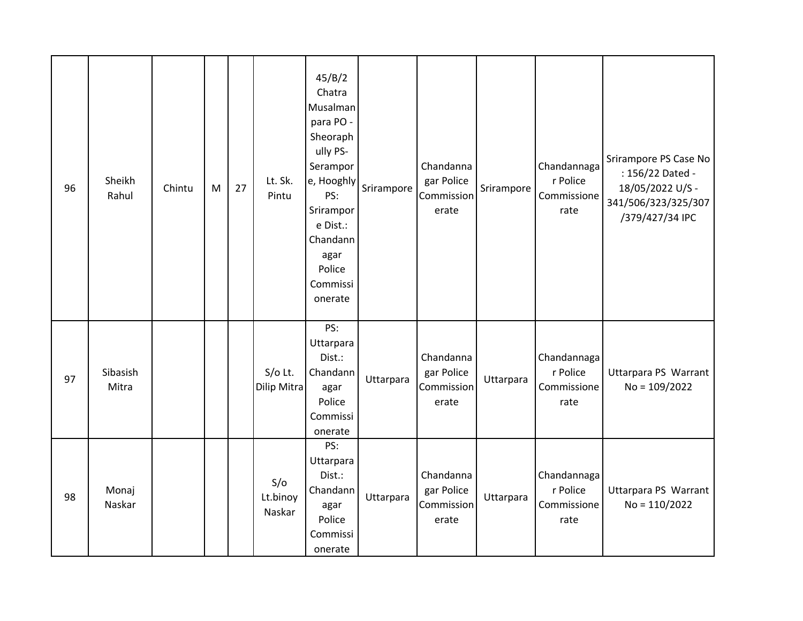| 96 | Sheikh<br>Rahul   | Chintu | M | 27 | Lt. Sk.<br>Pintu          | 45/B/2<br>Chatra<br>Musalman<br>para PO -<br>Sheoraph<br>ully PS-<br>Serampor<br>e, Hooghly<br>PS:<br>Srirampor<br>e Dist.:<br>Chandann<br>agar<br>Police<br>Commissi<br>onerate | Srirampore | Chandanna<br>gar Police<br>Commission<br>erate | Srirampore | Chandannaga<br>r Police<br>Commissione<br>rate | Srirampore PS Case No<br>: 156/22 Dated -<br>18/05/2022 U/S -<br>341/506/323/325/307<br>/379/427/34 IPC |
|----|-------------------|--------|---|----|---------------------------|----------------------------------------------------------------------------------------------------------------------------------------------------------------------------------|------------|------------------------------------------------|------------|------------------------------------------------|---------------------------------------------------------------------------------------------------------|
| 97 | Sibasish<br>Mitra |        |   |    | $S/O$ Lt.<br>Dilip Mitra  | PS:<br>Uttarpara<br>Dist.:<br>Chandann<br>agar<br>Police<br>Commissi<br>onerate                                                                                                  | Uttarpara  | Chandanna<br>gar Police<br>Commission<br>erate | Uttarpara  | Chandannaga<br>r Police<br>Commissione<br>rate | Uttarpara PS Warrant<br>$No = 109/2022$                                                                 |
| 98 | Monaj<br>Naskar   |        |   |    | S/O<br>Lt.binoy<br>Naskar | PS:<br>Uttarpara<br>Dist.:<br>Chandann<br>agar<br>Police<br>Commissi<br>onerate                                                                                                  | Uttarpara  | Chandanna<br>gar Police<br>Commission<br>erate | Uttarpara  | Chandannaga<br>r Police<br>Commissione<br>rate | Uttarpara PS Warrant<br>$No = 110/2022$                                                                 |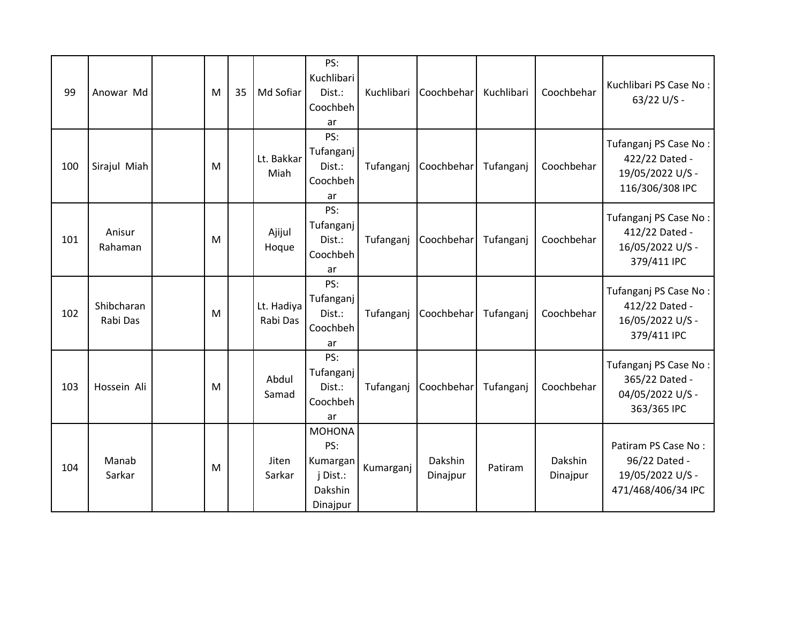| 99  | Anowar Md              | M | 35 | Md Sofiar              | PS:<br>Kuchlibari<br>Dist.:<br>Coochbeh<br>ar                       | Kuchlibari | Coochbehar          | Kuchlibari | Coochbehar          | Kuchlibari PS Case No:<br>63/22 U/S -                                          |
|-----|------------------------|---|----|------------------------|---------------------------------------------------------------------|------------|---------------------|------------|---------------------|--------------------------------------------------------------------------------|
| 100 | Sirajul Miah           | M |    | Lt. Bakkar<br>Miah     | PS:<br>Tufanganj<br>Dist.:<br>Coochbeh<br>ar                        | Tufanganj  | Coochbehar          | Tufanganj  | Coochbehar          | Tufanganj PS Case No:<br>422/22 Dated -<br>19/05/2022 U/S -<br>116/306/308 IPC |
| 101 | Anisur<br>Rahaman      | M |    | Ajijul<br>Hoque        | PS:<br>Tufanganj<br>Dist.:<br>Coochbeh<br>ar                        | Tufanganj  | Coochbehar          | Tufanganj  | Coochbehar          | Tufanganj PS Case No:<br>412/22 Dated -<br>16/05/2022 U/S -<br>379/411 IPC     |
| 102 | Shibcharan<br>Rabi Das | M |    | Lt. Hadiya<br>Rabi Das | PS:<br>Tufanganj<br>Dist.:<br>Coochbeh<br>ar                        | Tufanganj  | Coochbehar          | Tufanganj  | Coochbehar          | Tufanganj PS Case No:<br>412/22 Dated -<br>16/05/2022 U/S -<br>379/411 IPC     |
| 103 | Hossein Ali            | M |    | Abdul<br>Samad         | PS:<br>Tufanganj<br>Dist.:<br>Coochbeh<br>ar                        | Tufanganj  | Coochbehar          | Tufanganj  | Coochbehar          | Tufanganj PS Case No:<br>365/22 Dated -<br>04/05/2022 U/S -<br>363/365 IPC     |
| 104 | Manab<br>Sarkar        | M |    | Jiten<br>Sarkar        | <b>MOHONA</b><br>PS:<br>Kumargan<br>j Dist.:<br>Dakshin<br>Dinajpur | Kumarganj  | Dakshin<br>Dinajpur | Patiram    | Dakshin<br>Dinajpur | Patiram PS Case No:<br>96/22 Dated -<br>19/05/2022 U/S -<br>471/468/406/34 IPC |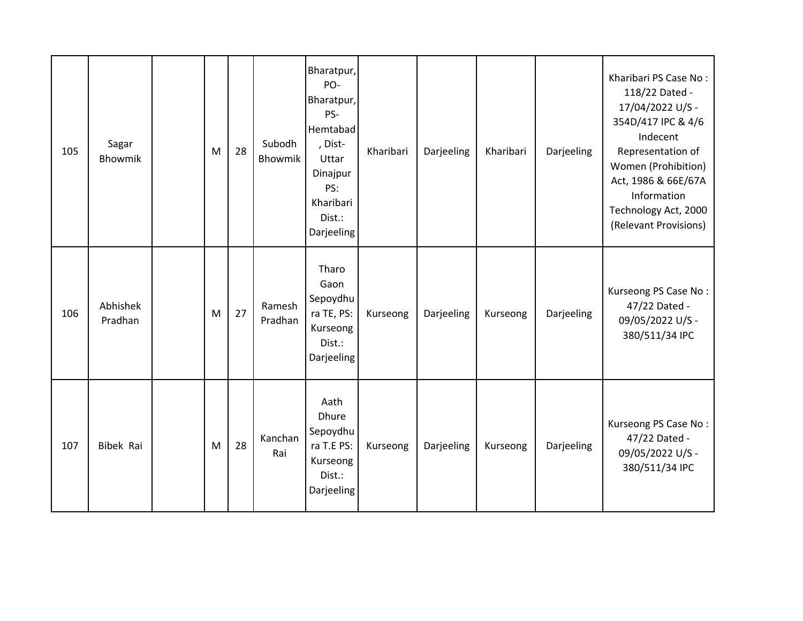| 105 | Sagar<br>Bhowmik    | M | 28 | Subodh<br>Bhowmik | Bharatpur,<br>PO-<br>Bharatpur,<br>PS-<br>Hemtabad<br>, Dist-<br>Uttar<br>Dinajpur<br>PS:<br>Kharibari<br>Dist.:<br>Darjeeling | Kharibari | Darjeeling | Kharibari | Darjeeling | Kharibari PS Case No:<br>118/22 Dated -<br>17/04/2022 U/S -<br>354D/417 IPC & 4/6<br>Indecent<br>Representation of<br>Women (Prohibition)<br>Act, 1986 & 66E/67A<br>Information<br>Technology Act, 2000<br>(Relevant Provisions) |
|-----|---------------------|---|----|-------------------|--------------------------------------------------------------------------------------------------------------------------------|-----------|------------|-----------|------------|----------------------------------------------------------------------------------------------------------------------------------------------------------------------------------------------------------------------------------|
| 106 | Abhishek<br>Pradhan | M | 27 | Ramesh<br>Pradhan | Tharo<br>Gaon<br>Sepoydhu<br>ra TE, PS:<br>Kurseong<br>Dist.:<br>Darjeeling                                                    | Kurseong  | Darjeeling | Kurseong  | Darjeeling | Kurseong PS Case No:<br>47/22 Dated -<br>09/05/2022 U/S -<br>380/511/34 IPC                                                                                                                                                      |
| 107 | Bibek Rai           | M | 28 | Kanchan<br>Rai    | Aath<br><b>Dhure</b><br>Sepoydhu<br>ra T.E PS:<br>Kurseong<br>Dist.:<br>Darjeeling                                             | Kurseong  | Darjeeling | Kurseong  | Darjeeling | Kurseong PS Case No:<br>47/22 Dated -<br>09/05/2022 U/S -<br>380/511/34 IPC                                                                                                                                                      |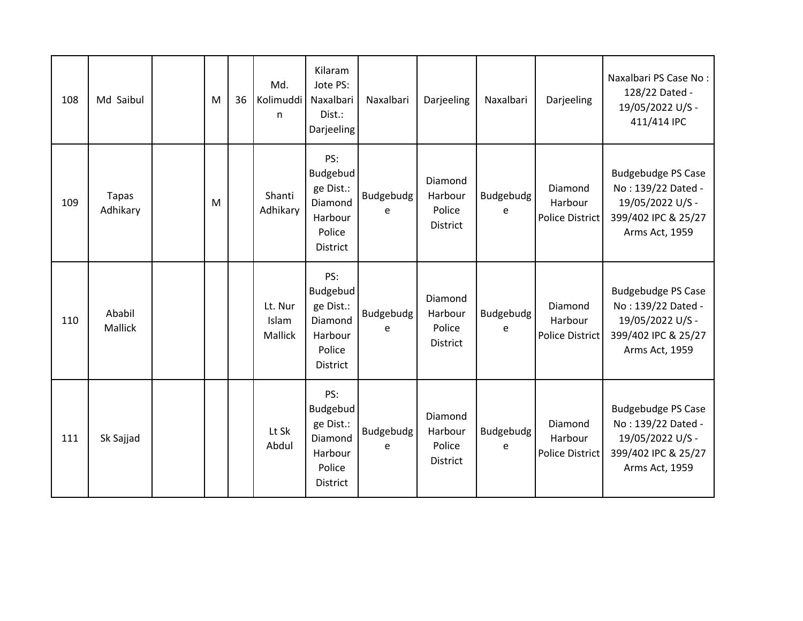| 108 | Md Saibul                | M | 36 | Md.<br>Kolimuddi<br>n       | Kilaram<br>Jote PS:<br>Naxalbari<br>Dist.:<br>Darjeeling                               | Naxalbari      | Darjeeling                                      | Naxalbari      | Darjeeling                                   | Naxalbari PS Case No:<br>128/22 Dated -<br>19/05/2022 U/S -<br>411/414 IPC                                   |
|-----|--------------------------|---|----|-----------------------------|----------------------------------------------------------------------------------------|----------------|-------------------------------------------------|----------------|----------------------------------------------|--------------------------------------------------------------------------------------------------------------|
| 109 | <b>Tapas</b><br>Adhikary | M |    | Shanti<br>Adhikary          | PS:<br><b>Budgebud</b><br>ge Dist.:<br>Diamond<br>Harbour<br>Police<br><b>District</b> | Budgebudg<br>e | Diamond<br>Harbour<br>Police<br><b>District</b> | Budgebudg<br>e | Diamond<br>Harbour<br><b>Police District</b> | <b>Budgebudge PS Case</b><br>No: 139/22 Dated -<br>19/05/2022 U/S -<br>399/402 IPC & 25/27<br>Arms Act, 1959 |
| 110 | Ababil<br>Mallick        |   |    | Lt. Nur<br>Islam<br>Mallick | PS:<br>Budgebud<br>ge Dist.:<br>Diamond<br>Harbour<br>Police<br><b>District</b>        | Budgebudg<br>e | Diamond<br>Harbour<br>Police<br><b>District</b> | Budgebudg<br>e | Diamond<br>Harbour<br><b>Police District</b> | <b>Budgebudge PS Case</b><br>No: 139/22 Dated -<br>19/05/2022 U/S -<br>399/402 IPC & 25/27<br>Arms Act, 1959 |
| 111 | Sk Sajjad                |   |    | Lt Sk<br>Abdul              | PS:<br>Budgebud<br>ge Dist.:<br>Diamond<br>Harbour<br>Police<br><b>District</b>        | Budgebudg<br>e | Diamond<br>Harbour<br>Police<br><b>District</b> | Budgebudg<br>e | Diamond<br>Harbour<br><b>Police District</b> | <b>Budgebudge PS Case</b><br>No: 139/22 Dated -<br>19/05/2022 U/S -<br>399/402 IPC & 25/27<br>Arms Act, 1959 |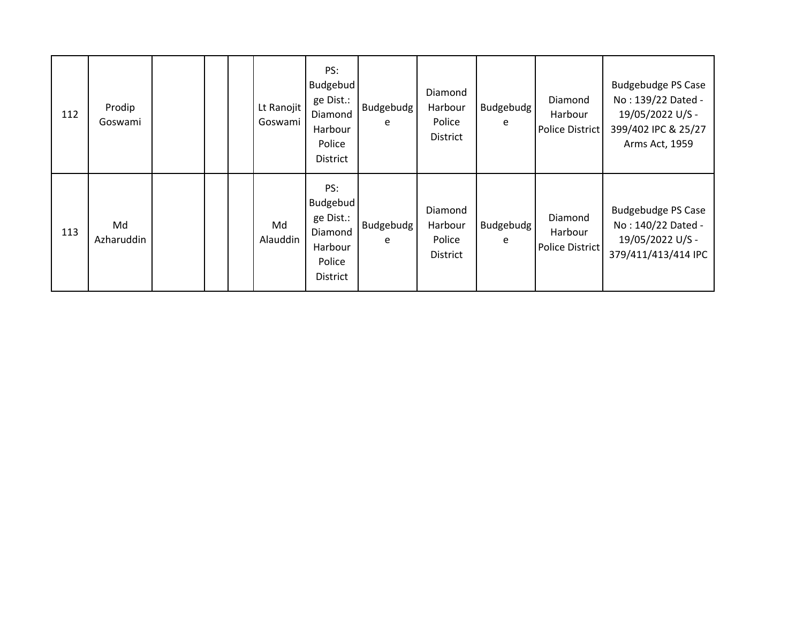| 112 | Prodip<br>Goswami |  | Lt Ranojit<br>Goswami | PS:<br><b>Budgebud</b><br>ge Dist.:<br>Diamond<br>Harbour<br>Police<br><b>District</b> | Budgebudg<br>e | Diamond<br>Harbour<br>Police<br><b>District</b> | Budgebudg<br>e        | Diamond<br>Harbour<br><b>Police District</b> | <b>Budgebudge PS Case</b><br>No: 139/22 Dated -<br>19/05/2022 U/S -<br>399/402 IPC & 25/27<br>Arms Act, 1959 |
|-----|-------------------|--|-----------------------|----------------------------------------------------------------------------------------|----------------|-------------------------------------------------|-----------------------|----------------------------------------------|--------------------------------------------------------------------------------------------------------------|
| 113 | Md<br>Azharuddin  |  | Md<br>Alauddin        | PS:<br><b>Budgebud</b><br>ge Dist.:<br>Diamond<br>Harbour<br>Police<br><b>District</b> | Budgebudg<br>e | Diamond<br>Harbour<br>Police<br><b>District</b> | <b>Budgebudg</b><br>e | Diamond<br>Harbour<br><b>Police District</b> | <b>Budgebudge PS Case</b><br>No: 140/22 Dated -<br>19/05/2022 U/S -<br>379/411/413/414 IPC                   |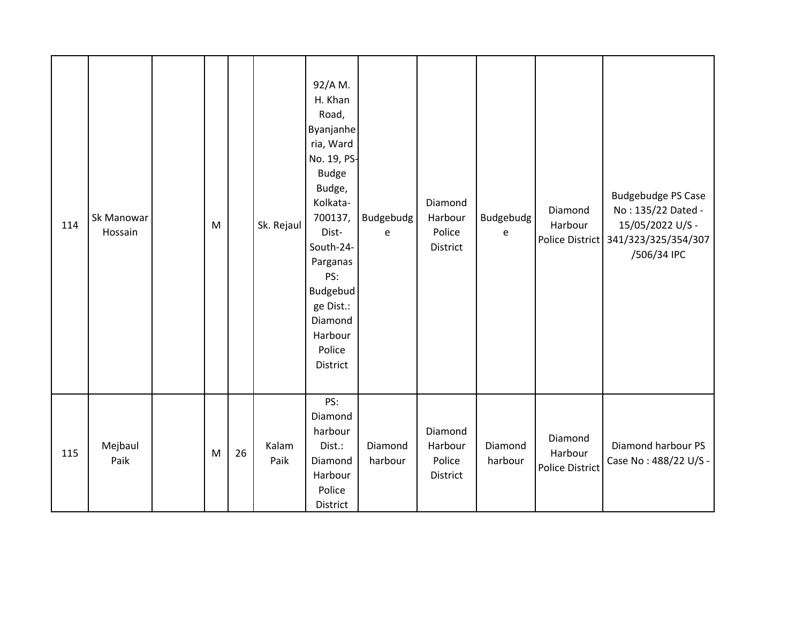| 114 | Sk Manowar<br>Hossain | M |    | Sk. Rejaul    | 92/A M.<br>H. Khan<br>Road,<br>Byanjanhe<br>ria, Ward<br>No. 19, PS-<br><b>Budge</b><br>Budge,<br>Kolkata-<br>700137,<br>Dist-<br>South-24-<br>Parganas<br>PS:<br>Budgebud<br>ge Dist.:<br>Diamond<br>Harbour<br>Police<br>District | Budgebudg<br>e     | Diamond<br>Harbour<br>Police<br><b>District</b> | Budgebudg<br>e     | Diamond<br>Harbour                           | <b>Budgebudge PS Case</b><br>No: 135/22 Dated -<br>15/05/2022 U/S -<br>Police District 341/323/325/354/307<br>/506/34 IPC |
|-----|-----------------------|---|----|---------------|-------------------------------------------------------------------------------------------------------------------------------------------------------------------------------------------------------------------------------------|--------------------|-------------------------------------------------|--------------------|----------------------------------------------|---------------------------------------------------------------------------------------------------------------------------|
| 115 | Mejbaul<br>Paik       | M | 26 | Kalam<br>Paik | PS:<br>Diamond<br>harbour<br>Dist.:<br>Diamond<br>Harbour<br>Police<br>District                                                                                                                                                     | Diamond<br>harbour | Diamond<br>Harbour<br>Police<br>District        | Diamond<br>harbour | Diamond<br>Harbour<br><b>Police District</b> | Diamond harbour PS<br>Case No: 488/22 U/S -                                                                               |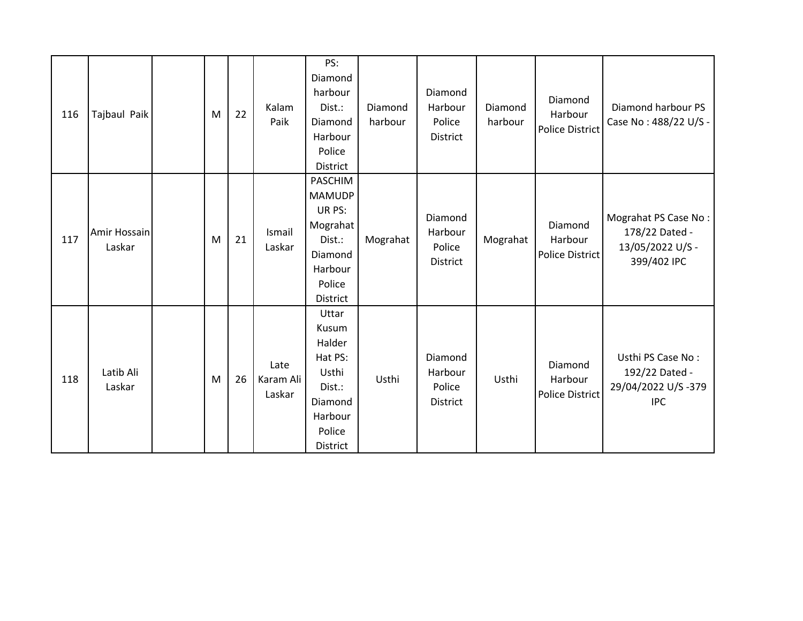| 116 | Tajbaul Paik           | M | 22 | Kalam<br>Paik               | PS:<br>Diamond<br>harbour<br>Dist.:<br>Diamond<br>Harbour<br>Police<br>District                      | Diamond<br>harbour | Diamond<br>Harbour<br>Police<br><b>District</b> | Diamond<br>harbour | Diamond<br>Harbour<br><b>Police District</b> | Diamond harbour PS<br>Case No: 488/22 U/S -                               |
|-----|------------------------|---|----|-----------------------------|------------------------------------------------------------------------------------------------------|--------------------|-------------------------------------------------|--------------------|----------------------------------------------|---------------------------------------------------------------------------|
| 117 | Amir Hossain<br>Laskar | M | 21 | Ismail<br>Laskar            | PASCHIM<br><b>MAMUDP</b><br>UR PS:<br>Mograhat<br>Dist.:<br>Diamond<br>Harbour<br>Police<br>District | Mograhat           | Diamond<br>Harbour<br>Police<br><b>District</b> | Mograhat           | Diamond<br>Harbour<br><b>Police District</b> | Mograhat PS Case No:<br>178/22 Dated -<br>13/05/2022 U/S -<br>399/402 IPC |
| 118 | Latib Ali<br>Laskar    | M | 26 | Late<br>Karam Ali<br>Laskar | Uttar<br>Kusum<br>Halder<br>Hat PS:<br>Usthi<br>Dist.:<br>Diamond<br>Harbour<br>Police<br>District   | Usthi              | Diamond<br>Harbour<br>Police<br>District        | Usthi              | Diamond<br>Harbour<br><b>Police District</b> | Usthi PS Case No:<br>192/22 Dated -<br>29/04/2022 U/S-379<br><b>IPC</b>   |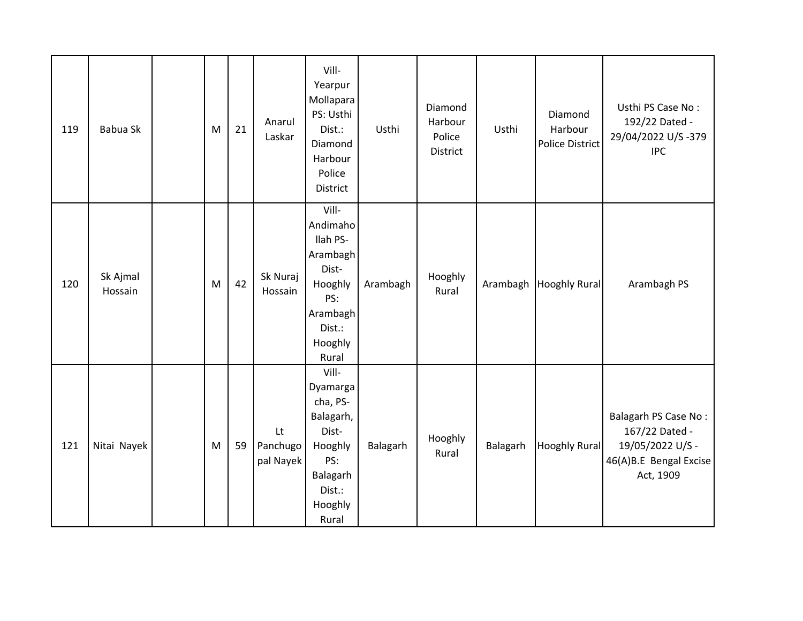| 119 | Babua Sk            | M | 21 | Anarul<br>Laskar            | Vill-<br>Yearpur<br>Mollapara<br>PS: Usthi<br>Dist.:<br>Diamond<br>Harbour<br>Police<br>District                | Usthi    | Diamond<br>Harbour<br>Police<br>District | Usthi    | Diamond<br>Harbour<br><b>Police District</b> | Usthi PS Case No:<br>192/22 Dated -<br>29/04/2022 U/S-379<br><b>IPC</b>                                  |
|-----|---------------------|---|----|-----------------------------|-----------------------------------------------------------------------------------------------------------------|----------|------------------------------------------|----------|----------------------------------------------|----------------------------------------------------------------------------------------------------------|
| 120 | Sk Ajmal<br>Hossain | M | 42 | Sk Nuraj<br>Hossain         | Vill-<br>Andimaho<br>llah PS-<br>Arambagh<br>Dist-<br>Hooghly<br>PS:<br>Arambagh<br>Dist.:<br>Hooghly<br>Rural  | Arambagh | Hooghly<br>Rural                         | Arambagh | <b>Hooghly Rural</b>                         | Arambagh PS                                                                                              |
| 121 | Nitai Nayek         | M | 59 | Lt<br>Panchugo<br>pal Nayek | Vill-<br>Dyamarga<br>cha, PS-<br>Balagarh,<br>Dist-<br>Hooghly<br>PS:<br>Balagarh<br>Dist.:<br>Hooghly<br>Rural | Balagarh | Hooghly<br>Rural                         | Balagarh | <b>Hooghly Rural</b>                         | <b>Balagarh PS Case No:</b><br>167/22 Dated -<br>19/05/2022 U/S -<br>46(A)B.E Bengal Excise<br>Act, 1909 |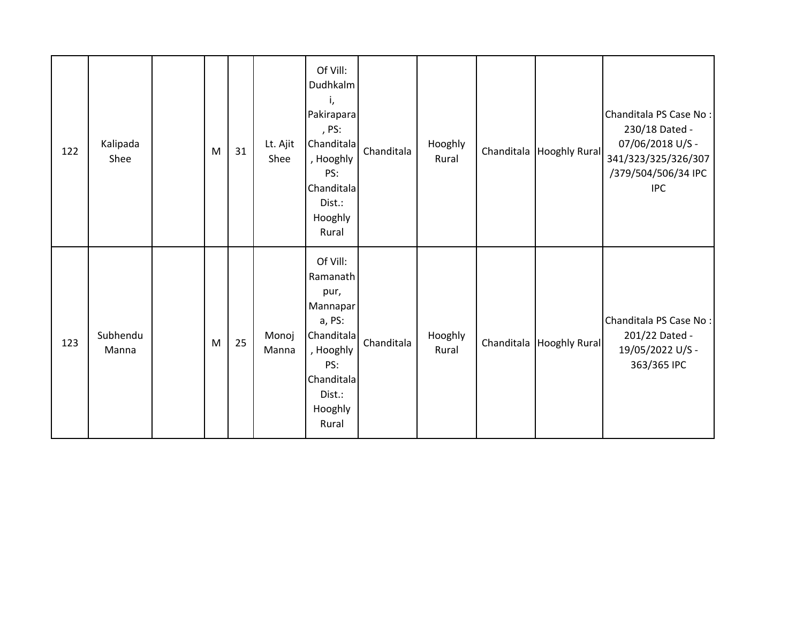| 122 | Kalipada<br>Shee  | M | 31 | Lt. Ajit<br>Shee | Of Vill:<br>Dudhkalm<br>Pakirapara<br>, PS:<br>Chanditala<br>, Hooghly<br>PS:<br>Chanditala<br>Dist.:<br>Hooghly<br>Rural        | Chanditala | Hooghly<br>Rural | Chanditala   Hooghly Rural | Chanditala PS Case No:<br>230/18 Dated -<br>07/06/2018 U/S -<br>341/323/325/326/307<br>/379/504/506/34 IPC<br><b>IPC</b> |
|-----|-------------------|---|----|------------------|----------------------------------------------------------------------------------------------------------------------------------|------------|------------------|----------------------------|--------------------------------------------------------------------------------------------------------------------------|
| 123 | Subhendu<br>Manna | M | 25 | Monoj<br>Manna   | Of Vill:<br>Ramanath<br>pur,<br>Mannapar<br>a, PS:<br>Chanditala<br>, Hooghly<br>PS:<br>Chanditala<br>Dist.:<br>Hooghly<br>Rural | Chanditala | Hooghly<br>Rural | Chanditala Hooghly Rural   | Chanditala PS Case No :<br>201/22 Dated -<br>19/05/2022 U/S -<br>363/365 IPC                                             |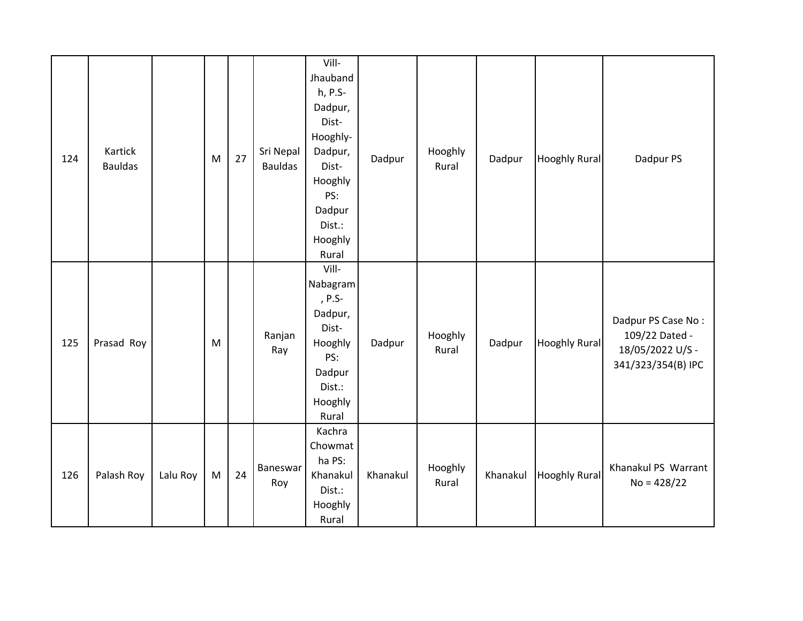| 124 | Kartick<br><b>Bauldas</b> |          | M | 27 | Sri Nepal<br><b>Bauldas</b> | Vill-<br>Jhauband<br>h, P.S-<br>Dadpur,<br>Dist-<br>Hooghly-<br>Dadpur,<br>Dist-<br>Hooghly<br>PS:<br>Dadpur<br>Dist.:<br>Hooghly<br>Rural | Dadpur   | Hooghly<br>Rural | Dadpur   | <b>Hooghly Rural</b> | Dadpur PS                                                                      |
|-----|---------------------------|----------|---|----|-----------------------------|--------------------------------------------------------------------------------------------------------------------------------------------|----------|------------------|----------|----------------------|--------------------------------------------------------------------------------|
| 125 | Prasad Roy                |          | M |    | Ranjan<br>Ray               | Vill-<br>Nabagram<br>, P.S-<br>Dadpur,<br>Dist-<br>Hooghly<br>PS:<br>Dadpur<br>Dist.:<br>Hooghly<br>Rural                                  | Dadpur   | Hooghly<br>Rural | Dadpur   | <b>Hooghly Rural</b> | Dadpur PS Case No:<br>109/22 Dated -<br>18/05/2022 U/S -<br>341/323/354(B) IPC |
| 126 | Palash Roy                | Lalu Roy | M | 24 | Baneswar<br>Roy             | Kachra<br>Chowmat<br>ha PS:<br>Khanakul<br>Dist.:<br>Hooghly<br>Rural                                                                      | Khanakul | Hooghly<br>Rural | Khanakul | <b>Hooghly Rural</b> | Khanakul PS Warrant<br>$No = 428/22$                                           |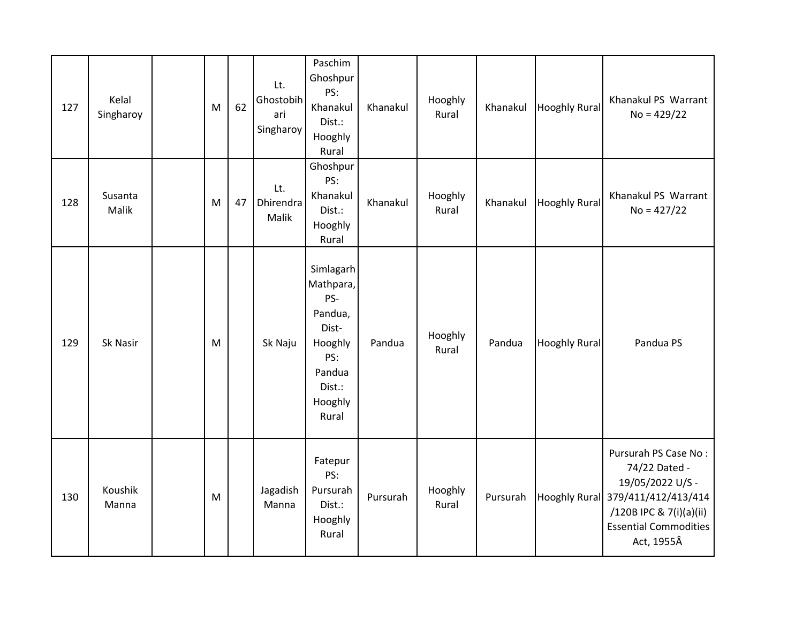| 127 | Kelal<br>Singharoy | M | 62 | Lt.<br>Ghostobih<br>ari<br>Singharoy | Paschim<br>Ghoshpur<br>PS:<br>Khanakul<br>Dist.:<br>Hooghly<br>Rural                                        | Khanakul | Hooghly<br>Rural | Khanakul | <b>Hooghly Rural</b> | Khanakul PS Warrant<br>$No = 429/22$                                                                                                                                    |
|-----|--------------------|---|----|--------------------------------------|-------------------------------------------------------------------------------------------------------------|----------|------------------|----------|----------------------|-------------------------------------------------------------------------------------------------------------------------------------------------------------------------|
| 128 | Susanta<br>Malik   | M | 47 | Lt.<br>Dhirendra<br>Malik            | Ghoshpur<br>PS:<br>Khanakul<br>Dist.:<br>Hooghly<br>Rural                                                   | Khanakul | Hooghly<br>Rural | Khanakul | <b>Hooghly Rural</b> | Khanakul PS Warrant<br>$No = 427/22$                                                                                                                                    |
| 129 | Sk Nasir           | M |    | Sk Naju                              | Simlagarh<br>Mathpara,<br>PS-<br>Pandua,<br>Dist-<br>Hooghly<br>PS:<br>Pandua<br>Dist.:<br>Hooghly<br>Rural | Pandua   | Hooghly<br>Rural | Pandua   | <b>Hooghly Rural</b> | Pandua PS                                                                                                                                                               |
| 130 | Koushik<br>Manna   | M |    | Jagadish<br>Manna                    | Fatepur<br>PS:<br>Pursurah<br>Dist.:<br>Hooghly<br>Rural                                                    | Pursurah | Hooghly<br>Rural | Pursurah |                      | Pursurah PS Case No:<br>74/22 Dated -<br>19/05/2022 U/S -<br>Hooghly Rural 379/411/412/413/414<br>/120B IPC & 7(i)(a)(ii)<br><b>Essential Commodities</b><br>Act, 1955Â |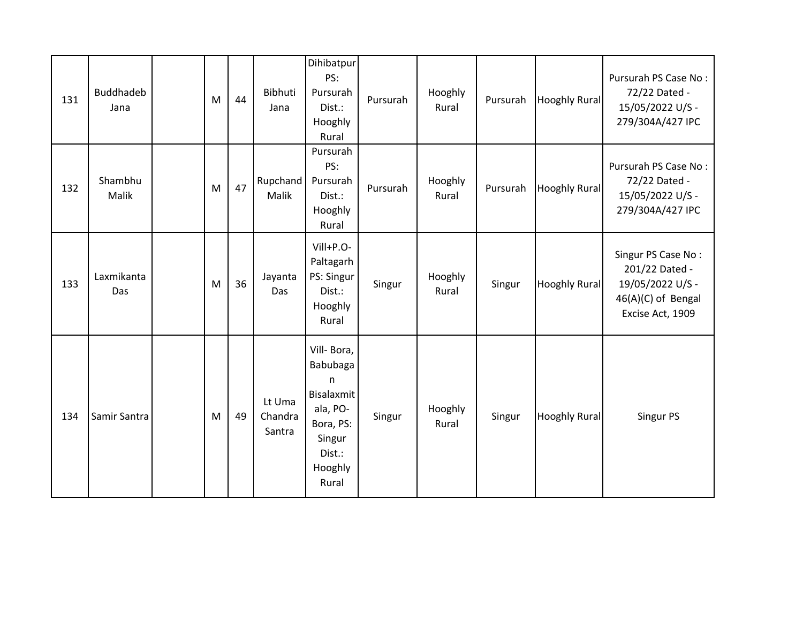| 131 | Buddhadeb<br>Jana | M | 44 | Bibhuti<br>Jana             | Dihibatpur<br>PS:<br>Pursurah<br>Dist.:<br>Hooghly<br>Rural                                                       | Pursurah | Hooghly<br>Rural | Pursurah | <b>Hooghly Rural</b> | Pursurah PS Case No:<br>72/22 Dated -<br>15/05/2022 U/S -<br>279/304A/427 IPC                      |
|-----|-------------------|---|----|-----------------------------|-------------------------------------------------------------------------------------------------------------------|----------|------------------|----------|----------------------|----------------------------------------------------------------------------------------------------|
| 132 | Shambhu<br>Malik  | M | 47 | Rupchand<br>Malik           | Pursurah<br>PS:<br>Pursurah<br>Dist.:<br>Hooghly<br>Rural                                                         | Pursurah | Hooghly<br>Rural | Pursurah | <b>Hooghly Rural</b> | Pursurah PS Case No:<br>72/22 Dated -<br>15/05/2022 U/S -<br>279/304A/427 IPC                      |
| 133 | Laxmikanta<br>Das | M | 36 | Jayanta<br>Das              | Vill+P.O-<br>Paltagarh<br>PS: Singur<br>Dist.:<br>Hooghly<br>Rural                                                | Singur   | Hooghly<br>Rural | Singur   | <b>Hooghly Rural</b> | Singur PS Case No:<br>201/22 Dated -<br>19/05/2022 U/S -<br>46(A)(C) of Bengal<br>Excise Act, 1909 |
| 134 | Samir Santra      | M | 49 | Lt Uma<br>Chandra<br>Santra | Vill-Bora,<br>Babubaga<br>n<br><b>Bisalaxmit</b><br>ala, PO-<br>Bora, PS:<br>Singur<br>Dist.:<br>Hooghly<br>Rural | Singur   | Hooghly<br>Rural | Singur   | <b>Hooghly Rural</b> | Singur PS                                                                                          |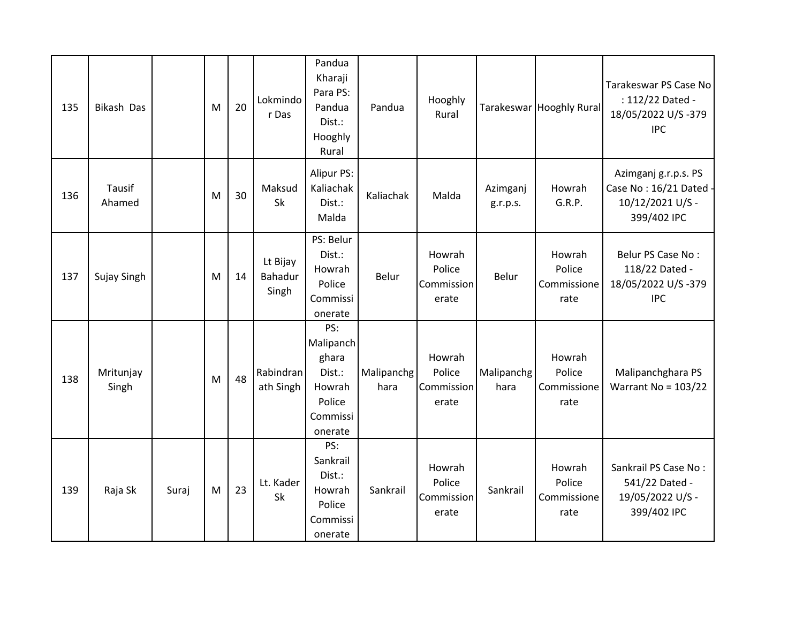| 135 | <b>Bikash Das</b>  |       | M | 20 | Lokmindo<br>r Das            | Pandua<br>Kharaji<br>Para PS:<br>Pandua<br>Dist.:<br>Hooghly<br>Rural          | Pandua             | Hooghly<br>Rural                        |                      | Tarakeswar Hooghly Rural                | Tarakeswar PS Case No<br>: 112/22 Dated -<br>18/05/2022 U/S-379<br><b>IPC</b>   |
|-----|--------------------|-------|---|----|------------------------------|--------------------------------------------------------------------------------|--------------------|-----------------------------------------|----------------------|-----------------------------------------|---------------------------------------------------------------------------------|
| 136 | Tausif<br>Ahamed   |       | M | 30 | Maksud<br>Sk                 | <b>Alipur PS:</b><br>Kaliachak<br>Dist.:<br>Malda                              | Kaliachak          | Malda                                   | Azimganj<br>g.r.p.s. | Howrah<br>G.R.P.                        | Azimganj g.r.p.s. PS<br>Case No: 16/21 Dated<br>10/12/2021 U/S -<br>399/402 IPC |
| 137 | Sujay Singh        |       | M | 14 | Lt Bijay<br>Bahadur<br>Singh | PS: Belur<br>Dist.:<br>Howrah<br>Police<br>Commissi<br>onerate                 | Belur              | Howrah<br>Police<br>Commission<br>erate | Belur                | Howrah<br>Police<br>Commissione<br>rate | Belur PS Case No:<br>118/22 Dated -<br>18/05/2022 U/S-379<br><b>IPC</b>         |
| 138 | Mritunjay<br>Singh |       | M | 48 | Rabindran<br>ath Singh       | PS:<br>Malipanch<br>ghara<br>Dist.:<br>Howrah<br>Police<br>Commissi<br>onerate | Malipanchg<br>hara | Howrah<br>Police<br>Commission<br>erate | Malipanchg<br>hara   | Howrah<br>Police<br>Commissione<br>rate | Malipanchghara PS<br>Warrant No = $103/22$                                      |
| 139 | Raja Sk            | Suraj | M | 23 | Lt. Kader<br>Sk              | PS:<br>Sankrail<br>Dist.:<br>Howrah<br>Police<br>Commissi<br>onerate           | Sankrail           | Howrah<br>Police<br>Commission<br>erate | Sankrail             | Howrah<br>Police<br>Commissione<br>rate | Sankrail PS Case No:<br>541/22 Dated -<br>19/05/2022 U/S -<br>399/402 IPC       |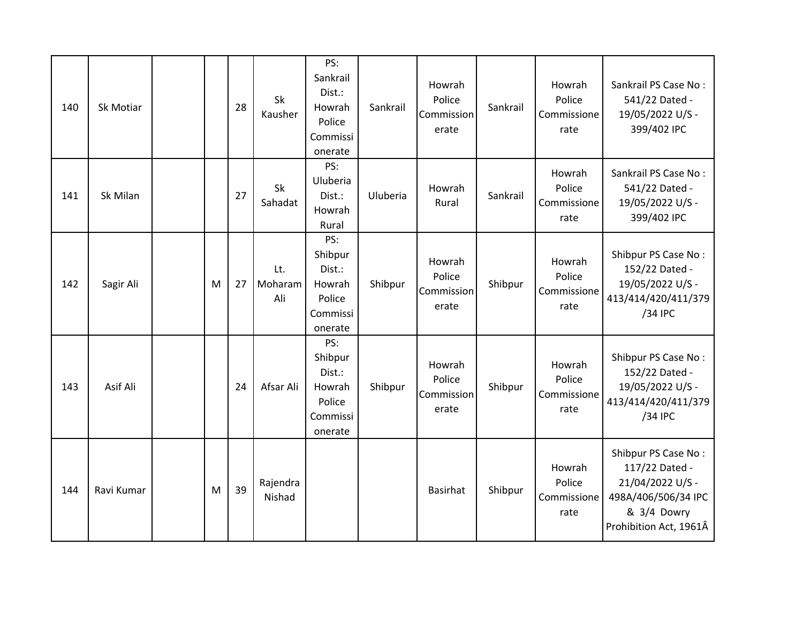| 140 | Sk Motiar  |   | 28 | Sk<br>Kausher         | PS:<br>Sankrail<br>Dist.:<br>Howrah<br>Police<br>Commissi<br>onerate | Sankrail | Howrah<br>Police<br>Commission<br>erate | Sankrail | Howrah<br>Police<br>Commissione<br>rate | Sankrail PS Case No:<br>541/22 Dated -<br>19/05/2022 U/S -<br>399/402 IPC                                                 |
|-----|------------|---|----|-----------------------|----------------------------------------------------------------------|----------|-----------------------------------------|----------|-----------------------------------------|---------------------------------------------------------------------------------------------------------------------------|
| 141 | Sk Milan   |   | 27 | Sk<br>Sahadat         | PS:<br>Uluberia<br>Dist.:<br>Howrah<br>Rural                         | Uluberia | Howrah<br>Rural                         | Sankrail | Howrah<br>Police<br>Commissione<br>rate | Sankrail PS Case No:<br>541/22 Dated -<br>19/05/2022 U/S -<br>399/402 IPC                                                 |
| 142 | Sagir Ali  | M | 27 | Lt.<br>Moharam<br>Ali | PS:<br>Shibpur<br>Dist.:<br>Howrah<br>Police<br>Commissi<br>onerate  | Shibpur  | Howrah<br>Police<br>Commission<br>erate | Shibpur  | Howrah<br>Police<br>Commissione<br>rate | Shibpur PS Case No:<br>152/22 Dated -<br>19/05/2022 U/S -<br>413/414/420/411/379<br>/34 IPC                               |
| 143 | Asif Ali   |   | 24 | Afsar Ali             | PS:<br>Shibpur<br>Dist.:<br>Howrah<br>Police<br>Commissi<br>onerate  | Shibpur  | Howrah<br>Police<br>Commission<br>erate | Shibpur  | Howrah<br>Police<br>Commissione<br>rate | Shibpur PS Case No:<br>152/22 Dated -<br>19/05/2022 U/S -<br>413/414/420/411/379<br>/34 IPC                               |
| 144 | Ravi Kumar | M | 39 | Rajendra<br>Nishad    |                                                                      |          | Basirhat                                | Shibpur  | Howrah<br>Police<br>Commissione<br>rate | Shibpur PS Case No:<br>117/22 Dated -<br>21/04/2022 U/S -<br>498A/406/506/34 IPC<br>& 3/4 Dowry<br>Prohibition Act, 1961Â |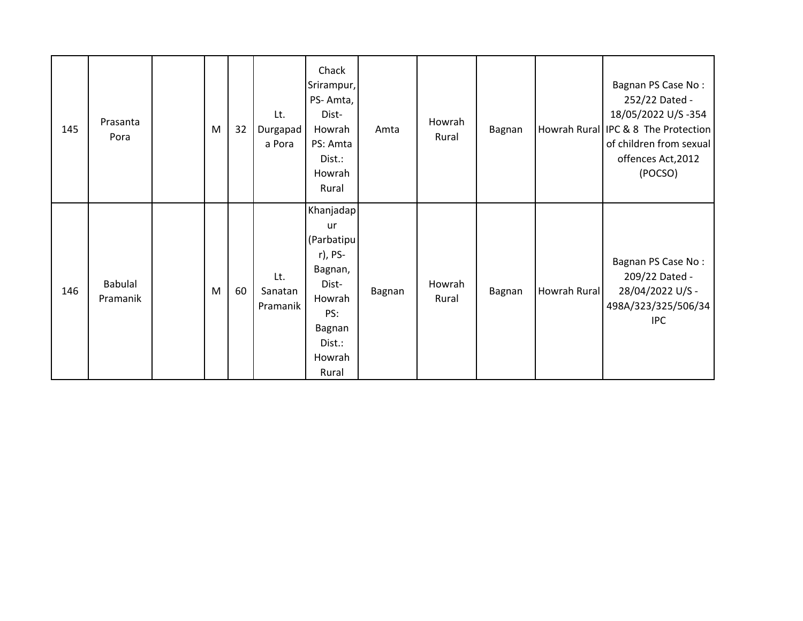| 145 | Prasanta<br>Pora           | M | 32 | Lt.<br>Durgapad<br>a Pora  | Chack<br>Srirampur,<br>PS-Amta,<br>Dist-<br>Howrah<br>PS: Amta<br>Dist.:<br>Howrah<br>Rural                          | Amta   | Howrah<br>Rural | Bagnan |              | Bagnan PS Case No:<br>252/22 Dated -<br>18/05/2022 U/S -354<br>Howrah Rural IPC & 8 The Protection<br>of children from sexual<br>offences Act, 2012<br>(POCSO) |
|-----|----------------------------|---|----|----------------------------|----------------------------------------------------------------------------------------------------------------------|--------|-----------------|--------|--------------|----------------------------------------------------------------------------------------------------------------------------------------------------------------|
| 146 | <b>Babulal</b><br>Pramanik | M | 60 | Lt.<br>Sanatan<br>Pramanik | Khanjadap<br>ur<br>(Parbatipu<br>r), PS-<br>Bagnan,<br>Dist-<br>Howrah<br>PS:<br>Bagnan<br>Dist.:<br>Howrah<br>Rural | Bagnan | Howrah<br>Rural | Bagnan | Howrah Rural | Bagnan PS Case No:<br>209/22 Dated -<br>28/04/2022 U/S -<br>498A/323/325/506/34<br><b>IPC</b>                                                                  |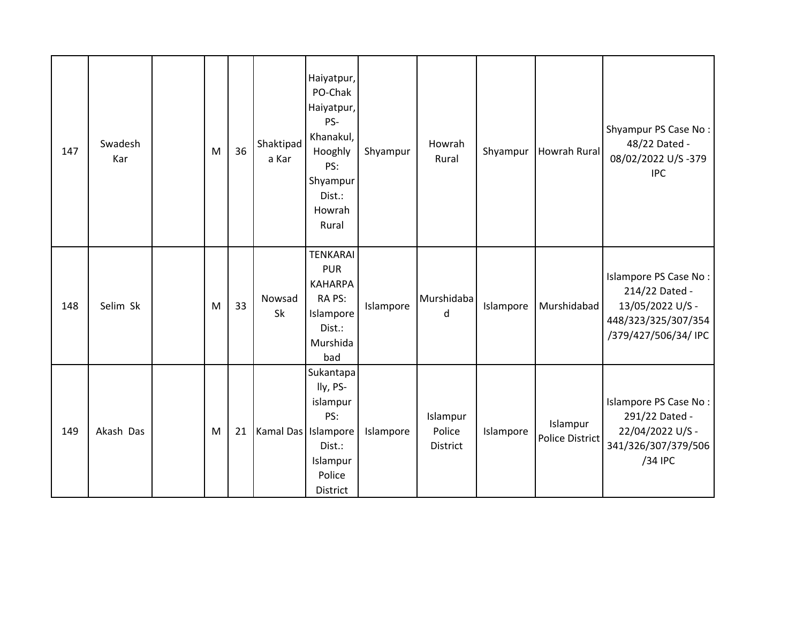| 147 | Swadesh<br>Kar | M | 36 | Shaktipad<br>a Kar    | Haiyatpur,<br>PO-Chak<br>Haiyatpur,<br>PS-<br>Khanakul,<br>Hooghly<br>PS:<br>Shyampur<br>Dist.:<br>Howrah<br>Rural | Shyampur  | Howrah<br>Rural                | Shyampur  | Howrah Rural                | Shyampur PS Case No:<br>48/22 Dated -<br>08/02/2022 U/S-379<br><b>IPC</b>                                  |
|-----|----------------|---|----|-----------------------|--------------------------------------------------------------------------------------------------------------------|-----------|--------------------------------|-----------|-----------------------------|------------------------------------------------------------------------------------------------------------|
| 148 | Selim Sk       | M | 33 | Nowsad<br>Sk          | <b>TENKARAI</b><br><b>PUR</b><br><b>KAHARPA</b><br>RA PS:<br>Islampore<br>Dist.:<br>Murshida<br>bad                | Islampore | Murshidaba<br>d                | Islampore | Murshidabad                 | Islampore PS Case No:<br>214/22 Dated -<br>13/05/2022 U/S -<br>448/323/325/307/354<br>/379/427/506/34/ IPC |
| 149 | Akash Das      | M | 21 | Kamal Das   Islampore | Sukantapa<br>lly, PS-<br>islampur<br>PS:<br>Dist.:<br>Islampur<br>Police<br>District                               | Islampore | Islampur<br>Police<br>District | Islampore | Islampur<br>Police District | Islampore PS Case No:<br>291/22 Dated -<br>22/04/2022 U/S -<br>341/326/307/379/506<br>/34 IPC              |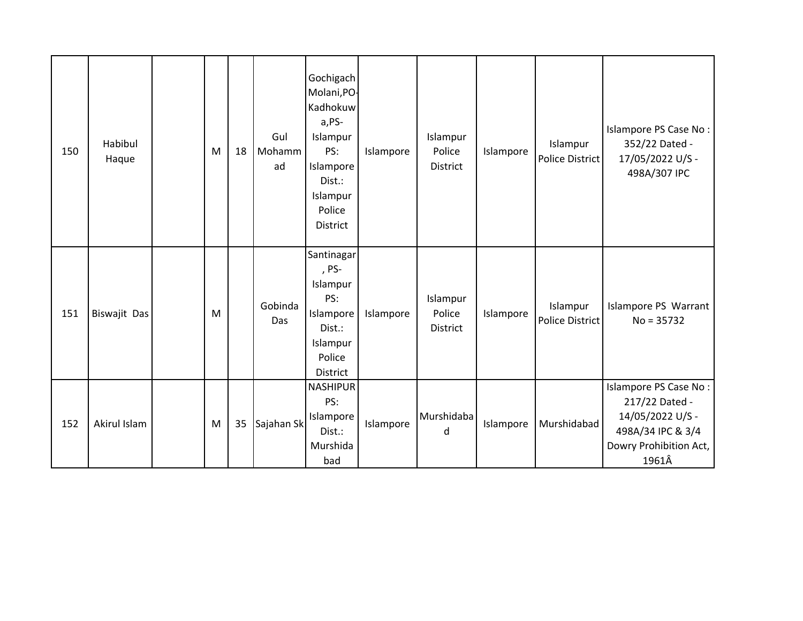| 150 | Habibul<br>Haque | M | 18 | Gul<br>Mohamm<br>ad | Gochigach<br>Molani, PO-<br>Kadhokuw<br>a,PS-<br>Islampur<br>PS:<br>Islampore<br>Dist.:<br>Islampur<br>Police<br>District | Islampore | Islampur<br>Police<br>District | Islampore | Islampur<br>Police District        | Islampore PS Case No:<br>352/22 Dated -<br>17/05/2022 U/S -<br>498A/307 IPC                                         |
|-----|------------------|---|----|---------------------|---------------------------------------------------------------------------------------------------------------------------|-----------|--------------------------------|-----------|------------------------------------|---------------------------------------------------------------------------------------------------------------------|
| 151 | Biswajit Das     | M |    | Gobinda<br>Das      | Santinagar<br>, PS-<br>Islampur<br>PS:<br>Islampore<br>Dist.:<br>Islampur<br>Police<br>District                           | Islampore | Islampur<br>Police<br>District | Islampore | Islampur<br><b>Police District</b> | Islampore PS Warrant<br>$No = 35732$                                                                                |
| 152 | Akirul Islam     | M | 35 | Sajahan Sk          | <b>NASHIPUR</b><br>PS:<br>Islampore<br>Dist.:<br>Murshida<br>bad                                                          | Islampore | Murshidaba<br>d                | Islampore | Murshidabad                        | Islampore PS Case No:<br>217/22 Dated -<br>14/05/2022 U/S -<br>498A/34 IPC & 3/4<br>Dowry Prohibition Act,<br>1961Â |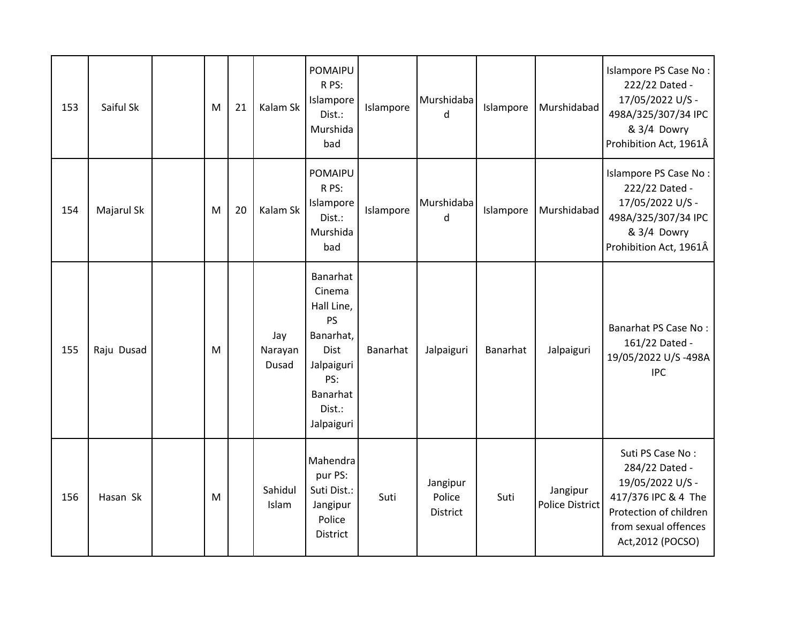| 153 | Saiful Sk  | M | 21 | Kalam Sk                | POMAIPU<br>R PS:<br>Islampore<br>Dist.:<br>Murshida<br>bad                                                                  | Islampore | Murshidaba<br>$\mathsf{d}$     | Islampore | Murshidabad                        | Islampore PS Case No:<br>222/22 Dated -<br>17/05/2022 U/S -<br>498A/325/307/34 IPC<br>& 3/4 Dowry<br>Prohibition Act, 1961Â                          |
|-----|------------|---|----|-------------------------|-----------------------------------------------------------------------------------------------------------------------------|-----------|--------------------------------|-----------|------------------------------------|------------------------------------------------------------------------------------------------------------------------------------------------------|
| 154 | Majarul Sk | M | 20 | Kalam Sk                | POMAIPU<br>R PS:<br>Islampore<br>Dist.:<br>Murshida<br>bad                                                                  | Islampore | Murshidaba<br>d                | Islampore | Murshidabad                        | Islampore PS Case No:<br>222/22 Dated -<br>17/05/2022 U/S -<br>498A/325/307/34 IPC<br>& 3/4 Dowry<br>Prohibition Act, 1961Â                          |
| 155 | Raju Dusad | M |    | Jay<br>Narayan<br>Dusad | Banarhat<br>Cinema<br>Hall Line,<br><b>PS</b><br>Banarhat,<br>Dist<br>Jalpaiguri<br>PS:<br>Banarhat<br>Dist.:<br>Jalpaiguri | Banarhat  | Jalpaiguri                     | Banarhat  | Jalpaiguri                         | <b>Banarhat PS Case No:</b><br>161/22 Dated -<br>19/05/2022 U/S-498A<br><b>IPC</b>                                                                   |
| 156 | Hasan Sk   | M |    | Sahidul<br>Islam        | Mahendra<br>pur PS:<br>Suti Dist.:<br>Jangipur<br>Police<br><b>District</b>                                                 | Suti      | Jangipur<br>Police<br>District | Suti      | Jangipur<br><b>Police District</b> | Suti PS Case No:<br>284/22 Dated -<br>19/05/2022 U/S -<br>417/376 IPC & 4 The<br>Protection of children<br>from sexual offences<br>Act, 2012 (POCSO) |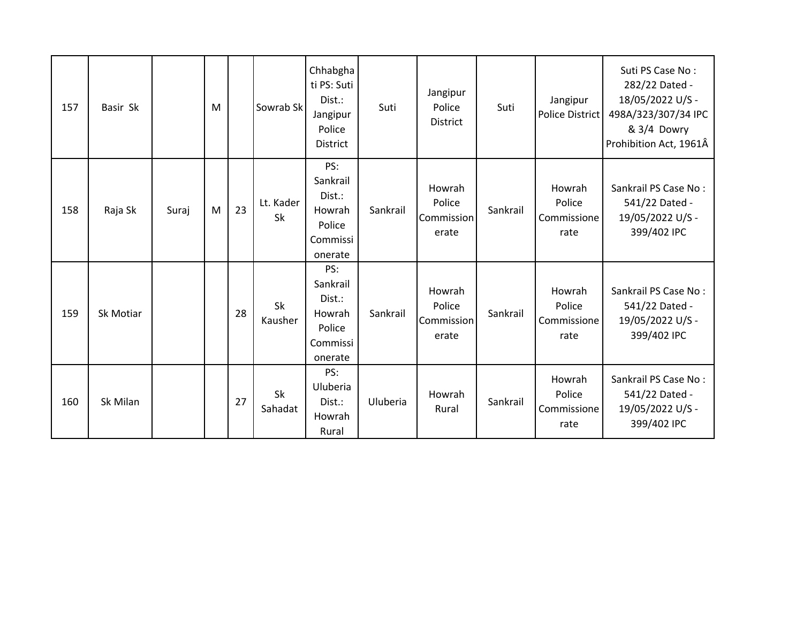| 157 | Basir Sk  |       | M |    | Sowrab Sk       | Chhabgha<br>ti PS: Suti<br>Dist.:<br>Jangipur<br>Police<br>District  | Suti     | Jangipur<br>Police<br><b>District</b>   | Suti     | Jangipur<br><b>Police District</b>      | Suti PS Case No:<br>282/22 Dated -<br>18/05/2022 U/S -<br>498A/323/307/34 IPC<br>& 3/4 Dowry<br>Prohibition Act, 1961Â |
|-----|-----------|-------|---|----|-----------------|----------------------------------------------------------------------|----------|-----------------------------------------|----------|-----------------------------------------|------------------------------------------------------------------------------------------------------------------------|
| 158 | Raja Sk   | Suraj | M | 23 | Lt. Kader<br>Sk | PS:<br>Sankrail<br>Dist.:<br>Howrah<br>Police<br>Commissi<br>onerate | Sankrail | Howrah<br>Police<br>Commission<br>erate | Sankrail | Howrah<br>Police<br>Commissione<br>rate | Sankrail PS Case No:<br>541/22 Dated -<br>19/05/2022 U/S -<br>399/402 IPC                                              |
| 159 | Sk Motiar |       |   | 28 | Sk<br>Kausher   | PS:<br>Sankrail<br>Dist.:<br>Howrah<br>Police<br>Commissi<br>onerate | Sankrail | Howrah<br>Police<br>Commission<br>erate | Sankrail | Howrah<br>Police<br>Commissione<br>rate | Sankrail PS Case No:<br>541/22 Dated -<br>19/05/2022 U/S -<br>399/402 IPC                                              |
| 160 | Sk Milan  |       |   | 27 | Sk<br>Sahadat   | PS:<br>Uluberia<br>Dist.:<br>Howrah<br>Rural                         | Uluberia | Howrah<br>Rural                         | Sankrail | Howrah<br>Police<br>Commissione<br>rate | Sankrail PS Case No:<br>541/22 Dated -<br>19/05/2022 U/S -<br>399/402 IPC                                              |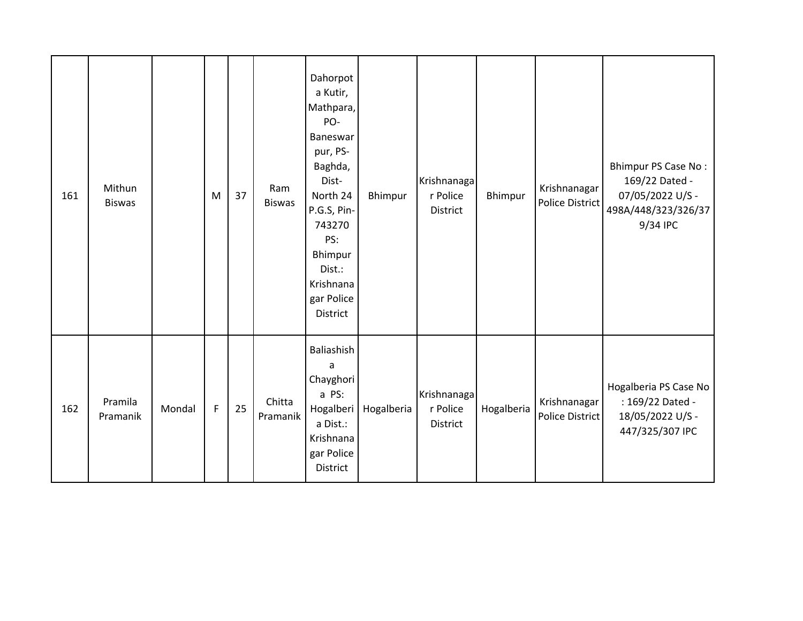| 161 | Mithun<br><b>Biswas</b> |        | M           | 37 | Ram<br><b>Biswas</b> | Dahorpot<br>a Kutir,<br>Mathpara,<br>PO-<br>Baneswar<br>pur, PS-<br>Baghda,<br>Dist-<br>North 24<br>P.G.S, Pin-<br>743270<br>PS:<br>Bhimpur<br>Dist.:<br>Krishnana<br>gar Police<br>District | Bhimpur    | Krishnanaga<br>r Police<br>District | Bhimpur    | Krishnanagar<br>Police District | Bhimpur PS Case No:<br>169/22 Dated -<br>07/05/2022 U/S -<br>498A/448/323/326/37<br>9/34 IPC |
|-----|-------------------------|--------|-------------|----|----------------------|----------------------------------------------------------------------------------------------------------------------------------------------------------------------------------------------|------------|-------------------------------------|------------|---------------------------------|----------------------------------------------------------------------------------------------|
| 162 | Pramila<br>Pramanik     | Mondal | $\mathsf F$ | 25 | Chitta<br>Pramanik   | Baliashish<br>a<br>Chayghori<br>a PS:<br>Hogalberi<br>a Dist.:<br>Krishnana<br>gar Police<br>District                                                                                        | Hogalberia | Krishnanaga<br>r Police<br>District | Hogalberia | Krishnanagar<br>Police District | Hogalberia PS Case No<br>: 169/22 Dated -<br>18/05/2022 U/S -<br>447/325/307 IPC             |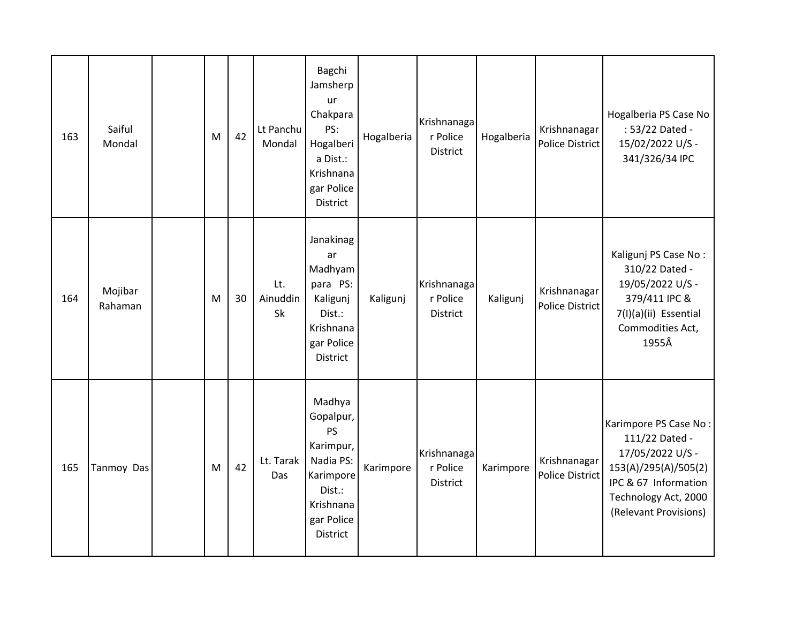| 163 | Saiful<br>Mondal   | M | 42 | Lt Panchu<br>Mondal   | Bagchi<br>Jamsherp<br>ur<br>Chakpara<br>PS:<br>Hogalberi<br>a Dist.:<br>Krishnana<br>gar Police<br><b>District</b>       | Hogalberia | Krishnanaga<br>r Police<br>District        | Hogalberia | Krishnanagar<br><b>Police District</b> | Hogalberia PS Case No<br>: 53/22 Dated -<br>15/02/2022 U/S -<br>341/326/34 IPC                                                                               |
|-----|--------------------|---|----|-----------------------|--------------------------------------------------------------------------------------------------------------------------|------------|--------------------------------------------|------------|----------------------------------------|--------------------------------------------------------------------------------------------------------------------------------------------------------------|
| 164 | Mojibar<br>Rahaman | M | 30 | Lt.<br>Ainuddin<br>Sk | Janakinag<br>ar<br>Madhyam<br>para PS:<br>Kaligunj<br>Dist.:<br>Krishnana<br>gar Police<br><b>District</b>               | Kaligunj   | Krishnanaga<br>r Police<br><b>District</b> | Kaligunj   | Krishnanagar<br><b>Police District</b> | Kaligunj PS Case No:<br>310/22 Dated -<br>19/05/2022 U/S -<br>379/411 IPC &<br>7(I)(a)(ii) Essential<br>Commodities Act,<br>1955Â                            |
| 165 | Tanmoy Das         | M | 42 | Lt. Tarak<br>Das      | Madhya<br>Gopalpur,<br>PS<br>Karimpur,<br>Nadia PS:<br>Karimpore<br>Dist.:<br>Krishnana<br>gar Police<br><b>District</b> | Karimpore  | Krishnanaga<br>r Police<br><b>District</b> | Karimpore  | Krishnanagar<br><b>Police District</b> | Karimpore PS Case No:<br>111/22 Dated -<br>17/05/2022 U/S -<br>153(A)/295(A)/505(2)<br>IPC & 67 Information<br>Technology Act, 2000<br>(Relevant Provisions) |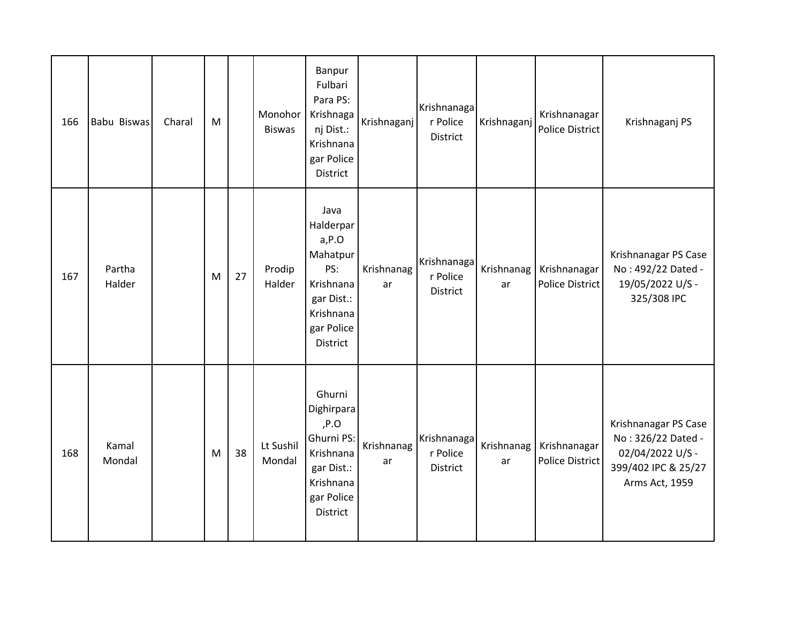| 166 | Babu Biswas      | Charal | M |    | Monohor<br><b>Biswas</b> | Banpur<br>Fulbari<br>Para PS:<br>Krishnaga<br>nj Dist.:<br>Krishnana<br>gar Police<br>District                      | Krishnaganj      | Krishnanaga<br>r Police<br><b>District</b> | Krishnaganj      | Krishnanagar<br><b>Police District</b> | Krishnaganj PS                                                                                          |
|-----|------------------|--------|---|----|--------------------------|---------------------------------------------------------------------------------------------------------------------|------------------|--------------------------------------------|------------------|----------------------------------------|---------------------------------------------------------------------------------------------------------|
| 167 | Partha<br>Halder |        | M | 27 | Prodip<br>Halder         | Java<br>Halderpar<br>$a, P.$ O<br>Mahatpur<br>PS:<br>Krishnana<br>gar Dist.:<br>Krishnana<br>gar Police<br>District | Krishnanag<br>ar | Krishnanaga<br>r Police<br>District        | Krishnanag<br>ar | Krishnanagar<br><b>Police District</b> | Krishnanagar PS Case<br>No: 492/22 Dated -<br>19/05/2022 U/S -<br>325/308 IPC                           |
| 168 | Kamal<br>Mondal  |        | M | 38 | Lt Sushil<br>Mondal      | Ghurni<br>Dighirpara<br>P.O<br>Ghurni PS:<br>Krishnana<br>gar Dist.:<br>Krishnana<br>gar Police<br>District         | Krishnanag<br>ar | Krishnanaga<br>r Police<br>District        | Krishnanag<br>ar | Krishnanagar<br><b>Police District</b> | Krishnanagar PS Case<br>No: 326/22 Dated -<br>02/04/2022 U/S -<br>399/402 IPC & 25/27<br>Arms Act, 1959 |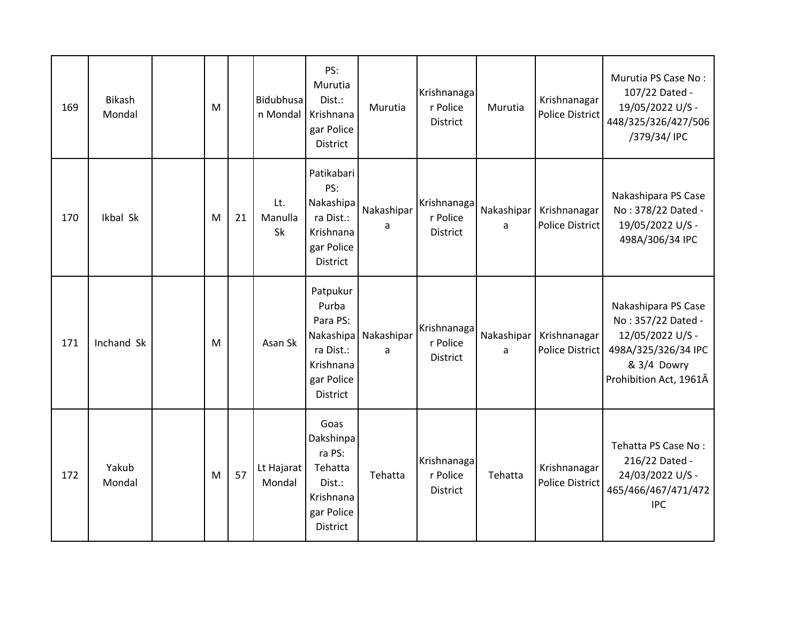| 169 | <b>Bikash</b><br>Mondal | M |    | <b>Bidubhusa</b><br>n Mondal | PS:<br>Murutia<br>Dist.:<br>Krishnana<br>gar Police<br><b>District</b>                         | Murutia         | Krishnanaga<br>r Police<br>District        | Murutia         | Krishnanagar<br>Police District        | Murutia PS Case No:<br>107/22 Dated -<br>19/05/2022 U/S -<br>448/325/326/427/506<br>/379/34/ IPC                              |
|-----|-------------------------|---|----|------------------------------|------------------------------------------------------------------------------------------------|-----------------|--------------------------------------------|-----------------|----------------------------------------|-------------------------------------------------------------------------------------------------------------------------------|
| 170 | Ikbal Sk                | M | 21 | Lt.<br>Manulla<br>Sk         | Patikabari<br>PS:<br>Nakashipa<br>ra Dist.:<br>Krishnana<br>gar Police<br>District             | Nakashipar<br>a | Krishnanaga<br>r Police<br>District        | Nakashipar<br>a | Krishnanagar<br><b>Police District</b> | Nakashipara PS Case<br>No: 378/22 Dated -<br>19/05/2022 U/S -<br>498A/306/34 IPC                                              |
| 171 | Inchand Sk              | M |    | Asan Sk                      | Patpukur<br>Purba<br>Para PS:<br>Nakashipa<br>ra Dist.:<br>Krishnana<br>gar Police<br>District | Nakashipar<br>a | Krishnanaga<br>r Police<br>District        | Nakashipar<br>a | Krishnanagar<br><b>Police District</b> | Nakashipara PS Case<br>No: 357/22 Dated -<br>12/05/2022 U/S -<br>498A/325/326/34 IPC<br>& 3/4 Dowry<br>Prohibition Act, 1961Â |
| 172 | Yakub<br>Mondal         | M | 57 | Lt Hajarat<br>Mondal         | Goas<br>Dakshinpa<br>ra PS:<br>Tehatta<br>Dist.:<br>Krishnana<br>gar Police<br>District        | Tehatta         | Krishnanaga<br>r Police<br><b>District</b> | Tehatta         | Krishnanagar<br>Police District        | Tehatta PS Case No:<br>216/22 Dated -<br>24/03/2022 U/S -<br>465/466/467/471/472<br><b>IPC</b>                                |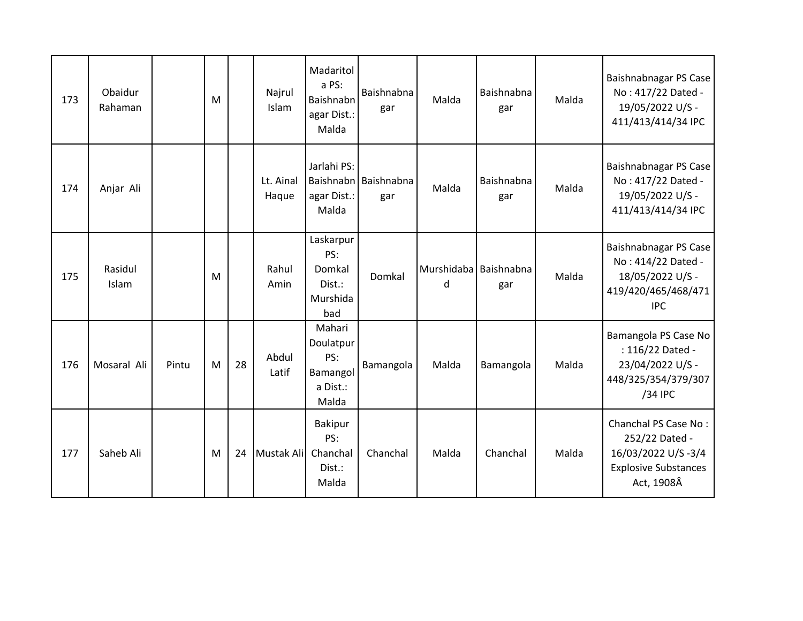| 173 | Obaidur<br>Rahaman |       | M |    | Najrul<br>Islam    | Madaritol<br>a PS:<br>Baishnabn<br>agar Dist.:<br>Malda     | Baishnabna<br>gar           | Malda                      | Baishnabna<br>gar | Malda | Baishnabnagar PS Case<br>No: 417/22 Dated -<br>19/05/2022 U/S -<br>411/413/414/34 IPC                     |
|-----|--------------------|-------|---|----|--------------------|-------------------------------------------------------------|-----------------------------|----------------------------|-------------------|-------|-----------------------------------------------------------------------------------------------------------|
| 174 | Anjar Ali          |       |   |    | Lt. Ainal<br>Haque | Jarlahi PS:<br>agar Dist.:<br>Malda                         | Baishnabn Baishnabna<br>gar | Malda                      | Baishnabna<br>gar | Malda | Baishnabnagar PS Case<br>No: 417/22 Dated -<br>19/05/2022 U/S -<br>411/413/414/34 IPC                     |
| 175 | Rasidul<br>Islam   |       | M |    | Rahul<br>Amin      | Laskarpur<br>PS:<br>Domkal<br>Dist.:<br>Murshida<br>bad     | Domkal                      | Murshidaba Baishnabna<br>d | gar               | Malda | Baishnabnagar PS Case<br>No: 414/22 Dated -<br>18/05/2022 U/S -<br>419/420/465/468/471<br><b>IPC</b>      |
| 176 | Mosaral Ali        | Pintu | M | 28 | Abdul<br>Latif     | Mahari<br>Doulatpur<br>PS:<br>Bamangol<br>a Dist.:<br>Malda | Bamangola                   | Malda                      | Bamangola         | Malda | Bamangola PS Case No<br>: 116/22 Dated -<br>23/04/2022 U/S -<br>448/325/354/379/307<br>/34 IPC            |
| 177 | Saheb Ali          |       | M | 24 | Mustak Ali         | <b>Bakipur</b><br>PS:<br>Chanchal<br>Dist.:<br>Malda        | Chanchal                    | Malda                      | Chanchal          | Malda | Chanchal PS Case No:<br>252/22 Dated -<br>16/03/2022 U/S-3/4<br><b>Explosive Substances</b><br>Act, 1908Â |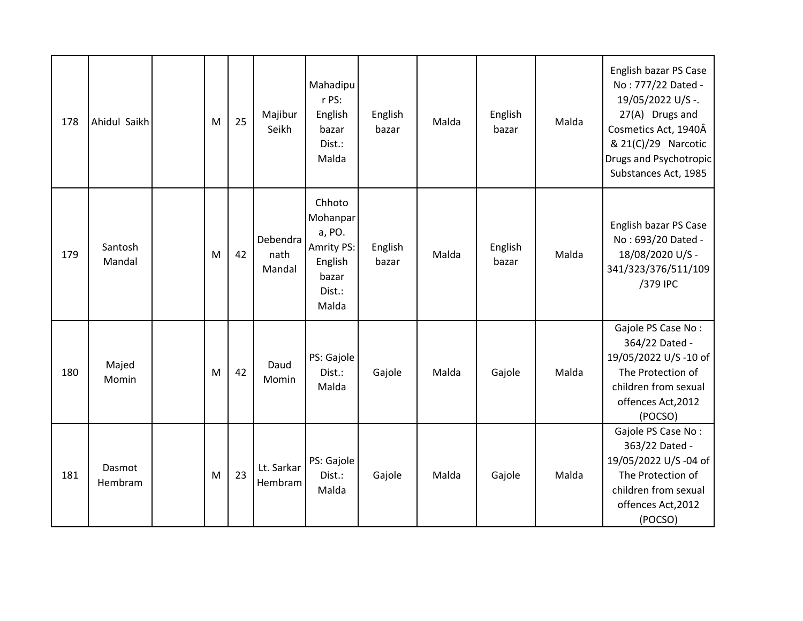| 178 | Ahidul Saikh      | M | 25 | Majibur<br>Seikh           | Mahadipu<br>r PS:<br>English<br>bazar<br>Dist.:<br>Malda                                 | English<br>bazar | Malda | English<br>bazar | Malda | English bazar PS Case<br>No: 777/22 Dated -<br>19/05/2022 U/S -.<br>27(A) Drugs and<br>Cosmetics Act, 1940Â<br>& 21(C)/29 Narcotic<br>Drugs and Psychotropic<br>Substances Act, 1985 |
|-----|-------------------|---|----|----------------------------|------------------------------------------------------------------------------------------|------------------|-------|------------------|-------|--------------------------------------------------------------------------------------------------------------------------------------------------------------------------------------|
| 179 | Santosh<br>Mandal | M | 42 | Debendra<br>nath<br>Mandal | Chhoto<br>Mohanpar<br>a, PO.<br><b>Amrity PS:</b><br>English<br>bazar<br>Dist.:<br>Malda | English<br>bazar | Malda | English<br>bazar | Malda | English bazar PS Case<br>No: 693/20 Dated -<br>18/08/2020 U/S -<br>341/323/376/511/109<br>/379 IPC                                                                                   |
| 180 | Majed<br>Momin    | M | 42 | Daud<br>Momin              | PS: Gajole<br>Dist.:<br>Malda                                                            | Gajole           | Malda | Gajole           | Malda | Gajole PS Case No:<br>364/22 Dated -<br>19/05/2022 U/S-10 of<br>The Protection of<br>children from sexual<br>offences Act, 2012<br>(POCSO)                                           |
| 181 | Dasmot<br>Hembram | M | 23 | Lt. Sarkar<br>Hembram      | PS: Gajole<br>Dist.:<br>Malda                                                            | Gajole           | Malda | Gajole           | Malda | Gajole PS Case No:<br>363/22 Dated -<br>19/05/2022 U/S -04 of<br>The Protection of<br>children from sexual<br>offences Act, 2012<br>(POCSO)                                          |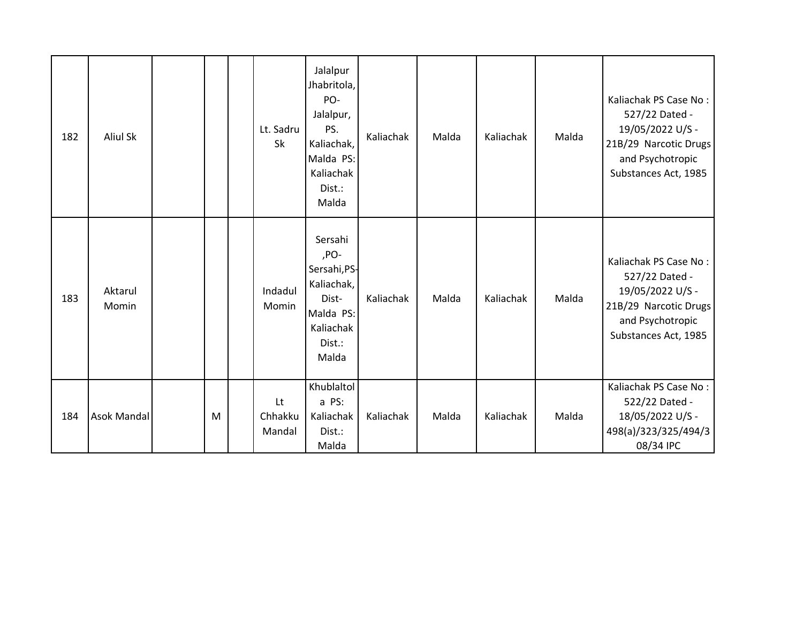| 182 | <b>Aliul Sk</b>    |   | Lt. Sadru<br>Sk         | Jalalpur<br>Jhabritola,<br>PO-<br>Jalalpur,<br>PS.<br>Kaliachak,<br>Malda PS:<br>Kaliachak<br>Dist.:<br>Malda | Kaliachak | Malda | Kaliachak | Malda | Kaliachak PS Case No:<br>527/22 Dated -<br>19/05/2022 U/S -<br>21B/29 Narcotic Drugs<br>and Psychotropic<br>Substances Act, 1985 |
|-----|--------------------|---|-------------------------|---------------------------------------------------------------------------------------------------------------|-----------|-------|-----------|-------|----------------------------------------------------------------------------------------------------------------------------------|
| 183 | Aktarul<br>Momin   |   | Indadul<br>Momin        | Sersahi<br>,PO-<br>Sersahi, PS-<br>Kaliachak,<br>Dist-<br>Malda PS:<br>Kaliachak<br>Dist.:<br>Malda           | Kaliachak | Malda | Kaliachak | Malda | Kaliachak PS Case No:<br>527/22 Dated -<br>19/05/2022 U/S -<br>21B/29 Narcotic Drugs<br>and Psychotropic<br>Substances Act, 1985 |
| 184 | <b>Asok Mandal</b> | M | Lt<br>Chhakku<br>Mandal | Khublaltol<br>a PS:<br>Kaliachak<br>Dist.:<br>Malda                                                           | Kaliachak | Malda | Kaliachak | Malda | Kaliachak PS Case No:<br>522/22 Dated -<br>18/05/2022 U/S -<br>498(a)/323/325/494/3<br>08/34 IPC                                 |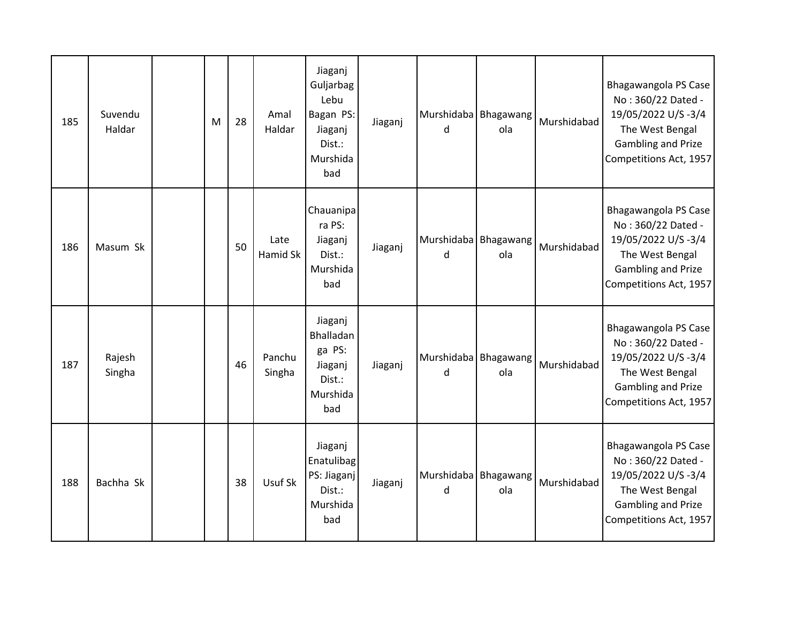| 185 | Suvendu<br>Haldar | M | 28 | Amal<br>Haldar   | Jiaganj<br>Guljarbag<br>Lebu<br>Bagan PS:<br>Jiaganj<br>Dist.:<br>Murshida<br>bad | Jiaganj | Murshidaba Bhagawang<br>d   | ola | Murshidabad | Bhagawangola PS Case<br>No: 360/22 Dated -<br>19/05/2022 U/S-3/4<br>The West Bengal<br><b>Gambling and Prize</b><br>Competitions Act, 1957 |
|-----|-------------------|---|----|------------------|-----------------------------------------------------------------------------------|---------|-----------------------------|-----|-------------|--------------------------------------------------------------------------------------------------------------------------------------------|
| 186 | Masum Sk          |   | 50 | Late<br>Hamid Sk | Chauanipa<br>ra PS:<br>Jiaganj<br>Dist.:<br>Murshida<br>bad                       | Jiaganj | Murshidaba   Bhagawang<br>d | ola | Murshidabad | Bhagawangola PS Case<br>No: 360/22 Dated -<br>19/05/2022 U/S-3/4<br>The West Bengal<br>Gambling and Prize<br>Competitions Act, 1957        |
| 187 | Rajesh<br>Singha  |   | 46 | Panchu<br>Singha | Jiaganj<br>Bhalladan<br>ga PS:<br>Jiaganj<br>Dist.:<br>Murshida<br>bad            | Jiaganj | Murshidaba   Bhagawang<br>d | ola | Murshidabad | Bhagawangola PS Case<br>No: 360/22 Dated -<br>19/05/2022 U/S-3/4<br>The West Bengal<br><b>Gambling and Prize</b><br>Competitions Act, 1957 |
| 188 | Bachha Sk         |   | 38 | Usuf Sk          | Jiaganj<br>Enatulibag<br>PS: Jiaganj<br>Dist.:<br>Murshida<br>bad                 | Jiaganj | Murshidaba Bhagawang<br>d   | ola | Murshidabad | Bhagawangola PS Case<br>No: 360/22 Dated -<br>19/05/2022 U/S-3/4<br>The West Bengal<br>Gambling and Prize<br>Competitions Act, 1957        |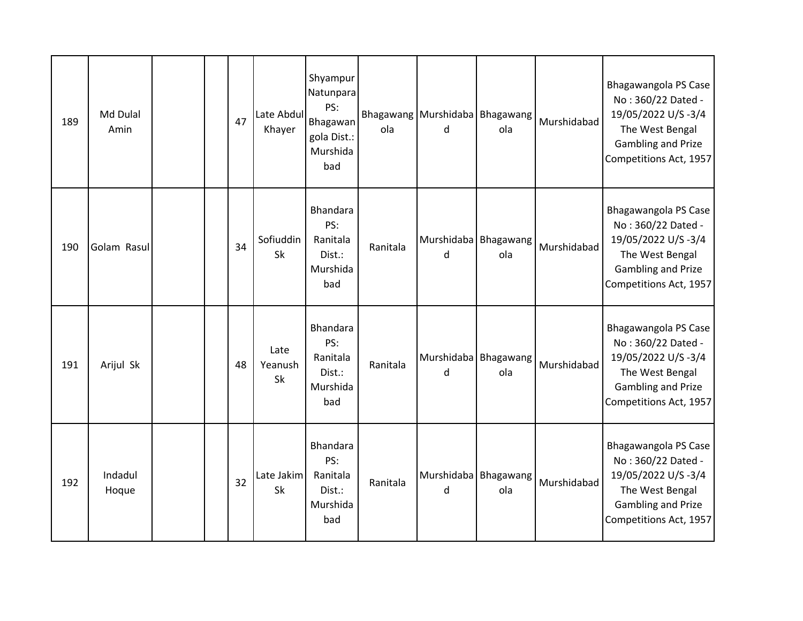| 189 | Md Dulal<br>Amin |  | 47 | Late Abdul<br>Khayer  | Shyampur<br>Natunpara<br>PS:<br>Bhagawan<br>gola Dist.:<br>Murshida<br>bad | ola      | Bhagawang Murshidaba Bhagawang<br>d | ola | Murshidabad | Bhagawangola PS Case<br>No: 360/22 Dated -<br>19/05/2022 U/S-3/4<br>The West Bengal<br><b>Gambling and Prize</b><br>Competitions Act, 1957 |
|-----|------------------|--|----|-----------------------|----------------------------------------------------------------------------|----------|-------------------------------------|-----|-------------|--------------------------------------------------------------------------------------------------------------------------------------------|
| 190 | Golam Rasul      |  | 34 | Sofiuddin<br>Sk       | Bhandara<br>PS:<br>Ranitala<br>Dist.:<br>Murshida<br>bad                   | Ranitala | Murshidaba Bhagawang<br>d           | ola | Murshidabad | Bhagawangola PS Case<br>No: 360/22 Dated -<br>19/05/2022 U/S-3/4<br>The West Bengal<br><b>Gambling and Prize</b><br>Competitions Act, 1957 |
| 191 | Arijul Sk        |  | 48 | Late<br>Yeanush<br>Sk | Bhandara<br>PS:<br>Ranitala<br>Dist.:<br>Murshida<br>bad                   | Ranitala | Murshidaba Bhagawang<br>d           | ola | Murshidabad | Bhagawangola PS Case<br>No: 360/22 Dated -<br>19/05/2022 U/S-3/4<br>The West Bengal<br><b>Gambling and Prize</b><br>Competitions Act, 1957 |
| 192 | Indadul<br>Hoque |  | 32 | Late Jakim<br>Sk      | <b>Bhandara</b><br>PS:<br>Ranitala<br>Dist.:<br>Murshida<br>bad            | Ranitala | Murshidaba Bhagawang<br>d           | ola | Murshidabad | Bhagawangola PS Case<br>No: 360/22 Dated -<br>19/05/2022 U/S-3/4<br>The West Bengal<br><b>Gambling and Prize</b><br>Competitions Act, 1957 |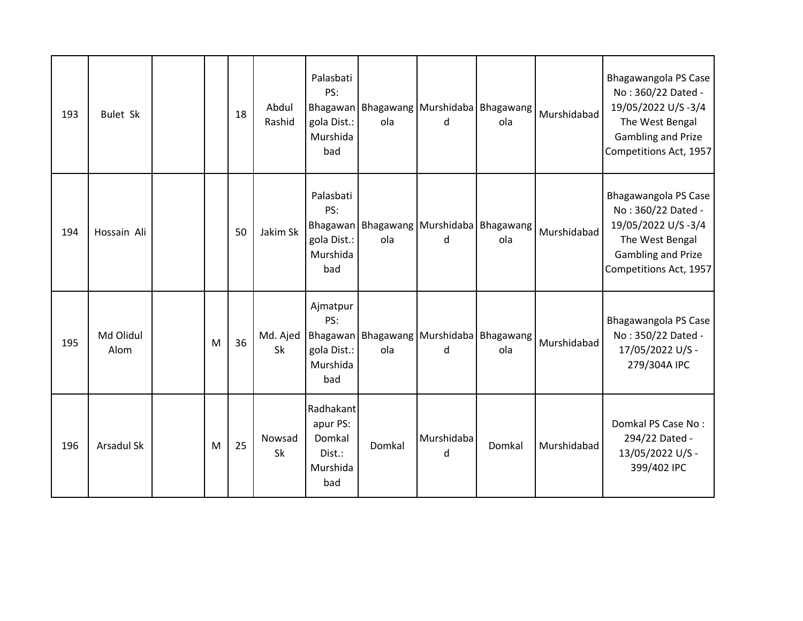| 193 | <b>Bulet Sk</b>   |   | 18 | Abdul<br>Rashid | Palasbati<br>PS:<br>gola Dist.:<br>Murshida<br>bad           | ola    | Bhagawan Bhagawang   Murshidaba   Bhagawang<br>d   | ola    | Murshidabad | Bhagawangola PS Case<br>No: 360/22 Dated -<br>19/05/2022 U/S-3/4<br>The West Bengal<br><b>Gambling and Prize</b><br>Competitions Act, 1957 |
|-----|-------------------|---|----|-----------------|--------------------------------------------------------------|--------|----------------------------------------------------|--------|-------------|--------------------------------------------------------------------------------------------------------------------------------------------|
| 194 | Hossain Ali       |   | 50 | Jakim Sk        | Palasbati<br>PS:<br>gola Dist.:<br>Murshida<br>bad           | ola    | Bhagawan   Bhagawang   Murshidaba   Bhagawang<br>d | ola    | Murshidabad | Bhagawangola PS Case<br>No: 360/22 Dated -<br>19/05/2022 U/S-3/4<br>The West Bengal<br><b>Gambling and Prize</b><br>Competitions Act, 1957 |
| 195 | Md Olidul<br>Alom | M | 36 | Md. Ajed<br>Sk  | Ajmatpur<br>PS:<br>gola Dist.:<br>Murshida<br>bad            | ola    | Bhagawan   Bhagawang   Murshidaba   Bhagawang<br>d | ola    | Murshidabad | Bhagawangola PS Case<br>No: 350/22 Dated -<br>17/05/2022 U/S -<br>279/304A IPC                                                             |
| 196 | Arsadul Sk        | M | 25 | Nowsad<br>Sk    | Radhakant<br>apur PS:<br>Domkal<br>Dist.:<br>Murshida<br>bad | Domkal | Murshidaba<br>d                                    | Domkal | Murshidabad | Domkal PS Case No:<br>294/22 Dated -<br>13/05/2022 U/S -<br>399/402 IPC                                                                    |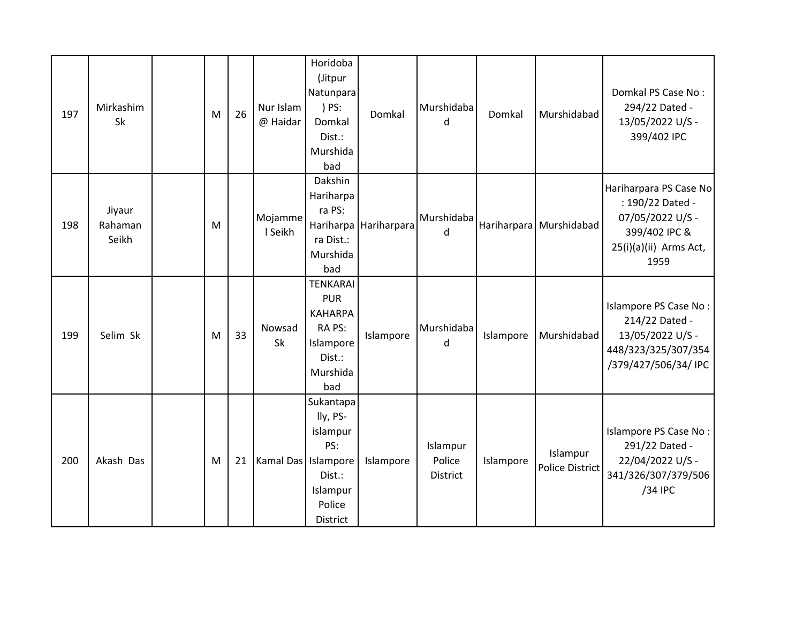| 197 | Mirkashim<br>Sk            | M | 26 | Nur Islam<br>@ Haidar | Horidoba<br>(Jitpur<br>Natunpara<br>) PS:<br>Domkal<br>Dist.:<br>Murshida<br>bad                    | Domkal      | Murshidaba<br>d                | Domkal    | Murshidabad                        | Domkal PS Case No:<br>294/22 Dated -<br>13/05/2022 U/S -<br>399/402 IPC                                           |
|-----|----------------------------|---|----|-----------------------|-----------------------------------------------------------------------------------------------------|-------------|--------------------------------|-----------|------------------------------------|-------------------------------------------------------------------------------------------------------------------|
| 198 | Jiyaur<br>Rahaman<br>Seikh | M |    | Mojamme<br>I Seikh    | Dakshin<br>Hariharpa<br>ra PS:<br>Hariharpa<br>ra Dist.:<br>Murshida<br>bad                         | Hariharpara | Murshidaba<br>d                |           | Hariharpara Murshidabad            | Hariharpara PS Case No<br>: 190/22 Dated -<br>07/05/2022 U/S -<br>399/402 IPC &<br>25(i)(a)(ii) Arms Act,<br>1959 |
| 199 | Selim Sk                   | M | 33 | Nowsad<br>Sk          | <b>TENKARAI</b><br><b>PUR</b><br><b>KAHARPA</b><br>RA PS:<br>Islampore<br>Dist.:<br>Murshida<br>bad | Islampore   | Murshidaba<br>d                | Islampore | Murshidabad                        | Islampore PS Case No:<br>214/22 Dated -<br>13/05/2022 U/S -<br>448/323/325/307/354<br>/379/427/506/34/ IPC        |
| 200 | Akash Das                  | M | 21 | Kamal Das   Islampore | Sukantapa<br>lly, PS-<br>islampur<br>PS:<br>Dist.:<br>Islampur<br>Police<br>District                | Islampore   | Islampur<br>Police<br>District | Islampore | Islampur<br><b>Police District</b> | Islampore PS Case No:<br>291/22 Dated -<br>22/04/2022 U/S -<br>341/326/307/379/506<br>/34 IPC                     |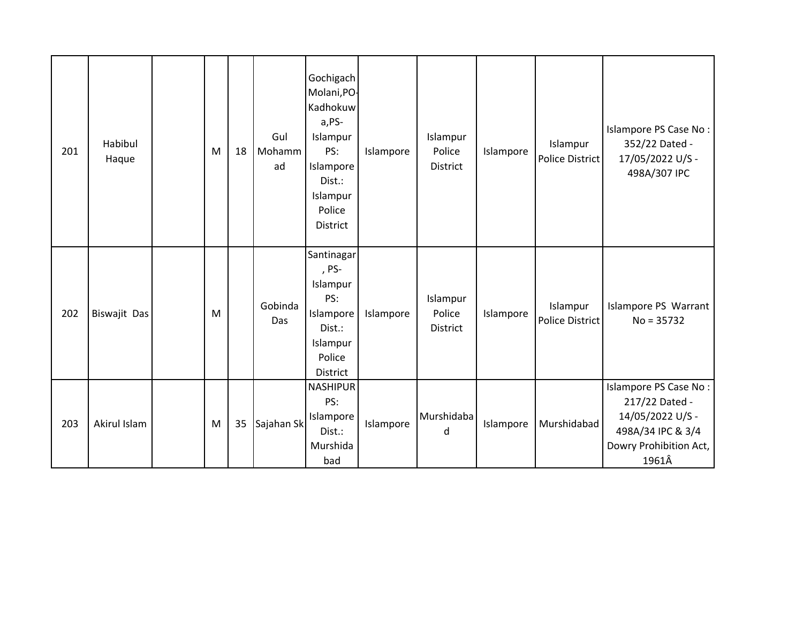| 201 | Habibul<br>Haque | M | 18 | Gul<br>Mohamm<br>ad | Gochigach<br>Molani, PO-<br>Kadhokuw<br>a,PS-<br>Islampur<br>PS:<br>Islampore<br>Dist.:<br>Islampur<br>Police<br>District | Islampore | Islampur<br>Police<br>District | Islampore | Islampur<br>Police District        | Islampore PS Case No:<br>352/22 Dated -<br>17/05/2022 U/S -<br>498A/307 IPC                                         |
|-----|------------------|---|----|---------------------|---------------------------------------------------------------------------------------------------------------------------|-----------|--------------------------------|-----------|------------------------------------|---------------------------------------------------------------------------------------------------------------------|
| 202 | Biswajit Das     | M |    | Gobinda<br>Das      | Santinagar<br>, PS-<br>Islampur<br>PS:<br>Islampore<br>Dist.:<br>Islampur<br>Police<br>District                           | Islampore | Islampur<br>Police<br>District | Islampore | Islampur<br><b>Police District</b> | Islampore PS Warrant<br>$No = 35732$                                                                                |
| 203 | Akirul Islam     | M | 35 | Sajahan Sk          | <b>NASHIPUR</b><br>PS:<br>Islampore<br>Dist.:<br>Murshida<br>bad                                                          | Islampore | Murshidaba<br>d                | Islampore | Murshidabad                        | Islampore PS Case No:<br>217/22 Dated -<br>14/05/2022 U/S -<br>498A/34 IPC & 3/4<br>Dowry Prohibition Act,<br>1961Â |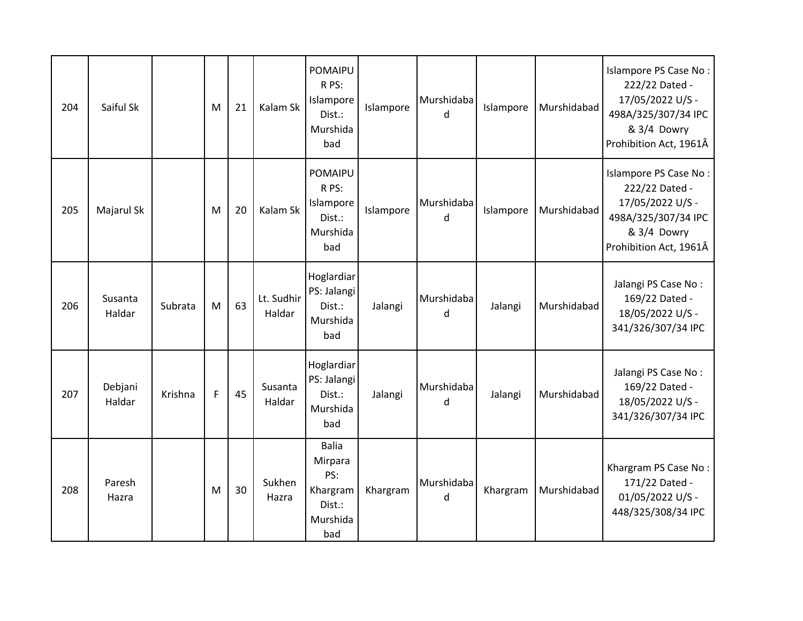| 204 | Saiful Sk         |         | M | 21 | Kalam Sk             | <b>POMAIPU</b><br>R PS:<br>Islampore<br>Dist.:<br>Murshida<br>bad       | Islampore | Murshidaba<br>d | Islampore | Murshidabad | Islampore PS Case No:<br>222/22 Dated -<br>17/05/2022 U/S -<br>498A/325/307/34 IPC<br>& 3/4 Dowry<br>Prohibition Act, 1961Â |
|-----|-------------------|---------|---|----|----------------------|-------------------------------------------------------------------------|-----------|-----------------|-----------|-------------|-----------------------------------------------------------------------------------------------------------------------------|
| 205 | Majarul Sk        |         | M | 20 | Kalam Sk             | <b>POMAIPU</b><br>R PS:<br>Islampore<br>Dist.:<br>Murshida<br>bad       | Islampore | Murshidaba<br>d | Islampore | Murshidabad | Islampore PS Case No:<br>222/22 Dated -<br>17/05/2022 U/S -<br>498A/325/307/34 IPC<br>& 3/4 Dowry<br>Prohibition Act, 1961Â |
| 206 | Susanta<br>Haldar | Subrata | M | 63 | Lt. Sudhir<br>Haldar | Hoglardiar<br>PS: Jalangi<br>Dist.:<br>Murshida<br>bad                  | Jalangi   | Murshidaba<br>d | Jalangi   | Murshidabad | Jalangi PS Case No:<br>169/22 Dated -<br>18/05/2022 U/S -<br>341/326/307/34 IPC                                             |
| 207 | Debjani<br>Haldar | Krishna | F | 45 | Susanta<br>Haldar    | Hoglardiar<br>PS: Jalangi<br>Dist.:<br>Murshida<br>bad                  | Jalangi   | Murshidaba<br>d | Jalangi   | Murshidabad | Jalangi PS Case No:<br>169/22 Dated -<br>18/05/2022 U/S -<br>341/326/307/34 IPC                                             |
| 208 | Paresh<br>Hazra   |         | M | 30 | Sukhen<br>Hazra      | <b>Balia</b><br>Mirpara<br>PS:<br>Khargram<br>Dist.:<br>Murshida<br>bad | Khargram  | Murshidaba<br>d | Khargram  | Murshidabad | Khargram PS Case No:<br>171/22 Dated -<br>01/05/2022 U/S -<br>448/325/308/34 IPC                                            |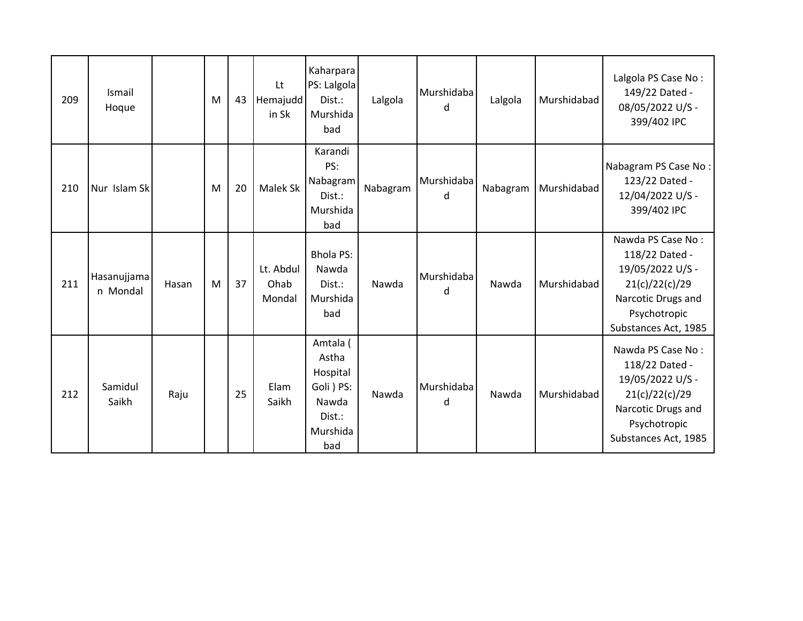| 209 | Ismail<br>Hoque         |       | M | 43 | Lt<br>Hemajudd<br>in Sk     | Kaharpara<br>PS: Lalgola<br>Dist.:<br>Murshida<br>bad                             | Lalgola  | Murshidaba<br>d | Lalgola  | Murshidabad | Lalgola PS Case No:<br>149/22 Dated -<br>08/05/2022 U/S -<br>399/402 IPC                                                                |
|-----|-------------------------|-------|---|----|-----------------------------|-----------------------------------------------------------------------------------|----------|-----------------|----------|-------------|-----------------------------------------------------------------------------------------------------------------------------------------|
| 210 | Nur Islam Sk            |       | M | 20 | Malek Sk                    | Karandi<br>PS:<br>Nabagram<br>Dist.:<br>Murshida<br>bad                           | Nabagram | Murshidaba<br>d | Nabagram | Murshidabad | Nabagram PS Case No:<br>123/22 Dated -<br>12/04/2022 U/S -<br>399/402 IPC                                                               |
| 211 | Hasanujjama<br>n Mondal | Hasan | M | 37 | Lt. Abdul<br>Ohab<br>Mondal | <b>Bhola PS:</b><br>Nawda<br>Dist.:<br>Murshida<br>bad                            | Nawda    | Murshidaba<br>d | Nawda    | Murshidabad | Nawda PS Case No:<br>118/22 Dated -<br>19/05/2022 U/S -<br>21(c)/22(c)/29<br>Narcotic Drugs and<br>Psychotropic<br>Substances Act, 1985 |
| 212 | Samidul<br>Saikh        | Raju  |   | 25 | Elam<br>Saikh               | Amtala (<br>Astha<br>Hospital<br>Goli ) PS:<br>Nawda<br>Dist.:<br>Murshida<br>bad | Nawda    | Murshidaba<br>d | Nawda    | Murshidabad | Nawda PS Case No:<br>118/22 Dated -<br>19/05/2022 U/S -<br>21(c)/22(c)/29<br>Narcotic Drugs and<br>Psychotropic<br>Substances Act, 1985 |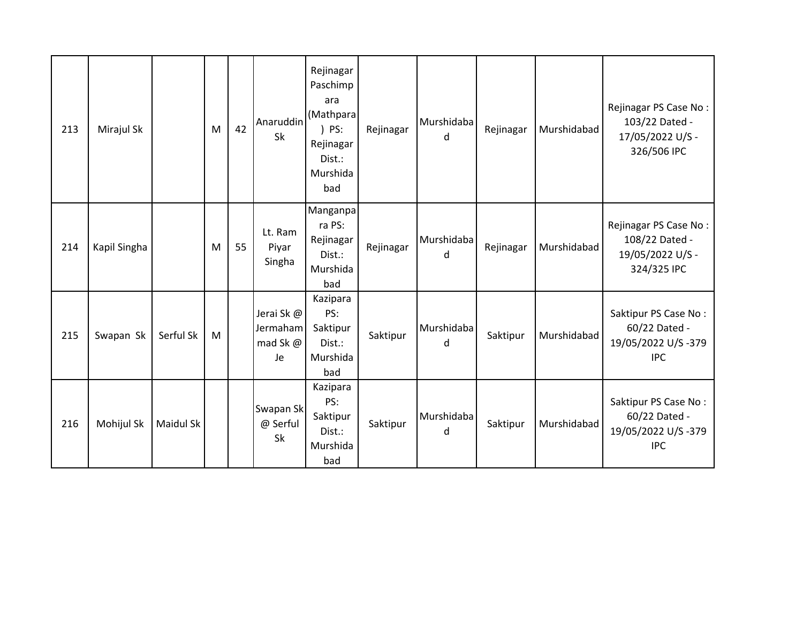| 213 | Mirajul Sk   |           | M | 42 | Anaruddin<br>Sk                         | Rejinagar<br>Paschimp<br>ara<br>(Mathpara<br>) PS:<br>Rejinagar<br>Dist.:<br>Murshida<br>bad | Rejinagar | Murshidaba<br>d | Rejinagar | Murshidabad | Rejinagar PS Case No:<br>103/22 Dated -<br>17/05/2022 U/S -<br>326/506 IPC |
|-----|--------------|-----------|---|----|-----------------------------------------|----------------------------------------------------------------------------------------------|-----------|-----------------|-----------|-------------|----------------------------------------------------------------------------|
| 214 | Kapil Singha |           | M | 55 | Lt. Ram<br>Piyar<br>Singha              | Manganpa<br>ra PS:<br>Rejinagar<br>Dist.:<br>Murshida<br>bad                                 | Rejinagar | Murshidaba<br>d | Rejinagar | Murshidabad | Rejinagar PS Case No:<br>108/22 Dated -<br>19/05/2022 U/S -<br>324/325 IPC |
| 215 | Swapan Sk    | Serful Sk | M |    | Jerai Sk @<br>Jermaham<br>mad Sk@<br>Je | Kazipara<br>PS:<br>Saktipur<br>Dist.:<br>Murshida<br>bad                                     | Saktipur  | Murshidaba<br>d | Saktipur  | Murshidabad | Saktipur PS Case No:<br>60/22 Dated -<br>19/05/2022 U/S-379<br><b>IPC</b>  |
| 216 | Mohijul Sk   | Maidul Sk |   |    | Swapan Sk<br>@ Serful<br>Sk             | Kazipara<br>PS:<br>Saktipur<br>Dist.:<br>Murshida<br>bad                                     | Saktipur  | Murshidaba<br>d | Saktipur  | Murshidabad | Saktipur PS Case No:<br>60/22 Dated -<br>19/05/2022 U/S-379<br><b>IPC</b>  |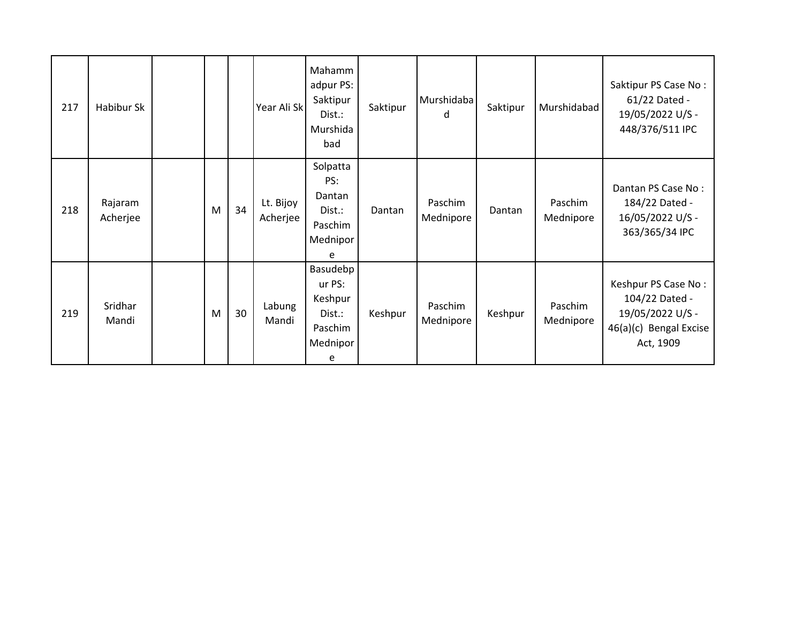| 217 | Habibur Sk          |   |    | Year Ali Sk           | Mahamm<br>adpur PS:<br>Saktipur<br>Dist.:<br>Murshida<br>bad        | Saktipur | Murshidaba<br>d      | Saktipur | Murshidabad          | Saktipur PS Case No:<br>61/22 Dated -<br>19/05/2022 U/S -<br>448/376/511 IPC                     |
|-----|---------------------|---|----|-----------------------|---------------------------------------------------------------------|----------|----------------------|----------|----------------------|--------------------------------------------------------------------------------------------------|
| 218 | Rajaram<br>Acherjee | M | 34 | Lt. Bijoy<br>Acherjee | Solpatta<br>PS:<br>Dantan<br>Dist.:<br>Paschim<br>Mednipor<br>e     | Dantan   | Paschim<br>Mednipore | Dantan   | Paschim<br>Mednipore | Dantan PS Case No:<br>184/22 Dated -<br>16/05/2022 U/S -<br>363/365/34 IPC                       |
| 219 | Sridhar<br>Mandi    | M | 30 | Labung<br>Mandi       | Basudebp<br>ur PS:<br>Keshpur<br>Dist.:<br>Paschim<br>Mednipor<br>e | Keshpur  | Paschim<br>Mednipore | Keshpur  | Paschim<br>Mednipore | Keshpur PS Case No:<br>104/22 Dated -<br>19/05/2022 U/S -<br>46(a)(c) Bengal Excise<br>Act, 1909 |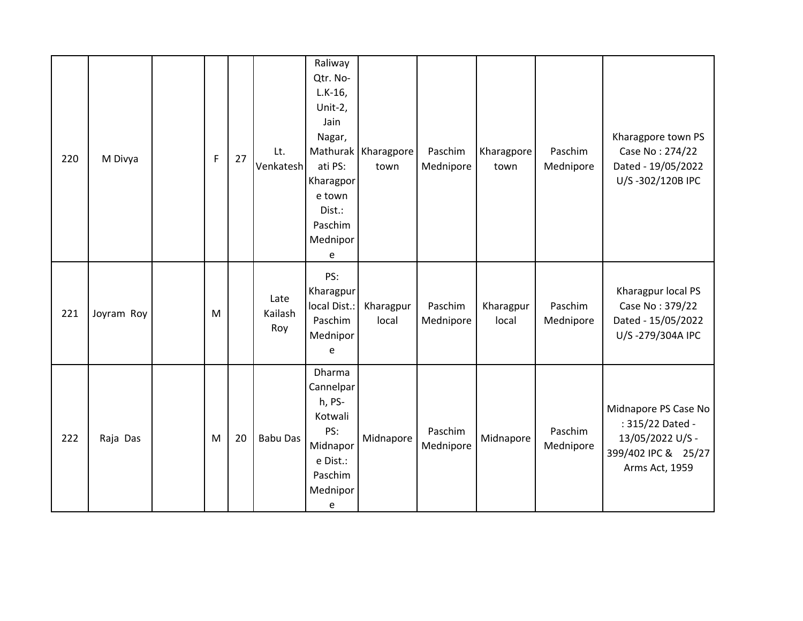| 220 | M Divya    | F | 27 | Lt.<br>Venkatesh       | Raliway<br>Qtr. No-<br>$L.K-16$ ,<br>Unit-2,<br>Jain<br>Nagar,<br>ati PS:<br>Kharagpor<br>e town<br>Dist.:<br>Paschim<br>Mednipor<br>e | Mathurak   Kharagpore<br>town | Paschim<br>Mednipore | Kharagpore<br>town | Paschim<br>Mednipore | Kharagpore town PS<br>Case No: 274/22<br>Dated - 19/05/2022<br>U/S-302/120B IPC                       |
|-----|------------|---|----|------------------------|----------------------------------------------------------------------------------------------------------------------------------------|-------------------------------|----------------------|--------------------|----------------------|-------------------------------------------------------------------------------------------------------|
| 221 | Joyram Roy | M |    | Late<br>Kailash<br>Roy | PS:<br>Kharagpur<br>local Dist.:<br>Paschim<br>Mednipor<br>e                                                                           | Kharagpur<br>local            | Paschim<br>Mednipore | Kharagpur<br>local | Paschim<br>Mednipore | Kharagpur local PS<br>Case No: 379/22<br>Dated - 15/05/2022<br>U/S-279/304A IPC                       |
| 222 | Raja Das   | M | 20 | <b>Babu Das</b>        | Dharma<br>Cannelpar<br>h, PS-<br>Kotwali<br>PS:<br>Midnapor<br>e Dist.:<br>Paschim<br>Mednipor<br>e                                    | Midnapore                     | Paschim<br>Mednipore | Midnapore          | Paschim<br>Mednipore | Midnapore PS Case No<br>: 315/22 Dated -<br>13/05/2022 U/S -<br>399/402 IPC & 25/27<br>Arms Act, 1959 |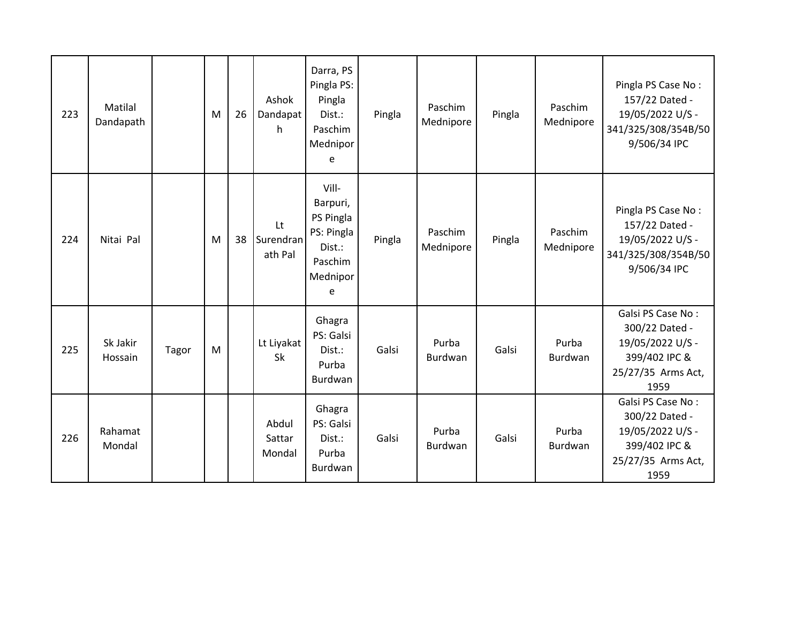| 223 | Matilal<br>Dandapath |       | M | 26 | Ashok<br>Dandapat<br>h     | Darra, PS<br>Pingla PS:<br>Pingla<br>Dist.:<br>Paschim<br>Mednipor<br>e            | Pingla | Paschim<br>Mednipore | Pingla | Paschim<br>Mednipore | Pingla PS Case No:<br>157/22 Dated -<br>19/05/2022 U/S -<br>341/325/308/354B/50<br>9/506/34 IPC        |
|-----|----------------------|-------|---|----|----------------------------|------------------------------------------------------------------------------------|--------|----------------------|--------|----------------------|--------------------------------------------------------------------------------------------------------|
| 224 | Nitai Pal            |       | M | 38 | Lt<br>Surendran<br>ath Pal | Vill-<br>Barpuri,<br>PS Pingla<br>PS: Pingla<br>Dist.:<br>Paschim<br>Mednipor<br>e | Pingla | Paschim<br>Mednipore | Pingla | Paschim<br>Mednipore | Pingla PS Case No:<br>157/22 Dated -<br>19/05/2022 U/S -<br>341/325/308/354B/50<br>9/506/34 IPC        |
| 225 | Sk Jakir<br>Hossain  | Tagor | M |    | Lt Liyakat<br>Sk           | Ghagra<br>PS: Galsi<br>Dist.:<br>Purba<br>Burdwan                                  | Galsi  | Purba<br>Burdwan     | Galsi  | Purba<br>Burdwan     | Galsi PS Case No:<br>300/22 Dated -<br>19/05/2022 U/S -<br>399/402 IPC &<br>25/27/35 Arms Act,<br>1959 |
| 226 | Rahamat<br>Mondal    |       |   |    | Abdul<br>Sattar<br>Mondal  | Ghagra<br>PS: Galsi<br>Dist.:<br>Purba<br><b>Burdwan</b>                           | Galsi  | Purba<br>Burdwan     | Galsi  | Purba<br>Burdwan     | Galsi PS Case No:<br>300/22 Dated -<br>19/05/2022 U/S -<br>399/402 IPC &<br>25/27/35 Arms Act,<br>1959 |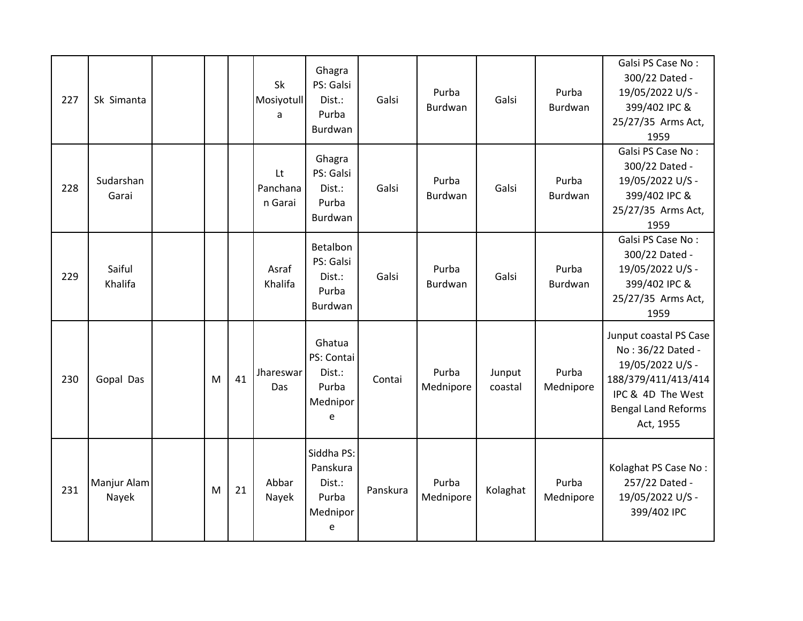| 227 | Sk Simanta           |   |    | Sk<br>Mosiyotull<br>a     | Ghagra<br>PS: Galsi<br>Dist.:<br>Purba<br>Burdwan          | Galsi    | Purba<br>Burdwan   | Galsi             | Purba<br>Burdwan   | Galsi PS Case No:<br>300/22 Dated -<br>19/05/2022 U/S -<br>399/402 IPC &<br>25/27/35 Arms Act,<br>1959                                                 |
|-----|----------------------|---|----|---------------------------|------------------------------------------------------------|----------|--------------------|-------------------|--------------------|--------------------------------------------------------------------------------------------------------------------------------------------------------|
| 228 | Sudarshan<br>Garai   |   |    | Lt<br>Panchana<br>n Garai | Ghagra<br>PS: Galsi<br>Dist.:<br>Purba<br>Burdwan          | Galsi    | Purba<br>Burdwan   | Galsi             | Purba<br>Burdwan   | Galsi PS Case No:<br>300/22 Dated -<br>19/05/2022 U/S -<br>399/402 IPC &<br>25/27/35 Arms Act,<br>1959                                                 |
| 229 | Saiful<br>Khalifa    |   |    | Asraf<br>Khalifa          | Betalbon<br>PS: Galsi<br>Dist.:<br>Purba<br>Burdwan        | Galsi    | Purba<br>Burdwan   | Galsi             | Purba<br>Burdwan   | Galsi PS Case No:<br>300/22 Dated -<br>19/05/2022 U/S -<br>399/402 IPC &<br>25/27/35 Arms Act,<br>1959                                                 |
| 230 | Gopal Das            | M | 41 | Jhareswar<br>Das          | Ghatua<br>PS: Contai<br>Dist.:<br>Purba<br>Mednipor<br>e   | Contai   | Purba<br>Mednipore | Junput<br>coastal | Purba<br>Mednipore | Junput coastal PS Case<br>No: 36/22 Dated -<br>19/05/2022 U/S -<br>188/379/411/413/414<br>IPC & 4D The West<br><b>Bengal Land Reforms</b><br>Act, 1955 |
| 231 | Manjur Alam<br>Nayek | M | 21 | Abbar<br>Nayek            | Siddha PS:<br>Panskura<br>Dist.:<br>Purba<br>Mednipor<br>e | Panskura | Purba<br>Mednipore | Kolaghat          | Purba<br>Mednipore | Kolaghat PS Case No:<br>257/22 Dated -<br>19/05/2022 U/S -<br>399/402 IPC                                                                              |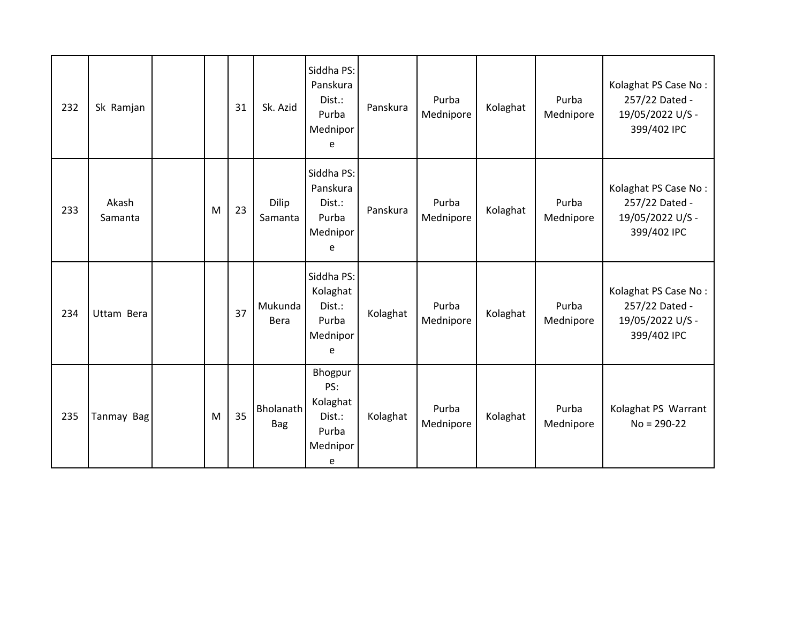| 232 | Sk Ramjan        |   | 31 | Sk. Azid                | Siddha PS:<br>Panskura<br>Dist.:<br>Purba<br>Mednipor<br>e     | Panskura | Purba<br>Mednipore | Kolaghat | Purba<br>Mednipore | Kolaghat PS Case No:<br>257/22 Dated -<br>19/05/2022 U/S -<br>399/402 IPC |
|-----|------------------|---|----|-------------------------|----------------------------------------------------------------|----------|--------------------|----------|--------------------|---------------------------------------------------------------------------|
| 233 | Akash<br>Samanta | M | 23 | Dilip<br>Samanta        | Siddha PS:<br>Panskura<br>Dist.:<br>Purba<br>Mednipor<br>e     | Panskura | Purba<br>Mednipore | Kolaghat | Purba<br>Mednipore | Kolaghat PS Case No:<br>257/22 Dated -<br>19/05/2022 U/S -<br>399/402 IPC |
| 234 | Uttam Bera       |   | 37 | Mukunda<br>Bera         | Siddha PS:<br>Kolaghat<br>Dist.:<br>Purba<br>Mednipor<br>e     | Kolaghat | Purba<br>Mednipore | Kolaghat | Purba<br>Mednipore | Kolaghat PS Case No:<br>257/22 Dated -<br>19/05/2022 U/S -<br>399/402 IPC |
| 235 | Tanmay Bag       | M | 35 | Bholanath<br><b>Bag</b> | Bhogpur<br>PS:<br>Kolaghat<br>Dist.:<br>Purba<br>Mednipor<br>e | Kolaghat | Purba<br>Mednipore | Kolaghat | Purba<br>Mednipore | Kolaghat PS Warrant<br>$No = 290-22$                                      |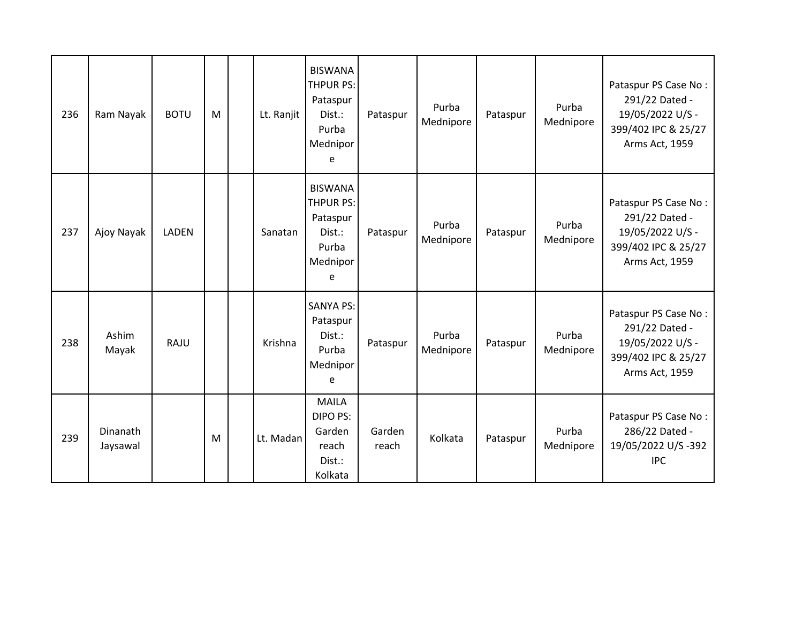| 236 | Ram Nayak            | <b>BOTU</b>  | M | Lt. Ranjit | <b>BISWANA</b><br><b>THPUR PS:</b><br>Pataspur<br>Dist.:<br>Purba<br>Mednipor<br>e | Pataspur        | Purba<br>Mednipore | Pataspur | Purba<br>Mednipore | Pataspur PS Case No:<br>291/22 Dated -<br>19/05/2022 U/S -<br>399/402 IPC & 25/27<br>Arms Act, 1959 |
|-----|----------------------|--------------|---|------------|------------------------------------------------------------------------------------|-----------------|--------------------|----------|--------------------|-----------------------------------------------------------------------------------------------------|
| 237 | Ajoy Nayak           | <b>LADEN</b> |   | Sanatan    | <b>BISWANA</b><br><b>THPUR PS:</b><br>Pataspur<br>Dist.:<br>Purba<br>Mednipor<br>e | Pataspur        | Purba<br>Mednipore | Pataspur | Purba<br>Mednipore | Pataspur PS Case No:<br>291/22 Dated -<br>19/05/2022 U/S -<br>399/402 IPC & 25/27<br>Arms Act, 1959 |
| 238 | Ashim<br>Mayak       | <b>RAJU</b>  |   | Krishna    | <b>SANYA PS:</b><br>Pataspur<br>Dist.:<br>Purba<br>Mednipor<br>e                   | Pataspur        | Purba<br>Mednipore | Pataspur | Purba<br>Mednipore | Pataspur PS Case No:<br>291/22 Dated -<br>19/05/2022 U/S -<br>399/402 IPC & 25/27<br>Arms Act, 1959 |
| 239 | Dinanath<br>Jaysawal |              | M | Lt. Madan  | <b>MAILA</b><br>DIPO PS:<br>Garden<br>reach<br>Dist.:<br>Kolkata                   | Garden<br>reach | Kolkata            | Pataspur | Purba<br>Mednipore | Pataspur PS Case No:<br>286/22 Dated -<br>19/05/2022 U/S -392<br><b>IPC</b>                         |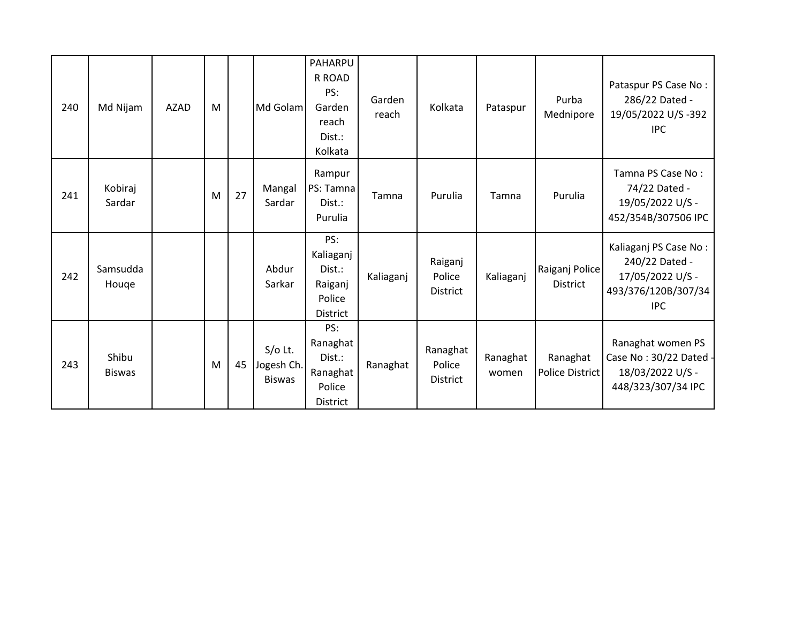| 240 | Md Nijam               | AZAD | M |    | Md Golam                                 | PAHARPU<br>R ROAD<br>PS:<br>Garden<br>reach<br>Dist.:<br>Kolkata   | Garden<br>reach | Kolkata                               | Pataspur          | Purba<br>Mednipore                | Pataspur PS Case No:<br>286/22 Dated -<br>19/05/2022 U/S -392<br>IPC.                            |
|-----|------------------------|------|---|----|------------------------------------------|--------------------------------------------------------------------|-----------------|---------------------------------------|-------------------|-----------------------------------|--------------------------------------------------------------------------------------------------|
| 241 | Kobiraj<br>Sardar      |      | M | 27 | Mangal<br>Sardar                         | Rampur<br>PS: Tamna<br>Dist.:<br>Purulia                           | Tamna           | Purulia                               | Tamna             | Purulia                           | Tamna PS Case No:<br>74/22 Dated -<br>19/05/2022 U/S -<br>452/354B/307506 IPC                    |
| 242 | Samsudda<br>Houge      |      |   |    | Abdur<br>Sarkar                          | PS:<br>Kaliaganj<br>Dist.:<br>Raiganj<br>Police<br><b>District</b> | Kaliaganj       | Raiganj<br>Police<br><b>District</b>  | Kaliaganj         | Raiganj Police<br><b>District</b> | Kaliaganj PS Case No:<br>240/22 Dated -<br>17/05/2022 U/S -<br>493/376/120B/307/34<br><b>IPC</b> |
| 243 | Shibu<br><b>Biswas</b> |      | M | 45 | $S/O$ Lt.<br>Jogesh Ch.<br><b>Biswas</b> | PS:<br>Ranaghat<br>Dist.:<br>Ranaghat<br>Police<br><b>District</b> | Ranaghat        | Ranaghat<br>Police<br><b>District</b> | Ranaghat<br>women | Ranaghat<br>Police District       | Ranaghat women PS<br>Case No: 30/22 Dated -<br>18/03/2022 U/S -<br>448/323/307/34 IPC            |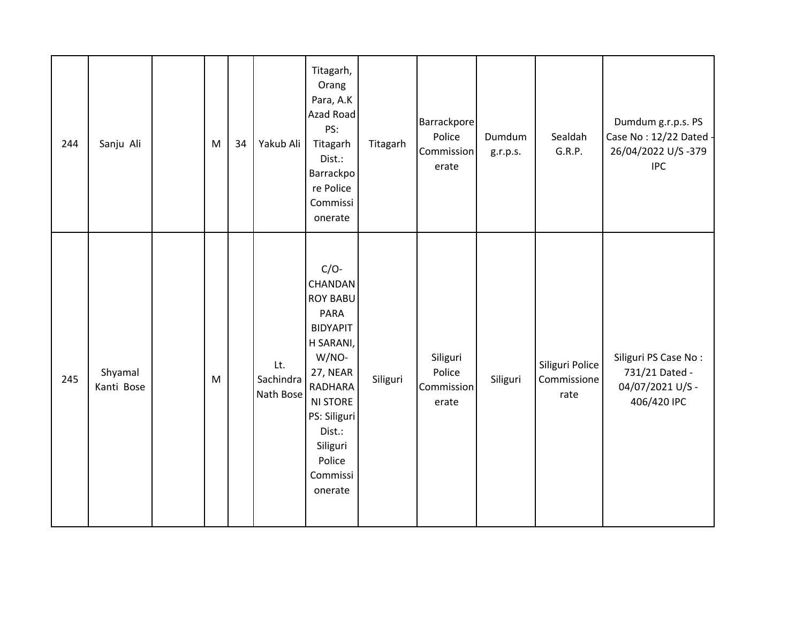| 244 | Sanju Ali             | M         | 34 | Yakub Ali                     | Titagarh,<br>Orang<br>Para, A.K<br>Azad Road<br>PS:<br>Titagarh<br>Dist.:<br>Barrackpo<br>re Police<br>Commissi<br>onerate                                                                                    | Titagarh | Barrackpore<br>Police<br>Commission<br>erate | Dumdum<br>g.r.p.s. | Sealdah<br>G.R.P.                      | Dumdum g.r.p.s. PS<br>Case No: 12/22 Dated -<br>26/04/2022 U/S-379<br><b>IPC</b> |
|-----|-----------------------|-----------|----|-------------------------------|---------------------------------------------------------------------------------------------------------------------------------------------------------------------------------------------------------------|----------|----------------------------------------------|--------------------|----------------------------------------|----------------------------------------------------------------------------------|
| 245 | Shyamal<br>Kanti Bose | ${\sf M}$ |    | Lt.<br>Sachindra<br>Nath Bose | $C/O-$<br>CHANDAN<br><b>ROY BABU</b><br><b>PARA</b><br><b>BIDYAPIT</b><br>H SARANI,<br>W/NO-<br>27, NEAR<br>RADHARA<br><b>NI STORE</b><br>PS: Siliguri<br>Dist.:<br>Siliguri<br>Police<br>Commissi<br>onerate | Siliguri | Siliguri<br>Police<br>Commission<br>erate    | Siliguri           | Siliguri Police<br>Commissione<br>rate | Siliguri PS Case No:<br>731/21 Dated -<br>04/07/2021 U/S -<br>406/420 IPC        |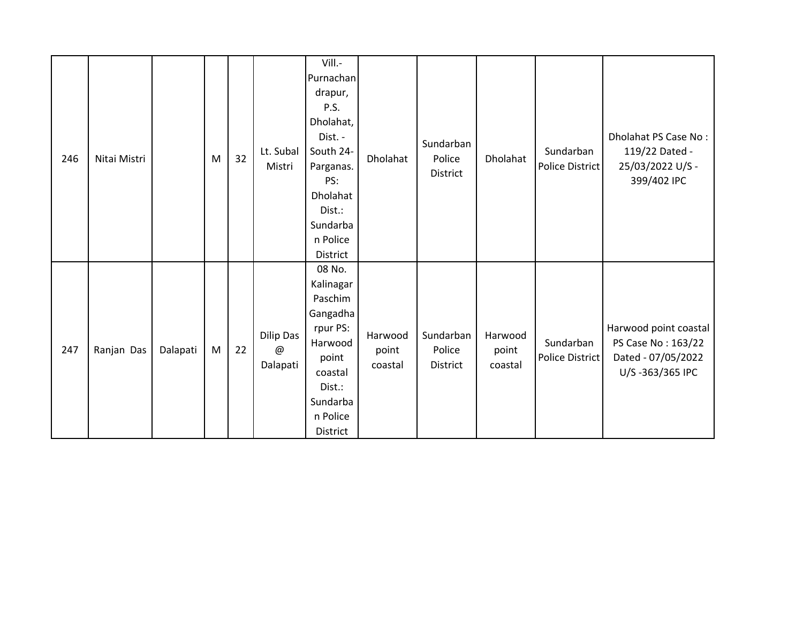| 246 | Nitai Mistri |          | M | 32 | Lt. Subal<br>Mistri                                | Vill.-<br>Purnachan<br>drapur,<br>P.S.<br>Dholahat,<br>Dist. -<br>South 24-<br>Parganas.<br>PS:<br>Dholahat<br>Dist.:<br>Sundarba<br>n Police<br>District | Dholahat                    | Sundarban<br>Police<br>District | Dholahat                    | Sundarban<br>Police District        | Dholahat PS Case No:<br>119/22 Dated -<br>25/03/2022 U/S -<br>399/402 IPC            |
|-----|--------------|----------|---|----|----------------------------------------------------|-----------------------------------------------------------------------------------------------------------------------------------------------------------|-----------------------------|---------------------------------|-----------------------------|-------------------------------------|--------------------------------------------------------------------------------------|
| 247 | Ranjan Das   | Dalapati | M | 22 | Dilip Das<br>$^\text{\textregistered}$<br>Dalapati | 08 No.<br>Kalinagar<br>Paschim<br>Gangadha<br>rpur PS:<br>Harwood<br>point<br>coastal<br>Dist.:<br>Sundarba<br>n Police<br>District                       | Harwood<br>point<br>coastal | Sundarban<br>Police<br>District | Harwood<br>point<br>coastal | Sundarban<br><b>Police District</b> | Harwood point coastal<br>PS Case No: 163/22<br>Dated - 07/05/2022<br>U/S-363/365 IPC |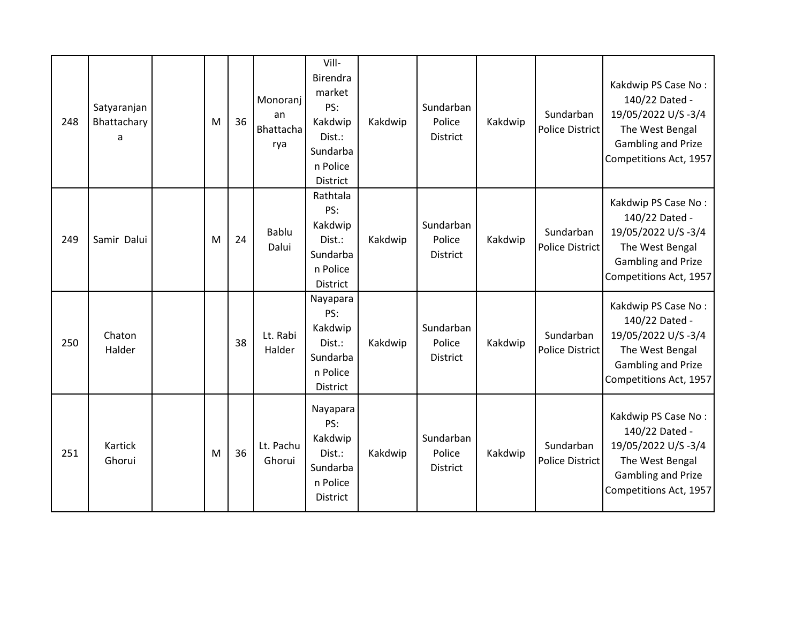| 248 | Satyaranjan<br>Bhattachary<br>a | M | 36 | Monoranj<br>an<br>Bhattacha<br>rya | Vill-<br>Birendra<br>market<br>PS:<br>Kakdwip<br>Dist.:<br>Sundarba<br>n Police<br><b>District</b> | Kakdwip | Sundarban<br>Police<br>District | Kakdwip | Sundarban<br><b>Police District</b> | Kakdwip PS Case No:<br>140/22 Dated -<br>19/05/2022 U/S-3/4<br>The West Bengal<br>Gambling and Prize<br>Competitions Act, 1957 |
|-----|---------------------------------|---|----|------------------------------------|----------------------------------------------------------------------------------------------------|---------|---------------------------------|---------|-------------------------------------|--------------------------------------------------------------------------------------------------------------------------------|
| 249 | Samir Dalui                     | M | 24 | Bablu<br>Dalui                     | Rathtala<br>PS:<br>Kakdwip<br>Dist.:<br>Sundarba<br>n Police<br>District                           | Kakdwip | Sundarban<br>Police<br>District | Kakdwip | Sundarban<br><b>Police District</b> | Kakdwip PS Case No:<br>140/22 Dated -<br>19/05/2022 U/S-3/4<br>The West Bengal<br>Gambling and Prize<br>Competitions Act, 1957 |
| 250 | Chaton<br>Halder                |   | 38 | Lt. Rabi<br>Halder                 | Nayapara<br>PS:<br>Kakdwip<br>Dist.:<br>Sundarba<br>n Police<br><b>District</b>                    | Kakdwip | Sundarban<br>Police<br>District | Kakdwip | Sundarban<br><b>Police District</b> | Kakdwip PS Case No:<br>140/22 Dated -<br>19/05/2022 U/S-3/4<br>The West Bengal<br>Gambling and Prize<br>Competitions Act, 1957 |
| 251 | Kartick<br>Ghorui               | M | 36 | Lt. Pachu<br>Ghorui                | Nayapara<br>PS:<br>Kakdwip<br>Dist.:<br>Sundarba<br>n Police<br><b>District</b>                    | Kakdwip | Sundarban<br>Police<br>District | Kakdwip | Sundarban<br><b>Police District</b> | Kakdwip PS Case No:<br>140/22 Dated -<br>19/05/2022 U/S-3/4<br>The West Bengal<br>Gambling and Prize<br>Competitions Act, 1957 |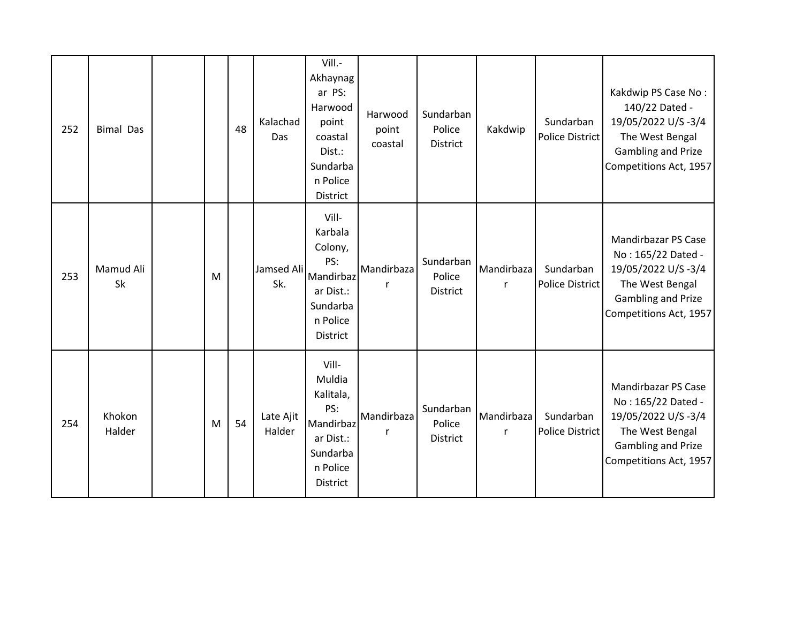| 252 | <b>Bimal Das</b> |   | 48 | Kalachad<br>Das     | Vill.-<br>Akhaynag<br>ar PS:<br>Harwood<br>point<br>coastal<br>Dist.:<br>Sundarba<br>n Police<br>District | Harwood<br>point<br>coastal | Sundarban<br>Police<br><b>District</b> | Kakdwip                    | Sundarban<br>Police District | Kakdwip PS Case No:<br>140/22 Dated -<br>19/05/2022 U/S-3/4<br>The West Bengal<br><b>Gambling and Prize</b><br>Competitions Act, 1957 |
|-----|------------------|---|----|---------------------|-----------------------------------------------------------------------------------------------------------|-----------------------------|----------------------------------------|----------------------------|------------------------------|---------------------------------------------------------------------------------------------------------------------------------------|
| 253 | Mamud Ali<br>Sk  | M |    | Jamsed Ali<br>Sk.   | Vill-<br>Karbala<br>Colony,<br>PS:<br>Mandirbaz<br>ar Dist.:<br>Sundarba<br>n Police<br><b>District</b>   | Mandirbaza                  | Sundarban<br>Police<br><b>District</b> | Mandirbaza<br>r            | Sundarban<br>Police District | Mandirbazar PS Case<br>No: 165/22 Dated -<br>19/05/2022 U/S-3/4<br>The West Bengal<br>Gambling and Prize<br>Competitions Act, 1957    |
| 254 | Khokon<br>Halder | M | 54 | Late Ajit<br>Halder | Vill-<br>Muldia<br>Kalitala,<br>PS:<br>Mandirbaz<br>ar Dist.:<br>Sundarba<br>n Police<br>District         | Mandirbaza<br>r             | Sundarban<br>Police<br><b>District</b> | Mandirbaza<br>$\mathsf{r}$ | Sundarban<br>Police District | Mandirbazar PS Case<br>No: 165/22 Dated -<br>19/05/2022 U/S-3/4<br>The West Bengal<br>Gambling and Prize<br>Competitions Act, 1957    |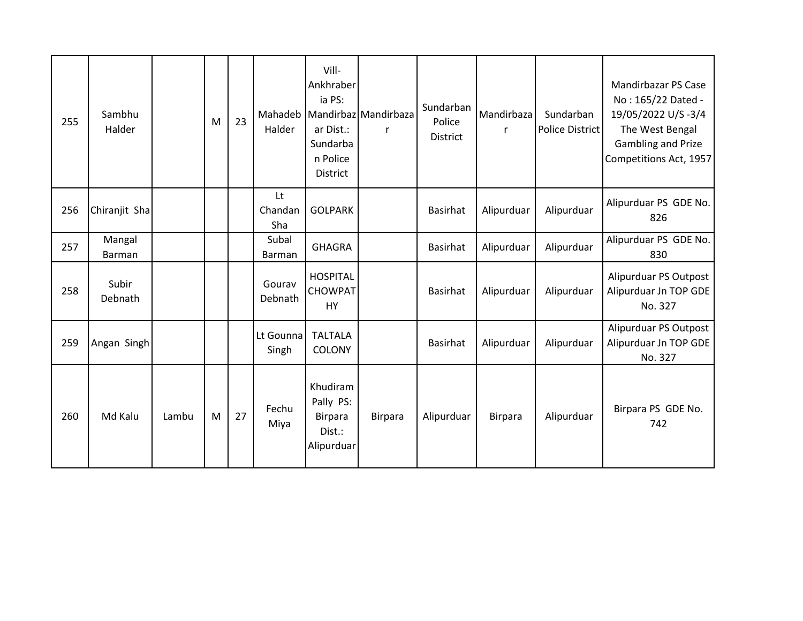| 255 | Sambhu<br>Halder |       | M | 23 | Mahadeb<br>Halder    | Vill-<br>Ankhraber<br>ia PS:<br>ar Dist.:<br>Sundarba<br>n Police<br>District | Mandirbaz Mandirbaza<br>r | Sundarban<br>Police<br><b>District</b> | Mandirbaza<br>$\mathsf{r}$ | Sundarban<br>Police District | Mandirbazar PS Case<br>No: 165/22 Dated -<br>19/05/2022 U/S-3/4<br>The West Bengal<br>Gambling and Prize<br>Competitions Act, 1957 |
|-----|------------------|-------|---|----|----------------------|-------------------------------------------------------------------------------|---------------------------|----------------------------------------|----------------------------|------------------------------|------------------------------------------------------------------------------------------------------------------------------------|
| 256 | Chiranjit Sha    |       |   |    | Lt<br>Chandan<br>Sha | <b>GOLPARK</b>                                                                |                           | <b>Basirhat</b>                        | Alipurduar                 | Alipurduar                   | Alipurduar PS GDE No.<br>826                                                                                                       |
| 257 | Mangal<br>Barman |       |   |    | Subal<br>Barman      | <b>GHAGRA</b>                                                                 |                           | <b>Basirhat</b>                        | Alipurduar                 | Alipurduar                   | Alipurduar PS GDE No.<br>830                                                                                                       |
| 258 | Subir<br>Debnath |       |   |    | Gourav<br>Debnath    | <b>HOSPITAL</b><br><b>CHOWPAT</b><br><b>HY</b>                                |                           | <b>Basirhat</b>                        | Alipurduar                 | Alipurduar                   | Alipurduar PS Outpost<br>Alipurduar Jn TOP GDE<br>No. 327                                                                          |
| 259 | Angan Singh      |       |   |    | Lt Gounna<br>Singh   | <b>TALTALA</b><br>COLONY                                                      |                           | Basirhat                               | Alipurduar                 | Alipurduar                   | Alipurduar PS Outpost<br>Alipurduar Jn TOP GDE<br>No. 327                                                                          |
| 260 | Md Kalu          | Lambu | M | 27 | Fechu<br>Miya        | Khudiram<br>Pally PS:<br><b>Birpara</b><br>Dist.:<br>Alipurduar               | Birpara                   | Alipurduar                             | <b>Birpara</b>             | Alipurduar                   | Birpara PS GDE No.<br>742                                                                                                          |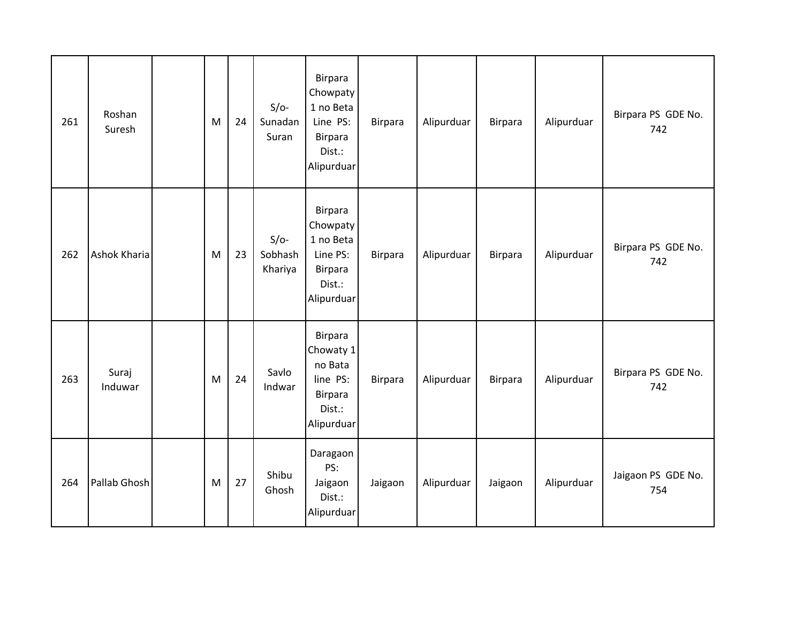| 261 | Roshan<br>Suresh | M | 24 | $S/O-$<br>Sunadan<br>Suran   | Birpara<br>Chowpaty<br>1 no Beta<br>Line PS:<br><b>Birpara</b><br>Dist.:<br>Alipurduar | <b>Birpara</b> | Alipurduar | Birpara        | Alipurduar | Birpara PS GDE No.<br>742 |
|-----|------------------|---|----|------------------------------|----------------------------------------------------------------------------------------|----------------|------------|----------------|------------|---------------------------|
| 262 | Ashok Kharia     | M | 23 | $S/O-$<br>Sobhash<br>Khariya | Birpara<br>Chowpaty<br>1 no Beta<br>Line PS:<br><b>Birpara</b><br>Dist.:<br>Alipurduar | <b>Birpara</b> | Alipurduar | Birpara        | Alipurduar | Birpara PS GDE No.<br>742 |
| 263 | Suraj<br>Induwar | M | 24 | Savlo<br>Indwar              | Birpara<br>Chowaty 1<br>no Bata<br>line PS:<br><b>Birpara</b><br>Dist.:<br>Alipurduar  | <b>Birpara</b> | Alipurduar | <b>Birpara</b> | Alipurduar | Birpara PS GDE No.<br>742 |
| 264 | Pallab Ghosh     | M | 27 | Shibu<br>Ghosh               | Daragaon<br>PS:<br>Jaigaon<br>Dist.:<br>Alipurduar                                     | Jaigaon        | Alipurduar | Jaigaon        | Alipurduar | Jaigaon PS GDE No.<br>754 |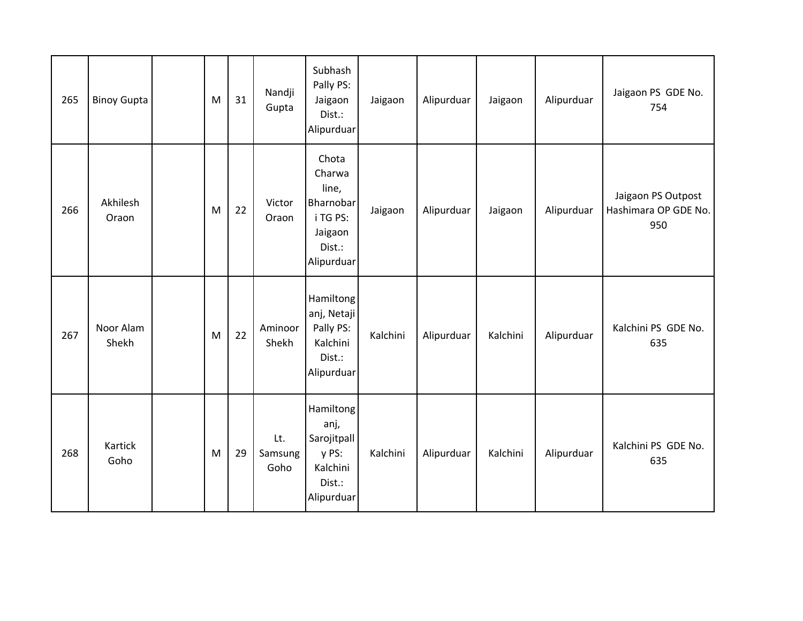| 265 | <b>Binoy Gupta</b> | M | 31 | Nandji<br>Gupta        | Subhash<br>Pally PS:<br>Jaigaon<br>Dist.:<br>Alipurduar                              | Jaigaon  | Alipurduar | Jaigaon  | Alipurduar | Jaigaon PS GDE No.<br>754                         |
|-----|--------------------|---|----|------------------------|--------------------------------------------------------------------------------------|----------|------------|----------|------------|---------------------------------------------------|
| 266 | Akhilesh<br>Oraon  | M | 22 | Victor<br>Oraon        | Chota<br>Charwa<br>line,<br>Bharnobar<br>i TG PS:<br>Jaigaon<br>Dist.:<br>Alipurduar | Jaigaon  | Alipurduar | Jaigaon  | Alipurduar | Jaigaon PS Outpost<br>Hashimara OP GDE No.<br>950 |
| 267 | Noor Alam<br>Shekh | M | 22 | Aminoor<br>Shekh       | Hamiltong<br>anj, Netaji<br>Pally PS:<br>Kalchini<br>Dist.:<br>Alipurduar            | Kalchini | Alipurduar | Kalchini | Alipurduar | Kalchini PS GDE No.<br>635                        |
| 268 | Kartick<br>Goho    | M | 29 | Lt.<br>Samsung<br>Goho | Hamiltong<br>anj,<br>Sarojitpall<br>y PS:<br>Kalchini<br>Dist.:<br>Alipurduar        | Kalchini | Alipurduar | Kalchini | Alipurduar | Kalchini PS GDE No.<br>635                        |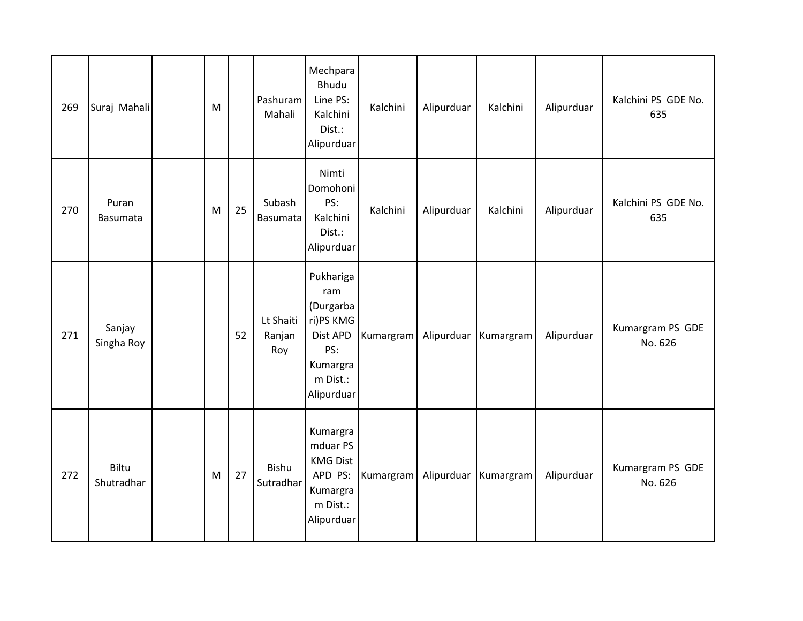| 269 | Suraj Mahali         | M |    | Pashuram<br>Mahali         | Mechpara<br>Bhudu<br>Line PS:<br>Kalchini<br>Dist.:<br>Alipurduar                                   | Kalchini  | Alipurduar | Kalchini  | Alipurduar | Kalchini PS GDE No.<br>635  |
|-----|----------------------|---|----|----------------------------|-----------------------------------------------------------------------------------------------------|-----------|------------|-----------|------------|-----------------------------|
| 270 | Puran<br>Basumata    | M | 25 | Subash<br>Basumata         | Nimti<br>Domohoni<br>PS:<br>Kalchini<br>Dist.:<br>Alipurduar                                        | Kalchini  | Alipurduar | Kalchini  | Alipurduar | Kalchini PS GDE No.<br>635  |
| 271 | Sanjay<br>Singha Roy |   | 52 | Lt Shaiti<br>Ranjan<br>Roy | Pukhariga<br>ram<br>(Durgarba<br>ri)PS KMG<br>Dist APD<br>PS:<br>Kumargra<br>m Dist.:<br>Alipurduar | Kumargram | Alipurduar | Kumargram | Alipurduar | Kumargram PS GDE<br>No. 626 |
| 272 | Biltu<br>Shutradhar  | M | 27 | Bishu<br>Sutradhar         | Kumargra<br>mduar PS<br><b>KMG Dist</b><br>APD PS:<br>Kumargra<br>m Dist.:<br>Alipurduar            | Kumargram | Alipurduar | Kumargram | Alipurduar | Kumargram PS GDE<br>No. 626 |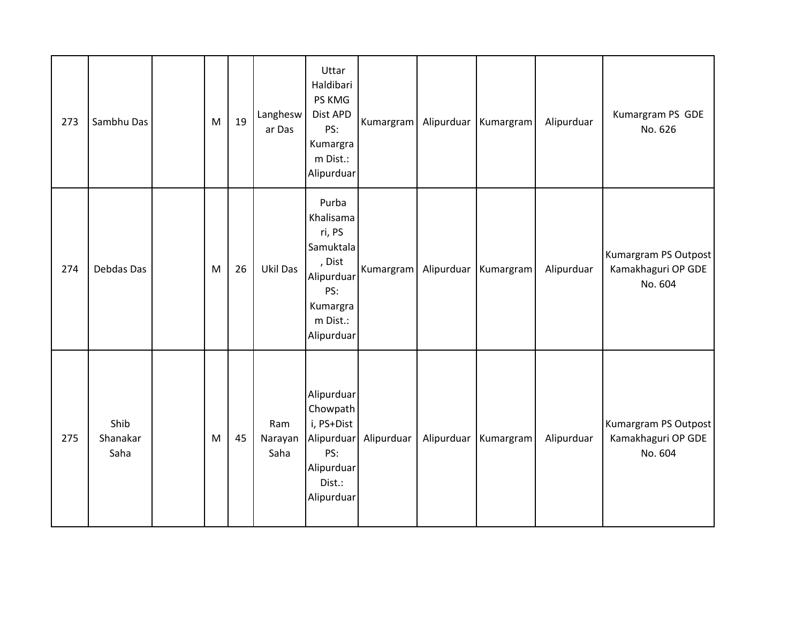| 273 | Sambhu Das               | M         | 19 | Langhesw<br>ar Das     | Uttar<br>Haldibari<br>PS KMG<br>Dist APD<br>PS:<br>Kumargra<br>m Dist.:<br>Alipurduar                          | Kumargram             |            | Alipurduar Kumargram | Alipurduar | Kumargram PS GDE<br>No. 626                           |
|-----|--------------------------|-----------|----|------------------------|----------------------------------------------------------------------------------------------------------------|-----------------------|------------|----------------------|------------|-------------------------------------------------------|
| 274 | Debdas Das               | M         | 26 | Ukil Das               | Purba<br>Khalisama<br>ri, PS<br>Samuktala<br>, Dist<br>Alipurduar<br>PS:<br>Kumargra<br>m Dist.:<br>Alipurduar | Kumargram             | Alipurduar | Kumargram            | Alipurduar | Kumargram PS Outpost<br>Kamakhaguri OP GDE<br>No. 604 |
| 275 | Shib<br>Shanakar<br>Saha | ${\sf M}$ | 45 | Ram<br>Narayan<br>Saha | Alipurduar<br>Chowpath<br>i, PS+Dist<br>PS:<br>Alipurduar<br>Dist.:<br>Alipurduar                              | Alipurduar Alipurduar |            | Alipurduar Kumargram | Alipurduar | Kumargram PS Outpost<br>Kamakhaguri OP GDE<br>No. 604 |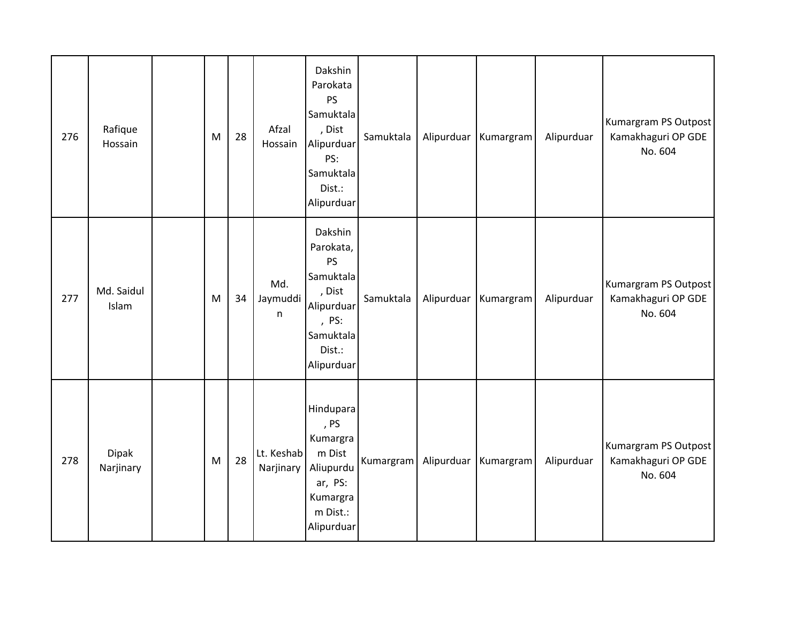| 276 | Rafique<br>Hossain        | M | 28 | Afzal<br>Hossain        | Dakshin<br>Parokata<br><b>PS</b><br>Samuktala<br>, Dist<br>Alipurduar<br>PS:<br>Samuktala<br>Dist.:<br>Alipurduar | Samuktala |            | Alipurduar Kumargram | Alipurduar | Kumargram PS Outpost<br>Kamakhaguri OP GDE<br>No. 604 |
|-----|---------------------------|---|----|-------------------------|-------------------------------------------------------------------------------------------------------------------|-----------|------------|----------------------|------------|-------------------------------------------------------|
| 277 | Md. Saidul<br>Islam       | M | 34 | Md.<br>Jaymuddi<br>n    | Dakshin<br>Parokata,<br>PS<br>Samuktala<br>, Dist<br>Alipurduar<br>, PS:<br>Samuktala<br>Dist.:<br>Alipurduar     | Samuktala | Alipurduar | Kumargram            | Alipurduar | Kumargram PS Outpost<br>Kamakhaguri OP GDE<br>No. 604 |
| 278 | <b>Dipak</b><br>Narjinary | M | 28 | Lt. Keshab<br>Narjinary | Hindupara<br>, PS<br>Kumargra<br>m Dist<br>Aliupurdu<br>ar, PS:<br>Kumargra<br>m Dist.:<br>Alipurduar             | Kumargram | Alipurduar | Kumargram            | Alipurduar | Kumargram PS Outpost<br>Kamakhaguri OP GDE<br>No. 604 |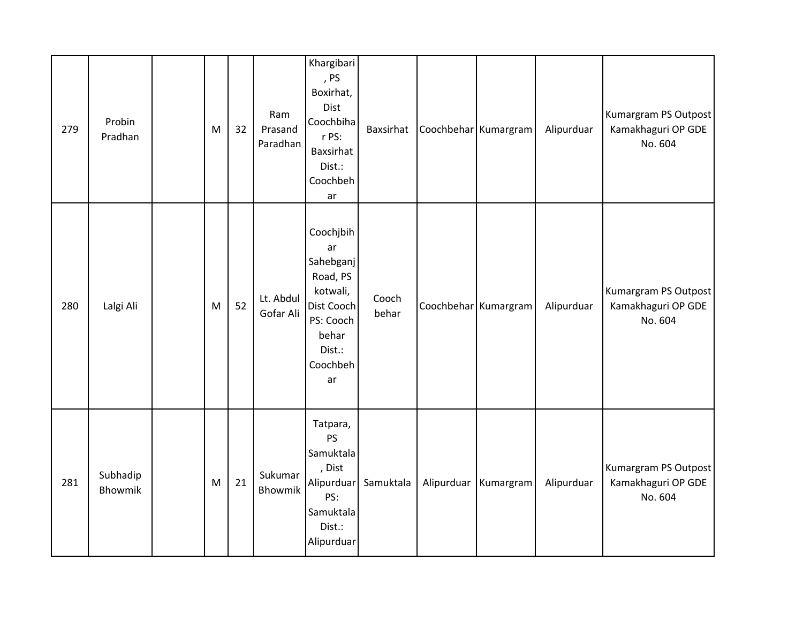| 279 | Probin<br>Pradhan   | M | 32 | Ram<br>Prasand<br>Paradhan | Khargibari<br>, PS<br>Boxirhat,<br>Dist<br>Coochbiha<br>r PS:<br>Baxsirhat<br>Dist.:<br>Coochbeh<br>ar               | Baxsirhat      |            | Coochbehar Kumargram | Alipurduar | Kumargram PS Outpost<br>Kamakhaguri OP GDE<br>No. 604 |
|-----|---------------------|---|----|----------------------------|----------------------------------------------------------------------------------------------------------------------|----------------|------------|----------------------|------------|-------------------------------------------------------|
| 280 | Lalgi Ali           | M | 52 | Lt. Abdul<br>Gofar Ali     | Coochjbih<br>ar<br>Sahebganj<br>Road, PS<br>kotwali,<br>Dist Cooch<br>PS: Cooch<br>behar<br>Dist.:<br>Coochbeh<br>ar | Cooch<br>behar |            | Coochbehar Kumargram | Alipurduar | Kumargram PS Outpost<br>Kamakhaguri OP GDE<br>No. 604 |
| 281 | Subhadip<br>Bhowmik | M | 21 | Sukumar<br>Bhowmik         | Tatpara,<br>PS<br>Samuktala<br>, Dist<br>Alipurduar<br>PS:<br>Samuktala<br>Dist.:<br>Alipurduar                      | Samuktala      | Alipurduar | Kumargram            | Alipurduar | Kumargram PS Outpost<br>Kamakhaguri OP GDE<br>No. 604 |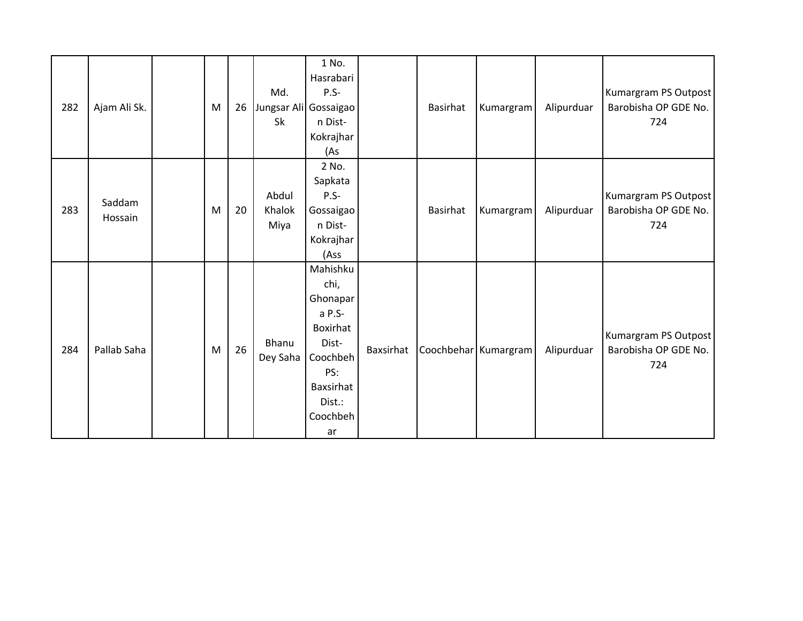| 282 | Ajam Ali Sk.      | M | 26 | Md.<br>Jungsar Ali Gossaigao<br>Sk | 1 No.<br>Hasrabari<br>$P.S -$<br>n Dist-<br>Kokrajhar<br>(As                                                            |           | Basirhat | Kumargram            | Alipurduar | Kumargram PS Outpost<br>Barobisha OP GDE No.<br>724 |
|-----|-------------------|---|----|------------------------------------|-------------------------------------------------------------------------------------------------------------------------|-----------|----------|----------------------|------------|-----------------------------------------------------|
| 283 | Saddam<br>Hossain | M | 20 | Abdul<br>Khalok<br>Miya            | 2 No.<br>Sapkata<br>$P.S-$<br>Gossaigao<br>n Dist-<br>Kokrajhar<br>(Ass                                                 |           | Basirhat | Kumargram            | Alipurduar | Kumargram PS Outpost<br>Barobisha OP GDE No.<br>724 |
| 284 | Pallab Saha       | M | 26 | Bhanu<br>Dey Saha                  | Mahishku<br>chi,<br>Ghonapar<br>a P.S-<br>Boxirhat<br>Dist-<br>Coochbeh<br>PS:<br>Baxsirhat<br>Dist.:<br>Coochbeh<br>ar | Baxsirhat |          | Coochbehar Kumargram | Alipurduar | Kumargram PS Outpost<br>Barobisha OP GDE No.<br>724 |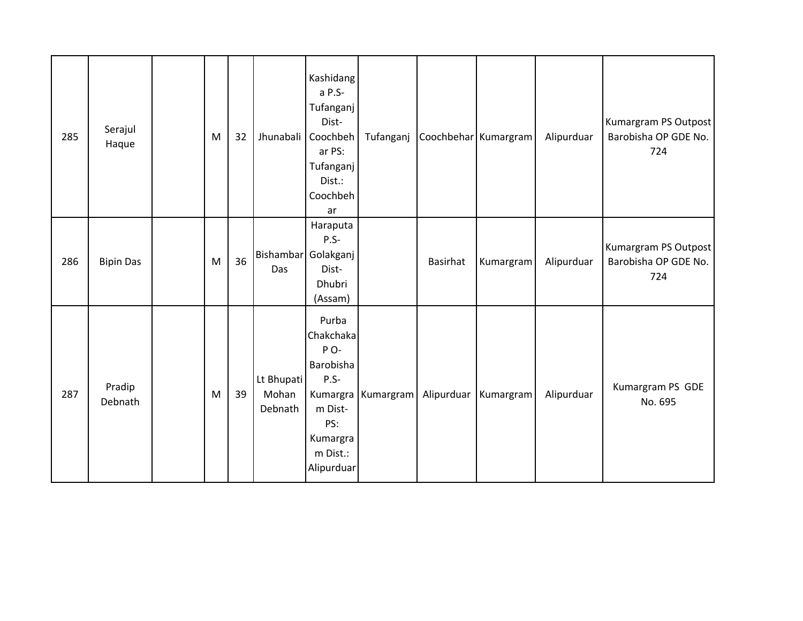| 285 | Serajul<br>Haque  | M         | 32 | Jhunabali                      | Kashidang<br>a P.S-<br>Tufanganj<br>Dist-<br>Coochbeh<br>ar PS:<br>Tufanganj<br>Dist.:<br>Coochbeh<br>ar | Tufanganj            | Coochbehar Kumargram |                      | Alipurduar | Kumargram PS Outpost<br>Barobisha OP GDE No.<br>724 |
|-----|-------------------|-----------|----|--------------------------------|----------------------------------------------------------------------------------------------------------|----------------------|----------------------|----------------------|------------|-----------------------------------------------------|
| 286 | <b>Bipin Das</b>  | M         | 36 | Das                            | Haraputa<br>$P.S-$<br>Bishambar Golakganj<br>Dist-<br>Dhubri<br>(Assam)                                  |                      | Basirhat             | Kumargram            | Alipurduar | Kumargram PS Outpost<br>Barobisha OP GDE No.<br>724 |
| 287 | Pradip<br>Debnath | ${\sf M}$ | 39 | Lt Bhupati<br>Mohan<br>Debnath | Purba<br>Chakchaka<br>PO-<br>Barobisha<br>$P.S-$<br>m Dist-<br>PS:<br>Kumargra<br>m Dist.:<br>Alipurduar | Kumargra   Kumargram |                      | Alipurduar Kumargram | Alipurduar | Kumargram PS GDE<br>No. 695                         |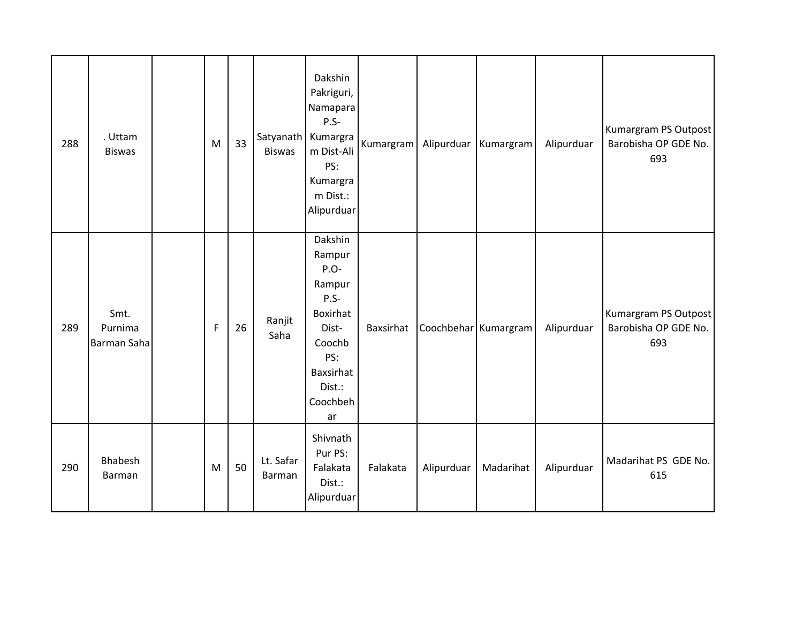| 288 | . Uttam<br><b>Biswas</b>              | M | 33 | <b>Biswas</b>       | Dakshin<br>Pakriguri,<br>Namapara<br>$P.S-$<br>Satyanath Kumargra<br>m Dist-Ali<br>PS:<br>Kumargra<br>m Dist.:<br>Alipurduar | Kumargram |            | Alipurduar   Kumargram | Alipurduar | Kumargram PS Outpost<br>Barobisha OP GDE No.<br>693 |
|-----|---------------------------------------|---|----|---------------------|------------------------------------------------------------------------------------------------------------------------------|-----------|------------|------------------------|------------|-----------------------------------------------------|
| 289 | Smt.<br>Purnima<br><b>Barman Saha</b> | F | 26 | Ranjit<br>Saha      | Dakshin<br>Rampur<br>P.O-<br>Rampur<br>$P.S-$<br>Boxirhat<br>Dist-<br>Coochb<br>PS:<br>Baxsirhat<br>Dist.:<br>Coochbeh<br>ar | Baxsirhat |            | Coochbehar Kumargram   | Alipurduar | Kumargram PS Outpost<br>Barobisha OP GDE No.<br>693 |
| 290 | Bhabesh<br><b>Barman</b>              | M | 50 | Lt. Safar<br>Barman | Shivnath<br>Pur PS:<br>Falakata<br>Dist.:<br>Alipurduar                                                                      | Falakata  | Alipurduar | Madarihat              | Alipurduar | Madarihat PS GDE No.<br>615                         |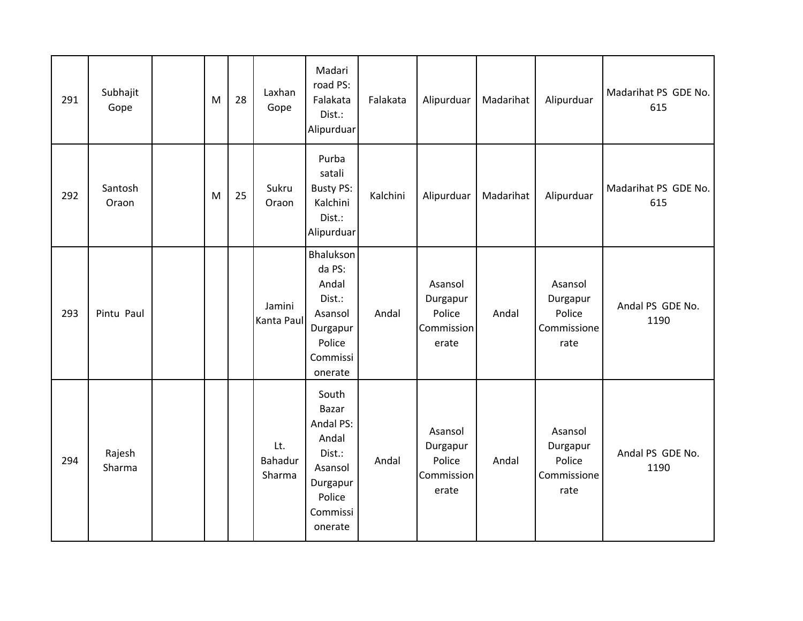| 291 | Subhajit<br>Gope | M | 28 | Laxhan<br>Gope           | Madari<br>road PS:<br>Falakata<br>Dist.:<br>Alipurduar                                                 | Falakata | Alipurduar                                           | Madarihat | Alipurduar                                           | Madarihat PS GDE No.<br>615 |
|-----|------------------|---|----|--------------------------|--------------------------------------------------------------------------------------------------------|----------|------------------------------------------------------|-----------|------------------------------------------------------|-----------------------------|
| 292 | Santosh<br>Oraon | M | 25 | Sukru<br>Oraon           | Purba<br>satali<br><b>Busty PS:</b><br>Kalchini<br>Dist.:<br>Alipurduar                                | Kalchini | Alipurduar                                           | Madarihat | Alipurduar                                           | Madarihat PS GDE No.<br>615 |
| 293 | Pintu Paul       |   |    | Jamini<br>Kanta Paul     | Bhalukson<br>da PS:<br>Andal<br>Dist.:<br>Asansol<br>Durgapur<br>Police<br>Commissi<br>onerate         | Andal    | Asansol<br>Durgapur<br>Police<br>Commission<br>erate | Andal     | Asansol<br>Durgapur<br>Police<br>Commissione<br>rate | Andal PS GDE No.<br>1190    |
| 294 | Rajesh<br>Sharma |   |    | Lt.<br>Bahadur<br>Sharma | South<br>Bazar<br>Andal PS:<br>Andal<br>Dist.:<br>Asansol<br>Durgapur<br>Police<br>Commissi<br>onerate | Andal    | Asansol<br>Durgapur<br>Police<br>Commission<br>erate | Andal     | Asansol<br>Durgapur<br>Police<br>Commissione<br>rate | Andal PS GDE No.<br>1190    |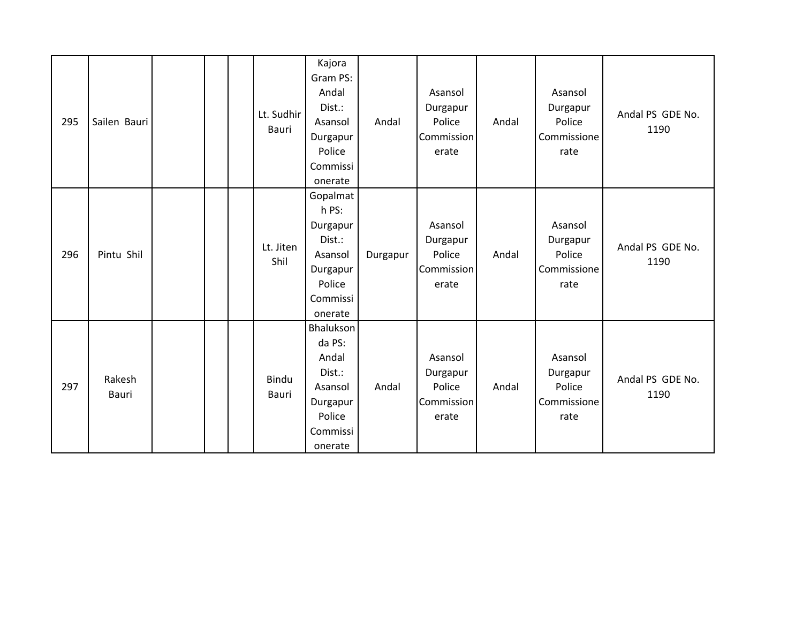| 295 | Sailen Bauri    |  | Lt. Sudhir<br>Bauri   | Kajora<br>Gram PS:<br>Andal<br>Dist.:<br>Asansol<br>Durgapur<br>Police<br>Commissi<br>onerate   | Andal    | Asansol<br>Durgapur<br>Police<br>Commission<br>erate | Andal | Asansol<br>Durgapur<br>Police<br>Commissione<br>rate | Andal PS GDE No.<br>1190 |
|-----|-----------------|--|-----------------------|-------------------------------------------------------------------------------------------------|----------|------------------------------------------------------|-------|------------------------------------------------------|--------------------------|
| 296 | Pintu Shil      |  | Lt. Jiten<br>Shil     | Gopalmat<br>h PS:<br>Durgapur<br>Dist.:<br>Asansol<br>Durgapur<br>Police<br>Commissi<br>onerate | Durgapur | Asansol<br>Durgapur<br>Police<br>Commission<br>erate | Andal | Asansol<br>Durgapur<br>Police<br>Commissione<br>rate | Andal PS GDE No.<br>1190 |
| 297 | Rakesh<br>Bauri |  | Bindu<br><b>Bauri</b> | Bhalukson<br>da PS:<br>Andal<br>Dist.:<br>Asansol<br>Durgapur<br>Police<br>Commissi<br>onerate  | Andal    | Asansol<br>Durgapur<br>Police<br>Commission<br>erate | Andal | Asansol<br>Durgapur<br>Police<br>Commissione<br>rate | Andal PS GDE No.<br>1190 |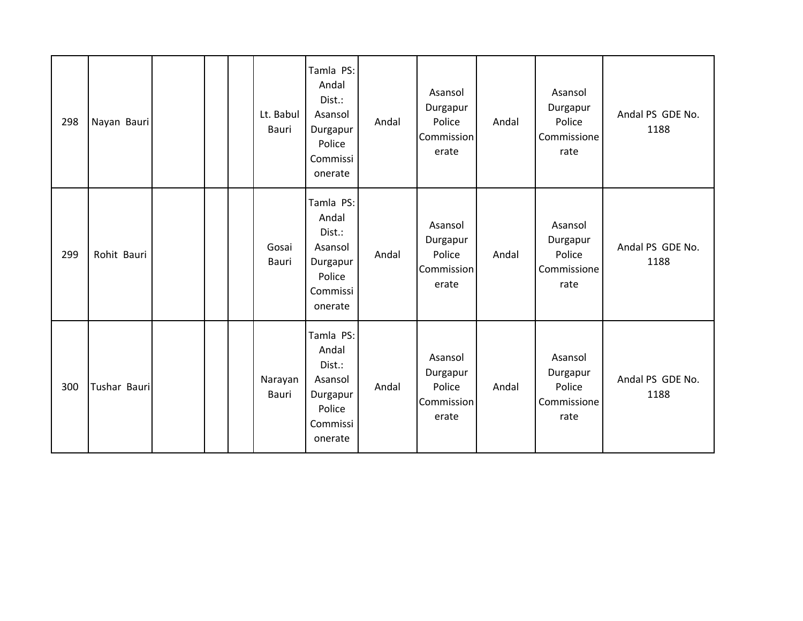| 298 | Nayan Bauri  |  | Lt. Babul<br>Bauri    | Tamla PS:<br>Andal<br>Dist.:<br>Asansol<br>Durgapur<br>Police<br>Commissi<br>onerate | Andal | Asansol<br>Durgapur<br>Police<br><b>Commission</b><br>erate | Andal | Asansol<br>Durgapur<br>Police<br>Commissione<br>rate | Andal PS GDE No.<br>1188 |
|-----|--------------|--|-----------------------|--------------------------------------------------------------------------------------|-------|-------------------------------------------------------------|-------|------------------------------------------------------|--------------------------|
| 299 | Rohit Bauri  |  | Gosai<br><b>Bauri</b> | Tamla PS:<br>Andal<br>Dist.:<br>Asansol<br>Durgapur<br>Police<br>Commissi<br>onerate | Andal | Asansol<br>Durgapur<br>Police<br>Commission<br>erate        | Andal | Asansol<br>Durgapur<br>Police<br>Commissione<br>rate | Andal PS GDE No.<br>1188 |
| 300 | Tushar Bauri |  | Narayan<br>Bauri      | Tamla PS:<br>Andal<br>Dist.:<br>Asansol<br>Durgapur<br>Police<br>Commissi<br>onerate | Andal | Asansol<br>Durgapur<br>Police<br>Commission<br>erate        | Andal | Asansol<br>Durgapur<br>Police<br>Commissione<br>rate | Andal PS GDE No.<br>1188 |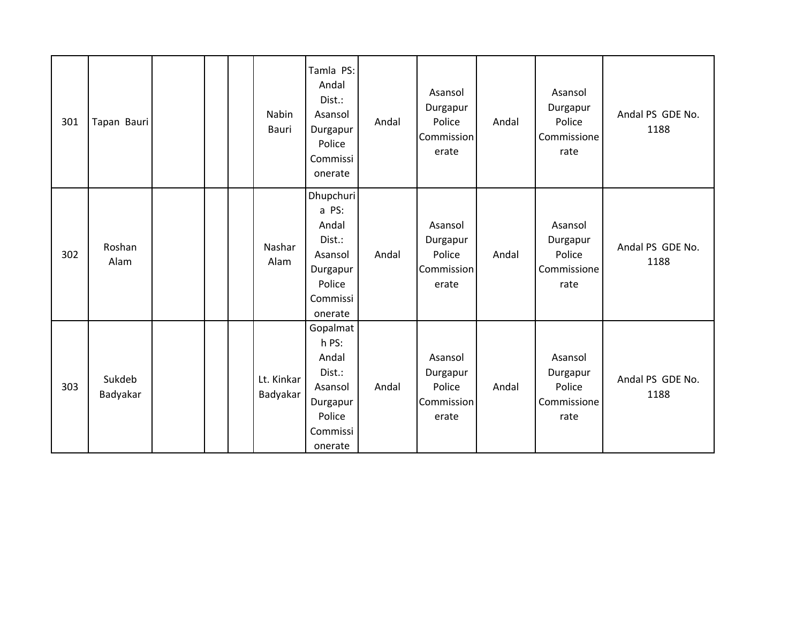| 301 | Tapan Bauri        |  | Nabin<br>Bauri         | Tamla PS:<br>Andal<br>Dist.:<br>Asansol<br>Durgapur<br>Police<br>Commissi<br>onerate          | Andal | Asansol<br>Durgapur<br>Police<br>Commission<br>erate | Andal | Asansol<br>Durgapur<br>Police<br>Commissione<br>rate | Andal PS GDE No.<br>1188 |
|-----|--------------------|--|------------------------|-----------------------------------------------------------------------------------------------|-------|------------------------------------------------------|-------|------------------------------------------------------|--------------------------|
| 302 | Roshan<br>Alam     |  | Nashar<br>Alam         | Dhupchuri<br>a PS:<br>Andal<br>Dist.:<br>Asansol<br>Durgapur<br>Police<br>Commissi<br>onerate | Andal | Asansol<br>Durgapur<br>Police<br>Commission<br>erate | Andal | Asansol<br>Durgapur<br>Police<br>Commissione<br>rate | Andal PS GDE No.<br>1188 |
| 303 | Sukdeb<br>Badyakar |  | Lt. Kinkar<br>Badyakar | Gopalmat<br>h PS:<br>Andal<br>Dist.:<br>Asansol<br>Durgapur<br>Police<br>Commissi<br>onerate  | Andal | Asansol<br>Durgapur<br>Police<br>Commission<br>erate | Andal | Asansol<br>Durgapur<br>Police<br>Commissione<br>rate | Andal PS GDE No.<br>1188 |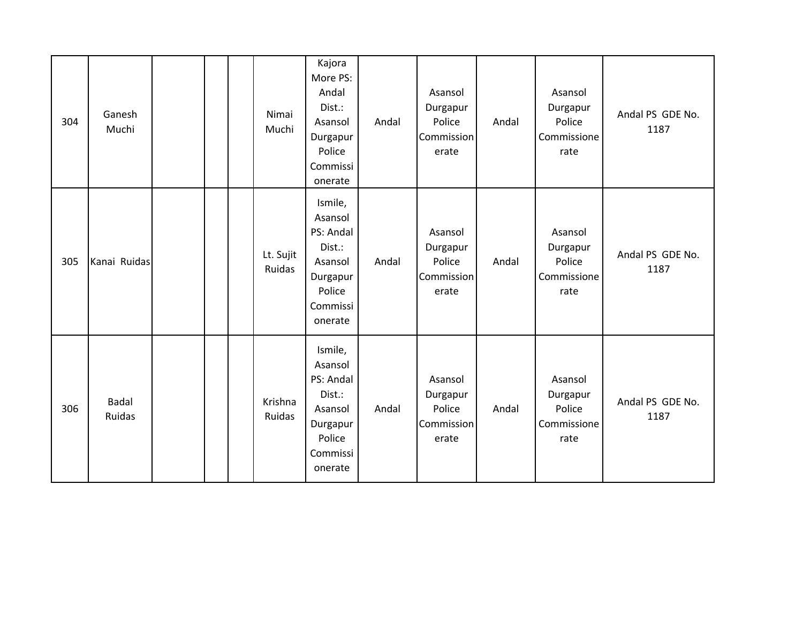| 304 | Ganesh<br>Muchi |  | Nimai<br>Muchi           | Kajora<br>More PS:<br>Andal<br>Dist.:<br>Asansol<br>Durgapur<br>Police<br>Commissi<br>onerate     | Andal | Asansol<br>Durgapur<br>Police<br>Commission<br>erate | Andal | Asansol<br>Durgapur<br>Police<br>Commissione<br>rate | Andal PS GDE No.<br>1187 |
|-----|-----------------|--|--------------------------|---------------------------------------------------------------------------------------------------|-------|------------------------------------------------------|-------|------------------------------------------------------|--------------------------|
| 305 | Kanai Ruidas    |  | Lt. Sujit<br>Ruidas      | Ismile,<br>Asansol<br>PS: Andal<br>Dist.:<br>Asansol<br>Durgapur<br>Police<br>Commissi<br>onerate | Andal | Asansol<br>Durgapur<br>Police<br>Commission<br>erate | Andal | Asansol<br>Durgapur<br>Police<br>Commissione<br>rate | Andal PS GDE No.<br>1187 |
| 306 | Badal<br>Ruidas |  | Krishna<br><b>Ruidas</b> | Ismile,<br>Asansol<br>PS: Andal<br>Dist.:<br>Asansol<br>Durgapur<br>Police<br>Commissi<br>onerate | Andal | Asansol<br>Durgapur<br>Police<br>Commission<br>erate | Andal | Asansol<br>Durgapur<br>Police<br>Commissione<br>rate | Andal PS GDE No.<br>1187 |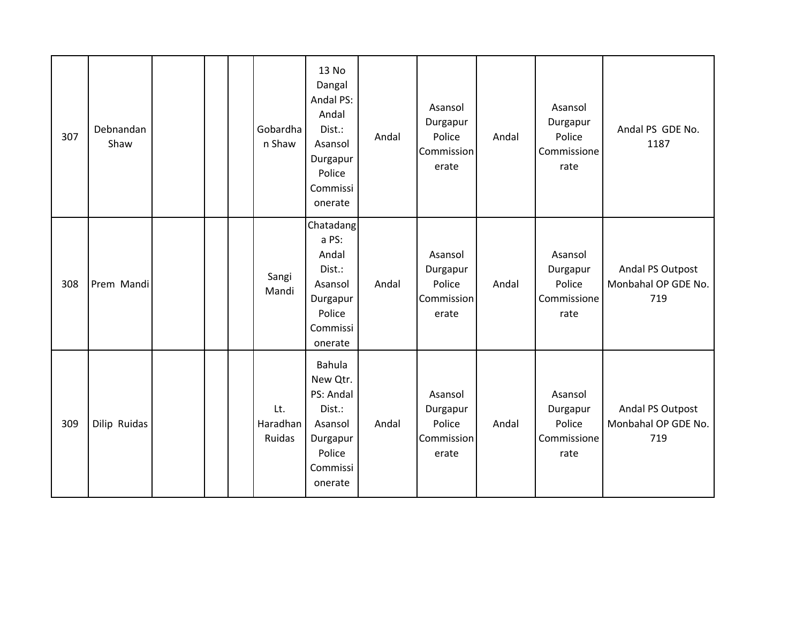| 307 | Debnandan<br>Shaw |  | Gobardha<br>n Shaw        | 13 No<br>Dangal<br>Andal PS:<br>Andal<br>Dist.:<br>Asansol<br>Durgapur<br>Police<br>Commissi<br>onerate | Andal | Asansol<br>Durgapur<br>Police<br>Commission<br>erate | Andal | Asansol<br>Durgapur<br>Police<br>Commissione<br>rate | Andal PS GDE No.<br>1187                       |
|-----|-------------------|--|---------------------------|---------------------------------------------------------------------------------------------------------|-------|------------------------------------------------------|-------|------------------------------------------------------|------------------------------------------------|
| 308 | Prem Mandi        |  | Sangi<br>Mandi            | Chatadang<br>a PS:<br>Andal<br>Dist.:<br>Asansol<br>Durgapur<br>Police<br>Commissi<br>onerate           | Andal | Asansol<br>Durgapur<br>Police<br>Commission<br>erate | Andal | Asansol<br>Durgapur<br>Police<br>Commissione<br>rate | Andal PS Outpost<br>Monbahal OP GDE No.<br>719 |
| 309 | Dilip Ruidas      |  | Lt.<br>Haradhan<br>Ruidas | Bahula<br>New Qtr.<br>PS: Andal<br>Dist.:<br>Asansol<br>Durgapur<br>Police<br>Commissi<br>onerate       | Andal | Asansol<br>Durgapur<br>Police<br>Commission<br>erate | Andal | Asansol<br>Durgapur<br>Police<br>Commissione<br>rate | Andal PS Outpost<br>Monbahal OP GDE No.<br>719 |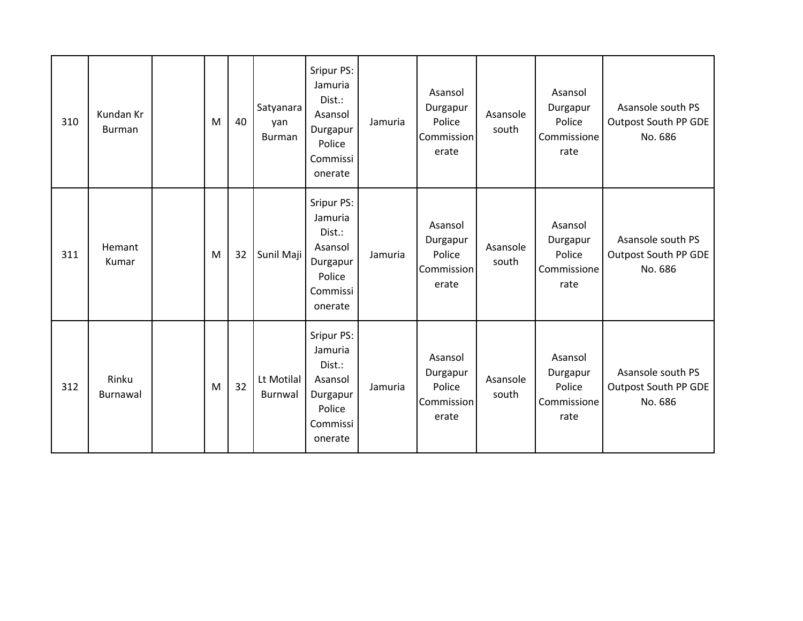| 310 | Kundan Kr<br><b>Burman</b> | M | 40 | Satyanara<br>yan<br><b>Burman</b> | Sripur PS:<br>Jamuria<br>Dist.:<br>Asansol<br>Durgapur<br>Police<br>Commissi<br>onerate | Jamuria | Asansol<br>Durgapur<br>Police<br>Commission<br>erate        | Asansole<br>south | Asansol<br>Durgapur<br>Police<br>Commissione<br>rate | Asansole south PS<br><b>Outpost South PP GDE</b><br>No. 686 |
|-----|----------------------------|---|----|-----------------------------------|-----------------------------------------------------------------------------------------|---------|-------------------------------------------------------------|-------------------|------------------------------------------------------|-------------------------------------------------------------|
| 311 | Hemant<br>Kumar            | M | 32 | Sunil Maji                        | Sripur PS:<br>Jamuria<br>Dist.:<br>Asansol<br>Durgapur<br>Police<br>Commissi<br>onerate | Jamuria | Asansol<br>Durgapur<br>Police<br>Commission<br>erate        | Asansole<br>south | Asansol<br>Durgapur<br>Police<br>Commissione<br>rate | Asansole south PS<br><b>Outpost South PP GDE</b><br>No. 686 |
| 312 | Rinku<br>Burnawal          | M | 32 | Lt Motilal<br>Burnwal             | Sripur PS:<br>Jamuria<br>Dist.:<br>Asansol<br>Durgapur<br>Police<br>Commissi<br>onerate | Jamuria | Asansol<br>Durgapur<br>Police<br><b>Commission</b><br>erate | Asansole<br>south | Asansol<br>Durgapur<br>Police<br>Commissione<br>rate | Asansole south PS<br><b>Outpost South PP GDE</b><br>No. 686 |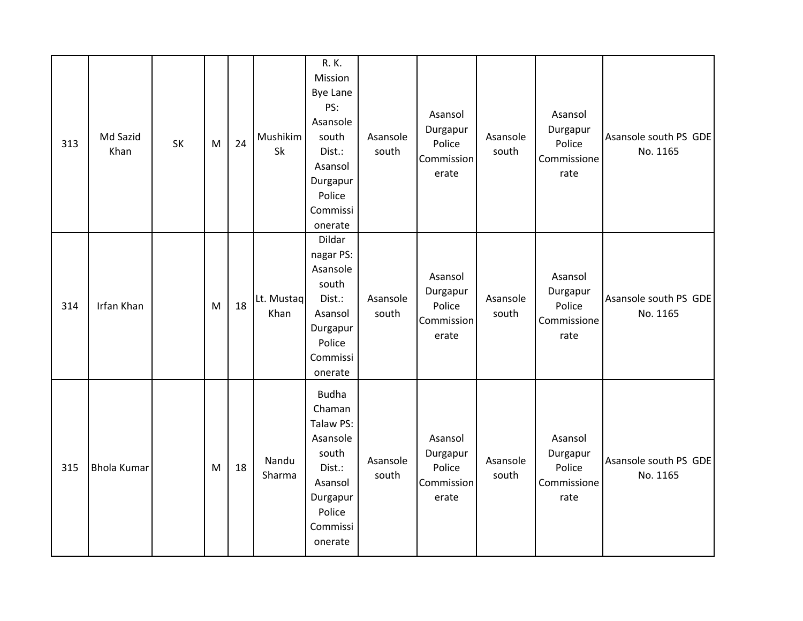| 313 | Md Sazid<br>Khan   | SK | M | 24 | Mushikim<br>Sk     | R. K.<br>Mission<br><b>Bye Lane</b><br>PS:<br>Asansole<br>south<br>Dist.:<br>Asansol<br>Durgapur<br>Police<br>Commissi<br>onerate | Asansole<br>south | Asansol<br>Durgapur<br>Police<br>Commission<br>erate | Asansole<br>south | Asansol<br>Durgapur<br>Police<br>Commissione<br>rate | Asansole south PS GDE<br>No. 1165 |
|-----|--------------------|----|---|----|--------------------|-----------------------------------------------------------------------------------------------------------------------------------|-------------------|------------------------------------------------------|-------------------|------------------------------------------------------|-----------------------------------|
| 314 | Irfan Khan         |    | M | 18 | Lt. Mustaq<br>Khan | Dildar<br>nagar PS:<br>Asansole<br>south<br>Dist.:<br>Asansol<br>Durgapur<br>Police<br>Commissi<br>onerate                        | Asansole<br>south | Asansol<br>Durgapur<br>Police<br>Commission<br>erate | Asansole<br>south | Asansol<br>Durgapur<br>Police<br>Commissione<br>rate | Asansole south PS GDE<br>No. 1165 |
| 315 | <b>Bhola Kumar</b> |    | M | 18 | Nandu<br>Sharma    | <b>Budha</b><br>Chaman<br>Talaw PS:<br>Asansole<br>south<br>Dist.:<br>Asansol<br>Durgapur<br>Police<br>Commissi<br>onerate        | Asansole<br>south | Asansol<br>Durgapur<br>Police<br>Commission<br>erate | Asansole<br>south | Asansol<br>Durgapur<br>Police<br>Commissione<br>rate | Asansole south PS GDE<br>No. 1165 |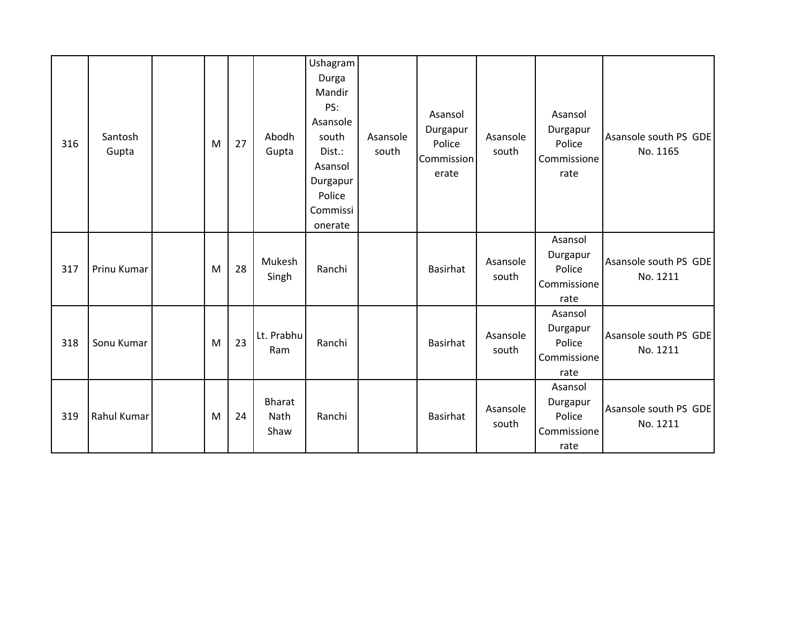| 316 | Santosh<br>Gupta | M | 27 | Abodh<br>Gupta                | Ushagram<br>Durga<br>Mandir<br>PS:<br>Asansole<br>south<br>Dist.:<br>Asansol<br>Durgapur<br>Police<br>Commissi<br>onerate | Asansole<br>south | Asansol<br>Durgapur<br>Police<br>Commission<br>erate | Asansole<br>south | Asansol<br>Durgapur<br>Police<br>Commissione<br>rate | Asansole south PS GDE<br>No. 1165 |
|-----|------------------|---|----|-------------------------------|---------------------------------------------------------------------------------------------------------------------------|-------------------|------------------------------------------------------|-------------------|------------------------------------------------------|-----------------------------------|
| 317 | Prinu Kumar      | M | 28 | Mukesh<br>Singh               | Ranchi                                                                                                                    |                   | Basirhat                                             | Asansole<br>south | Asansol<br>Durgapur<br>Police<br>Commissione<br>rate | Asansole south PS GDE<br>No. 1211 |
| 318 | Sonu Kumar       | M | 23 | Lt. Prabhu<br>Ram             | Ranchi                                                                                                                    |                   | Basirhat                                             | Asansole<br>south | Asansol<br>Durgapur<br>Police<br>Commissione<br>rate | Asansole south PS GDE<br>No. 1211 |
| 319 | Rahul Kumar      | M | 24 | <b>Bharat</b><br>Nath<br>Shaw | Ranchi                                                                                                                    |                   | Basirhat                                             | Asansole<br>south | Asansol<br>Durgapur<br>Police<br>Commissione<br>rate | Asansole south PS GDE<br>No. 1211 |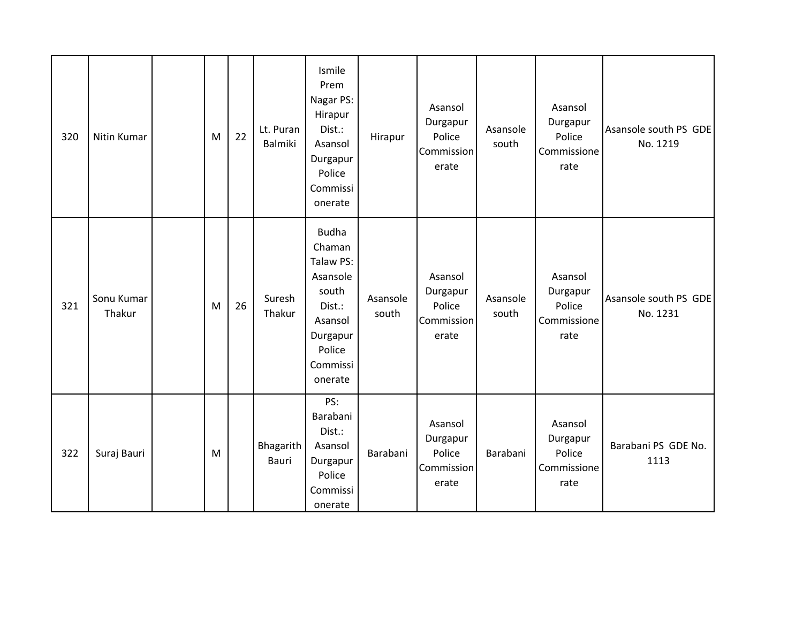| 320 | Nitin Kumar          | M | 22 | Lt. Puran<br>Balmiki      | Ismile<br>Prem<br>Nagar PS:<br>Hirapur<br>Dist.:<br>Asansol<br>Durgapur<br>Police<br>Commissi<br>onerate                   | Hirapur           | Asansol<br>Durgapur<br>Police<br>Commission<br>erate | Asansole<br>south | Asansol<br>Durgapur<br>Police<br>Commissione<br>rate | Asansole south PS GDE<br>No. 1219 |
|-----|----------------------|---|----|---------------------------|----------------------------------------------------------------------------------------------------------------------------|-------------------|------------------------------------------------------|-------------------|------------------------------------------------------|-----------------------------------|
| 321 | Sonu Kumar<br>Thakur | M | 26 | Suresh<br>Thakur          | <b>Budha</b><br>Chaman<br>Talaw PS:<br>Asansole<br>south<br>Dist.:<br>Asansol<br>Durgapur<br>Police<br>Commissi<br>onerate | Asansole<br>south | Asansol<br>Durgapur<br>Police<br>Commission<br>erate | Asansole<br>south | Asansol<br>Durgapur<br>Police<br>Commissione<br>rate | Asansole south PS GDE<br>No. 1231 |
| 322 | Suraj Bauri          | M |    | Bhagarith<br><b>Bauri</b> | PS:<br>Barabani<br>Dist.:<br>Asansol<br>Durgapur<br>Police<br>Commissi<br>onerate                                          | Barabani          | Asansol<br>Durgapur<br>Police<br>Commission<br>erate | Barabani          | Asansol<br>Durgapur<br>Police<br>Commissione<br>rate | Barabani PS GDE No.<br>1113       |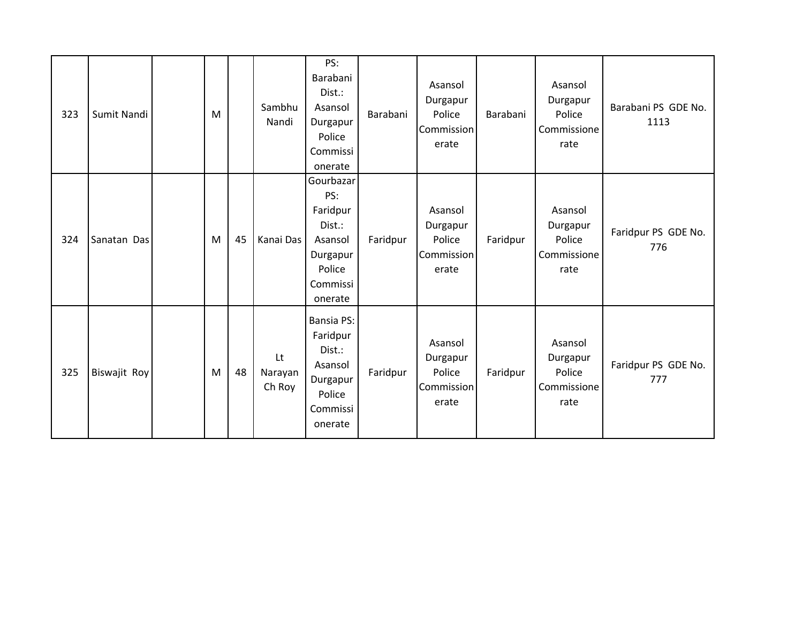| 323 | Sumit Nandi  | M |    | Sambhu<br>Nandi         | PS:<br>Barabani<br>Dist.:<br>Asansol<br>Durgapur<br>Police<br>Commissi<br>onerate              | Barabani | Asansol<br>Durgapur<br>Police<br>Commission<br>erate | Barabani | Asansol<br>Durgapur<br>Police<br>Commissione<br>rate | Barabani PS GDE No.<br>1113 |
|-----|--------------|---|----|-------------------------|------------------------------------------------------------------------------------------------|----------|------------------------------------------------------|----------|------------------------------------------------------|-----------------------------|
| 324 | Sanatan Das  | M | 45 | Kanai Das               | Gourbazar<br>PS:<br>Faridpur<br>Dist.:<br>Asansol<br>Durgapur<br>Police<br>Commissi<br>onerate | Faridpur | Asansol<br>Durgapur<br>Police<br>Commission<br>erate | Faridpur | Asansol<br>Durgapur<br>Police<br>Commissione<br>rate | Faridpur PS GDE No.<br>776  |
| 325 | Biswajit Roy | M | 48 | Lt<br>Narayan<br>Ch Roy | Bansia PS:<br>Faridpur<br>Dist.:<br>Asansol<br>Durgapur<br>Police<br>Commissi<br>onerate       | Faridpur | Asansol<br>Durgapur<br>Police<br>Commission<br>erate | Faridpur | Asansol<br>Durgapur<br>Police<br>Commissione<br>rate | Faridpur PS GDE No.<br>777  |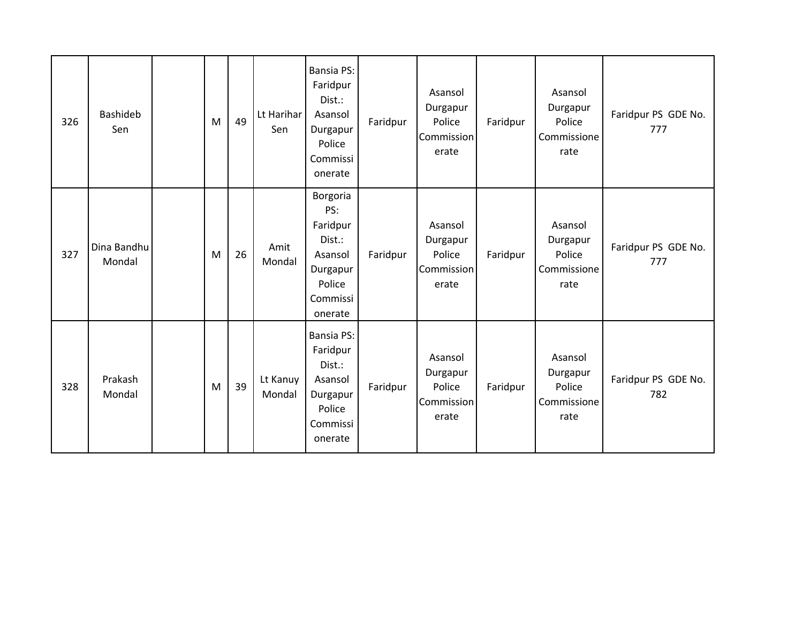| 326 | Bashideb<br>Sen       | M | 49 | Lt Harihar<br>Sen  | Bansia PS:<br>Faridpur<br>Dist.:<br>Asansol<br>Durgapur<br>Police<br>Commissi<br>onerate        | Faridpur | Asansol<br>Durgapur<br>Police<br>Commission<br>erate | Faridpur | Asansol<br>Durgapur<br>Police<br>Commissione<br>rate | Faridpur PS GDE No.<br>777 |
|-----|-----------------------|---|----|--------------------|-------------------------------------------------------------------------------------------------|----------|------------------------------------------------------|----------|------------------------------------------------------|----------------------------|
| 327 | Dina Bandhu<br>Mondal | M | 26 | Amit<br>Mondal     | Borgoria<br>PS:<br>Faridpur<br>Dist.:<br>Asansol<br>Durgapur<br>Police<br>Commissi<br>onerate   | Faridpur | Asansol<br>Durgapur<br>Police<br>Commission<br>erate | Faridpur | Asansol<br>Durgapur<br>Police<br>Commissione<br>rate | Faridpur PS GDE No.<br>777 |
| 328 | Prakash<br>Mondal     | M | 39 | Lt Kanuy<br>Mondal | <b>Bansia PS:</b><br>Faridpur<br>Dist.:<br>Asansol<br>Durgapur<br>Police<br>Commissi<br>onerate | Faridpur | Asansol<br>Durgapur<br>Police<br>Commission<br>erate | Faridpur | Asansol<br>Durgapur<br>Police<br>Commissione<br>rate | Faridpur PS GDE No.<br>782 |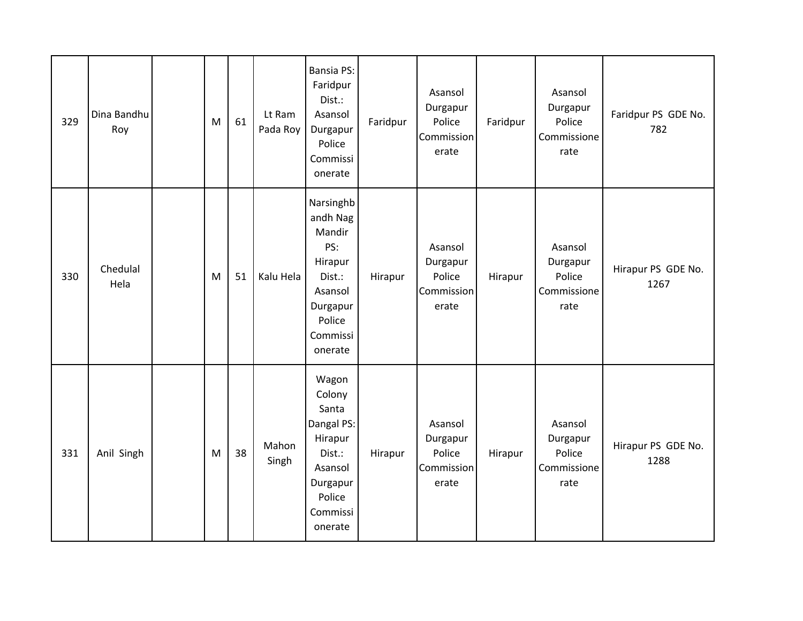| 329 | Dina Bandhu<br>Roy | M | 61 | Lt Ram<br>Pada Roy | Bansia PS:<br>Faridpur<br>Dist.:<br>Asansol<br>Durgapur<br>Police<br>Commissi<br>onerate                            | Faridpur | Asansol<br>Durgapur<br>Police<br>Commission<br>erate | Faridpur | Asansol<br>Durgapur<br>Police<br>Commissione<br>rate | Faridpur PS GDE No.<br>782 |
|-----|--------------------|---|----|--------------------|---------------------------------------------------------------------------------------------------------------------|----------|------------------------------------------------------|----------|------------------------------------------------------|----------------------------|
| 330 | Chedulal<br>Hela   | M | 51 | Kalu Hela          | Narsinghb<br>andh Nag<br>Mandir<br>PS:<br>Hirapur<br>Dist.:<br>Asansol<br>Durgapur<br>Police<br>Commissi<br>onerate | Hirapur  | Asansol<br>Durgapur<br>Police<br>Commission<br>erate | Hirapur  | Asansol<br>Durgapur<br>Police<br>Commissione<br>rate | Hirapur PS GDE No.<br>1267 |
| 331 | Anil Singh         | M | 38 | Mahon<br>Singh     | Wagon<br>Colony<br>Santa<br>Dangal PS:<br>Hirapur<br>Dist.:<br>Asansol<br>Durgapur<br>Police<br>Commissi<br>onerate | Hirapur  | Asansol<br>Durgapur<br>Police<br>Commission<br>erate | Hirapur  | Asansol<br>Durgapur<br>Police<br>Commissione<br>rate | Hirapur PS GDE No.<br>1288 |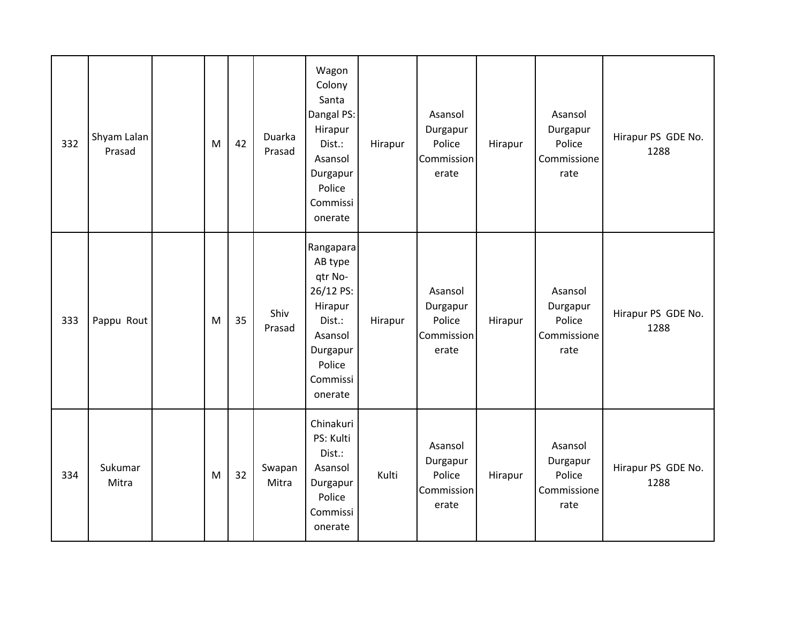| 332 | Shyam Lalan<br>Prasad | M | 42 | Duarka<br>Prasad | Wagon<br>Colony<br>Santa<br>Dangal PS:<br>Hirapur<br>Dist.:<br>Asansol<br>Durgapur<br>Police<br>Commissi<br>onerate       | Hirapur | Asansol<br>Durgapur<br>Police<br>Commission<br>erate | Hirapur | Asansol<br>Durgapur<br>Police<br>Commissione<br>rate | Hirapur PS GDE No.<br>1288 |
|-----|-----------------------|---|----|------------------|---------------------------------------------------------------------------------------------------------------------------|---------|------------------------------------------------------|---------|------------------------------------------------------|----------------------------|
| 333 | Pappu Rout            | M | 35 | Shiv<br>Prasad   | Rangapara<br>AB type<br>qtr No-<br>26/12 PS:<br>Hirapur<br>Dist.:<br>Asansol<br>Durgapur<br>Police<br>Commissi<br>onerate | Hirapur | Asansol<br>Durgapur<br>Police<br>Commission<br>erate | Hirapur | Asansol<br>Durgapur<br>Police<br>Commissione<br>rate | Hirapur PS GDE No.<br>1288 |
| 334 | Sukumar<br>Mitra      | M | 32 | Swapan<br>Mitra  | Chinakuri<br>PS: Kulti<br>Dist.:<br>Asansol<br>Durgapur<br>Police<br>Commissi<br>onerate                                  | Kulti   | Asansol<br>Durgapur<br>Police<br>Commission<br>erate | Hirapur | Asansol<br>Durgapur<br>Police<br>Commissione<br>rate | Hirapur PS GDE No.<br>1288 |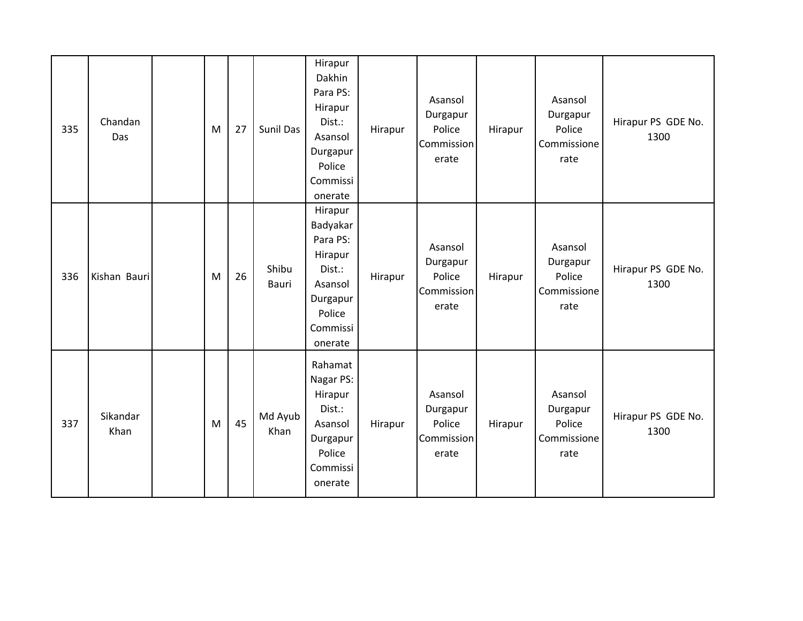| 335 | Chandan<br>Das   | M | 27 | <b>Sunil Das</b> | Hirapur<br>Dakhin<br>Para PS:<br>Hirapur<br>Dist.:<br>Asansol<br>Durgapur<br>Police<br>Commissi<br>onerate   | Hirapur | Asansol<br>Durgapur<br>Police<br>Commission<br>erate | Hirapur | Asansol<br>Durgapur<br>Police<br>Commissione<br>rate | Hirapur PS GDE No.<br>1300 |
|-----|------------------|---|----|------------------|--------------------------------------------------------------------------------------------------------------|---------|------------------------------------------------------|---------|------------------------------------------------------|----------------------------|
| 336 | Kishan Bauri     | M | 26 | Shibu<br>Bauri   | Hirapur<br>Badyakar<br>Para PS:<br>Hirapur<br>Dist.:<br>Asansol<br>Durgapur<br>Police<br>Commissi<br>onerate | Hirapur | Asansol<br>Durgapur<br>Police<br>Commission<br>erate | Hirapur | Asansol<br>Durgapur<br>Police<br>Commissione<br>rate | Hirapur PS GDE No.<br>1300 |
| 337 | Sikandar<br>Khan | M | 45 | Md Ayub<br>Khan  | Rahamat<br>Nagar PS:<br>Hirapur<br>Dist.:<br>Asansol<br>Durgapur<br>Police<br>Commissi<br>onerate            | Hirapur | Asansol<br>Durgapur<br>Police<br>Commission<br>erate | Hirapur | Asansol<br>Durgapur<br>Police<br>Commissione<br>rate | Hirapur PS GDE No.<br>1300 |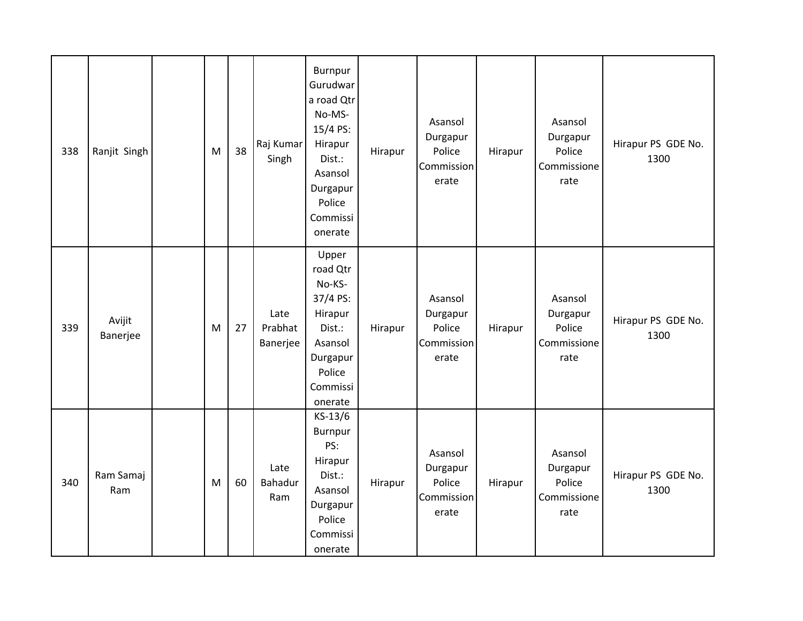| 338 | Ranjit Singh       | M | 38 | Raj Kumar<br>Singh          | Burnpur<br>Gurudwar<br>a road Qtr<br>No-MS-<br>15/4 PS:<br>Hirapur<br>Dist.:<br>Asansol<br>Durgapur<br>Police<br>Commissi<br>onerate | Hirapur | Asansol<br>Durgapur<br>Police<br>Commission<br>erate | Hirapur | Asansol<br>Durgapur<br>Police<br>Commissione<br>rate | Hirapur PS GDE No.<br>1300 |
|-----|--------------------|---|----|-----------------------------|--------------------------------------------------------------------------------------------------------------------------------------|---------|------------------------------------------------------|---------|------------------------------------------------------|----------------------------|
| 339 | Avijit<br>Banerjee | M | 27 | Late<br>Prabhat<br>Banerjee | Upper<br>road Qtr<br>No-KS-<br>37/4 PS:<br>Hirapur<br>Dist.:<br>Asansol<br>Durgapur<br>Police<br>Commissi<br>onerate                 | Hirapur | Asansol<br>Durgapur<br>Police<br>Commission<br>erate | Hirapur | Asansol<br>Durgapur<br>Police<br>Commissione<br>rate | Hirapur PS GDE No.<br>1300 |
| 340 | Ram Samaj<br>Ram   | M | 60 | Late<br>Bahadur<br>Ram      | KS-13/6<br>Burnpur<br>PS:<br>Hirapur<br>Dist.:<br>Asansol<br>Durgapur<br>Police<br>Commissi<br>onerate                               | Hirapur | Asansol<br>Durgapur<br>Police<br>Commission<br>erate | Hirapur | Asansol<br>Durgapur<br>Police<br>Commissione<br>rate | Hirapur PS GDE No.<br>1300 |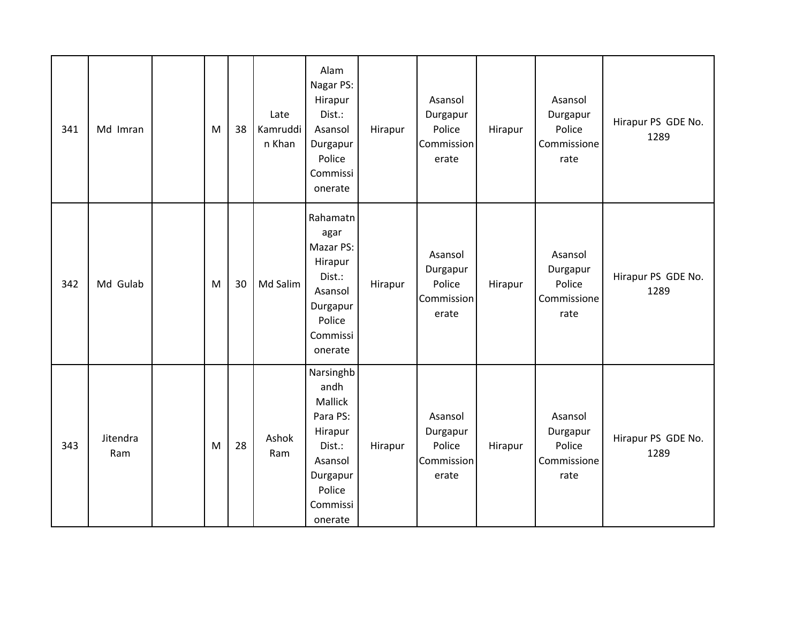| 341 | Md Imran        | M | 38 | Late<br>Kamruddi<br>n Khan | Alam<br>Nagar PS:<br>Hirapur<br>Dist.:<br>Asansol<br>Durgapur<br>Police<br>Commissi<br>onerate                        | Hirapur | Asansol<br>Durgapur<br>Police<br>Commission<br>erate | Hirapur | Asansol<br>Durgapur<br>Police<br>Commissione<br>rate | Hirapur PS GDE No.<br>1289 |
|-----|-----------------|---|----|----------------------------|-----------------------------------------------------------------------------------------------------------------------|---------|------------------------------------------------------|---------|------------------------------------------------------|----------------------------|
| 342 | Md Gulab        | M | 30 | Md Salim                   | Rahamatn<br>agar<br>Mazar PS:<br>Hirapur<br>Dist.:<br>Asansol<br>Durgapur<br>Police<br>Commissi<br>onerate            | Hirapur | Asansol<br>Durgapur<br>Police<br>Commission<br>erate | Hirapur | Asansol<br>Durgapur<br>Police<br>Commissione<br>rate | Hirapur PS GDE No.<br>1289 |
| 343 | Jitendra<br>Ram | M | 28 | Ashok<br>Ram               | Narsinghb<br>andh<br>Mallick<br>Para PS:<br>Hirapur<br>Dist.:<br>Asansol<br>Durgapur<br>Police<br>Commissi<br>onerate | Hirapur | Asansol<br>Durgapur<br>Police<br>Commission<br>erate | Hirapur | Asansol<br>Durgapur<br>Police<br>Commissione<br>rate | Hirapur PS GDE No.<br>1289 |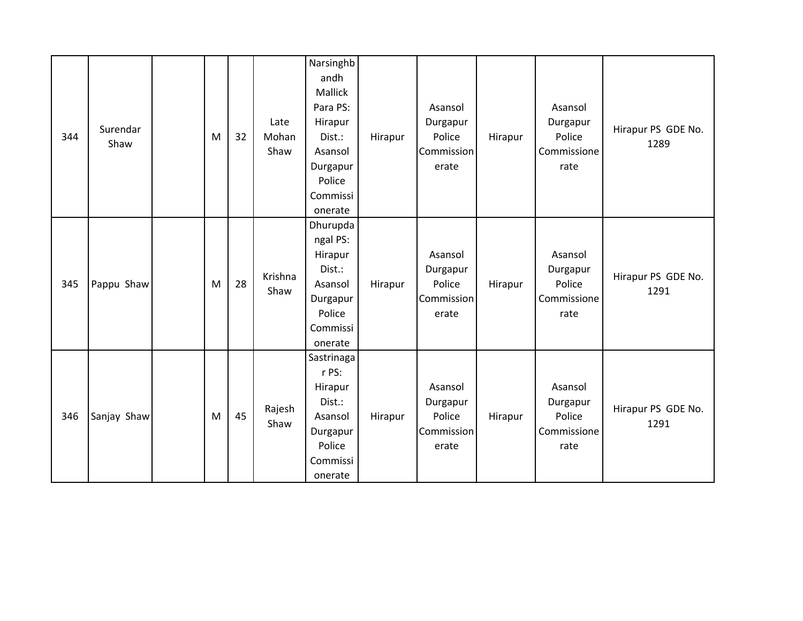| 344 | Surendar<br>Shaw | M | 32 | Late<br>Mohan<br>Shaw | Narsinghb<br>andh<br>Mallick<br>Para PS:<br>Hirapur<br>Dist.:<br>Asansol<br>Durgapur<br>Police<br>Commissi<br>onerate | Hirapur | Asansol<br>Durgapur<br>Police<br>Commission<br>erate | Hirapur | Asansol<br>Durgapur<br>Police<br>Commissione<br>rate | Hirapur PS GDE No.<br>1289 |
|-----|------------------|---|----|-----------------------|-----------------------------------------------------------------------------------------------------------------------|---------|------------------------------------------------------|---------|------------------------------------------------------|----------------------------|
| 345 | Pappu Shaw       | M | 28 | Krishna<br>Shaw       | Dhurupda<br>ngal PS:<br>Hirapur<br>Dist.:<br>Asansol<br>Durgapur<br>Police<br>Commissi<br>onerate                     | Hirapur | Asansol<br>Durgapur<br>Police<br>Commission<br>erate | Hirapur | Asansol<br>Durgapur<br>Police<br>Commissione<br>rate | Hirapur PS GDE No.<br>1291 |
| 346 | Sanjay Shaw      | M | 45 | Rajesh<br>Shaw        | Sastrinaga<br>r PS:<br>Hirapur<br>Dist.:<br>Asansol<br>Durgapur<br>Police<br>Commissi<br>onerate                      | Hirapur | Asansol<br>Durgapur<br>Police<br>Commission<br>erate | Hirapur | Asansol<br>Durgapur<br>Police<br>Commissione<br>rate | Hirapur PS GDE No.<br>1291 |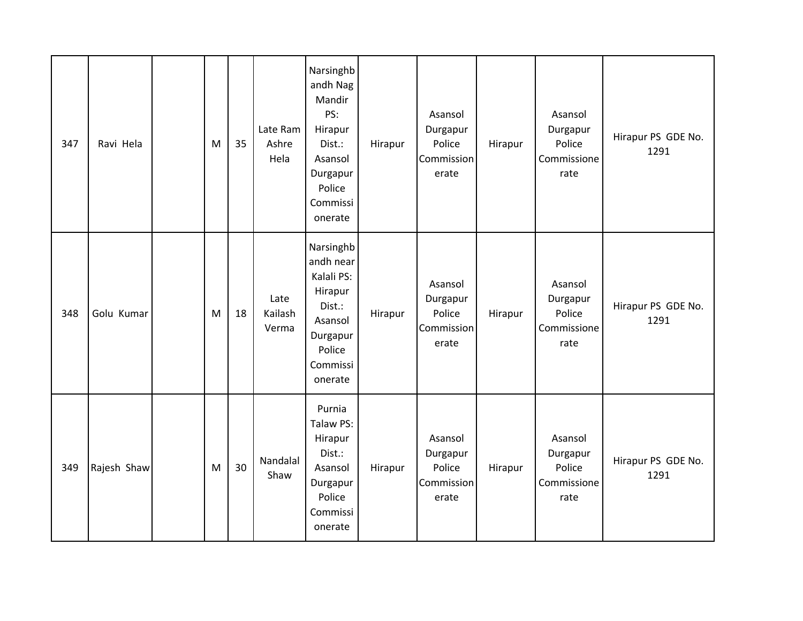| 347 | Ravi Hela   | M | 35 | Late Ram<br>Ashre<br>Hela | Narsinghb<br>andh Nag<br>Mandir<br>PS:<br>Hirapur<br>Dist.:<br>Asansol<br>Durgapur<br>Police<br>Commissi<br>onerate | Hirapur | Asansol<br>Durgapur<br>Police<br>Commission<br>erate        | Hirapur | Asansol<br>Durgapur<br>Police<br>Commissione<br>rate | Hirapur PS GDE No.<br>1291 |
|-----|-------------|---|----|---------------------------|---------------------------------------------------------------------------------------------------------------------|---------|-------------------------------------------------------------|---------|------------------------------------------------------|----------------------------|
| 348 | Golu Kumar  | M | 18 | Late<br>Kailash<br>Verma  | Narsinghb<br>andh near<br>Kalali PS:<br>Hirapur<br>Dist.:<br>Asansol<br>Durgapur<br>Police<br>Commissi<br>onerate   | Hirapur | Asansol<br>Durgapur<br>Police<br>Commission<br>erate        | Hirapur | Asansol<br>Durgapur<br>Police<br>Commissione<br>rate | Hirapur PS GDE No.<br>1291 |
| 349 | Rajesh Shaw | M | 30 | Nandalal<br>Shaw          | Purnia<br>Talaw PS:<br>Hirapur<br>Dist.:<br>Asansol<br>Durgapur<br>Police<br>Commissi<br>onerate                    | Hirapur | Asansol<br>Durgapur<br>Police<br><b>Commission</b><br>erate | Hirapur | Asansol<br>Durgapur<br>Police<br>Commissione<br>rate | Hirapur PS GDE No.<br>1291 |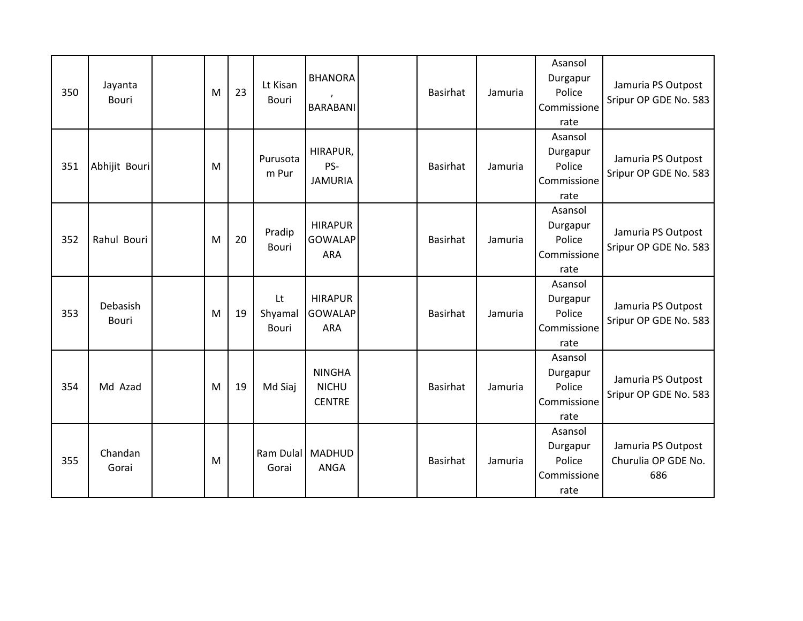| 350 | Jayanta<br><b>Bouri</b>  | M | 23 | Lt Kisan<br><b>Bouri</b>      | <b>BHANORA</b><br><b>BARABANI</b>              | <b>Basirhat</b> | Jamuria | Asansol<br>Durgapur<br>Police<br>Commissione<br>rate | Jamuria PS Outpost<br>Sripur OP GDE No. 583      |
|-----|--------------------------|---|----|-------------------------------|------------------------------------------------|-----------------|---------|------------------------------------------------------|--------------------------------------------------|
| 351 | Abhijit Bouri            | M |    | Purusota<br>m Pur             | HIRAPUR,<br>PS-<br><b>JAMURIA</b>              | <b>Basirhat</b> | Jamuria | Asansol<br>Durgapur<br>Police<br>Commissione<br>rate | Jamuria PS Outpost<br>Sripur OP GDE No. 583      |
| 352 | Rahul Bouri              | M | 20 | Pradip<br><b>Bouri</b>        | <b>HIRAPUR</b><br><b>GOWALAP</b><br><b>ARA</b> | <b>Basirhat</b> | Jamuria | Asansol<br>Durgapur<br>Police<br>Commissione<br>rate | Jamuria PS Outpost<br>Sripur OP GDE No. 583      |
| 353 | <b>Debasish</b><br>Bouri | M | 19 | Lt<br>Shyamal<br><b>Bouri</b> | <b>HIRAPUR</b><br><b>GOWALAP</b><br>ARA        | <b>Basirhat</b> | Jamuria | Asansol<br>Durgapur<br>Police<br>Commissione<br>rate | Jamuria PS Outpost<br>Sripur OP GDE No. 583      |
| 354 | Md Azad                  | M | 19 | Md Siaj                       | <b>NINGHA</b><br><b>NICHU</b><br><b>CENTRE</b> | <b>Basirhat</b> | Jamuria | Asansol<br>Durgapur<br>Police<br>Commissione<br>rate | Jamuria PS Outpost<br>Sripur OP GDE No. 583      |
| 355 | Chandan<br>Gorai         | M |    | Ram Dulal<br>Gorai            | <b>MADHUD</b><br>ANGA                          | <b>Basirhat</b> | Jamuria | Asansol<br>Durgapur<br>Police<br>Commissione<br>rate | Jamuria PS Outpost<br>Churulia OP GDE No.<br>686 |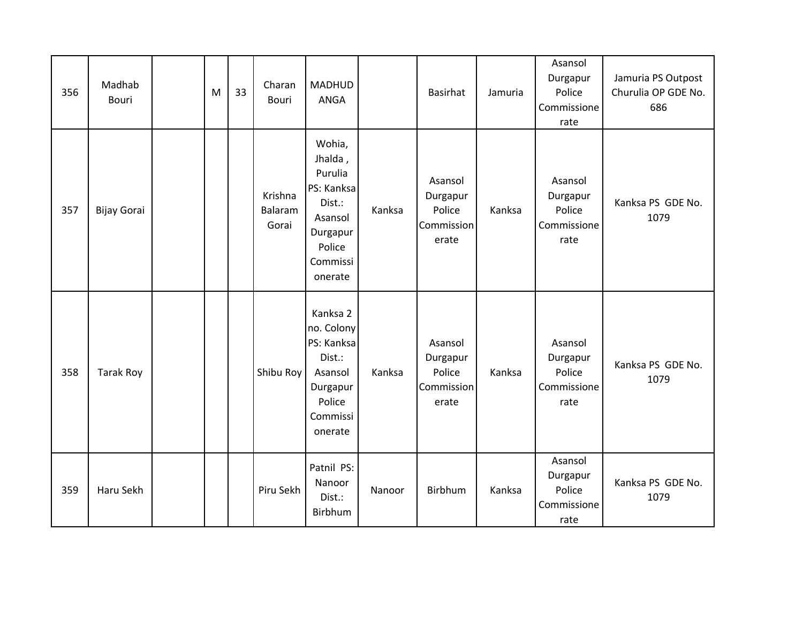| 356 | Madhab<br><b>Bouri</b> | M | 33 | Charan<br><b>Bouri</b>      | MADHUD<br>ANGA                                                                                               |        | <b>Basirhat</b>                                      | Jamuria | Asansol<br>Durgapur<br>Police<br>Commissione<br>rate | Jamuria PS Outpost<br>Churulia OP GDE No.<br>686 |
|-----|------------------------|---|----|-----------------------------|--------------------------------------------------------------------------------------------------------------|--------|------------------------------------------------------|---------|------------------------------------------------------|--------------------------------------------------|
| 357 | Bijay Gorai            |   |    | Krishna<br>Balaram<br>Gorai | Wohia,<br>Jhalda,<br>Purulia<br>PS: Kanksa<br>Dist.:<br>Asansol<br>Durgapur<br>Police<br>Commissi<br>onerate | Kanksa | Asansol<br>Durgapur<br>Police<br>Commission<br>erate | Kanksa  | Asansol<br>Durgapur<br>Police<br>Commissione<br>rate | Kanksa PS GDE No.<br>1079                        |
| 358 | <b>Tarak Roy</b>       |   |    | Shibu Roy                   | Kanksa 2<br>no. Colony<br>PS: Kanksa<br>Dist.:<br>Asansol<br>Durgapur<br>Police<br>Commissi<br>onerate       | Kanksa | Asansol<br>Durgapur<br>Police<br>Commission<br>erate | Kanksa  | Asansol<br>Durgapur<br>Police<br>Commissione<br>rate | Kanksa PS GDE No.<br>1079                        |
| 359 | Haru Sekh              |   |    | Piru Sekh                   | Patnil PS:<br>Nanoor<br>Dist.:<br>Birbhum                                                                    | Nanoor | Birbhum                                              | Kanksa  | Asansol<br>Durgapur<br>Police<br>Commissione<br>rate | Kanksa PS GDE No.<br>1079                        |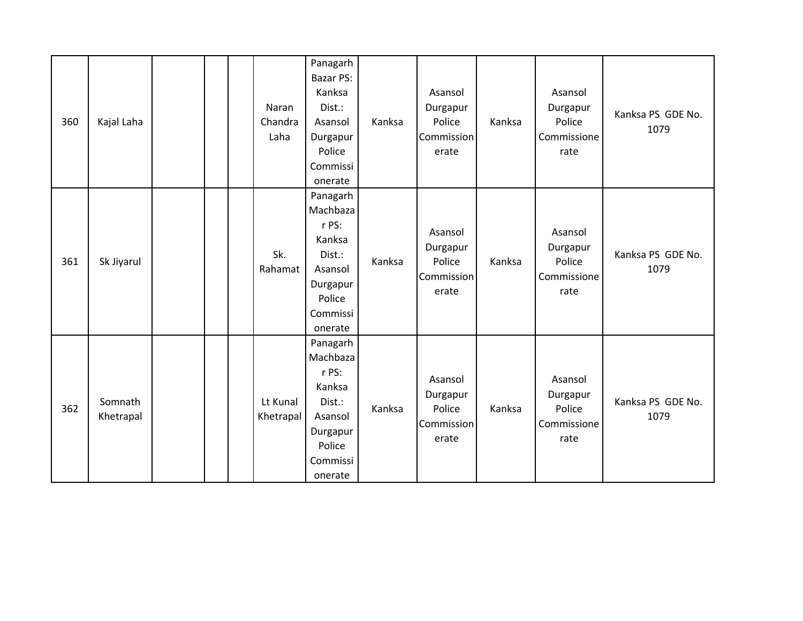| 360 | Kajal Laha           |  | Naran<br>Chandra<br>Laha | Panagarh<br><b>Bazar PS:</b><br>Kanksa<br>Dist.:<br>Asansol<br>Durgapur<br>Police<br>Commissi<br>onerate  | Kanksa | Asansol<br>Durgapur<br>Police<br>Commission<br>erate | Kanksa | Asansol<br>Durgapur<br>Police<br>Commissione<br>rate | Kanksa PS GDE No.<br>1079 |
|-----|----------------------|--|--------------------------|-----------------------------------------------------------------------------------------------------------|--------|------------------------------------------------------|--------|------------------------------------------------------|---------------------------|
| 361 | Sk Jiyarul           |  | Sk.<br>Rahamat           | Panagarh<br>Machbaza<br>r PS:<br>Kanksa<br>Dist.:<br>Asansol<br>Durgapur<br>Police<br>Commissi<br>onerate | Kanksa | Asansol<br>Durgapur<br>Police<br>Commission<br>erate | Kanksa | Asansol<br>Durgapur<br>Police<br>Commissione<br>rate | Kanksa PS GDE No.<br>1079 |
| 362 | Somnath<br>Khetrapal |  | Lt Kunal<br>Khetrapal    | Panagarh<br>Machbaza<br>r PS:<br>Kanksa<br>Dist.:<br>Asansol<br>Durgapur<br>Police<br>Commissi<br>onerate | Kanksa | Asansol<br>Durgapur<br>Police<br>Commission<br>erate | Kanksa | Asansol<br>Durgapur<br>Police<br>Commissione<br>rate | Kanksa PS GDE No.<br>1079 |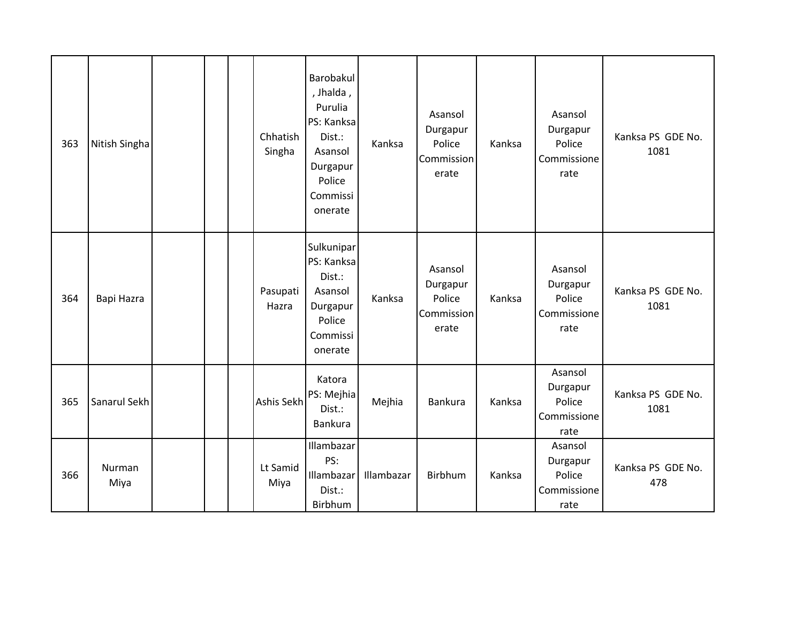| 363 | Nitish Singha  |  | Chhatish<br>Singha | Barobakul<br>, Jhalda,<br>Purulia<br>PS: Kanksa<br>Dist.:<br>Asansol<br>Durgapur<br>Police<br>Commissi<br>onerate | Kanksa     | Asansol<br>Durgapur<br>Police<br>Commission<br>erate | Kanksa | Asansol<br>Durgapur<br>Police<br>Commissione<br>rate | Kanksa PS GDE No.<br>1081 |
|-----|----------------|--|--------------------|-------------------------------------------------------------------------------------------------------------------|------------|------------------------------------------------------|--------|------------------------------------------------------|---------------------------|
| 364 | Bapi Hazra     |  | Pasupati<br>Hazra  | Sulkunipar<br>PS: Kanksa<br>Dist.:<br>Asansol<br>Durgapur<br>Police<br>Commissi<br>onerate                        | Kanksa     | Asansol<br>Durgapur<br>Police<br>Commission<br>erate | Kanksa | Asansol<br>Durgapur<br>Police<br>Commissione<br>rate | Kanksa PS GDE No.<br>1081 |
| 365 | Sanarul Sekh   |  | Ashis Sekh         | Katora<br>PS: Mejhia<br>Dist.:<br>Bankura                                                                         | Mejhia     | Bankura                                              | Kanksa | Asansol<br>Durgapur<br>Police<br>Commissione<br>rate | Kanksa PS GDE No.<br>1081 |
| 366 | Nurman<br>Miya |  | Lt Samid<br>Miya   | Illambazar<br>PS:<br>Illambazar<br>Dist.:<br>Birbhum                                                              | Illambazar | Birbhum                                              | Kanksa | Asansol<br>Durgapur<br>Police<br>Commissione<br>rate | Kanksa PS GDE No.<br>478  |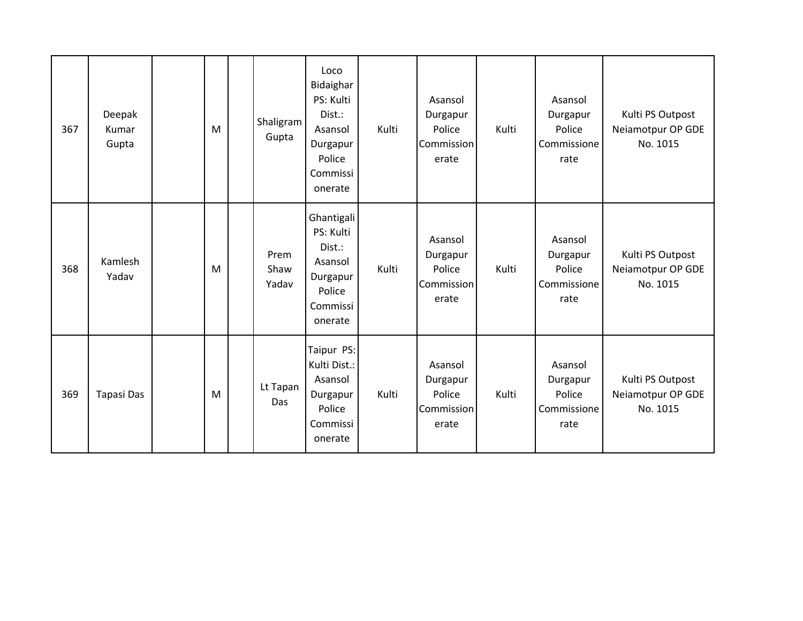| 367 | Deepak<br>Kumar<br>Gupta | M | Shaligram<br>Gupta    | Loco<br>Bidaighar<br>PS: Kulti<br>Dist.:<br>Asansol<br>Durgapur<br>Police<br>Commissi<br>onerate | Kulti | Asansol<br>Durgapur<br>Police<br>Commission<br>erate | Kulti | Asansol<br>Durgapur<br>Police<br>Commissione<br>rate | Kulti PS Outpost<br>Neiamotpur OP GDE<br>No. 1015 |
|-----|--------------------------|---|-----------------------|--------------------------------------------------------------------------------------------------|-------|------------------------------------------------------|-------|------------------------------------------------------|---------------------------------------------------|
| 368 | Kamlesh<br>Yadav         | M | Prem<br>Shaw<br>Yadav | Ghantigali<br>PS: Kulti<br>Dist.:<br>Asansol<br>Durgapur<br>Police<br>Commissi<br>onerate        | Kulti | Asansol<br>Durgapur<br>Police<br>Commission<br>erate | Kulti | Asansol<br>Durgapur<br>Police<br>Commissione<br>rate | Kulti PS Outpost<br>Neiamotpur OP GDE<br>No. 1015 |
| 369 | Tapasi Das               | M | Lt Tapan<br>Das       | Taipur PS:<br>Kulti Dist.:<br>Asansol<br>Durgapur<br>Police<br>Commissi<br>onerate               | Kulti | Asansol<br>Durgapur<br>Police<br>Commission<br>erate | Kulti | Asansol<br>Durgapur<br>Police<br>Commissione<br>rate | Kulti PS Outpost<br>Neiamotpur OP GDE<br>No. 1015 |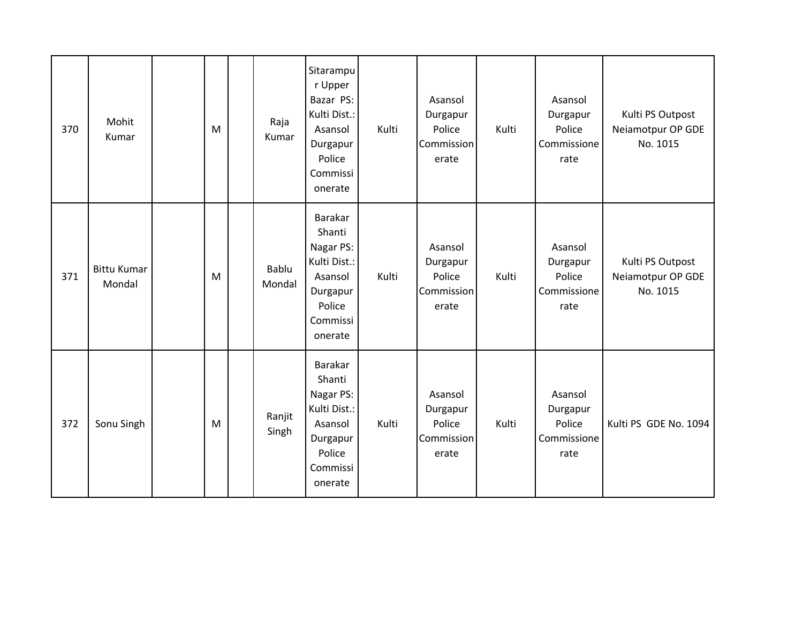| 370 | Mohit<br>Kumar               | M         | Raja<br>Kumar   | Sitarampu<br>r Upper<br>Bazar PS:<br>Kulti Dist.:<br>Asansol<br>Durgapur<br>Police<br>Commissi<br>onerate | Kulti | Asansol<br>Durgapur<br>Police<br>Commission<br>erate | Kulti | Asansol<br>Durgapur<br>Police<br>Commissione<br>rate | Kulti PS Outpost<br>Neiamotpur OP GDE<br>No. 1015 |
|-----|------------------------------|-----------|-----------------|-----------------------------------------------------------------------------------------------------------|-------|------------------------------------------------------|-------|------------------------------------------------------|---------------------------------------------------|
| 371 | <b>Bittu Kumar</b><br>Mondal | M         | Bablu<br>Mondal | Barakar<br>Shanti<br>Nagar PS:<br>Kulti Dist.:<br>Asansol<br>Durgapur<br>Police<br>Commissi<br>onerate    | Kulti | Asansol<br>Durgapur<br>Police<br>Commission<br>erate | Kulti | Asansol<br>Durgapur<br>Police<br>Commissione<br>rate | Kulti PS Outpost<br>Neiamotpur OP GDE<br>No. 1015 |
| 372 | Sonu Singh                   | ${\sf M}$ | Ranjit<br>Singh | Barakar<br>Shanti<br>Nagar PS:<br>Kulti Dist.:<br>Asansol<br>Durgapur<br>Police<br>Commissi<br>onerate    | Kulti | Asansol<br>Durgapur<br>Police<br>Commission<br>erate | Kulti | Asansol<br>Durgapur<br>Police<br>Commissione<br>rate | Kulti PS GDE No. 1094                             |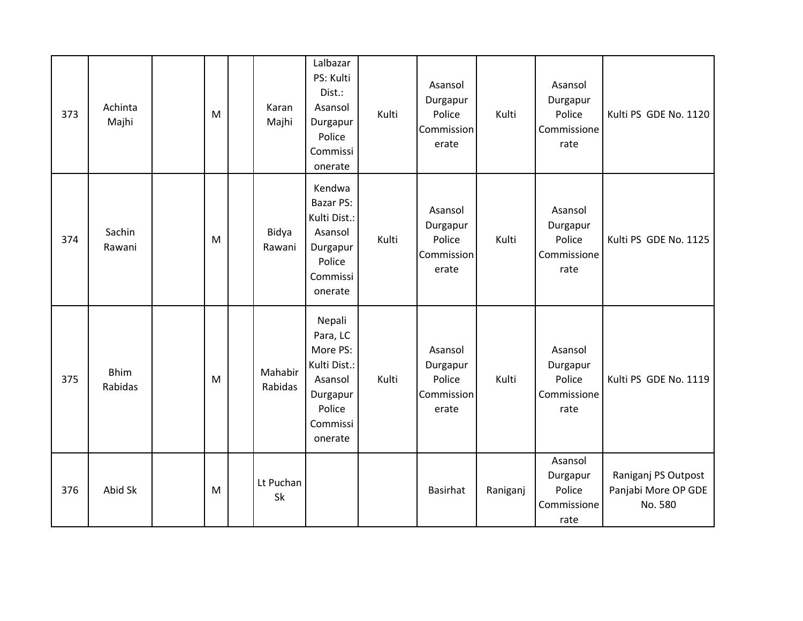| 373 | Achinta<br>Majhi       | M | Karan<br>Majhi     | Lalbazar<br>PS: Kulti<br>Dist.:<br>Asansol<br>Durgapur<br>Police<br>Commissi<br>onerate                | Kulti | Asansol<br>Durgapur<br>Police<br>Commission<br>erate | Kulti    | Asansol<br>Durgapur<br>Police<br>Commissione<br>rate | Kulti PS GDE No. 1120                                 |
|-----|------------------------|---|--------------------|--------------------------------------------------------------------------------------------------------|-------|------------------------------------------------------|----------|------------------------------------------------------|-------------------------------------------------------|
| 374 | Sachin<br>Rawani       | M | Bidya<br>Rawani    | Kendwa<br><b>Bazar PS:</b><br>Kulti Dist.:<br>Asansol<br>Durgapur<br>Police<br>Commissi<br>onerate     | Kulti | Asansol<br>Durgapur<br>Police<br>Commission<br>erate | Kulti    | Asansol<br>Durgapur<br>Police<br>Commissione<br>rate | Kulti PS GDE No. 1125                                 |
| 375 | <b>Bhim</b><br>Rabidas | M | Mahabir<br>Rabidas | Nepali<br>Para, LC<br>More PS:<br>Kulti Dist.:<br>Asansol<br>Durgapur<br>Police<br>Commissi<br>onerate | Kulti | Asansol<br>Durgapur<br>Police<br>Commission<br>erate | Kulti    | Asansol<br>Durgapur<br>Police<br>Commissione<br>rate | Kulti PS GDE No. 1119                                 |
| 376 | Abid Sk                | M | Lt Puchan<br>Sk    |                                                                                                        |       | <b>Basirhat</b>                                      | Raniganj | Asansol<br>Durgapur<br>Police<br>Commissione<br>rate | Raniganj PS Outpost<br>Panjabi More OP GDE<br>No. 580 |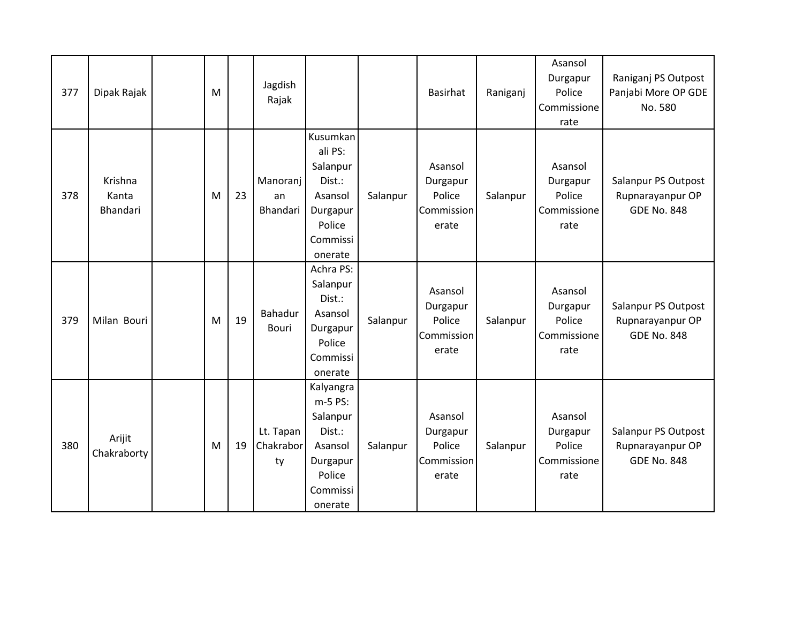| 377 | Dipak Rajak                         | M |    | Jagdish<br>Rajak             |                                                                                                    |          | <b>Basirhat</b>                                      | Raniganj | Asansol<br>Durgapur<br>Police<br>Commissione<br>rate | Raniganj PS Outpost<br>Panjabi More OP GDE<br>No. 580         |
|-----|-------------------------------------|---|----|------------------------------|----------------------------------------------------------------------------------------------------|----------|------------------------------------------------------|----------|------------------------------------------------------|---------------------------------------------------------------|
| 378 | Krishna<br>Kanta<br><b>Bhandari</b> | M | 23 | Manoranj<br>an<br>Bhandari   | Kusumkan<br>ali PS:<br>Salanpur<br>Dist.:<br>Asansol<br>Durgapur<br>Police<br>Commissi<br>onerate  | Salanpur | Asansol<br>Durgapur<br>Police<br>Commission<br>erate | Salanpur | Asansol<br>Durgapur<br>Police<br>Commissione<br>rate | Salanpur PS Outpost<br>Rupnarayanpur OP<br><b>GDE No. 848</b> |
| 379 | Milan Bouri                         | M | 19 | Bahadur<br>Bouri             | Achra PS:<br>Salanpur<br>Dist.:<br>Asansol<br>Durgapur<br>Police<br>Commissi<br>onerate            | Salanpur | Asansol<br>Durgapur<br>Police<br>Commission<br>erate | Salanpur | Asansol<br>Durgapur<br>Police<br>Commissione<br>rate | Salanpur PS Outpost<br>Rupnarayanpur OP<br><b>GDE No. 848</b> |
| 380 | Arijit<br>Chakraborty               | M | 19 | Lt. Tapan<br>Chakrabor<br>ty | Kalyangra<br>m-5 PS:<br>Salanpur<br>Dist.:<br>Asansol<br>Durgapur<br>Police<br>Commissi<br>onerate | Salanpur | Asansol<br>Durgapur<br>Police<br>Commission<br>erate | Salanpur | Asansol<br>Durgapur<br>Police<br>Commissione<br>rate | Salanpur PS Outpost<br>Rupnarayanpur OP<br><b>GDE No. 848</b> |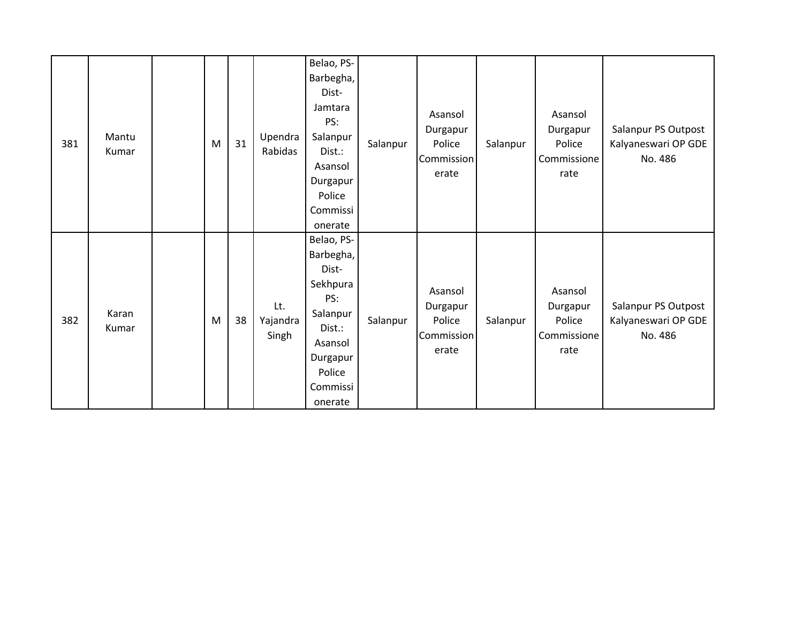| 381 | Mantu<br>Kumar | M | 31 | Upendra<br>Rabidas       | Belao, PS-<br>Barbegha,<br>Dist-<br>Jamtara<br>PS:<br>Salanpur<br>Dist.:<br>Asansol<br>Durgapur<br>Police<br>Commissi<br>onerate  | Salanpur | Asansol<br>Durgapur<br>Police<br>Commission<br>erate | Salanpur | Asansol<br>Durgapur<br>Police<br>Commissione<br>rate | Salanpur PS Outpost<br>Kalyaneswari OP GDE<br>No. 486 |
|-----|----------------|---|----|--------------------------|-----------------------------------------------------------------------------------------------------------------------------------|----------|------------------------------------------------------|----------|------------------------------------------------------|-------------------------------------------------------|
| 382 | Karan<br>Kumar | M | 38 | Lt.<br>Yajandra<br>Singh | Belao, PS-<br>Barbegha,<br>Dist-<br>Sekhpura<br>PS:<br>Salanpur<br>Dist.:<br>Asansol<br>Durgapur<br>Police<br>Commissi<br>onerate | Salanpur | Asansol<br>Durgapur<br>Police<br>Commission<br>erate | Salanpur | Asansol<br>Durgapur<br>Police<br>Commissione<br>rate | Salanpur PS Outpost<br>Kalyaneswari OP GDE<br>No. 486 |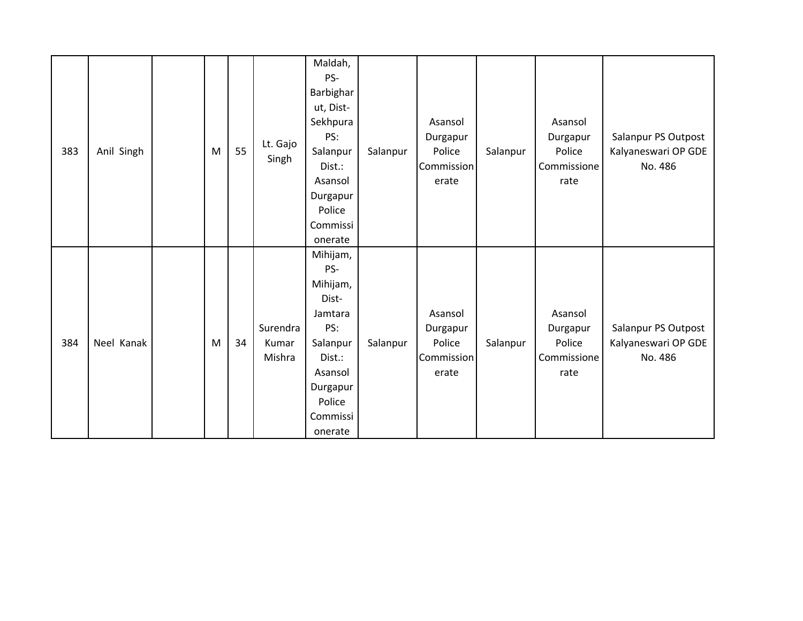| 383 | Anil Singh | M | 55 | Lt. Gajo<br>Singh           | Maldah,<br>PS-<br>Barbighar<br>ut, Dist-<br>Sekhpura<br>PS:<br>Salanpur<br>Dist.:<br>Asansol<br>Durgapur<br>Police<br>Commissi<br>onerate | Salanpur | Asansol<br>Durgapur<br>Police<br>Commission<br>erate | Salanpur | Asansol<br>Durgapur<br>Police<br>Commissione<br>rate | Salanpur PS Outpost<br>Kalyaneswari OP GDE<br>No. 486 |
|-----|------------|---|----|-----------------------------|-------------------------------------------------------------------------------------------------------------------------------------------|----------|------------------------------------------------------|----------|------------------------------------------------------|-------------------------------------------------------|
| 384 | Neel Kanak | M | 34 | Surendra<br>Kumar<br>Mishra | Mihijam,<br>PS-<br>Mihijam,<br>Dist-<br>Jamtara<br>PS:<br>Salanpur<br>Dist.:<br>Asansol<br>Durgapur<br>Police<br>Commissi<br>onerate      | Salanpur | Asansol<br>Durgapur<br>Police<br>Commission<br>erate | Salanpur | Asansol<br>Durgapur<br>Police<br>Commissione<br>rate | Salanpur PS Outpost<br>Kalyaneswari OP GDE<br>No. 486 |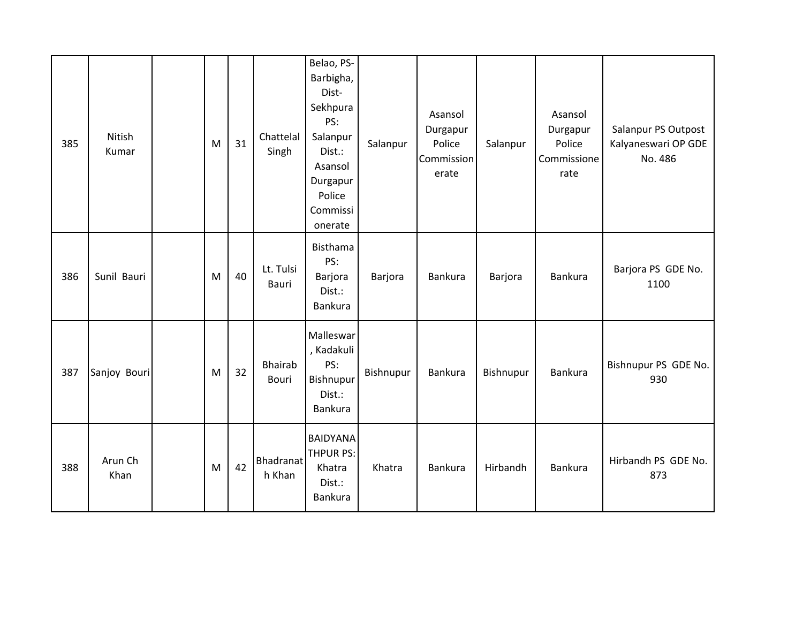| 385 | Nitish<br>Kumar | M | 31 | Chattelal<br>Singh             | Belao, PS-<br>Barbigha,<br>Dist-<br>Sekhpura<br>PS:<br>Salanpur<br>Dist.:<br>Asansol<br>Durgapur<br>Police<br>Commissi<br>onerate | Salanpur  | Asansol<br>Durgapur<br>Police<br>Commission<br>erate | Salanpur  | Asansol<br>Durgapur<br>Police<br>Commissione<br>rate | Salanpur PS Outpost<br>Kalyaneswari OP GDE<br>No. 486 |
|-----|-----------------|---|----|--------------------------------|-----------------------------------------------------------------------------------------------------------------------------------|-----------|------------------------------------------------------|-----------|------------------------------------------------------|-------------------------------------------------------|
| 386 | Sunil Bauri     | M | 40 | Lt. Tulsi<br>Bauri             | Bisthama<br>PS:<br>Barjora<br>Dist.:<br><b>Bankura</b>                                                                            | Barjora   | Bankura                                              | Barjora   | Bankura                                              | Barjora PS GDE No.<br>1100                            |
| 387 | Sanjoy Bouri    | M | 32 | <b>Bhairab</b><br><b>Bouri</b> | Malleswar<br>, Kadakuli<br>PS:<br>Bishnupur<br>Dist.:<br>Bankura                                                                  | Bishnupur | Bankura                                              | Bishnupur | Bankura                                              | Bishnupur PS GDE No.<br>930                           |
| 388 | Arun Ch<br>Khan | M | 42 | Bhadranat<br>h Khan            | <b>BAIDYANA</b><br>THPUR PS:<br>Khatra<br>Dist.:<br>Bankura                                                                       | Khatra    | <b>Bankura</b>                                       | Hirbandh  | Bankura                                              | Hirbandh PS GDE No.<br>873                            |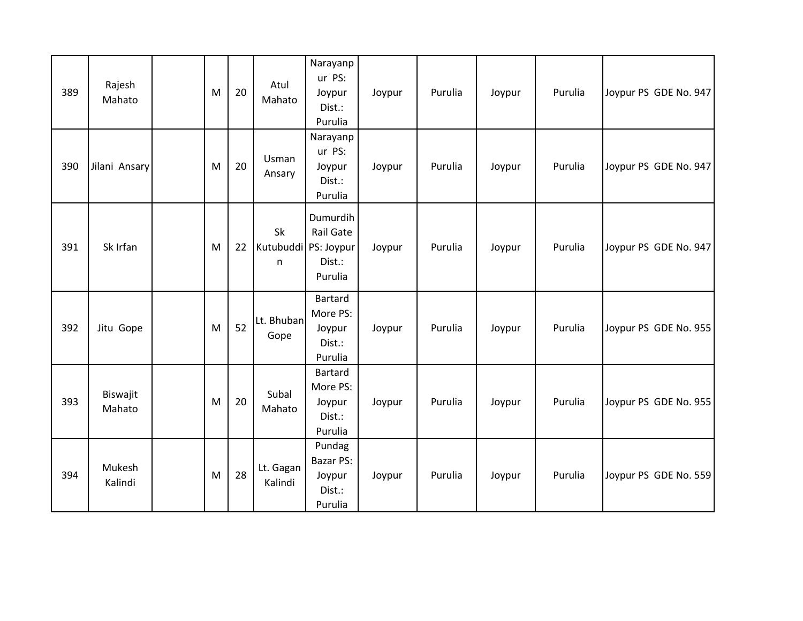| 389 | Rajesh<br>Mahato   | M | 20 | Atul<br>Mahato                  | Narayanp<br>ur PS:<br>Joypur<br>Dist.:<br>Purulia         | Joypur | Purulia | Joypur | Purulia | Joypur PS GDE No. 947 |
|-----|--------------------|---|----|---------------------------------|-----------------------------------------------------------|--------|---------|--------|---------|-----------------------|
| 390 | Jilani Ansary      | M | 20 | Usman<br>Ansary                 | Narayanp<br>ur PS:<br>Joypur<br>Dist.:<br>Purulia         | Joypur | Purulia | Joypur | Purulia | Joypur PS GDE No. 947 |
| 391 | Sk Irfan           | M | 22 | Sk<br>Kutubuddi PS: Joypur<br>n | Dumurdih<br><b>Rail Gate</b><br>Dist.:<br>Purulia         | Joypur | Purulia | Joypur | Purulia | Joypur PS GDE No. 947 |
| 392 | Jitu Gope          | M | 52 | Lt. Bhuban<br>Gope              | Bartard<br>More PS:<br>Joypur<br>Dist.:<br>Purulia        | Joypur | Purulia | Joypur | Purulia | Joypur PS GDE No. 955 |
| 393 | Biswajit<br>Mahato | M | 20 | Subal<br>Mahato                 | Bartard<br>More PS:<br>Joypur<br>Dist.:<br>Purulia        | Joypur | Purulia | Joypur | Purulia | Joypur PS GDE No. 955 |
| 394 | Mukesh<br>Kalindi  | M | 28 | Lt. Gagan<br>Kalindi            | Pundag<br><b>Bazar PS:</b><br>Joypur<br>Dist.:<br>Purulia | Joypur | Purulia | Joypur | Purulia | Joypur PS GDE No. 559 |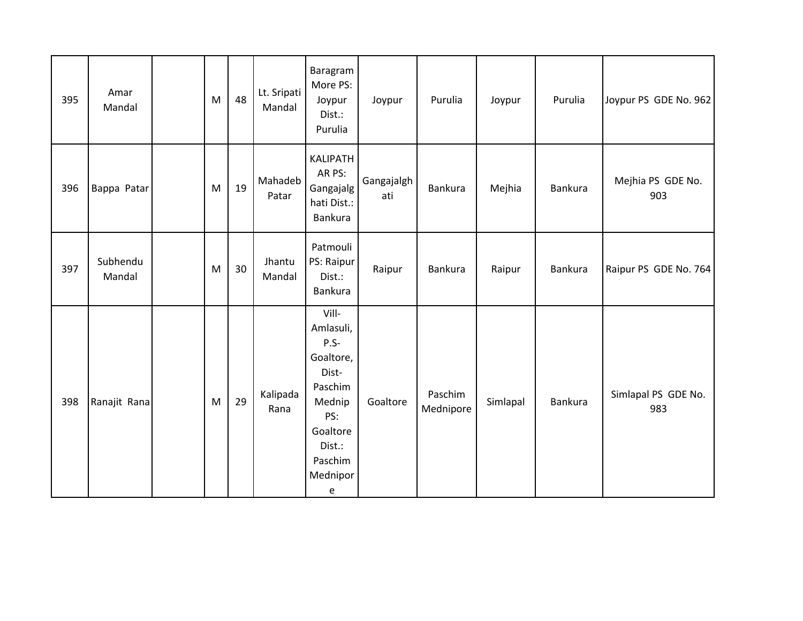| 395 | Amar<br>Mandal     | ${\sf M}$ | 48 | Lt. Sripati<br>Mandal | Baragram<br>More PS:<br>Joypur<br>Dist.:<br>Purulia                                                                              | Joypur            | Purulia              | Joypur   | Purulia        | Joypur PS GDE No. 962      |
|-----|--------------------|-----------|----|-----------------------|----------------------------------------------------------------------------------------------------------------------------------|-------------------|----------------------|----------|----------------|----------------------------|
| 396 | Bappa Patar        | M         | 19 | Mahadeb<br>Patar      | <b>KALIPATH</b><br>AR PS:<br>Gangajalg<br>hati Dist.:<br>Bankura                                                                 | Gangajalgh<br>ati | Bankura              | Mejhia   | <b>Bankura</b> | Mejhia PS GDE No.<br>903   |
| 397 | Subhendu<br>Mandal | M         | 30 | Jhantu<br>Mandal      | Patmouli<br>PS: Raipur<br>Dist.:<br>Bankura                                                                                      | Raipur            | Bankura              | Raipur   | Bankura        | Raipur PS GDE No. 764      |
| 398 | Ranajit Rana       | M         | 29 | Kalipada<br>Rana      | Vill-<br>Amlasuli,<br>$P.S-$<br>Goaltore,<br>Dist-<br>Paschim<br>Mednip<br>PS:<br>Goaltore<br>Dist.:<br>Paschim<br>Mednipor<br>e | Goaltore          | Paschim<br>Mednipore | Simlapal | Bankura        | Simlapal PS GDE No.<br>983 |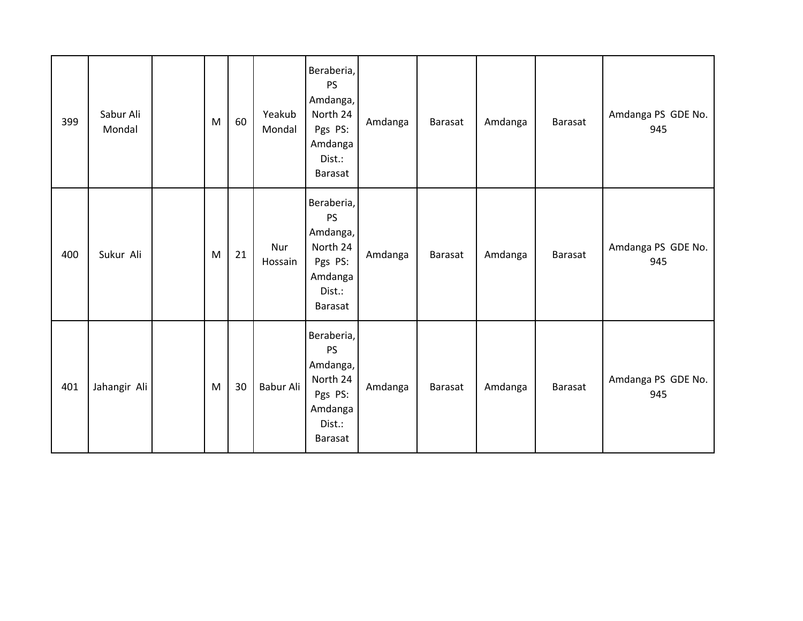| 399 | Sabur Ali<br>Mondal | M | 60 | Yeakub<br>Mondal | Beraberia,<br>PS<br>Amdanga,<br>North 24<br>Pgs PS:<br>Amdanga<br>Dist.:<br>Barasat        | Amdanga | Barasat | Amdanga | Barasat        | Amdanga PS GDE No.<br>945 |
|-----|---------------------|---|----|------------------|--------------------------------------------------------------------------------------------|---------|---------|---------|----------------|---------------------------|
| 400 | Sukur Ali           | M | 21 | Nur<br>Hossain   | Beraberia,<br>PS<br>Amdanga,<br>North 24<br>Pgs PS:<br>Amdanga<br>Dist.:<br>Barasat        | Amdanga | Barasat | Amdanga | Barasat        | Amdanga PS GDE No.<br>945 |
| 401 | Jahangir Ali        | M | 30 | Babur Ali        | Beraberia,<br><b>PS</b><br>Amdanga,<br>North 24<br>Pgs PS:<br>Amdanga<br>Dist.:<br>Barasat | Amdanga | Barasat | Amdanga | <b>Barasat</b> | Amdanga PS GDE No.<br>945 |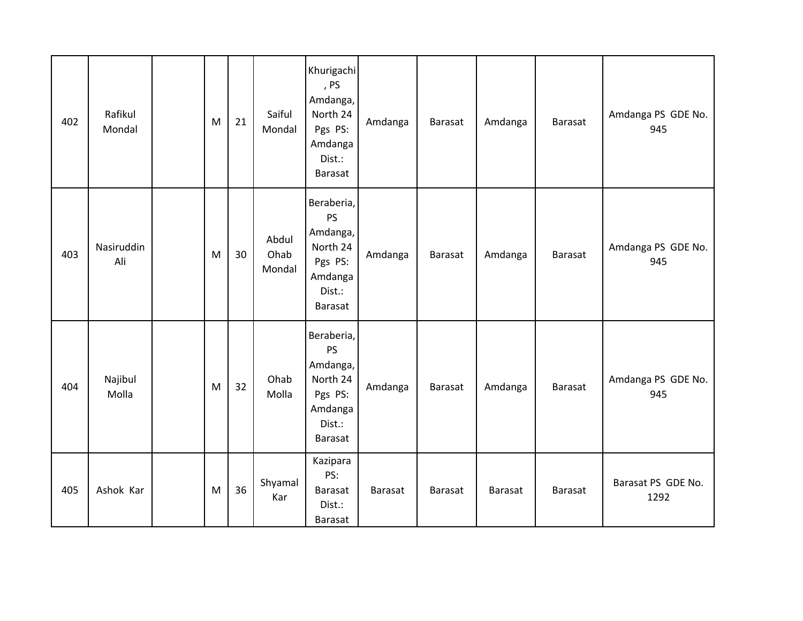| 402 | Rafikul<br>Mondal | ${\sf M}$ | 21 | Saiful<br>Mondal        | Khurigachi<br>, PS<br>Amdanga,<br>North 24<br>Pgs PS:<br>Amdanga<br>Dist.:<br>Barasat | Amdanga        | <b>Barasat</b> | Amdanga | Barasat        | Amdanga PS GDE No.<br>945  |
|-----|-------------------|-----------|----|-------------------------|---------------------------------------------------------------------------------------|----------------|----------------|---------|----------------|----------------------------|
| 403 | Nasiruddin<br>Ali | M         | 30 | Abdul<br>Ohab<br>Mondal | Beraberia,<br>PS<br>Amdanga,<br>North 24<br>Pgs PS:<br>Amdanga<br>Dist.:<br>Barasat   | Amdanga        | <b>Barasat</b> | Amdanga | Barasat        | Amdanga PS GDE No.<br>945  |
| 404 | Najibul<br>Molla  | ${\sf M}$ | 32 | Ohab<br>Molla           | Beraberia,<br>PS<br>Amdanga,<br>North 24<br>Pgs PS:<br>Amdanga<br>Dist.:<br>Barasat   | Amdanga        | <b>Barasat</b> | Amdanga | Barasat        | Amdanga PS GDE No.<br>945  |
| 405 | Ashok Kar         | M         | 36 | Shyamal<br>Kar          | Kazipara<br>PS:<br>Barasat<br>Dist.:<br>Barasat                                       | <b>Barasat</b> | <b>Barasat</b> | Barasat | <b>Barasat</b> | Barasat PS GDE No.<br>1292 |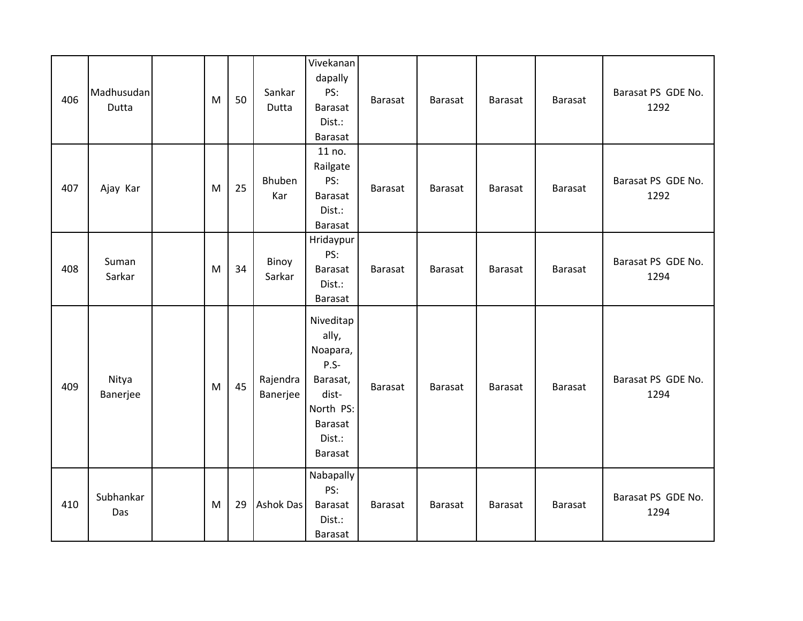| 406 | Madhusudan<br>Dutta | M | 50 | Sankar<br>Dutta      | Vivekanan<br>dapally<br>PS:<br><b>Barasat</b><br>Dist.:<br>Barasat                                         | <b>Barasat</b> | Barasat        | Barasat        | <b>Barasat</b> | Barasat PS GDE No.<br>1292 |
|-----|---------------------|---|----|----------------------|------------------------------------------------------------------------------------------------------------|----------------|----------------|----------------|----------------|----------------------------|
| 407 | Ajay Kar            | M | 25 | Bhuben<br>Kar        | 11 no.<br>Railgate<br>PS:<br><b>Barasat</b><br>Dist.:<br>Barasat                                           | Barasat        | <b>Barasat</b> | <b>Barasat</b> | <b>Barasat</b> | Barasat PS GDE No.<br>1292 |
| 408 | Suman<br>Sarkar     | M | 34 | Binoy<br>Sarkar      | Hridaypur<br>PS:<br>Barasat<br>Dist.:<br>Barasat                                                           | <b>Barasat</b> | Barasat        | Barasat        | <b>Barasat</b> | Barasat PS GDE No.<br>1294 |
| 409 | Nitya<br>Banerjee   | M | 45 | Rajendra<br>Banerjee | Niveditap<br>ally,<br>Noapara,<br>$P.S-$<br>Barasat,<br>dist-<br>North PS:<br>Barasat<br>Dist.:<br>Barasat | <b>Barasat</b> | Barasat        | Barasat        | <b>Barasat</b> | Barasat PS GDE No.<br>1294 |
| 410 | Subhankar<br>Das    | M | 29 | <b>Ashok Das</b>     | Nabapally<br>PS:<br><b>Barasat</b><br>Dist.:<br>Barasat                                                    | <b>Barasat</b> | Barasat        | <b>Barasat</b> | <b>Barasat</b> | Barasat PS GDE No.<br>1294 |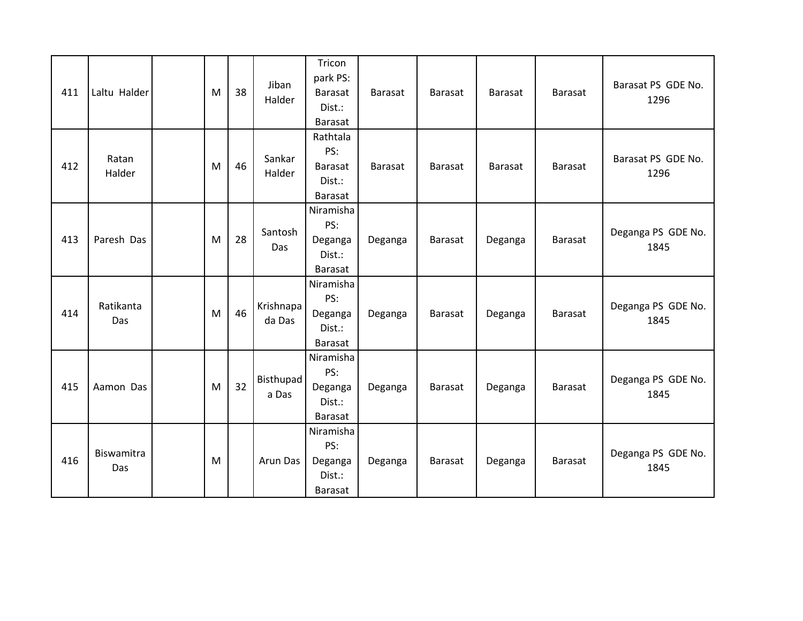| 411 | Laltu Halder      | M | 38 | Jiban<br>Halder           | Tricon<br>park PS:<br><b>Barasat</b><br>Dist.:<br><b>Barasat</b> | <b>Barasat</b> | <b>Barasat</b> | <b>Barasat</b> | <b>Barasat</b> | Barasat PS GDE No.<br>1296 |
|-----|-------------------|---|----|---------------------------|------------------------------------------------------------------|----------------|----------------|----------------|----------------|----------------------------|
| 412 | Ratan<br>Halder   | M | 46 | Sankar<br>Halder          | Rathtala<br>PS:<br>Barasat<br>Dist.:<br>Barasat                  | <b>Barasat</b> | <b>Barasat</b> | <b>Barasat</b> | <b>Barasat</b> | Barasat PS GDE No.<br>1296 |
| 413 | Paresh Das        | M | 28 | Santosh<br>Das            | Niramisha<br>PS:<br>Deganga<br>Dist.:<br>Barasat                 | Deganga        | <b>Barasat</b> | Deganga        | Barasat        | Deganga PS GDE No.<br>1845 |
| 414 | Ratikanta<br>Das  | M | 46 | Krishnapa<br>da Das       | Niramisha<br>PS:<br>Deganga<br>Dist.:<br>Barasat                 | Deganga        | <b>Barasat</b> | Deganga        | Barasat        | Deganga PS GDE No.<br>1845 |
| 415 | Aamon Das         | M | 32 | <b>Bisthupad</b><br>a Das | Niramisha<br>PS:<br>Deganga<br>Dist.:<br>Barasat                 | Deganga        | <b>Barasat</b> | Deganga        | <b>Barasat</b> | Deganga PS GDE No.<br>1845 |
| 416 | Biswamitra<br>Das | M |    | Arun Das                  | Niramisha<br>PS:<br>Deganga<br>Dist.:<br><b>Barasat</b>          | Deganga        | <b>Barasat</b> | Deganga        | <b>Barasat</b> | Deganga PS GDE No.<br>1845 |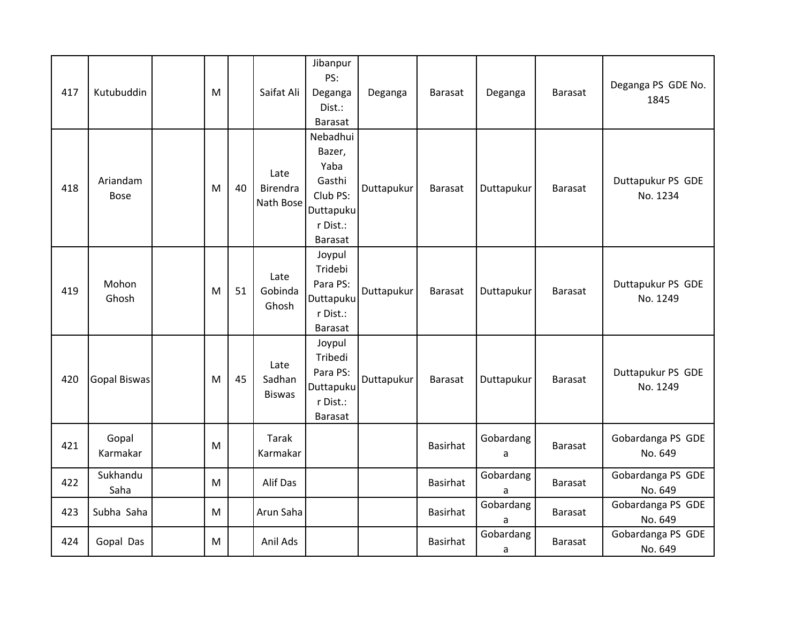| 417 | Kutubuddin              | M |    | Saifat Ali                      | Jibanpur<br>PS:<br>Deganga<br>Dist.:<br><b>Barasat</b>                               | Deganga    | <b>Barasat</b>  | Deganga        | <b>Barasat</b> | Deganga PS GDE No.<br>1845    |
|-----|-------------------------|---|----|---------------------------------|--------------------------------------------------------------------------------------|------------|-----------------|----------------|----------------|-------------------------------|
| 418 | Ariandam<br><b>Bose</b> | M | 40 | Late<br>Birendra<br>Nath Bose   | Nebadhui<br>Bazer,<br>Yaba<br>Gasthi<br>Club PS:<br>Duttapuku<br>r Dist.:<br>Barasat | Duttapukur | <b>Barasat</b>  | Duttapukur     | <b>Barasat</b> | Duttapukur PS GDE<br>No. 1234 |
| 419 | Mohon<br>Ghosh          | M | 51 | Late<br>Gobinda<br>Ghosh        | Joypul<br>Tridebi<br>Para PS:<br>Duttapuku<br>r Dist.:<br>Barasat                    | Duttapukur | Barasat         | Duttapukur     | Barasat        | Duttapukur PS GDE<br>No. 1249 |
| 420 | <b>Gopal Biswas</b>     | M | 45 | Late<br>Sadhan<br><b>Biswas</b> | Joypul<br>Tribedi<br>Para PS:<br>Duttapuku<br>r Dist.:<br>Barasat                    | Duttapukur | <b>Barasat</b>  | Duttapukur     | <b>Barasat</b> | Duttapukur PS GDE<br>No. 1249 |
| 421 | Gopal<br>Karmakar       | M |    | Tarak<br>Karmakar               |                                                                                      |            | <b>Basirhat</b> | Gobardang<br>a | Barasat        | Gobardanga PS GDE<br>No. 649  |
| 422 | Sukhandu<br>Saha        | M |    | Alif Das                        |                                                                                      |            | <b>Basirhat</b> | Gobardang<br>a | Barasat        | Gobardanga PS GDE<br>No. 649  |
| 423 | Subha Saha              | M |    | Arun Saha                       |                                                                                      |            | <b>Basirhat</b> | Gobardang<br>a | <b>Barasat</b> | Gobardanga PS GDE<br>No. 649  |
| 424 | Gopal Das               | M |    | Anil Ads                        |                                                                                      |            | <b>Basirhat</b> | Gobardang<br>a | <b>Barasat</b> | Gobardanga PS GDE<br>No. 649  |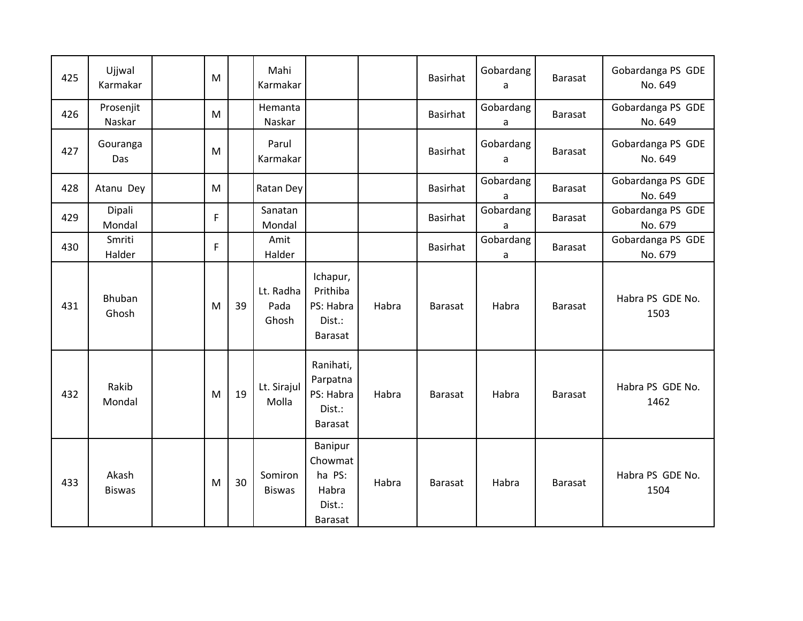| 425 | Ujjwal<br>Karmakar     | M |    | Mahi<br>Karmakar           |                                                            |       | Basirhat       | Gobardang<br>a | <b>Barasat</b> | Gobardanga PS GDE<br>No. 649 |
|-----|------------------------|---|----|----------------------------|------------------------------------------------------------|-------|----------------|----------------|----------------|------------------------------|
| 426 | Prosenjit<br>Naskar    | M |    | Hemanta<br>Naskar          |                                                            |       | Basirhat       | Gobardang<br>a | Barasat        | Gobardanga PS GDE<br>No. 649 |
| 427 | Gouranga<br>Das        | M |    | Parul<br>Karmakar          |                                                            |       | Basirhat       | Gobardang<br>a | Barasat        | Gobardanga PS GDE<br>No. 649 |
| 428 | Atanu Dey              | M |    | Ratan Dey                  |                                                            |       | Basirhat       | Gobardang<br>a | <b>Barasat</b> | Gobardanga PS GDE<br>No. 649 |
| 429 | Dipali<br>Mondal       | F |    | Sanatan<br>Mondal          |                                                            |       | Basirhat       | Gobardang<br>a | <b>Barasat</b> | Gobardanga PS GDE<br>No. 679 |
| 430 | Smriti<br>Halder       | F |    | Amit<br>Halder             |                                                            |       | Basirhat       | Gobardang<br>a | <b>Barasat</b> | Gobardanga PS GDE<br>No. 679 |
| 431 | Bhuban<br>Ghosh        | M | 39 | Lt. Radha<br>Pada<br>Ghosh | Ichapur,<br>Prithiba<br>PS: Habra<br>Dist.:<br>Barasat     | Habra | <b>Barasat</b> | Habra          | <b>Barasat</b> | Habra PS GDE No.<br>1503     |
| 432 | Rakib<br>Mondal        | M | 19 | Lt. Sirajul<br>Molla       | Ranihati,<br>Parpatna<br>PS: Habra<br>Dist.:<br>Barasat    | Habra | Barasat        | Habra          | <b>Barasat</b> | Habra PS GDE No.<br>1462     |
| 433 | Akash<br><b>Biswas</b> | M | 30 | Somiron<br><b>Biswas</b>   | Banipur<br>Chowmat<br>ha PS:<br>Habra<br>Dist.:<br>Barasat | Habra | Barasat        | Habra          | <b>Barasat</b> | Habra PS GDE No.<br>1504     |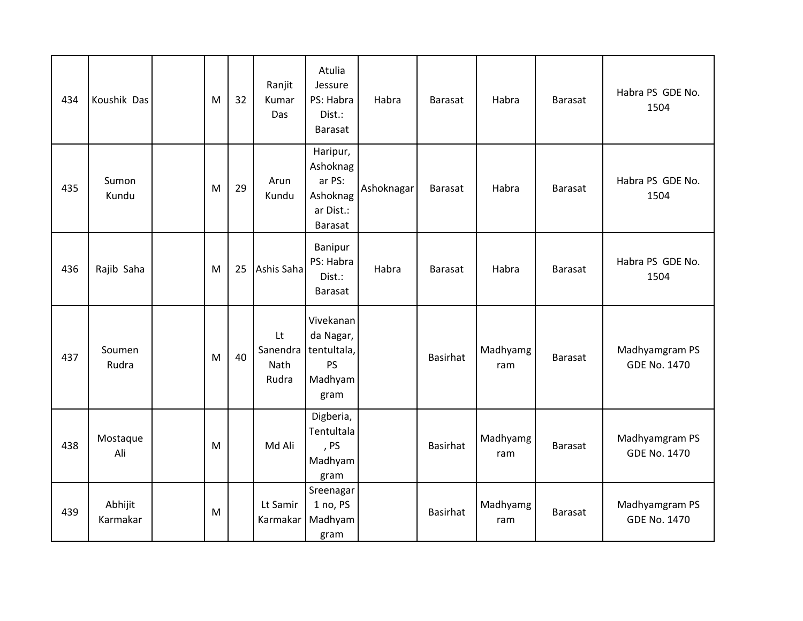| 434 | Koushik Das         | M | 32 | Ranjit<br>Kumar<br>Das          | Atulia<br>Jessure<br>PS: Habra<br>Dist.:<br>Barasat                   | Habra      | Barasat         | Habra           | <b>Barasat</b> | Habra PS GDE No.<br>1504              |
|-----|---------------------|---|----|---------------------------------|-----------------------------------------------------------------------|------------|-----------------|-----------------|----------------|---------------------------------------|
| 435 | Sumon<br>Kundu      | M | 29 | Arun<br>Kundu                   | Haripur,<br>Ashoknag<br>ar PS:<br>Ashoknag<br>ar Dist.:<br>Barasat    | Ashoknagar | Barasat         | Habra           | <b>Barasat</b> | Habra PS GDE No.<br>1504              |
| 436 | Rajib Saha          | M | 25 | Ashis Saha                      | Banipur<br>PS: Habra<br>Dist.:<br>Barasat                             | Habra      | <b>Barasat</b>  | Habra           | <b>Barasat</b> | Habra PS GDE No.<br>1504              |
| 437 | Soumen<br>Rudra     | M | 40 | Lt<br>Sanendra<br>Nath<br>Rudra | Vivekanan<br>da Nagar,<br>tentultala,<br><b>PS</b><br>Madhyam<br>gram |            | <b>Basirhat</b> | Madhyamg<br>ram | <b>Barasat</b> | Madhyamgram PS<br><b>GDE No. 1470</b> |
| 438 | Mostaque<br>Ali     | M |    | Md Ali                          | Digberia,<br>Tentultala<br>, PS<br>Madhyam<br>gram                    |            | <b>Basirhat</b> | Madhyamg<br>ram | <b>Barasat</b> | Madhyamgram PS<br><b>GDE No. 1470</b> |
| 439 | Abhijit<br>Karmakar | M |    | Lt Samir<br>Karmakar            | Sreenagar<br>1 no, PS<br>Madhyam<br>gram                              |            | Basirhat        | Madhyamg<br>ram | <b>Barasat</b> | Madhyamgram PS<br><b>GDE No. 1470</b> |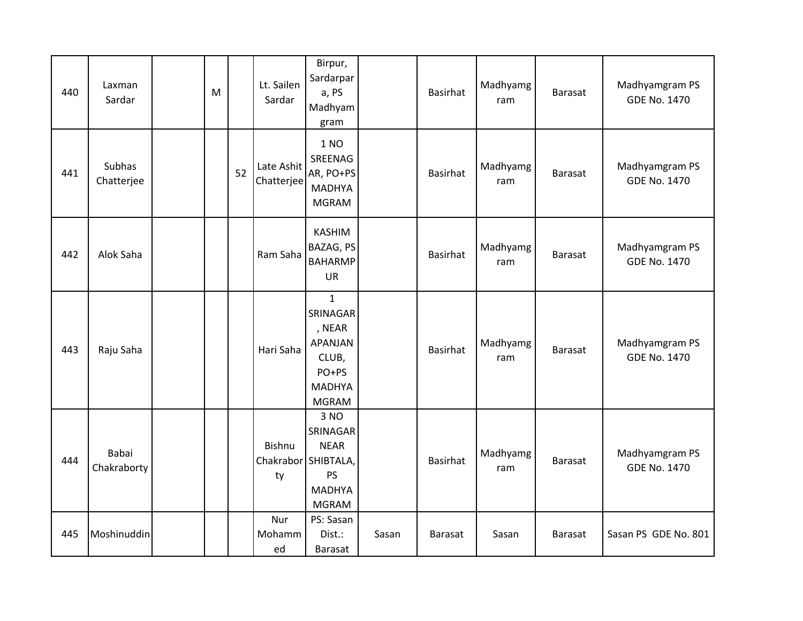| 440 | Laxman<br>Sardar     | M |    | Lt. Sailen<br>Sardar     | Birpur,<br>Sardarpar<br>a, PS<br>Madhyam<br>gram                                                     |       | Basirhat        | Madhyamg<br>ram | <b>Barasat</b> | Madhyamgram PS<br><b>GDE No. 1470</b> |
|-----|----------------------|---|----|--------------------------|------------------------------------------------------------------------------------------------------|-------|-----------------|-----------------|----------------|---------------------------------------|
| 441 | Subhas<br>Chatterjee |   | 52 | Late Ashit<br>Chatterjee | 1 NO<br>SREENAG<br>AR, PO+PS<br><b>MADHYA</b><br><b>MGRAM</b>                                        |       | Basirhat        | Madhyamg<br>ram | <b>Barasat</b> | Madhyamgram PS<br><b>GDE No. 1470</b> |
| 442 | Alok Saha            |   |    | Ram Saha                 | <b>KASHIM</b><br>BAZAG, PS<br><b>BAHARMP</b><br><b>UR</b>                                            |       | Basirhat        | Madhyamg<br>ram | <b>Barasat</b> | Madhyamgram PS<br><b>GDE No. 1470</b> |
| 443 | Raju Saha            |   |    | Hari Saha                | $\mathbf{1}$<br>SRINAGAR<br>, NEAR<br>APANJAN<br>CLUB,<br>PO+PS<br><b>MADHYA</b><br><b>MGRAM</b>     |       | <b>Basirhat</b> | Madhyamg<br>ram | <b>Barasat</b> | Madhyamgram PS<br><b>GDE No. 1470</b> |
| 444 | Babai<br>Chakraborty |   |    | <b>Bishnu</b><br>ty      | 3 NO<br>SRINAGAR<br><b>NEAR</b><br>Chakrabor SHIBTALA,<br><b>PS</b><br><b>MADHYA</b><br><b>MGRAM</b> |       | Basirhat        | Madhyamg<br>ram | <b>Barasat</b> | Madhyamgram PS<br><b>GDE No. 1470</b> |
| 445 | Moshinuddin          |   |    | Nur<br>Mohamm<br>ed      | PS: Sasan<br>Dist.:<br>Barasat                                                                       | Sasan | <b>Barasat</b>  | Sasan           | <b>Barasat</b> | Sasan PS GDE No. 801                  |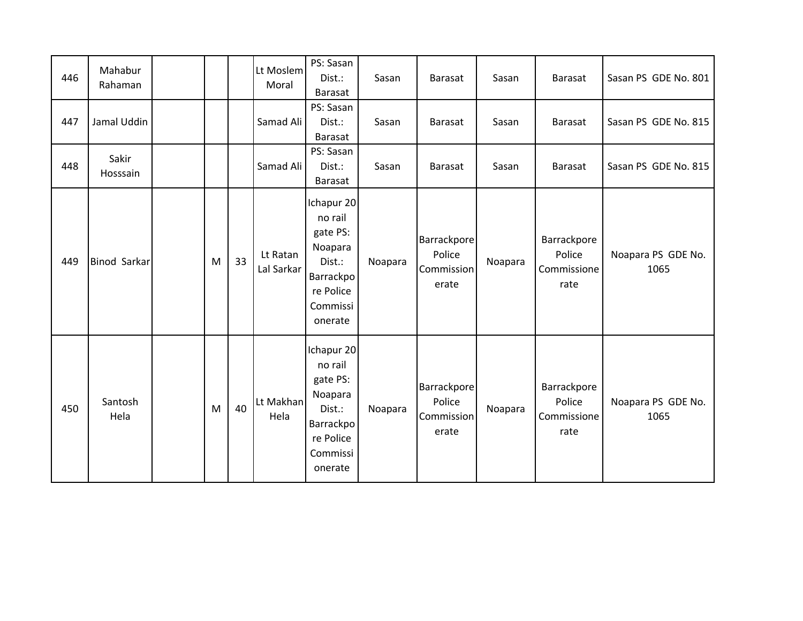| 446 | Mahabur<br>Rahaman  |   |    | Lt Moslem<br>Moral     | PS: Sasan<br>Dist.:<br>Barasat                                                                          | Sasan   | Barasat                                      | Sasan   | <b>Barasat</b>                               | Sasan PS GDE No. 801       |
|-----|---------------------|---|----|------------------------|---------------------------------------------------------------------------------------------------------|---------|----------------------------------------------|---------|----------------------------------------------|----------------------------|
| 447 | Jamal Uddin         |   |    | Samad Ali              | PS: Sasan<br>Dist.:<br>Barasat                                                                          | Sasan   | <b>Barasat</b>                               | Sasan   | <b>Barasat</b>                               | Sasan PS GDE No. 815       |
| 448 | Sakir<br>Hosssain   |   |    | Samad Ali              | PS: Sasan<br>Dist.:<br>Barasat                                                                          | Sasan   | Barasat                                      | Sasan   | <b>Barasat</b>                               | Sasan PS GDE No. 815       |
| 449 | <b>Binod Sarkar</b> | M | 33 | Lt Ratan<br>Lal Sarkar | Ichapur 20<br>no rail<br>gate PS:<br>Noapara<br>Dist.:<br>Barrackpo<br>re Police<br>Commissi<br>onerate | Noapara | Barrackpore<br>Police<br>Commission<br>erate | Noapara | Barrackpore<br>Police<br>Commissione<br>rate | Noapara PS GDE No.<br>1065 |
| 450 | Santosh<br>Hela     | M | 40 | Lt Makhan<br>Hela      | Ichapur 20<br>no rail<br>gate PS:<br>Noapara<br>Dist.:<br>Barrackpo<br>re Police<br>Commissi<br>onerate | Noapara | Barrackpore<br>Police<br>Commission<br>erate | Noapara | Barrackpore<br>Police<br>Commissione<br>rate | Noapara PS GDE No.<br>1065 |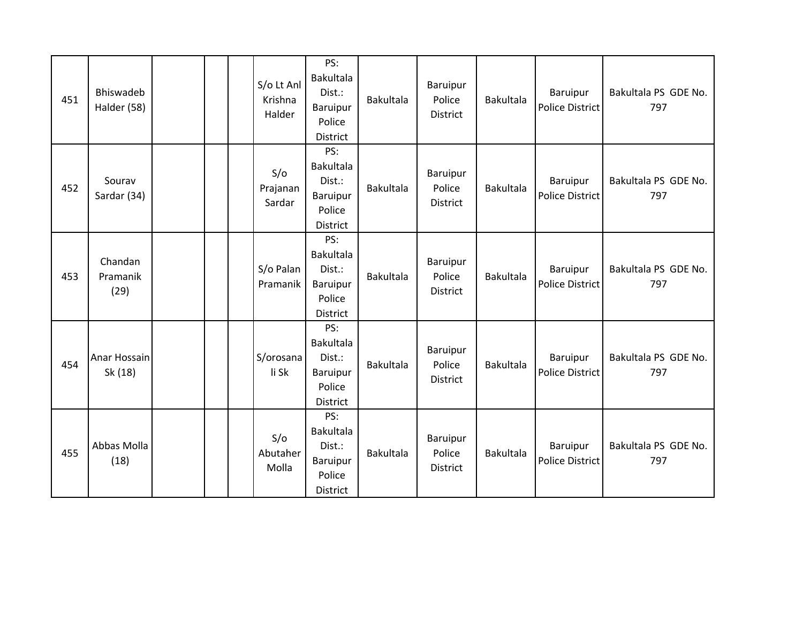| 451 | Bhiswadeb<br>Halder (58)    |  | S/o Lt Anl<br>Krishna<br>Halder | PS:<br>Bakultala<br>Dist.:<br>Baruipur<br>Police<br>District               | <b>Bakultala</b> | Baruipur<br>Police<br><b>District</b> | <b>Bakultala</b> | Baruipur<br>Police District               | Bakultala PS GDE No.<br>797 |
|-----|-----------------------------|--|---------------------------------|----------------------------------------------------------------------------|------------------|---------------------------------------|------------------|-------------------------------------------|-----------------------------|
| 452 | Sourav<br>Sardar (34)       |  | S/O<br>Prajanan<br>Sardar       | PS:<br><b>Bakultala</b><br>Dist.:<br><b>Baruipur</b><br>Police<br>District | <b>Bakultala</b> | Baruipur<br>Police<br><b>District</b> | <b>Bakultala</b> | Baruipur<br><b>Police District</b>        | Bakultala PS GDE No.<br>797 |
| 453 | Chandan<br>Pramanik<br>(29) |  | S/o Palan<br>Pramanik           | PS:<br><b>Bakultala</b><br>Dist.:<br>Baruipur<br>Police<br>District        | <b>Bakultala</b> | Baruipur<br>Police<br>District        | <b>Bakultala</b> | Baruipur<br>Police District               | Bakultala PS GDE No.<br>797 |
| 454 | Anar Hossain<br>Sk (18)     |  | S/orosana<br>li Sk              | PS:<br><b>Bakultala</b><br>Dist.:<br>Baruipur<br>Police<br>District        | <b>Bakultala</b> | Baruipur<br>Police<br>District        | <b>Bakultala</b> | <b>Baruipur</b><br><b>Police District</b> | Bakultala PS GDE No.<br>797 |
| 455 | Abbas Molla<br>(18)         |  | S/O<br>Abutaher<br>Molla        | PS:<br><b>Bakultala</b><br>Dist.:<br><b>Baruipur</b><br>Police<br>District | <b>Bakultala</b> | Baruipur<br>Police<br><b>District</b> | <b>Bakultala</b> | Baruipur<br><b>Police District</b>        | Bakultala PS GDE No.<br>797 |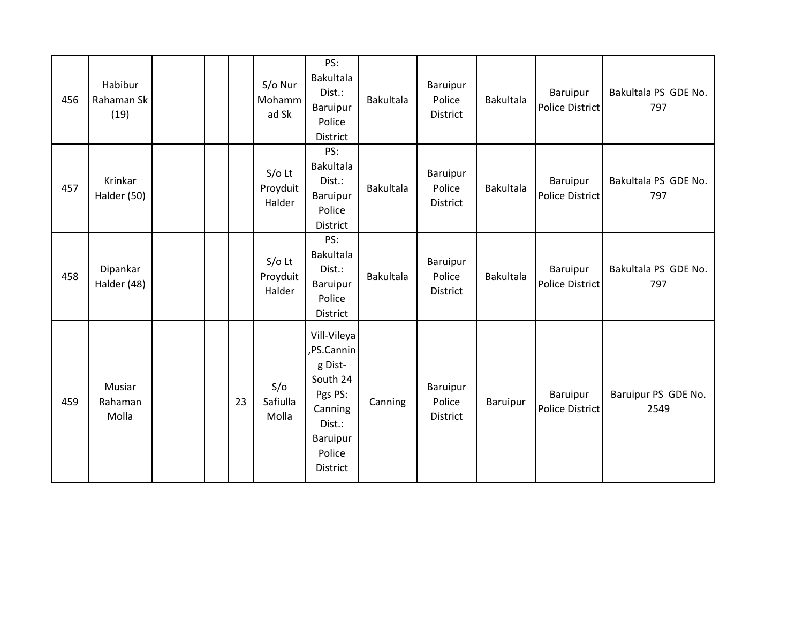| 456 | Habibur<br>Rahaman Sk<br>(19) |  |    | S/o Nur<br>Mohamm<br>ad Sk     | PS:<br>Bakultala<br>Dist.:<br>Baruipur<br>Police<br>District                                                      | Bakultala        | Baruipur<br>Police<br>District        | <b>Bakultala</b> | Baruipur<br><b>Police District</b> | Bakultala PS GDE No.<br>797 |
|-----|-------------------------------|--|----|--------------------------------|-------------------------------------------------------------------------------------------------------------------|------------------|---------------------------------------|------------------|------------------------------------|-----------------------------|
| 457 | Krinkar<br>Halder (50)        |  |    | $S/O$ Lt<br>Proyduit<br>Halder | PS:<br><b>Bakultala</b><br>Dist.:<br>Baruipur<br>Police<br>District                                               | <b>Bakultala</b> | Baruipur<br>Police<br>District        | <b>Bakultala</b> | Baruipur<br>Police District        | Bakultala PS GDE No.<br>797 |
| 458 | Dipankar<br>Halder (48)       |  |    | $S/O$ Lt<br>Proyduit<br>Halder | PS:<br>Bakultala<br>Dist.:<br>Baruipur<br>Police<br>District                                                      | Bakultala        | <b>Baruipur</b><br>Police<br>District | Bakultala        | Baruipur<br><b>Police District</b> | Bakultala PS GDE No.<br>797 |
| 459 | Musiar<br>Rahaman<br>Molla    |  | 23 | S/O<br>Safiulla<br>Molla       | Vill-Vileya<br>PS.Cannin<br>g Dist-<br>South 24<br>Pgs PS:<br>Canning<br>Dist.:<br>Baruipur<br>Police<br>District | Canning          | <b>Baruipur</b><br>Police<br>District | Baruipur         | Baruipur<br>Police District        | Baruipur PS GDE No.<br>2549 |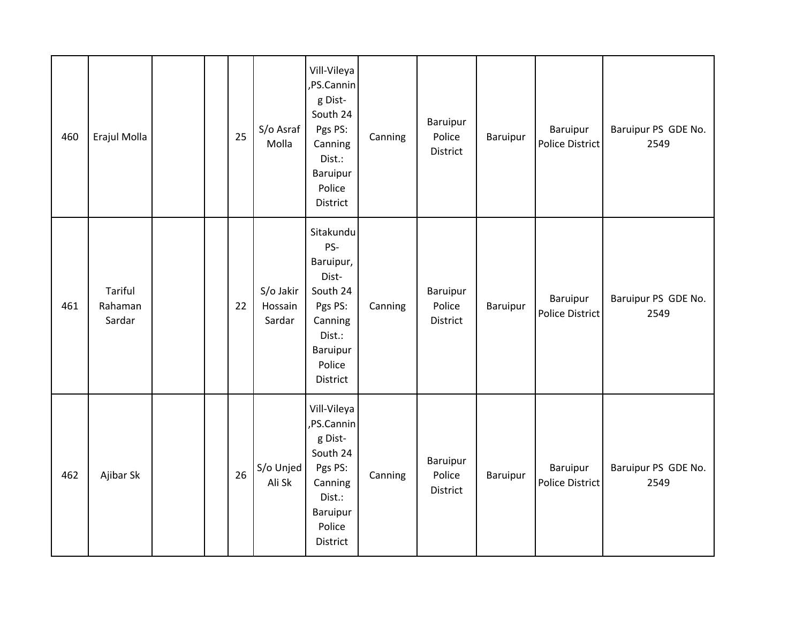| 460 | Erajul Molla                 |  | 25 | S/o Asraf<br>Molla             | Vill-Vileya<br>,PS.Cannin<br>g Dist-<br>South 24<br>Pgs PS:<br>Canning<br>Dist.:<br>Baruipur<br>Police<br>District   | Canning | Baruipur<br>Police<br>District | Baruipur | Baruipur<br>Police District        | Baruipur PS GDE No.<br>2549 |
|-----|------------------------------|--|----|--------------------------------|----------------------------------------------------------------------------------------------------------------------|---------|--------------------------------|----------|------------------------------------|-----------------------------|
| 461 | Tariful<br>Rahaman<br>Sardar |  | 22 | S/o Jakir<br>Hossain<br>Sardar | Sitakundu<br>PS-<br>Baruipur,<br>Dist-<br>South 24<br>Pgs PS:<br>Canning<br>Dist.:<br>Baruipur<br>Police<br>District | Canning | Baruipur<br>Police<br>District | Baruipur | Baruipur<br>Police District        | Baruipur PS GDE No.<br>2549 |
| 462 | Ajibar Sk                    |  | 26 | S/o Unjed<br>Ali Sk            | Vill-Vileya<br>,PS.Cannin<br>g Dist-<br>South 24<br>Pgs PS:<br>Canning<br>Dist.:<br>Baruipur<br>Police<br>District   | Canning | Baruipur<br>Police<br>District | Baruipur | Baruipur<br><b>Police District</b> | Baruipur PS GDE No.<br>2549 |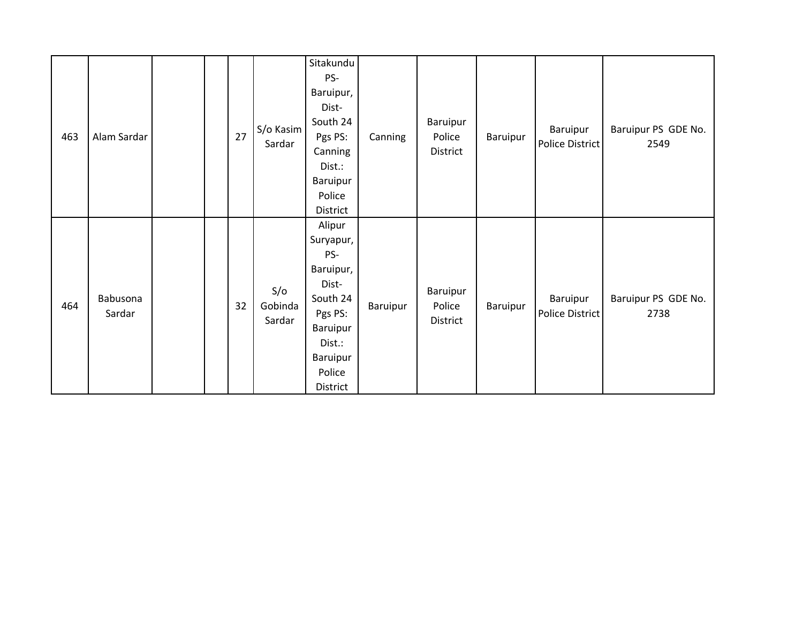| 463 | Alam Sardar        |  | 27 | S/o Kasim<br>Sardar      | Sitakundu<br>PS-<br>Baruipur,<br>Dist-<br>South 24<br>Pgs PS:<br>Canning<br>Dist.:<br>Baruipur<br>Police<br>District            | Canning  | Baruipur<br>Police<br>District | Baruipur | Baruipur<br>Police District | Baruipur PS GDE No.<br>2549 |
|-----|--------------------|--|----|--------------------------|---------------------------------------------------------------------------------------------------------------------------------|----------|--------------------------------|----------|-----------------------------|-----------------------------|
| 464 | Babusona<br>Sardar |  | 32 | S/O<br>Gobinda<br>Sardar | Alipur<br>Suryapur,<br>PS-<br>Baruipur,<br>Dist-<br>South 24<br>Pgs PS:<br>Baruipur<br>Dist.:<br>Baruipur<br>Police<br>District | Baruipur | Baruipur<br>Police<br>District | Baruipur | Baruipur<br>Police District | Baruipur PS GDE No.<br>2738 |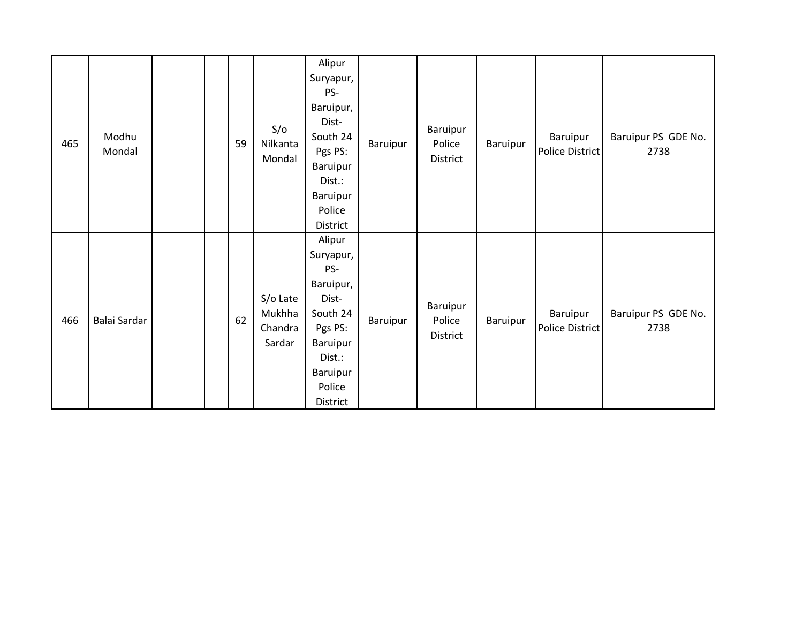| 465 | Modhu<br>Mondal |  | 59 | S/O<br>Nilkanta<br>Mondal               | Alipur<br>Suryapur,<br>PS-<br>Baruipur,<br>Dist-<br>South 24<br>Pgs PS:<br>Baruipur<br>Dist.:<br>Baruipur<br>Police<br>District | Baruipur | Baruipur<br>Police<br>District | Baruipur | Baruipur<br>Police District | Baruipur PS GDE No.<br>2738 |
|-----|-----------------|--|----|-----------------------------------------|---------------------------------------------------------------------------------------------------------------------------------|----------|--------------------------------|----------|-----------------------------|-----------------------------|
| 466 | Balai Sardar    |  | 62 | S/o Late<br>Mukhha<br>Chandra<br>Sardar | Alipur<br>Suryapur,<br>PS-<br>Baruipur,<br>Dist-<br>South 24<br>Pgs PS:<br>Baruipur<br>Dist.:<br>Baruipur<br>Police<br>District | Baruipur | Baruipur<br>Police<br>District | Baruipur | Baruipur<br>Police District | Baruipur PS GDE No.<br>2738 |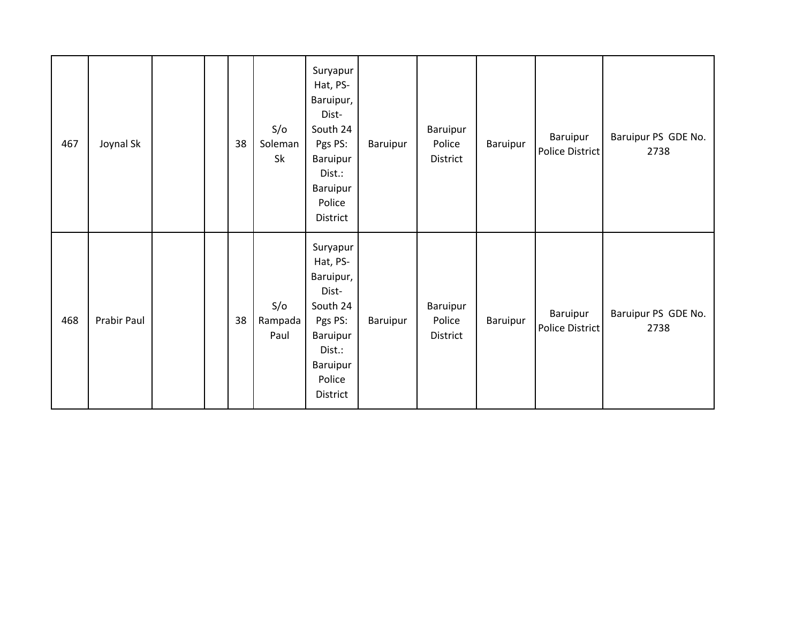| 467 | Joynal Sk   |  | 38 | S/O<br>Soleman<br>Sk   | Suryapur<br>Hat, PS-<br>Baruipur,<br>Dist-<br>South 24<br>Pgs PS:<br>Baruipur<br>Dist.:<br>Baruipur<br>Police<br>District | Baruipur | Baruipur<br>Police<br>District | Baruipur | Baruipur<br>Police District | Baruipur PS GDE No.<br>2738 |
|-----|-------------|--|----|------------------------|---------------------------------------------------------------------------------------------------------------------------|----------|--------------------------------|----------|-----------------------------|-----------------------------|
| 468 | Prabir Paul |  | 38 | S/O<br>Rampada<br>Paul | Suryapur<br>Hat, PS-<br>Baruipur,<br>Dist-<br>South 24<br>Pgs PS:<br>Baruipur<br>Dist.:<br>Baruipur<br>Police<br>District | Baruipur | Baruipur<br>Police<br>District | Baruipur | Baruipur<br>Police District | Baruipur PS GDE No.<br>2738 |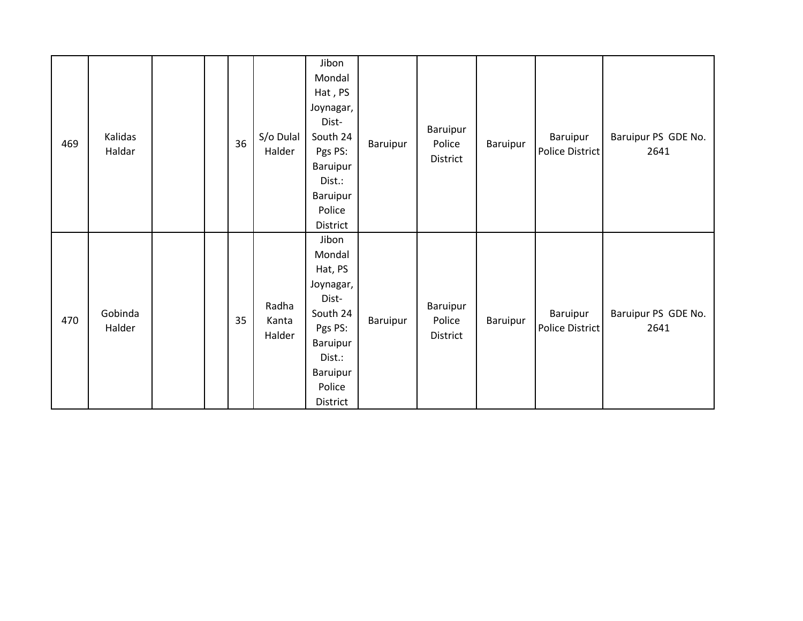| 469 | Kalidas<br>Haldar |  | 36 | S/o Dulal<br>Halder      | Jibon<br>Mondal<br>Hat, PS<br>Joynagar,<br>Dist-<br>South 24<br>Pgs PS:<br>Baruipur<br>Dist.:<br>Baruipur<br>Police                         | Baruipur | Baruipur<br>Police<br>District | Baruipur | Baruipur<br>Police District | Baruipur PS GDE No.<br>2641 |
|-----|-------------------|--|----|--------------------------|---------------------------------------------------------------------------------------------------------------------------------------------|----------|--------------------------------|----------|-----------------------------|-----------------------------|
| 470 | Gobinda<br>Halder |  | 35 | Radha<br>Kanta<br>Halder | District<br>Jibon<br>Mondal<br>Hat, PS<br>Joynagar,<br>Dist-<br>South 24<br>Pgs PS:<br>Baruipur<br>Dist.:<br>Baruipur<br>Police<br>District | Baruipur | Baruipur<br>Police<br>District | Baruipur | Baruipur<br>Police District | Baruipur PS GDE No.<br>2641 |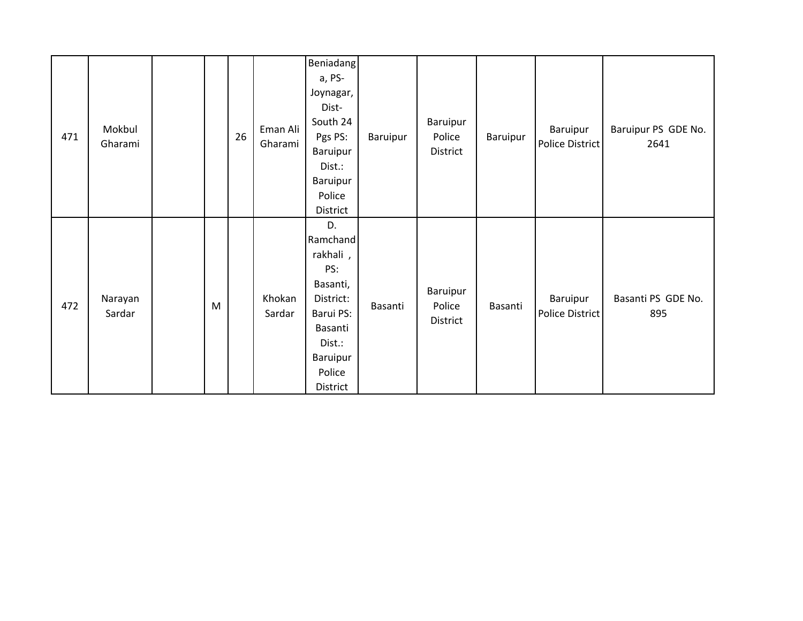| 471 | Mokbul<br>Gharami |   | 26 | Eman Ali<br>Gharami | <b>Beniadang</b><br>a, PS-<br>Joynagar,<br>Dist-<br>South 24<br>Pgs PS:<br>Baruipur<br>Dist.:<br>Baruipur<br>Police            | Baruipur | Baruipur<br>Police<br>District | Baruipur | Baruipur<br>Police District | Baruipur PS GDE No.<br>2641 |
|-----|-------------------|---|----|---------------------|--------------------------------------------------------------------------------------------------------------------------------|----------|--------------------------------|----------|-----------------------------|-----------------------------|
|     |                   |   |    |                     | District                                                                                                                       |          |                                |          |                             |                             |
| 472 | Narayan<br>Sardar | M |    | Khokan<br>Sardar    | D.<br>Ramchand<br>rakhali,<br>PS:<br>Basanti,<br>District:<br>Barui PS:<br>Basanti<br>Dist.:<br>Baruipur<br>Police<br>District | Basanti  | Baruipur<br>Police<br>District | Basanti  | Baruipur<br>Police District | Basanti PS GDE No.<br>895   |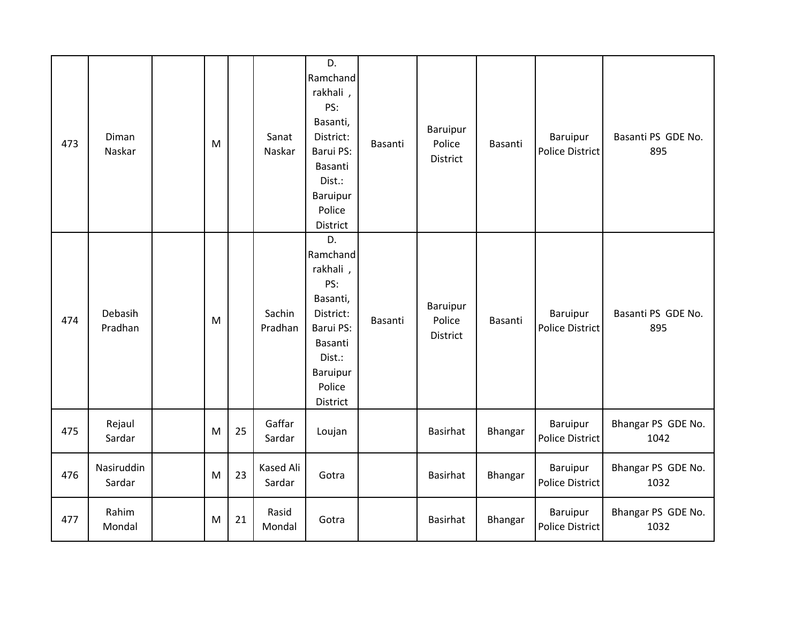| 473 | Diman<br>Naskar      | M |    | Sanat<br>Naskar            | D.<br>Ramchand<br>rakhali,<br>PS:<br>Basanti,<br>District:<br>Barui PS:<br>Basanti<br>Dist.:<br>Baruipur<br>Police<br>District | Basanti | Baruipur<br>Police<br>District        | Basanti | Baruipur<br><b>Police District</b>        | Basanti PS GDE No.<br>895  |
|-----|----------------------|---|----|----------------------------|--------------------------------------------------------------------------------------------------------------------------------|---------|---------------------------------------|---------|-------------------------------------------|----------------------------|
| 474 | Debasih<br>Pradhan   | M |    | Sachin<br>Pradhan          | D.<br>Ramchand<br>rakhali,<br>PS:<br>Basanti,<br>District:<br>Barui PS:<br>Basanti<br>Dist.:<br>Baruipur<br>Police<br>District | Basanti | Baruipur<br>Police<br><b>District</b> | Basanti | Baruipur<br><b>Police District</b>        | Basanti PS GDE No.<br>895  |
| 475 | Rejaul<br>Sardar     | M | 25 | Gaffar<br>Sardar           | Loujan                                                                                                                         |         | <b>Basirhat</b>                       | Bhangar | Baruipur<br><b>Police District</b>        | Bhangar PS GDE No.<br>1042 |
| 476 | Nasiruddin<br>Sardar | M | 23 | <b>Kased Ali</b><br>Sardar | Gotra                                                                                                                          |         | Basirhat                              | Bhangar | <b>Baruipur</b><br><b>Police District</b> | Bhangar PS GDE No.<br>1032 |
| 477 | Rahim<br>Mondal      | M | 21 | Rasid<br>Mondal            | Gotra                                                                                                                          |         | Basirhat                              | Bhangar | <b>Baruipur</b><br><b>Police District</b> | Bhangar PS GDE No.<br>1032 |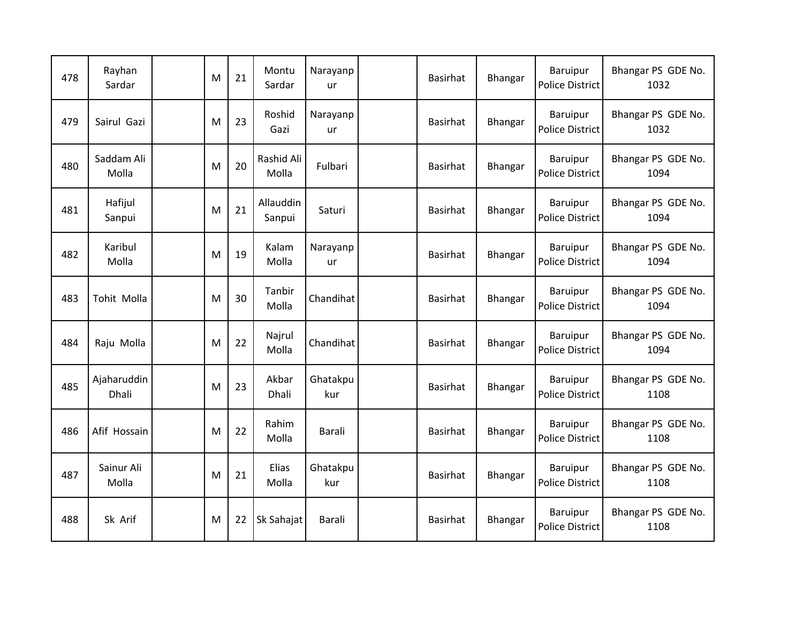| 478 | Rayhan<br>Sardar     | M | 21 | Montu<br>Sardar     | Narayanp<br>ur  | Basirhat        | Bhangar | Baruipur<br><b>Police District</b>        | Bhangar PS GDE No.<br>1032 |
|-----|----------------------|---|----|---------------------|-----------------|-----------------|---------|-------------------------------------------|----------------------------|
| 479 | Sairul Gazi          | M | 23 | Roshid<br>Gazi      | Narayanp<br>ur  | Basirhat        | Bhangar | <b>Baruipur</b><br><b>Police District</b> | Bhangar PS GDE No.<br>1032 |
| 480 | Saddam Ali<br>Molla  | M | 20 | Rashid Ali<br>Molla | Fulbari         | Basirhat        | Bhangar | Baruipur<br><b>Police District</b>        | Bhangar PS GDE No.<br>1094 |
| 481 | Hafijul<br>Sanpui    | M | 21 | Allauddin<br>Sanpui | Saturi          | <b>Basirhat</b> | Bhangar | Baruipur<br><b>Police District</b>        | Bhangar PS GDE No.<br>1094 |
| 482 | Karibul<br>Molla     | M | 19 | Kalam<br>Molla      | Narayanp<br>ur  | Basirhat        | Bhangar | <b>Baruipur</b><br><b>Police District</b> | Bhangar PS GDE No.<br>1094 |
| 483 | Tohit Molla          | M | 30 | Tanbir<br>Molla     | Chandihat       | Basirhat        | Bhangar | <b>Baruipur</b><br><b>Police District</b> | Bhangar PS GDE No.<br>1094 |
| 484 | Raju Molla           | M | 22 | Najrul<br>Molla     | Chandihat       | Basirhat        | Bhangar | <b>Baruipur</b><br><b>Police District</b> | Bhangar PS GDE No.<br>1094 |
| 485 | Ajaharuddin<br>Dhali | M | 23 | Akbar<br>Dhali      | Ghatakpu<br>kur | Basirhat        | Bhangar | Baruipur<br><b>Police District</b>        | Bhangar PS GDE No.<br>1108 |
| 486 | Afif Hossain         | M | 22 | Rahim<br>Molla      | Barali          | Basirhat        | Bhangar | Baruipur<br><b>Police District</b>        | Bhangar PS GDE No.<br>1108 |
| 487 | Sainur Ali<br>Molla  | M | 21 | Elias<br>Molla      | Ghatakpu<br>kur | Basirhat        | Bhangar | <b>Baruipur</b><br><b>Police District</b> | Bhangar PS GDE No.<br>1108 |
| 488 | Sk Arif              | M | 22 | Sk Sahajat          | Barali          | Basirhat        | Bhangar | <b>Baruipur</b><br>Police District        | Bhangar PS GDE No.<br>1108 |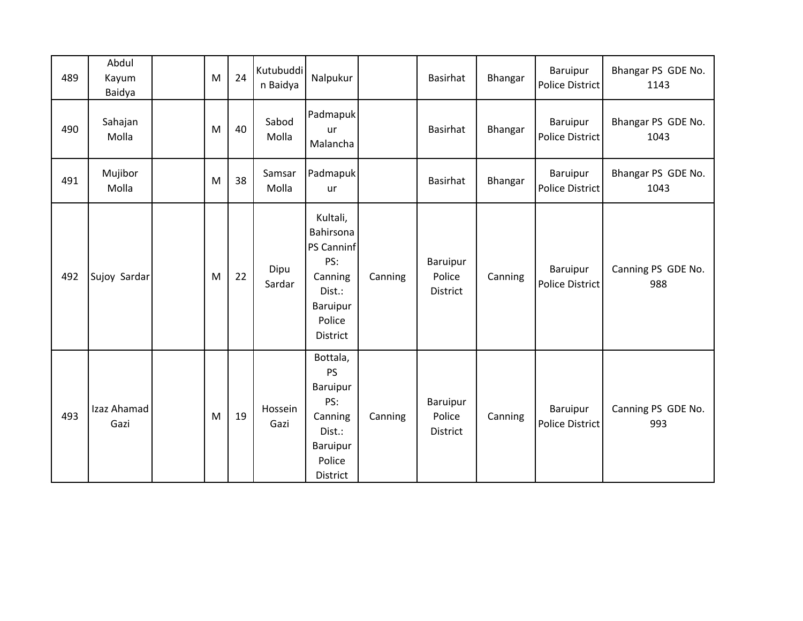| 489 | Abdul<br>Kayum<br>Baidya | M | 24 | Kutubuddi<br>n Baidya | Nalpukur                                                                                                 |         | Basirhat                       | Bhangar | Baruipur<br><b>Police District</b> | Bhangar PS GDE No.<br>1143 |
|-----|--------------------------|---|----|-----------------------|----------------------------------------------------------------------------------------------------------|---------|--------------------------------|---------|------------------------------------|----------------------------|
| 490 | Sahajan<br>Molla         | M | 40 | Sabod<br>Molla        | Padmapuk<br>ur<br>Malancha                                                                               |         | Basirhat                       | Bhangar | Baruipur<br><b>Police District</b> | Bhangar PS GDE No.<br>1043 |
| 491 | Mujibor<br>Molla         | M | 38 | Samsar<br>Molla       | Padmapuk<br>ur                                                                                           |         | Basirhat                       | Bhangar | Baruipur<br><b>Police District</b> | Bhangar PS GDE No.<br>1043 |
| 492 | Sujoy Sardar             | M | 22 | Dipu<br>Sardar        | Kultali,<br>Bahirsona<br><b>PS Canninf</b><br>PS:<br>Canning<br>Dist.:<br>Baruipur<br>Police<br>District | Canning | Baruipur<br>Police<br>District | Canning | Baruipur<br><b>Police District</b> | Canning PS GDE No.<br>988  |
| 493 | Izaz Ahamad<br>Gazi      | M | 19 | Hossein<br>Gazi       | Bottala,<br>PS<br>Baruipur<br>PS:<br>Canning<br>Dist.:<br>Baruipur<br>Police<br>District                 | Canning | Baruipur<br>Police<br>District | Canning | Baruipur<br><b>Police District</b> | Canning PS GDE No.<br>993  |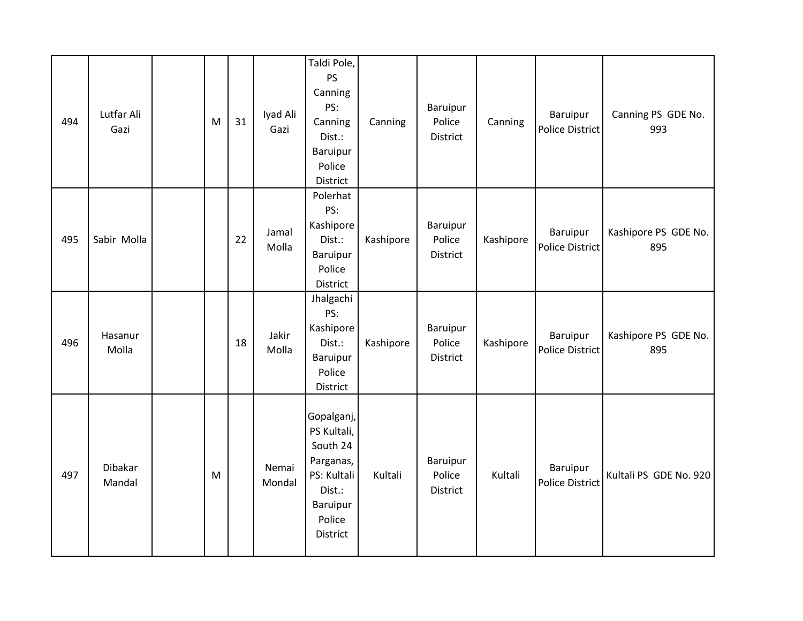| 494 | Lutfar Ali<br>Gazi       | M | 31 | Iyad Ali<br>Gazi | Taldi Pole,<br>PS<br>Canning<br>PS:<br>Canning<br>Dist.:<br>Baruipur<br>Police<br>District                           | Canning   | <b>Baruipur</b><br>Police<br><b>District</b> | Canning   | <b>Baruipur</b><br><b>Police District</b> | Canning PS GDE No.<br>993   |
|-----|--------------------------|---|----|------------------|----------------------------------------------------------------------------------------------------------------------|-----------|----------------------------------------------|-----------|-------------------------------------------|-----------------------------|
| 495 | Sabir Molla              |   | 22 | Jamal<br>Molla   | Polerhat<br>PS:<br>Kashipore<br>Dist.:<br>Baruipur<br>Police<br>District                                             | Kashipore | Baruipur<br>Police<br>District               | Kashipore | <b>Baruipur</b><br>Police District        | Kashipore PS GDE No.<br>895 |
| 496 | Hasanur<br>Molla         |   | 18 | Jakir<br>Molla   | Jhalgachi<br>PS:<br>Kashipore<br>Dist.:<br><b>Baruipur</b><br>Police<br>District                                     | Kashipore | Baruipur<br>Police<br>District               | Kashipore | Baruipur<br><b>Police District</b>        | Kashipore PS GDE No.<br>895 |
| 497 | <b>Dibakar</b><br>Mandal | M |    | Nemai<br>Mondal  | Gopalganj,<br>PS Kultali,<br>South 24<br>Parganas,<br>PS: Kultali<br>Dist.:<br>Baruipur<br>Police<br><b>District</b> | Kultali   | <b>Baruipur</b><br>Police<br><b>District</b> | Kultali   | Baruipur<br><b>Police District</b>        | Kultali PS GDE No. 920      |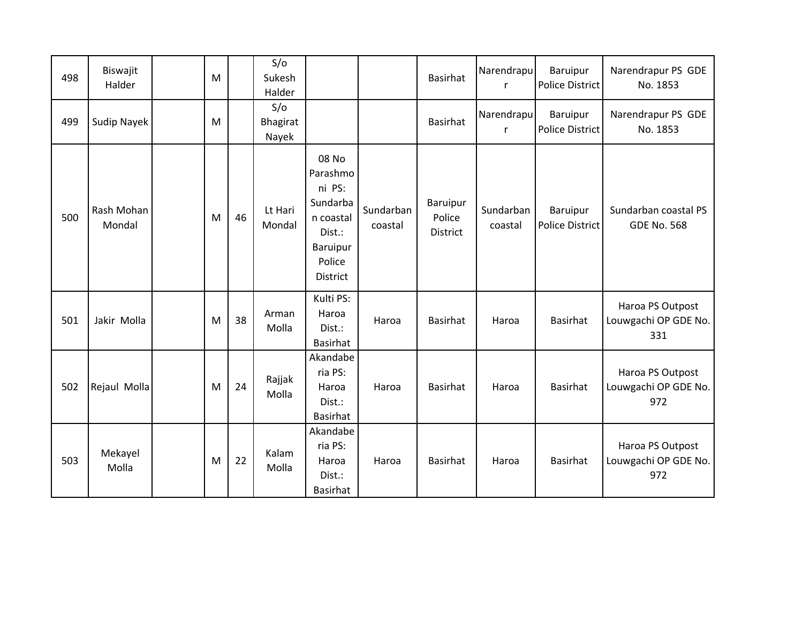| 498 | Biswajit<br>Halder   | M |    | S/O<br>Sukesh<br>Halder         |                                                                                                         |                      | Basirhat                              | Narendrapu<br>r            | Baruipur<br><b>Police District</b> | Narendrapur PS GDE<br>No. 1853                  |
|-----|----------------------|---|----|---------------------------------|---------------------------------------------------------------------------------------------------------|----------------------|---------------------------------------|----------------------------|------------------------------------|-------------------------------------------------|
| 499 | <b>Sudip Nayek</b>   | M |    | S/O<br><b>Bhagirat</b><br>Nayek |                                                                                                         |                      | <b>Basirhat</b>                       | Narendrapu<br>$\mathsf{r}$ | Baruipur<br><b>Police District</b> | Narendrapur PS GDE<br>No. 1853                  |
| 500 | Rash Mohan<br>Mondal | M | 46 | Lt Hari<br>Mondal               | 08 No<br>Parashmo<br>ni PS:<br>Sundarba<br>n coastal<br>Dist.:<br>Baruipur<br>Police<br><b>District</b> | Sundarban<br>coastal | Baruipur<br>Police<br><b>District</b> | Sundarban<br>coastal       | Baruipur<br><b>Police District</b> | Sundarban coastal PS<br><b>GDE No. 568</b>      |
| 501 | Jakir Molla          | M | 38 | Arman<br>Molla                  | Kulti PS:<br>Haroa<br>Dist.:<br><b>Basirhat</b>                                                         | Haroa                | <b>Basirhat</b>                       | Haroa                      | Basirhat                           | Haroa PS Outpost<br>Louwgachi OP GDE No.<br>331 |
| 502 | Rejaul Molla         | M | 24 | Rajjak<br>Molla                 | Akandabe<br>ria PS:<br>Haroa<br>Dist.:<br>Basirhat                                                      | Haroa                | <b>Basirhat</b>                       | Haroa                      | Basirhat                           | Haroa PS Outpost<br>Louwgachi OP GDE No.<br>972 |
| 503 | Mekayel<br>Molla     | M | 22 | Kalam<br>Molla                  | Akandabe<br>ria PS:<br>Haroa<br>Dist.:<br>Basirhat                                                      | Haroa                | <b>Basirhat</b>                       | Haroa                      | Basirhat                           | Haroa PS Outpost<br>Louwgachi OP GDE No.<br>972 |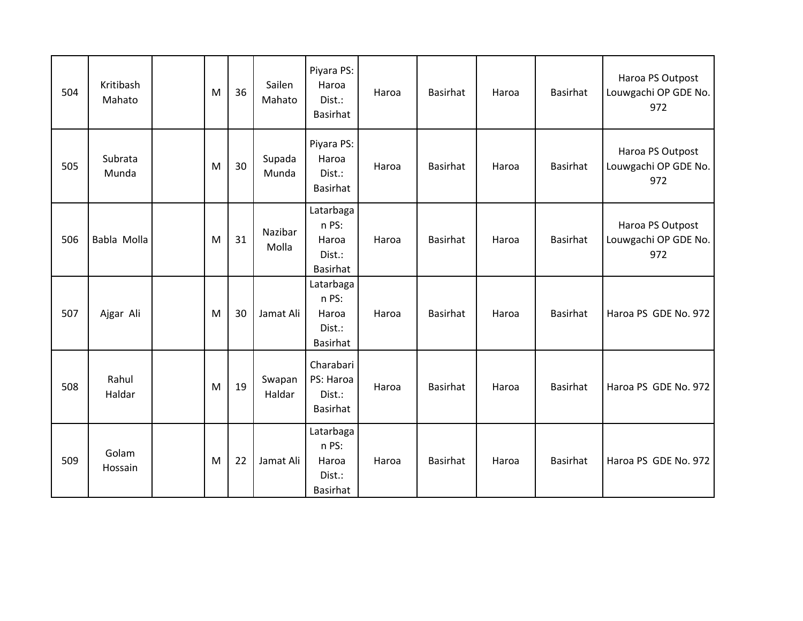| 504 | Kritibash<br>Mahato | M | 36 | Sailen<br>Mahato | Piyara PS:<br>Haroa<br>Dist.:<br>Basirhat         | Haroa | <b>Basirhat</b> | Haroa | Basirhat        | Haroa PS Outpost<br>Louwgachi OP GDE No.<br>972 |
|-----|---------------------|---|----|------------------|---------------------------------------------------|-------|-----------------|-------|-----------------|-------------------------------------------------|
| 505 | Subrata<br>Munda    | M | 30 | Supada<br>Munda  | Piyara PS:<br>Haroa<br>Dist.:<br><b>Basirhat</b>  | Haroa | Basirhat        | Haroa | Basirhat        | Haroa PS Outpost<br>Louwgachi OP GDE No.<br>972 |
| 506 | Babla Molla         | M | 31 | Nazibar<br>Molla | Latarbaga<br>n PS:<br>Haroa<br>Dist.:<br>Basirhat | Haroa | <b>Basirhat</b> | Haroa | <b>Basirhat</b> | Haroa PS Outpost<br>Louwgachi OP GDE No.<br>972 |
| 507 | Ajgar Ali           | M | 30 | Jamat Ali        | Latarbaga<br>n PS:<br>Haroa<br>Dist.:<br>Basirhat | Haroa | <b>Basirhat</b> | Haroa | Basirhat        | Haroa PS GDE No. 972                            |
| 508 | Rahul<br>Haldar     | M | 19 | Swapan<br>Haldar | Charabari<br>PS: Haroa<br>Dist.:<br>Basirhat      | Haroa | Basirhat        | Haroa | Basirhat        | Haroa PS GDE No. 972                            |
| 509 | Golam<br>Hossain    | M | 22 | Jamat Ali        | Latarbaga<br>n PS:<br>Haroa<br>Dist.:<br>Basirhat | Haroa | <b>Basirhat</b> | Haroa | Basirhat        | Haroa PS GDE No. 972                            |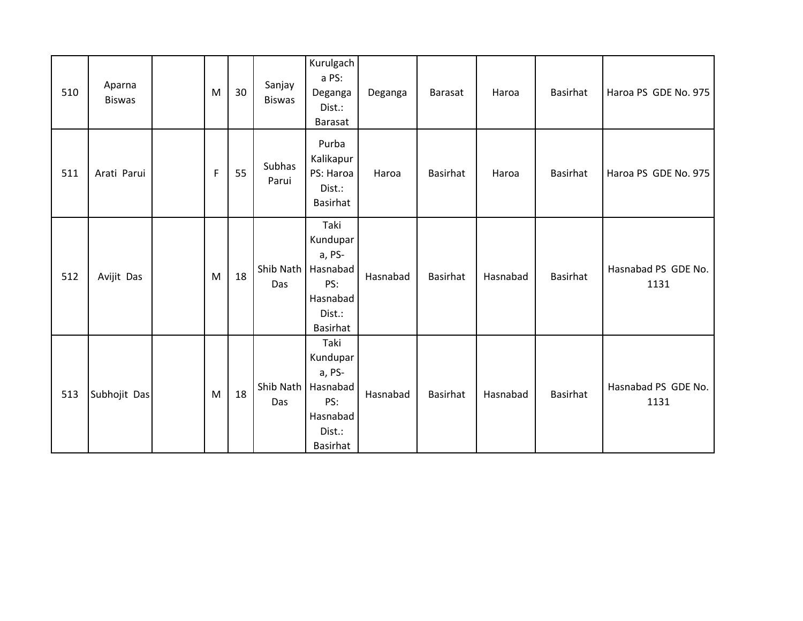| 510 | Aparna<br><b>Biswas</b> | M            | 30 | Sanjay<br><b>Biswas</b> | Kurulgach<br>a PS:<br>Deganga<br>Dist.:<br>Barasat                                     | Deganga  | <b>Barasat</b>  | Haroa    | Basirhat        | Haroa PS GDE No. 975        |
|-----|-------------------------|--------------|----|-------------------------|----------------------------------------------------------------------------------------|----------|-----------------|----------|-----------------|-----------------------------|
| 511 | Arati Parui             | $\mathsf{F}$ | 55 | Subhas<br>Parui         | Purba<br>Kalikapur<br>PS: Haroa<br>Dist.:<br>Basirhat                                  | Haroa    | <b>Basirhat</b> | Haroa    | Basirhat        | Haroa PS GDE No. 975        |
| 512 | Avijit Das              | M            | 18 | Shib Nath<br>Das        | Taki<br>Kundupar<br>a, PS-<br>Hasnabad<br>PS:<br>Hasnabad<br>Dist.:<br><b>Basirhat</b> | Hasnabad | <b>Basirhat</b> | Hasnabad | <b>Basirhat</b> | Hasnabad PS GDE No.<br>1131 |
| 513 | Subhojit Das            | M            | 18 | Shib Nath<br>Das        | Taki<br>Kundupar<br>a, PS-<br>Hasnabad<br>PS:<br>Hasnabad<br>Dist.:<br><b>Basirhat</b> | Hasnabad | <b>Basirhat</b> | Hasnabad | <b>Basirhat</b> | Hasnabad PS GDE No.<br>1131 |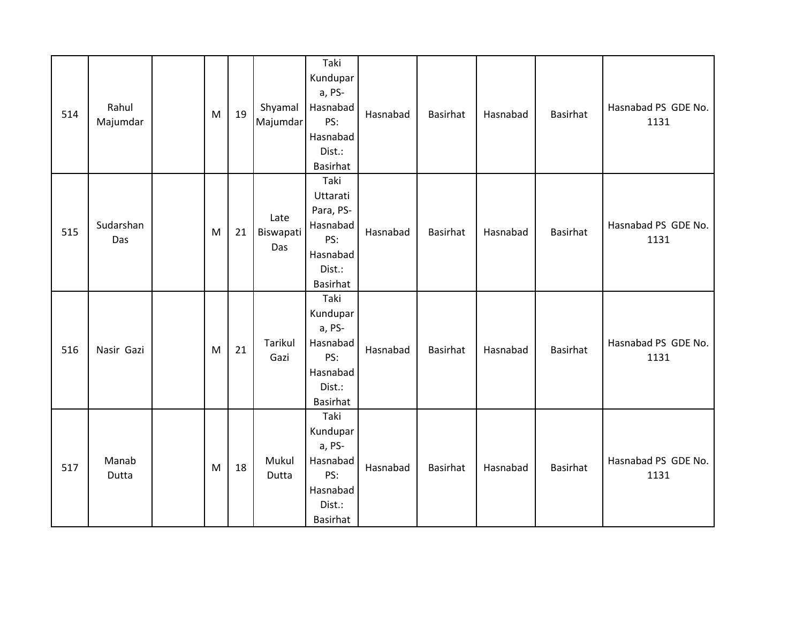| 514 | Rahul<br>Majumdar | M | 19 | Shyamal<br>Majumdar      | Taki<br>Kundupar<br>a, PS-<br>Hasnabad<br>PS:<br>Hasnabad<br>Dist.:<br><b>Basirhat</b> | Hasnabad | Basirhat        | Hasnabad | <b>Basirhat</b> | Hasnabad PS GDE No.<br>1131 |
|-----|-------------------|---|----|--------------------------|----------------------------------------------------------------------------------------|----------|-----------------|----------|-----------------|-----------------------------|
| 515 | Sudarshan<br>Das  | M | 21 | Late<br>Biswapati<br>Das | Taki<br>Uttarati<br>Para, PS-<br>Hasnabad<br>PS:<br>Hasnabad<br>Dist.:<br>Basirhat     | Hasnabad | <b>Basirhat</b> | Hasnabad | <b>Basirhat</b> | Hasnabad PS GDE No.<br>1131 |
| 516 | Nasir Gazi        | M | 21 | Tarikul<br>Gazi          | Taki<br>Kundupar<br>a, PS-<br>Hasnabad<br>PS:<br>Hasnabad<br>Dist.:<br><b>Basirhat</b> | Hasnabad | Basirhat        | Hasnabad | <b>Basirhat</b> | Hasnabad PS GDE No.<br>1131 |
| 517 | Manab<br>Dutta    | M | 18 | Mukul<br>Dutta           | Taki<br>Kundupar<br>a, PS-<br>Hasnabad<br>PS:<br>Hasnabad<br>Dist.:<br>Basirhat        | Hasnabad | Basirhat        | Hasnabad | <b>Basirhat</b> | Hasnabad PS GDE No.<br>1131 |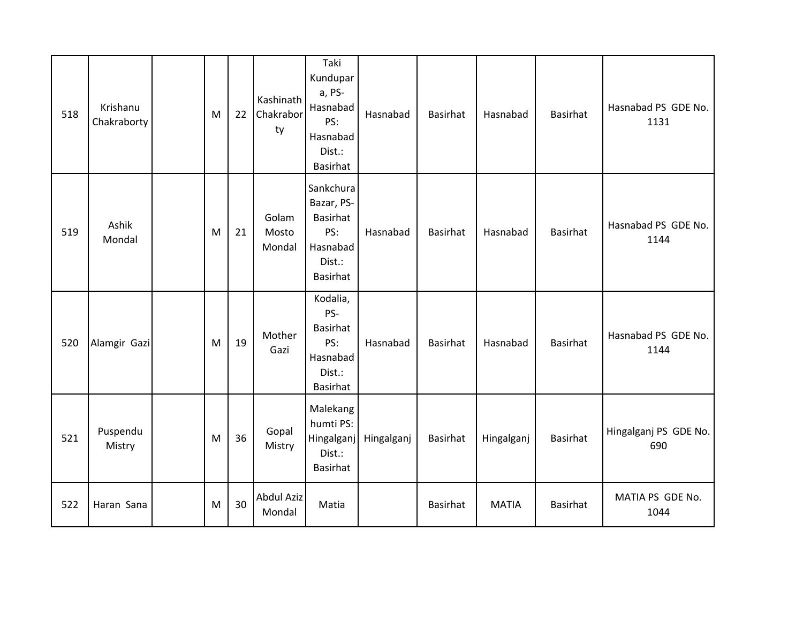| 518 | Krishanu<br>Chakraborty | M | 22 | Kashinath<br>Chakrabor<br>ty | Taki<br>Kundupar<br>a, PS-<br>Hasnabad<br>PS:<br>Hasnabad<br>Dist.:<br><b>Basirhat</b>     | Hasnabad   | <b>Basirhat</b> | Hasnabad     | <b>Basirhat</b> | Hasnabad PS GDE No.<br>1131  |
|-----|-------------------------|---|----|------------------------------|--------------------------------------------------------------------------------------------|------------|-----------------|--------------|-----------------|------------------------------|
| 519 | Ashik<br>Mondal         | M | 21 | Golam<br>Mosto<br>Mondal     | Sankchura<br>Bazar, PS-<br><b>Basirhat</b><br>PS:<br>Hasnabad<br>Dist.:<br><b>Basirhat</b> | Hasnabad   | <b>Basirhat</b> | Hasnabad     | <b>Basirhat</b> | Hasnabad PS GDE No.<br>1144  |
| 520 | Alamgir Gazi            | M | 19 | Mother<br>Gazi               | Kodalia,<br>PS-<br><b>Basirhat</b><br>PS:<br>Hasnabad<br>Dist.:<br>Basirhat                | Hasnabad   | <b>Basirhat</b> | Hasnabad     | <b>Basirhat</b> | Hasnabad PS GDE No.<br>1144  |
| 521 | Puspendu<br>Mistry      | M | 36 | Gopal<br>Mistry              | Malekang<br>humti PS:<br>Hingalganj<br>Dist.:<br><b>Basirhat</b>                           | Hingalganj | Basirhat        | Hingalganj   | <b>Basirhat</b> | Hingalganj PS GDE No.<br>690 |
| 522 | Haran Sana              | M | 30 | <b>Abdul Aziz</b><br>Mondal  | Matia                                                                                      |            | <b>Basirhat</b> | <b>MATIA</b> | <b>Basirhat</b> | MATIA PS GDE No.<br>1044     |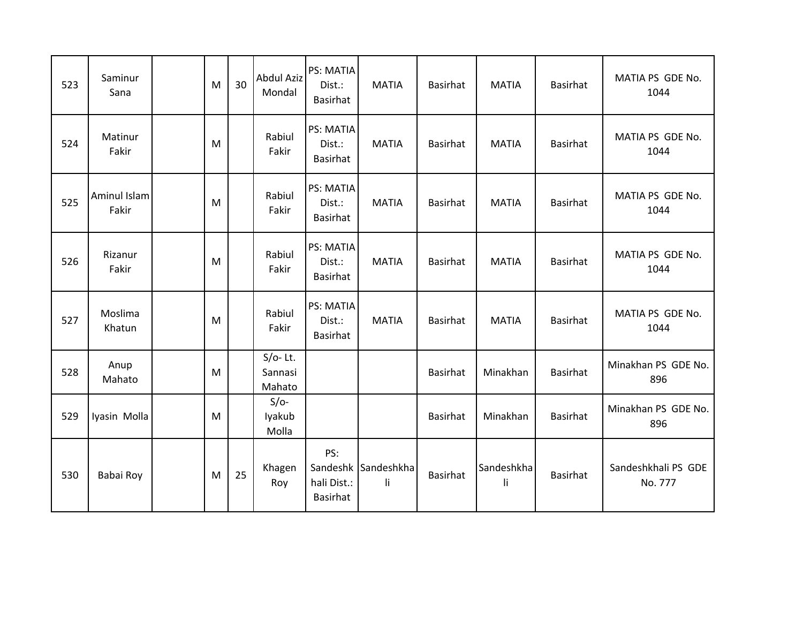| 523 | Saminur<br>Sana       | M | 30 | <b>Abdul Aziz</b><br>Mondal     | <b>PS: MATIA</b><br>Dist.:<br><b>Basirhat</b> | <b>MATIA</b>              | <b>Basirhat</b> | <b>MATIA</b>     | <b>Basirhat</b> | MATIA PS GDE No.<br>1044       |
|-----|-----------------------|---|----|---------------------------------|-----------------------------------------------|---------------------------|-----------------|------------------|-----------------|--------------------------------|
| 524 | Matinur<br>Fakir      | M |    | Rabiul<br>Fakir                 | PS: MATIA<br>Dist.:<br><b>Basirhat</b>        | <b>MATIA</b>              | <b>Basirhat</b> | <b>MATIA</b>     | <b>Basirhat</b> | MATIA PS GDE No.<br>1044       |
| 525 | Aminul Islam<br>Fakir | M |    | Rabiul<br>Fakir                 | PS: MATIA<br>Dist.:<br><b>Basirhat</b>        | <b>MATIA</b>              | <b>Basirhat</b> | <b>MATIA</b>     | <b>Basirhat</b> | MATIA PS GDE No.<br>1044       |
| 526 | Rizanur<br>Fakir      | M |    | Rabiul<br>Fakir                 | PS: MATIA<br>Dist.:<br><b>Basirhat</b>        | <b>MATIA</b>              | <b>Basirhat</b> | <b>MATIA</b>     | <b>Basirhat</b> | MATIA PS GDE No.<br>1044       |
| 527 | Moslima<br>Khatun     | M |    | Rabiul<br>Fakir                 | PS: MATIA<br>Dist.:<br>Basirhat               | <b>MATIA</b>              | <b>Basirhat</b> | <b>MATIA</b>     | <b>Basirhat</b> | MATIA PS GDE No.<br>1044       |
| 528 | Anup<br>Mahato        | M |    | $S/O-$ Lt.<br>Sannasi<br>Mahato |                                               |                           | <b>Basirhat</b> | Minakhan         | <b>Basirhat</b> | Minakhan PS GDE No.<br>896     |
| 529 | Iyasin Molla          | M |    | $S/O-$<br>lyakub<br>Molla       |                                               |                           | Basirhat        | Minakhan         | <b>Basirhat</b> | Minakhan PS GDE No.<br>896     |
| 530 | Babai Roy             | M | 25 | Khagen<br>Roy                   | PS:<br>hali Dist.:<br>Basirhat                | Sandeshk Sandeshkha<br>li | <b>Basirhat</b> | Sandeshkha<br>li | <b>Basirhat</b> | Sandeshkhali PS GDE<br>No. 777 |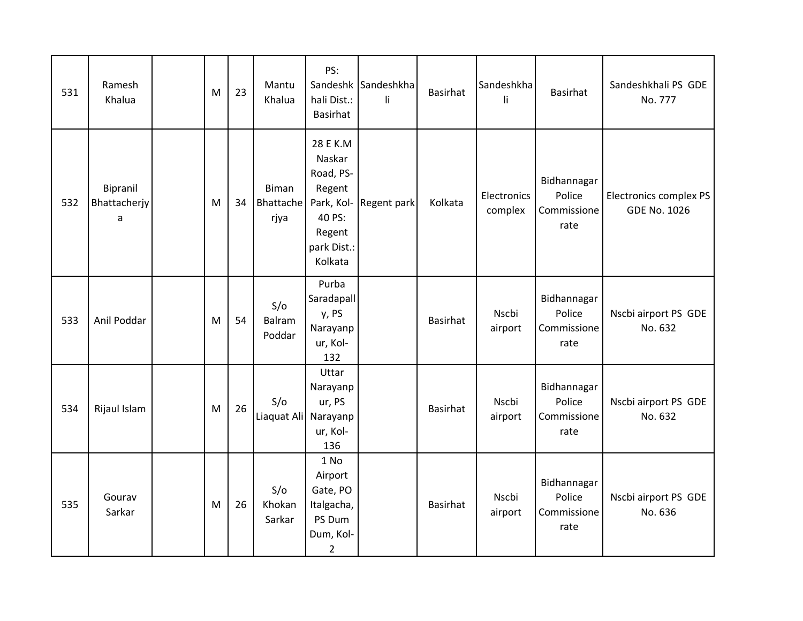| 531 | Ramesh<br>Khalua              | M | 23 | Mantu<br>Khalua             | PS:<br>hali Dist.:<br>Basirhat                                                                        | Sandeshk Sandeshkha<br>li. | <b>Basirhat</b> | Sandeshkha<br>li       | Basirhat                                     | Sandeshkhali PS GDE<br>No. 777                |
|-----|-------------------------------|---|----|-----------------------------|-------------------------------------------------------------------------------------------------------|----------------------------|-----------------|------------------------|----------------------------------------------|-----------------------------------------------|
| 532 | Bipranil<br>Bhattacherjy<br>a | M | 34 | Biman<br>Bhattache<br>rjya  | 28 E K.M<br>Naskar<br>Road, PS-<br>Regent<br>Park, Kol-<br>40 PS:<br>Regent<br>park Dist.:<br>Kolkata | Regent park                | Kolkata         | Electronics<br>complex | Bidhannagar<br>Police<br>Commissione<br>rate | Electronics complex PS<br><b>GDE No. 1026</b> |
| 533 | Anil Poddar                   | M | 54 | S/O<br>Balram<br>Poddar     | Purba<br>Saradapall<br>y, PS<br>Narayanp<br>ur, Kol-<br>132                                           |                            | <b>Basirhat</b> | Nscbi<br>airport       | Bidhannagar<br>Police<br>Commissione<br>rate | Nscbi airport PS GDE<br>No. 632               |
| 534 | Rijaul Islam                  | M | 26 | S/O<br>Liaquat Ali Narayanp | Uttar<br>Narayanp<br>ur, PS<br>ur, Kol-<br>136                                                        |                            | Basirhat        | Nscbi<br>airport       | Bidhannagar<br>Police<br>Commissione<br>rate | Nscbi airport PS GDE<br>No. 632               |
| 535 | Gourav<br>Sarkar              | M | 26 | S/O<br>Khokan<br>Sarkar     | 1 No<br>Airport<br>Gate, PO<br>Italgacha,<br>PS Dum<br>Dum, Kol-<br>$\overline{2}$                    |                            | Basirhat        | Nscbi<br>airport       | Bidhannagar<br>Police<br>Commissione<br>rate | Nscbi airport PS GDE<br>No. 636               |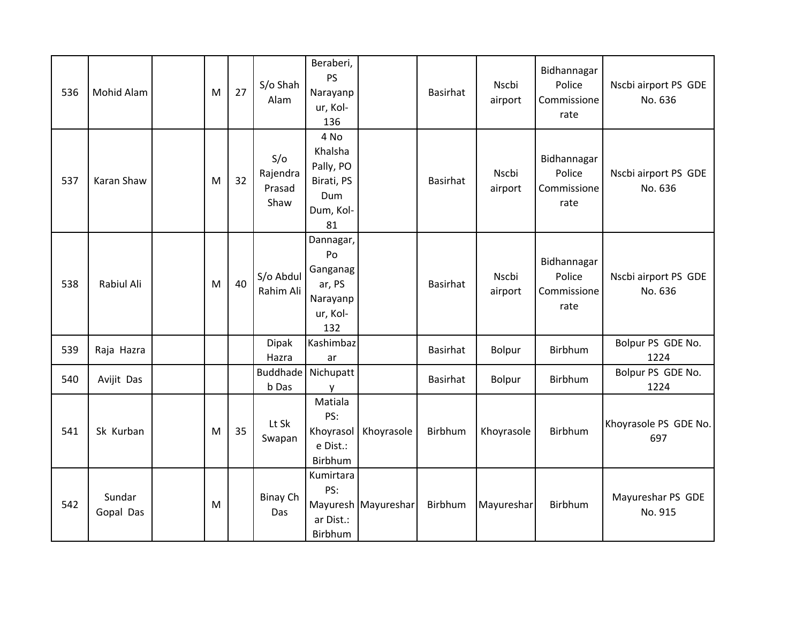| 536 | Mohid Alam          | M | 27 | S/o Shah<br>Alam                  | Beraberi,<br><b>PS</b><br>Narayanp<br>ur, Kol-<br>136                |                     | <b>Basirhat</b> | Nscbi<br>airport | Bidhannagar<br>Police<br>Commissione<br>rate | Nscbi airport PS GDE<br>No. 636 |
|-----|---------------------|---|----|-----------------------------------|----------------------------------------------------------------------|---------------------|-----------------|------------------|----------------------------------------------|---------------------------------|
| 537 | Karan Shaw          | M | 32 | S/O<br>Rajendra<br>Prasad<br>Shaw | 4 No<br>Khalsha<br>Pally, PO<br>Birati, PS<br>Dum<br>Dum, Kol-<br>81 |                     | <b>Basirhat</b> | Nscbi<br>airport | Bidhannagar<br>Police<br>Commissione<br>rate | Nscbi airport PS GDE<br>No. 636 |
| 538 | Rabiul Ali          | M | 40 | S/o Abdul<br>Rahim Ali            | Dannagar,<br>Po<br>Ganganag<br>ar, PS<br>Narayanp<br>ur, Kol-<br>132 |                     | <b>Basirhat</b> | Nscbi<br>airport | Bidhannagar<br>Police<br>Commissione<br>rate | Nscbi airport PS GDE<br>No. 636 |
| 539 | Raja Hazra          |   |    | <b>Dipak</b><br>Hazra             | Kashimbaz<br>ar                                                      |                     | <b>Basirhat</b> | Bolpur           | Birbhum                                      | Bolpur PS GDE No.<br>1224       |
| 540 | Avijit Das          |   |    | Buddhade<br>b Das                 | Nichupatt<br>y                                                       |                     | <b>Basirhat</b> | Bolpur           | Birbhum                                      | Bolpur PS GDE No.<br>1224       |
| 541 | Sk Kurban           | M | 35 | Lt Sk<br>Swapan                   | Matiala<br>PS:<br>Khoyrasol<br>e Dist.:<br>Birbhum                   | Khoyrasole          | Birbhum         | Khoyrasole       | Birbhum                                      | Khoyrasole PS GDE No.<br>697    |
| 542 | Sundar<br>Gopal Das | M |    | <b>Binay Ch</b><br>Das            | Kumirtara<br>PS:<br>ar Dist.:<br>Birbhum                             | Mayuresh Mayureshar | Birbhum         | Mayureshar       | Birbhum                                      | Mayureshar PS GDE<br>No. 915    |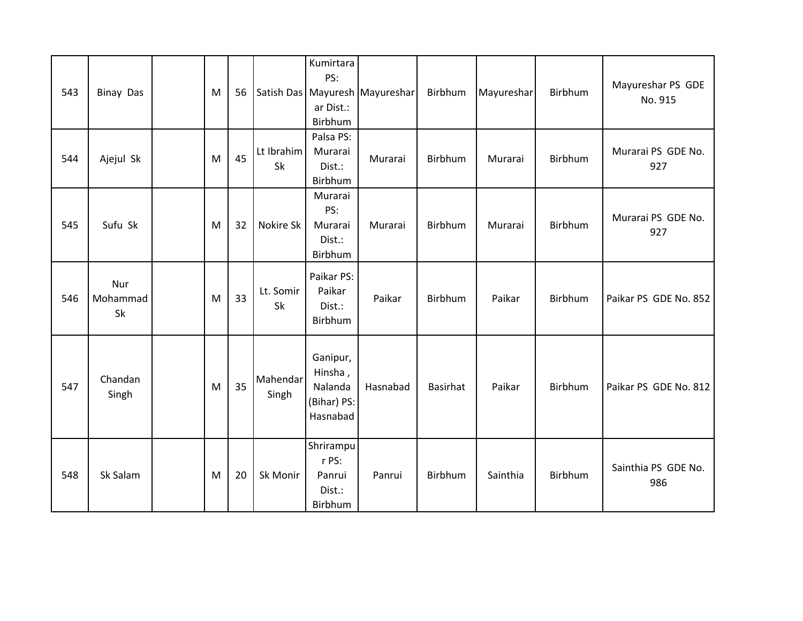| 543 | <b>Binay Das</b>      | M | 56 |                   | Kumirtara<br>PS:<br>ar Dist.:<br>Birbhum                  | Satish Das   Mayuresh   Mayureshar | Birbhum  | Mayureshar | Birbhum | Mayureshar PS GDE<br>No. 915 |
|-----|-----------------------|---|----|-------------------|-----------------------------------------------------------|------------------------------------|----------|------------|---------|------------------------------|
| 544 | Ajejul Sk             | M | 45 | Lt Ibrahim<br>Sk  | Palsa PS:<br>Murarai<br>Dist.:<br>Birbhum                 | Murarai                            | Birbhum  | Murarai    | Birbhum | Murarai PS GDE No.<br>927    |
| 545 | Sufu Sk               | M | 32 | Nokire Sk         | Murarai<br>PS:<br>Murarai<br>Dist.:<br>Birbhum            | Murarai                            | Birbhum  | Murarai    | Birbhum | Murarai PS GDE No.<br>927    |
| 546 | Nur<br>Mohammad<br>Sk | M | 33 | Lt. Somir<br>Sk   | Paikar PS:<br>Paikar<br>Dist.:<br>Birbhum                 | Paikar                             | Birbhum  | Paikar     | Birbhum | Paikar PS GDE No. 852        |
| 547 | Chandan<br>Singh      | M | 35 | Mahendar<br>Singh | Ganipur,<br>Hinsha,<br>Nalanda<br>(Bihar) PS:<br>Hasnabad | Hasnabad                           | Basirhat | Paikar     | Birbhum | Paikar PS GDE No. 812        |
| 548 | Sk Salam              | M | 20 | Sk Monir          | Shrirampu<br>r PS:<br>Panrui<br>Dist.:<br>Birbhum         | Panrui                             | Birbhum  | Sainthia   | Birbhum | Sainthia PS GDE No.<br>986   |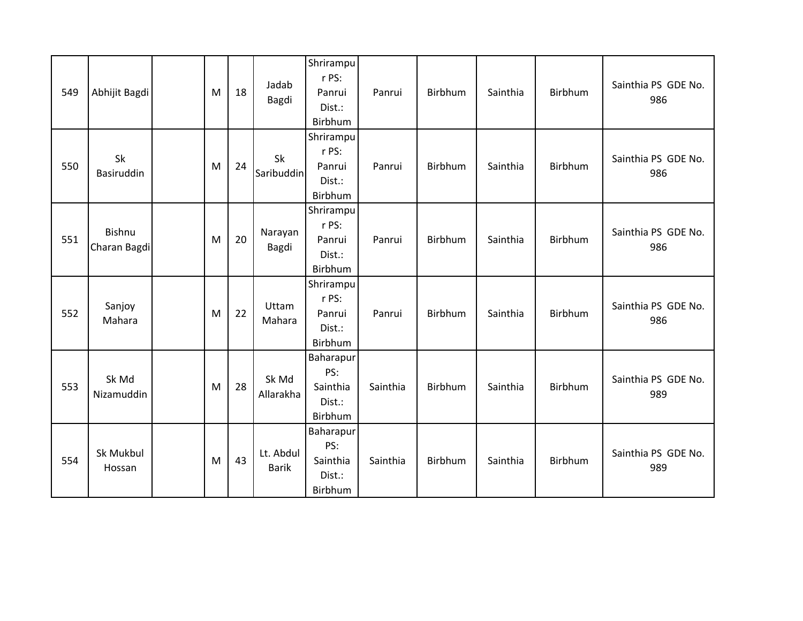| 549 | Abhijit Bagdi           | M | 18 | Jadab<br>Bagdi            | Shrirampu<br>r PS:<br>Panrui<br>Dist.:<br>Birbhum | Panrui   | Birbhum | Sainthia | Birbhum | Sainthia PS GDE No.<br>986 |
|-----|-------------------------|---|----|---------------------------|---------------------------------------------------|----------|---------|----------|---------|----------------------------|
| 550 | <b>Sk</b><br>Basiruddin | M | 24 | Sk<br>Saribuddin          | Shrirampu<br>r PS:<br>Panrui<br>Dist.:<br>Birbhum | Panrui   | Birbhum | Sainthia | Birbhum | Sainthia PS GDE No.<br>986 |
| 551 | Bishnu<br>Charan Bagdi  | M | 20 | Narayan<br>Bagdi          | Shrirampu<br>r PS:<br>Panrui<br>Dist.:<br>Birbhum | Panrui   | Birbhum | Sainthia | Birbhum | Sainthia PS GDE No.<br>986 |
| 552 | Sanjoy<br>Mahara        | M | 22 | Uttam<br>Mahara           | Shrirampu<br>r PS:<br>Panrui<br>Dist.:<br>Birbhum | Panrui   | Birbhum | Sainthia | Birbhum | Sainthia PS GDE No.<br>986 |
| 553 | Sk Md<br>Nizamuddin     | M | 28 | Sk Md<br>Allarakha        | Baharapur<br>PS:<br>Sainthia<br>Dist.:<br>Birbhum | Sainthia | Birbhum | Sainthia | Birbhum | Sainthia PS GDE No.<br>989 |
| 554 | Sk Mukbul<br>Hossan     | M | 43 | Lt. Abdul<br><b>Barik</b> | Baharapur<br>PS:<br>Sainthia<br>Dist.:<br>Birbhum | Sainthia | Birbhum | Sainthia | Birbhum | Sainthia PS GDE No.<br>989 |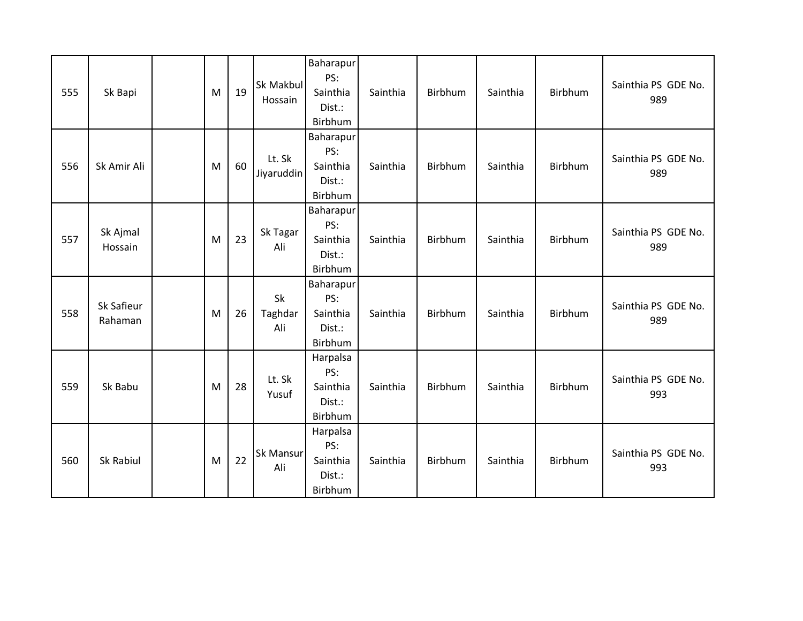| 555 | Sk Bapi               | M | 19 | Sk Makbul<br>Hossain        | <b>Baharapur</b><br>PS:<br>Sainthia<br>Dist.:<br>Birbhum | Sainthia | Birbhum | Sainthia | Birbhum | Sainthia PS GDE No.<br>989 |
|-----|-----------------------|---|----|-----------------------------|----------------------------------------------------------|----------|---------|----------|---------|----------------------------|
| 556 | Sk Amir Ali           | M | 60 | Lt. Sk<br><b>Jiyaruddin</b> | Baharapur<br>PS:<br>Sainthia<br>Dist.:<br>Birbhum        | Sainthia | Birbhum | Sainthia | Birbhum | Sainthia PS GDE No.<br>989 |
| 557 | Sk Ajmal<br>Hossain   | M | 23 | Sk Tagar<br>Ali             | Baharapur<br>PS:<br>Sainthia<br>Dist.:<br>Birbhum        | Sainthia | Birbhum | Sainthia | Birbhum | Sainthia PS GDE No.<br>989 |
| 558 | Sk Safieur<br>Rahaman | M | 26 | Sk<br>Taghdar<br>Ali        | Baharapur<br>PS:<br>Sainthia<br>Dist.:<br>Birbhum        | Sainthia | Birbhum | Sainthia | Birbhum | Sainthia PS GDE No.<br>989 |
| 559 | Sk Babu               | M | 28 | Lt. Sk<br>Yusuf             | Harpalsa<br>PS:<br>Sainthia<br>Dist.:<br>Birbhum         | Sainthia | Birbhum | Sainthia | Birbhum | Sainthia PS GDE No.<br>993 |
| 560 | Sk Rabiul             | M | 22 | Sk Mansur<br>Ali            | Harpalsa<br>PS:<br>Sainthia<br>Dist.:<br>Birbhum         | Sainthia | Birbhum | Sainthia | Birbhum | Sainthia PS GDE No.<br>993 |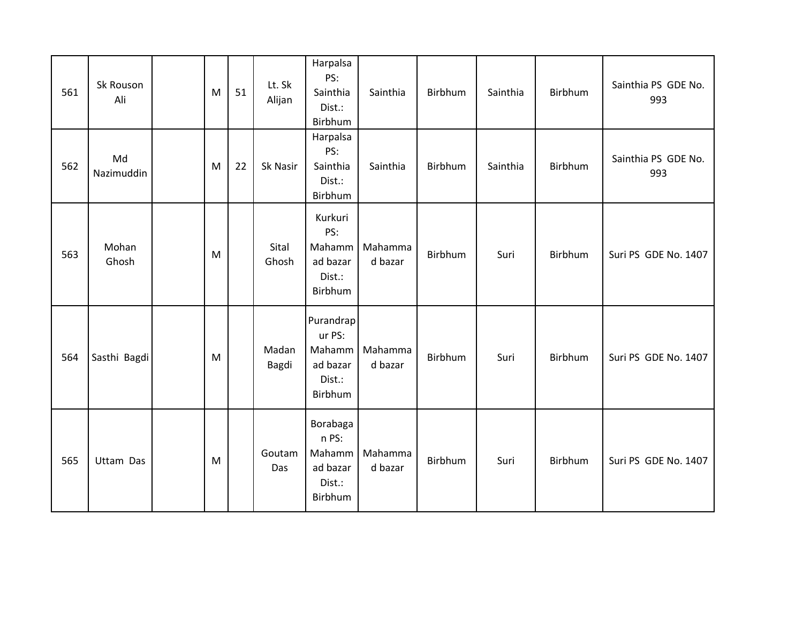| 561 | Sk Rouson<br>Ali | M | 51 | Lt. Sk<br>Alijan | Harpalsa<br>PS:<br>Sainthia<br>Dist.:<br>Birbhum               | Sainthia           | Birbhum | Sainthia | Birbhum | Sainthia PS GDE No.<br>993 |
|-----|------------------|---|----|------------------|----------------------------------------------------------------|--------------------|---------|----------|---------|----------------------------|
| 562 | Md<br>Nazimuddin | M | 22 | Sk Nasir         | Harpalsa<br>PS:<br>Sainthia<br>Dist.:<br>Birbhum               | Sainthia           | Birbhum | Sainthia | Birbhum | Sainthia PS GDE No.<br>993 |
| 563 | Mohan<br>Ghosh   | M |    | Sital<br>Ghosh   | Kurkuri<br>PS:<br>Mahamm<br>ad bazar<br>Dist.:<br>Birbhum      | Mahamma<br>d bazar | Birbhum | Suri     | Birbhum | Suri PS GDE No. 1407       |
| 564 | Sasthi Bagdi     | M |    | Madan<br>Bagdi   | Purandrap<br>ur PS:<br>Mahamm<br>ad bazar<br>Dist.:<br>Birbhum | Mahamma<br>d bazar | Birbhum | Suri     | Birbhum | Suri PS GDE No. 1407       |
| 565 | Uttam Das        | M |    | Goutam<br>Das    | Borabaga<br>n PS:<br>Mahamm<br>ad bazar<br>Dist.:<br>Birbhum   | Mahamma<br>d bazar | Birbhum | Suri     | Birbhum | Suri PS GDE No. 1407       |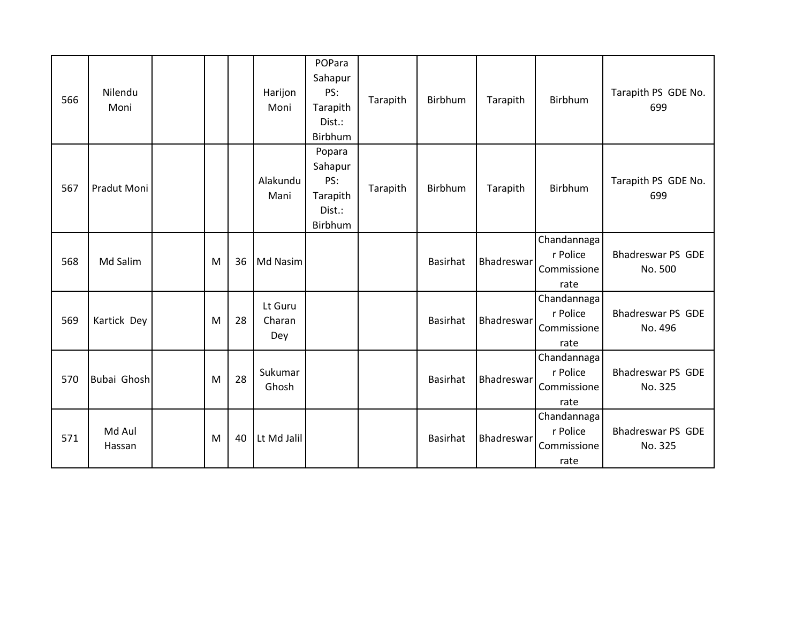| 566 | Nilendu<br>Moni  |   |    | Harijon<br>Moni          | POPara<br>Sahapur<br>PS:<br>Tarapith<br>Dist.:<br>Birbhum | Tarapith | Birbhum  | Tarapith   | <b>Birbhum</b>                                 | Tarapith PS GDE No.<br>699          |
|-----|------------------|---|----|--------------------------|-----------------------------------------------------------|----------|----------|------------|------------------------------------------------|-------------------------------------|
| 567 | Pradut Moni      |   |    | Alakundu<br>Mani         | Popara<br>Sahapur<br>PS:<br>Tarapith<br>Dist.:<br>Birbhum | Tarapith | Birbhum  | Tarapith   | Birbhum                                        | Tarapith PS GDE No.<br>699          |
| 568 | Md Salim         | M | 36 | Md Nasim                 |                                                           |          | Basirhat | Bhadreswar | Chandannaga<br>r Police<br>Commissione<br>rate | <b>Bhadreswar PS GDE</b><br>No. 500 |
| 569 | Kartick Dey      | M | 28 | Lt Guru<br>Charan<br>Dey |                                                           |          | Basirhat | Bhadreswar | Chandannaga<br>r Police<br>Commissione<br>rate | <b>Bhadreswar PS GDE</b><br>No. 496 |
| 570 | Bubai Ghosh      | M | 28 | Sukumar<br>Ghosh         |                                                           |          | Basirhat | Bhadreswar | Chandannaga<br>r Police<br>Commissione<br>rate | <b>Bhadreswar PS GDE</b><br>No. 325 |
| 571 | Md Aul<br>Hassan | M | 40 | Lt Md Jalil              |                                                           |          | Basirhat | Bhadreswar | Chandannaga<br>r Police<br>Commissione<br>rate | <b>Bhadreswar PS GDE</b><br>No. 325 |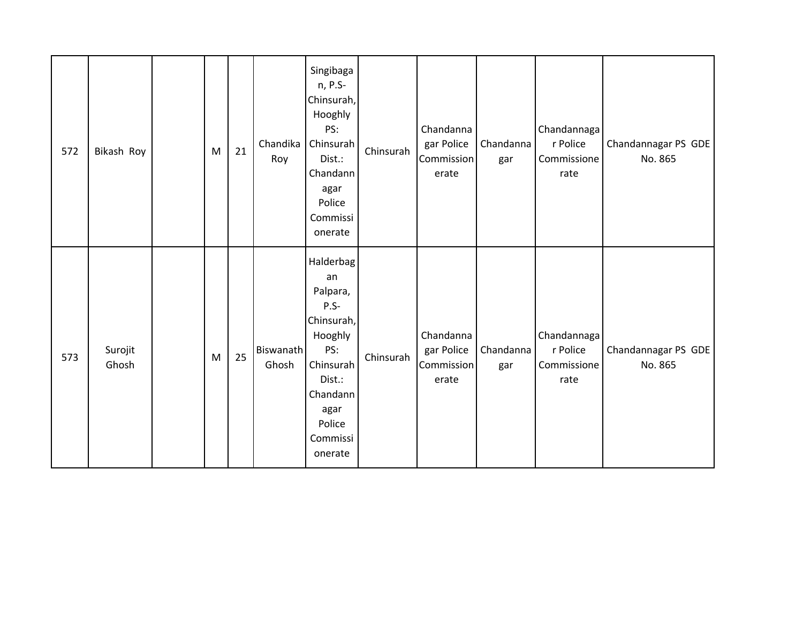| 572 | Bikash Roy       | M | 21 | Chandika<br>Roy           | Singibaga<br>n, P.S-<br>Chinsurah,<br>Hooghly<br>PS:<br>Chinsurah<br>Dist.:<br>Chandann<br>agar<br>Police<br>Commissi<br>onerate                  | Chinsurah | Chandanna<br>gar Police<br><b>Commission</b><br>erate | Chandanna<br>gar | Chandannaga<br>r Police<br>Commissione<br>rate | Chandannagar PS GDE<br>No. 865 |
|-----|------------------|---|----|---------------------------|---------------------------------------------------------------------------------------------------------------------------------------------------|-----------|-------------------------------------------------------|------------------|------------------------------------------------|--------------------------------|
| 573 | Surojit<br>Ghosh | M | 25 | <b>Biswanath</b><br>Ghosh | Halderbag<br>an<br>Palpara,<br>$P.S-$<br>Chinsurah,<br>Hooghly<br>PS:<br>Chinsurah<br>Dist.:<br>Chandann<br>agar<br>Police<br>Commissi<br>onerate | Chinsurah | Chandanna<br>gar Police<br>Commission<br>erate        | Chandanna<br>gar | Chandannaga<br>r Police<br>Commissione<br>rate | Chandannagar PS GDE<br>No. 865 |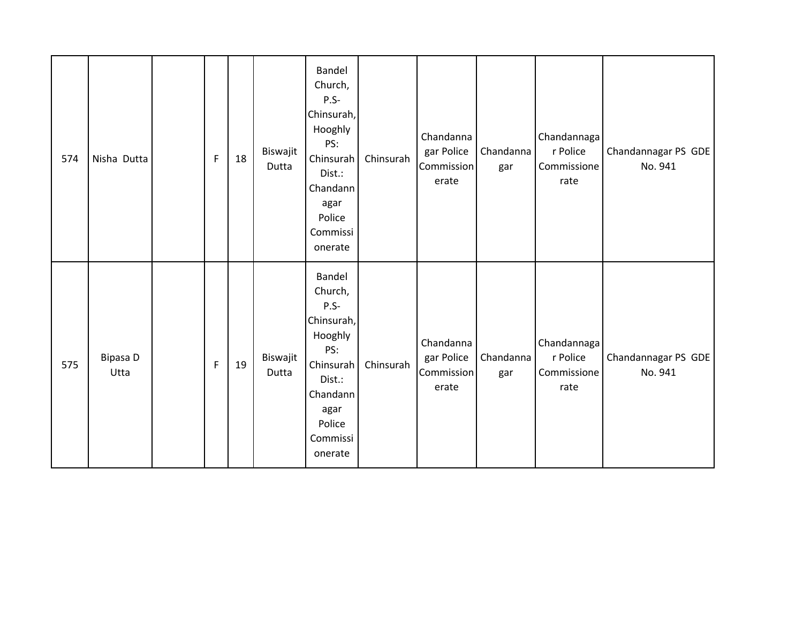| 574 | Nisha Dutta      | F            | 18 | Biswajit<br>Dutta | Bandel<br>Church,<br>$P.S-$<br>Chinsurah,<br>Hooghly<br>PS:<br>Chinsurah<br>Dist.:<br>Chandann<br>agar<br>Police<br>Commissi<br>onerate | Chinsurah | Chandanna<br>gar Police<br>Commission<br>erate | Chandanna<br>gar | Chandannaga<br>r Police<br>Commissione<br>rate | Chandannagar PS GDE<br>No. 941 |
|-----|------------------|--------------|----|-------------------|-----------------------------------------------------------------------------------------------------------------------------------------|-----------|------------------------------------------------|------------------|------------------------------------------------|--------------------------------|
| 575 | Bipasa D<br>Utta | $\mathsf{F}$ | 19 | Biswajit<br>Dutta | Bandel<br>Church,<br>$P.S-$<br>Chinsurah,<br>Hooghly<br>PS:<br>Chinsurah<br>Dist.:<br>Chandann<br>agar<br>Police<br>Commissi<br>onerate | Chinsurah | Chandanna<br>gar Police<br>Commission<br>erate | Chandanna<br>gar | Chandannaga<br>r Police<br>Commissione<br>rate | Chandannagar PS GDE<br>No. 941 |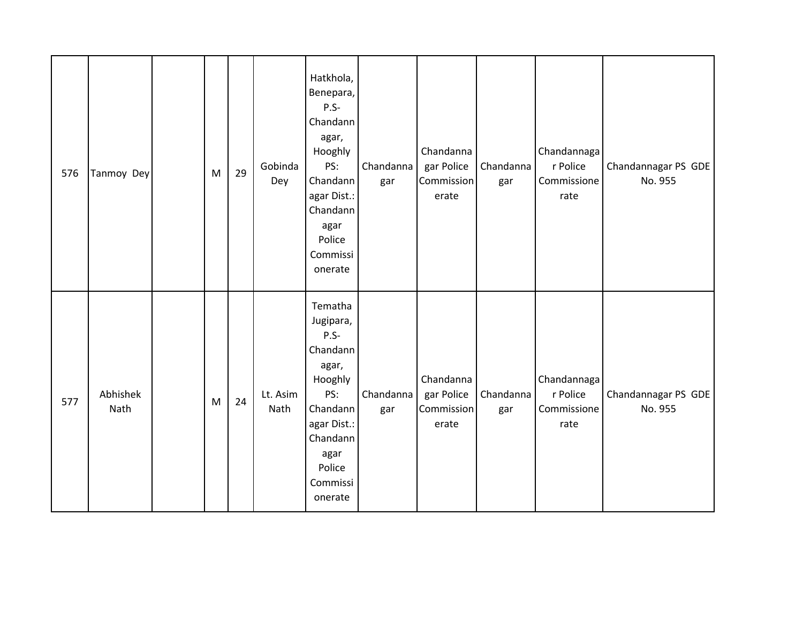| 576 | Tanmoy Dey       | M         | 29 | Gobinda<br>Dey   | Hatkhola,<br>Benepara,<br>$P.S-$<br>Chandann<br>agar,<br>Hooghly<br>PS:<br>Chandann<br>agar Dist.:<br>Chandann<br>agar<br>Police<br>Commissi<br>onerate | Chandanna<br>gar | Chandanna<br>gar Police<br>Commission<br>erate | Chandanna<br>gar | Chandannaga<br>r Police<br>Commissione<br>rate | Chandannagar PS GDE<br>No. 955 |
|-----|------------------|-----------|----|------------------|---------------------------------------------------------------------------------------------------------------------------------------------------------|------------------|------------------------------------------------|------------------|------------------------------------------------|--------------------------------|
| 577 | Abhishek<br>Nath | ${\sf M}$ | 24 | Lt. Asim<br>Nath | Tematha<br>Jugipara,<br>$P.S-$<br>Chandann<br>agar,<br>Hooghly<br>PS:<br>Chandann<br>agar Dist.:<br>Chandann<br>agar<br>Police<br>Commissi<br>onerate   | Chandanna<br>gar | Chandanna<br>gar Police<br>Commission<br>erate | Chandanna<br>gar | Chandannaga<br>r Police<br>Commissione<br>rate | Chandannagar PS GDE<br>No. 955 |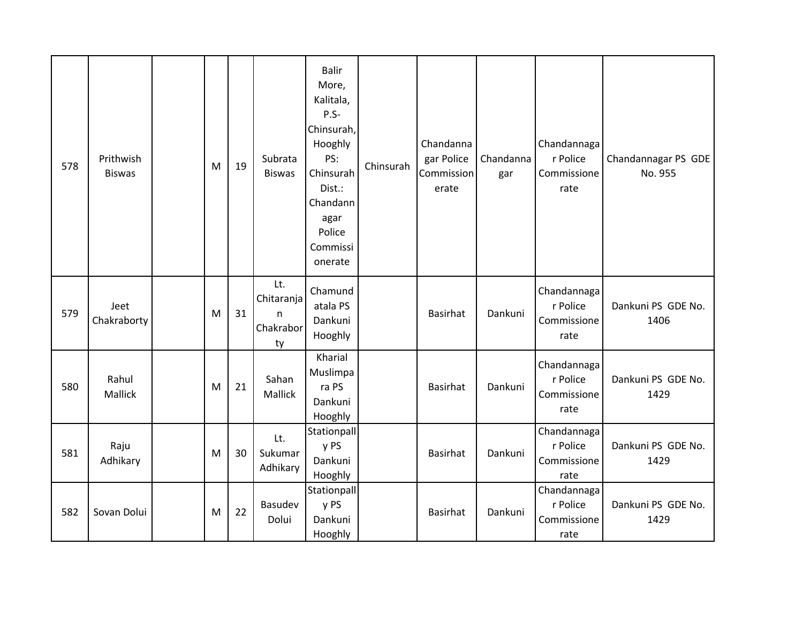| 578 | Prithwish<br><b>Biswas</b> | M | 19 | Subrata<br><b>Biswas</b>                  | <b>Balir</b><br>More,<br>Kalitala,<br>P.S-<br>Chinsurah,<br>Hooghly<br>PS:<br>Chinsurah<br>Dist.:<br>Chandann<br>agar<br>Police<br>Commissi<br>onerate | Chinsurah | Chandanna<br>gar Police<br>Commission<br>erate | Chandanna<br>gar | Chandannaga<br>r Police<br>Commissione<br>rate | Chandannagar PS GDE<br>No. 955 |
|-----|----------------------------|---|----|-------------------------------------------|--------------------------------------------------------------------------------------------------------------------------------------------------------|-----------|------------------------------------------------|------------------|------------------------------------------------|--------------------------------|
| 579 | Jeet<br>Chakraborty        | M | 31 | Lt.<br>Chitaranja<br>n<br>Chakrabor<br>ty | Chamund<br>atala PS<br>Dankuni<br>Hooghly                                                                                                              |           | <b>Basirhat</b>                                | Dankuni          | Chandannaga<br>r Police<br>Commissione<br>rate | Dankuni PS GDE No.<br>1406     |
| 580 | Rahul<br>Mallick           | M | 21 | Sahan<br>Mallick                          | Kharial<br>Muslimpa<br>ra PS<br>Dankuni<br>Hooghly                                                                                                     |           | <b>Basirhat</b>                                | Dankuni          | Chandannaga<br>r Police<br>Commissione<br>rate | Dankuni PS GDE No.<br>1429     |
| 581 | Raju<br>Adhikary           | M | 30 | Lt.<br>Sukumar<br>Adhikary                | Stationpall<br>y PS<br>Dankuni<br>Hooghly                                                                                                              |           | <b>Basirhat</b>                                | Dankuni          | Chandannaga<br>r Police<br>Commissione<br>rate | Dankuni PS GDE No.<br>1429     |
| 582 | Sovan Dolui                | M | 22 | Basudev<br>Dolui                          | Stationpall<br>y PS<br>Dankuni<br>Hooghly                                                                                                              |           | <b>Basirhat</b>                                | Dankuni          | Chandannaga<br>r Police<br>Commissione<br>rate | Dankuni PS GDE No.<br>1429     |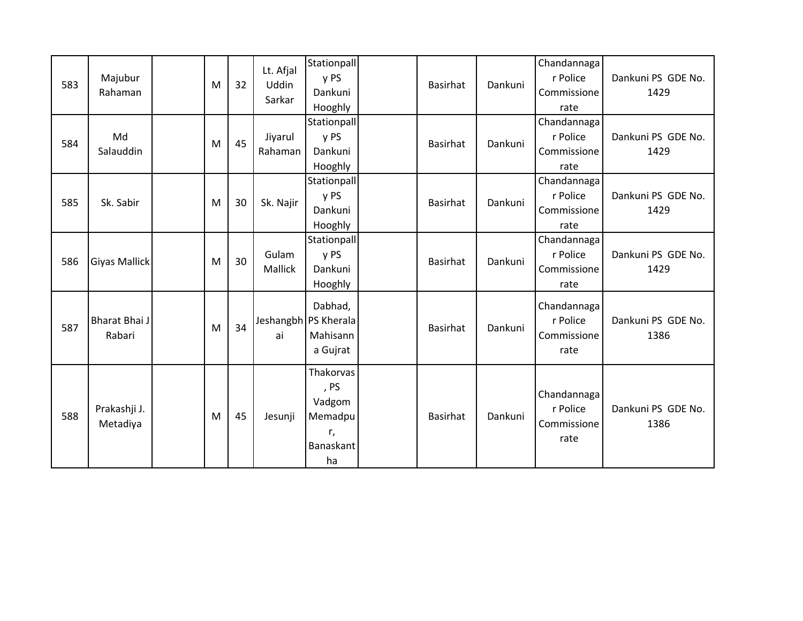| 583 | Majubur<br>Rahaman       | M | 32 | Lt. Afjal<br>Uddin<br>Sarkar | Stationpall<br>y PS<br>Dankuni<br>Hooghly                       | Basirhat        | Dankuni | Chandannaga<br>r Police<br>Commissione<br>rate | Dankuni PS GDE No.<br>1429 |
|-----|--------------------------|---|----|------------------------------|-----------------------------------------------------------------|-----------------|---------|------------------------------------------------|----------------------------|
| 584 | Md<br>Salauddin          | M | 45 | Jiyarul<br>Rahaman           | Stationpall<br>y PS<br>Dankuni<br>Hooghly                       | Basirhat        | Dankuni | Chandannaga<br>r Police<br>Commissione<br>rate | Dankuni PS GDE No.<br>1429 |
| 585 | Sk. Sabir                | M | 30 | Sk. Najir                    | Stationpall<br>y PS<br>Dankuni<br>Hooghly                       | Basirhat        | Dankuni | Chandannaga<br>r Police<br>Commissione<br>rate | Dankuni PS GDE No.<br>1429 |
| 586 | <b>Giyas Mallick</b>     | M | 30 | Gulam<br>Mallick             | Stationpall<br>y PS<br>Dankuni<br>Hooghly                       | Basirhat        | Dankuni | Chandannaga<br>r Police<br>Commissione<br>rate | Dankuni PS GDE No.<br>1429 |
| 587 | Bharat Bhai J<br>Rabari  | M | 34 | ai                           | Dabhad,<br>Jeshangbh PS Kherala<br>Mahisann<br>a Gujrat         | Basirhat        | Dankuni | Chandannaga<br>r Police<br>Commissione<br>rate | Dankuni PS GDE No.<br>1386 |
| 588 | Prakashji J.<br>Metadiya | M | 45 | Jesunji                      | Thakorvas<br>, PS<br>Vadgom<br>Memadpu<br>r,<br>Banaskant<br>ha | <b>Basirhat</b> | Dankuni | Chandannaga<br>r Police<br>Commissione<br>rate | Dankuni PS GDE No.<br>1386 |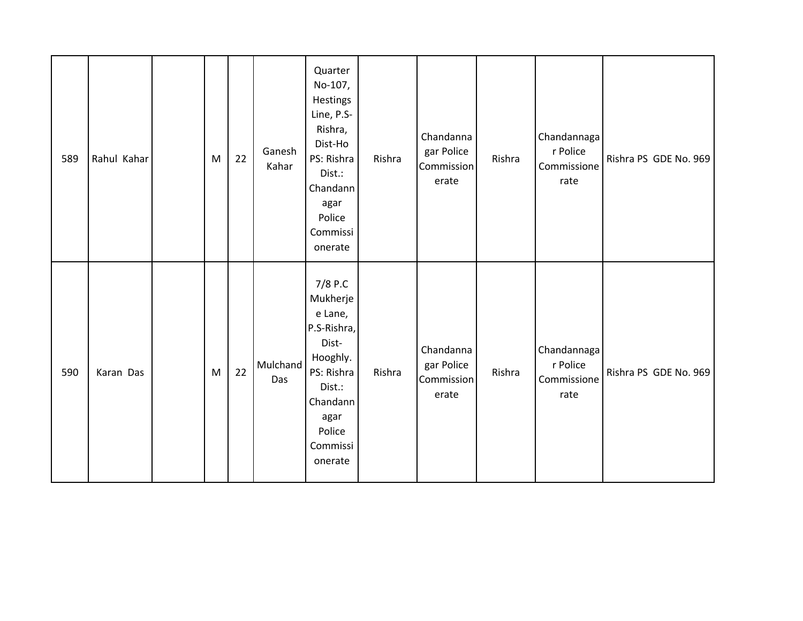| 589 | Rahul Kahar | M | 22 | Ganesh<br>Kahar | Quarter<br>No-107,<br>Hestings<br>Line, P.S-<br>Rishra,<br>Dist-Ho<br>PS: Rishra<br>Dist.:<br>Chandann<br>agar<br>Police<br>Commissi<br>onerate | Rishra | Chandanna<br>gar Police<br>Commission<br>erate | Rishra | Chandannaga<br>r Police<br>Commissione<br>rate | Rishra PS GDE No. 969 |
|-----|-------------|---|----|-----------------|-------------------------------------------------------------------------------------------------------------------------------------------------|--------|------------------------------------------------|--------|------------------------------------------------|-----------------------|
| 590 | Karan Das   | M | 22 | Mulchand<br>Das | 7/8 P.C<br>Mukherje<br>e Lane,<br>P.S-Rishra,<br>Dist-<br>Hooghly.<br>PS: Rishra<br>Dist.:<br>Chandann<br>agar<br>Police<br>Commissi<br>onerate | Rishra | Chandanna<br>gar Police<br>Commission<br>erate | Rishra | Chandannaga<br>r Police<br>Commissione<br>rate | Rishra PS GDE No. 969 |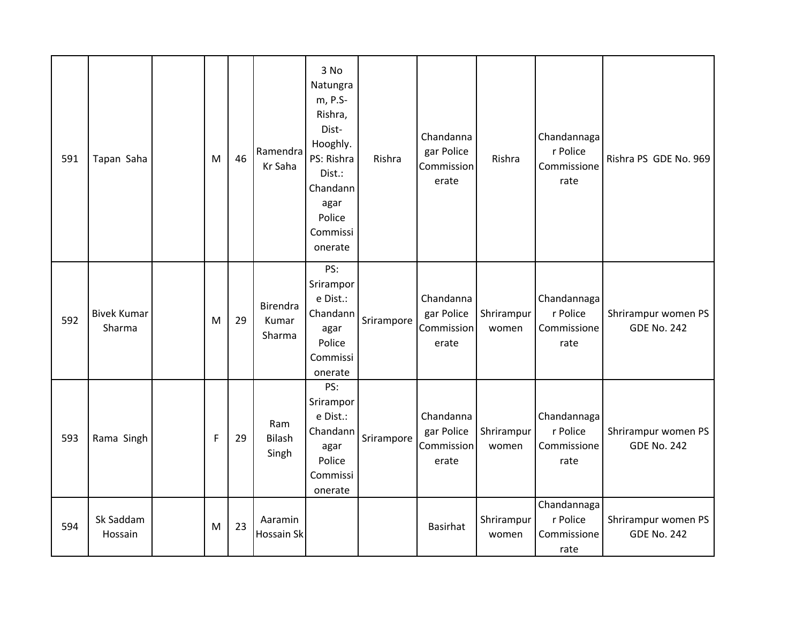| 591 | Tapan Saha                   | M | 46 | Ramendra<br>Kr Saha                | 3 No<br>Natungra<br>m, P.S-<br>Rishra,<br>Dist-<br>Hooghly.<br>PS: Rishra<br>Dist.:<br>Chandann<br>agar<br>Police<br>Commissi<br>onerate | Rishra     | Chandanna<br>gar Police<br>Commission<br>erate | Rishra              | Chandannaga<br>r Police<br>Commissione<br>rate | Rishra PS GDE No. 969                     |
|-----|------------------------------|---|----|------------------------------------|------------------------------------------------------------------------------------------------------------------------------------------|------------|------------------------------------------------|---------------------|------------------------------------------------|-------------------------------------------|
| 592 | <b>Bivek Kumar</b><br>Sharma | M | 29 | <b>Birendra</b><br>Kumar<br>Sharma | PS:<br>Srirampor<br>e Dist.:<br>Chandann<br>agar<br>Police<br>Commissi<br>onerate                                                        | Srirampore | Chandanna<br>gar Police<br>Commission<br>erate | Shrirampur<br>women | Chandannaga<br>r Police<br>Commissione<br>rate | Shrirampur women PS<br><b>GDE No. 242</b> |
| 593 | Rama Singh                   | F | 29 | Ram<br>Bilash<br>Singh             | PS:<br>Srirampor<br>e Dist.:<br>Chandann<br>agar<br>Police<br>Commissi<br>onerate                                                        | Srirampore | Chandanna<br>gar Police<br>Commission<br>erate | Shrirampur<br>women | Chandannaga<br>r Police<br>Commissione<br>rate | Shrirampur women PS<br><b>GDE No. 242</b> |
| 594 | Sk Saddam<br>Hossain         | M | 23 | Aaramin<br>Hossain Sk              |                                                                                                                                          |            | <b>Basirhat</b>                                | Shrirampur<br>women | Chandannaga<br>r Police<br>Commissione<br>rate | Shrirampur women PS<br><b>GDE No. 242</b> |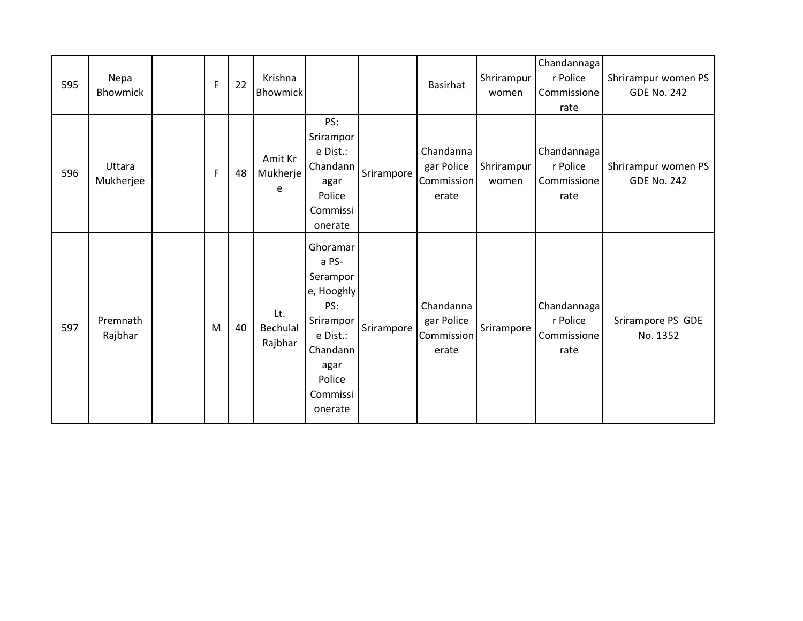| 595 | Nepa<br>Bhowmick    | $\mathsf{F}$ | 22 | Krishna<br><b>Bhowmick</b> |                                                                                                                                  |            | Basirhat                                       | Shrirampur<br>women | Chandannaga<br>r Police<br>Commissione<br>rate | Shrirampur women PS<br><b>GDE No. 242</b> |
|-----|---------------------|--------------|----|----------------------------|----------------------------------------------------------------------------------------------------------------------------------|------------|------------------------------------------------|---------------------|------------------------------------------------|-------------------------------------------|
| 596 | Uttara<br>Mukherjee | F            | 48 | Amit Kr<br>Mukherje<br>e   | PS:<br>Srirampor<br>e Dist.:<br>Chandann<br>agar<br>Police<br>Commissi<br>onerate                                                | Srirampore | Chandanna<br>gar Police<br>Commission<br>erate | Shrirampur<br>women | Chandannaga<br>r Police<br>Commissione<br>rate | Shrirampur women PS<br><b>GDE No. 242</b> |
| 597 | Premnath<br>Rajbhar | M            | 40 | Lt.<br>Bechulal<br>Rajbhar | Ghoramar<br>a PS-<br>Serampor<br>e, Hooghly<br>PS:<br>Srirampor<br>e Dist.:<br>Chandann<br>agar<br>Police<br>Commissi<br>onerate | Srirampore | Chandanna<br>gar Police<br>Commission<br>erate | Srirampore          | Chandannaga<br>r Police<br>Commissione<br>rate | Srirampore PS GDE<br>No. 1352             |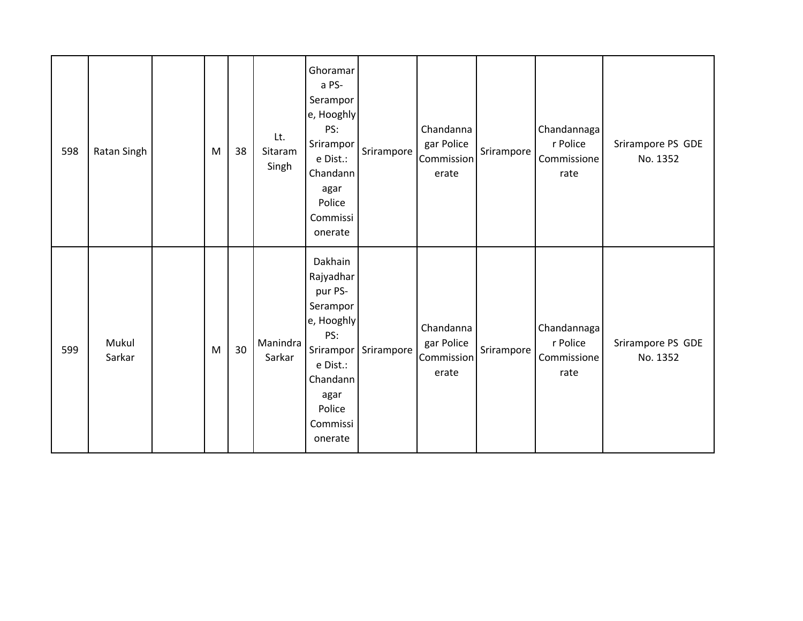| 598 | Ratan Singh     | M | 38 | Lt.<br>Sitaram<br>Singh | Ghoramar<br>a PS-<br>Serampor<br>e, Hooghly<br>PS:<br>Srirampor<br>e Dist.:<br>Chandann<br>agar<br>Police<br>Commissi<br>onerate               | Srirampore I | Chandanna<br>gar Police<br>Commission<br>erate | Srirampore | Chandannaga<br>r Police<br>Commissione<br>rate | Srirampore PS GDE<br>No. 1352 |
|-----|-----------------|---|----|-------------------------|------------------------------------------------------------------------------------------------------------------------------------------------|--------------|------------------------------------------------|------------|------------------------------------------------|-------------------------------|
| 599 | Mukul<br>Sarkar | M | 30 | Manindra<br>Sarkar      | Dakhain<br>Rajyadhar<br>pur PS-<br>Serampor<br>e, Hooghly<br>PS:<br>Srirampor<br>e Dist.:<br>Chandann<br>agar<br>Police<br>Commissi<br>onerate | Srirampore   | Chandanna<br>gar Police<br>Commission<br>erate | Srirampore | Chandannaga<br>r Police<br>Commissione<br>rate | Srirampore PS GDE<br>No. 1352 |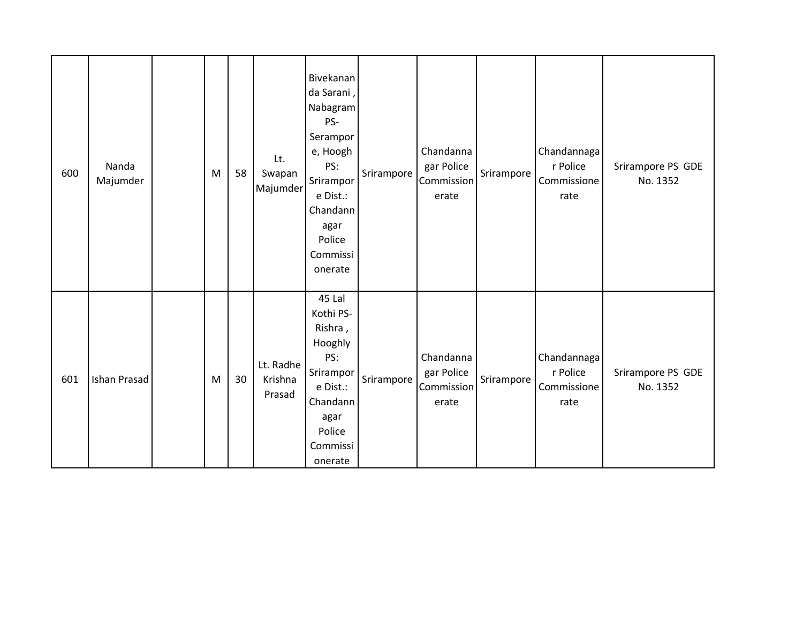| 600 | Nanda<br>Majumder | M | 58 | Lt.<br>Swapan<br>Majumder      | Bivekanan<br>da Sarani,<br>Nabagram<br>PS-<br>Serampor<br>e, Hoogh<br>PS:<br>Srirampor<br>e Dist.:<br>Chandann<br>agar<br>Police<br>Commissi<br>onerate | Srirampore | Chandanna<br>gar Police<br>Commission<br>erate | Srirampore | Chandannaga<br>r Police<br>Commissione<br>rate | Srirampore PS GDE<br>No. 1352 |
|-----|-------------------|---|----|--------------------------------|---------------------------------------------------------------------------------------------------------------------------------------------------------|------------|------------------------------------------------|------------|------------------------------------------------|-------------------------------|
| 601 | Ishan Prasad      | M | 30 | Lt. Radhe<br>Krishna<br>Prasad | 45 Lal<br>Kothi PS-<br>Rishra,<br>Hooghly<br>PS:<br>Srirampor<br>e Dist.:<br>Chandann<br>agar<br>Police<br>Commissi<br>onerate                          | Srirampore | Chandanna<br>gar Police<br>Commission<br>erate | Srirampore | Chandannaga<br>r Police<br>Commissione<br>rate | Srirampore PS GDE<br>No. 1352 |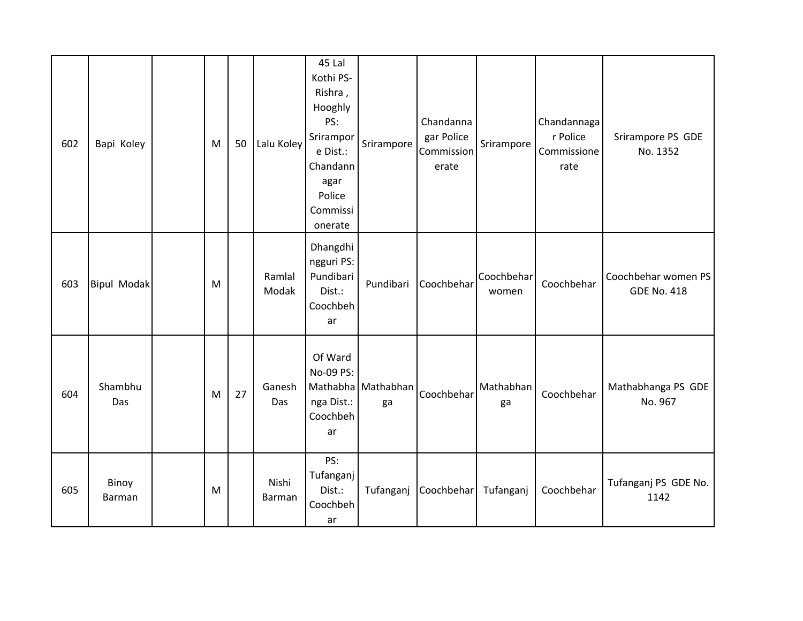| 602 | Bapi Koley         | M | 50 | Lalu Koley      | 45 Lal<br>Kothi PS-<br>Rishra,<br>Hooghly<br>PS:<br>Srirampor<br>e Dist.:<br>Chandann<br>agar<br>Police<br>Commissi<br>onerate | Srirampore               | Chandanna<br>gar Police<br>Commission<br>erate | Srirampore          | Chandannaga<br>r Police<br>Commissione<br>rate | Srirampore PS GDE<br>No. 1352             |
|-----|--------------------|---|----|-----------------|--------------------------------------------------------------------------------------------------------------------------------|--------------------------|------------------------------------------------|---------------------|------------------------------------------------|-------------------------------------------|
| 603 | <b>Bipul Modak</b> | M |    | Ramlal<br>Modak | Dhangdhi<br>ngguri PS:<br>Pundibari<br>Dist.:<br>Coochbeh<br>ar                                                                | Pundibari                | Coochbehar                                     | Coochbehar<br>women | Coochbehar                                     | Coochbehar women PS<br><b>GDE No. 418</b> |
| 604 | Shambhu<br>Das     | M | 27 | Ganesh<br>Das   | Of Ward<br>No-09 PS:<br>nga Dist.:<br>Coochbeh<br>ar                                                                           | Mathabha Mathabhan<br>ga | Coochbehar                                     | Mathabhan<br>ga     | Coochbehar                                     | Mathabhanga PS GDE<br>No. 967             |
| 605 | Binoy<br>Barman    | M |    | Nishi<br>Barman | PS:<br>Tufanganj<br>Dist.:<br>Coochbeh<br>ar                                                                                   | Tufanganj                | Coochbehar                                     | Tufanganj           | Coochbehar                                     | Tufanganj PS GDE No.<br>1142              |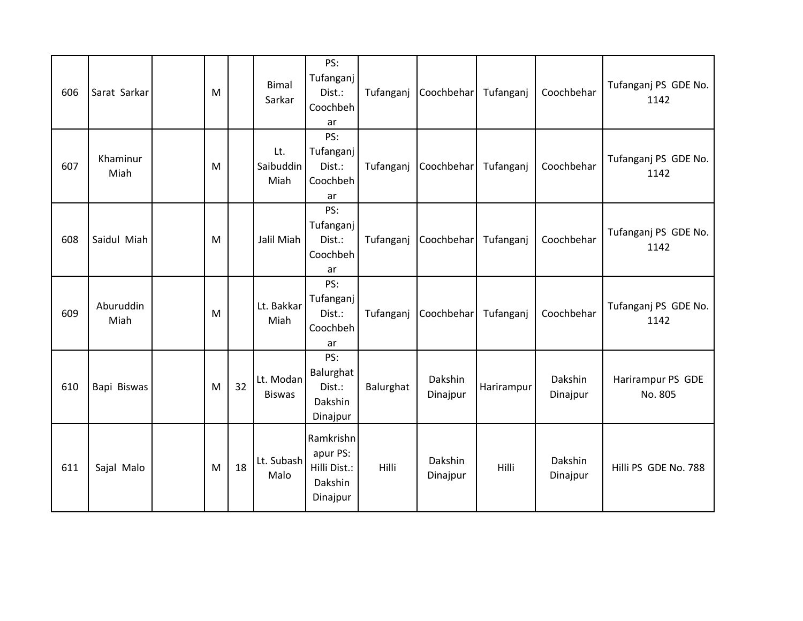| 606 | Sarat Sarkar      | M |    | <b>Bimal</b><br>Sarkar     | PS:<br>Tufanganj<br>Dist.:<br>Coochbeh<br>ar                 | Tufanganj | Coochbehar          | Tufanganj  | Coochbehar          | Tufanganj PS GDE No.<br>1142 |
|-----|-------------------|---|----|----------------------------|--------------------------------------------------------------|-----------|---------------------|------------|---------------------|------------------------------|
| 607 | Khaminur<br>Miah  | M |    | Lt.<br>Saibuddin<br>Miah   | PS:<br>Tufanganj l<br>Dist.:<br>Coochbeh<br>ar               | Tufanganj | Coochbehar          | Tufanganj  | Coochbehar          | Tufanganj PS GDE No.<br>1142 |
| 608 | Saidul Miah       | M |    | Jalil Miah                 | PS:<br>Tufanganj<br>Dist.:<br>Coochbeh<br>ar                 | Tufanganj | Coochbehar          | Tufanganj  | Coochbehar          | Tufanganj PS GDE No.<br>1142 |
| 609 | Aburuddin<br>Miah | M |    | Lt. Bakkar<br>Miah         | PS:<br>Tufanganj<br>Dist.:<br>Coochbeh<br>ar                 | Tufanganj | Coochbehar          | Tufanganj  | Coochbehar          | Tufanganj PS GDE No.<br>1142 |
| 610 | Bapi Biswas       | M | 32 | Lt. Modan<br><b>Biswas</b> | PS:<br>Balurghat<br>Dist.:<br>Dakshin<br>Dinajpur            | Balurghat | Dakshin<br>Dinajpur | Harirampur | Dakshin<br>Dinajpur | Harirampur PS GDE<br>No. 805 |
| 611 | Sajal Malo        | M | 18 | Lt. Subash<br>Malo         | Ramkrishn<br>apur PS:<br>Hilli Dist.:<br>Dakshin<br>Dinajpur | Hilli     | Dakshin<br>Dinajpur | Hilli      | Dakshin<br>Dinajpur | Hilli PS GDE No. 788         |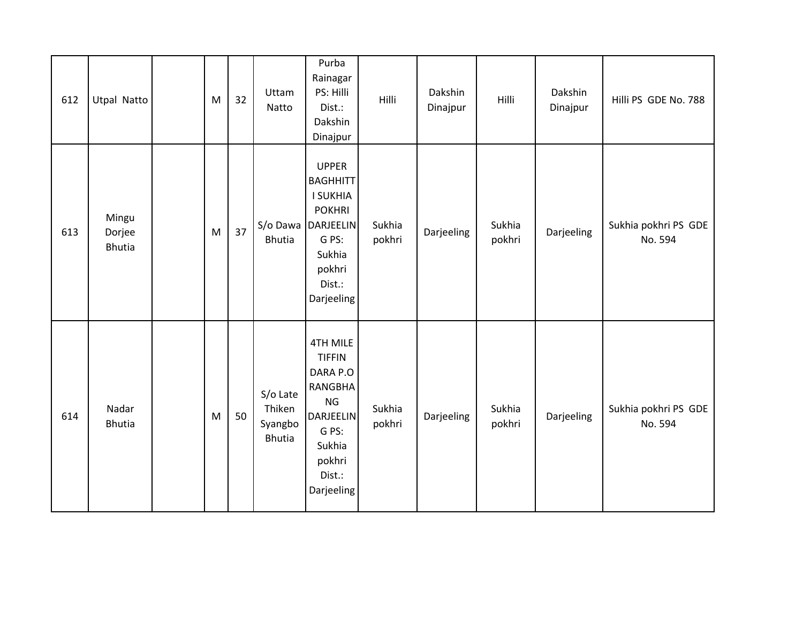| 612 | <b>Utpal Natto</b>               | M | 32 | Uttam<br>Natto                                 | Purba<br>Rainagar<br>PS: Hilli<br>Dist.:<br>Dakshin<br>Dinajpur                                                                               | Hilli            | Dakshin<br>Dinajpur | Hilli            | Dakshin<br>Dinajpur | Hilli PS GDE No. 788            |
|-----|----------------------------------|---|----|------------------------------------------------|-----------------------------------------------------------------------------------------------------------------------------------------------|------------------|---------------------|------------------|---------------------|---------------------------------|
| 613 | Mingu<br>Dorjee<br><b>Bhutia</b> | M | 37 | S/o Dawa<br><b>Bhutia</b>                      | <b>UPPER</b><br><b>BAGHHITT</b><br><b>I SUKHIA</b><br><b>POKHRI</b><br>DARJEELIN<br>G PS:<br>Sukhia<br>pokhri<br>Dist.:<br>Darjeeling         | Sukhia<br>pokhri | Darjeeling          | Sukhia<br>pokhri | Darjeeling          | Sukhia pokhri PS GDE<br>No. 594 |
| 614 | Nadar<br><b>Bhutia</b>           | M | 50 | S/o Late<br>Thiken<br>Syangbo<br><b>Bhutia</b> | <b>4TH MILE</b><br><b>TIFFIN</b><br>DARA P.O<br><b>RANGBHA</b><br><b>NG</b><br>DARJEELIN<br>G PS:<br>Sukhia<br>pokhri<br>Dist.:<br>Darjeeling | Sukhia<br>pokhri | Darjeeling          | Sukhia<br>pokhri | Darjeeling          | Sukhia pokhri PS GDE<br>No. 594 |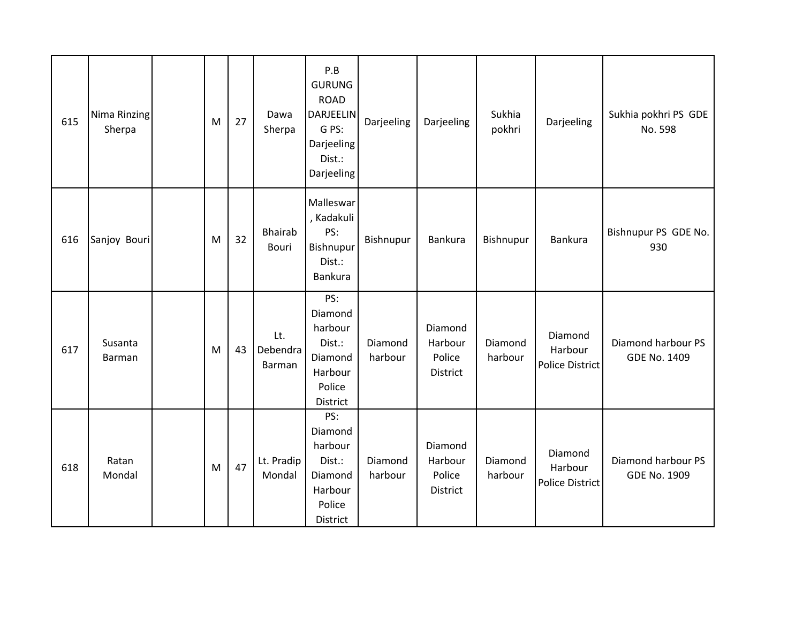| 615 | Nima Rinzing<br>Sherpa | M | 27 | Dawa<br>Sherpa            | P.B<br><b>GURUNG</b><br><b>ROAD</b><br>DARJEELIN<br>G PS:<br>Darjeeling<br>Dist.:<br>Darjeeling | Darjeeling         | Darjeeling                               | Sukhia<br>pokhri   | Darjeeling                                   | Sukhia pokhri PS GDE<br>No. 598           |
|-----|------------------------|---|----|---------------------------|-------------------------------------------------------------------------------------------------|--------------------|------------------------------------------|--------------------|----------------------------------------------|-------------------------------------------|
| 616 | Sanjoy Bouri           | M | 32 | <b>Bhairab</b><br>Bouri   | Malleswar<br>, Kadakuli<br>PS:<br>Bishnupur<br>Dist.:<br>Bankura                                | Bishnupur          | Bankura                                  | Bishnupur          | Bankura                                      | Bishnupur PS GDE No.<br>930               |
| 617 | Susanta<br>Barman      | M | 43 | Lt.<br>Debendra<br>Barman | PS:<br>Diamond<br>harbour<br>Dist.:<br>Diamond<br>Harbour<br>Police<br>District                 | Diamond<br>harbour | Diamond<br>Harbour<br>Police<br>District | Diamond<br>harbour | Diamond<br>Harbour<br><b>Police District</b> | Diamond harbour PS<br><b>GDE No. 1409</b> |
| 618 | Ratan<br>Mondal        | M | 47 | Lt. Pradip<br>Mondal      | PS:<br>Diamond<br>harbour<br>Dist.:<br>Diamond<br>Harbour<br>Police<br>District                 | Diamond<br>harbour | Diamond<br>Harbour<br>Police<br>District | Diamond<br>harbour | Diamond<br>Harbour<br>Police District        | Diamond harbour PS<br><b>GDE No. 1909</b> |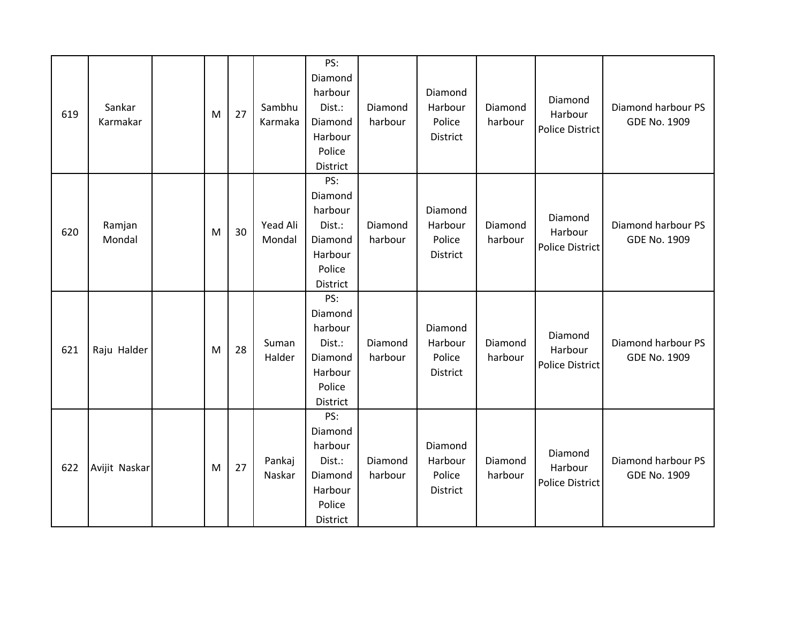| 619 | Sankar<br>Karmakar | M | 27 | Sambhu<br>Karmaka  | PS:<br>Diamond<br>harbour<br>Dist.:<br>Diamond<br>Harbour<br>Police<br>District | Diamond<br>harbour | Diamond<br>Harbour<br>Police<br>District | Diamond<br>harbour | Diamond<br>Harbour<br><b>Police District</b> | Diamond harbour PS<br><b>GDE No. 1909</b> |
|-----|--------------------|---|----|--------------------|---------------------------------------------------------------------------------|--------------------|------------------------------------------|--------------------|----------------------------------------------|-------------------------------------------|
| 620 | Ramjan<br>Mondal   | M | 30 | Yead Ali<br>Mondal | PS:<br>Diamond<br>harbour<br>Dist.:<br>Diamond<br>Harbour<br>Police<br>District | Diamond<br>harbour | Diamond<br>Harbour<br>Police<br>District | Diamond<br>harbour | Diamond<br>Harbour<br><b>Police District</b> | Diamond harbour PS<br><b>GDE No. 1909</b> |
| 621 | Raju Halder        | M | 28 | Suman<br>Halder    | PS:<br>Diamond<br>harbour<br>Dist.:<br>Diamond<br>Harbour<br>Police<br>District | Diamond<br>harbour | Diamond<br>Harbour<br>Police<br>District | Diamond<br>harbour | Diamond<br>Harbour<br><b>Police District</b> | Diamond harbour PS<br><b>GDE No. 1909</b> |
| 622 | Avijit Naskar      | M | 27 | Pankaj<br>Naskar   | PS:<br>Diamond<br>harbour<br>Dist.:<br>Diamond<br>Harbour<br>Police<br>District | Diamond<br>harbour | Diamond<br>Harbour<br>Police<br>District | Diamond<br>harbour | Diamond<br>Harbour<br><b>Police District</b> | Diamond harbour PS<br><b>GDE No. 1909</b> |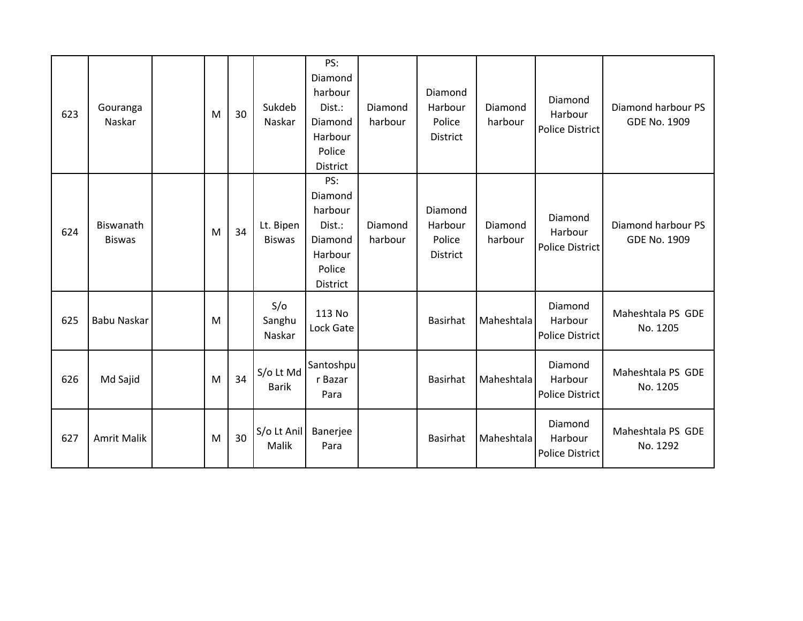| 623 | Gouranga<br>Naskar         | M | 30 | Sukdeb<br>Naskar           | PS:<br>Diamond<br>harbour<br>Dist.:<br>Diamond<br>Harbour<br>Police<br>District | Diamond<br>harbour | Diamond<br>Harbour<br>Police<br>District | Diamond<br>harbour | Diamond<br>Harbour<br><b>Police District</b> | Diamond harbour PS<br><b>GDE No. 1909</b> |
|-----|----------------------------|---|----|----------------------------|---------------------------------------------------------------------------------|--------------------|------------------------------------------|--------------------|----------------------------------------------|-------------------------------------------|
| 624 | Biswanath<br><b>Biswas</b> | M | 34 | Lt. Bipen<br><b>Biswas</b> | PS:<br>Diamond<br>harbour<br>Dist.:<br>Diamond<br>Harbour<br>Police<br>District | Diamond<br>harbour | Diamond<br>Harbour<br>Police<br>District | Diamond<br>harbour | Diamond<br>Harbour<br><b>Police District</b> | Diamond harbour PS<br><b>GDE No. 1909</b> |
| 625 | <b>Babu Naskar</b>         | M |    | S/O<br>Sanghu<br>Naskar    | 113 No<br>Lock Gate                                                             |                    | <b>Basirhat</b>                          | Maheshtala         | Diamond<br>Harbour<br><b>Police District</b> | Maheshtala PS GDE<br>No. 1205             |
| 626 | Md Sajid                   | M | 34 | S/o Lt Md<br><b>Barik</b>  | Santoshpu<br>r Bazar<br>Para                                                    |                    | <b>Basirhat</b>                          | Maheshtala         | Diamond<br>Harbour<br><b>Police District</b> | Maheshtala PS GDE<br>No. 1205             |
| 627 | <b>Amrit Malik</b>         | M | 30 | S/o Lt Anil<br>Malik       | Banerjee<br>Para                                                                |                    | Basirhat                                 | Maheshtala         | Diamond<br>Harbour<br><b>Police District</b> | Maheshtala PS GDE<br>No. 1292             |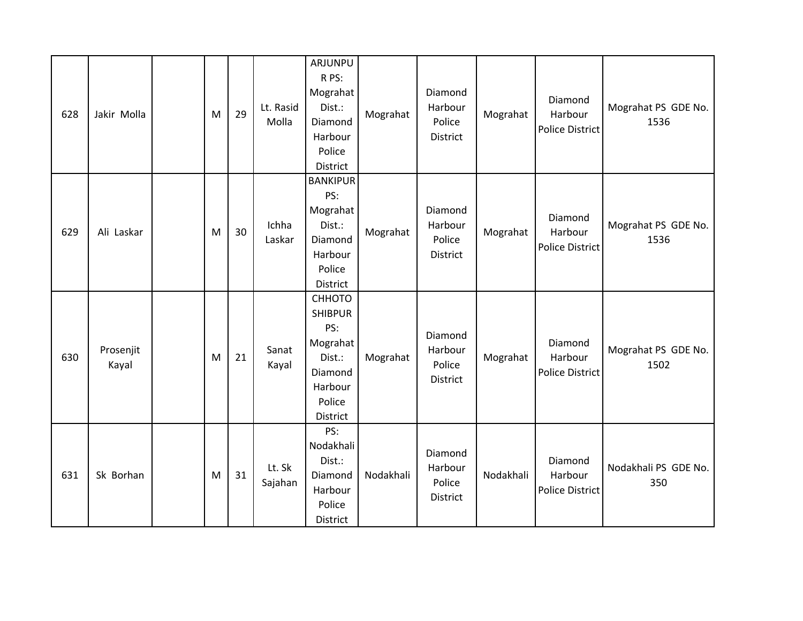| 628 | Jakir Molla        | M | 29 | Lt. Rasid<br>Molla | ARJUNPU<br>R PS:<br>Mograhat<br>Dist.:<br>Diamond<br>Harbour<br>Police<br>District                | Mograhat  | Diamond<br>Harbour<br>Police<br><b>District</b> | Mograhat  | Diamond<br>Harbour<br>Police District        | Mograhat PS GDE No.<br>1536 |
|-----|--------------------|---|----|--------------------|---------------------------------------------------------------------------------------------------|-----------|-------------------------------------------------|-----------|----------------------------------------------|-----------------------------|
| 629 | Ali Laskar         | M | 30 | Ichha<br>Laskar    | <b>BANKIPUR</b><br>PS:<br>Mograhat<br>Dist.:<br>Diamond<br>Harbour<br>Police<br>District          | Mograhat  | Diamond<br>Harbour<br>Police<br><b>District</b> | Mograhat  | Diamond<br>Harbour<br><b>Police District</b> | Mograhat PS GDE No.<br>1536 |
| 630 | Prosenjit<br>Kayal | M | 21 | Sanat<br>Kayal     | СННОТО<br><b>SHIBPUR</b><br>PS:<br>Mograhat<br>Dist.:<br>Diamond<br>Harbour<br>Police<br>District | Mograhat  | Diamond<br>Harbour<br>Police<br><b>District</b> | Mograhat  | Diamond<br>Harbour<br>Police District        | Mograhat PS GDE No.<br>1502 |
| 631 | Sk Borhan          | M | 31 | Lt. Sk<br>Sajahan  | PS:<br>Nodakhali<br>Dist.:<br>Diamond<br>Harbour<br>Police<br>District                            | Nodakhali | Diamond<br>Harbour<br>Police<br>District        | Nodakhali | Diamond<br>Harbour<br><b>Police District</b> | Nodakhali PS GDE No.<br>350 |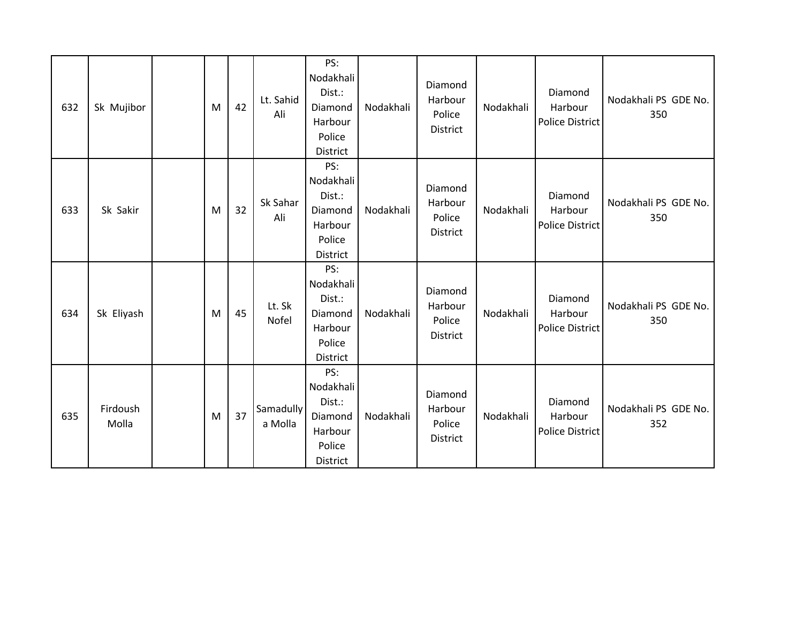| 632 | Sk Mujibor        | M | 42 | Lt. Sahid<br>Ali     | PS:<br>Nodakhali<br>Dist.:<br>Diamond<br>Harbour<br>Police<br>District | Nodakhali | Diamond<br>Harbour<br>Police<br>District | Nodakhali | Diamond<br>Harbour<br><b>Police District</b> | Nodakhali PS GDE No.<br>350 |
|-----|-------------------|---|----|----------------------|------------------------------------------------------------------------|-----------|------------------------------------------|-----------|----------------------------------------------|-----------------------------|
| 633 | Sk Sakir          | M | 32 | Sk Sahar<br>Ali      | PS:<br>Nodakhali<br>Dist.:<br>Diamond<br>Harbour<br>Police<br>District | Nodakhali | Diamond<br>Harbour<br>Police<br>District | Nodakhali | Diamond<br>Harbour<br><b>Police District</b> | Nodakhali PS GDE No.<br>350 |
| 634 | Sk Eliyash        | M | 45 | Lt. Sk<br>Nofel      | PS:<br>Nodakhali<br>Dist.:<br>Diamond<br>Harbour<br>Police<br>District | Nodakhali | Diamond<br>Harbour<br>Police<br>District | Nodakhali | Diamond<br>Harbour<br><b>Police District</b> | Nodakhali PS GDE No.<br>350 |
| 635 | Firdoush<br>Molla | M | 37 | Samadully<br>a Molla | PS:<br>Nodakhali<br>Dist.:<br>Diamond<br>Harbour<br>Police<br>District | Nodakhali | Diamond<br>Harbour<br>Police<br>District | Nodakhali | Diamond<br>Harbour<br><b>Police District</b> | Nodakhali PS GDE No.<br>352 |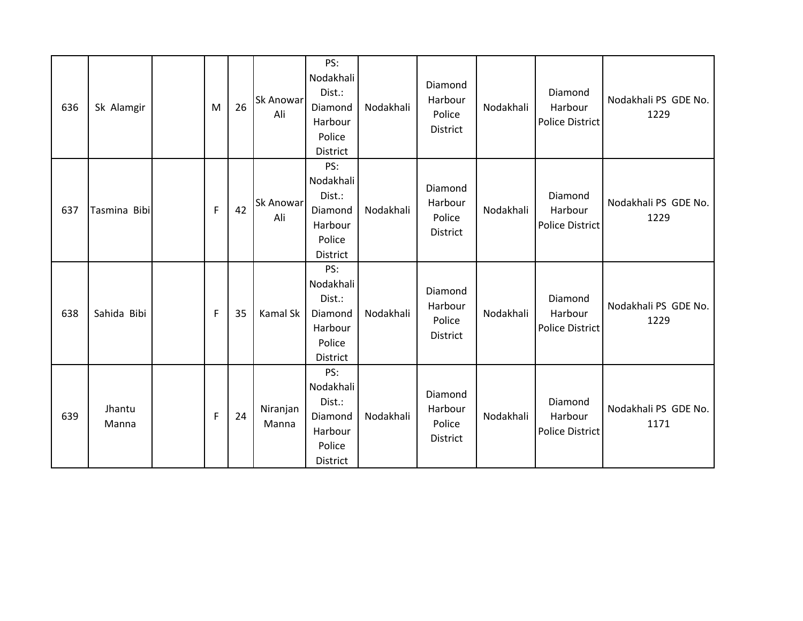| 636 | Sk Alamgir      | M           | 26 | <b>Sk Anowar</b><br>Ali | PS:<br>Nodakhali<br>Dist.:<br>Diamond<br>Harbour<br>Police<br>District | Nodakhali | Diamond<br>Harbour<br>Police<br>District | Nodakhali | Diamond<br>Harbour<br><b>Police District</b> | Nodakhali PS GDE No.<br>1229 |
|-----|-----------------|-------------|----|-------------------------|------------------------------------------------------------------------|-----------|------------------------------------------|-----------|----------------------------------------------|------------------------------|
| 637 | Tasmina Bibi    | F           | 42 | <b>Sk Anowar</b><br>Ali | PS:<br>Nodakhali<br>Dist.:<br>Diamond<br>Harbour<br>Police<br>District | Nodakhali | Diamond<br>Harbour<br>Police<br>District | Nodakhali | Diamond<br>Harbour<br>Police District        | Nodakhali PS GDE No.<br>1229 |
| 638 | Sahida Bibi     | F           | 35 | Kamal Sk                | PS:<br>Nodakhali<br>Dist.:<br>Diamond<br>Harbour<br>Police<br>District | Nodakhali | Diamond<br>Harbour<br>Police<br>District | Nodakhali | Diamond<br>Harbour<br><b>Police District</b> | Nodakhali PS GDE No.<br>1229 |
| 639 | Jhantu<br>Manna | $\mathsf F$ | 24 | Niranjan<br>Manna       | PS:<br>Nodakhali<br>Dist.:<br>Diamond<br>Harbour<br>Police<br>District | Nodakhali | Diamond<br>Harbour<br>Police<br>District | Nodakhali | Diamond<br>Harbour<br><b>Police District</b> | Nodakhali PS GDE No.<br>1171 |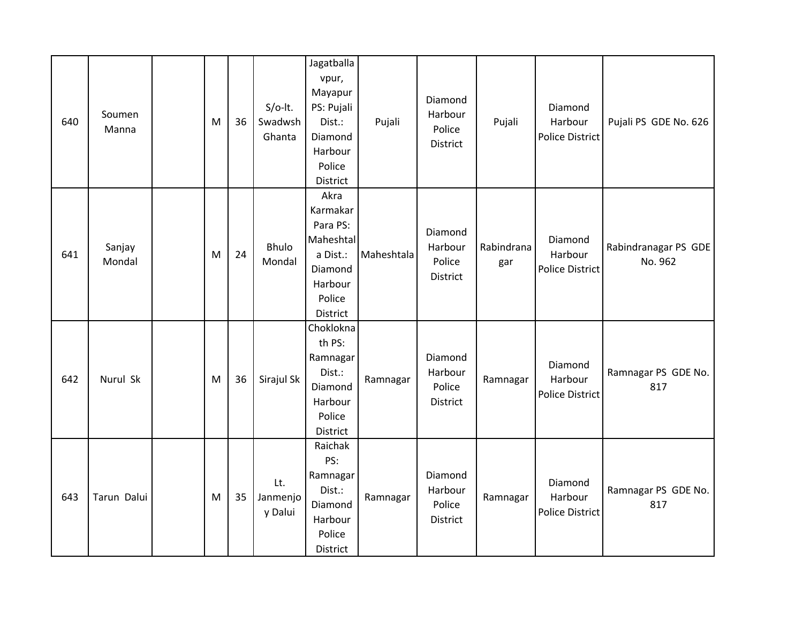| 640 | Soumen<br>Manna  | M | 36 | $S/O-It.$<br>Swadwsh<br>Ghanta | Jagatballa<br>vpur,<br>Mayapur<br>PS: Pujali<br>Dist.:<br>Diamond<br>Harbour<br>Police<br>District | Pujali     | Diamond<br>Harbour<br>Police<br>District | Pujali            | Diamond<br>Harbour<br>Police District        | Pujali PS GDE No. 626           |
|-----|------------------|---|----|--------------------------------|----------------------------------------------------------------------------------------------------|------------|------------------------------------------|-------------------|----------------------------------------------|---------------------------------|
| 641 | Sanjay<br>Mondal | M | 24 | <b>Bhulo</b><br>Mondal         | Akra<br>Karmakar<br>Para PS:<br>Maheshtal<br>a Dist.:<br>Diamond<br>Harbour<br>Police<br>District  | Maheshtala | Diamond<br>Harbour<br>Police<br>District | Rabindrana<br>gar | Diamond<br>Harbour<br><b>Police District</b> | Rabindranagar PS GDE<br>No. 962 |
| 642 | Nurul Sk         | M | 36 | Sirajul Sk                     | Choklokna<br>th PS:<br>Ramnagar<br>Dist.:<br>Diamond<br>Harbour<br>Police<br>District              | Ramnagar   | Diamond<br>Harbour<br>Police<br>District | Ramnagar          | Diamond<br>Harbour<br><b>Police District</b> | Ramnagar PS GDE No.<br>817      |
| 643 | Tarun Dalui      | M | 35 | Lt.<br>Janmenjo<br>y Dalui     | Raichak<br>PS:<br>Ramnagar<br>Dist.:<br>Diamond<br>Harbour<br>Police<br>District                   | Ramnagar   | Diamond<br>Harbour<br>Police<br>District | Ramnagar          | Diamond<br>Harbour<br><b>Police District</b> | Ramnagar PS GDE No.<br>817      |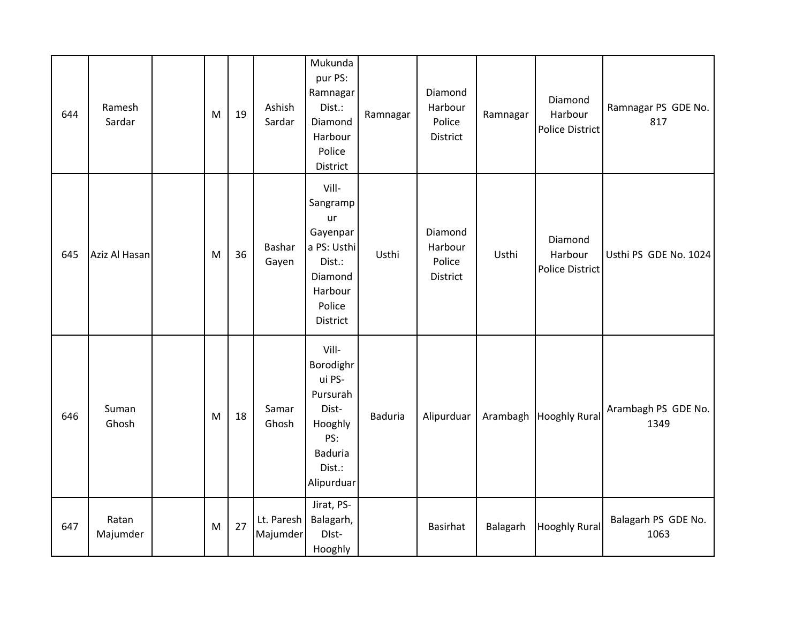| 644 | Ramesh<br>Sardar  | M | 19 | Ashish<br>Sardar       | Mukunda<br>pur PS:<br>Ramnagar<br>Dist.:<br>Diamond<br>Harbour<br>Police<br>District                          | Ramnagar       | Diamond<br>Harbour<br>Police<br>District | Ramnagar | Diamond<br>Harbour<br><b>Police District</b> | Ramnagar PS GDE No.<br>817  |
|-----|-------------------|---|----|------------------------|---------------------------------------------------------------------------------------------------------------|----------------|------------------------------------------|----------|----------------------------------------------|-----------------------------|
| 645 | Aziz Al Hasan     | M | 36 | Bashar<br>Gayen        | Vill-<br>Sangramp<br>ur<br>Gayenpar<br>a PS: Usthi<br>Dist.:<br>Diamond<br>Harbour<br>Police<br>District      | Usthi          | Diamond<br>Harbour<br>Police<br>District | Usthi    | Diamond<br>Harbour<br>Police District        | Usthi PS GDE No. 1024       |
| 646 | Suman<br>Ghosh    | M | 18 | Samar<br>Ghosh         | Vill-<br>Borodighr<br>ui PS-<br>Pursurah<br>Dist-<br>Hooghly<br>PS:<br><b>Baduria</b><br>Dist.:<br>Alipurduar | <b>Baduria</b> | Alipurduar                               | Arambagh | <b>Hooghly Rural</b>                         | Arambagh PS GDE No.<br>1349 |
| 647 | Ratan<br>Majumder | M | 27 | Lt. Paresh<br>Majumder | Jirat, PS-<br>Balagarh,<br>DIst-<br>Hooghly                                                                   |                | Basirhat                                 | Balagarh | <b>Hooghly Rural</b>                         | Balagarh PS GDE No.<br>1063 |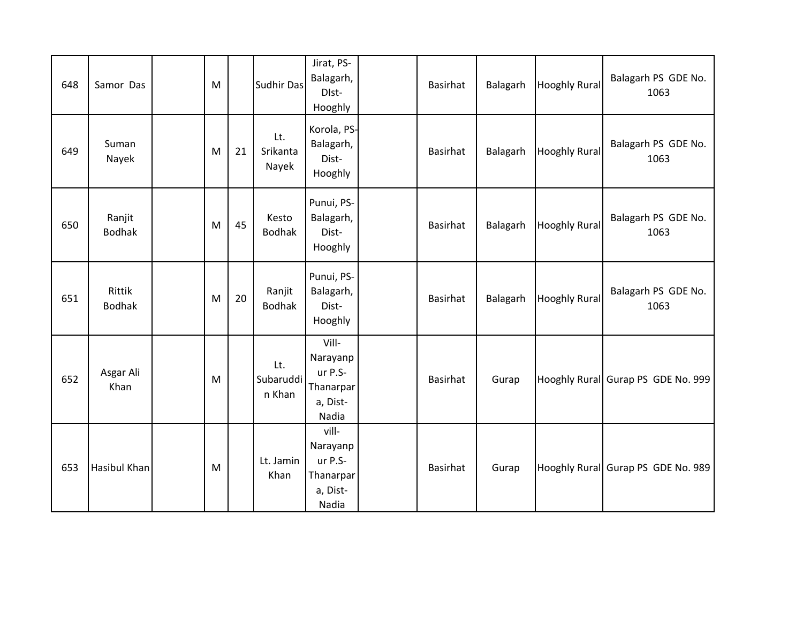| 648 | Samor Das               | M |    | Sudhir Das                 | Jirat, PS-<br>Balagarh,<br>DIst-<br>Hooghly                    | Basirhat        | Balagarh | <b>Hooghly Rural</b> | Balagarh PS GDE No.<br>1063        |
|-----|-------------------------|---|----|----------------------------|----------------------------------------------------------------|-----------------|----------|----------------------|------------------------------------|
| 649 | Suman<br>Nayek          | M | 21 | Lt.<br>Srikanta<br>Nayek   | Korola, PS-<br>Balagarh,<br>Dist-<br>Hooghly                   | Basirhat        | Balagarh | <b>Hooghly Rural</b> | Balagarh PS GDE No.<br>1063        |
| 650 | Ranjit<br><b>Bodhak</b> | M | 45 | Kesto<br><b>Bodhak</b>     | Punui, PS-<br>Balagarh,<br>Dist-<br>Hooghly                    | Basirhat        | Balagarh | <b>Hooghly Rural</b> | Balagarh PS GDE No.<br>1063        |
| 651 | Rittik<br><b>Bodhak</b> | M | 20 | Ranjit<br><b>Bodhak</b>    | Punui, PS-<br>Balagarh,<br>Dist-<br>Hooghly                    | Basirhat        | Balagarh | <b>Hooghly Rural</b> | Balagarh PS GDE No.<br>1063        |
| 652 | Asgar Ali<br>Khan       | M |    | Lt.<br>Subaruddi<br>n Khan | Vill-<br>Narayanp<br>ur P.S-<br>Thanarpar<br>a, Dist-<br>Nadia | <b>Basirhat</b> | Gurap    |                      | Hooghly Rural Gurap PS GDE No. 999 |
| 653 | Hasibul Khan            | M |    | Lt. Jamin<br>Khan          | vill-<br>Narayanp<br>ur P.S-<br>Thanarpar<br>a, Dist-<br>Nadia | <b>Basirhat</b> | Gurap    |                      | Hooghly Rural Gurap PS GDE No. 989 |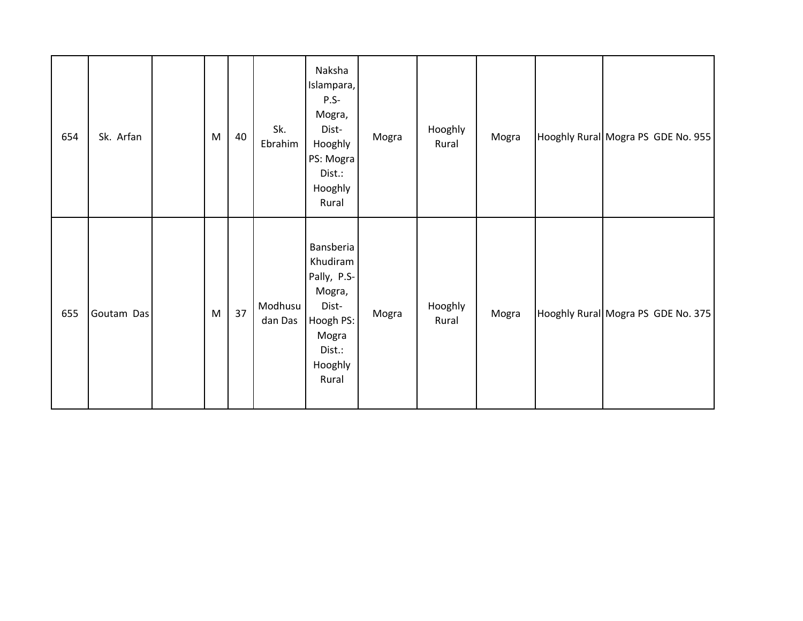| 654 | Sk. Arfan  | M | 40 | Sk.<br>Ebrahim     | Naksha<br>Islampara,<br>P.S-<br>Mogra,<br>Dist-<br>Hooghly<br>PS: Mogra<br>Dist.:<br>Hooghly<br>Rural       | Mogra | Hooghly<br>Rural | Mogra | Hooghly Rural Mogra PS GDE No. 955 |
|-----|------------|---|----|--------------------|-------------------------------------------------------------------------------------------------------------|-------|------------------|-------|------------------------------------|
| 655 | Goutam Das | M | 37 | Modhusu<br>dan Das | Bansberia<br>Khudiram<br>Pally, P.S-<br>Mogra,<br>Dist-<br>Hoogh PS:<br>Mogra<br>Dist.:<br>Hooghly<br>Rural | Mogra | Hooghly<br>Rural | Mogra | Hooghly Rural Mogra PS GDE No. 375 |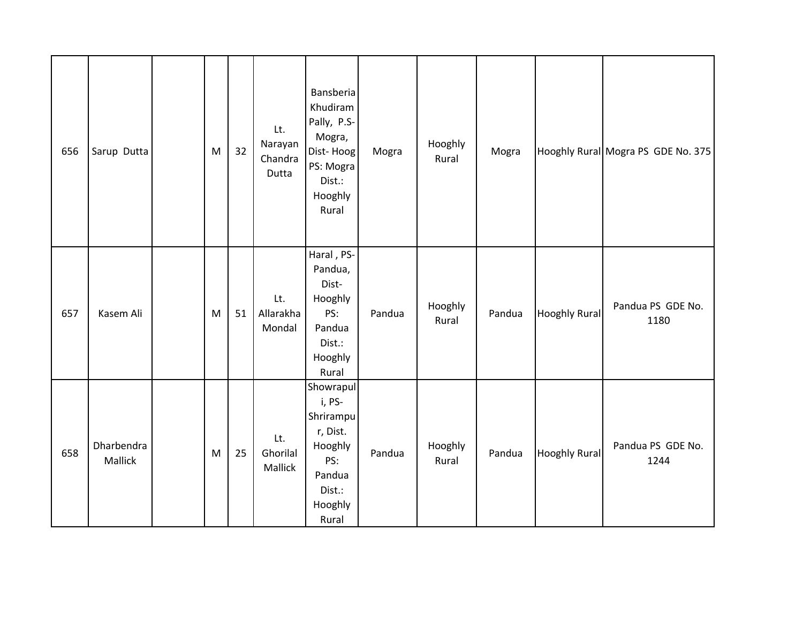| 656 | Sarup Dutta           | M | 32 | Lt.<br>Narayan<br>Chandra<br>Dutta | Bansberia<br>Khudiram<br>Pally, P.S-<br>Mogra,<br>Dist-Hoog<br>PS: Mogra<br>Dist.:<br>Hooghly<br>Rural | Mogra  | Hooghly<br>Rural | Mogra  |                      | Hooghly Rural Mogra PS GDE No. 375 |
|-----|-----------------------|---|----|------------------------------------|--------------------------------------------------------------------------------------------------------|--------|------------------|--------|----------------------|------------------------------------|
| 657 | Kasem Ali             | M | 51 | Lt.<br>Allarakha<br>Mondal         | Haral, PS-<br>Pandua,<br>Dist-<br>Hooghly<br>PS:<br>Pandua<br>Dist.:<br>Hooghly<br>Rural               | Pandua | Hooghly<br>Rural | Pandua | <b>Hooghly Rural</b> | Pandua PS GDE No.<br>1180          |
| 658 | Dharbendra<br>Mallick | M | 25 | Lt.<br>Ghorilal<br>Mallick         | Showrapul<br>i, PS-<br>Shrirampu<br>r, Dist.<br>Hooghly<br>PS:<br>Pandua<br>Dist.:<br>Hooghly<br>Rural | Pandua | Hooghly<br>Rural | Pandua | <b>Hooghly Rural</b> | Pandua PS GDE No.<br>1244          |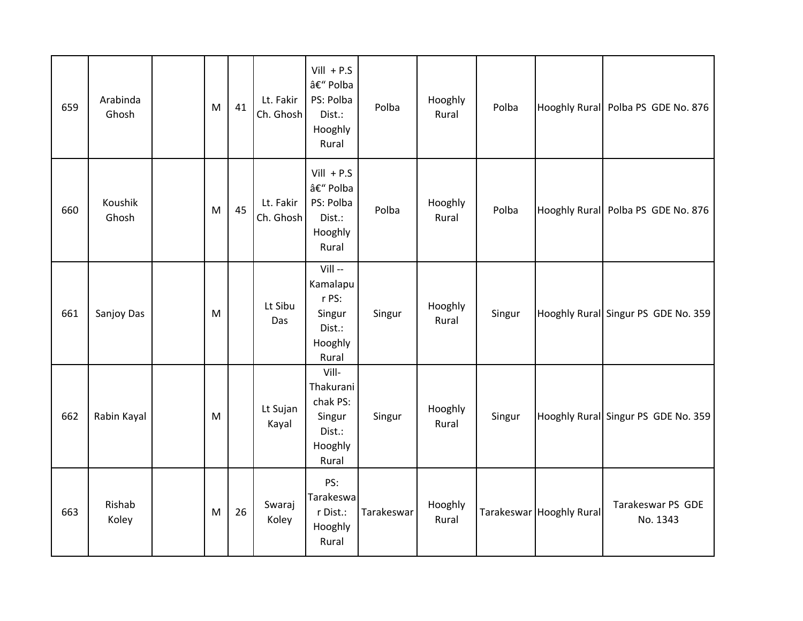| 659 | Arabinda<br>Ghosh | M | 41 | Lt. Fakir<br>Ch. Ghosh | $Vill + P.S$<br>– Polba<br>PS: Polba<br>Dist.:<br>Hooghly<br>Rural     | Polba      | Hooghly<br>Rural | Polba  |                          | Hooghly Rural Polba PS GDE No. 876  |
|-----|-------------------|---|----|------------------------|------------------------------------------------------------------------|------------|------------------|--------|--------------------------|-------------------------------------|
| 660 | Koushik<br>Ghosh  | M | 45 | Lt. Fakir<br>Ch. Ghosh | $Vill + P.S$<br>– Polba<br>PS: Polba<br>Dist.:<br>Hooghly<br>Rural     | Polba      | Hooghly<br>Rural | Polba  |                          | Hooghly Rural Polba PS GDE No. 876  |
| 661 | Sanjoy Das        | M |    | Lt Sibu<br>Das         | $VIII -$<br>Kamalapu<br>r PS:<br>Singur<br>Dist.:<br>Hooghly<br>Rural  | Singur     | Hooghly<br>Rural | Singur |                          | Hooghly Rural Singur PS GDE No. 359 |
| 662 | Rabin Kayal       | M |    | Lt Sujan<br>Kayal      | Vill-<br>Thakurani<br>chak PS:<br>Singur<br>Dist.:<br>Hooghly<br>Rural | Singur     | Hooghly<br>Rural | Singur |                          | Hooghly Rural Singur PS GDE No. 359 |
| 663 | Rishab<br>Koley   | M | 26 | Swaraj<br>Koley        | PS:<br>Tarakeswa<br>r Dist.:<br>Hooghly<br>Rural                       | Tarakeswar | Hooghly<br>Rural |        | Tarakeswar Hooghly Rural | Tarakeswar PS GDE<br>No. 1343       |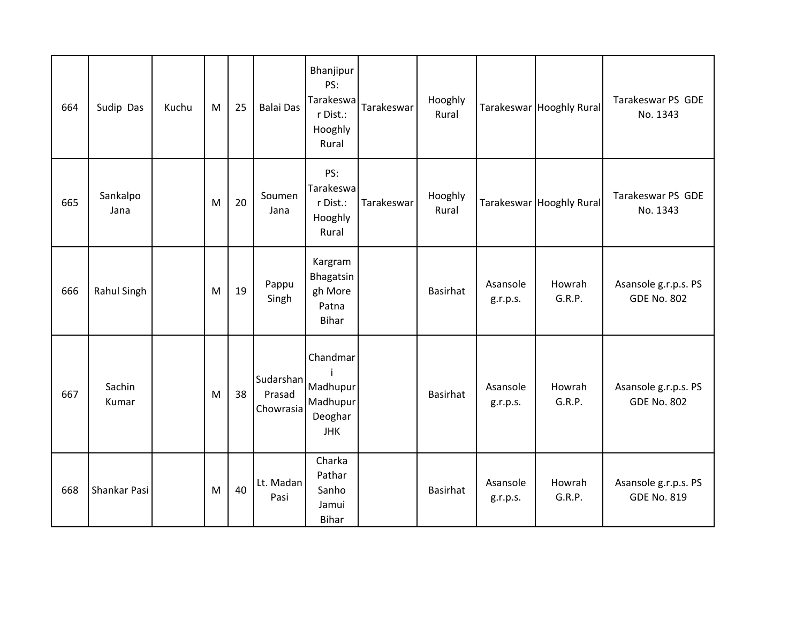| 664 | Sudip Das        | Kuchu | M | 25 | <b>Balai Das</b>                 | Bhanjipur<br>PS:<br>Tarakeswa<br>r Dist.:<br>Hooghly<br>Rural | Tarakeswar | Hooghly<br>Rural |                      | Tarakeswar Hooghly Rural | Tarakeswar PS GDE<br>No. 1343              |
|-----|------------------|-------|---|----|----------------------------------|---------------------------------------------------------------|------------|------------------|----------------------|--------------------------|--------------------------------------------|
| 665 | Sankalpo<br>Jana |       | M | 20 | Soumen<br>Jana                   | PS:<br>Tarakeswa<br>r Dist.:<br>Hooghly<br>Rural              | Tarakeswar | Hooghly<br>Rural |                      | Tarakeswar Hooghly Rural | Tarakeswar PS GDE<br>No. 1343              |
| 666 | Rahul Singh      |       | M | 19 | Pappu<br>Singh                   | Kargram<br>Bhagatsin<br>gh More<br>Patna<br><b>Bihar</b>      |            | <b>Basirhat</b>  | Asansole<br>g.r.p.s. | Howrah<br>G.R.P.         | Asansole g.r.p.s. PS<br><b>GDE No. 802</b> |
| 667 | Sachin<br>Kumar  |       | M | 38 | Sudarshan<br>Prasad<br>Chowrasia | Chandmar<br>Madhupur<br>Madhupur<br>Deoghar<br><b>JHK</b>     |            | <b>Basirhat</b>  | Asansole<br>g.r.p.s. | Howrah<br>G.R.P.         | Asansole g.r.p.s. PS<br><b>GDE No. 802</b> |
| 668 | Shankar Pasi     |       | M | 40 | Lt. Madan<br>Pasi                | Charka<br>Pathar<br>Sanho<br>Jamui<br><b>Bihar</b>            |            | <b>Basirhat</b>  | Asansole<br>g.r.p.s. | Howrah<br>G.R.P.         | Asansole g.r.p.s. PS<br><b>GDE No. 819</b> |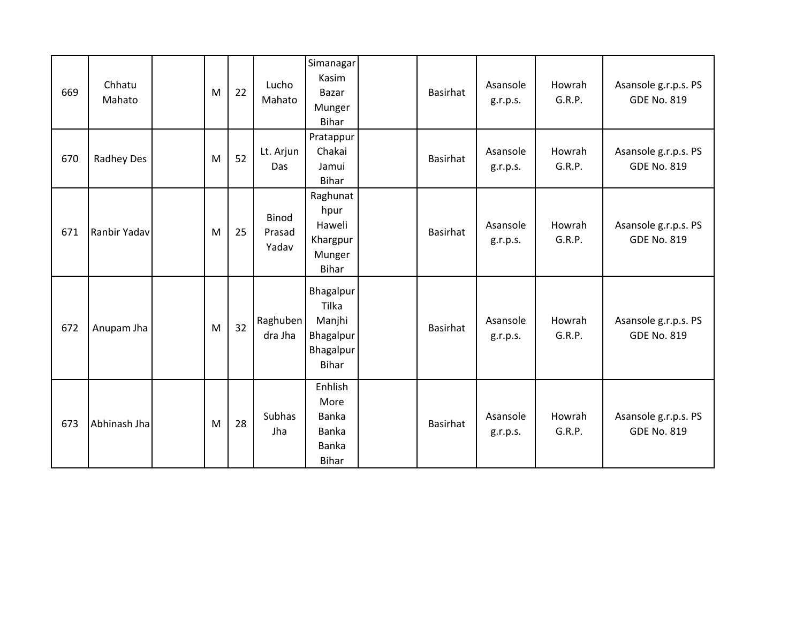| 669 | Chhatu<br>Mahato | M | 22 | Lucho<br>Mahato                 | Simanagar<br>Kasim<br>Bazar<br>Munger<br><b>Bihar</b>           | Basirhat        | Asansole<br>g.r.p.s. | Howrah<br>G.R.P. | Asansole g.r.p.s. PS<br><b>GDE No. 819</b> |
|-----|------------------|---|----|---------------------------------|-----------------------------------------------------------------|-----------------|----------------------|------------------|--------------------------------------------|
| 670 | Radhey Des       | M | 52 | Lt. Arjun<br>Das                | Pratappur<br>Chakai<br>Jamui<br><b>Bihar</b>                    | Basirhat        | Asansole<br>g.r.p.s. | Howrah<br>G.R.P. | Asansole g.r.p.s. PS<br><b>GDE No. 819</b> |
| 671 | Ranbir Yadav     | M | 25 | <b>Binod</b><br>Prasad<br>Yadav | Raghunat<br>hpur<br>Haweli<br>Khargpur<br>Munger<br>Bihar       | Basirhat        | Asansole<br>g.r.p.s. | Howrah<br>G.R.P. | Asansole g.r.p.s. PS<br><b>GDE No. 819</b> |
| 672 | Anupam Jha       | M | 32 | Raghuben<br>dra Jha             | Bhagalpur<br>Tilka<br>Manjhi<br>Bhagalpur<br>Bhagalpur<br>Bihar | <b>Basirhat</b> | Asansole<br>g.r.p.s. | Howrah<br>G.R.P. | Asansole g.r.p.s. PS<br><b>GDE No. 819</b> |
| 673 | Abhinash Jha     | M | 28 | Subhas<br>Jha                   | Enhlish<br>More<br>Banka<br>Banka<br>Banka<br><b>Bihar</b>      | <b>Basirhat</b> | Asansole<br>g.r.p.s. | Howrah<br>G.R.P. | Asansole g.r.p.s. PS<br><b>GDE No. 819</b> |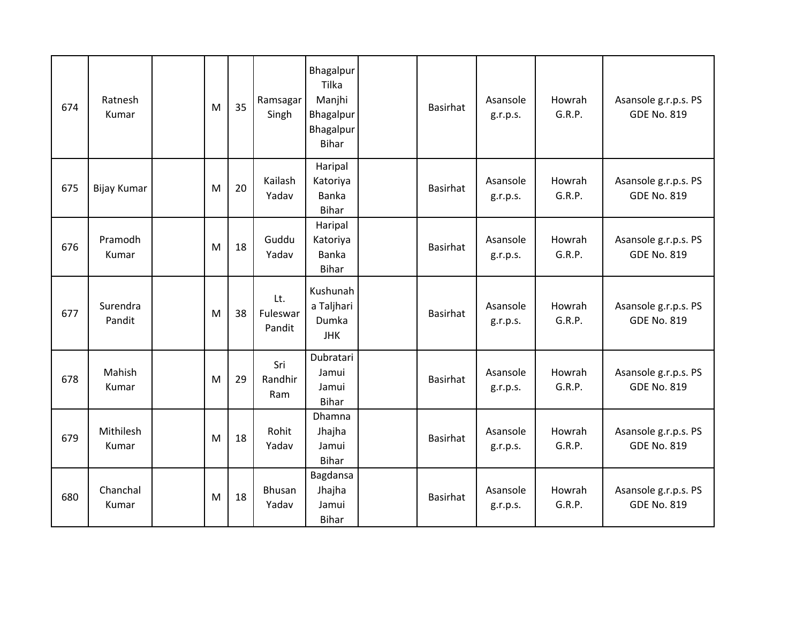| 674 | Ratnesh<br>Kumar   | M | 35 | Ramsagar<br>Singh         | Bhagalpur<br>Tilka<br>Manjhi<br>Bhagalpur<br>Bhagalpur<br><b>Bihar</b> | <b>Basirhat</b> | Asansole<br>g.r.p.s. | Howrah<br>G.R.P. | Asansole g.r.p.s. PS<br><b>GDE No. 819</b> |
|-----|--------------------|---|----|---------------------------|------------------------------------------------------------------------|-----------------|----------------------|------------------|--------------------------------------------|
| 675 | <b>Bijay Kumar</b> | M | 20 | Kailash<br>Yadav          | Haripal<br>Katoriya<br>Banka<br>Bihar                                  | <b>Basirhat</b> | Asansole<br>g.r.p.s. | Howrah<br>G.R.P. | Asansole g.r.p.s. PS<br><b>GDE No. 819</b> |
| 676 | Pramodh<br>Kumar   | M | 18 | Guddu<br>Yadav            | Haripal<br>Katoriya<br><b>Banka</b><br><b>Bihar</b>                    | <b>Basirhat</b> | Asansole<br>g.r.p.s. | Howrah<br>G.R.P. | Asansole g.r.p.s. PS<br><b>GDE No. 819</b> |
| 677 | Surendra<br>Pandit | M | 38 | Lt.<br>Fuleswar<br>Pandit | Kushunah<br>a Taljhari<br>Dumka<br><b>JHK</b>                          | Basirhat        | Asansole<br>g.r.p.s. | Howrah<br>G.R.P. | Asansole g.r.p.s. PS<br><b>GDE No. 819</b> |
| 678 | Mahish<br>Kumar    | M | 29 | Sri<br>Randhir<br>Ram     | Dubratari<br>Jamui<br>Jamui<br>Bihar                                   | <b>Basirhat</b> | Asansole<br>g.r.p.s. | Howrah<br>G.R.P. | Asansole g.r.p.s. PS<br><b>GDE No. 819</b> |
| 679 | Mithilesh<br>Kumar | M | 18 | Rohit<br>Yadav            | Dhamna<br>Jhajha<br>Jamui<br>Bihar                                     | <b>Basirhat</b> | Asansole<br>g.r.p.s. | Howrah<br>G.R.P. | Asansole g.r.p.s. PS<br><b>GDE No. 819</b> |
| 680 | Chanchal<br>Kumar  | M | 18 | Bhusan<br>Yadav           | Bagdansa<br>Jhajha<br>Jamui<br><b>Bihar</b>                            | Basirhat        | Asansole<br>g.r.p.s. | Howrah<br>G.R.P. | Asansole g.r.p.s. PS<br><b>GDE No. 819</b> |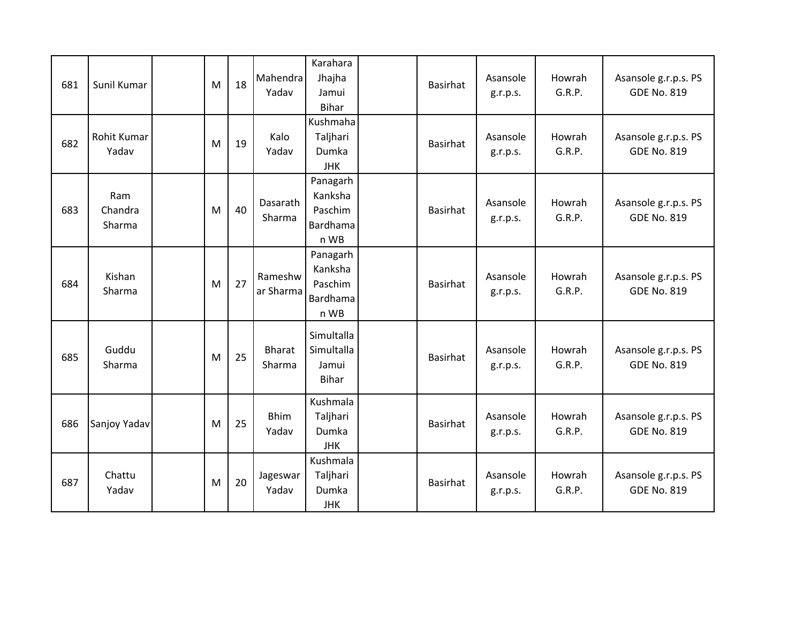| 681 | Sunil Kumar              | M | 18 | Mahendra<br>Yadav       | Karahara<br>Jhajha<br>Jamui<br>Bihar               | Basirhat        | Asansole<br>g.r.p.s. | Howrah<br>G.R.P. | Asansole g.r.p.s. PS<br><b>GDE No. 819</b> |
|-----|--------------------------|---|----|-------------------------|----------------------------------------------------|-----------------|----------------------|------------------|--------------------------------------------|
| 682 | Rohit Kumar<br>Yadav     | M | 19 | Kalo<br>Yadav           | Kushmaha<br>Taljhari<br>Dumka<br><b>JHK</b>        | Basirhat        | Asansole<br>g.r.p.s. | Howrah<br>G.R.P. | Asansole g.r.p.s. PS<br><b>GDE No. 819</b> |
| 683 | Ram<br>Chandra<br>Sharma | M | 40 | Dasarath<br>Sharma      | Panagarh<br>Kanksha<br>Paschim<br>Bardhama<br>n WB | Basirhat        | Asansole<br>g.r.p.s. | Howrah<br>G.R.P. | Asansole g.r.p.s. PS<br><b>GDE No. 819</b> |
| 684 | Kishan<br>Sharma         | M | 27 | Rameshw<br>ar Sharma    | Panagarh<br>Kanksha<br>Paschim<br>Bardhama<br>n WB | <b>Basirhat</b> | Asansole<br>g.r.p.s. | Howrah<br>G.R.P. | Asansole g.r.p.s. PS<br><b>GDE No. 819</b> |
| 685 | Guddu<br>Sharma          | M | 25 | <b>Bharat</b><br>Sharma | Simultalla<br>Simultalla<br>Jamui<br><b>Bihar</b>  | Basirhat        | Asansole<br>g.r.p.s. | Howrah<br>G.R.P. | Asansole g.r.p.s. PS<br><b>GDE No. 819</b> |
| 686 | Sanjoy Yadav             | M | 25 | <b>Bhim</b><br>Yadav    | Kushmala<br>Taljhari<br>Dumka<br><b>JHK</b>        | Basirhat        | Asansole<br>g.r.p.s. | Howrah<br>G.R.P. | Asansole g.r.p.s. PS<br><b>GDE No. 819</b> |
| 687 | Chattu<br>Yadav          | M | 20 | Jageswar<br>Yadav       | Kushmala<br>Taljhari<br>Dumka<br><b>JHK</b>        | Basirhat        | Asansole<br>g.r.p.s. | Howrah<br>G.R.P. | Asansole g.r.p.s. PS<br><b>GDE No. 819</b> |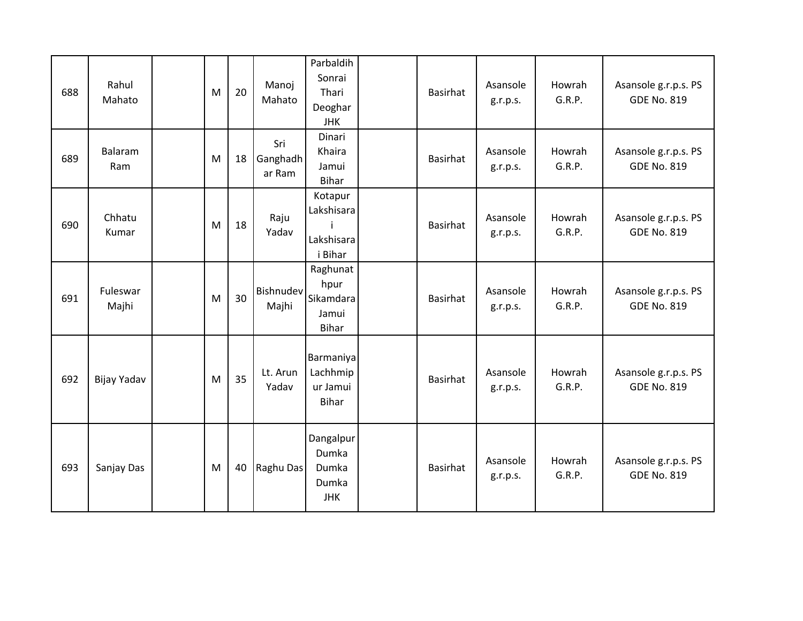| 688 | Rahul<br>Mahato   | M | 20 | Manoj<br>Mahato           | Parbaldih<br>Sonrai<br>Thari<br>Deoghar<br><b>JHK</b>  | Basirhat        | Asansole<br>g.r.p.s. | Howrah<br>G.R.P. | Asansole g.r.p.s. PS<br><b>GDE No. 819</b> |
|-----|-------------------|---|----|---------------------------|--------------------------------------------------------|-----------------|----------------------|------------------|--------------------------------------------|
| 689 | Balaram<br>Ram    | M | 18 | Sri<br>Ganghadh<br>ar Ram | Dinari<br>Khaira<br>Jamui<br><b>Bihar</b>              | Basirhat        | Asansole<br>g.r.p.s. | Howrah<br>G.R.P. | Asansole g.r.p.s. PS<br><b>GDE No. 819</b> |
| 690 | Chhatu<br>Kumar   | M | 18 | Raju<br>Yadav             | Kotapur<br>Lakshisara<br>Lakshisara<br>i Bihar         | Basirhat        | Asansole<br>g.r.p.s. | Howrah<br>G.R.P. | Asansole g.r.p.s. PS<br><b>GDE No. 819</b> |
| 691 | Fuleswar<br>Majhi | M | 30 | <b>Bishnudev</b><br>Majhi | Raghunat<br>hpur<br>Sikamdara<br>Jamui<br><b>Bihar</b> | Basirhat        | Asansole<br>g.r.p.s. | Howrah<br>G.R.P. | Asansole g.r.p.s. PS<br><b>GDE No. 819</b> |
| 692 | Bijay Yadav       | M | 35 | Lt. Arun<br>Yadav         | Barmaniya<br>Lachhmip<br>ur Jamui<br><b>Bihar</b>      | Basirhat        | Asansole<br>g.r.p.s. | Howrah<br>G.R.P. | Asansole g.r.p.s. PS<br><b>GDE No. 819</b> |
| 693 | Sanjay Das        | M | 40 | Raghu Das                 | Dangalpur<br>Dumka<br>Dumka<br>Dumka<br><b>JHK</b>     | <b>Basirhat</b> | Asansole<br>g.r.p.s. | Howrah<br>G.R.P. | Asansole g.r.p.s. PS<br><b>GDE No. 819</b> |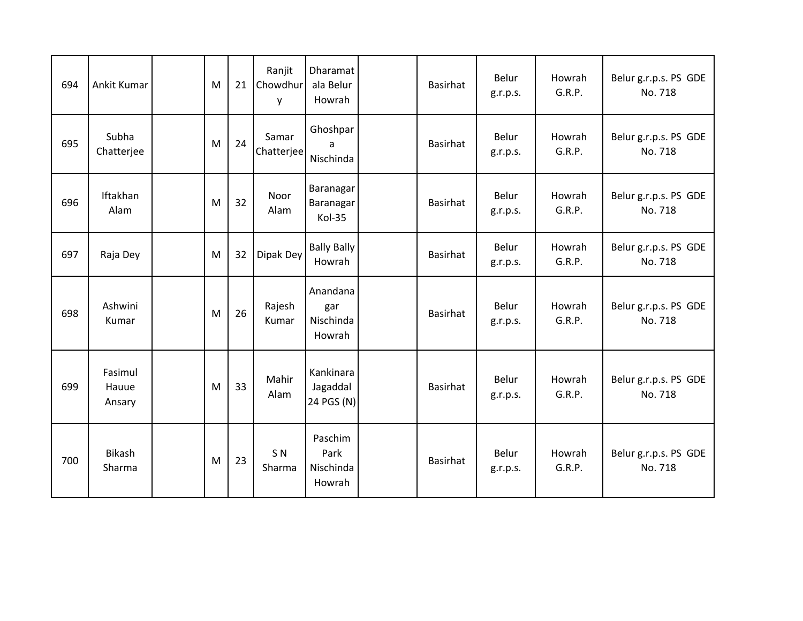| 694 | Ankit Kumar                | M | 21 | Ranjit<br>Chowdhur<br>y  | Dharamat<br>ala Belur<br>Howrah         | <b>Basirhat</b> | Belur<br>g.r.p.s. | Howrah<br>G.R.P. | Belur g.r.p.s. PS GDE<br>No. 718 |
|-----|----------------------------|---|----|--------------------------|-----------------------------------------|-----------------|-------------------|------------------|----------------------------------|
| 695 | Subha<br>Chatterjee        | M | 24 | Samar<br>Chatterjee      | Ghoshpar<br>a<br>Nischinda              | <b>Basirhat</b> | Belur<br>g.r.p.s. | Howrah<br>G.R.P. | Belur g.r.p.s. PS GDE<br>No. 718 |
| 696 | Iftakhan<br>Alam           | M | 32 | Noor<br>Alam             | Baranagar<br><b>Baranagar</b><br>Kol-35 | <b>Basirhat</b> | Belur<br>g.r.p.s. | Howrah<br>G.R.P. | Belur g.r.p.s. PS GDE<br>No. 718 |
| 697 | Raja Dey                   | M | 32 | Dipak Dey                | <b>Bally Bally</b><br>Howrah            | <b>Basirhat</b> | Belur<br>g.r.p.s. | Howrah<br>G.R.P. | Belur g.r.p.s. PS GDE<br>No. 718 |
| 698 | Ashwini<br>Kumar           | M | 26 | Rajesh<br>Kumar          | Anandana<br>gar<br>Nischinda<br>Howrah  | Basirhat        | Belur<br>g.r.p.s. | Howrah<br>G.R.P. | Belur g.r.p.s. PS GDE<br>No. 718 |
| 699 | Fasimul<br>Hauue<br>Ansary | M | 33 | Mahir<br>Alam            | Kankinara<br>Jagaddal<br>24 PGS (N)     | <b>Basirhat</b> | Belur<br>g.r.p.s. | Howrah<br>G.R.P. | Belur g.r.p.s. PS GDE<br>No. 718 |
| 700 | Bikash<br>Sharma           | M | 23 | S <sub>N</sub><br>Sharma | Paschim<br>Park<br>Nischinda<br>Howrah  | Basirhat        | Belur<br>g.r.p.s. | Howrah<br>G.R.P. | Belur g.r.p.s. PS GDE<br>No. 718 |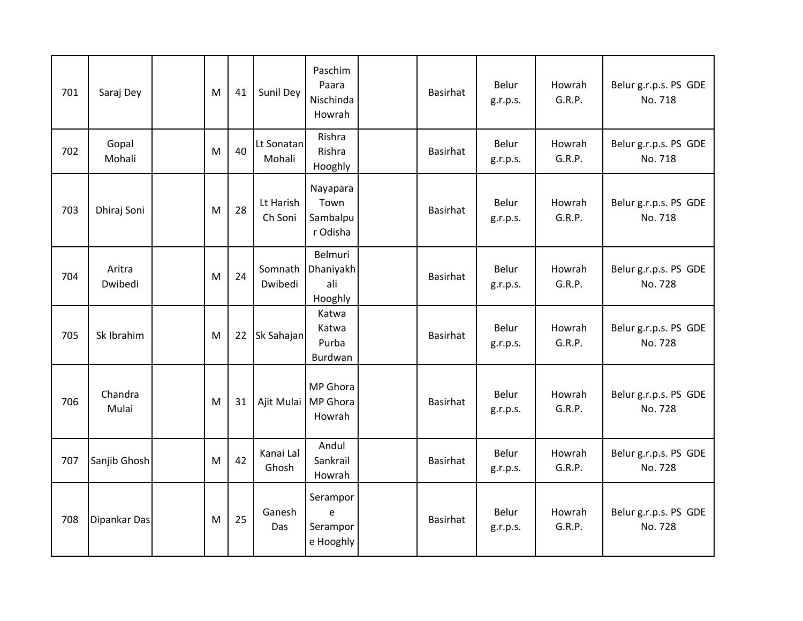| 701 | Saraj Dey         | M | 41 | Sunil Dey            | Paschim<br>Paara<br>Nischinda<br>Howrah     | Basirhat        | Belur<br>g.r.p.s.        | Howrah<br>G.R.P. | Belur g.r.p.s. PS GDE<br>No. 718 |
|-----|-------------------|---|----|----------------------|---------------------------------------------|-----------------|--------------------------|------------------|----------------------------------|
| 702 | Gopal<br>Mohali   | M | 40 | Lt Sonatan<br>Mohali | Rishra<br>Rishra<br>Hooghly                 | Basirhat        | Belur<br>g.r.p.s.        | Howrah<br>G.R.P. | Belur g.r.p.s. PS GDE<br>No. 718 |
| 703 | Dhiraj Soni       | M | 28 | Lt Harish<br>Ch Soni | Nayapara<br>Town<br>Sambalpu<br>r Odisha    | <b>Basirhat</b> | <b>Belur</b><br>g.r.p.s. | Howrah<br>G.R.P. | Belur g.r.p.s. PS GDE<br>No. 718 |
| 704 | Aritra<br>Dwibedi | M | 24 | Somnath<br>Dwibedi   | Belmuri<br>Dhaniyakh<br>ali<br>Hooghly      | Basirhat        | Belur<br>g.r.p.s.        | Howrah<br>G.R.P. | Belur g.r.p.s. PS GDE<br>No. 728 |
| 705 | Sk Ibrahim        | M | 22 | Sk Sahajan           | Katwa<br>Katwa<br>Purba<br>Burdwan          | Basirhat        | Belur<br>g.r.p.s.        | Howrah<br>G.R.P. | Belur g.r.p.s. PS GDE<br>No. 728 |
| 706 | Chandra<br>Mulai  | M | 31 |                      | MP Ghora<br>Ajit Mulai   MP Ghora<br>Howrah | Basirhat        | Belur<br>g.r.p.s.        | Howrah<br>G.R.P. | Belur g.r.p.s. PS GDE<br>No. 728 |
| 707 | Sanjib Ghosh      | M | 42 | Kanai Lal<br>Ghosh   | Andul<br>Sankrail<br>Howrah                 | Basirhat        | Belur<br>g.r.p.s.        | Howrah<br>G.R.P. | Belur g.r.p.s. PS GDE<br>No. 728 |
| 708 | Dipankar Das      | M | 25 | Ganesh<br>Das        | Serampor<br>e<br>Serampor<br>e Hooghly      | <b>Basirhat</b> | Belur<br>g.r.p.s.        | Howrah<br>G.R.P. | Belur g.r.p.s. PS GDE<br>No. 728 |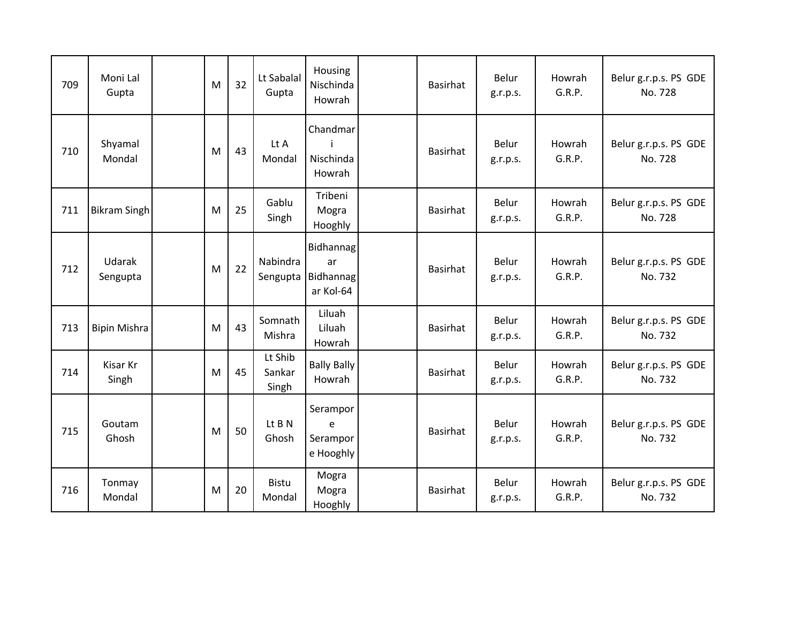| 709 | Moni Lal<br>Gupta   | M | 32 | Lt Sabalal<br>Gupta        | Housing<br>Nischinda<br>Howrah            | Basirhat        | Belur<br>g.r.p.s. | Howrah<br>G.R.P. | Belur g.r.p.s. PS GDE<br>No. 728 |
|-----|---------------------|---|----|----------------------------|-------------------------------------------|-----------------|-------------------|------------------|----------------------------------|
| 710 | Shyamal<br>Mondal   | M | 43 | Lt A<br>Mondal             | Chandmar<br>Nischinda<br>Howrah           | Basirhat        | Belur<br>g.r.p.s. | Howrah<br>G.R.P. | Belur g.r.p.s. PS GDE<br>No. 728 |
| 711 | <b>Bikram Singh</b> | M | 25 | Gablu<br>Singh             | Tribeni<br>Mogra<br>Hooghly               | <b>Basirhat</b> | Belur<br>g.r.p.s. | Howrah<br>G.R.P. | Belur g.r.p.s. PS GDE<br>No. 728 |
| 712 | Udarak<br>Sengupta  | M | 22 | Nabindra<br>Sengupta       | Bidhannag<br>ar<br>Bidhannag<br>ar Kol-64 | Basirhat        | Belur<br>g.r.p.s. | Howrah<br>G.R.P. | Belur g.r.p.s. PS GDE<br>No. 732 |
| 713 | <b>Bipin Mishra</b> | M | 43 | Somnath<br>Mishra          | Liluah<br>Liluah<br>Howrah                | <b>Basirhat</b> | Belur<br>g.r.p.s. | Howrah<br>G.R.P. | Belur g.r.p.s. PS GDE<br>No. 732 |
| 714 | Kisar Kr<br>Singh   | M | 45 | Lt Shib<br>Sankar<br>Singh | <b>Bally Bally</b><br>Howrah              | Basirhat        | Belur<br>g.r.p.s. | Howrah<br>G.R.P. | Belur g.r.p.s. PS GDE<br>No. 732 |
| 715 | Goutam<br>Ghosh     | M | 50 | Lt B N<br>Ghosh            | Serampor<br>e<br>Serampor<br>e Hooghly    | Basirhat        | Belur<br>g.r.p.s. | Howrah<br>G.R.P. | Belur g.r.p.s. PS GDE<br>No. 732 |
| 716 | Tonmay<br>Mondal    | M | 20 | <b>Bistu</b><br>Mondal     | Mogra<br>Mogra<br>Hooghly                 | <b>Basirhat</b> | Belur<br>g.r.p.s. | Howrah<br>G.R.P. | Belur g.r.p.s. PS GDE<br>No. 732 |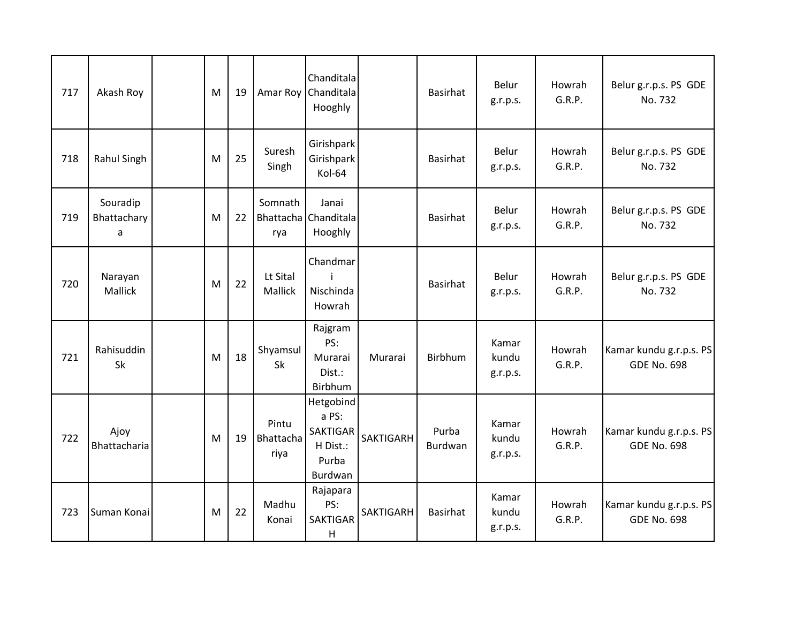| 717 | Akash Roy                    | M | 19 |                            | Chanditala<br>Amar Roy Chanditala<br>Hooghly                          |                  | Basirhat         | Belur<br>g.r.p.s.          | Howrah<br>G.R.P. | Belur g.r.p.s. PS GDE<br>No. 732              |
|-----|------------------------------|---|----|----------------------------|-----------------------------------------------------------------------|------------------|------------------|----------------------------|------------------|-----------------------------------------------|
| 718 | Rahul Singh                  | M | 25 | Suresh<br>Singh            | Girishpark<br>Girishpark<br>Kol-64                                    |                  | <b>Basirhat</b>  | Belur<br>g.r.p.s.          | Howrah<br>G.R.P. | Belur g.r.p.s. PS GDE<br>No. 732              |
| 719 | Souradip<br>Bhattachary<br>a | M | 22 | Somnath<br>rya             | Janai<br>Bhattacha Chanditala<br>Hooghly                              |                  | Basirhat         | Belur<br>g.r.p.s.          | Howrah<br>G.R.P. | Belur g.r.p.s. PS GDE<br>No. 732              |
| 720 | Narayan<br>Mallick           | M | 22 | Lt Sital<br>Mallick        | Chandmar<br>Nischinda<br>Howrah                                       |                  | <b>Basirhat</b>  | Belur<br>g.r.p.s.          | Howrah<br>G.R.P. | Belur g.r.p.s. PS GDE<br>No. 732              |
| 721 | Rahisuddin<br>Sk             | M | 18 | Shyamsul<br>Sk             | Rajgram<br>PS:<br>Murarai<br>Dist.:<br>Birbhum                        | Murarai          | Birbhum          | Kamar<br>kundu<br>g.r.p.s. | Howrah<br>G.R.P. | Kamar kundu g.r.p.s. PS<br><b>GDE No. 698</b> |
| 722 | Ajoy<br>Bhattacharia         | M | 19 | Pintu<br>Bhattacha<br>riya | Hetgobind<br>a PS:<br><b>SAKTIGAR</b><br>H Dist.:<br>Purba<br>Burdwan | <b>SAKTIGARH</b> | Purba<br>Burdwan | Kamar<br>kundu<br>g.r.p.s. | Howrah<br>G.R.P. | Kamar kundu g.r.p.s. PS<br><b>GDE No. 698</b> |
| 723 | Suman Konai                  | M | 22 | Madhu<br>Konai             | Rajapara<br>PS:<br><b>SAKTIGAR</b><br>H                               | SAKTIGARH        | <b>Basirhat</b>  | Kamar<br>kundu<br>g.r.p.s. | Howrah<br>G.R.P. | Kamar kundu g.r.p.s. PS<br><b>GDE No. 698</b> |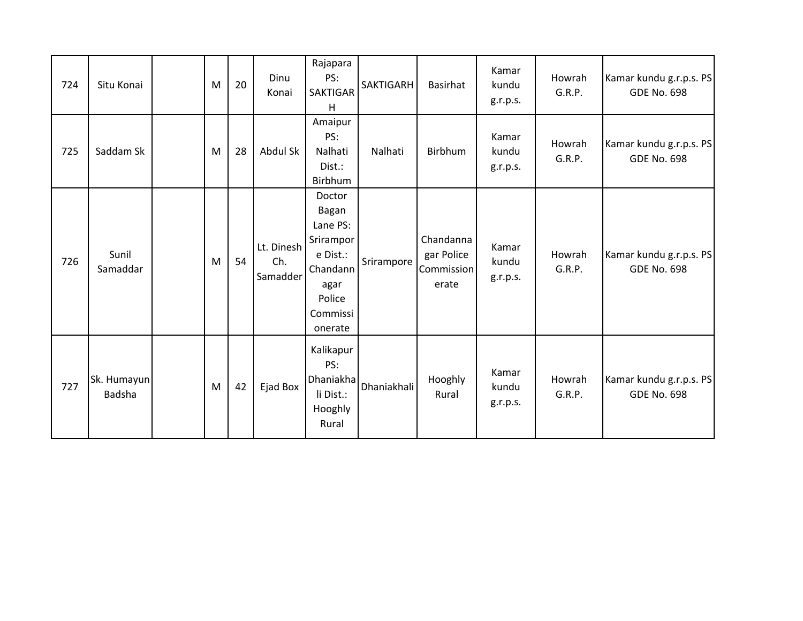| 724 | Situ Konai            | M | 20 | Dinu<br>Konai                 | Rajapara<br>PS:<br>SAKTIGAR<br>H                                                                          | SAKTIGARH   | Basirhat                                       | Kamar<br>kundu<br>g.r.p.s. | Howrah<br>G.R.P. | Kamar kundu g.r.p.s. PS<br><b>GDE No. 698</b> |
|-----|-----------------------|---|----|-------------------------------|-----------------------------------------------------------------------------------------------------------|-------------|------------------------------------------------|----------------------------|------------------|-----------------------------------------------|
| 725 | Saddam Sk             | M | 28 | Abdul Sk                      | Amaipur<br>PS:<br>Nalhati<br>Dist.:<br>Birbhum                                                            | Nalhati     | Birbhum                                        | Kamar<br>kundu<br>g.r.p.s. | Howrah<br>G.R.P. | Kamar kundu g.r.p.s. PS<br><b>GDE No. 698</b> |
| 726 | Sunil<br>Samaddar     | M | 54 | Lt. Dinesh<br>Ch.<br>Samadder | Doctor<br>Bagan<br>Lane PS:<br>Srirampor<br>e Dist.:<br>Chandann<br>agar<br>Police<br>Commissi<br>onerate | Srirampore  | Chandanna<br>gar Police<br>Commission<br>erate | Kamar<br>kundu<br>g.r.p.s. | Howrah<br>G.R.P. | Kamar kundu g.r.p.s. PS<br><b>GDE No. 698</b> |
| 727 | Sk. Humayun<br>Badsha | M | 42 | Ejad Box                      | Kalikapur<br>PS:<br><b>Dhaniakha</b><br>li Dist.:<br>Hooghly<br>Rural                                     | Dhaniakhali | Hooghly<br>Rural                               | Kamar<br>kundu<br>g.r.p.s. | Howrah<br>G.R.P. | Kamar kundu g.r.p.s. PS<br><b>GDE No. 698</b> |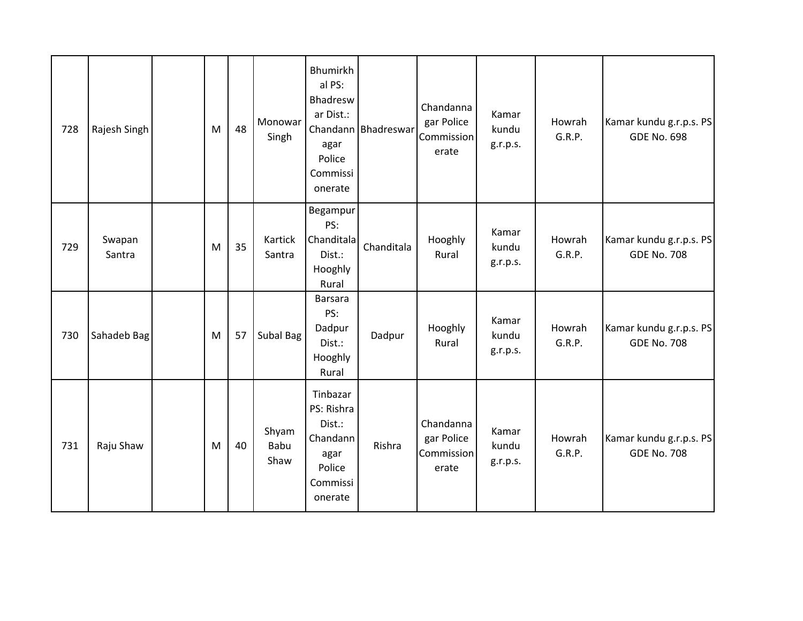| 728 | Rajesh Singh     | M | 48 | Monowar<br>Singh      | <b>Bhumirkh</b><br>al PS:<br>Bhadresw<br>ar Dist.:<br>Chandann<br>agar<br>Police<br>Commissi<br>onerate | Bhadreswar | Chandanna<br>gar Police<br>Commission<br>erate | Kamar<br>kundu<br>g.r.p.s. | Howrah<br>G.R.P. | Kamar kundu g.r.p.s. PS<br><b>GDE No. 698</b> |
|-----|------------------|---|----|-----------------------|---------------------------------------------------------------------------------------------------------|------------|------------------------------------------------|----------------------------|------------------|-----------------------------------------------|
| 729 | Swapan<br>Santra | M | 35 | Kartick<br>Santra     | Begampur<br>PS:<br>Chanditala<br>Dist.:<br>Hooghly<br>Rural                                             | Chanditala | Hooghly<br>Rural                               | Kamar<br>kundu<br>g.r.p.s. | Howrah<br>G.R.P. | Kamar kundu g.r.p.s. PS<br><b>GDE No. 708</b> |
| 730 | Sahadeb Bag      | M | 57 | Subal Bag             | Barsara<br>PS:<br>Dadpur<br>Dist.:<br>Hooghly<br>Rural                                                  | Dadpur     | Hooghly<br>Rural                               | Kamar<br>kundu<br>g.r.p.s. | Howrah<br>G.R.P. | Kamar kundu g.r.p.s. PS<br><b>GDE No. 708</b> |
| 731 | Raju Shaw        | M | 40 | Shyam<br>Babu<br>Shaw | Tinbazar<br>PS: Rishra<br>Dist.:<br>Chandann<br>agar<br>Police<br>Commissi<br>onerate                   | Rishra     | Chandanna<br>gar Police<br>Commission<br>erate | Kamar<br>kundu<br>g.r.p.s. | Howrah<br>G.R.P. | Kamar kundu g.r.p.s. PS<br><b>GDE No. 708</b> |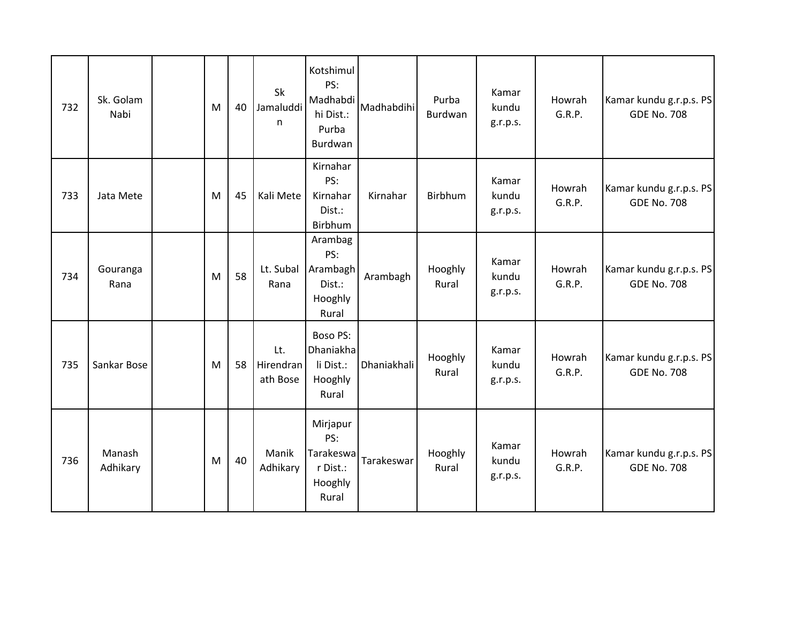| 732 | Sk. Golam<br>Nabi  | M | 40 | Sk<br>Jamaluddi<br>n         | Kotshimul<br>PS:<br>Madhabdi<br>hi Dist.:<br>Purba<br>Burdwan | Madhabdihi  | Purba<br>Burdwan | Kamar<br>kundu<br>g.r.p.s. | Howrah<br>G.R.P. | Kamar kundu g.r.p.s. PS<br><b>GDE No. 708</b> |
|-----|--------------------|---|----|------------------------------|---------------------------------------------------------------|-------------|------------------|----------------------------|------------------|-----------------------------------------------|
| 733 | Jata Mete          | M | 45 | Kali Mete                    | Kirnahar<br>PS:<br>Kirnahar<br>Dist.:<br>Birbhum              | Kirnahar    | Birbhum          | Kamar<br>kundu<br>g.r.p.s. | Howrah<br>G.R.P. | Kamar kundu g.r.p.s. PS<br><b>GDE No. 708</b> |
| 734 | Gouranga<br>Rana   | M | 58 | Lt. Subal<br>Rana            | Arambag<br>PS:<br>Arambagh<br>Dist.:<br>Hooghly<br>Rural      | Arambagh    | Hooghly<br>Rural | Kamar<br>kundu<br>g.r.p.s. | Howrah<br>G.R.P. | Kamar kundu g.r.p.s. PS<br><b>GDE No. 708</b> |
| 735 | Sankar Bose        | M | 58 | Lt.<br>Hirendran<br>ath Bose | <b>Boso PS:</b><br>Dhaniakha<br>li Dist.:<br>Hooghly<br>Rural | Dhaniakhali | Hooghly<br>Rural | Kamar<br>kundu<br>g.r.p.s. | Howrah<br>G.R.P. | Kamar kundu g.r.p.s. PS<br><b>GDE No. 708</b> |
| 736 | Manash<br>Adhikary | M | 40 | Manik<br>Adhikary            | Mirjapur<br>PS:<br>Tarakeswa<br>r Dist.:<br>Hooghly<br>Rural  | Tarakeswar  | Hooghly<br>Rural | Kamar<br>kundu<br>g.r.p.s. | Howrah<br>G.R.P. | Kamar kundu g.r.p.s. PS<br><b>GDE No. 708</b> |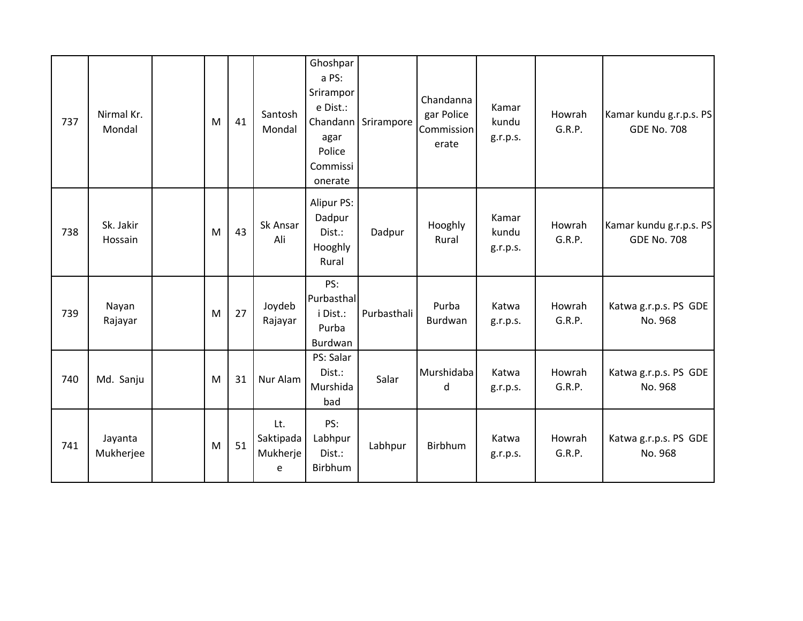| 737 | Nirmal Kr.<br>Mondal | M | 41 | Santosh<br>Mondal                 | Ghoshpar<br>a PS:<br>Srirampor<br>e Dist.:<br>Chandann<br>agar<br>Police<br>Commissi<br>onerate | Srirampore  | Chandanna<br>gar Police<br>Commission<br>erate | Kamar<br>kundu<br>g.r.p.s. | Howrah<br>G.R.P. | Kamar kundu g.r.p.s. PS<br><b>GDE No. 708</b> |
|-----|----------------------|---|----|-----------------------------------|-------------------------------------------------------------------------------------------------|-------------|------------------------------------------------|----------------------------|------------------|-----------------------------------------------|
| 738 | Sk. Jakir<br>Hossain | M | 43 | Sk Ansar<br>Ali                   | <b>Alipur PS:</b><br>Dadpur<br>Dist.:<br>Hooghly<br>Rural                                       | Dadpur      | Hooghly<br>Rural                               | Kamar<br>kundu<br>g.r.p.s. | Howrah<br>G.R.P. | Kamar kundu g.r.p.s. PS<br><b>GDE No. 708</b> |
| 739 | Nayan<br>Rajayar     | M | 27 | Joydeb<br>Rajayar                 | PS:<br>Purbasthal<br>i Dist.:<br>Purba<br>Burdwan                                               | Purbasthali | Purba<br>Burdwan                               | Katwa<br>g.r.p.s.          | Howrah<br>G.R.P. | Katwa g.r.p.s. PS GDE<br>No. 968              |
| 740 | Md. Sanju            | M | 31 | Nur Alam                          | PS: Salar<br>Dist.:<br>Murshida<br>bad                                                          | Salar       | Murshidaba<br>d                                | Katwa<br>g.r.p.s.          | Howrah<br>G.R.P. | Katwa g.r.p.s. PS GDE<br>No. 968              |
| 741 | Jayanta<br>Mukherjee | M | 51 | Lt.<br>Saktipada<br>Mukherje<br>e | PS:<br>Labhpur<br>Dist.:<br>Birbhum                                                             | Labhpur     | Birbhum                                        | Katwa<br>g.r.p.s.          | Howrah<br>G.R.P. | Katwa g.r.p.s. PS GDE<br>No. 968              |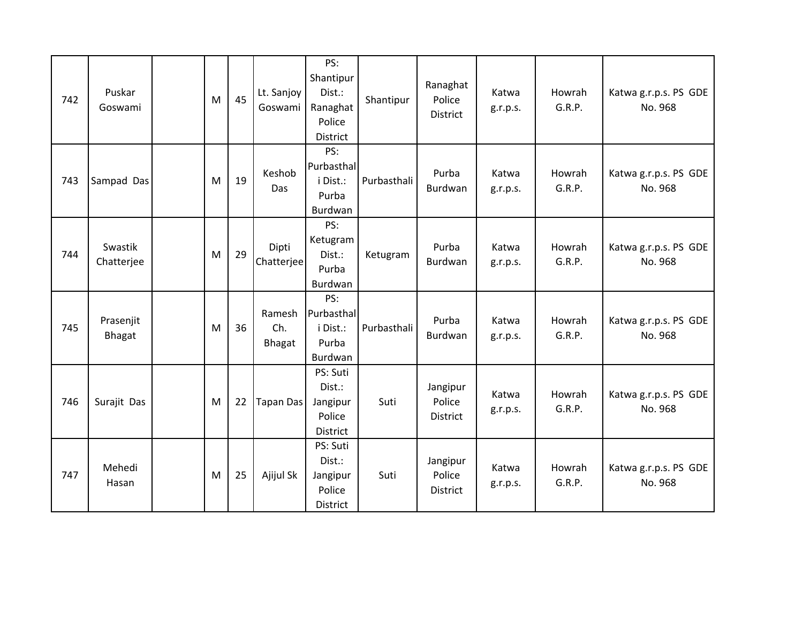| 742 | Puskar<br>Goswami          | M | 45 | Lt. Sanjoy<br>Goswami   | PS:<br>Shantipur<br>Dist.:<br>Ranaghat<br>Police<br>District | Shantipur   | Ranaghat<br>Police<br>District        | Katwa<br>g.r.p.s. | Howrah<br>G.R.P. | Katwa g.r.p.s. PS GDE<br>No. 968 |
|-----|----------------------------|---|----|-------------------------|--------------------------------------------------------------|-------------|---------------------------------------|-------------------|------------------|----------------------------------|
| 743 | Sampad Das                 | M | 19 | Keshob<br>Das           | PS:<br>Purbasthal<br>i Dist.:<br>Purba<br>Burdwan            | Purbasthali | Purba<br>Burdwan                      | Katwa<br>g.r.p.s. | Howrah<br>G.R.P. | Katwa g.r.p.s. PS GDE<br>No. 968 |
| 744 | Swastik<br>Chatterjee      | M | 29 | Dipti<br>Chatterjee     | PS:<br>Ketugram<br>Dist.:<br>Purba<br>Burdwan                | Ketugram    | Purba<br>Burdwan                      | Katwa<br>g.r.p.s. | Howrah<br>G.R.P. | Katwa g.r.p.s. PS GDE<br>No. 968 |
| 745 | Prasenjit<br><b>Bhagat</b> | M | 36 | Ramesh<br>Ch.<br>Bhagat | PS:<br>Purbasthal<br>i Dist.:<br>Purba<br>Burdwan            | Purbasthali | Purba<br>Burdwan                      | Katwa<br>g.r.p.s. | Howrah<br>G.R.P. | Katwa g.r.p.s. PS GDE<br>No. 968 |
| 746 | Surajit Das                | M | 22 | Tapan Das               | PS: Suti<br>Dist.:<br>Jangipur<br>Police<br>District         | Suti        | Jangipur<br>Police<br><b>District</b> | Katwa<br>g.r.p.s. | Howrah<br>G.R.P. | Katwa g.r.p.s. PS GDE<br>No. 968 |
| 747 | Mehedi<br>Hasan            | M | 25 | Ajijul Sk               | PS: Suti<br>Dist.:<br>Jangipur<br>Police<br>District         | Suti        | Jangipur<br>Police<br>District        | Katwa<br>g.r.p.s. | Howrah<br>G.R.P. | Katwa g.r.p.s. PS GDE<br>No. 968 |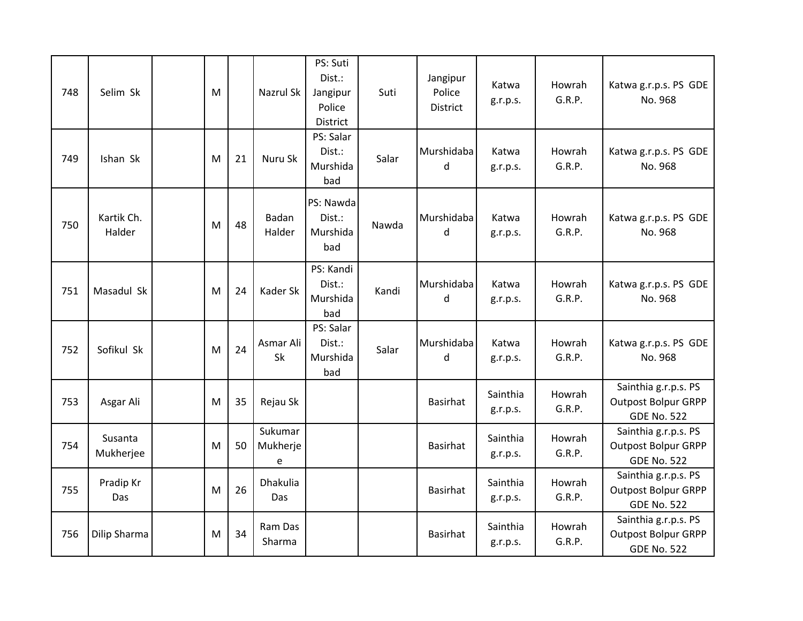| 748 | Selim Sk             | M |    | Nazrul Sk                | PS: Suti<br>Dist.:<br>Jangipur<br>Police<br><b>District</b> | Suti  | Jangipur<br>Police<br>District | Katwa<br>g.r.p.s.    | Howrah<br>G.R.P. | Katwa g.r.p.s. PS GDE<br>No. 968                                         |
|-----|----------------------|---|----|--------------------------|-------------------------------------------------------------|-------|--------------------------------|----------------------|------------------|--------------------------------------------------------------------------|
| 749 | Ishan Sk             | M | 21 | Nuru Sk                  | PS: Salar<br>Dist.:<br>Murshida<br>bad                      | Salar | Murshidaba<br>d                | Katwa<br>g.r.p.s.    | Howrah<br>G.R.P. | Katwa g.r.p.s. PS GDE<br>No. 968                                         |
| 750 | Kartik Ch.<br>Halder | M | 48 | Badan<br>Halder          | PS: Nawda<br>Dist.:<br>Murshida<br>bad                      | Nawda | Murshidaba<br>d                | Katwa<br>g.r.p.s.    | Howrah<br>G.R.P. | Katwa g.r.p.s. PS GDE<br>No. 968                                         |
| 751 | Masadul Sk           | M | 24 | Kader Sk                 | PS: Kandi<br>Dist.:<br>Murshida<br>bad                      | Kandi | Murshidaba<br>d                | Katwa<br>g.r.p.s.    | Howrah<br>G.R.P. | Katwa g.r.p.s. PS GDE<br>No. 968                                         |
| 752 | Sofikul Sk           | M | 24 | Asmar Ali<br>Sk          | PS: Salar<br>Dist.:<br>Murshida<br>bad                      | Salar | Murshidaba<br>d                | Katwa<br>g.r.p.s.    | Howrah<br>G.R.P. | Katwa g.r.p.s. PS GDE<br>No. 968                                         |
| 753 | Asgar Ali            | M | 35 | Rejau Sk                 |                                                             |       | <b>Basirhat</b>                | Sainthia<br>g.r.p.s. | Howrah<br>G.R.P. | Sainthia g.r.p.s. PS<br><b>Outpost Bolpur GRPP</b><br><b>GDE No. 522</b> |
| 754 | Susanta<br>Mukherjee | M | 50 | Sukumar<br>Mukherje<br>e |                                                             |       | <b>Basirhat</b>                | Sainthia<br>g.r.p.s. | Howrah<br>G.R.P. | Sainthia g.r.p.s. PS<br><b>Outpost Bolpur GRPP</b><br><b>GDE No. 522</b> |
| 755 | Pradip Kr<br>Das     | M | 26 | Dhakulia<br>Das          |                                                             |       | Basirhat                       | Sainthia<br>g.r.p.s. | Howrah<br>G.R.P. | Sainthia g.r.p.s. PS<br><b>Outpost Bolpur GRPP</b><br><b>GDE No. 522</b> |
| 756 | Dilip Sharma         | M | 34 | Ram Das<br>Sharma        |                                                             |       | Basirhat                       | Sainthia<br>g.r.p.s. | Howrah<br>G.R.P. | Sainthia g.r.p.s. PS<br><b>Outpost Bolpur GRPP</b><br><b>GDE No. 522</b> |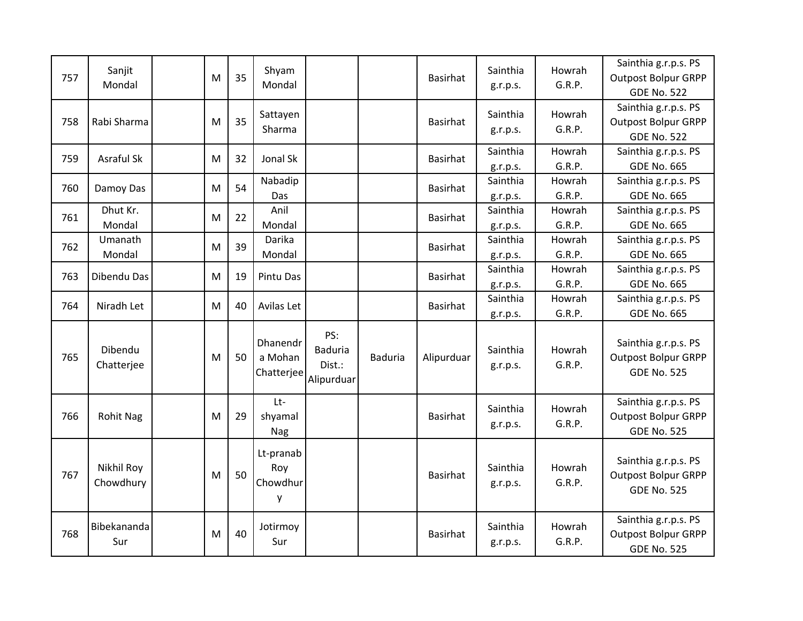| 757 | Sanjit<br>Mondal        | M | 35 | Shyam<br>Mondal                   |                                        |         | <b>Basirhat</b> | Sainthia<br>g.r.p.s. | Howrah<br>G.R.P. | Sainthia g.r.p.s. PS<br><b>Outpost Bolpur GRPP</b><br><b>GDE No. 522</b> |
|-----|-------------------------|---|----|-----------------------------------|----------------------------------------|---------|-----------------|----------------------|------------------|--------------------------------------------------------------------------|
| 758 | Rabi Sharma             | M | 35 | Sattayen<br>Sharma                |                                        |         | <b>Basirhat</b> | Sainthia<br>g.r.p.s. | Howrah<br>G.R.P. | Sainthia g.r.p.s. PS<br><b>Outpost Bolpur GRPP</b><br><b>GDE No. 522</b> |
| 759 | Asraful Sk              | M | 32 | Jonal Sk                          |                                        |         | <b>Basirhat</b> | Sainthia<br>g.r.p.s. | Howrah<br>G.R.P. | Sainthia g.r.p.s. PS<br><b>GDE No. 665</b>                               |
| 760 | Damoy Das               | M | 54 | Nabadip<br>Das                    |                                        |         | <b>Basirhat</b> | Sainthia<br>g.r.p.s. | Howrah<br>G.R.P. | Sainthia g.r.p.s. PS<br><b>GDE No. 665</b>                               |
| 761 | Dhut Kr.<br>Mondal      | M | 22 | Anil<br>Mondal                    |                                        |         | <b>Basirhat</b> | Sainthia<br>g.r.p.s. | Howrah<br>G.R.P. | Sainthia g.r.p.s. PS<br><b>GDE No. 665</b>                               |
| 762 | Umanath<br>Mondal       | M | 39 | Darika<br>Mondal                  |                                        |         | Basirhat        | Sainthia<br>g.r.p.s. | Howrah<br>G.R.P. | Sainthia g.r.p.s. PS<br><b>GDE No. 665</b>                               |
| 763 | Dibendu Das             | M | 19 | Pintu Das                         |                                        |         | Basirhat        | Sainthia<br>g.r.p.s. | Howrah<br>G.R.P. | Sainthia g.r.p.s. PS<br><b>GDE No. 665</b>                               |
| 764 | Niradh Let              | M | 40 | Avilas Let                        |                                        |         | <b>Basirhat</b> | Sainthia<br>g.r.p.s. | Howrah<br>G.R.P. | Sainthia g.r.p.s. PS<br><b>GDE No. 665</b>                               |
| 765 | Dibendu<br>Chatterjee   | M | 50 | Dhanendr<br>a Mohan<br>Chatterjee | PS:<br>Baduria<br>Dist.:<br>Alipurduar | Baduria | Alipurduar      | Sainthia<br>g.r.p.s. | Howrah<br>G.R.P. | Sainthia g.r.p.s. PS<br><b>Outpost Bolpur GRPP</b><br><b>GDE No. 525</b> |
| 766 | <b>Rohit Nag</b>        | M | 29 | Lt<br>shyamal<br>Nag              |                                        |         | <b>Basirhat</b> | Sainthia<br>g.r.p.s. | Howrah<br>G.R.P. | Sainthia g.r.p.s. PS<br><b>Outpost Bolpur GRPP</b><br><b>GDE No. 525</b> |
| 767 | Nikhil Roy<br>Chowdhury | M | 50 | Lt-pranab<br>Roy<br>Chowdhur<br>у |                                        |         | <b>Basirhat</b> | Sainthia<br>g.r.p.s. | Howrah<br>G.R.P. | Sainthia g.r.p.s. PS<br><b>Outpost Bolpur GRPP</b><br><b>GDE No. 525</b> |
| 768 | Bibekananda<br>Sur      | M | 40 | Jotirmoy<br>Sur                   |                                        |         | <b>Basirhat</b> | Sainthia<br>g.r.p.s. | Howrah<br>G.R.P. | Sainthia g.r.p.s. PS<br><b>Outpost Bolpur GRPP</b><br><b>GDE No. 525</b> |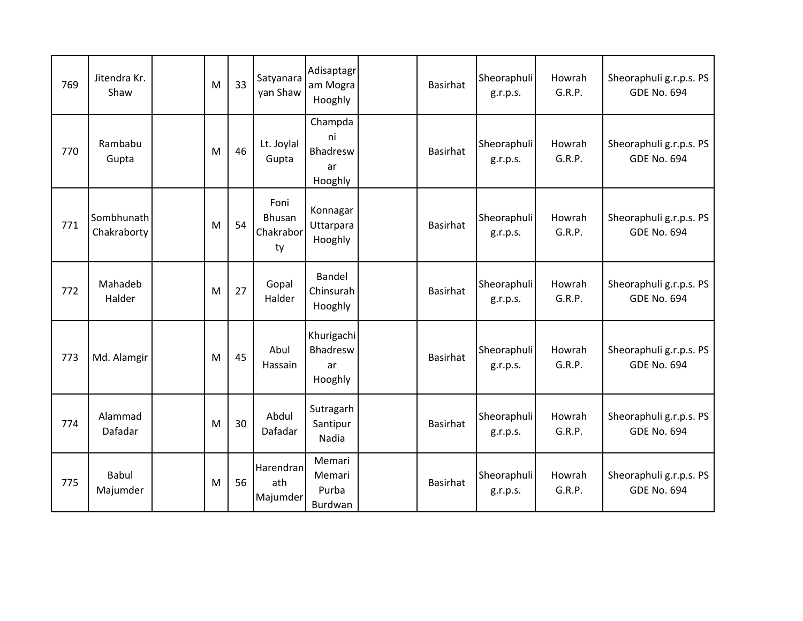| 769 | Jitendra Kr.<br>Shaw      | M | 33 | Satyanara<br>yan Shaw               | Adisaptagr<br>am Mogra<br>Hooghly          | <b>Basirhat</b> | Sheoraphuli<br>g.r.p.s. | Howrah<br>G.R.P. | Sheoraphuli g.r.p.s. PS<br><b>GDE No. 694</b> |
|-----|---------------------------|---|----|-------------------------------------|--------------------------------------------|-----------------|-------------------------|------------------|-----------------------------------------------|
| 770 | Rambabu<br>Gupta          | M | 46 | Lt. Joylal<br>Gupta                 | Champda<br>ni<br>Bhadresw<br>ar<br>Hooghly | <b>Basirhat</b> | Sheoraphuli<br>g.r.p.s. | Howrah<br>G.R.P. | Sheoraphuli g.r.p.s. PS<br><b>GDE No. 694</b> |
| 771 | Sombhunath<br>Chakraborty | M | 54 | Foni<br>Bhusan<br>Chakrabor<br>ty   | Konnagar<br>Uttarpara<br>Hooghly           | <b>Basirhat</b> | Sheoraphuli<br>g.r.p.s. | Howrah<br>G.R.P. | Sheoraphuli g.r.p.s. PS<br><b>GDE No. 694</b> |
| 772 | Mahadeb<br>Halder         | M | 27 | Gopal<br>Halder                     | Bandel<br>Chinsurah<br>Hooghly             | <b>Basirhat</b> | Sheoraphuli<br>g.r.p.s. | Howrah<br>G.R.P. | Sheoraphuli g.r.p.s. PS<br><b>GDE No. 694</b> |
| 773 | Md. Alamgir               | M | 45 | Abul<br>Hassain                     | Khurigachi<br>Bhadresw<br>ar<br>Hooghly    | <b>Basirhat</b> | Sheoraphuli<br>g.r.p.s. | Howrah<br>G.R.P. | Sheoraphuli g.r.p.s. PS<br><b>GDE No. 694</b> |
| 774 | Alammad<br>Dafadar        | M | 30 | Abdul<br>Dafadar                    | Sutragarh<br>Santipur<br>Nadia             | <b>Basirhat</b> | Sheoraphuli<br>g.r.p.s. | Howrah<br>G.R.P. | Sheoraphuli g.r.p.s. PS<br><b>GDE No. 694</b> |
| 775 | <b>Babul</b><br>Majumder  | M | 56 | <b>Harendran</b><br>ath<br>Majumder | Memari<br>Memari<br>Purba<br>Burdwan       | <b>Basirhat</b> | Sheoraphuli<br>g.r.p.s. | Howrah<br>G.R.P. | Sheoraphuli g.r.p.s. PS<br><b>GDE No. 694</b> |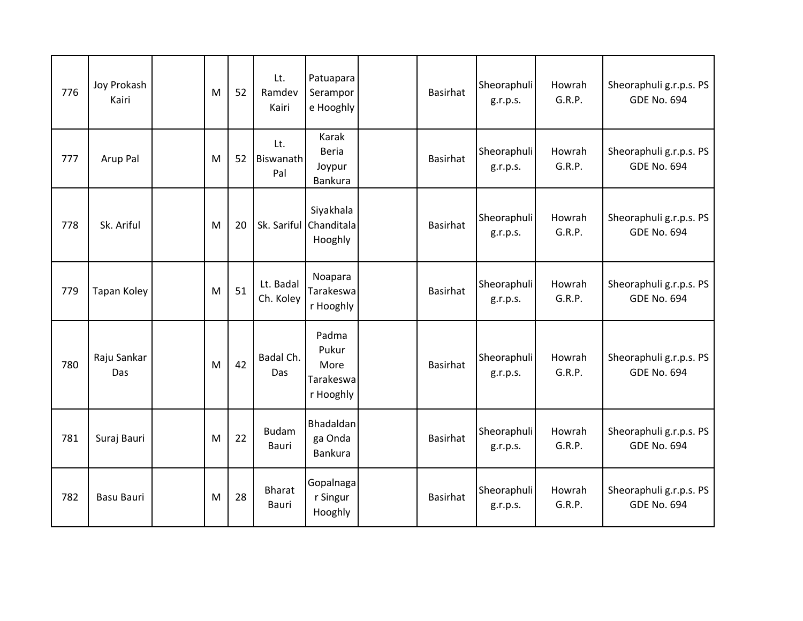| 776 | Joy Prokash<br>Kairi | M | 52 | Lt.<br>Ramdev<br>Kairi       | Patuapara<br>Serampor<br>e Hooghly               | Basirhat        | Sheoraphuli<br>g.r.p.s. | Howrah<br>G.R.P. | Sheoraphuli g.r.p.s. PS<br><b>GDE No. 694</b> |
|-----|----------------------|---|----|------------------------------|--------------------------------------------------|-----------------|-------------------------|------------------|-----------------------------------------------|
| 777 | Arup Pal             | M | 52 | Lt.<br>Biswanath<br>Pal      | Karak<br><b>Beria</b><br>Joypur<br>Bankura       | <b>Basirhat</b> | Sheoraphuli<br>g.r.p.s. | Howrah<br>G.R.P. | Sheoraphuli g.r.p.s. PS<br><b>GDE No. 694</b> |
| 778 | Sk. Ariful           | M | 20 |                              | Siyakhala<br>Sk. Sariful Chanditala<br>Hooghly   | <b>Basirhat</b> | Sheoraphuli<br>g.r.p.s. | Howrah<br>G.R.P. | Sheoraphuli g.r.p.s. PS<br><b>GDE No. 694</b> |
| 779 | <b>Tapan Koley</b>   | M | 51 | Lt. Badal<br>Ch. Koley       | Noapara<br>Tarakeswa<br>r Hooghly                | <b>Basirhat</b> | Sheoraphuli<br>g.r.p.s. | Howrah<br>G.R.P. | Sheoraphuli g.r.p.s. PS<br><b>GDE No. 694</b> |
| 780 | Raju Sankar<br>Das   | M | 42 | Badal Ch.<br>Das             | Padma<br>Pukur<br>More<br>Tarakeswa<br>r Hooghly | <b>Basirhat</b> | Sheoraphuli<br>g.r.p.s. | Howrah<br>G.R.P. | Sheoraphuli g.r.p.s. PS<br><b>GDE No. 694</b> |
| 781 | Suraj Bauri          | M | 22 | <b>Budam</b><br><b>Bauri</b> | Bhadaldan<br>ga Onda<br>Bankura                  | <b>Basirhat</b> | Sheoraphuli<br>g.r.p.s. | Howrah<br>G.R.P. | Sheoraphuli g.r.p.s. PS<br><b>GDE No. 694</b> |
| 782 | <b>Basu Bauri</b>    | M | 28 | <b>Bharat</b><br>Bauri       | Gopalnaga<br>r Singur<br>Hooghly                 | <b>Basirhat</b> | Sheoraphuli<br>g.r.p.s. | Howrah<br>G.R.P. | Sheoraphuli g.r.p.s. PS<br><b>GDE No. 694</b> |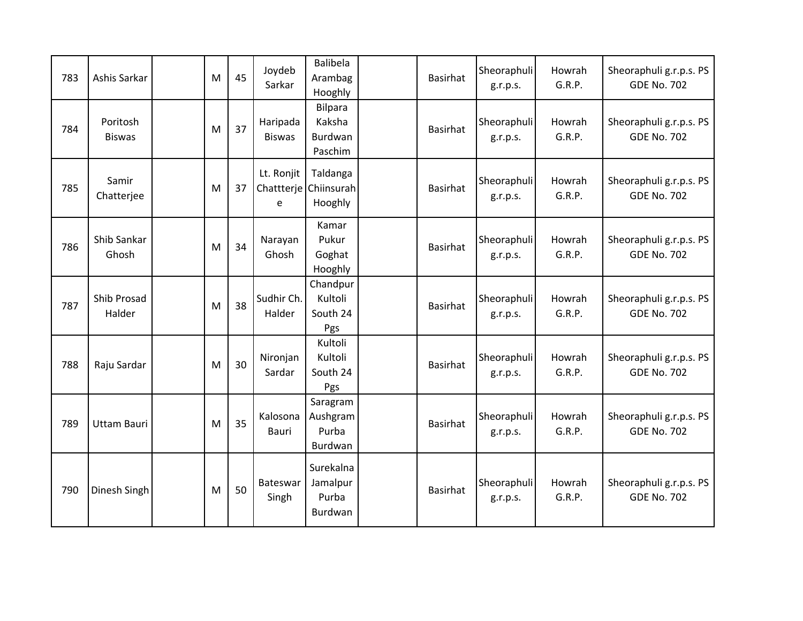| 783 | Ashis Sarkar              | M | 45 | Joydeb<br>Sarkar          | <b>Balibela</b><br>Arambag<br>Hooghly          | <b>Basirhat</b> | Sheoraphuli<br>g.r.p.s. | Howrah<br>G.R.P. | Sheoraphuli g.r.p.s. PS<br><b>GDE No. 702</b> |
|-----|---------------------------|---|----|---------------------------|------------------------------------------------|-----------------|-------------------------|------------------|-----------------------------------------------|
| 784 | Poritosh<br><b>Biswas</b> | M | 37 | Haripada<br><b>Biswas</b> | <b>Bilpara</b><br>Kaksha<br>Burdwan<br>Paschim | <b>Basirhat</b> | Sheoraphuli<br>g.r.p.s. | Howrah<br>G.R.P. | Sheoraphuli g.r.p.s. PS<br><b>GDE No. 702</b> |
| 785 | Samir<br>Chatterjee       | M | 37 | Lt. Ronjit<br>e           | Taldanga<br>Chattterje Chiinsurah<br>Hooghly   | <b>Basirhat</b> | Sheoraphuli<br>g.r.p.s. | Howrah<br>G.R.P. | Sheoraphuli g.r.p.s. PS<br><b>GDE No. 702</b> |
| 786 | Shib Sankar<br>Ghosh      | M | 34 | Narayan<br>Ghosh          | Kamar<br>Pukur<br>Goghat<br>Hooghly            | Basirhat        | Sheoraphuli<br>g.r.p.s. | Howrah<br>G.R.P. | Sheoraphuli g.r.p.s. PS<br><b>GDE No. 702</b> |
| 787 | Shib Prosad<br>Halder     | M | 38 | Sudhir Ch.<br>Halder      | Chandpur<br>Kultoli<br>South 24<br>Pgs         | <b>Basirhat</b> | Sheoraphuli<br>g.r.p.s. | Howrah<br>G.R.P. | Sheoraphuli g.r.p.s. PS<br><b>GDE No. 702</b> |
| 788 | Raju Sardar               | M | 30 | Nironjan<br>Sardar        | Kultoli<br>Kultoli<br>South 24<br>Pgs          | <b>Basirhat</b> | Sheoraphuli<br>g.r.p.s. | Howrah<br>G.R.P. | Sheoraphuli g.r.p.s. PS<br><b>GDE No. 702</b> |
| 789 | <b>Uttam Bauri</b>        | M | 35 | Kalosona<br>Bauri         | Saragram<br>Aushgram<br>Purba<br>Burdwan       | <b>Basirhat</b> | Sheoraphuli<br>g.r.p.s. | Howrah<br>G.R.P. | Sheoraphuli g.r.p.s. PS<br><b>GDE No. 702</b> |
| 790 | Dinesh Singh              | M | 50 | Bateswar<br>Singh         | Surekalna<br>Jamalpur<br>Purba<br>Burdwan      | <b>Basirhat</b> | Sheoraphuli<br>g.r.p.s. | Howrah<br>G.R.P. | Sheoraphuli g.r.p.s. PS<br><b>GDE No. 702</b> |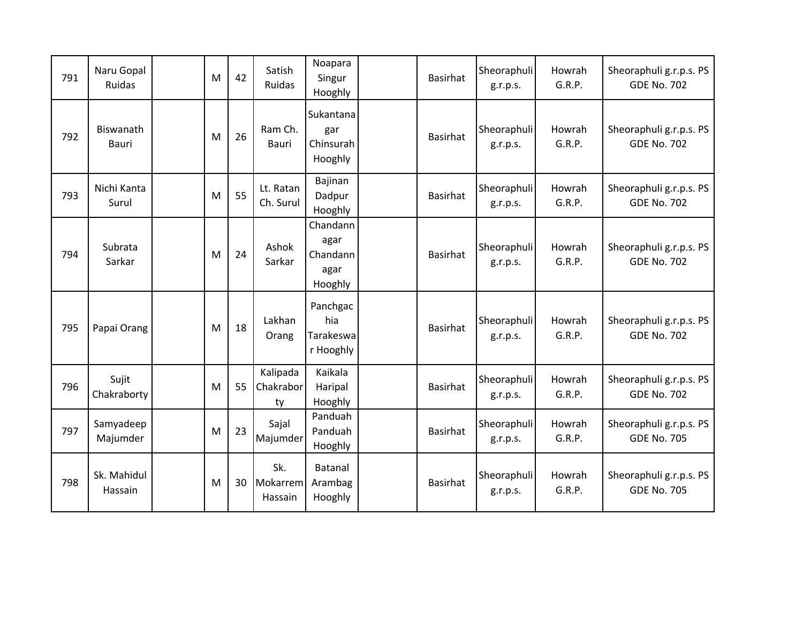| 791 | Naru Gopal<br>Ruidas      | M | 42 | Satish<br><b>Ruidas</b>     | Noapara<br>Singur<br>Hooghly                    | <b>Basirhat</b> | Sheoraphuli<br>g.r.p.s. | Howrah<br>G.R.P. | Sheoraphuli g.r.p.s. PS<br><b>GDE No. 702</b> |
|-----|---------------------------|---|----|-----------------------------|-------------------------------------------------|-----------------|-------------------------|------------------|-----------------------------------------------|
| 792 | Biswanath<br><b>Bauri</b> | M | 26 | Ram Ch.<br>Bauri            | Sukantana<br>gar<br>Chinsurah<br>Hooghly        | <b>Basirhat</b> | Sheoraphuli<br>g.r.p.s. | Howrah<br>G.R.P. | Sheoraphuli g.r.p.s. PS<br><b>GDE No. 702</b> |
| 793 | Nichi Kanta<br>Surul      | M | 55 | Lt. Ratan<br>Ch. Surul      | Bajinan<br>Dadpur<br>Hooghly                    | <b>Basirhat</b> | Sheoraphuli<br>g.r.p.s. | Howrah<br>G.R.P. | Sheoraphuli g.r.p.s. PS<br><b>GDE No. 702</b> |
| 794 | Subrata<br>Sarkar         | M | 24 | Ashok<br>Sarkar             | Chandann<br>agar<br>Chandann<br>agar<br>Hooghly | <b>Basirhat</b> | Sheoraphuli<br>g.r.p.s. | Howrah<br>G.R.P. | Sheoraphuli g.r.p.s. PS<br><b>GDE No. 702</b> |
| 795 | Papai Orang               | M | 18 | Lakhan<br>Orang             | Panchgac<br>hia<br>Tarakeswa<br>r Hooghly       | <b>Basirhat</b> | Sheoraphuli<br>g.r.p.s. | Howrah<br>G.R.P. | Sheoraphuli g.r.p.s. PS<br><b>GDE No. 702</b> |
| 796 | Sujit<br>Chakraborty      | M | 55 | Kalipada<br>Chakrabor<br>ty | Kaikala<br>Haripal<br>Hooghly                   | <b>Basirhat</b> | Sheoraphuli<br>g.r.p.s. | Howrah<br>G.R.P. | Sheoraphuli g.r.p.s. PS<br><b>GDE No. 702</b> |
| 797 | Samyadeep<br>Majumder     | M | 23 | Sajal<br>Majumder           | Panduah<br>Panduah<br>Hooghly                   | <b>Basirhat</b> | Sheoraphuli<br>g.r.p.s. | Howrah<br>G.R.P. | Sheoraphuli g.r.p.s. PS<br><b>GDE No. 705</b> |
| 798 | Sk. Mahidul<br>Hassain    | M | 30 | Sk.<br>Mokarrem<br>Hassain  | Batanal<br>Arambag<br>Hooghly                   | <b>Basirhat</b> | Sheoraphuli<br>g.r.p.s. | Howrah<br>G.R.P. | Sheoraphuli g.r.p.s. PS<br><b>GDE No. 705</b> |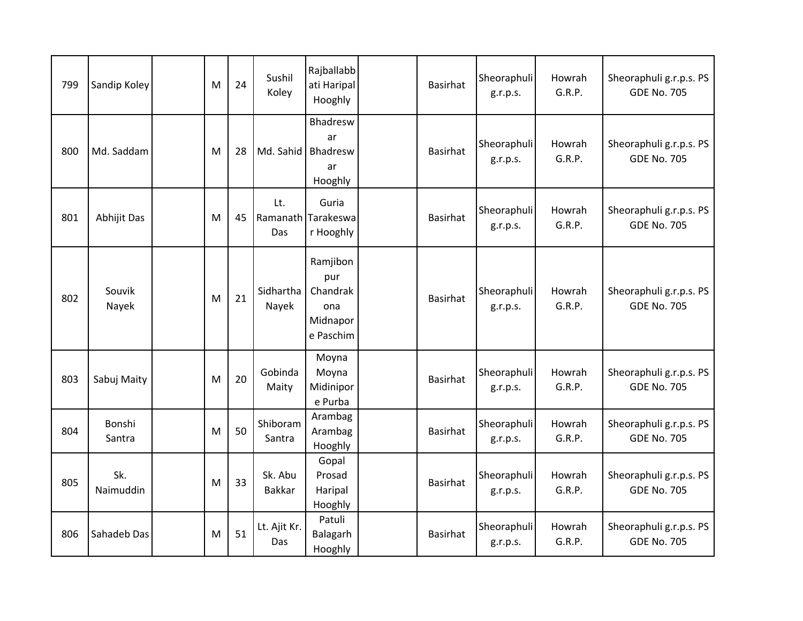| 799 | Sandip Koley     | M | 24 | Sushil<br>Koley          | Rajballabb<br>ati Haripal<br>Hooghly                        | Basirhat        | Sheoraphuli<br>g.r.p.s. | Howrah<br>G.R.P. | Sheoraphuli g.r.p.s. PS<br><b>GDE No. 705</b> |
|-----|------------------|---|----|--------------------------|-------------------------------------------------------------|-----------------|-------------------------|------------------|-----------------------------------------------|
| 800 | Md. Saddam       | M | 28 | Md. Sahid                | Bhadresw<br>ar<br>Bhadresw<br>ar<br>Hooghly                 | Basirhat        | Sheoraphuli<br>g.r.p.s. | Howrah<br>G.R.P. | Sheoraphuli g.r.p.s. PS<br><b>GDE No. 705</b> |
| 801 | Abhijit Das      | M | 45 | Lt.<br>Das               | Guria<br>Ramanath Tarakeswa<br>r Hooghly                    | <b>Basirhat</b> | Sheoraphuli<br>g.r.p.s. | Howrah<br>G.R.P. | Sheoraphuli g.r.p.s. PS<br><b>GDE No. 705</b> |
| 802 | Souvik<br>Nayek  | M | 21 | Sidhartha<br>Nayek       | Ramjibon<br>pur<br>Chandrak<br>ona<br>Midnapor<br>e Paschim | <b>Basirhat</b> | Sheoraphuli<br>g.r.p.s. | Howrah<br>G.R.P. | Sheoraphuli g.r.p.s. PS<br><b>GDE No. 705</b> |
| 803 | Sabuj Maity      | M | 20 | Gobinda<br>Maity         | Moyna<br>Moyna<br>Midinipor<br>e Purba                      | Basirhat        | Sheoraphuli<br>g.r.p.s. | Howrah<br>G.R.P. | Sheoraphuli g.r.p.s. PS<br><b>GDE No. 705</b> |
| 804 | Bonshi<br>Santra | M | 50 | Shiboram<br>Santra       | Arambag<br>Arambag<br>Hooghly                               | Basirhat        | Sheoraphuli<br>g.r.p.s. | Howrah<br>G.R.P. | Sheoraphuli g.r.p.s. PS<br><b>GDE No. 705</b> |
| 805 | Sk.<br>Naimuddin | M | 33 | Sk. Abu<br><b>Bakkar</b> | Gopal<br>Prosad<br>Haripal<br>Hooghly                       | <b>Basirhat</b> | Sheoraphuli<br>g.r.p.s. | Howrah<br>G.R.P. | Sheoraphuli g.r.p.s. PS<br><b>GDE No. 705</b> |
| 806 | Sahadeb Das      | M | 51 | Lt. Ajit Kr.<br>Das      | Patuli<br>Balagarh<br>Hooghly                               | Basirhat        | Sheoraphuli<br>g.r.p.s. | Howrah<br>G.R.P. | Sheoraphuli g.r.p.s. PS<br><b>GDE No. 705</b> |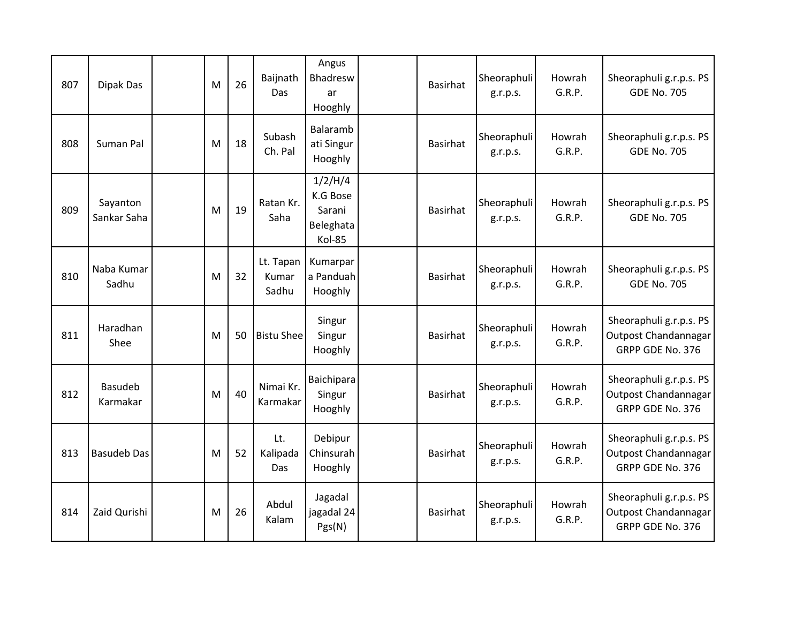| 807 | Dipak Das                  | M | 26 | Baijnath<br>Das             | Angus<br>Bhadresw<br>ar<br>Hooghly                   | Basirhat        | Sheoraphuli<br>g.r.p.s. | Howrah<br>G.R.P. | Sheoraphuli g.r.p.s. PS<br><b>GDE No. 705</b>                       |
|-----|----------------------------|---|----|-----------------------------|------------------------------------------------------|-----------------|-------------------------|------------------|---------------------------------------------------------------------|
| 808 | Suman Pal                  | M | 18 | Subash<br>Ch. Pal           | Balaramb<br>ati Singur<br>Hooghly                    | <b>Basirhat</b> | Sheoraphuli<br>g.r.p.s. | Howrah<br>G.R.P. | Sheoraphuli g.r.p.s. PS<br><b>GDE No. 705</b>                       |
| 809 | Sayanton<br>Sankar Saha    | M | 19 | Ratan Kr.<br>Saha           | 1/2/H/4<br>K.G Bose<br>Sarani<br>Beleghata<br>Kol-85 | <b>Basirhat</b> | Sheoraphuli<br>g.r.p.s. | Howrah<br>G.R.P. | Sheoraphuli g.r.p.s. PS<br><b>GDE No. 705</b>                       |
| 810 | Naba Kumar<br>Sadhu        | M | 32 | Lt. Tapan<br>Kumar<br>Sadhu | Kumarpar<br>a Panduah<br>Hooghly                     | <b>Basirhat</b> | Sheoraphuli<br>g.r.p.s. | Howrah<br>G.R.P. | Sheoraphuli g.r.p.s. PS<br><b>GDE No. 705</b>                       |
| 811 | Haradhan<br>Shee           | M | 50 | <b>Bistu Shee</b>           | Singur<br>Singur<br>Hooghly                          | Basirhat        | Sheoraphuli<br>g.r.p.s. | Howrah<br>G.R.P. | Sheoraphuli g.r.p.s. PS<br>Outpost Chandannagar<br>GRPP GDE No. 376 |
| 812 | <b>Basudeb</b><br>Karmakar | M | 40 | Nimai Kr.<br>Karmakar       | Baichipara<br>Singur<br>Hooghly                      | <b>Basirhat</b> | Sheoraphuli<br>g.r.p.s. | Howrah<br>G.R.P. | Sheoraphuli g.r.p.s. PS<br>Outpost Chandannagar<br>GRPP GDE No. 376 |
| 813 | <b>Basudeb Das</b>         | M | 52 | Lt.<br>Kalipada<br>Das      | Debipur<br>Chinsurah<br>Hooghly                      | Basirhat        | Sheoraphuli<br>g.r.p.s. | Howrah<br>G.R.P. | Sheoraphuli g.r.p.s. PS<br>Outpost Chandannagar<br>GRPP GDE No. 376 |
| 814 | Zaid Qurishi               | M | 26 | Abdul<br>Kalam              | Jagadal<br>jagadal 24<br>Pgs(N)                      | Basirhat        | Sheoraphuli<br>g.r.p.s. | Howrah<br>G.R.P. | Sheoraphuli g.r.p.s. PS<br>Outpost Chandannagar<br>GRPP GDE No. 376 |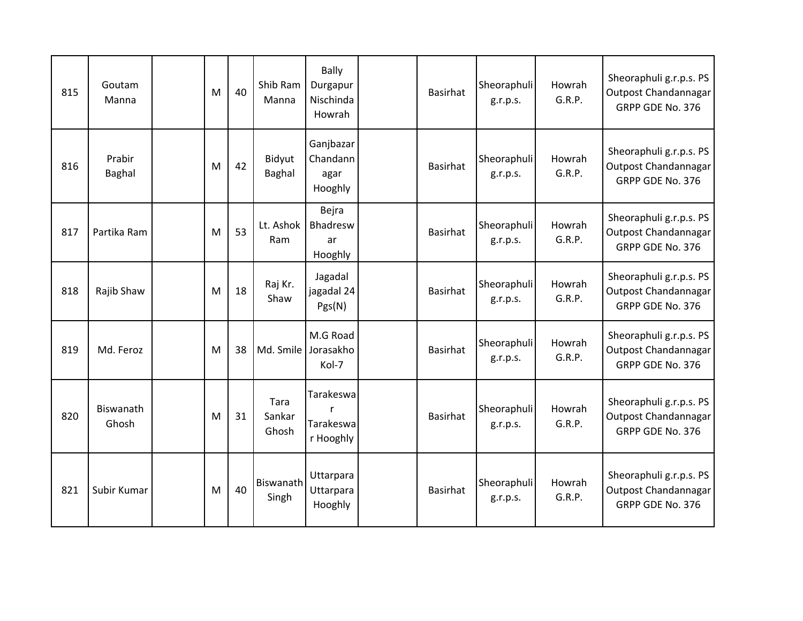| 815 | Goutam<br>Manna    | M | 40 | Shib Ram<br>Manna       | <b>Bally</b><br>Durgapur<br>Nischinda<br>Howrah | Basirhat        | Sheoraphuli<br>g.r.p.s. | Howrah<br>G.R.P. | Sheoraphuli g.r.p.s. PS<br>Outpost Chandannagar<br>GRPP GDE No. 376 |
|-----|--------------------|---|----|-------------------------|-------------------------------------------------|-----------------|-------------------------|------------------|---------------------------------------------------------------------|
| 816 | Prabir<br>Baghal   | M | 42 | Bidyut<br>Baghal        | Ganjbazar<br>Chandann<br>agar<br>Hooghly        | <b>Basirhat</b> | Sheoraphuli<br>g.r.p.s. | Howrah<br>G.R.P. | Sheoraphuli g.r.p.s. PS<br>Outpost Chandannagar<br>GRPP GDE No. 376 |
| 817 | Partika Ram        | M | 53 | Lt. Ashok<br>Ram        | Bejra<br>Bhadresw<br>ar<br>Hooghly              | Basirhat        | Sheoraphuli<br>g.r.p.s. | Howrah<br>G.R.P. | Sheoraphuli g.r.p.s. PS<br>Outpost Chandannagar<br>GRPP GDE No. 376 |
| 818 | Rajib Shaw         | M | 18 | Raj Kr.<br>Shaw         | Jagadal<br>jagadal 24<br>Pgs(N)                 | <b>Basirhat</b> | Sheoraphuli<br>g.r.p.s. | Howrah<br>G.R.P. | Sheoraphuli g.r.p.s. PS<br>Outpost Chandannagar<br>GRPP GDE No. 376 |
| 819 | Md. Feroz          | M | 38 |                         | M.G Road<br>Md. Smile Jorasakho<br>Kol-7        | <b>Basirhat</b> | Sheoraphuli<br>g.r.p.s. | Howrah<br>G.R.P. | Sheoraphuli g.r.p.s. PS<br>Outpost Chandannagar<br>GRPP GDE No. 376 |
| 820 | Biswanath<br>Ghosh | M | 31 | Tara<br>Sankar<br>Ghosh | Tarakeswa<br>r<br>Tarakeswa<br>r Hooghly        | <b>Basirhat</b> | Sheoraphuli<br>g.r.p.s. | Howrah<br>G.R.P. | Sheoraphuli g.r.p.s. PS<br>Outpost Chandannagar<br>GRPP GDE No. 376 |
| 821 | Subir Kumar        | M | 40 | Biswanath<br>Singh      | Uttarpara<br>Uttarpara<br>Hooghly               | <b>Basirhat</b> | Sheoraphuli<br>g.r.p.s. | Howrah<br>G.R.P. | Sheoraphuli g.r.p.s. PS<br>Outpost Chandannagar<br>GRPP GDE No. 376 |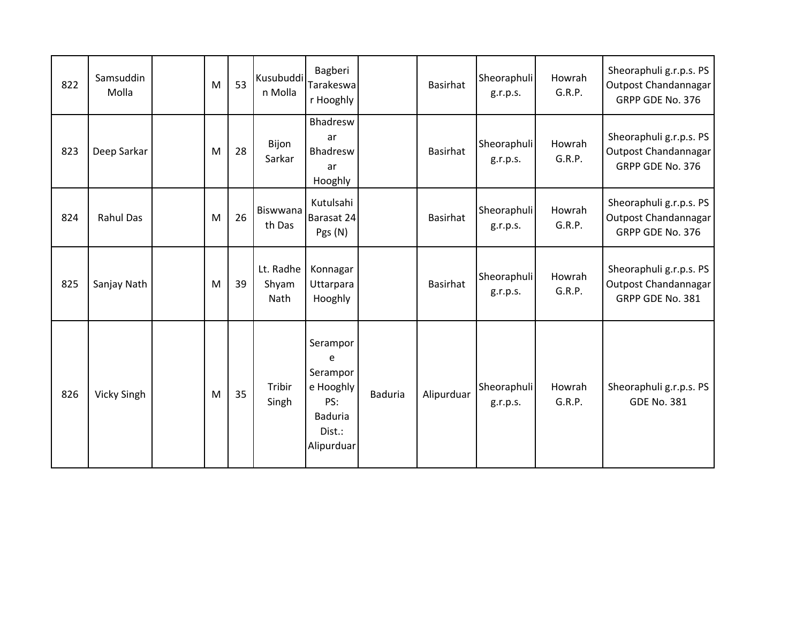| 822 | Samsuddin<br>Molla | M | 53 | Kusubuddi<br>n Molla       | Bagberi<br>Tarakeswa<br>r Hooghly                                                       |                | <b>Basirhat</b> | Sheoraphuli<br>g.r.p.s. | Howrah<br>G.R.P. | Sheoraphuli g.r.p.s. PS<br>Outpost Chandannagar<br>GRPP GDE No. 376 |
|-----|--------------------|---|----|----------------------------|-----------------------------------------------------------------------------------------|----------------|-----------------|-------------------------|------------------|---------------------------------------------------------------------|
| 823 | Deep Sarkar        | M | 28 | Bijon<br>Sarkar            | Bhadresw<br>ar<br>Bhadresw<br>ar<br>Hooghly                                             |                | <b>Basirhat</b> | Sheoraphuli<br>g.r.p.s. | Howrah<br>G.R.P. | Sheoraphuli g.r.p.s. PS<br>Outpost Chandannagar<br>GRPP GDE No. 376 |
| 824 | <b>Rahul Das</b>   | M | 26 | Biswwana<br>th Das         | Kutulsahi<br>Barasat 24<br>Pgs (N)                                                      |                | <b>Basirhat</b> | Sheoraphuli<br>g.r.p.s. | Howrah<br>G.R.P. | Sheoraphuli g.r.p.s. PS<br>Outpost Chandannagar<br>GRPP GDE No. 376 |
| 825 | Sanjay Nath        | M | 39 | Lt. Radhe<br>Shyam<br>Nath | Konnagar<br>Uttarpara<br>Hooghly                                                        |                | <b>Basirhat</b> | Sheoraphuli<br>g.r.p.s. | Howrah<br>G.R.P. | Sheoraphuli g.r.p.s. PS<br>Outpost Chandannagar<br>GRPP GDE No. 381 |
| 826 | Vicky Singh        | M | 35 | Tribir<br>Singh            | Serampor<br>e<br>Serampor<br>e Hooghly<br>PS:<br><b>Baduria</b><br>Dist.:<br>Alipurduar | <b>Baduria</b> | Alipurduar      | Sheoraphuli<br>g.r.p.s. | Howrah<br>G.R.P. | Sheoraphuli g.r.p.s. PS<br><b>GDE No. 381</b>                       |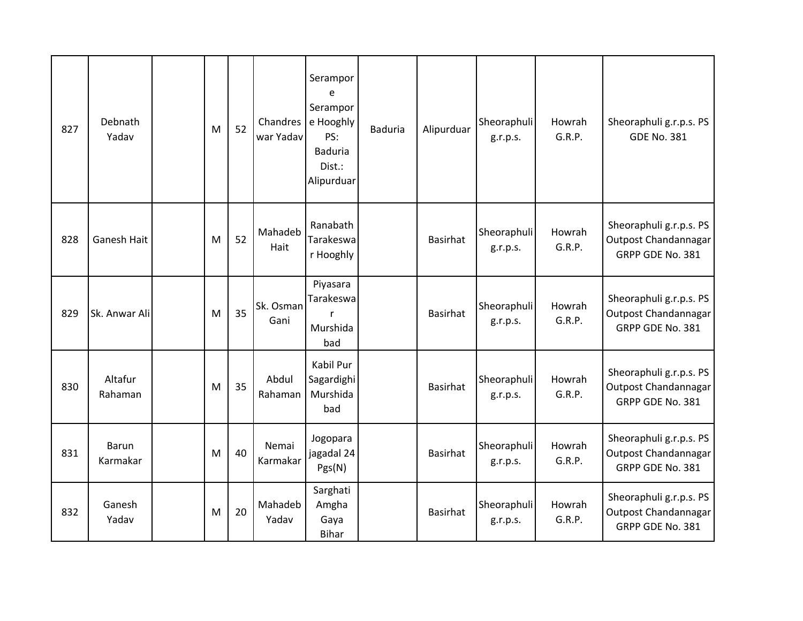| 827 | Debnath<br>Yadav   | M | 52 | Chandres<br>war Yadav | Serampor<br>e<br>Serampor<br>e Hooghly<br>PS:<br><b>Baduria</b><br>Dist.:<br>Alipurduar | Baduria | Alipurduar      | Sheoraphuli<br>g.r.p.s. | Howrah<br>G.R.P. | Sheoraphuli g.r.p.s. PS<br><b>GDE No. 381</b>                       |
|-----|--------------------|---|----|-----------------------|-----------------------------------------------------------------------------------------|---------|-----------------|-------------------------|------------------|---------------------------------------------------------------------|
| 828 | Ganesh Hait        | M | 52 | Mahadeb<br>Hait       | Ranabath<br>Tarakeswa<br>r Hooghly                                                      |         | <b>Basirhat</b> | Sheoraphuli<br>g.r.p.s. | Howrah<br>G.R.P. | Sheoraphuli g.r.p.s. PS<br>Outpost Chandannagar<br>GRPP GDE No. 381 |
| 829 | Sk. Anwar Ali      | M | 35 | Sk. Osman<br>Gani     | Piyasara<br>Tarakeswa<br>$\mathsf{r}$<br>Murshida<br>bad                                |         | <b>Basirhat</b> | Sheoraphuli<br>g.r.p.s. | Howrah<br>G.R.P. | Sheoraphuli g.r.p.s. PS<br>Outpost Chandannagar<br>GRPP GDE No. 381 |
| 830 | Altafur<br>Rahaman | M | 35 | Abdul<br>Rahaman      | Kabil Pur<br>Sagardighi<br>Murshida<br>bad                                              |         | <b>Basirhat</b> | Sheoraphuli<br>g.r.p.s. | Howrah<br>G.R.P. | Sheoraphuli g.r.p.s. PS<br>Outpost Chandannagar<br>GRPP GDE No. 381 |
| 831 | Barun<br>Karmakar  | M | 40 | Nemai<br>Karmakar     | Jogopara<br>jagadal 24<br>Pgs(N)                                                        |         | <b>Basirhat</b> | Sheoraphuli<br>g.r.p.s. | Howrah<br>G.R.P. | Sheoraphuli g.r.p.s. PS<br>Outpost Chandannagar<br>GRPP GDE No. 381 |
| 832 | Ganesh<br>Yadav    | M | 20 | Mahadeb<br>Yadav      | Sarghati<br>Amgha<br>Gaya<br><b>Bihar</b>                                               |         | Basirhat        | Sheoraphuli<br>g.r.p.s. | Howrah<br>G.R.P. | Sheoraphuli g.r.p.s. PS<br>Outpost Chandannagar<br>GRPP GDE No. 381 |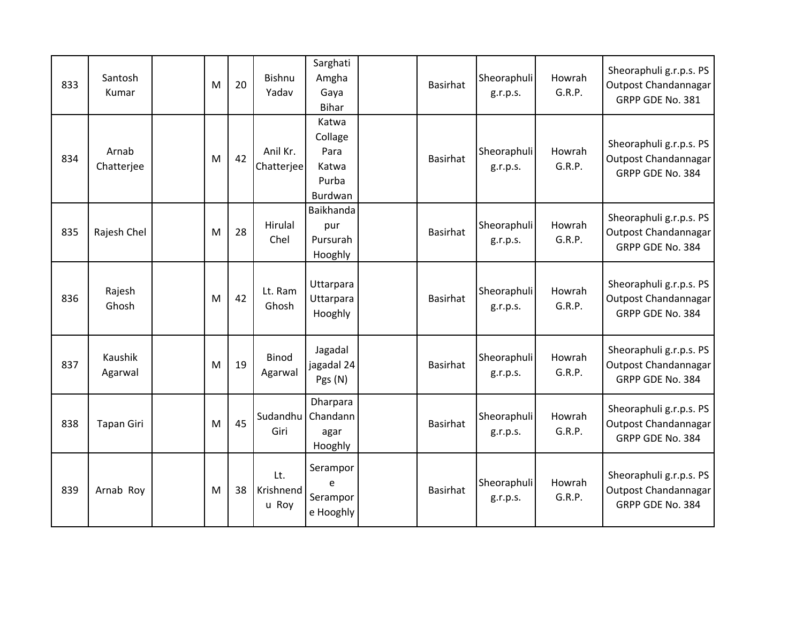| 833 | Santosh<br>Kumar    | M | 20 | Bishnu<br>Yadav           | Sarghati<br>Amgha<br>Gaya<br><b>Bihar</b>             | Basirhat        | Sheoraphuli<br>g.r.p.s. | Howrah<br>G.R.P. | Sheoraphuli g.r.p.s. PS<br>Outpost Chandannagar<br>GRPP GDE No. 381 |
|-----|---------------------|---|----|---------------------------|-------------------------------------------------------|-----------------|-------------------------|------------------|---------------------------------------------------------------------|
| 834 | Arnab<br>Chatterjee | M | 42 | Anil Kr.<br>Chatterjee    | Katwa<br>Collage<br>Para<br>Katwa<br>Purba<br>Burdwan | <b>Basirhat</b> | Sheoraphuli<br>g.r.p.s. | Howrah<br>G.R.P. | Sheoraphuli g.r.p.s. PS<br>Outpost Chandannagar<br>GRPP GDE No. 384 |
| 835 | Rajesh Chel         | M | 28 | Hirulal<br>Chel           | Baikhanda<br>pur<br>Pursurah<br>Hooghly               | <b>Basirhat</b> | Sheoraphuli<br>g.r.p.s. | Howrah<br>G.R.P. | Sheoraphuli g.r.p.s. PS<br>Outpost Chandannagar<br>GRPP GDE No. 384 |
| 836 | Rajesh<br>Ghosh     | M | 42 | Lt. Ram<br>Ghosh          | Uttarpara<br>Uttarpara<br>Hooghly                     | <b>Basirhat</b> | Sheoraphuli<br>g.r.p.s. | Howrah<br>G.R.P. | Sheoraphuli g.r.p.s. PS<br>Outpost Chandannagar<br>GRPP GDE No. 384 |
| 837 | Kaushik<br>Agarwal  | M | 19 | <b>Binod</b><br>Agarwal   | Jagadal<br>jagadal 24<br>Pgs (N)                      | <b>Basirhat</b> | Sheoraphuli<br>g.r.p.s. | Howrah<br>G.R.P. | Sheoraphuli g.r.p.s. PS<br>Outpost Chandannagar<br>GRPP GDE No. 384 |
| 838 | <b>Tapan Giri</b>   | M | 45 | Sudandhu<br>Giri          | Dharpara<br>Chandann<br>agar<br>Hooghly               | <b>Basirhat</b> | Sheoraphuli<br>g.r.p.s. | Howrah<br>G.R.P. | Sheoraphuli g.r.p.s. PS<br>Outpost Chandannagar<br>GRPP GDE No. 384 |
| 839 | Arnab Roy           | M | 38 | Lt.<br>Krishnend<br>u Roy | Serampor<br>e<br>Serampor<br>e Hooghly                | <b>Basirhat</b> | Sheoraphuli<br>g.r.p.s. | Howrah<br>G.R.P. | Sheoraphuli g.r.p.s. PS<br>Outpost Chandannagar<br>GRPP GDE No. 384 |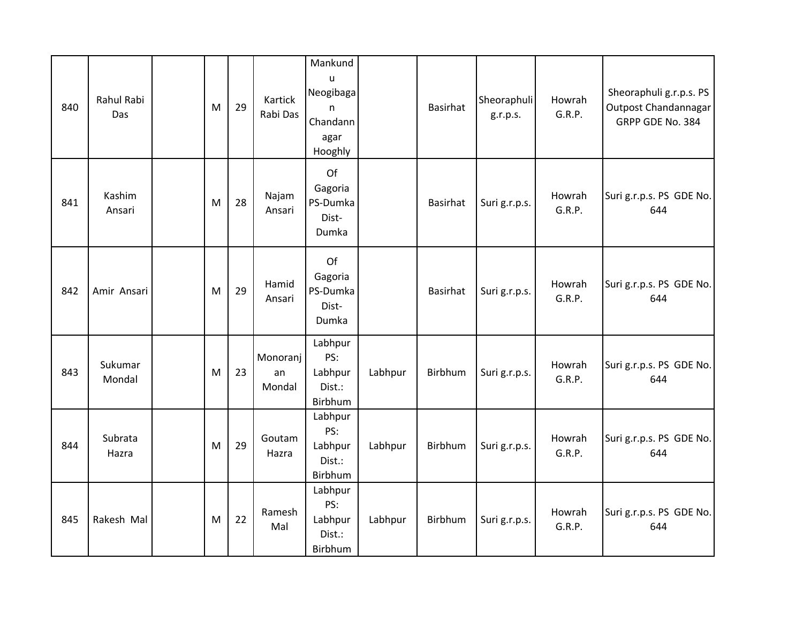| 840 | <b>Rahul Rabi</b><br>Das | M | 29 | Kartick<br>Rabi Das      | Mankund<br>$\mathbf{u}$<br>Neogibaga<br>$\mathsf{n}$<br>Chandann<br>agar<br>Hooghly |         | <b>Basirhat</b> | Sheoraphuli<br>g.r.p.s. | Howrah<br>G.R.P. | Sheoraphuli g.r.p.s. PS<br>Outpost Chandannagar<br>GRPP GDE No. 384 |
|-----|--------------------------|---|----|--------------------------|-------------------------------------------------------------------------------------|---------|-----------------|-------------------------|------------------|---------------------------------------------------------------------|
| 841 | Kashim<br>Ansari         | M | 28 | Najam<br>Ansari          | Of<br>Gagoria<br>PS-Dumka<br>Dist-<br>Dumka                                         |         | <b>Basirhat</b> | Suri g.r.p.s.           | Howrah<br>G.R.P. | Suri g.r.p.s. PS GDE No.<br>644                                     |
| 842 | Amir Ansari              | M | 29 | Hamid<br>Ansari          | Of<br>Gagoria<br>PS-Dumka<br>Dist-<br>Dumka                                         |         | <b>Basirhat</b> | Suri g.r.p.s.           | Howrah<br>G.R.P. | Suri g.r.p.s. PS GDE No.<br>644                                     |
| 843 | Sukumar<br>Mondal        | M | 23 | Monoranj<br>an<br>Mondal | Labhpur<br>PS:<br>Labhpur<br>Dist.:<br>Birbhum                                      | Labhpur | Birbhum         | Suri g.r.p.s.           | Howrah<br>G.R.P. | Suri g.r.p.s. PS GDE No.<br>644                                     |
| 844 | Subrata<br>Hazra         | M | 29 | Goutam<br>Hazra          | Labhpur<br>PS:<br>Labhpur<br>Dist.:<br>Birbhum                                      | Labhpur | Birbhum         | Suri g.r.p.s.           | Howrah<br>G.R.P. | Suri g.r.p.s. PS GDE No.<br>644                                     |
| 845 | Rakesh Mal               | M | 22 | Ramesh<br>Mal            | Labhpur<br>PS:<br>Labhpur<br>Dist.:<br>Birbhum                                      | Labhpur | Birbhum         | Suri g.r.p.s.           | Howrah<br>G.R.P. | Suri g.r.p.s. PS GDE No.<br>644                                     |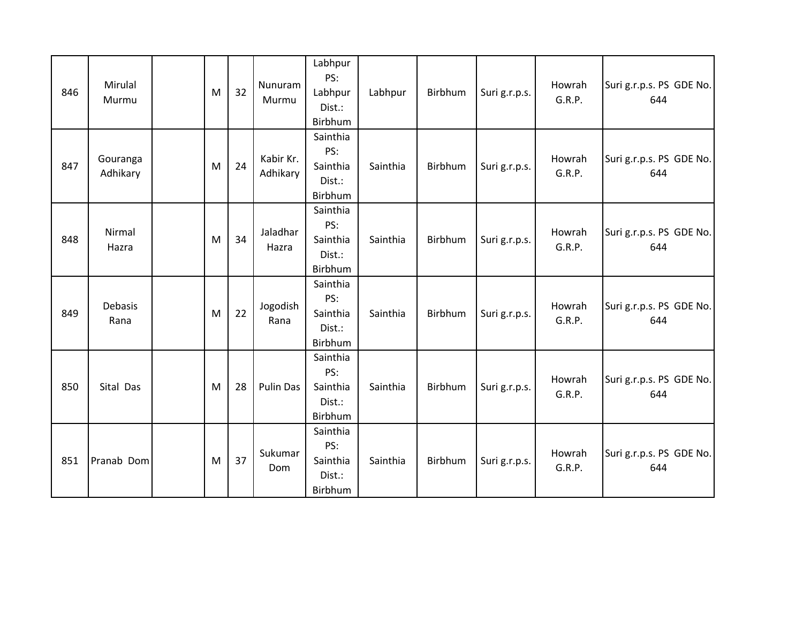| 846 | Mirulal<br>Murmu     | M | 32 | Nunuram<br>Murmu      | Labhpur<br>PS:<br>Labhpur<br>Dist.:<br>Birbhum   | Labhpur  | Birbhum | Suri g.r.p.s. | Howrah<br>G.R.P. | Suri g.r.p.s. PS GDE No.<br>644 |
|-----|----------------------|---|----|-----------------------|--------------------------------------------------|----------|---------|---------------|------------------|---------------------------------|
| 847 | Gouranga<br>Adhikary | M | 24 | Kabir Kr.<br>Adhikary | Sainthia<br>PS:<br>Sainthia<br>Dist.:<br>Birbhum | Sainthia | Birbhum | Suri g.r.p.s. | Howrah<br>G.R.P. | Suri g.r.p.s. PS GDE No.<br>644 |
| 848 | Nirmal<br>Hazra      | M | 34 | Jaladhar<br>Hazra     | Sainthia<br>PS:<br>Sainthia<br>Dist.:<br>Birbhum | Sainthia | Birbhum | Suri g.r.p.s. | Howrah<br>G.R.P. | Suri g.r.p.s. PS GDE No.<br>644 |
| 849 | Debasis<br>Rana      | M | 22 | Jogodish<br>Rana      | Sainthia<br>PS:<br>Sainthia<br>Dist.:<br>Birbhum | Sainthia | Birbhum | Suri g.r.p.s. | Howrah<br>G.R.P. | Suri g.r.p.s. PS GDE No.<br>644 |
| 850 | Sital Das            | M | 28 | <b>Pulin Das</b>      | Sainthia<br>PS:<br>Sainthia<br>Dist.:<br>Birbhum | Sainthia | Birbhum | Suri g.r.p.s. | Howrah<br>G.R.P. | Suri g.r.p.s. PS GDE No.<br>644 |
| 851 | Pranab Dom           | M | 37 | Sukumar<br>Dom        | Sainthia<br>PS:<br>Sainthia<br>Dist.:<br>Birbhum | Sainthia | Birbhum | Suri g.r.p.s. | Howrah<br>G.R.P. | Suri g.r.p.s. PS GDE No.<br>644 |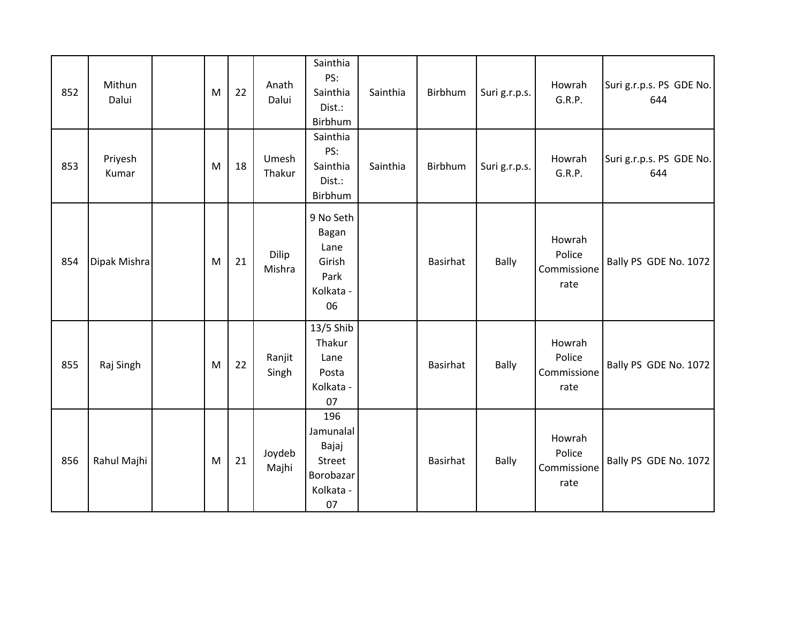| 852 | Mithun<br>Dalui  | M | 22 | Anath<br>Dalui  | Sainthia<br>PS:<br>Sainthia<br>Dist.:<br>Birbhum                    | Sainthia | Birbhum         | Suri g.r.p.s. | Howrah<br>G.R.P.                        | Suri g.r.p.s. PS GDE No.<br>644 |
|-----|------------------|---|----|-----------------|---------------------------------------------------------------------|----------|-----------------|---------------|-----------------------------------------|---------------------------------|
| 853 | Priyesh<br>Kumar | M | 18 | Umesh<br>Thakur | Sainthia<br>PS:<br>Sainthia<br>Dist.:<br>Birbhum                    | Sainthia | Birbhum         | Suri g.r.p.s. | Howrah<br>G.R.P.                        | Suri g.r.p.s. PS GDE No.<br>644 |
| 854 | Dipak Mishra     | M | 21 | Dilip<br>Mishra | 9 No Seth<br>Bagan<br>Lane<br>Girish<br>Park<br>Kolkata -<br>06     |          | <b>Basirhat</b> | Bally         | Howrah<br>Police<br>Commissione<br>rate | Bally PS GDE No. 1072           |
| 855 | Raj Singh        | M | 22 | Ranjit<br>Singh | 13/5 Shib<br>Thakur<br>Lane<br>Posta<br>Kolkata -<br>07             |          | Basirhat        | Bally         | Howrah<br>Police<br>Commissione<br>rate | Bally PS GDE No. 1072           |
| 856 | Rahul Majhi      | M | 21 | Joydeb<br>Majhi | 196<br>Jamunalal<br>Bajaj<br>Street<br>Borobazar<br>Kolkata -<br>07 |          | Basirhat        | Bally         | Howrah<br>Police<br>Commissione<br>rate | Bally PS GDE No. 1072           |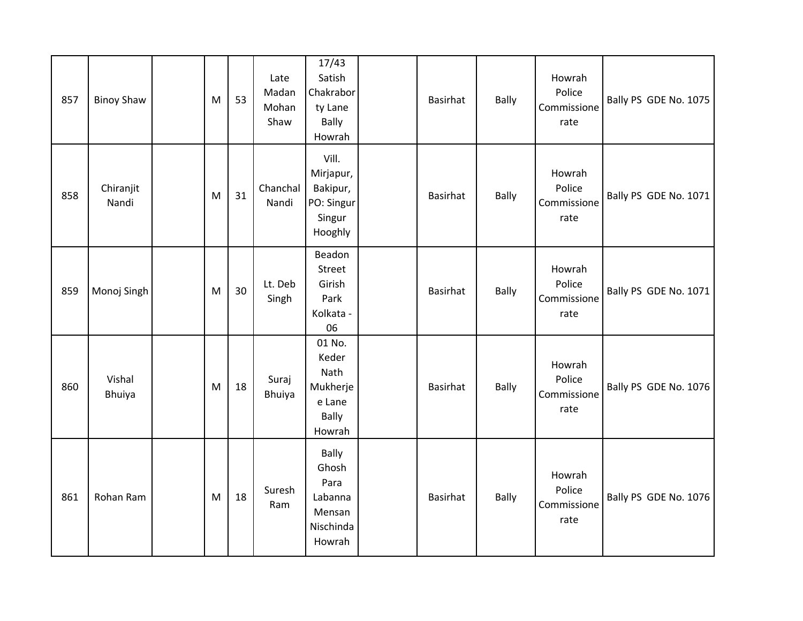| 857 | <b>Binoy Shaw</b>       | M | 53 | Late<br>Madan<br>Mohan<br>Shaw | 17/43<br>Satish<br>Chakrabor<br>ty Lane<br>Bally<br>Howrah                | Basirhat        | Bally        | Howrah<br>Police<br>Commissione<br>rate | Bally PS GDE No. 1075 |
|-----|-------------------------|---|----|--------------------------------|---------------------------------------------------------------------------|-----------------|--------------|-----------------------------------------|-----------------------|
| 858 | Chiranjit<br>Nandi      | M | 31 | Chanchal<br>Nandi              | Vill.<br>Mirjapur,<br>Bakipur,<br>PO: Singur<br>Singur<br>Hooghly         | <b>Basirhat</b> | <b>Bally</b> | Howrah<br>Police<br>Commissione<br>rate | Bally PS GDE No. 1071 |
| 859 | Monoj Singh             | M | 30 | Lt. Deb<br>Singh               | Beadon<br>Street<br>Girish<br>Park<br>Kolkata -<br>06                     | Basirhat        | <b>Bally</b> | Howrah<br>Police<br>Commissione<br>rate | Bally PS GDE No. 1071 |
| 860 | Vishal<br><b>Bhuiya</b> | M | 18 | Suraj<br>Bhuiya                | 01 No.<br>Keder<br>Nath<br>Mukherje<br>e Lane<br>Bally<br>Howrah          | <b>Basirhat</b> | Bally        | Howrah<br>Police<br>Commissione<br>rate | Bally PS GDE No. 1076 |
| 861 | Rohan Ram               | M | 18 | Suresh<br>Ram                  | <b>Bally</b><br>Ghosh<br>Para<br>Labanna<br>Mensan<br>Nischinda<br>Howrah | <b>Basirhat</b> | Bally        | Howrah<br>Police<br>Commissione<br>rate | Bally PS GDE No. 1076 |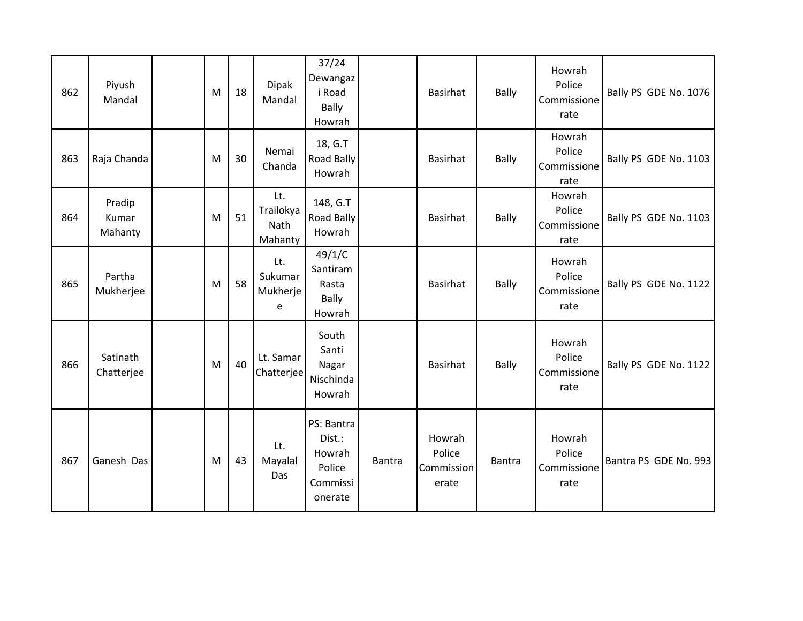| 862 | Piyush<br>Mandal           | M | 18 | <b>Dipak</b><br>Mandal              | 37/24<br>Dewangaz<br>i Road<br>Bally<br>Howrah                  |               | <b>Basirhat</b>                         | Bally  | Howrah<br>Police<br>Commissione<br>rate | Bally PS GDE No. 1076 |
|-----|----------------------------|---|----|-------------------------------------|-----------------------------------------------------------------|---------------|-----------------------------------------|--------|-----------------------------------------|-----------------------|
| 863 | Raja Chanda                | M | 30 | Nemai<br>Chanda                     | 18, G.T<br>Road Bally<br>Howrah                                 |               | <b>Basirhat</b>                         | Bally  | Howrah<br>Police<br>Commissione<br>rate | Bally PS GDE No. 1103 |
| 864 | Pradip<br>Kumar<br>Mahanty | M | 51 | Lt.<br>Trailokya<br>Nath<br>Mahanty | 148, G.T<br><b>Road Bally</b><br>Howrah                         |               | Basirhat                                | Bally  | Howrah<br>Police<br>Commissione<br>rate | Bally PS GDE No. 1103 |
| 865 | Partha<br>Mukherjee        | M | 58 | Lt.<br>Sukumar<br>Mukherje<br>e     | 49/1/C<br>Santiram<br>Rasta<br><b>Bally</b><br>Howrah           |               | <b>Basirhat</b>                         | Bally  | Howrah<br>Police<br>Commissione<br>rate | Bally PS GDE No. 1122 |
| 866 | Satinath<br>Chatterjee     | M | 40 | Lt. Samar<br>Chatterjee             | South<br>Santi<br>Nagar<br>Nischinda<br>Howrah                  |               | Basirhat                                | Bally  | Howrah<br>Police<br>Commissione<br>rate | Bally PS GDE No. 1122 |
| 867 | Ganesh Das                 | M | 43 | Lt.<br>Mayalal<br>Das               | PS: Bantra<br>Dist.:<br>Howrah<br>Police<br>Commissi<br>onerate | <b>Bantra</b> | Howrah<br>Police<br>Commission<br>erate | Bantra | Howrah<br>Police<br>Commissione<br>rate | Bantra PS GDE No. 993 |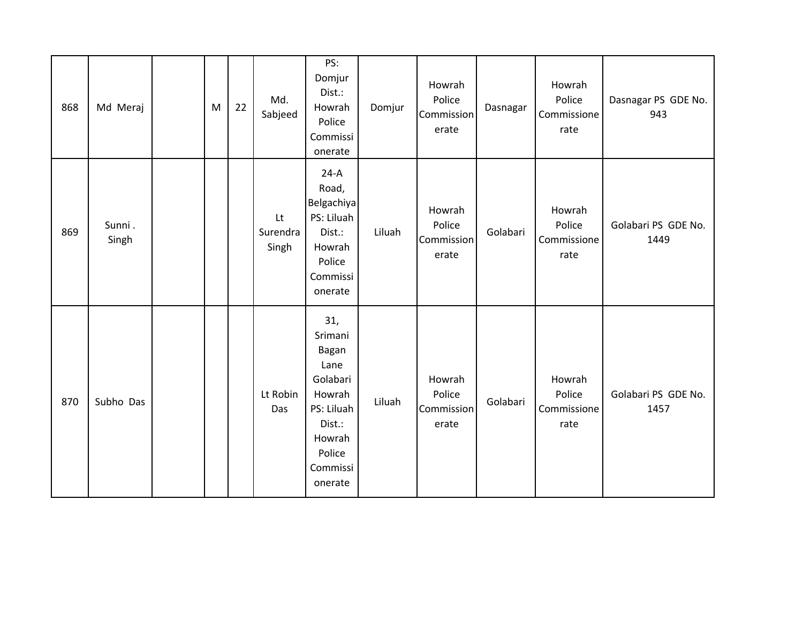| 868 | Md Meraj        | M | 22 | Md.<br>Sabjeed          | PS:<br>Domjur<br>Dist.:<br>Howrah<br>Police<br>Commissi<br>onerate                                                       | Domjur | Howrah<br>Police<br>Commission<br>erate | Dasnagar | Howrah<br>Police<br>Commissione<br>rate | Dasnagar PS GDE No.<br>943  |
|-----|-----------------|---|----|-------------------------|--------------------------------------------------------------------------------------------------------------------------|--------|-----------------------------------------|----------|-----------------------------------------|-----------------------------|
| 869 | Sunni.<br>Singh |   |    | Lt<br>Surendra<br>Singh | $24-A$<br>Road,<br>Belgachiya<br>PS: Liluah<br>Dist.:<br>Howrah<br>Police<br>Commissi<br>onerate                         | Liluah | Howrah<br>Police<br>Commission<br>erate | Golabari | Howrah<br>Police<br>Commissione<br>rate | Golabari PS GDE No.<br>1449 |
| 870 | Subho Das       |   |    | Lt Robin<br>Das         | 31,<br>Srimani<br>Bagan<br>Lane<br>Golabari<br>Howrah<br>PS: Liluah<br>Dist.:<br>Howrah<br>Police<br>Commissi<br>onerate | Liluah | Howrah<br>Police<br>Commission<br>erate | Golabari | Howrah<br>Police<br>Commissione<br>rate | Golabari PS GDE No.<br>1457 |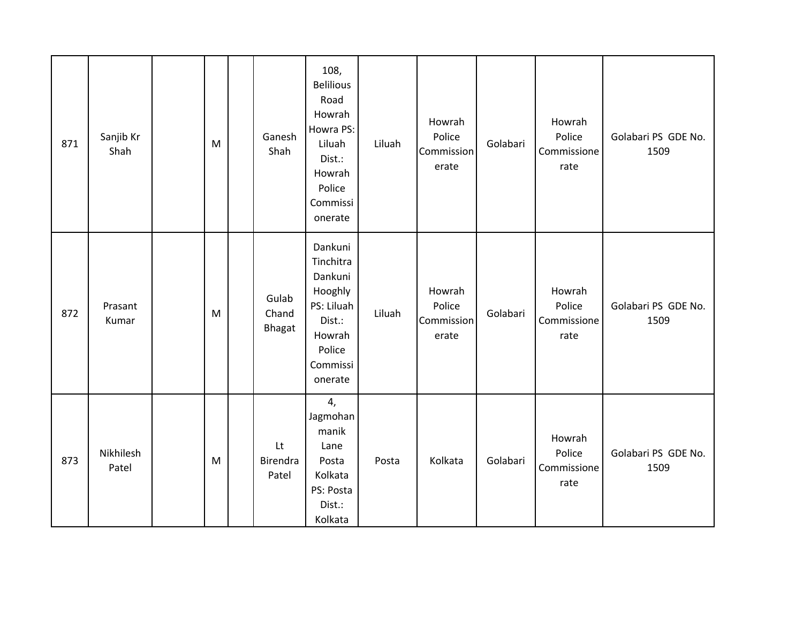| 871 | Sanjib Kr<br>Shah  | M | Ganesh<br>Shah           | 108,<br><b>Belilious</b><br>Road<br>Howrah<br>Howra PS:<br>Liluah<br>Dist.:<br>Howrah<br>Police<br>Commissi<br>onerate | Liluah | Howrah<br>Police<br>Commission<br>erate | Golabari | Howrah<br>Police<br>Commissione<br>rate | Golabari PS GDE No.<br>1509 |
|-----|--------------------|---|--------------------------|------------------------------------------------------------------------------------------------------------------------|--------|-----------------------------------------|----------|-----------------------------------------|-----------------------------|
| 872 | Prasant<br>Kumar   | M | Gulab<br>Chand<br>Bhagat | Dankuni<br>Tinchitra<br>Dankuni<br>Hooghly<br>PS: Liluah<br>Dist.:<br>Howrah<br>Police<br>Commissi<br>onerate          | Liluah | Howrah<br>Police<br>Commission<br>erate | Golabari | Howrah<br>Police<br>Commissione<br>rate | Golabari PS GDE No.<br>1509 |
| 873 | Nikhilesh<br>Patel | M | Lt<br>Birendra<br>Patel  | 4,<br>Jagmohan<br>manik<br>Lane<br>Posta<br>Kolkata<br>PS: Posta<br>Dist.:<br>Kolkata                                  | Posta  | Kolkata                                 | Golabari | Howrah<br>Police<br>Commissione<br>rate | Golabari PS GDE No.<br>1509 |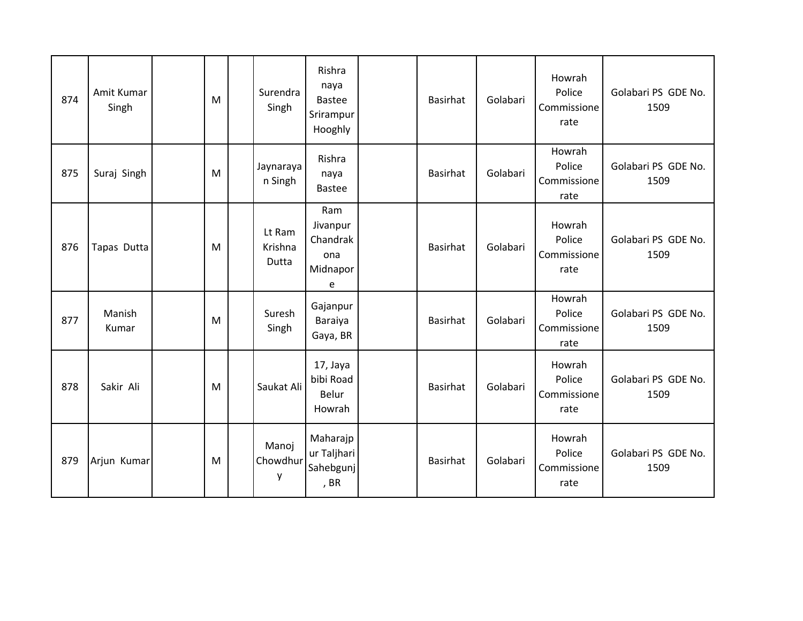| 874 | Amit Kumar<br>Singh | M | Surendra<br>Singh          | Rishra<br>naya<br><b>Bastee</b><br>Srirampur<br>Hooghly | Basirhat        | Golabari | Howrah<br>Police<br>Commissione<br>rate | Golabari PS GDE No.<br>1509 |
|-----|---------------------|---|----------------------------|---------------------------------------------------------|-----------------|----------|-----------------------------------------|-----------------------------|
| 875 | Suraj Singh         | M | Jaynaraya<br>n Singh       | Rishra<br>naya<br><b>Bastee</b>                         | <b>Basirhat</b> | Golabari | Howrah<br>Police<br>Commissione<br>rate | Golabari PS GDE No.<br>1509 |
| 876 | Tapas Dutta         | M | Lt Ram<br>Krishna<br>Dutta | Ram<br>Jivanpur<br>Chandrak<br>ona<br>Midnapor<br>e     | Basirhat        | Golabari | Howrah<br>Police<br>Commissione<br>rate | Golabari PS GDE No.<br>1509 |
| 877 | Manish<br>Kumar     | M | Suresh<br>Singh            | Gajanpur<br>Baraiya<br>Gaya, BR                         | Basirhat        | Golabari | Howrah<br>Police<br>Commissione<br>rate | Golabari PS GDE No.<br>1509 |
| 878 | Sakir Ali           | M | Saukat Ali                 | 17, Jaya<br>bibi Road<br>Belur<br>Howrah                | <b>Basirhat</b> | Golabari | Howrah<br>Police<br>Commissione<br>rate | Golabari PS GDE No.<br>1509 |
| 879 | Arjun Kumar         | M | Manoj<br>Chowdhur<br>у     | Maharajp<br>ur Taljhari<br>Sahebgunj<br>, BR            | Basirhat        | Golabari | Howrah<br>Police<br>Commissione<br>rate | Golabari PS GDE No.<br>1509 |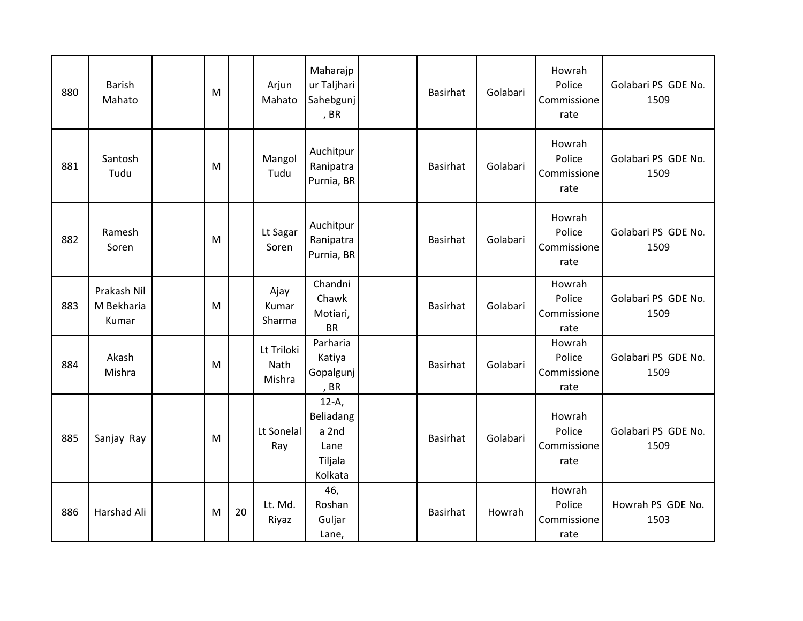| 880 | Barish<br>Mahato                   | M |    | Arjun<br>Mahato              | Maharajp<br>ur Taljhari<br>Sahebgunj<br>, BR                | Basirhat        | Golabari | Howrah<br>Police<br>Commissione<br>rate | Golabari PS GDE No.<br>1509 |
|-----|------------------------------------|---|----|------------------------------|-------------------------------------------------------------|-----------------|----------|-----------------------------------------|-----------------------------|
| 881 | Santosh<br>Tudu                    | M |    | Mangol<br>Tudu               | Auchitpur<br>Ranipatra<br>Purnia, BR                        | Basirhat        | Golabari | Howrah<br>Police<br>Commissione<br>rate | Golabari PS GDE No.<br>1509 |
| 882 | Ramesh<br>Soren                    | M |    | Lt Sagar<br>Soren            | Auchitpur<br>Ranipatra<br>Purnia, BR                        | Basirhat        | Golabari | Howrah<br>Police<br>Commissione<br>rate | Golabari PS GDE No.<br>1509 |
| 883 | Prakash Nil<br>M Bekharia<br>Kumar | M |    | Ajay<br>Kumar<br>Sharma      | Chandni<br>Chawk<br>Motiari,<br><b>BR</b>                   | <b>Basirhat</b> | Golabari | Howrah<br>Police<br>Commissione<br>rate | Golabari PS GDE No.<br>1509 |
| 884 | Akash<br>Mishra                    | M |    | Lt Triloki<br>Nath<br>Mishra | Parharia<br>Katiya<br>Gopalgunj<br>, BR                     | Basirhat        | Golabari | Howrah<br>Police<br>Commissione<br>rate | Golabari PS GDE No.<br>1509 |
| 885 | Sanjay Ray                         | M |    | Lt Sonelal<br>Ray            | $12-A,$<br>Beliadang<br>a 2nd<br>Lane<br>Tiljala<br>Kolkata | Basirhat        | Golabari | Howrah<br>Police<br>Commissione<br>rate | Golabari PS GDE No.<br>1509 |
| 886 | Harshad Ali                        | M | 20 | Lt. Md.<br>Riyaz             | 46,<br>Roshan<br>Guljar<br>Lane,                            | Basirhat        | Howrah   | Howrah<br>Police<br>Commissione<br>rate | Howrah PS GDE No.<br>1503   |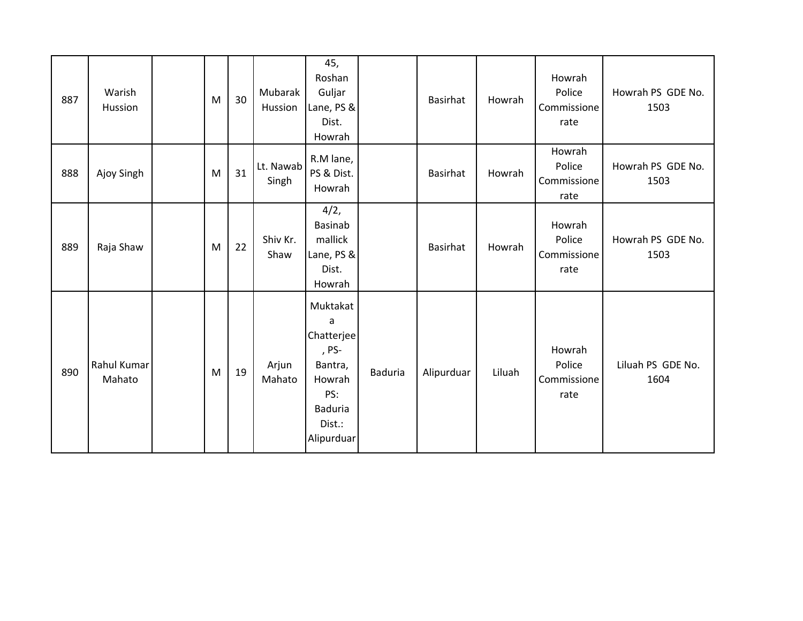| 887 | Warish<br>Hussion     | M | 30 | Mubarak<br>Hussion | 45,<br>Roshan<br>Guljar<br>Lane, PS &<br>Dist.<br>Howrah                                                   |         | <b>Basirhat</b> | Howrah | Howrah<br>Police<br>Commissione<br>rate | Howrah PS GDE No.<br>1503 |
|-----|-----------------------|---|----|--------------------|------------------------------------------------------------------------------------------------------------|---------|-----------------|--------|-----------------------------------------|---------------------------|
| 888 | Ajoy Singh            | M | 31 | Lt. Nawab<br>Singh | R.M lane,<br>PS & Dist.<br>Howrah                                                                          |         | Basirhat        | Howrah | Howrah<br>Police<br>Commissione<br>rate | Howrah PS GDE No.<br>1503 |
| 889 | Raja Shaw             | M | 22 | Shiv Kr.<br>Shaw   | 4/2,<br>Basinab<br>mallick<br>Lane, PS &<br>Dist.<br>Howrah                                                |         | <b>Basirhat</b> | Howrah | Howrah<br>Police<br>Commissione<br>rate | Howrah PS GDE No.<br>1503 |
| 890 | Rahul Kumar<br>Mahato | M | 19 | Arjun<br>Mahato    | Muktakat<br>a<br>Chatterjee<br>, PS-<br>Bantra,<br>Howrah<br>PS:<br><b>Baduria</b><br>Dist.:<br>Alipurduar | Baduria | Alipurduar      | Liluah | Howrah<br>Police<br>Commissione<br>rate | Liluah PS GDE No.<br>1604 |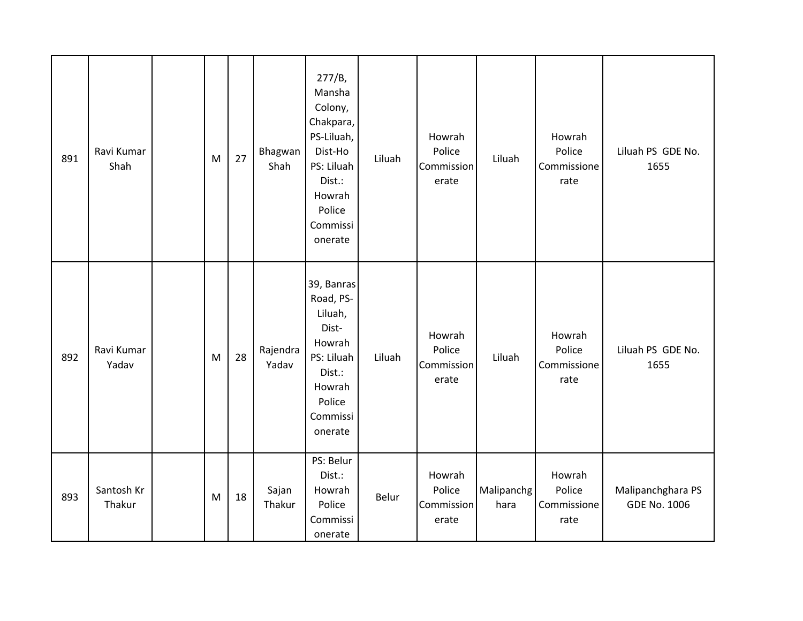| 891 | Ravi Kumar<br>Shah   | M | 27 | Bhagwan<br>Shah   | 277/B,<br>Mansha<br>Colony,<br>Chakpara,<br>PS-Liluah,<br>Dist-Ho<br>PS: Liluah<br>Dist.:<br>Howrah<br>Police<br>Commissi<br>onerate | Liluah | Howrah<br>Police<br>Commission<br>erate | Liluah             | Howrah<br>Police<br>Commissione<br>rate | Liluah PS GDE No.<br>1655                |
|-----|----------------------|---|----|-------------------|--------------------------------------------------------------------------------------------------------------------------------------|--------|-----------------------------------------|--------------------|-----------------------------------------|------------------------------------------|
| 892 | Ravi Kumar<br>Yadav  | M | 28 | Rajendra<br>Yadav | 39, Banras<br>Road, PS-<br>Liluah,<br>Dist-<br>Howrah<br>PS: Liluah<br>Dist.:<br>Howrah<br>Police<br>Commissi<br>onerate             | Liluah | Howrah<br>Police<br>Commission<br>erate | Liluah             | Howrah<br>Police<br>Commissione<br>rate | Liluah PS GDE No.<br>1655                |
| 893 | Santosh Kr<br>Thakur | M | 18 | Sajan<br>Thakur   | PS: Belur<br>Dist.:<br>Howrah<br>Police<br>Commissi<br>onerate                                                                       | Belur  | Howrah<br>Police<br>Commission<br>erate | Malipanchg<br>hara | Howrah<br>Police<br>Commissione<br>rate | Malipanchghara PS<br><b>GDE No. 1006</b> |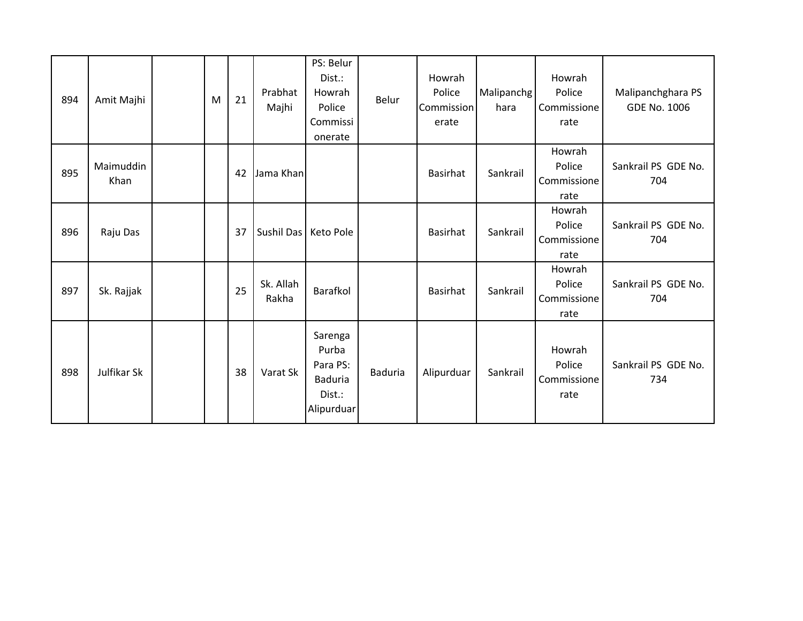| 894 | Amit Majhi        | M | 21 | Prabhat<br>Majhi       | PS: Belur<br>Dist.:<br>Howrah<br>Police<br>Commissi<br>onerate         | Belur          | Howrah<br>Police<br>Commission<br>erate | Malipanchg<br>hara | Howrah<br>Police<br>Commissione<br>rate | Malipanchghara PS<br><b>GDE No. 1006</b> |
|-----|-------------------|---|----|------------------------|------------------------------------------------------------------------|----------------|-----------------------------------------|--------------------|-----------------------------------------|------------------------------------------|
| 895 | Maimuddin<br>Khan |   | 42 | Jama Khan              |                                                                        |                | <b>Basirhat</b>                         | Sankrail           | Howrah<br>Police<br>Commissione<br>rate | Sankrail PS GDE No.<br>704               |
| 896 | Raju Das          |   | 37 | Sushil Das   Keto Pole |                                                                        |                | Basirhat                                | Sankrail           | Howrah<br>Police<br>Commissione<br>rate | Sankrail PS GDE No.<br>704               |
| 897 | Sk. Rajjak        |   | 25 | Sk. Allah<br>Rakha     | Barafkol                                                               |                | Basirhat                                | Sankrail           | Howrah<br>Police<br>Commissione<br>rate | Sankrail PS GDE No.<br>704               |
| 898 | Julfikar Sk       |   | 38 | Varat Sk               | Sarenga<br>Purba<br>Para PS:<br><b>Baduria</b><br>Dist.:<br>Alipurduar | <b>Baduria</b> | Alipurduar                              | Sankrail           | Howrah<br>Police<br>Commissione<br>rate | Sankrail PS GDE No.<br>734               |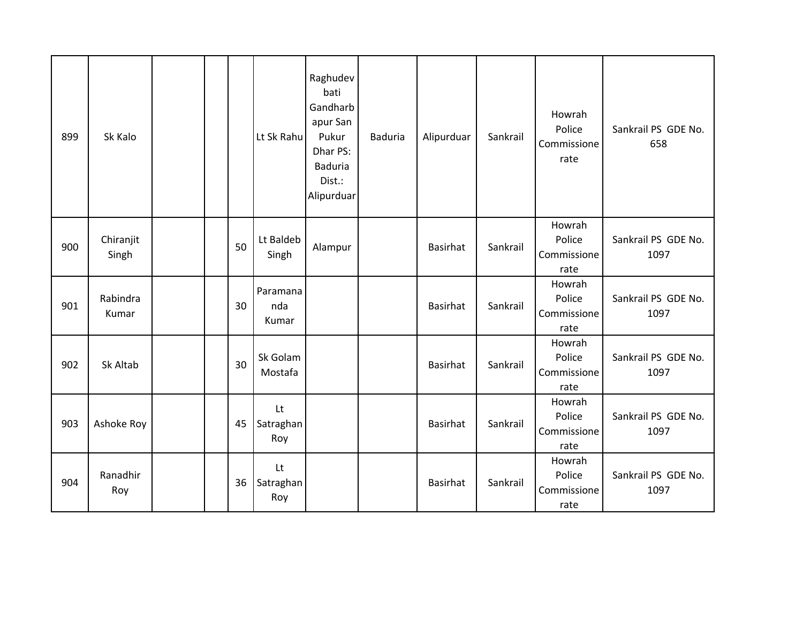| 899 | Sk Kalo            |  |    | Lt Sk Rahu               | Raghudev<br>bati<br>Gandharb<br>apur San<br>Pukur<br>Dhar PS:<br><b>Baduria</b><br>Dist.:<br>Alipurduar | <b>Baduria</b> | Alipurduar      | Sankrail | Howrah<br>Police<br>Commissione<br>rate | Sankrail PS GDE No.<br>658  |
|-----|--------------------|--|----|--------------------------|---------------------------------------------------------------------------------------------------------|----------------|-----------------|----------|-----------------------------------------|-----------------------------|
| 900 | Chiranjit<br>Singh |  | 50 | Lt Baldeb<br>Singh       | Alampur                                                                                                 |                | <b>Basirhat</b> | Sankrail | Howrah<br>Police<br>Commissione<br>rate | Sankrail PS GDE No.<br>1097 |
| 901 | Rabindra<br>Kumar  |  | 30 | Paramana<br>nda<br>Kumar |                                                                                                         |                | <b>Basirhat</b> | Sankrail | Howrah<br>Police<br>Commissione<br>rate | Sankrail PS GDE No.<br>1097 |
| 902 | Sk Altab           |  | 30 | Sk Golam<br>Mostafa      |                                                                                                         |                | <b>Basirhat</b> | Sankrail | Howrah<br>Police<br>Commissione<br>rate | Sankrail PS GDE No.<br>1097 |
| 903 | Ashoke Roy         |  | 45 | Lt<br>Satraghan<br>Roy   |                                                                                                         |                | <b>Basirhat</b> | Sankrail | Howrah<br>Police<br>Commissione<br>rate | Sankrail PS GDE No.<br>1097 |
| 904 | Ranadhir<br>Roy    |  | 36 | Lt<br>Satraghan<br>Roy   |                                                                                                         |                | Basirhat        | Sankrail | Howrah<br>Police<br>Commissione<br>rate | Sankrail PS GDE No.<br>1097 |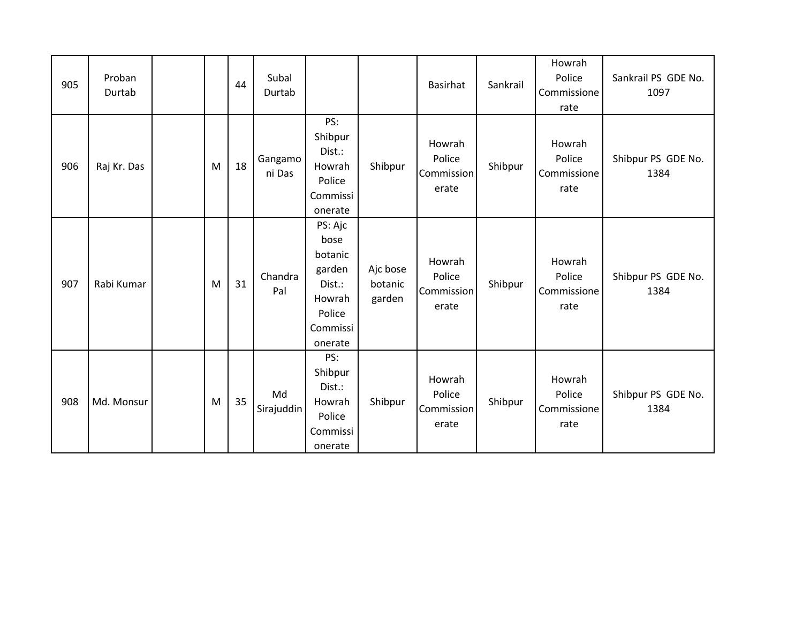| 905 | Proban<br>Durtab |   | 44 | Subal<br>Durtab   |                                                                                           |                               | Basirhat                                | Sankrail | Howrah<br>Police<br>Commissione<br>rate | Sankrail PS GDE No.<br>1097 |
|-----|------------------|---|----|-------------------|-------------------------------------------------------------------------------------------|-------------------------------|-----------------------------------------|----------|-----------------------------------------|-----------------------------|
| 906 | Raj Kr. Das      | M | 18 | Gangamo<br>ni Das | PS:<br>Shibpur<br>Dist.:<br>Howrah<br>Police<br>Commissi<br>onerate                       | Shibpur                       | Howrah<br>Police<br>Commission<br>erate | Shibpur  | Howrah<br>Police<br>Commissione<br>rate | Shibpur PS GDE No.<br>1384  |
| 907 | Rabi Kumar       | M | 31 | Chandra<br>Pal    | PS: Ajc<br>bose<br>botanic<br>garden<br>Dist.:<br>Howrah<br>Police<br>Commissi<br>onerate | Ajc bose<br>botanic<br>garden | Howrah<br>Police<br>Commission<br>erate | Shibpur  | Howrah<br>Police<br>Commissione<br>rate | Shibpur PS GDE No.<br>1384  |
| 908 | Md. Monsur       | M | 35 | Md<br>Sirajuddin  | PS:<br>Shibpur<br>Dist.:<br>Howrah<br>Police<br>Commissi<br>onerate                       | Shibpur                       | Howrah<br>Police<br>Commission<br>erate | Shibpur  | Howrah<br>Police<br>Commissione<br>rate | Shibpur PS GDE No.<br>1384  |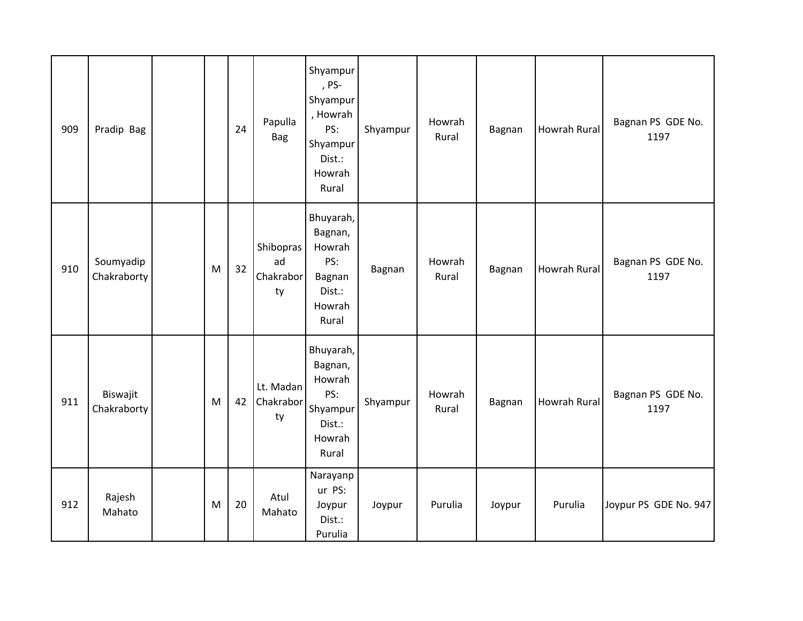| 909 | Pradip Bag               |   | 24 | Papulla<br>Bag                     | Shyampur<br>, PS-<br>Shyampur<br>, Howrah<br>PS:<br>Shyampur<br>Dist.:<br>Howrah<br>Rural | Shyampur | Howrah<br>Rural | Bagnan | <b>Howrah Rural</b> | Bagnan PS GDE No.<br>1197 |
|-----|--------------------------|---|----|------------------------------------|-------------------------------------------------------------------------------------------|----------|-----------------|--------|---------------------|---------------------------|
| 910 | Soumyadip<br>Chakraborty | M | 32 | Shibopras<br>ad<br>Chakrabor<br>ty | Bhuyarah,<br>Bagnan,<br>Howrah<br>PS:<br>Bagnan<br>Dist.:<br>Howrah<br>Rural              | Bagnan   | Howrah<br>Rural | Bagnan | <b>Howrah Rural</b> | Bagnan PS GDE No.<br>1197 |
| 911 | Biswajit<br>Chakraborty  | M | 42 | Lt. Madan<br>Chakrabor<br>ty       | Bhuyarah,<br>Bagnan,<br>Howrah<br>PS:<br>Shyampur<br>Dist.:<br>Howrah<br>Rural            | Shyampur | Howrah<br>Rural | Bagnan | Howrah Rural        | Bagnan PS GDE No.<br>1197 |
| 912 | Rajesh<br>Mahato         | M | 20 | Atul<br>Mahato                     | Narayanp<br>ur PS:<br>Joypur<br>Dist.:<br>Purulia                                         | Joypur   | Purulia         | Joypur | Purulia             | Joypur PS GDE No. 947     |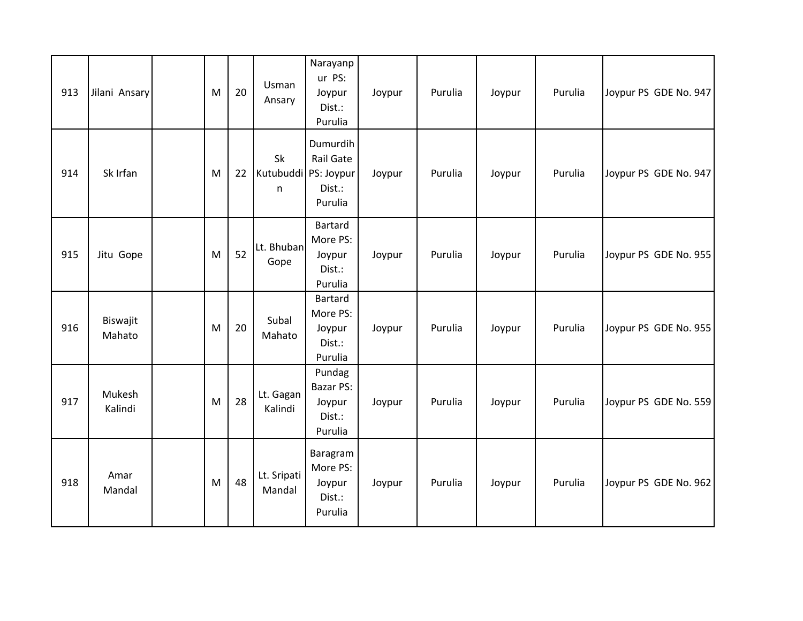| 913 | Jilani Ansary      | M | 20 | Usman<br>Ansary                   | Narayanp<br>ur PS:<br>Joypur<br>Dist.:<br>Purulia         | Joypur | Purulia | Joypur | Purulia | Joypur PS GDE No. 947 |
|-----|--------------------|---|----|-----------------------------------|-----------------------------------------------------------|--------|---------|--------|---------|-----------------------|
| 914 | Sk Irfan           | M | 22 | Sk<br>Kutubuddi   PS: Joypur<br>n | Dumurdih<br>Rail Gate<br>Dist.:<br>Purulia                | Joypur | Purulia | Joypur | Purulia | Joypur PS GDE No. 947 |
| 915 | Jitu Gope          | M | 52 | Lt. Bhuban<br>Gope                | <b>Bartard</b><br>More PS:<br>Joypur<br>Dist.:<br>Purulia | Joypur | Purulia | Joypur | Purulia | Joypur PS GDE No. 955 |
| 916 | Biswajit<br>Mahato | M | 20 | Subal<br>Mahato                   | Bartard<br>More PS:<br>Joypur<br>Dist.:<br>Purulia        | Joypur | Purulia | Joypur | Purulia | Joypur PS GDE No. 955 |
| 917 | Mukesh<br>Kalindi  | M | 28 | Lt. Gagan<br>Kalindi              | Pundag<br><b>Bazar PS:</b><br>Joypur<br>Dist.:<br>Purulia | Joypur | Purulia | Joypur | Purulia | Joypur PS GDE No. 559 |
| 918 | Amar<br>Mandal     | M | 48 | Lt. Sripati<br>Mandal             | Baragram<br>More PS:<br>Joypur<br>Dist.:<br>Purulia       | Joypur | Purulia | Joypur | Purulia | Joypur PS GDE No. 962 |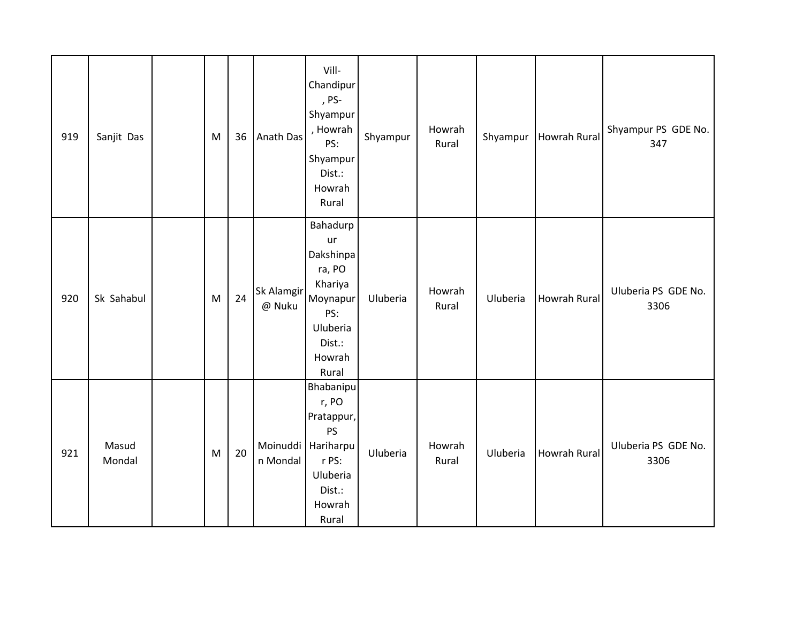| 919 | Sanjit Das      | M | 36 | Anath Das            | Vill-<br>Chandipur<br>, PS-<br>Shyampur<br>, Howrah<br>PS:<br>Shyampur<br>Dist.:<br>Howrah<br>Rural          | Shyampur | Howrah<br>Rural | Shyampur | <b>Howrah Rural</b> | Shyampur PS GDE No.<br>347  |
|-----|-----------------|---|----|----------------------|--------------------------------------------------------------------------------------------------------------|----------|-----------------|----------|---------------------|-----------------------------|
| 920 | Sk Sahabul      | M | 24 | Sk Alamgir<br>@ Nuku | Bahadurp<br>ur<br>Dakshinpa<br>ra, PO<br>Khariya<br>Moynapur<br>PS:<br>Uluberia<br>Dist.:<br>Howrah<br>Rural | Uluberia | Howrah<br>Rural | Uluberia | <b>Howrah Rural</b> | Uluberia PS GDE No.<br>3306 |
| 921 | Masud<br>Mondal | M | 20 | Moinuddi<br>n Mondal | Bhabanipu<br>r, PO<br>Pratappur,<br><b>PS</b><br>Hariharpu<br>r PS:<br>Uluberia<br>Dist.:<br>Howrah<br>Rural | Uluberia | Howrah<br>Rural | Uluberia | Howrah Rural        | Uluberia PS GDE No.<br>3306 |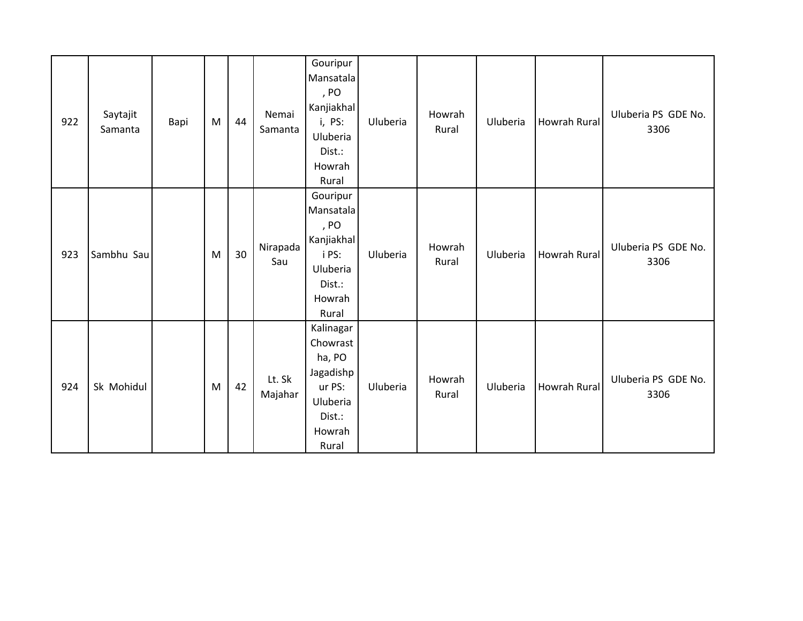| 922 | Saytajit<br>Samanta | Bapi | M | 44 | Nemai<br>Samanta  | Gouripur<br>Mansatala<br>, PO<br>Kanjiakhal<br>i, PS:<br>Uluberia<br>Dist.:<br>Howrah<br>Rural  | Uluberia | Howrah<br>Rural | Uluberia | Howrah Rural        | Uluberia PS GDE No.<br>3306 |
|-----|---------------------|------|---|----|-------------------|-------------------------------------------------------------------------------------------------|----------|-----------------|----------|---------------------|-----------------------------|
| 923 | Sambhu Sau          |      | M | 30 | Nirapada<br>Sau   | Gouripur<br>Mansatala<br>, PO<br>Kanjiakhal<br>i PS:<br>Uluberia<br>Dist.:<br>Howrah<br>Rural   | Uluberia | Howrah<br>Rural | Uluberia | Howrah Rural        | Uluberia PS GDE No.<br>3306 |
| 924 | Sk Mohidul          |      | M | 42 | Lt. Sk<br>Majahar | Kalinagar<br>Chowrast<br>ha, PO<br>Jagadishp<br>ur PS:<br>Uluberia<br>Dist.:<br>Howrah<br>Rural | Uluberia | Howrah<br>Rural | Uluberia | <b>Howrah Rural</b> | Uluberia PS GDE No.<br>3306 |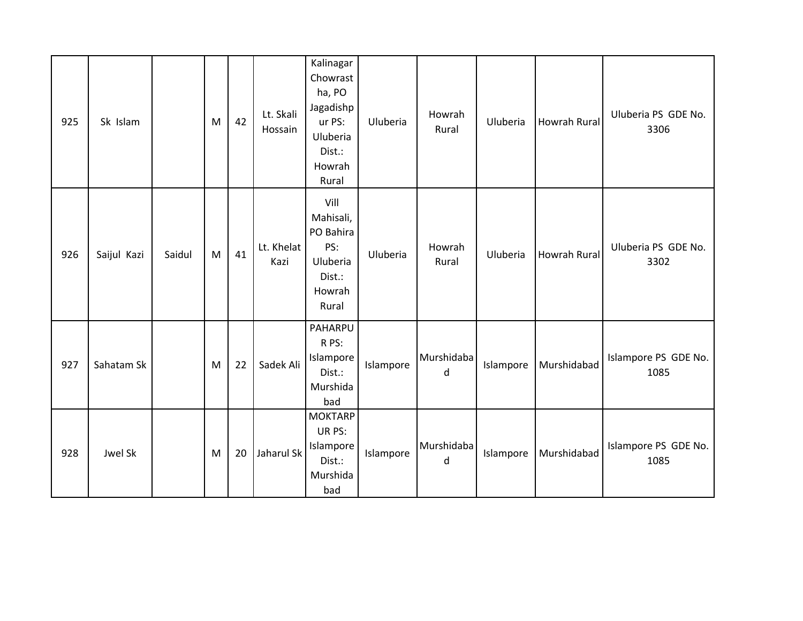| 925 | Sk Islam    |        | M | 42 | Lt. Skali<br>Hossain | Kalinagar<br>Chowrast<br>ha, PO<br>Jagadishp<br>ur PS:<br>Uluberia<br>Dist.:<br>Howrah<br>Rural | Uluberia  | Howrah<br>Rural | Uluberia  | Howrah Rural        | Uluberia PS GDE No.<br>3306  |
|-----|-------------|--------|---|----|----------------------|-------------------------------------------------------------------------------------------------|-----------|-----------------|-----------|---------------------|------------------------------|
| 926 | Saijul Kazi | Saidul | M | 41 | Lt. Khelat<br>Kazi   | Vill<br>Mahisali,<br>PO Bahira<br>PS:<br>Uluberia<br>Dist.:<br>Howrah<br>Rural                  | Uluberia  | Howrah<br>Rural | Uluberia  | <b>Howrah Rural</b> | Uluberia PS GDE No.<br>3302  |
| 927 | Sahatam Sk  |        | M | 22 | Sadek Ali            | PAHARPU<br>R PS:<br>Islampore<br>Dist.:<br>Murshida<br>bad                                      | Islampore | Murshidaba<br>d | Islampore | Murshidabad         | Islampore PS GDE No.<br>1085 |
| 928 | Jwel Sk     |        | M | 20 | Jaharul Sk           | <b>MOKTARP</b><br>UR PS:<br>Islampore<br>Dist.:<br>Murshida<br>bad                              | Islampore | Murshidaba<br>d | Islampore | Murshidabad         | Islampore PS GDE No.<br>1085 |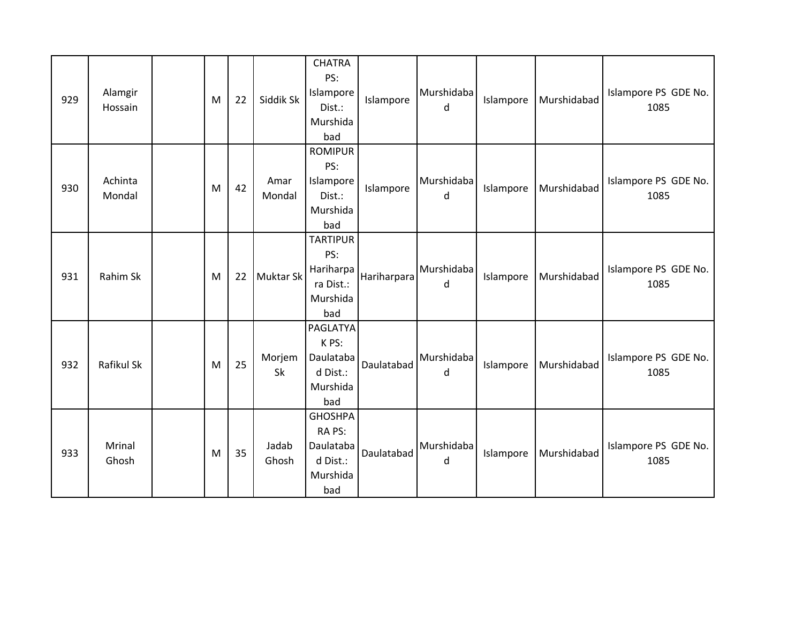| 929 | Alamgir<br>Hossain | M | 22 | Siddik Sk        | <b>CHATRA</b><br>PS:<br>Islampore<br>Dist.:<br>Murshida<br>bad       | Islampore   | Murshidaba<br>d | Islampore | Murshidabad | Islampore PS GDE No.<br>1085 |
|-----|--------------------|---|----|------------------|----------------------------------------------------------------------|-------------|-----------------|-----------|-------------|------------------------------|
| 930 | Achinta<br>Mondal  | M | 42 | Amar<br>Mondal   | <b>ROMIPUR</b><br>PS:<br>Islampore<br>Dist.:<br>Murshida<br>bad      | Islampore   | Murshidaba<br>d | Islampore | Murshidabad | Islampore PS GDE No.<br>1085 |
| 931 | Rahim Sk           | M | 22 | <b>Muktar Sk</b> | <b>TARTIPUR</b><br>PS:<br>Hariharpa<br>ra Dist.:<br>Murshida<br>bad  | Hariharpara | Murshidaba<br>d | Islampore | Murshidabad | Islampore PS GDE No.<br>1085 |
| 932 | Rafikul Sk         | M | 25 | Morjem<br>Sk     | PAGLATYA<br>K PS:<br>Daulataba<br>d Dist.:<br>Murshida<br>bad        | Daulatabad  | Murshidaba<br>d | Islampore | Murshidabad | Islampore PS GDE No.<br>1085 |
| 933 | Mrinal<br>Ghosh    | M | 35 | Jadab<br>Ghosh   | <b>GHOSHPA</b><br>RA PS:<br>Daulataba<br>d Dist.:<br>Murshida<br>bad | Daulatabad  | Murshidaba<br>d | Islampore | Murshidabad | Islampore PS GDE No.<br>1085 |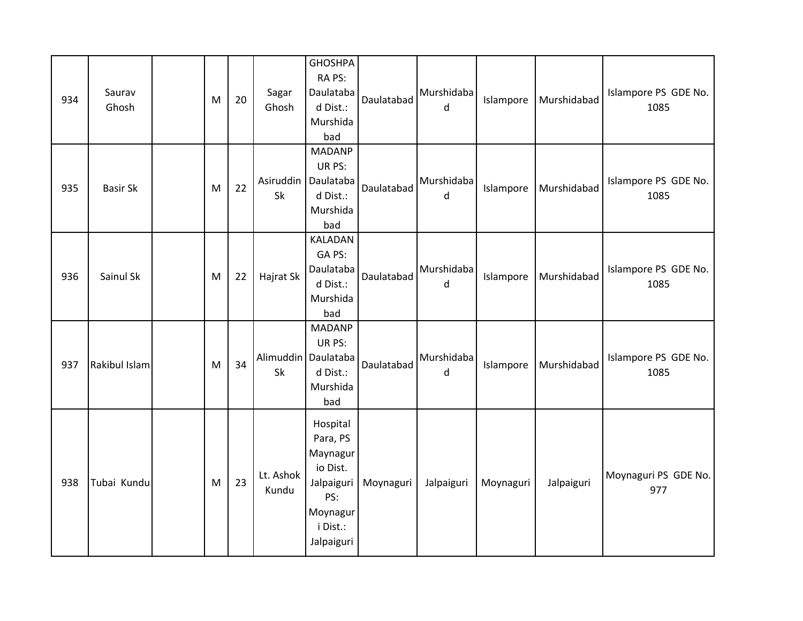| 934 | Saurav<br>Ghosh | M | 20 | Sagar<br>Ghosh     | <b>GHOSHPA</b><br>RA PS:<br>Daulataba<br>d Dist.:<br>Murshida<br>bad                                    | Daulatabad | Murshidaba<br>d | Islampore | Murshidabad | Islampore PS GDE No.<br>1085 |
|-----|-----------------|---|----|--------------------|---------------------------------------------------------------------------------------------------------|------------|-----------------|-----------|-------------|------------------------------|
| 935 | <b>Basir Sk</b> | M | 22 | Sk                 | <b>MADANP</b><br>UR PS:<br>Asiruddin   Daulataba<br>d Dist.:<br>Murshida<br>bad                         | Daulatabad | Murshidaba<br>d | Islampore | Murshidabad | Islampore PS GDE No.<br>1085 |
| 936 | Sainul Sk       | M | 22 | Hajrat Sk          | <b>KALADAN</b><br>GA PS:<br>Daulataba<br>d Dist.:<br>Murshida<br>bad                                    | Daulatabad | Murshidaba<br>d | Islampore | Murshidabad | Islampore PS GDE No.<br>1085 |
| 937 | Rakibul Islam   | M | 34 | Sk                 | <b>MADANP</b><br>UR PS:<br>Alimuddin   Daulataba<br>d Dist.:<br>Murshida<br>bad                         | Daulatabad | Murshidaba<br>d | Islampore | Murshidabad | Islampore PS GDE No.<br>1085 |
| 938 | Tubai Kundu     | M | 23 | Lt. Ashok<br>Kundu | Hospital<br>Para, PS<br>Maynagur<br>io Dist.<br>Jalpaiguri<br>PS:<br>Moynagur<br>i Dist.:<br>Jalpaiguri | Moynaguri  | Jalpaiguri      | Moynaguri | Jalpaiguri  | Moynaguri PS GDE No.<br>977  |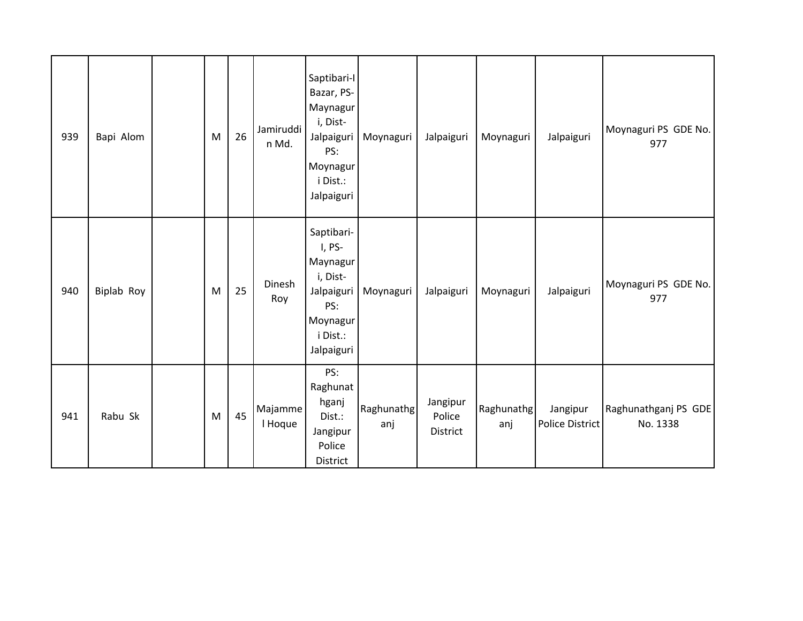| 939 | Bapi Alom  | M | 26 | Jamiruddi<br>n Md. | Saptibari-I<br>Bazar, PS-<br>Maynagur<br>i, Dist-<br>Jalpaiguri<br>PS:<br>Moynagur<br>i Dist.:<br>Jalpaiguri | Moynaguri         | Jalpaiguri                     | Moynaguri         | Jalpaiguri                  | Moynaguri PS GDE No.<br>977      |
|-----|------------|---|----|--------------------|--------------------------------------------------------------------------------------------------------------|-------------------|--------------------------------|-------------------|-----------------------------|----------------------------------|
| 940 | Biplab Roy | M | 25 | Dinesh<br>Roy      | Saptibari-<br>I, PS-<br>Maynagur<br>i, Dist-<br>Jalpaiguri<br>PS:<br>Moynagur<br>i Dist.:<br>Jalpaiguri      | Moynaguri         | Jalpaiguri                     | Moynaguri         | Jalpaiguri                  | Moynaguri PS GDE No.<br>977      |
| 941 | Rabu Sk    | M | 45 | Majamme<br>I Hoque | PS:<br>Raghunat<br>hganj<br>Dist.:<br>Jangipur<br>Police<br>District                                         | Raghunathg<br>anj | Jangipur<br>Police<br>District | Raghunathg<br>anj | Jangipur<br>Police District | Raghunathganj PS GDE<br>No. 1338 |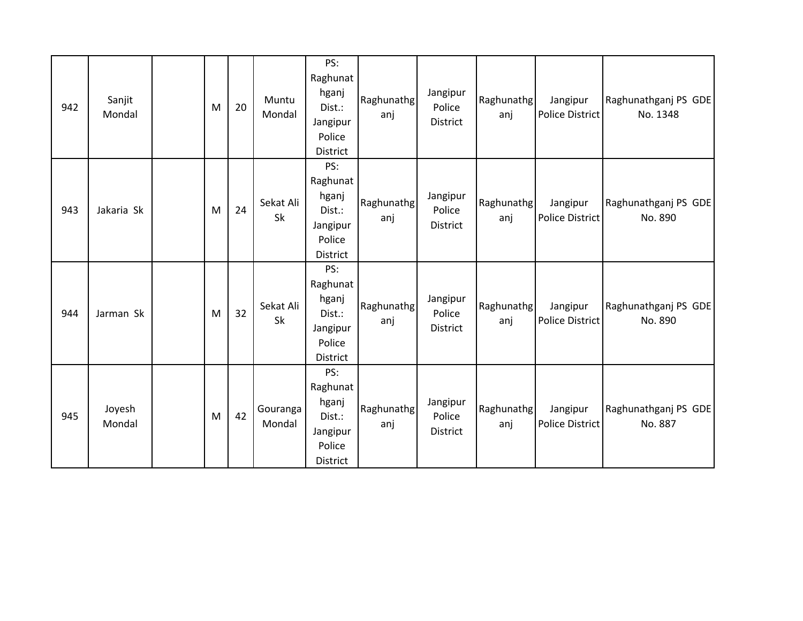| 942 | Sanjit<br>Mondal | M | 20 | Muntu<br>Mondal    | PS:<br>Raghunat<br>hganj<br>Dist.:<br>Jangipur<br>Police<br>District        | Raghunathg<br>anj | Jangipur<br>Police<br><b>District</b> | Raghunathg<br>anj | Jangipur<br>Police District        | Raghunathganj PS GDE<br>No. 1348 |
|-----|------------------|---|----|--------------------|-----------------------------------------------------------------------------|-------------------|---------------------------------------|-------------------|------------------------------------|----------------------------------|
| 943 | Jakaria Sk       | M | 24 | Sekat Ali<br>Sk    | PS:<br>Raghunat<br>hganj<br>Dist.:<br>Jangipur<br>Police<br><b>District</b> | Raghunathg<br>anj | Jangipur<br>Police<br>District        | Raghunathg<br>anj | Jangipur<br>Police District        | Raghunathganj PS GDE<br>No. 890  |
| 944 | Jarman Sk        | M | 32 | Sekat Ali<br>Sk    | PS:<br>Raghunat<br>hganj<br>Dist.:<br>Jangipur<br>Police<br>District        | Raghunathg<br>anj | Jangipur<br>Police<br><b>District</b> | Raghunathg<br>anj | Jangipur<br><b>Police District</b> | Raghunathganj PS GDE<br>No. 890  |
| 945 | Joyesh<br>Mondal | M | 42 | Gouranga<br>Mondal | PS:<br>Raghunat<br>hganj<br>Dist.:<br>Jangipur<br>Police<br>District        | Raghunathg<br>anj | Jangipur<br>Police<br><b>District</b> | Raghunathg<br>anj | Jangipur<br><b>Police District</b> | Raghunathganj PS GDE<br>No. 887  |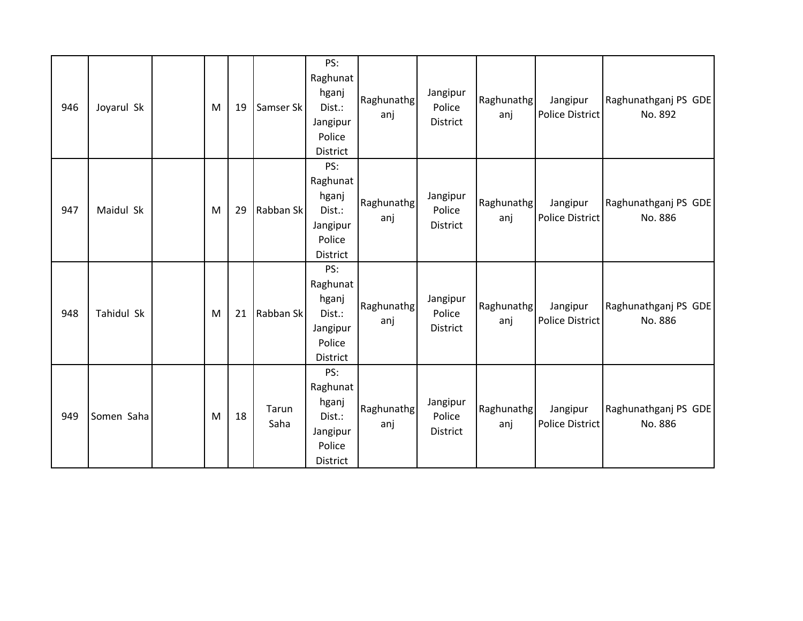| 946 | Joyarul Sk | M | 19 | Samser Sk     | PS:<br>Raghunat<br>hganj<br>Dist.:<br>Jangipur<br>Police<br>District | Raghunathg<br>anj | Jangipur<br>Police<br><b>District</b> | Raghunathg<br>anj | Jangipur<br>Police District        | Raghunathganj PS GDE<br>No. 892 |
|-----|------------|---|----|---------------|----------------------------------------------------------------------|-------------------|---------------------------------------|-------------------|------------------------------------|---------------------------------|
| 947 | Maidul Sk  | M | 29 | Rabban Sk     | PS:<br>Raghunat<br>hganj<br>Dist.:<br>Jangipur<br>Police<br>District | Raghunathg<br>anj | Jangipur<br>Police<br>District        | Raghunathg<br>anj | Jangipur<br><b>Police District</b> | Raghunathganj PS GDE<br>No. 886 |
| 948 | Tahidul Sk | M | 21 | Rabban Sk     | PS:<br>Raghunat<br>hganj<br>Dist.:<br>Jangipur<br>Police<br>District | Raghunathg<br>anj | Jangipur<br>Police<br>District        | Raghunathg<br>anj | Jangipur<br><b>Police District</b> | Raghunathganj PS GDE<br>No. 886 |
| 949 | Somen Saha | M | 18 | Tarun<br>Saha | PS:<br>Raghunat<br>hganj<br>Dist.:<br>Jangipur<br>Police<br>District | Raghunathg<br>anj | Jangipur<br>Police<br>District        | Raghunathg<br>anj | Jangipur<br><b>Police District</b> | Raghunathganj PS GDE<br>No. 886 |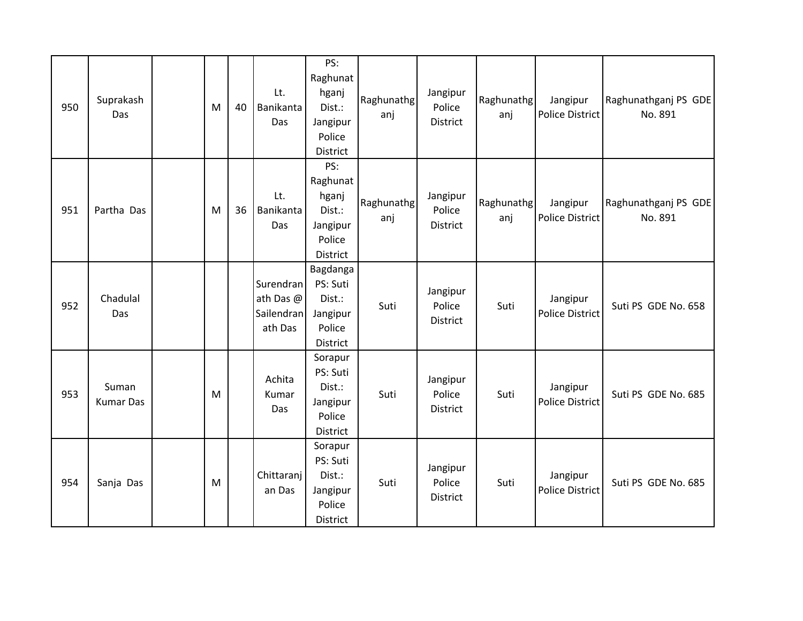| 950 | Suprakash<br>Das          | M | 40 | Lt.<br>Banikanta<br>Das                         | PS:<br>Raghunat<br>hganj<br>Dist.:<br>Jangipur<br>Police<br>District        | Raghunathg<br>anj | Jangipur<br>Police<br>District | Raghunathg<br>anj | Jangipur<br><b>Police District</b> | Raghunathganj PS GDE<br>No. 891 |
|-----|---------------------------|---|----|-------------------------------------------------|-----------------------------------------------------------------------------|-------------------|--------------------------------|-------------------|------------------------------------|---------------------------------|
| 951 | Partha Das                | M | 36 | Lt.<br>Banikanta<br>Das                         | PS:<br>Raghunat<br>hganj<br>Dist.:<br>Jangipur<br>Police<br><b>District</b> | Raghunathg<br>anj | Jangipur<br>Police<br>District | Raghunathg<br>anj | Jangipur<br><b>Police District</b> | Raghunathganj PS GDE<br>No. 891 |
| 952 | Chadulal<br>Das           |   |    | Surendran<br>ath Das @<br>Sailendran<br>ath Das | Bagdanga<br>PS: Suti<br>Dist.:<br>Jangipur<br>Police<br>District            | Suti              | Jangipur<br>Police<br>District | Suti              | Jangipur<br><b>Police District</b> | Suti PS GDE No. 658             |
| 953 | Suman<br><b>Kumar Das</b> | M |    | Achita<br>Kumar<br>Das                          | Sorapur<br>PS: Suti<br>Dist.:<br>Jangipur<br>Police<br><b>District</b>      | Suti              | Jangipur<br>Police<br>District | Suti              | Jangipur<br><b>Police District</b> | Suti PS GDE No. 685             |
| 954 | Sanja Das                 | M |    | Chittaranj<br>an Das                            | Sorapur<br>PS: Suti<br>Dist.:<br>Jangipur<br>Police<br>District             | Suti              | Jangipur<br>Police<br>District | Suti              | Jangipur<br><b>Police District</b> | Suti PS GDE No. 685             |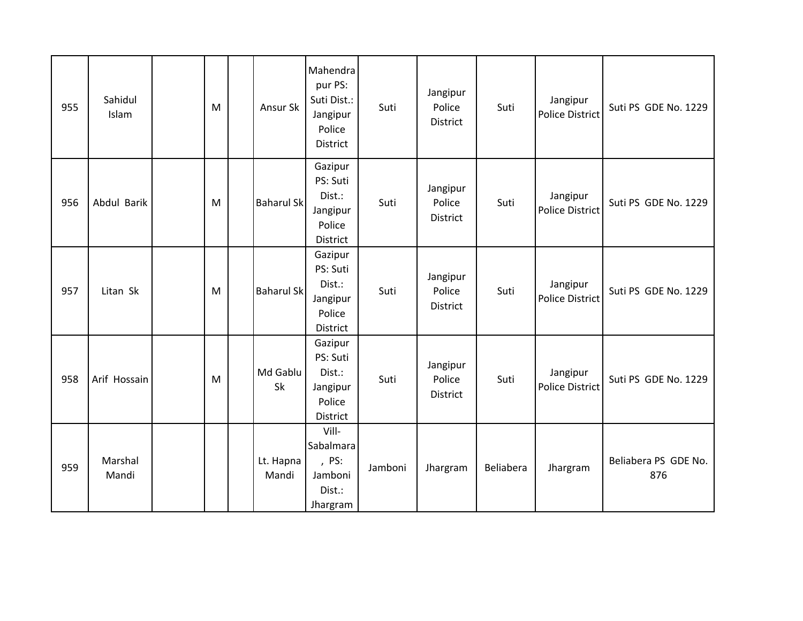| 955 | Sahidul<br>Islam | M | Ansur Sk           | Mahendra<br>pur PS:<br>Suti Dist.:<br>Jangipur<br>Police<br>District | Suti    | Jangipur<br>Police<br><b>District</b> | Suti      | Jangipur<br><b>Police District</b> | Suti PS GDE No. 1229        |
|-----|------------------|---|--------------------|----------------------------------------------------------------------|---------|---------------------------------------|-----------|------------------------------------|-----------------------------|
| 956 | Abdul Barik      | M | <b>Baharul Sk</b>  | Gazipur<br>PS: Suti<br>Dist.:<br>Jangipur<br>Police<br>District      | Suti    | Jangipur<br>Police<br>District        | Suti      | Jangipur<br><b>Police District</b> | Suti PS GDE No. 1229        |
| 957 | Litan Sk         | M | <b>Baharul Sk</b>  | Gazipur<br>PS: Suti<br>Dist.:<br>Jangipur<br>Police<br>District      | Suti    | Jangipur<br>Police<br>District        | Suti      | Jangipur<br><b>Police District</b> | Suti PS GDE No. 1229        |
| 958 | Arif Hossain     | M | Md Gablu<br>Sk     | Gazipur<br>PS: Suti<br>Dist.:<br>Jangipur<br>Police<br>District      | Suti    | Jangipur<br>Police<br>District        | Suti      | Jangipur<br><b>Police District</b> | Suti PS GDE No. 1229        |
| 959 | Marshal<br>Mandi |   | Lt. Hapna<br>Mandi | Vill-<br>Sabalmara<br>, PS:<br>Jamboni<br>Dist.:<br>Jhargram         | Jamboni | Jhargram                              | Beliabera | Jhargram                           | Beliabera PS GDE No.<br>876 |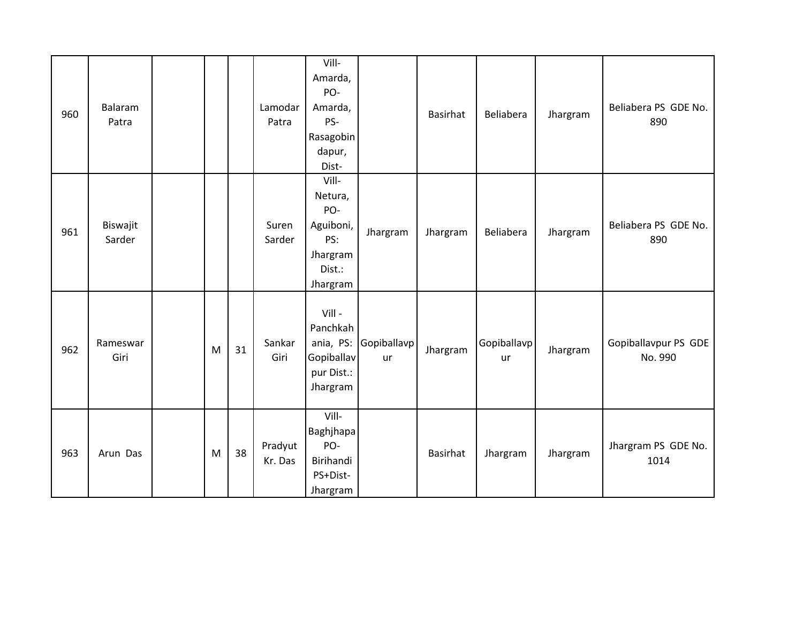| 960 | Balaram<br>Patra   |   |    | Lamodar<br>Patra   | Vill-<br>Amarda,<br>PO-<br>Amarda,<br>PS-<br>Rasagobin<br>dapur,<br>Dist-     |                          | Basirhat | Beliabera                | Jhargram | Beliabera PS GDE No.<br>890     |
|-----|--------------------|---|----|--------------------|-------------------------------------------------------------------------------|--------------------------|----------|--------------------------|----------|---------------------------------|
| 961 | Biswajit<br>Sarder |   |    | Suren<br>Sarder    | Vill-<br>Netura,<br>PO-<br>Aguiboni,<br>PS:<br>Jhargram<br>Dist.:<br>Jhargram | Jhargram                 | Jhargram | Beliabera                | Jhargram | Beliabera PS GDE No.<br>890     |
| 962 | Rameswar<br>Giri   | M | 31 | Sankar<br>Giri     | Vill-<br>Panchkah<br>ania, PS:<br>Gopiballav<br>pur Dist.:<br>Jhargram        | Gopiballavp<br><b>ur</b> | Jhargram | Gopiballavp<br><b>ur</b> | Jhargram | Gopiballavpur PS GDE<br>No. 990 |
| 963 | Arun Das           | M | 38 | Pradyut<br>Kr. Das | Vill-<br>Baghjhapa<br>PO-<br>Birihandi<br>PS+Dist-<br>Jhargram                |                          | Basirhat | Jhargram                 | Jhargram | Jhargram PS GDE No.<br>1014     |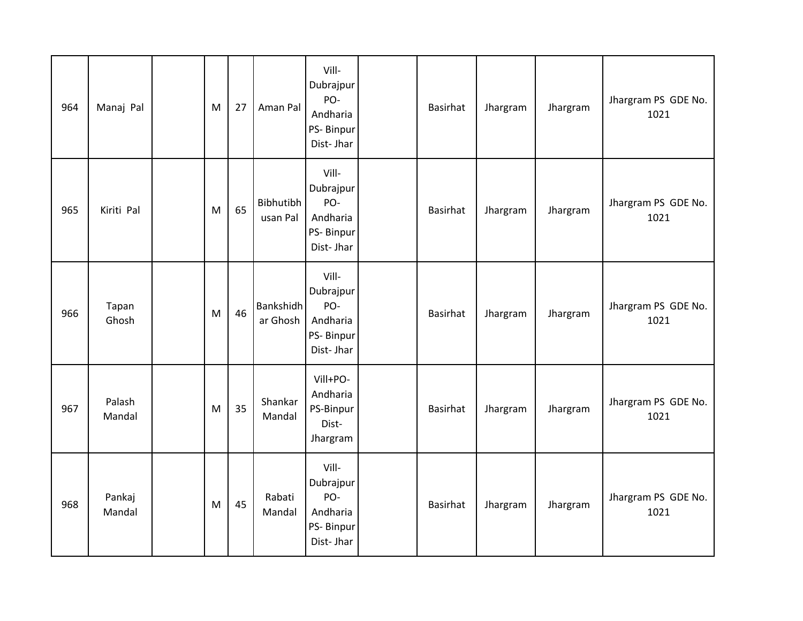| 964 | Manaj Pal        | M | 27 | Aman Pal                     | Vill-<br>Dubrajpur<br>PO-<br>Andharia<br>PS-Binpur<br>Dist-Jhar | Basirhat        | Jhargram | Jhargram | Jhargram PS GDE No.<br>1021 |
|-----|------------------|---|----|------------------------------|-----------------------------------------------------------------|-----------------|----------|----------|-----------------------------|
| 965 | Kiriti Pal       | M | 65 | Bibhutibh<br>usan Pal        | Vill-<br>Dubrajpur<br>PO-<br>Andharia<br>PS-Binpur<br>Dist-Jhar | <b>Basirhat</b> | Jhargram | Jhargram | Jhargram PS GDE No.<br>1021 |
| 966 | Tapan<br>Ghosh   | M | 46 | <b>Bankshidh</b><br>ar Ghosh | Vill-<br>Dubrajpur<br>PO-<br>Andharia<br>PS-Binpur<br>Dist-Jhar | <b>Basirhat</b> | Jhargram | Jhargram | Jhargram PS GDE No.<br>1021 |
| 967 | Palash<br>Mandal | M | 35 | Shankar<br>Mandal            | Vill+PO-<br>Andharia<br>PS-Binpur<br>Dist-<br>Jhargram          | <b>Basirhat</b> | Jhargram | Jhargram | Jhargram PS GDE No.<br>1021 |
| 968 | Pankaj<br>Mandal | M | 45 | Rabati<br>Mandal             | Vill-<br>Dubrajpur<br>PO-<br>Andharia<br>PS-Binpur<br>Dist-Jhar | <b>Basirhat</b> | Jhargram | Jhargram | Jhargram PS GDE No.<br>1021 |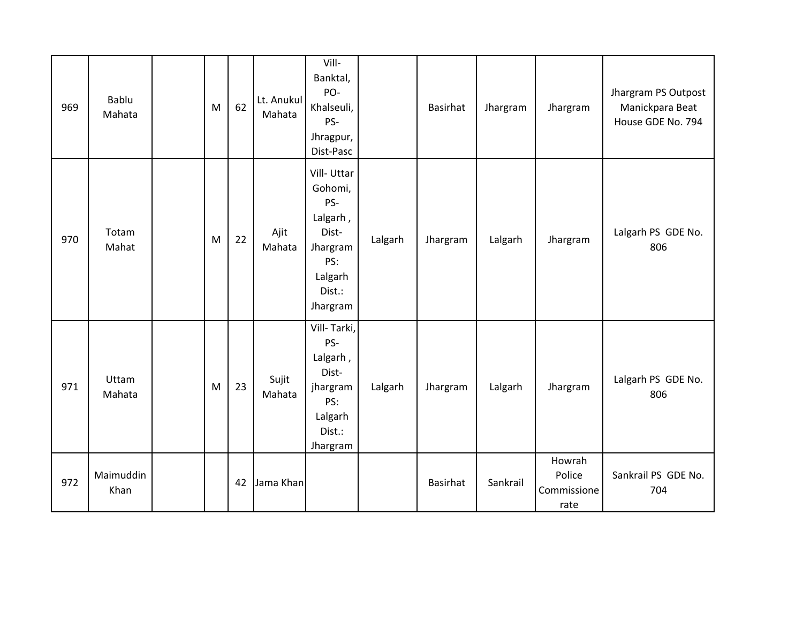| 969 | Bablu<br>Mahata   | M | 62 | Lt. Anukul<br>Mahata | Vill-<br>Banktal,<br>PO-<br>Khalseuli,<br>PS-<br>Jhragpur,<br>Dist-Pasc                               |         | <b>Basirhat</b> | Jhargram | Jhargram                                | Jhargram PS Outpost<br>Manickpara Beat<br>House GDE No. 794 |
|-----|-------------------|---|----|----------------------|-------------------------------------------------------------------------------------------------------|---------|-----------------|----------|-----------------------------------------|-------------------------------------------------------------|
| 970 | Totam<br>Mahat    | M | 22 | Ajit<br>Mahata       | Vill-Uttar<br>Gohomi,<br>PS-<br>Lalgarh,<br>Dist-<br>Jhargram<br>PS:<br>Lalgarh<br>Dist.:<br>Jhargram | Lalgarh | Jhargram        | Lalgarh  | Jhargram                                | Lalgarh PS GDE No.<br>806                                   |
| 971 | Uttam<br>Mahata   | M | 23 | Sujit<br>Mahata      | Vill-Tarki,<br>PS-<br>Lalgarh,<br>Dist-<br>jhargram<br>PS:<br>Lalgarh<br>Dist.:<br>Jhargram           | Lalgarh | Jhargram        | Lalgarh  | Jhargram                                | Lalgarh PS GDE No.<br>806                                   |
| 972 | Maimuddin<br>Khan |   | 42 | Jama Khan            |                                                                                                       |         | Basirhat        | Sankrail | Howrah<br>Police<br>Commissione<br>rate | Sankrail PS GDE No.<br>704                                  |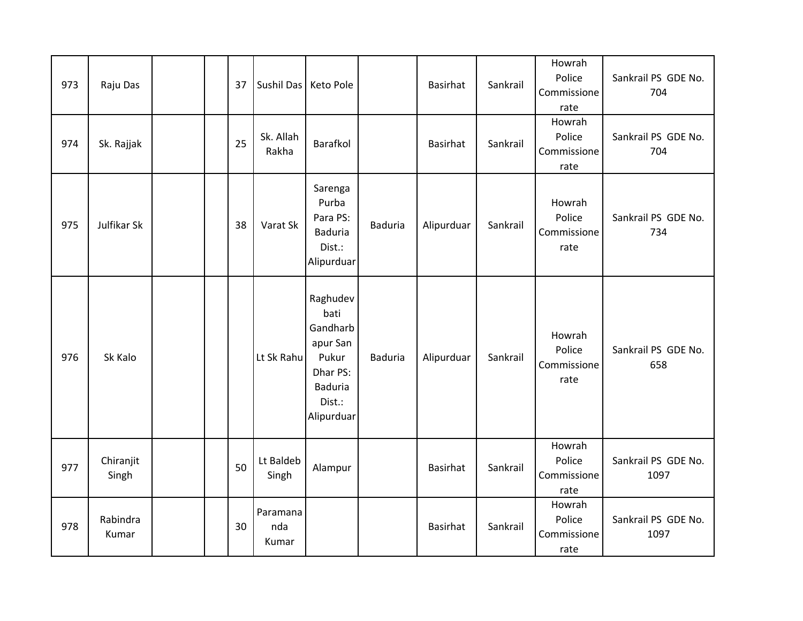| 973 | Raju Das           |  | 37 | Sushil Das   Keto Pole   |                                                                                                         |                | Basirhat   | Sankrail | Howrah<br>Police<br>Commissione<br>rate | Sankrail PS GDE No.<br>704  |
|-----|--------------------|--|----|--------------------------|---------------------------------------------------------------------------------------------------------|----------------|------------|----------|-----------------------------------------|-----------------------------|
| 974 | Sk. Rajjak         |  | 25 | Sk. Allah<br>Rakha       | Barafkol                                                                                                |                | Basirhat   | Sankrail | Howrah<br>Police<br>Commissione<br>rate | Sankrail PS GDE No.<br>704  |
| 975 | Julfikar Sk        |  | 38 | Varat Sk                 | Sarenga<br>Purba<br>Para PS:<br><b>Baduria</b><br>Dist.:<br>Alipurduar                                  | <b>Baduria</b> | Alipurduar | Sankrail | Howrah<br>Police<br>Commissione<br>rate | Sankrail PS GDE No.<br>734  |
| 976 | Sk Kalo            |  |    | Lt Sk Rahu               | Raghudev<br>bati<br>Gandharb<br>apur San<br>Pukur<br>Dhar PS:<br><b>Baduria</b><br>Dist.:<br>Alipurduar | <b>Baduria</b> | Alipurduar | Sankrail | Howrah<br>Police<br>Commissione<br>rate | Sankrail PS GDE No.<br>658  |
| 977 | Chiranjit<br>Singh |  | 50 | Lt Baldeb<br>Singh       | Alampur                                                                                                 |                | Basirhat   | Sankrail | Howrah<br>Police<br>Commissione<br>rate | Sankrail PS GDE No.<br>1097 |
| 978 | Rabindra<br>Kumar  |  | 30 | Paramana<br>nda<br>Kumar |                                                                                                         |                | Basirhat   | Sankrail | Howrah<br>Police<br>Commissione<br>rate | Sankrail PS GDE No.<br>1097 |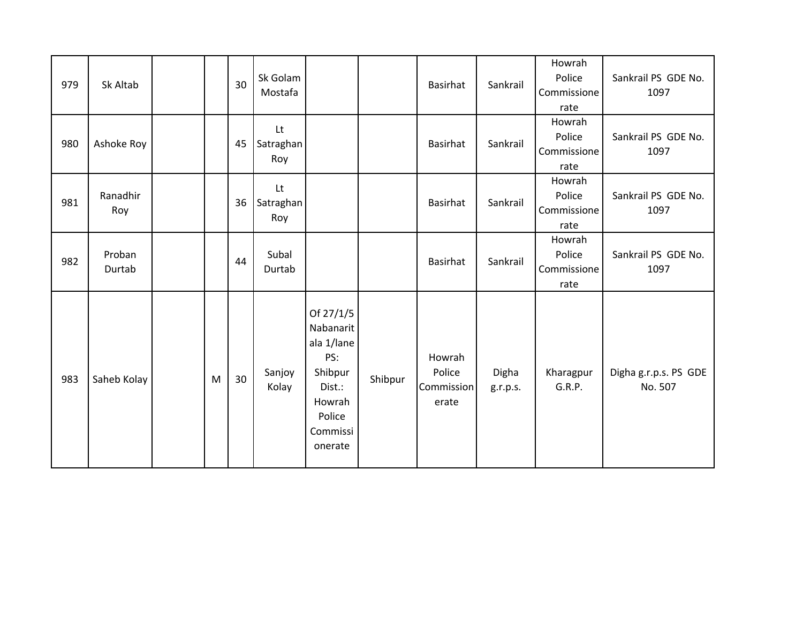| 979 | Sk Altab         |   | 30 | Sk Golam<br>Mostafa    |                                                                                                             |         | Basirhat                                | Sankrail          | Howrah<br>Police<br>Commissione<br>rate | Sankrail PS GDE No.<br>1097      |
|-----|------------------|---|----|------------------------|-------------------------------------------------------------------------------------------------------------|---------|-----------------------------------------|-------------------|-----------------------------------------|----------------------------------|
| 980 | Ashoke Roy       |   | 45 | Lt<br>Satraghan<br>Roy |                                                                                                             |         | <b>Basirhat</b>                         | Sankrail          | Howrah<br>Police<br>Commissione<br>rate | Sankrail PS GDE No.<br>1097      |
| 981 | Ranadhir<br>Roy  |   | 36 | Lt<br>Satraghan<br>Roy |                                                                                                             |         | Basirhat                                | Sankrail          | Howrah<br>Police<br>Commissione<br>rate | Sankrail PS GDE No.<br>1097      |
| 982 | Proban<br>Durtab |   | 44 | Subal<br>Durtab        |                                                                                                             |         | <b>Basirhat</b>                         | Sankrail          | Howrah<br>Police<br>Commissione<br>rate | Sankrail PS GDE No.<br>1097      |
| 983 | Saheb Kolay      | M | 30 | Sanjoy<br>Kolay        | Of 27/1/5<br>Nabanarit<br>ala 1/lane<br>PS:<br>Shibpur<br>Dist.:<br>Howrah<br>Police<br>Commissi<br>onerate | Shibpur | Howrah<br>Police<br>Commission<br>erate | Digha<br>g.r.p.s. | Kharagpur<br>G.R.P.                     | Digha g.r.p.s. PS GDE<br>No. 507 |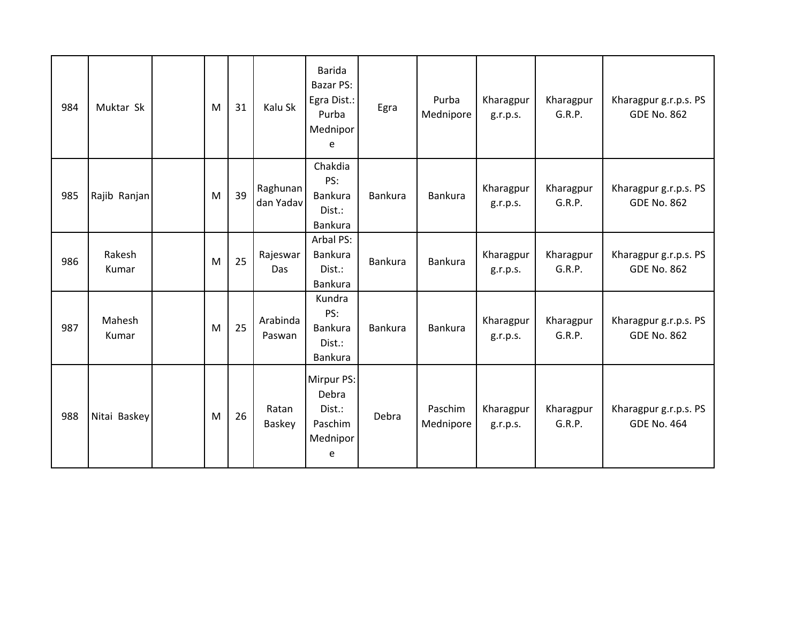| 984 | Muktar Sk       | M | 31 | Kalu Sk               | <b>Barida</b><br>Bazar PS:<br>Egra Dist.:<br>Purba<br>Mednipor<br>e | Egra    | Purba<br>Mednipore   | Kharagpur<br>g.r.p.s. | Kharagpur<br>G.R.P. | Kharagpur g.r.p.s. PS<br><b>GDE No. 862</b> |
|-----|-----------------|---|----|-----------------------|---------------------------------------------------------------------|---------|----------------------|-----------------------|---------------------|---------------------------------------------|
| 985 | Rajib Ranjan    | M | 39 | Raghunan<br>dan Yadav | Chakdia<br>PS:<br>Bankura<br>Dist.:<br>Bankura                      | Bankura | <b>Bankura</b>       | Kharagpur<br>g.r.p.s. | Kharagpur<br>G.R.P. | Kharagpur g.r.p.s. PS<br><b>GDE No. 862</b> |
| 986 | Rakesh<br>Kumar | M | 25 | Rajeswar<br>Das       | Arbal PS:<br>Bankura<br>Dist.:<br><b>Bankura</b>                    | Bankura | <b>Bankura</b>       | Kharagpur<br>g.r.p.s. | Kharagpur<br>G.R.P. | Kharagpur g.r.p.s. PS<br><b>GDE No. 862</b> |
| 987 | Mahesh<br>Kumar | M | 25 | Arabinda<br>Paswan    | Kundra<br>PS:<br>Bankura<br>Dist.:<br>Bankura                       | Bankura | <b>Bankura</b>       | Kharagpur<br>g.r.p.s. | Kharagpur<br>G.R.P. | Kharagpur g.r.p.s. PS<br><b>GDE No. 862</b> |
| 988 | Nitai Baskey    | M | 26 | Ratan<br>Baskey       | Mirpur PS:<br>Debra<br>Dist.:<br>Paschim<br>Mednipor<br>e           | Debra   | Paschim<br>Mednipore | Kharagpur<br>g.r.p.s. | Kharagpur<br>G.R.P. | Kharagpur g.r.p.s. PS<br><b>GDE No. 464</b> |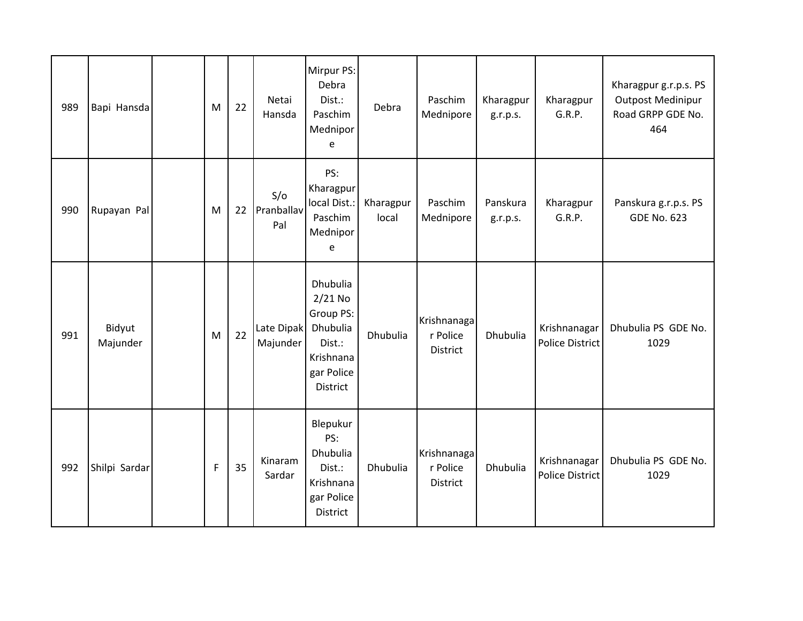| 989 | Bapi Hansda        | M           | 22 | Netai<br>Hansda          | Mirpur PS:<br>Debra<br>Dist.:<br>Paschim<br>Mednipor<br>e                                                     | Debra              | Paschim<br>Mednipore                | Kharagpur<br>g.r.p.s. | Kharagpur<br>G.R.P.                    | Kharagpur g.r.p.s. PS<br><b>Outpost Medinipur</b><br>Road GRPP GDE No.<br>464 |
|-----|--------------------|-------------|----|--------------------------|---------------------------------------------------------------------------------------------------------------|--------------------|-------------------------------------|-----------------------|----------------------------------------|-------------------------------------------------------------------------------|
| 990 | Rupayan Pal        | M           | 22 | S/O<br>Pranballav<br>Pal | PS:<br>Kharagpur<br>local Dist.:<br>Paschim<br>Mednipor<br>e                                                  | Kharagpur<br>local | Paschim<br>Mednipore                | Panskura<br>g.r.p.s.  | Kharagpur<br>G.R.P.                    | Panskura g.r.p.s. PS<br><b>GDE No. 623</b>                                    |
| 991 | Bidyut<br>Majunder | M           | 22 | Late Dipak<br>Majunder   | <b>Dhubulia</b><br>$2/21$ No<br>Group PS:<br>Dhubulia<br>Dist.:<br>Krishnana<br>gar Police<br><b>District</b> | Dhubulia           | Krishnanaga<br>r Police<br>District | Dhubulia              | Krishnanagar<br><b>Police District</b> | Dhubulia PS GDE No.<br>1029                                                   |
| 992 | Shilpi Sardar      | $\mathsf F$ | 35 | Kinaram<br>Sardar        | Blepukur<br>PS:<br>Dhubulia<br>Dist.:<br>Krishnana<br>gar Police<br><b>District</b>                           | Dhubulia           | Krishnanaga<br>r Police<br>District | Dhubulia              | Krishnanagar<br><b>Police District</b> | Dhubulia PS GDE No.<br>1029                                                   |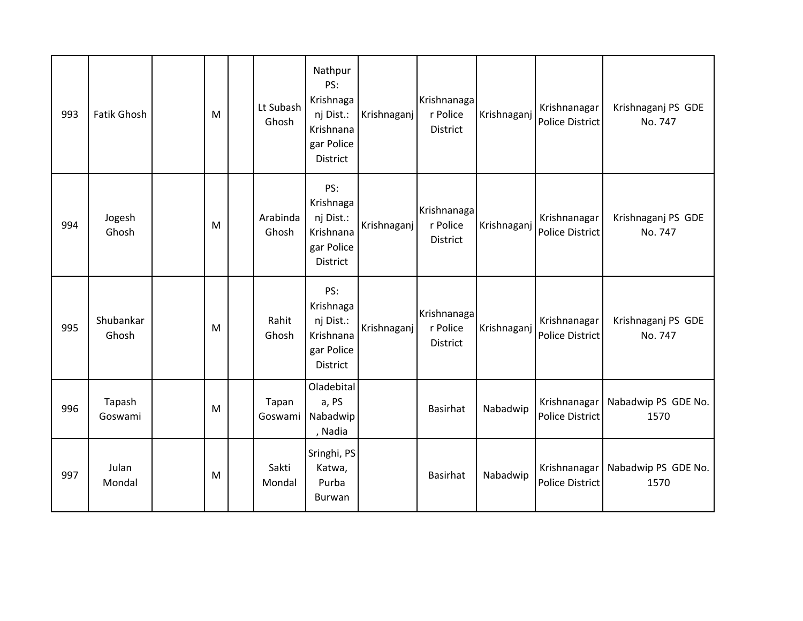| 993 | <b>Fatik Ghosh</b> | M | Lt Subash<br>Ghosh | Nathpur<br>PS:<br>Krishnaga<br>nj Dist.:<br>Krishnana<br>gar Police<br>District | Krishnaganj | Krishnanaga<br>r Police<br><b>District</b> | Krishnaganj | Krishnanagar<br><b>Police District</b> | Krishnaganj PS GDE<br>No. 747 |
|-----|--------------------|---|--------------------|---------------------------------------------------------------------------------|-------------|--------------------------------------------|-------------|----------------------------------------|-------------------------------|
| 994 | Jogesh<br>Ghosh    | M | Arabinda<br>Ghosh  | PS:<br>Krishnaga<br>nj Dist.:<br>Krishnana<br>gar Police<br>District            | Krishnaganj | Krishnanaga<br>r Police<br><b>District</b> | Krishnaganj | Krishnanagar<br><b>Police District</b> | Krishnaganj PS GDE<br>No. 747 |
| 995 | Shubankar<br>Ghosh | M | Rahit<br>Ghosh     | PS:<br>Krishnaga<br>nj Dist.:<br>Krishnana<br>gar Police<br>District            | Krishnaganj | Krishnanaga<br>r Police<br><b>District</b> | Krishnaganj | Krishnanagar<br><b>Police District</b> | Krishnaganj PS GDE<br>No. 747 |
| 996 | Tapash<br>Goswami  | M | Tapan<br>Goswami   | Oladebital<br>a, PS<br>Nabadwip<br>, Nadia                                      |             | <b>Basirhat</b>                            | Nabadwip    | Krishnanagar<br><b>Police District</b> | Nabadwip PS GDE No.<br>1570   |
| 997 | Julan<br>Mondal    | M | Sakti<br>Mondal    | Sringhi, PS<br>Katwa,<br>Purba<br>Burwan                                        |             | Basirhat                                   | Nabadwip    | Krishnanagar<br><b>Police District</b> | Nabadwip PS GDE No.<br>1570   |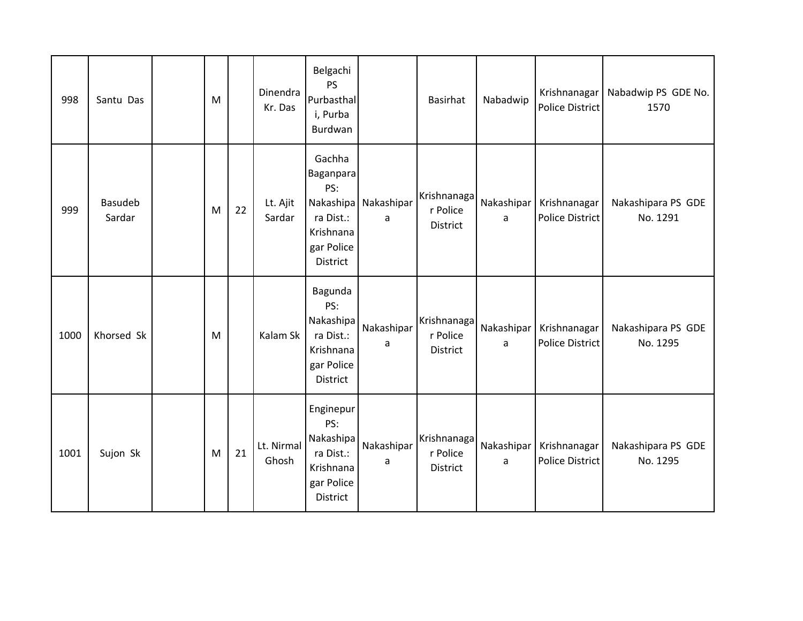| 998  | Santu Das         | M |    | Dinendra<br>Kr. Das | Belgachi<br><b>PS</b><br>Purbasthal<br>i, Purba<br>Burdwan                                  |                 | Basirhat                                   | Nabadwip        | Krishnanagar<br><b>Police District</b> | Nabadwip PS GDE No.<br>1570    |
|------|-------------------|---|----|---------------------|---------------------------------------------------------------------------------------------|-----------------|--------------------------------------------|-----------------|----------------------------------------|--------------------------------|
| 999  | Basudeb<br>Sardar | M | 22 | Lt. Ajit<br>Sardar  | Gachha<br>Baganpara<br>PS:<br>Nakashipa<br>ra Dist.:<br>Krishnana<br>gar Police<br>District | Nakashipar<br>a | Krishnanaga<br>r Police<br>District        | Nakashipar<br>a | Krishnanagar<br><b>Police District</b> | Nakashipara PS GDE<br>No. 1291 |
| 1000 | Khorsed Sk        | M |    | Kalam Sk            | Bagunda<br>PS:<br>Nakashipa<br>ra Dist.:<br>Krishnana<br>gar Police<br>District             | Nakashipar<br>a | Krishnanaga<br>r Police<br><b>District</b> | Nakashipar<br>a | Krishnanagar<br><b>Police District</b> | Nakashipara PS GDE<br>No. 1295 |
| 1001 | Sujon Sk          | M | 21 | Lt. Nirmal<br>Ghosh | Enginepur<br>PS:<br>Nakashipa<br>ra Dist.:<br>Krishnana<br>gar Police<br>District           | Nakashipar<br>a | Krishnanaga<br>r Police<br>District        | Nakashipar<br>a | Krishnanagar<br><b>Police District</b> | Nakashipara PS GDE<br>No. 1295 |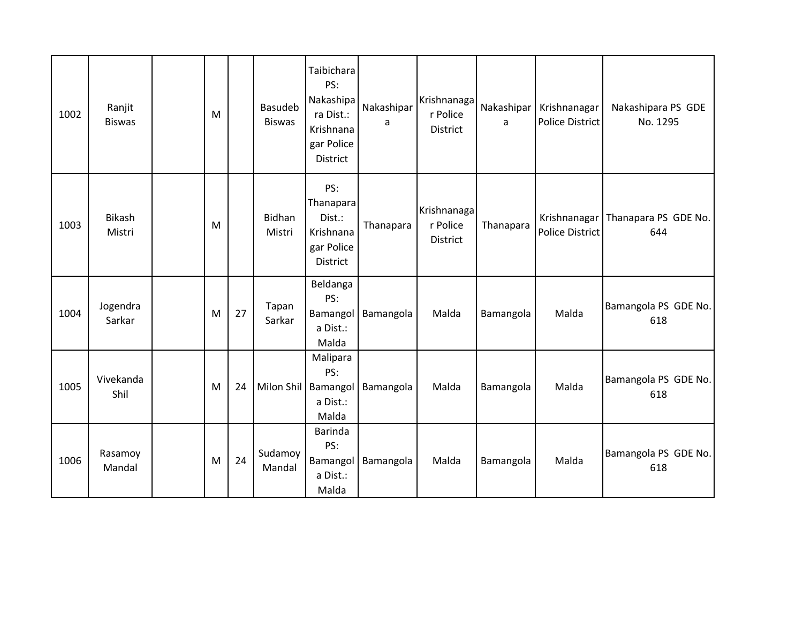| 1002 | Ranjit<br><b>Biswas</b> | M |    | Basudeb<br><b>Biswas</b> | Taibichara<br>PS:<br>Nakashipa<br>ra Dist.:<br>Krishnana<br>gar Police<br>District | Nakashipar<br>a | Krishnanaga<br>r Police<br><b>District</b> | Nakashipar<br>a | Krishnanagar<br><b>Police District</b> | Nakashipara PS GDE<br>No. 1295 |
|------|-------------------------|---|----|--------------------------|------------------------------------------------------------------------------------|-----------------|--------------------------------------------|-----------------|----------------------------------------|--------------------------------|
| 1003 | <b>Bikash</b><br>Mistri | M |    | Bidhan<br>Mistri         | PS:<br>Thanapara<br>Dist.:<br>Krishnana<br>gar Police<br>District                  | Thanapara       | Krishnanaga<br>r Police<br>District        | Thanapara       | Krishnanagar<br><b>Police District</b> | Thanapara PS GDE No.<br>644    |
| 1004 | Jogendra<br>Sarkar      | M | 27 | Tapan<br>Sarkar          | Beldanga<br>PS:<br>Bamangol<br>a Dist.:<br>Malda                                   | Bamangola       | Malda                                      | Bamangola       | Malda                                  | Bamangola PS GDE No.<br>618    |
| 1005 | Vivekanda<br>Shil       | M | 24 |                          | Malipara<br>PS:<br>Milon Shil   Bamangol<br>a Dist.:<br>Malda                      | Bamangola       | Malda                                      | Bamangola       | Malda                                  | Bamangola PS GDE No.<br>618    |
| 1006 | Rasamoy<br>Mandal       | M | 24 | Sudamoy<br>Mandal        | Barinda<br>PS:<br>Bamangol<br>a Dist.:<br>Malda                                    | Bamangola       | Malda                                      | Bamangola       | Malda                                  | Bamangola PS GDE No.<br>618    |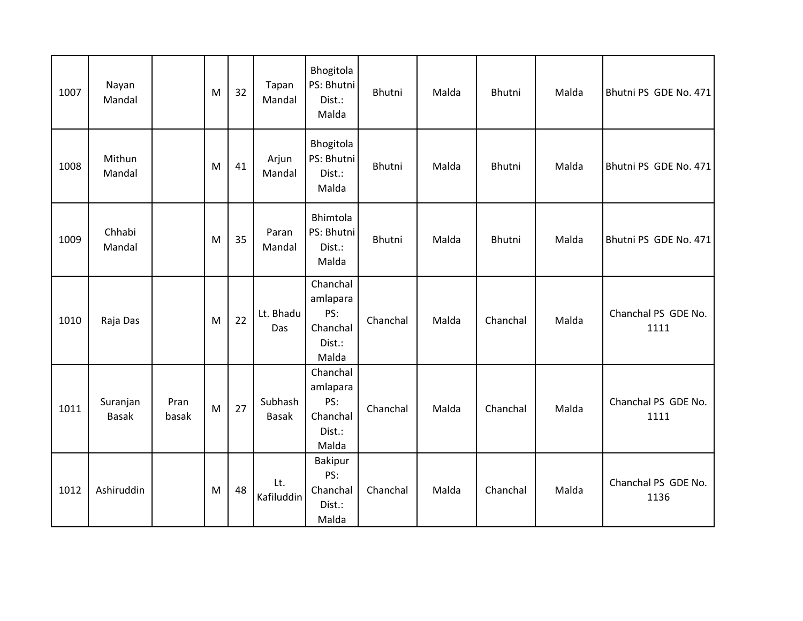| 1007 | Nayan<br>Mandal          |               | M | 32 | Tapan<br>Mandal         | Bhogitola<br>PS: Bhutni<br>Dist.:<br>Malda                 | Bhutni   | Malda | Bhutni   | Malda | Bhutni PS GDE No. 471       |
|------|--------------------------|---------------|---|----|-------------------------|------------------------------------------------------------|----------|-------|----------|-------|-----------------------------|
| 1008 | Mithun<br>Mandal         |               | M | 41 | Arjun<br>Mandal         | Bhogitola<br>PS: Bhutni<br>Dist.:<br>Malda                 | Bhutni   | Malda | Bhutni   | Malda | Bhutni PS GDE No. 471       |
| 1009 | Chhabi<br>Mandal         |               | M | 35 | Paran<br>Mandal         | Bhimtola<br>PS: Bhutni<br>Dist.:<br>Malda                  | Bhutni   | Malda | Bhutni   | Malda | Bhutni PS GDE No. 471       |
| 1010 | Raja Das                 |               | M | 22 | Lt. Bhadu<br>Das        | Chanchal<br>amlapara<br>PS:<br>Chanchal<br>Dist.:<br>Malda | Chanchal | Malda | Chanchal | Malda | Chanchal PS GDE No.<br>1111 |
| 1011 | Suranjan<br><b>Basak</b> | Pran<br>basak | M | 27 | Subhash<br><b>Basak</b> | Chanchal<br>amlapara<br>PS:<br>Chanchal<br>Dist.:<br>Malda | Chanchal | Malda | Chanchal | Malda | Chanchal PS GDE No.<br>1111 |
| 1012 | Ashiruddin               |               | M | 48 | Lt.<br>Kafiluddin       | <b>Bakipur</b><br>PS:<br>Chanchal<br>Dist.:<br>Malda       | Chanchal | Malda | Chanchal | Malda | Chanchal PS GDE No.<br>1136 |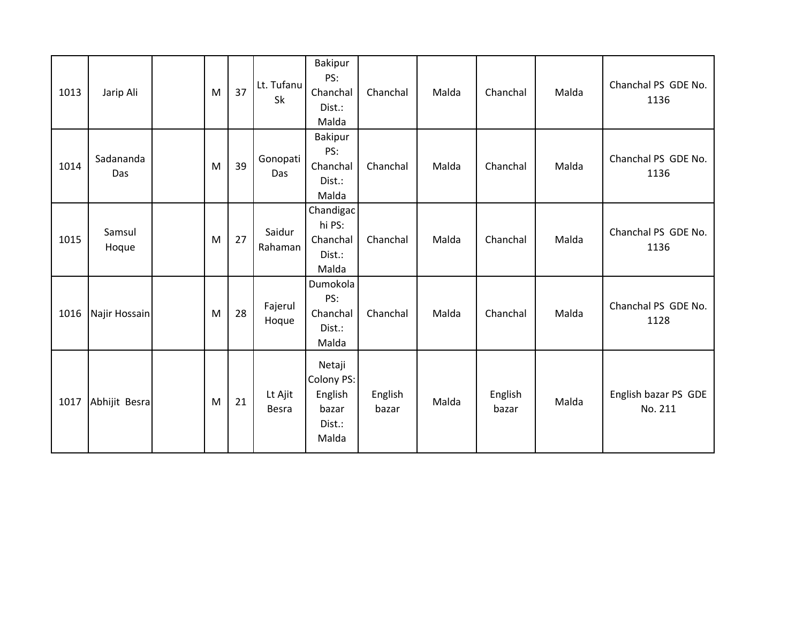| 1013 | Jarip Ali        | M | 37 | Lt. Tufanu<br>Sk  | Bakipur<br>PS:<br>Chanchal<br>Dist.:<br>Malda               | Chanchal         | Malda | Chanchal         | Malda | Chanchal PS GDE No.<br>1136     |
|------|------------------|---|----|-------------------|-------------------------------------------------------------|------------------|-------|------------------|-------|---------------------------------|
| 1014 | Sadananda<br>Das | M | 39 | Gonopati<br>Das   | <b>Bakipur</b><br>PS:<br>Chanchal<br>Dist.:<br>Malda        | Chanchal         | Malda | Chanchal         | Malda | Chanchal PS GDE No.<br>1136     |
| 1015 | Samsul<br>Hoque  | M | 27 | Saidur<br>Rahaman | Chandigac<br>hi PS:<br>Chanchal<br>Dist.:<br>Malda          | Chanchal         | Malda | Chanchal         | Malda | Chanchal PS GDE No.<br>1136     |
| 1016 | Najir Hossain    | M | 28 | Fajerul<br>Hoque  | Dumokola<br>PS:<br>Chanchal<br>Dist.:<br>Malda              | Chanchal         | Malda | Chanchal         | Malda | Chanchal PS GDE No.<br>1128     |
| 1017 | Abhijit Besra    | M | 21 | Lt Ajit<br>Besra  | Netaji<br>Colony PS:<br>English<br>bazar<br>Dist.:<br>Malda | English<br>bazar | Malda | English<br>bazar | Malda | English bazar PS GDE<br>No. 211 |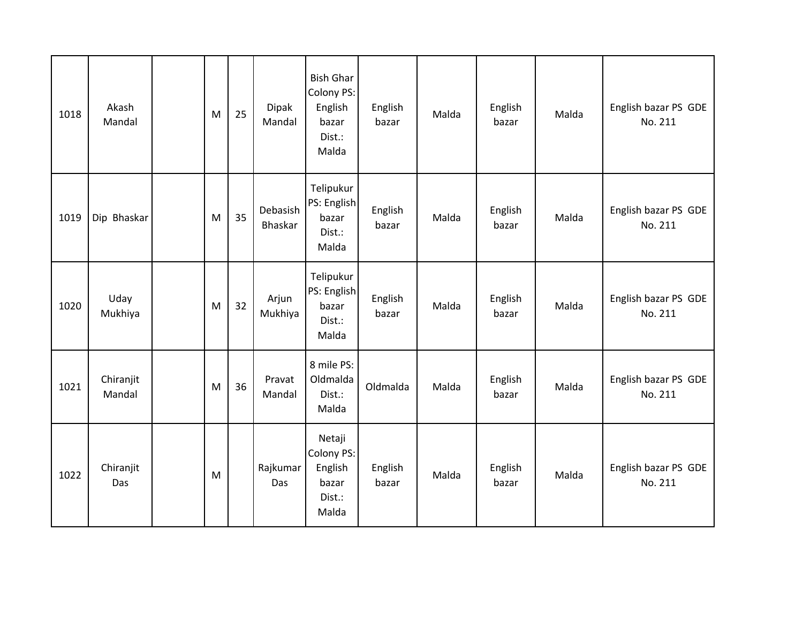| 1018 | Akash<br>Mandal     | M | 25 | <b>Dipak</b><br>Mandal     | <b>Bish Ghar</b><br>Colony PS:<br>English<br>bazar<br>Dist.:<br>Malda | English<br>bazar | Malda | English<br>bazar | Malda | English bazar PS GDE<br>No. 211 |
|------|---------------------|---|----|----------------------------|-----------------------------------------------------------------------|------------------|-------|------------------|-------|---------------------------------|
| 1019 | Dip Bhaskar         | M | 35 | Debasish<br><b>Bhaskar</b> | Telipukur<br>PS: English<br>bazar<br>Dist.:<br>Malda                  | English<br>bazar | Malda | English<br>bazar | Malda | English bazar PS GDE<br>No. 211 |
| 1020 | Uday<br>Mukhiya     | M | 32 | Arjun<br>Mukhiya           | Telipukur<br>PS: English<br>bazar<br>Dist.:<br>Malda                  | English<br>bazar | Malda | English<br>bazar | Malda | English bazar PS GDE<br>No. 211 |
| 1021 | Chiranjit<br>Mandal | M | 36 | Pravat<br>Mandal           | 8 mile PS:<br>Oldmalda<br>Dist.:<br>Malda                             | Oldmalda         | Malda | English<br>bazar | Malda | English bazar PS GDE<br>No. 211 |
| 1022 | Chiranjit<br>Das    | M |    | Rajkumar<br>Das            | Netaji<br>Colony PS:<br>English<br>bazar<br>Dist.:<br>Malda           | English<br>bazar | Malda | English<br>bazar | Malda | English bazar PS GDE<br>No. 211 |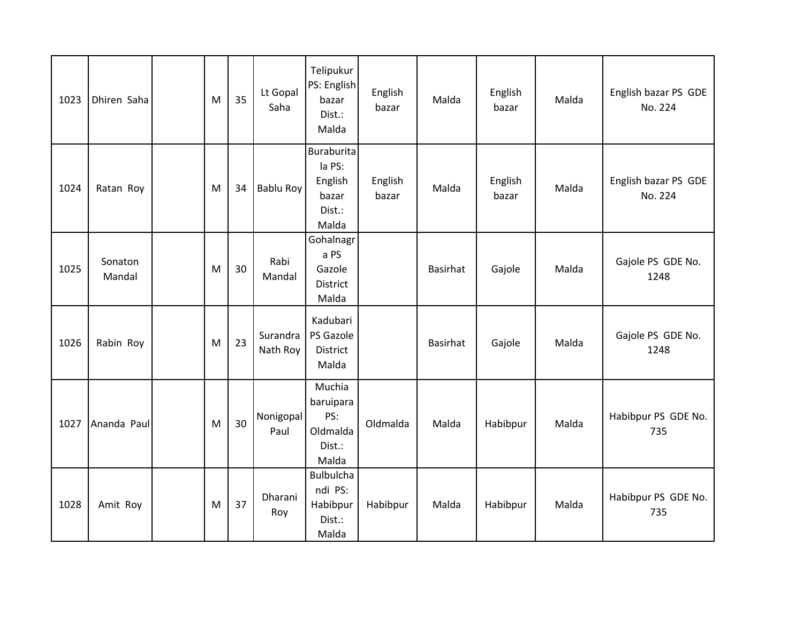| 1023 | Dhiren Saha       | M | 35 | Lt Gopal<br>Saha     | Telipukur<br>PS: English<br>bazar<br>Dist.:<br>Malda               | English<br>bazar | Malda    | English<br>bazar | Malda | English bazar PS GDE<br>No. 224 |
|------|-------------------|---|----|----------------------|--------------------------------------------------------------------|------------------|----------|------------------|-------|---------------------------------|
| 1024 | Ratan Roy         | M | 34 | Bablu Roy            | <b>Buraburita</b><br>la PS:<br>English<br>bazar<br>Dist.:<br>Malda | English<br>bazar | Malda    | English<br>bazar | Malda | English bazar PS GDE<br>No. 224 |
| 1025 | Sonaton<br>Mandal | M | 30 | Rabi<br>Mandal       | Gohalnagr<br>a PS<br>Gazole<br><b>District</b><br>Malda            |                  | Basirhat | Gajole           | Malda | Gajole PS GDE No.<br>1248       |
| 1026 | Rabin Roy         | M | 23 | Surandra<br>Nath Roy | Kadubari<br>PS Gazole<br><b>District</b><br>Malda                  |                  | Basirhat | Gajole           | Malda | Gajole PS GDE No.<br>1248       |
| 1027 | Ananda Paul       | M | 30 | Nonigopal<br>Paul    | Muchia<br>baruipara<br>PS:<br>Oldmalda<br>Dist.:<br>Malda          | Oldmalda         | Malda    | Habibpur         | Malda | Habibpur PS GDE No.<br>735      |
| 1028 | Amit Roy          | M | 37 | Dharani<br>Roy       | <b>Bulbulcha</b><br>ndi PS:<br>Habibpur<br>Dist.:<br>Malda         | Habibpur         | Malda    | Habibpur         | Malda | Habibpur PS GDE No.<br>735      |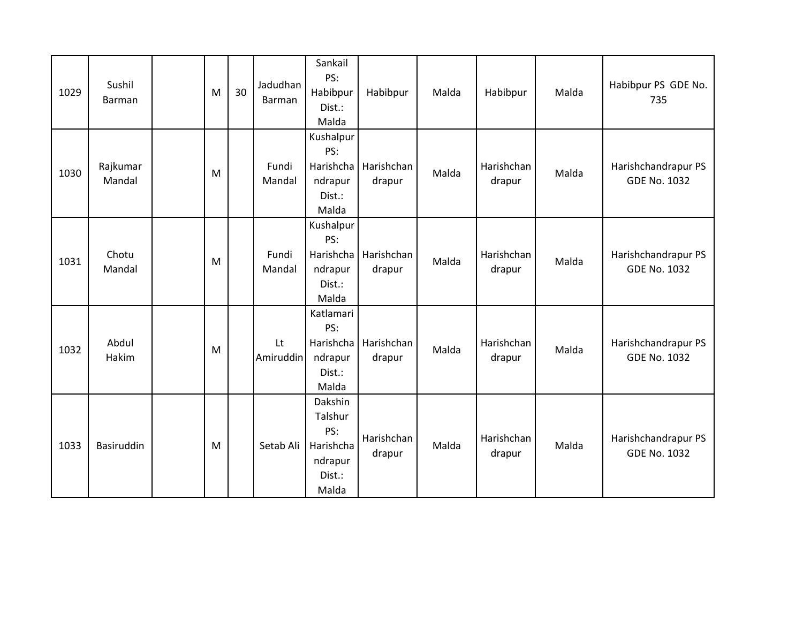| 1029 | Sushil<br>Barman   | M | 30 | Jadudhan<br>Barman | Sankail<br>PS:<br>Habibpur<br>Dist.:<br>Malda                        | Habibpur             | Malda | Habibpur             | Malda | Habibpur PS GDE No.<br>735                 |
|------|--------------------|---|----|--------------------|----------------------------------------------------------------------|----------------------|-------|----------------------|-------|--------------------------------------------|
| 1030 | Rajkumar<br>Mandal | M |    | Fundi<br>Mandal    | Kushalpur<br>PS:<br>Harishcha<br>ndrapur<br>Dist.:<br>Malda          | Harishchan<br>drapur | Malda | Harishchan<br>drapur | Malda | Harishchandrapur PS<br><b>GDE No. 1032</b> |
| 1031 | Chotu<br>Mandal    | M |    | Fundi<br>Mandal    | Kushalpur<br>PS:<br>Harishcha<br>ndrapur<br>Dist.:<br>Malda          | Harishchan<br>drapur | Malda | Harishchan<br>drapur | Malda | Harishchandrapur PS<br><b>GDE No. 1032</b> |
| 1032 | Abdul<br>Hakim     | M |    | Lt<br>Amiruddin    | Katlamari<br>PS:<br>Harishcha<br>ndrapur<br>Dist.:<br>Malda          | Harishchan<br>drapur | Malda | Harishchan<br>drapur | Malda | Harishchandrapur PS<br><b>GDE No. 1032</b> |
| 1033 | Basiruddin         | M |    | Setab Ali          | Dakshin<br>Talshur<br>PS:<br>Harishcha<br>ndrapur<br>Dist.:<br>Malda | Harishchan<br>drapur | Malda | Harishchan<br>drapur | Malda | Harishchandrapur PS<br><b>GDE No. 1032</b> |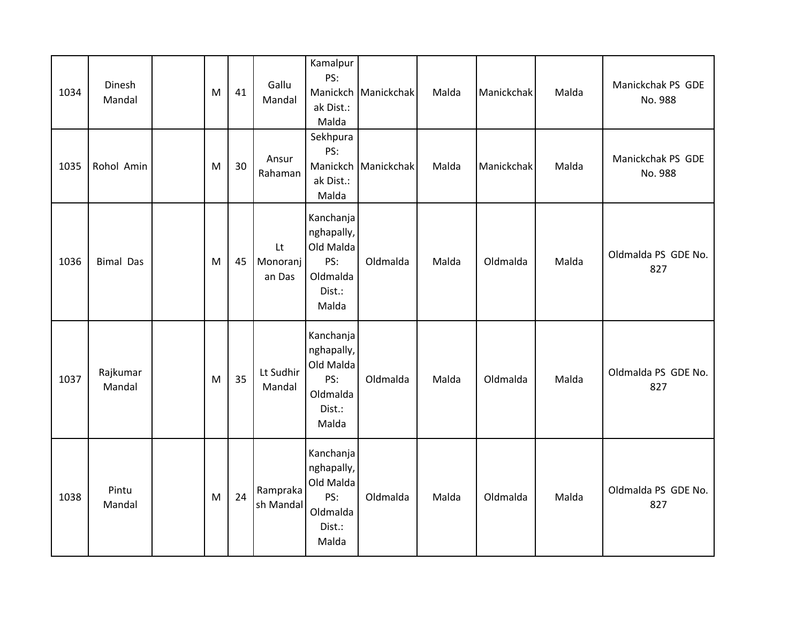| 1034 | Dinesh<br>Mandal   | M | 41 | Gallu<br>Mandal          | Kamalpur<br>PS:<br>Manickch<br>ak Dist.:<br>Malda                          | Manickchak | Malda | Manickchak | Malda | Manickchak PS GDE<br>No. 988 |
|------|--------------------|---|----|--------------------------|----------------------------------------------------------------------------|------------|-------|------------|-------|------------------------------|
| 1035 | Rohol Amin         | M | 30 | Ansur<br>Rahaman         | Sekhpura<br>PS:<br>Manickch<br>ak Dist.:<br>Malda                          | Manickchak | Malda | Manickchak | Malda | Manickchak PS GDE<br>No. 988 |
| 1036 | <b>Bimal Das</b>   | M | 45 | Lt<br>Monoranj<br>an Das | Kanchanja<br>nghapally,<br>Old Malda<br>PS:<br>Oldmalda<br>Dist.:<br>Malda | Oldmalda   | Malda | Oldmalda   | Malda | Oldmalda PS GDE No.<br>827   |
| 1037 | Rajkumar<br>Mandal | M | 35 | Lt Sudhir<br>Mandal      | Kanchanja<br>nghapally,<br>Old Malda<br>PS:<br>Oldmalda<br>Dist.:<br>Malda | Oldmalda   | Malda | Oldmalda   | Malda | Oldmalda PS GDE No.<br>827   |
| 1038 | Pintu<br>Mandal    | M | 24 | Rampraka<br>sh Mandal    | Kanchanja<br>nghapally,<br>Old Malda<br>PS:<br>Oldmalda<br>Dist.:<br>Malda | Oldmalda   | Malda | Oldmalda   | Malda | Oldmalda PS GDE No.<br>827   |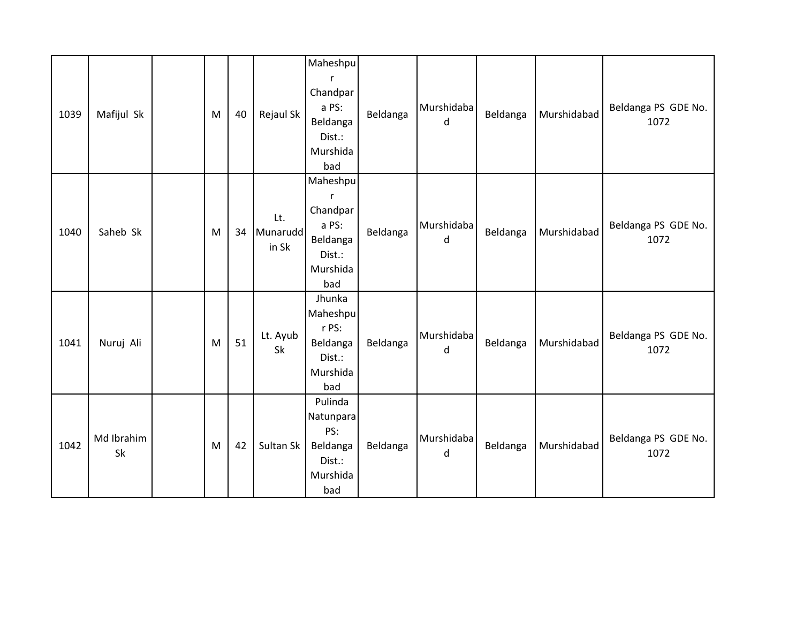| 1039 | Mafijul Sk       | M | 40 | Rejaul Sk                | Maheshpu<br>r<br>Chandpar<br>a PS:<br>Beldanga<br>Dist.:<br>Murshida<br>bad            | Beldanga | Murshidaba<br>d | Beldanga | Murshidabad | Beldanga PS GDE No.<br>1072 |
|------|------------------|---|----|--------------------------|----------------------------------------------------------------------------------------|----------|-----------------|----------|-------------|-----------------------------|
| 1040 | Saheb Sk         | M | 34 | Lt.<br>Munarudd<br>in Sk | Maheshpu<br>$\mathsf{r}$<br>Chandpar<br>a PS:<br>Beldanga<br>Dist.:<br>Murshida<br>bad | Beldanga | Murshidaba<br>d | Beldanga | Murshidabad | Beldanga PS GDE No.<br>1072 |
| 1041 | Nuruj Ali        | M | 51 | Lt. Ayub<br>Sk           | Jhunka<br>Maheshpu<br>r PS:<br>Beldanga<br>Dist.:<br>Murshida<br>bad                   | Beldanga | Murshidaba<br>d | Beldanga | Murshidabad | Beldanga PS GDE No.<br>1072 |
| 1042 | Md Ibrahim<br>Sk | M | 42 | Sultan Sk                | Pulinda<br>Natunpara<br>PS:<br>Beldanga<br>Dist.:<br>Murshida<br>bad                   | Beldanga | Murshidaba<br>d | Beldanga | Murshidabad | Beldanga PS GDE No.<br>1072 |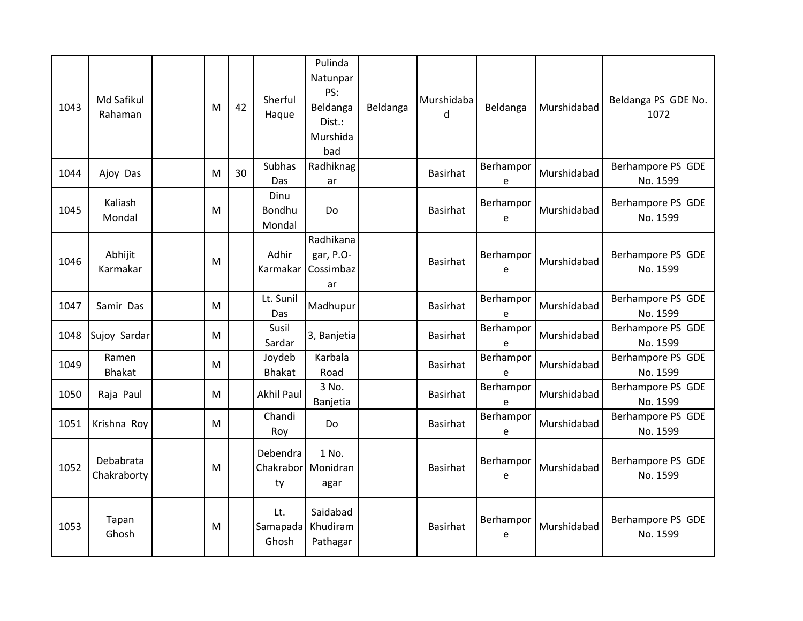| 1043 | Md Safikul<br>Rahaman    | M | 42 | Sherful<br>Haque         | Pulinda<br>Natunpar<br>PS:<br>Beldanga<br>Dist.:<br>Murshida<br>bad | Beldanga | Murshidaba<br>$\mathsf{d}$ | Beldanga       | Murshidabad | Beldanga PS GDE No.<br>1072   |
|------|--------------------------|---|----|--------------------------|---------------------------------------------------------------------|----------|----------------------------|----------------|-------------|-------------------------------|
| 1044 | Ajoy Das                 | M | 30 | Subhas<br>Das            | Radhiknag<br>ar                                                     |          | <b>Basirhat</b>            | Berhampor<br>e | Murshidabad | Berhampore PS GDE<br>No. 1599 |
| 1045 | Kaliash<br>Mondal        | M |    | Dinu<br>Bondhu<br>Mondal | <b>Do</b>                                                           |          | Basirhat                   | Berhampor<br>e | Murshidabad | Berhampore PS GDE<br>No. 1599 |
| 1046 | Abhijit<br>Karmakar      | M |    | Adhir<br>Karmakar        | Radhikana<br>gar, P.O-<br>Cossimbaz<br>ar                           |          | <b>Basirhat</b>            | Berhampor<br>е | Murshidabad | Berhampore PS GDE<br>No. 1599 |
| 1047 | Samir Das                | M |    | Lt. Sunil<br>Das         | Madhupur                                                            |          | <b>Basirhat</b>            | Berhampor<br>е | Murshidabad | Berhampore PS GDE<br>No. 1599 |
| 1048 | Sujoy Sardar             | M |    | Susil<br>Sardar          | 3, Banjetia                                                         |          | <b>Basirhat</b>            | Berhampor<br>е | Murshidabad | Berhampore PS GDE<br>No. 1599 |
| 1049 | Ramen<br><b>Bhakat</b>   | M |    | Joydeb<br><b>Bhakat</b>  | Karbala<br>Road                                                     |          | <b>Basirhat</b>            | Berhampor<br>e | Murshidabad | Berhampore PS GDE<br>No. 1599 |
| 1050 | Raja Paul                | M |    | <b>Akhil Paul</b>        | 3 No.<br>Banjetia                                                   |          | <b>Basirhat</b>            | Berhampor<br>е | Murshidabad | Berhampore PS GDE<br>No. 1599 |
| 1051 | Krishna Roy              | M |    | Chandi<br>Roy            | Do                                                                  |          | <b>Basirhat</b>            | Berhampor<br>e | Murshidabad | Berhampore PS GDE<br>No. 1599 |
| 1052 | Debabrata<br>Chakraborty | M |    | Debendra<br>ty           | 1 No.<br>Chakrabor Monidran<br>agar                                 |          | <b>Basirhat</b>            | Berhampor<br>e | Murshidabad | Berhampore PS GDE<br>No. 1599 |
| 1053 | Tapan<br>Ghosh           | M |    | Lt.<br>Samapada<br>Ghosh | Saidabad<br>Khudiram<br>Pathagar                                    |          | <b>Basirhat</b>            | Berhampor<br>е | Murshidabad | Berhampore PS GDE<br>No. 1599 |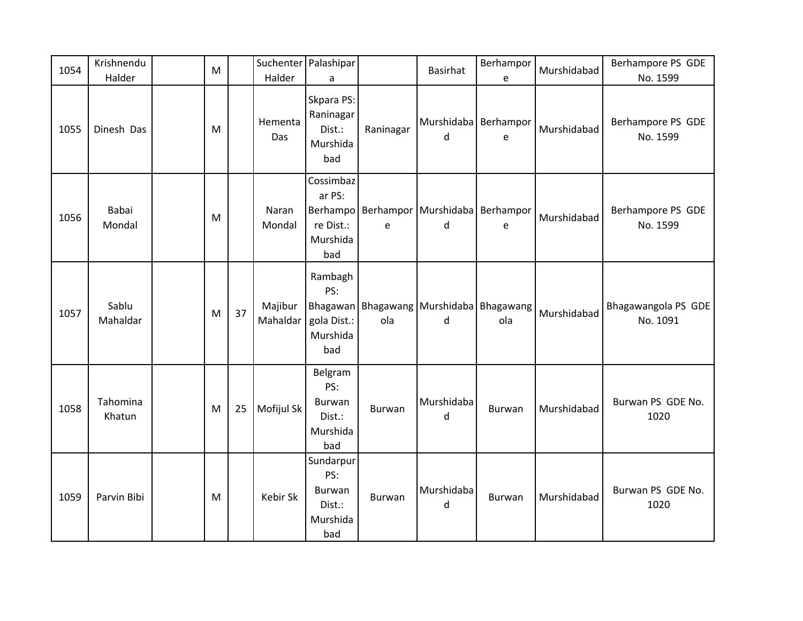| 1054 | Krishnendu<br>Halder | M |    | Halder              | Suchenter Palashipar<br>a                                       |               | <b>Basirhat</b>                                    | Berhampor<br>e | Murshidabad | Berhampore PS GDE<br>No. 1599   |
|------|----------------------|---|----|---------------------|-----------------------------------------------------------------|---------------|----------------------------------------------------|----------------|-------------|---------------------------------|
| 1055 | Dinesh Das           | M |    | Hementa<br>Das      | Skpara PS:<br>Raninagar<br>Dist.:<br>Murshida<br>bad            | Raninagar     | Murshidaba   Berhampor<br>d                        | $\mathsf e$    | Murshidabad | Berhampore PS GDE<br>No. 1599   |
| 1056 | Babai<br>Mondal      | M |    | Naran<br>Mondal     | Cossimbaz<br>ar PS:<br>Berhampo<br>re Dist.:<br>Murshida<br>bad | e             | Berhampor Murshidaba Berhampor<br>d                | e              | Murshidabad | Berhampore PS GDE<br>No. 1599   |
| 1057 | Sablu<br>Mahaldar    | M | 37 | Majibur<br>Mahaldar | Rambagh<br>PS:<br>gola Dist.:<br>Murshida<br>bad                | ola           | Bhagawan   Bhagawang   Murshidaba   Bhagawang<br>d | ola            | Murshidabad | Bhagawangola PS GDE<br>No. 1091 |
| 1058 | Tahomina<br>Khatun   | M | 25 | Mofijul Sk          | Belgram<br>PS:<br><b>Burwan</b><br>Dist.:<br>Murshida<br>bad    | <b>Burwan</b> | Murshidaba<br>d                                    | Burwan         | Murshidabad | Burwan PS GDE No.<br>1020       |
| 1059 | Parvin Bibi          | M |    | Kebir Sk            | Sundarpur<br>PS:<br>Burwan<br>Dist.:<br>Murshida<br>bad         | Burwan        | Murshidaba<br>d                                    | Burwan         | Murshidabad | Burwan PS GDE No.<br>1020       |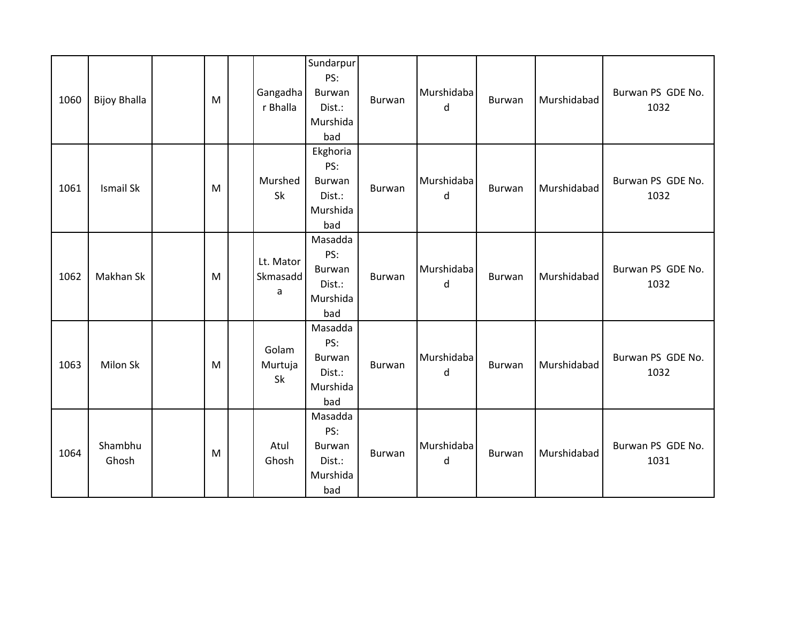| 1060 | <b>Bijoy Bhalla</b> | M | Gangadha<br>r Bhalla       | Sundarpur<br>PS:<br>Burwan<br>Dist.:<br>Murshida<br>bad      | Burwan | Murshidaba<br>d | Burwan | Murshidabad | Burwan PS GDE No.<br>1032 |
|------|---------------------|---|----------------------------|--------------------------------------------------------------|--------|-----------------|--------|-------------|---------------------------|
| 1061 | <b>Ismail Sk</b>    | M | Murshed<br>Sk              | Ekghoria<br>PS:<br>Burwan<br>Dist.:<br>Murshida<br>bad       | Burwan | Murshidaba<br>d | Burwan | Murshidabad | Burwan PS GDE No.<br>1032 |
| 1062 | Makhan Sk           | M | Lt. Mator<br>Skmasadd<br>a | Masadda<br>PS:<br><b>Burwan</b><br>Dist.:<br>Murshida<br>bad | Burwan | Murshidaba<br>d | Burwan | Murshidabad | Burwan PS GDE No.<br>1032 |
| 1063 | Milon Sk            | M | Golam<br>Murtuja<br>Sk     | Masadda<br>PS:<br>Burwan<br>Dist.:<br>Murshida<br>bad        | Burwan | Murshidaba<br>d | Burwan | Murshidabad | Burwan PS GDE No.<br>1032 |
| 1064 | Shambhu<br>Ghosh    | M | Atul<br>Ghosh              | Masadda<br>PS:<br>Burwan<br>Dist.:<br>Murshida<br>bad        | Burwan | Murshidaba<br>d | Burwan | Murshidabad | Burwan PS GDE No.<br>1031 |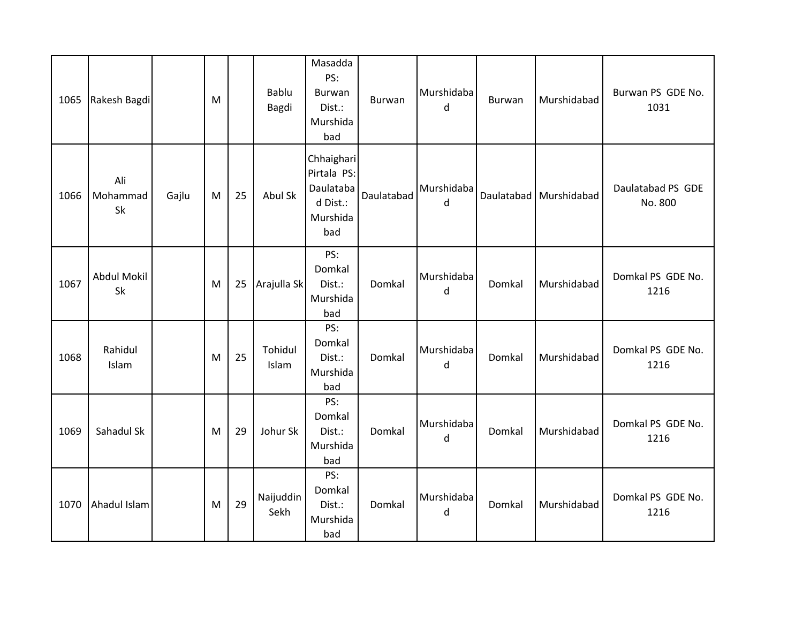| 1065 | Rakesh Bagdi             |       | M |    | Bablu<br>Bagdi    | Masadda<br>PS:<br>Burwan<br>Dist.:<br>Murshida<br>bad                 | Burwan     | Murshidaba<br>d | Burwan | Murshidabad            | Burwan PS GDE No.<br>1031    |
|------|--------------------------|-------|---|----|-------------------|-----------------------------------------------------------------------|------------|-----------------|--------|------------------------|------------------------------|
| 1066 | Ali<br>Mohammad<br>Sk    | Gajlu | M | 25 | Abul Sk           | Chhaighari<br>Pirtala PS:<br>Daulataba<br>d Dist.:<br>Murshida<br>bad | Daulatabad | Murshidaba<br>d |        | Daulatabad Murshidabad | Daulatabad PS GDE<br>No. 800 |
| 1067 | <b>Abdul Mokil</b><br>Sk |       | M | 25 | Arajulla Sk       | PS:<br>Domkal<br>Dist.:<br>Murshida<br>bad                            | Domkal     | Murshidaba<br>d | Domkal | Murshidabad            | Domkal PS GDE No.<br>1216    |
| 1068 | Rahidul<br>Islam         |       | M | 25 | Tohidul<br>Islam  | PS:<br>Domkal<br>Dist.:<br>Murshida<br>bad                            | Domkal     | Murshidaba<br>d | Domkal | Murshidabad            | Domkal PS GDE No.<br>1216    |
| 1069 | Sahadul Sk               |       | M | 29 | Johur Sk          | PS:<br>Domkal<br>Dist.:<br>Murshida<br>bad                            | Domkal     | Murshidaba<br>d | Domkal | Murshidabad            | Domkal PS GDE No.<br>1216    |
| 1070 | Ahadul Islam             |       | M | 29 | Naijuddin<br>Sekh | PS:<br>Domkal<br>Dist.:<br>Murshida<br>bad                            | Domkal     | Murshidaba<br>d | Domkal | Murshidabad            | Domkal PS GDE No.<br>1216    |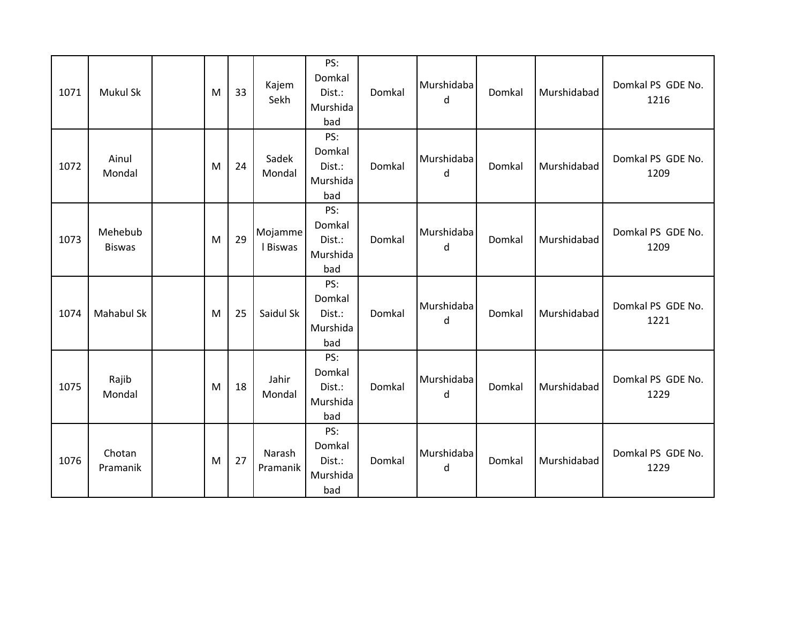| 1071 | Mukul Sk                 | M | 33 | Kajem<br>Sekh       | PS:<br>Domkal<br>Dist.:<br>Murshida<br>bad | Domkal | Murshidaba<br>d | Domkal | Murshidabad | Domkal PS GDE No.<br>1216 |
|------|--------------------------|---|----|---------------------|--------------------------------------------|--------|-----------------|--------|-------------|---------------------------|
| 1072 | Ainul<br>Mondal          | M | 24 | Sadek<br>Mondal     | PS:<br>Domkal<br>Dist.:<br>Murshida<br>bad | Domkal | Murshidaba<br>d | Domkal | Murshidabad | Domkal PS GDE No.<br>1209 |
| 1073 | Mehebub<br><b>Biswas</b> | M | 29 | Mojamme<br>I Biswas | PS:<br>Domkal<br>Dist.:<br>Murshida<br>bad | Domkal | Murshidaba<br>d | Domkal | Murshidabad | Domkal PS GDE No.<br>1209 |
| 1074 | Mahabul Sk               | M | 25 | Saidul Sk           | PS:<br>Domkal<br>Dist.:<br>Murshida<br>bad | Domkal | Murshidaba<br>d | Domkal | Murshidabad | Domkal PS GDE No.<br>1221 |
| 1075 | Rajib<br>Mondal          | M | 18 | Jahir<br>Mondal     | PS:<br>Domkal<br>Dist.:<br>Murshida<br>bad | Domkal | Murshidaba<br>d | Domkal | Murshidabad | Domkal PS GDE No.<br>1229 |
| 1076 | Chotan<br>Pramanik       | M | 27 | Narash<br>Pramanik  | PS:<br>Domkal<br>Dist.:<br>Murshida<br>bad | Domkal | Murshidaba<br>d | Domkal | Murshidabad | Domkal PS GDE No.<br>1229 |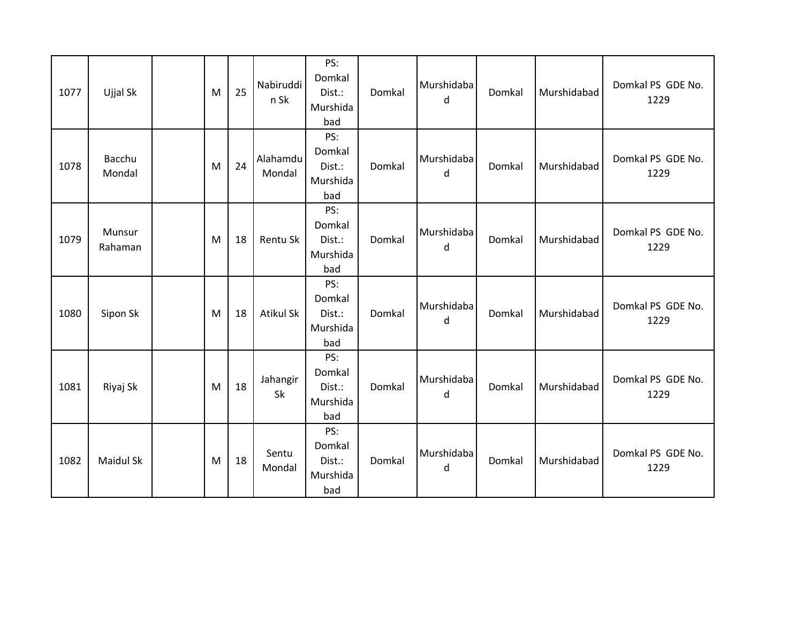| 1077 | Ujjal Sk          | M | 25 | Nabiruddi<br>n Sk  | PS:<br>Domkal<br>Dist.:<br>Murshida<br>bad | Domkal | Murshidaba<br>d | Domkal | Murshidabad | Domkal PS GDE No.<br>1229 |
|------|-------------------|---|----|--------------------|--------------------------------------------|--------|-----------------|--------|-------------|---------------------------|
| 1078 | Bacchu<br>Mondal  | M | 24 | Alahamdu<br>Mondal | PS:<br>Domkal<br>Dist.:<br>Murshida<br>bad | Domkal | Murshidaba<br>d | Domkal | Murshidabad | Domkal PS GDE No.<br>1229 |
| 1079 | Munsur<br>Rahaman | M | 18 | Rentu Sk           | PS:<br>Domkal<br>Dist.:<br>Murshida<br>bad | Domkal | Murshidaba<br>d | Domkal | Murshidabad | Domkal PS GDE No.<br>1229 |
| 1080 | Sipon Sk          | M | 18 | <b>Atikul Sk</b>   | PS:<br>Domkal<br>Dist.:<br>Murshida<br>bad | Domkal | Murshidaba<br>d | Domkal | Murshidabad | Domkal PS GDE No.<br>1229 |
| 1081 | Riyaj Sk          | M | 18 | Jahangir<br>Sk     | PS:<br>Domkal<br>Dist.:<br>Murshida<br>bad | Domkal | Murshidaba<br>d | Domkal | Murshidabad | Domkal PS GDE No.<br>1229 |
| 1082 | Maidul Sk         | M | 18 | Sentu<br>Mondal    | PS:<br>Domkal<br>Dist.:<br>Murshida<br>bad | Domkal | Murshidaba<br>d | Domkal | Murshidabad | Domkal PS GDE No.<br>1229 |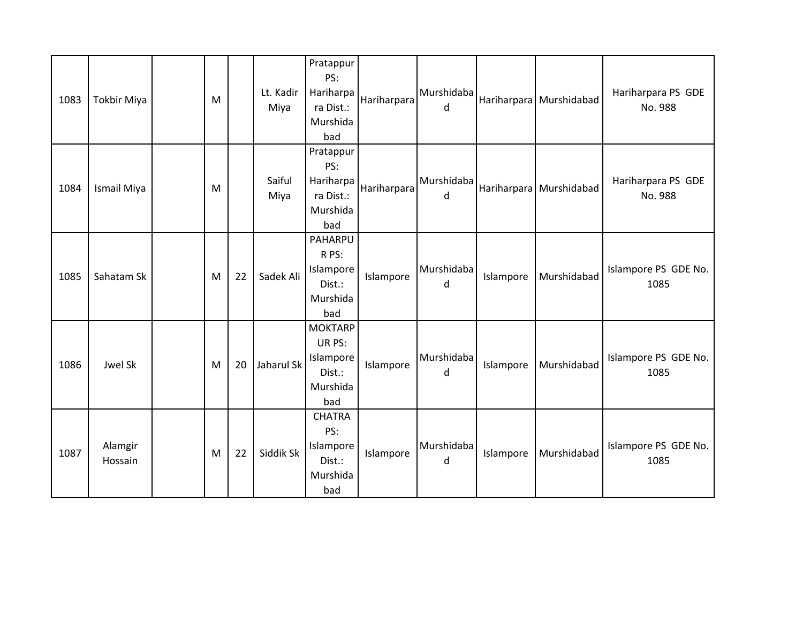| 1083 | Tokbir Miya        | M |    | Lt. Kadir<br>Miya | Pratappur<br>PS:<br>Hariharpa<br>ra Dist.:<br>Murshida<br>bad      | Hariharpara | Murshidaba<br>d |           | Hariharpara Murshidabad | Hariharpara PS GDE<br>No. 988 |
|------|--------------------|---|----|-------------------|--------------------------------------------------------------------|-------------|-----------------|-----------|-------------------------|-------------------------------|
| 1084 | Ismail Miya        | M |    | Saiful<br>Miya    | Pratappur<br>PS:<br>Hariharpa<br>ra Dist.:<br>Murshida<br>bad      | Hariharpara | Murshidaba<br>d |           | Hariharpara Murshidabad | Hariharpara PS GDE<br>No. 988 |
| 1085 | Sahatam Sk         | M | 22 | Sadek Ali         | PAHARPU<br>R PS:<br>Islampore<br>Dist.:<br>Murshida<br>bad         | Islampore   | Murshidaba<br>d | Islampore | Murshidabad             | Islampore PS GDE No.<br>1085  |
| 1086 | Jwel Sk            | M | 20 | Jaharul Sk        | <b>MOKTARP</b><br>UR PS:<br>Islampore<br>Dist.:<br>Murshida<br>bad | Islampore   | Murshidaba<br>d | Islampore | Murshidabad             | Islampore PS GDE No.<br>1085  |
| 1087 | Alamgir<br>Hossain | M | 22 | Siddik Sk         | <b>CHATRA</b><br>PS:<br>Islampore<br>Dist.:<br>Murshida<br>bad     | Islampore   | Murshidaba<br>d | Islampore | Murshidabad             | Islampore PS GDE No.<br>1085  |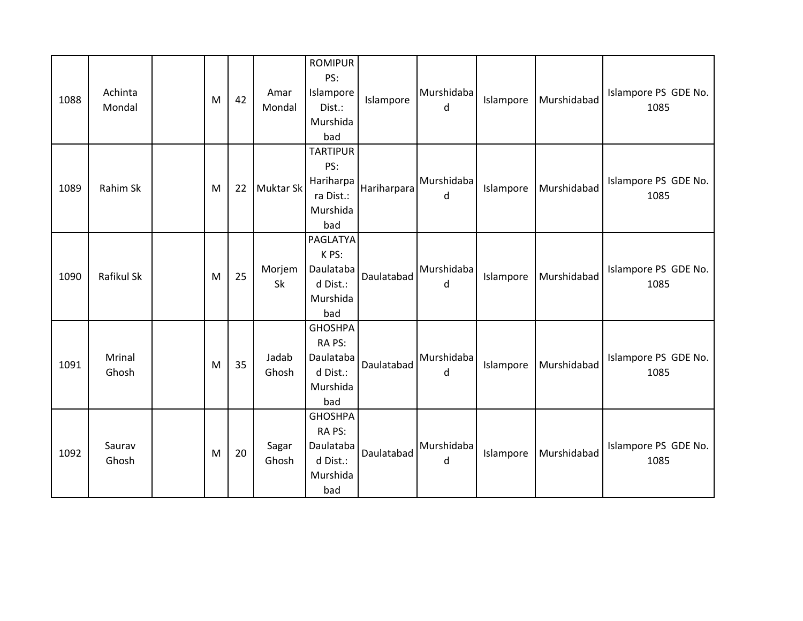| 1088 | Achinta<br>Mondal | M | 42 | Amar<br>Mondal | <b>ROMIPUR</b><br>PS:<br>Islampore<br>Dist.:<br>Murshida<br>bad      | Islampore   | Murshidaba<br>d | Islampore | Murshidabad | Islampore PS GDE No.<br>1085 |
|------|-------------------|---|----|----------------|----------------------------------------------------------------------|-------------|-----------------|-----------|-------------|------------------------------|
| 1089 | Rahim Sk          | M | 22 | Muktar Sk      | <b>TARTIPUR</b><br>PS:<br>Hariharpa<br>ra Dist.:<br>Murshida<br>bad  | Hariharpara | Murshidaba<br>d | Islampore | Murshidabad | Islampore PS GDE No.<br>1085 |
| 1090 | Rafikul Sk        | M | 25 | Morjem<br>Sk   | PAGLATYA<br>K PS:<br>Daulataba<br>d Dist.:<br>Murshida<br>bad        | Daulatabad  | Murshidaba<br>d | Islampore | Murshidabad | Islampore PS GDE No.<br>1085 |
| 1091 | Mrinal<br>Ghosh   | M | 35 | Jadab<br>Ghosh | <b>GHOSHPA</b><br>RA PS:<br>Daulataba<br>d Dist.:<br>Murshida<br>bad | Daulatabad  | Murshidaba<br>d | Islampore | Murshidabad | Islampore PS GDE No.<br>1085 |
| 1092 | Saurav<br>Ghosh   | M | 20 | Sagar<br>Ghosh | <b>GHOSHPA</b><br>RA PS:<br>Daulataba<br>d Dist.:<br>Murshida<br>bad | Daulatabad  | Murshidaba<br>d | Islampore | Murshidabad | Islampore PS GDE No.<br>1085 |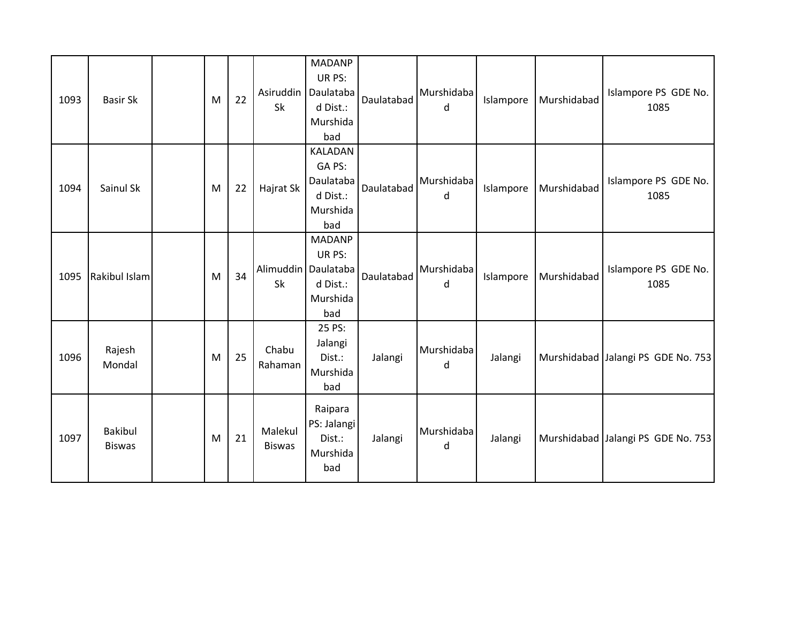| 1093 | <b>Basir Sk</b>                 | M | 22 | Sk                          | <b>MADANP</b><br>UR PS:<br>Asiruddin   Daulataba<br>d Dist.:<br>Murshida<br>bad | Daulatabad | Murshidaba<br>d | Islampore | Murshidabad | Islampore PS GDE No.<br>1085       |
|------|---------------------------------|---|----|-----------------------------|---------------------------------------------------------------------------------|------------|-----------------|-----------|-------------|------------------------------------|
| 1094 | Sainul Sk                       | M | 22 | Hajrat Sk                   | KALADAN<br>GA PS:<br>Daulataba<br>d Dist.:<br>Murshida<br>bad                   | Daulatabad | Murshidaba<br>d | Islampore | Murshidabad | Islampore PS GDE No.<br>1085       |
| 1095 | Rakibul Islam                   | M | 34 | Alimuddin   Daulataba<br>Sk | <b>MADANP</b><br>UR PS:<br>d Dist.:<br>Murshida<br>bad                          | Daulatabad | Murshidaba<br>d | Islampore | Murshidabad | Islampore PS GDE No.<br>1085       |
| 1096 | Rajesh<br>Mondal                | M | 25 | Chabu<br>Rahaman            | 25 PS:<br>Jalangi<br>Dist.:<br>Murshida<br>bad                                  | Jalangi    | Murshidaba<br>d | Jalangi   |             | Murshidabad Jalangi PS GDE No. 753 |
| 1097 | <b>Bakibul</b><br><b>Biswas</b> | M | 21 | Malekul<br><b>Biswas</b>    | Raipara<br>PS: Jalangi<br>Dist.:<br>Murshida<br>bad                             | Jalangi    | Murshidaba<br>d | Jalangi   |             | Murshidabad Jalangi PS GDE No. 753 |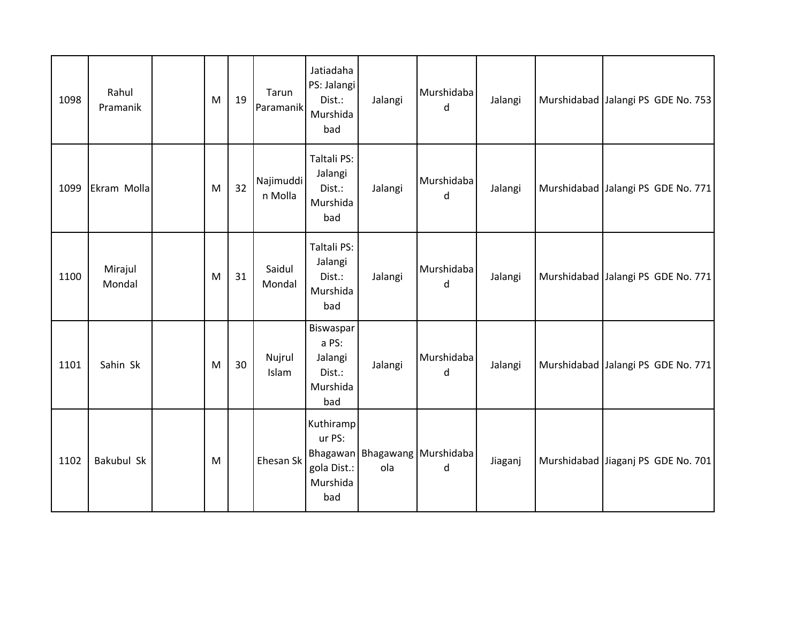| 1098 | Rahul<br>Pramanik | M | 19 | Tarun<br>Paramanik   | Jatiadaha<br>PS: Jalangi<br>Dist.:<br>Murshida<br>bad      | Jalangi | Murshidaba<br>d                    | Jalangi | Murshidabad Jalangi PS GDE No. 753 |
|------|-------------------|---|----|----------------------|------------------------------------------------------------|---------|------------------------------------|---------|------------------------------------|
| 1099 | Ekram Molla       | M | 32 | Najimuddi<br>n Molla | Taltali PS:<br>Jalangi<br>Dist.:<br>Murshida<br>bad        | Jalangi | Murshidaba<br>d                    | Jalangi | Murshidabad Jalangi PS GDE No. 771 |
| 1100 | Mirajul<br>Mondal | M | 31 | Saidul<br>Mondal     | Taltali PS:<br>Jalangi<br>Dist.:<br>Murshida<br>bad        | Jalangi | Murshidaba<br>d                    | Jalangi | Murshidabad Jalangi PS GDE No. 771 |
| 1101 | Sahin Sk          | M | 30 | Nujrul<br>Islam      | Biswaspar<br>a PS:<br>Jalangi<br>Dist.:<br>Murshida<br>bad | Jalangi | Murshidaba<br>d                    | Jalangi | Murshidabad Jalangi PS GDE No. 771 |
| 1102 | Bakubul Sk        | M |    | Ehesan Sk            | Kuthiramp<br>ur PS:<br>gola Dist.:<br>Murshida<br>bad      | ola     | Bhagawan Bhagawang Murshidaba<br>d | Jiaganj | Murshidabad Jiaganj PS GDE No. 701 |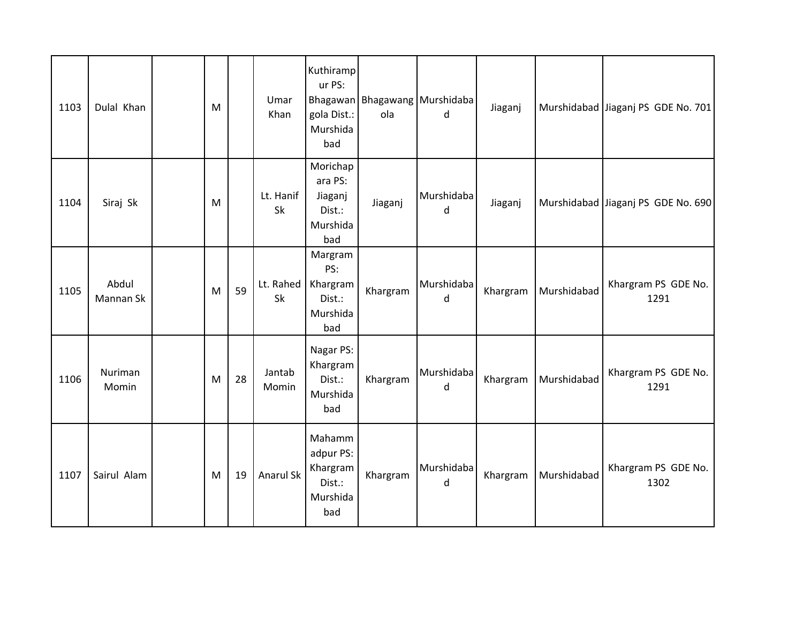| 1103 | Dulal Khan         | M |    | Umar<br>Khan    | Kuthiramp<br>ur PS:<br>gola Dist.:<br>Murshida<br>bad        | ola      | Bhagawan Bhagawang Murshidaba<br>d | Jiaganj  |             | Murshidabad Jiaganj PS GDE No. 701 |
|------|--------------------|---|----|-----------------|--------------------------------------------------------------|----------|------------------------------------|----------|-------------|------------------------------------|
| 1104 | Siraj Sk           | M |    | Lt. Hanif<br>Sk | Morichap<br>ara PS:<br>Jiaganj<br>Dist.:<br>Murshida<br>bad  | Jiaganj  | Murshidaba<br>d                    | Jiaganj  |             | Murshidabad Jiaganj PS GDE No. 690 |
| 1105 | Abdul<br>Mannan Sk | M | 59 | Lt. Rahed<br>Sk | Margram<br>PS:<br>Khargram<br>Dist.:<br>Murshida<br>bad      | Khargram | Murshidaba<br>d                    | Khargram | Murshidabad | Khargram PS GDE No.<br>1291        |
| 1106 | Nuriman<br>Momin   | M | 28 | Jantab<br>Momin | Nagar PS:<br>Khargram<br>Dist.:<br>Murshida<br>bad           | Khargram | Murshidaba<br>d                    | Khargram | Murshidabad | Khargram PS GDE No.<br>1291        |
| 1107 | Sairul Alam        | M | 19 | Anarul Sk       | Mahamm<br>adpur PS:<br>Khargram<br>Dist.:<br>Murshida<br>bad | Khargram | Murshidaba<br>d                    | Khargram | Murshidabad | Khargram PS GDE No.<br>1302        |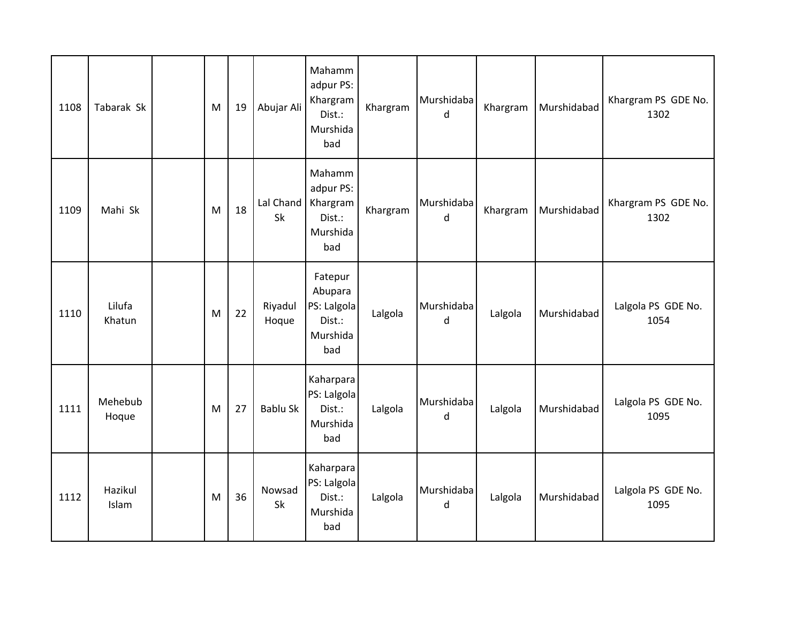| 1108 | Tabarak Sk       | M | 19 | Abujar Ali       | Mahamm<br>adpur PS:<br>Khargram<br>Dist.:<br>Murshida<br>bad   | Khargram | Murshidaba<br>d | Khargram | Murshidabad | Khargram PS GDE No.<br>1302 |
|------|------------------|---|----|------------------|----------------------------------------------------------------|----------|-----------------|----------|-------------|-----------------------------|
| 1109 | Mahi Sk          | M | 18 | Lal Chand<br>Sk  | Mahamm<br>adpur PS:<br>Khargram<br>Dist.:<br>Murshida<br>bad   | Khargram | Murshidaba<br>d | Khargram | Murshidabad | Khargram PS GDE No.<br>1302 |
| 1110 | Lilufa<br>Khatun | M | 22 | Riyadul<br>Hoque | Fatepur<br>Abupara<br>PS: Lalgola<br>Dist.:<br>Murshida<br>bad | Lalgola  | Murshidaba<br>d | Lalgola  | Murshidabad | Lalgola PS GDE No.<br>1054  |
| 1111 | Mehebub<br>Hoque | M | 27 | Bablu Sk         | Kaharpara<br>PS: Lalgola<br>Dist.:<br>Murshida<br>bad          | Lalgola  | Murshidaba<br>d | Lalgola  | Murshidabad | Lalgola PS GDE No.<br>1095  |
| 1112 | Hazikul<br>Islam | M | 36 | Nowsad<br>Sk     | Kaharpara<br>PS: Lalgola<br>Dist.:<br>Murshida<br>bad          | Lalgola  | Murshidaba<br>d | Lalgola  | Murshidabad | Lalgola PS GDE No.<br>1095  |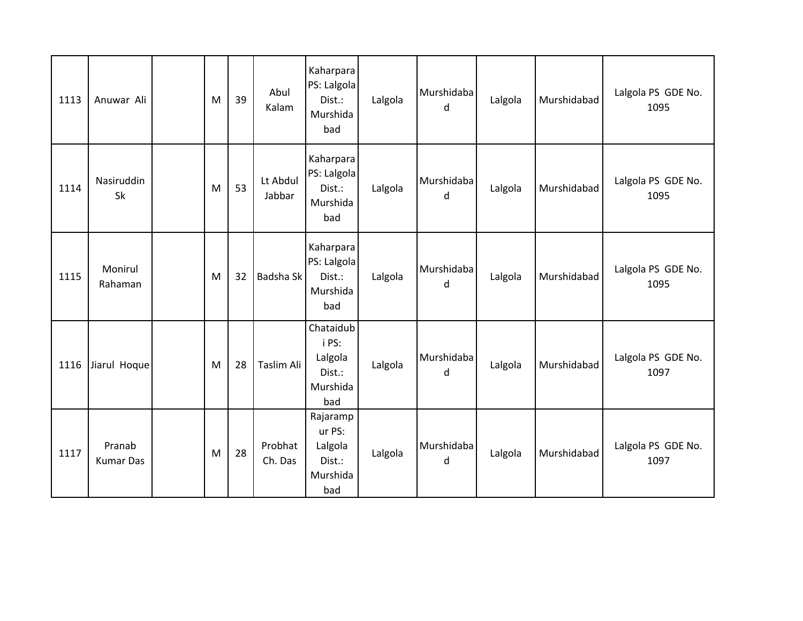| 1113 | Anuwar Ali                 | M | 39 | Abul<br>Kalam      | Kaharpara<br>PS: Lalgola<br>Dist.:<br>Murshida<br>bad      | Lalgola | Murshidaba<br>d | Lalgola | Murshidabad | Lalgola PS GDE No.<br>1095 |
|------|----------------------------|---|----|--------------------|------------------------------------------------------------|---------|-----------------|---------|-------------|----------------------------|
| 1114 | Nasiruddin<br>Sk           | M | 53 | Lt Abdul<br>Jabbar | Kaharpara<br>PS: Lalgola<br>Dist.:<br>Murshida<br>bad      | Lalgola | Murshidaba<br>d | Lalgola | Murshidabad | Lalgola PS GDE No.<br>1095 |
| 1115 | Monirul<br>Rahaman         | M | 32 | Badsha Sk          | Kaharpara<br>PS: Lalgola<br>Dist.:<br>Murshida<br>bad      | Lalgola | Murshidaba<br>d | Lalgola | Murshidabad | Lalgola PS GDE No.<br>1095 |
| 1116 | Jiarul Hoque               | M | 28 | Taslim Ali         | Chataidub<br>i PS:<br>Lalgola<br>Dist.:<br>Murshida<br>bad | Lalgola | Murshidaba<br>d | Lalgola | Murshidabad | Lalgola PS GDE No.<br>1097 |
| 1117 | Pranab<br><b>Kumar Das</b> | M | 28 | Probhat<br>Ch. Das | Rajaramp<br>ur PS:<br>Lalgola<br>Dist.:<br>Murshida<br>bad | Lalgola | Murshidaba<br>d | Lalgola | Murshidabad | Lalgola PS GDE No.<br>1097 |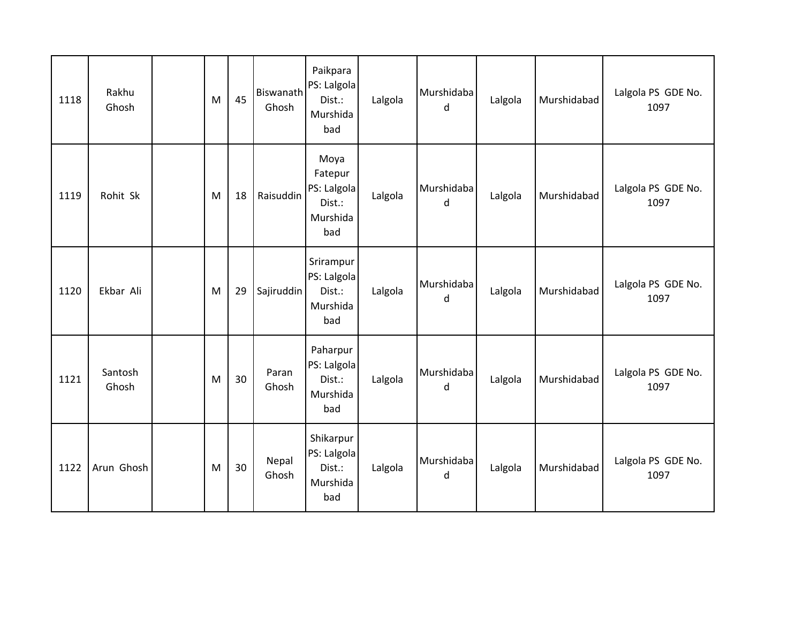| 1118 | Rakhu<br>Ghosh   | M | 45 | Biswanath<br>Ghosh | Paikpara<br>PS: Lalgola<br>Dist.:<br>Murshida<br>bad        | Lalgola | Murshidaba<br>d | Lalgola | Murshidabad | Lalgola PS GDE No.<br>1097 |
|------|------------------|---|----|--------------------|-------------------------------------------------------------|---------|-----------------|---------|-------------|----------------------------|
| 1119 | Rohit Sk         | M | 18 | Raisuddin          | Moya<br>Fatepur<br>PS: Lalgola<br>Dist.:<br>Murshida<br>bad | Lalgola | Murshidaba<br>d | Lalgola | Murshidabad | Lalgola PS GDE No.<br>1097 |
| 1120 | Ekbar Ali        | M | 29 | Sajiruddin         | Srirampur<br>PS: Lalgola<br>Dist.:<br>Murshida<br>bad       | Lalgola | Murshidaba<br>d | Lalgola | Murshidabad | Lalgola PS GDE No.<br>1097 |
| 1121 | Santosh<br>Ghosh | M | 30 | Paran<br>Ghosh     | Paharpur<br>PS: Lalgola<br>Dist.:<br>Murshida<br>bad        | Lalgola | Murshidaba<br>d | Lalgola | Murshidabad | Lalgola PS GDE No.<br>1097 |
| 1122 | Arun Ghosh       | M | 30 | Nepal<br>Ghosh     | Shikarpur<br>PS: Lalgola<br>Dist.:<br>Murshida<br>bad       | Lalgola | Murshidaba<br>d | Lalgola | Murshidabad | Lalgola PS GDE No.<br>1097 |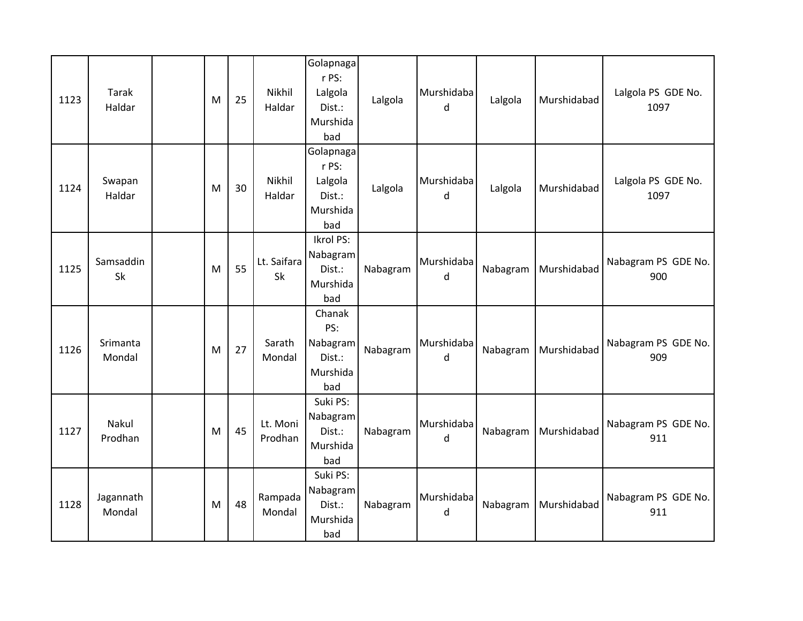| 1123 | Tarak<br>Haldar     | M | 25 | Nikhil<br>Haldar    | Golapnaga<br>r PS:<br>Lalgola<br>Dist.:<br>Murshida<br>bad | Lalgola  | Murshidaba<br>d | Lalgola  | Murshidabad | Lalgola PS GDE No.<br>1097 |
|------|---------------------|---|----|---------------------|------------------------------------------------------------|----------|-----------------|----------|-------------|----------------------------|
| 1124 | Swapan<br>Haldar    | M | 30 | Nikhil<br>Haldar    | Golapnaga<br>r PS:<br>Lalgola<br>Dist.:<br>Murshida<br>bad | Lalgola  | Murshidaba<br>d | Lalgola  | Murshidabad | Lalgola PS GDE No.<br>1097 |
| 1125 | Samsaddin<br>Sk     | M | 55 | Lt. Saifara<br>Sk   | Ikrol PS:<br>Nabagram<br>Dist.:<br>Murshida<br>bad         | Nabagram | Murshidaba<br>d | Nabagram | Murshidabad | Nabagram PS GDE No.<br>900 |
| 1126 | Srimanta<br>Mondal  | M | 27 | Sarath<br>Mondal    | Chanak<br>PS:<br>Nabagram<br>Dist.:<br>Murshida<br>bad     | Nabagram | Murshidaba<br>d | Nabagram | Murshidabad | Nabagram PS GDE No.<br>909 |
| 1127 | Nakul<br>Prodhan    | M | 45 | Lt. Moni<br>Prodhan | Suki PS:<br>Nabagram<br>Dist.:<br>Murshida<br>bad          | Nabagram | Murshidaba<br>d | Nabagram | Murshidabad | Nabagram PS GDE No.<br>911 |
| 1128 | Jagannath<br>Mondal | M | 48 | Rampada<br>Mondal   | Suki PS:<br>Nabagram<br>Dist.:<br>Murshida<br>bad          | Nabagram | Murshidaba<br>d | Nabagram | Murshidabad | Nabagram PS GDE No.<br>911 |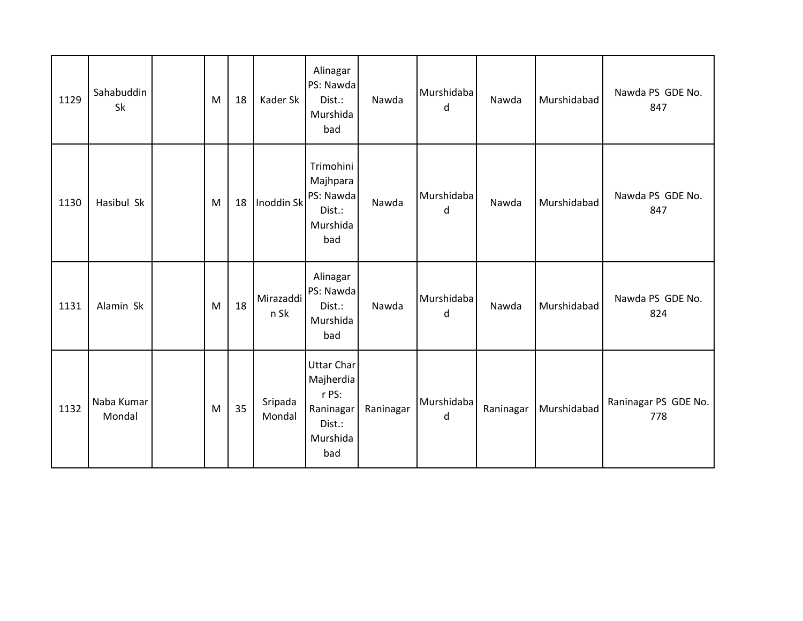| 1129 | Sahabuddin<br>Sk     | M | 18 | Kader Sk          | Alinagar<br>PS: Nawda<br>Dist.:<br>Murshida<br>bad                                | Nawda     | Murshidaba<br>d | Nawda     | Murshidabad | Nawda PS GDE No.<br>847     |
|------|----------------------|---|----|-------------------|-----------------------------------------------------------------------------------|-----------|-----------------|-----------|-------------|-----------------------------|
| 1130 | Hasibul Sk           | M | 18 | Inoddin Sk        | Trimohini<br>Majhpara<br>PS: Nawda<br>Dist.:<br>Murshida<br>bad                   | Nawda     | Murshidaba<br>d | Nawda     | Murshidabad | Nawda PS GDE No.<br>847     |
| 1131 | Alamin Sk            | M | 18 | Mirazaddi<br>n Sk | Alinagar<br>PS: Nawda<br>Dist.:<br>Murshida<br>bad                                | Nawda     | Murshidaba<br>d | Nawda     | Murshidabad | Nawda PS GDE No.<br>824     |
| 1132 | Naba Kumar<br>Mondal | M | 35 | Sripada<br>Mondal | <b>Uttar Char</b><br>Majherdia<br>r PS:<br>Raninagar<br>Dist.:<br>Murshida<br>bad | Raninagar | Murshidaba<br>d | Raninagar | Murshidabad | Raninagar PS GDE No.<br>778 |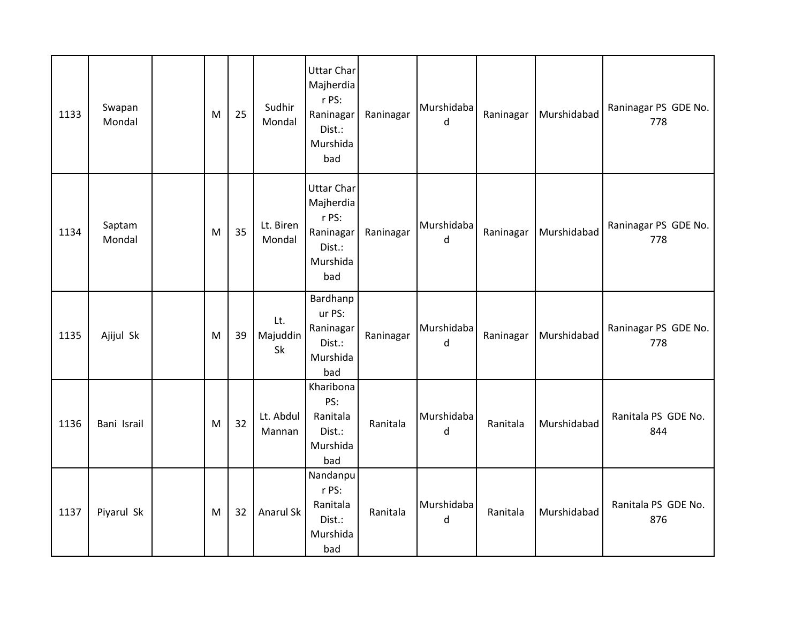| 1133 | Swapan<br>Mondal | M | 25 | Sudhir<br>Mondal      | Uttar Char<br>Majherdia<br>r PS:<br>Raninagar<br>Dist.:<br>Murshida<br>bad | Raninagar | Murshidaba<br>$\mathsf{d}$ | Raninagar | Murshidabad | Raninagar PS GDE No.<br>778 |
|------|------------------|---|----|-----------------------|----------------------------------------------------------------------------|-----------|----------------------------|-----------|-------------|-----------------------------|
| 1134 | Saptam<br>Mondal | M | 35 | Lt. Biren<br>Mondal   | Uttar Char<br>Majherdia<br>r PS:<br>Raninagar<br>Dist.:<br>Murshida<br>bad | Raninagar | Murshidaba<br>d            | Raninagar | Murshidabad | Raninagar PS GDE No.<br>778 |
| 1135 | Ajijul Sk        | M | 39 | Lt.<br>Majuddin<br>Sk | Bardhanp<br>ur PS:<br>Raninagar<br>Dist.:<br>Murshida<br>bad               | Raninagar | Murshidaba<br>$\mathsf{d}$ | Raninagar | Murshidabad | Raninagar PS GDE No.<br>778 |
| 1136 | Bani Israil      | M | 32 | Lt. Abdul<br>Mannan   | Kharibona<br>PS:<br>Ranitala<br>Dist.:<br>Murshida<br>bad                  | Ranitala  | Murshidaba<br>d            | Ranitala  | Murshidabad | Ranitala PS GDE No.<br>844  |
| 1137 | Piyarul Sk       | M | 32 | Anarul Sk             | Nandanpu<br>r PS:<br>Ranitala<br>Dist.:<br>Murshida<br>bad                 | Ranitala  | Murshidaba<br>d            | Ranitala  | Murshidabad | Ranitala PS GDE No.<br>876  |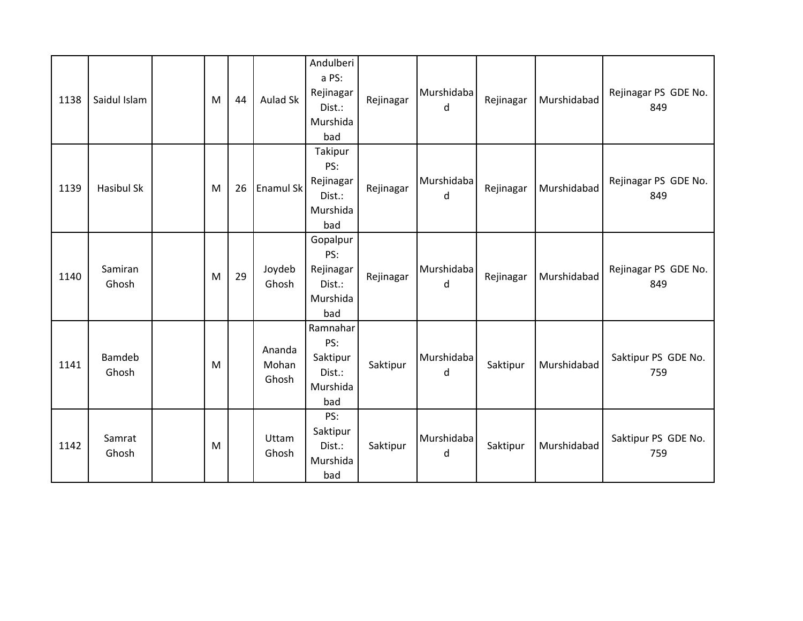| 1138 | Saidul Islam      | M | 44 | <b>Aulad Sk</b>          | Andulberi<br>a PS:<br>Rejinagar<br>Dist.:<br>Murshida<br>bad | Rejinagar | Murshidaba<br>d | Rejinagar | Murshidabad | Rejinagar PS GDE No.<br>849 |
|------|-------------------|---|----|--------------------------|--------------------------------------------------------------|-----------|-----------------|-----------|-------------|-----------------------------|
| 1139 | <b>Hasibul Sk</b> | M | 26 | <b>Enamul Sk</b>         | Takipur<br>PS:<br>Rejinagar<br>Dist.:<br>Murshida<br>bad     | Rejinagar | Murshidaba<br>d | Rejinagar | Murshidabad | Rejinagar PS GDE No.<br>849 |
| 1140 | Samiran<br>Ghosh  | M | 29 | Joydeb<br>Ghosh          | Gopalpur<br>PS:<br>Rejinagar<br>Dist.:<br>Murshida<br>bad    | Rejinagar | Murshidaba<br>d | Rejinagar | Murshidabad | Rejinagar PS GDE No.<br>849 |
| 1141 | Bamdeb<br>Ghosh   | M |    | Ananda<br>Mohan<br>Ghosh | Ramnahar<br>PS:<br>Saktipur<br>Dist.:<br>Murshida<br>bad     | Saktipur  | Murshidaba<br>d | Saktipur  | Murshidabad | Saktipur PS GDE No.<br>759  |
| 1142 | Samrat<br>Ghosh   | M |    | Uttam<br>Ghosh           | PS:<br>Saktipur<br>Dist.:<br>Murshida<br>bad                 | Saktipur  | Murshidaba<br>d | Saktipur  | Murshidabad | Saktipur PS GDE No.<br>759  |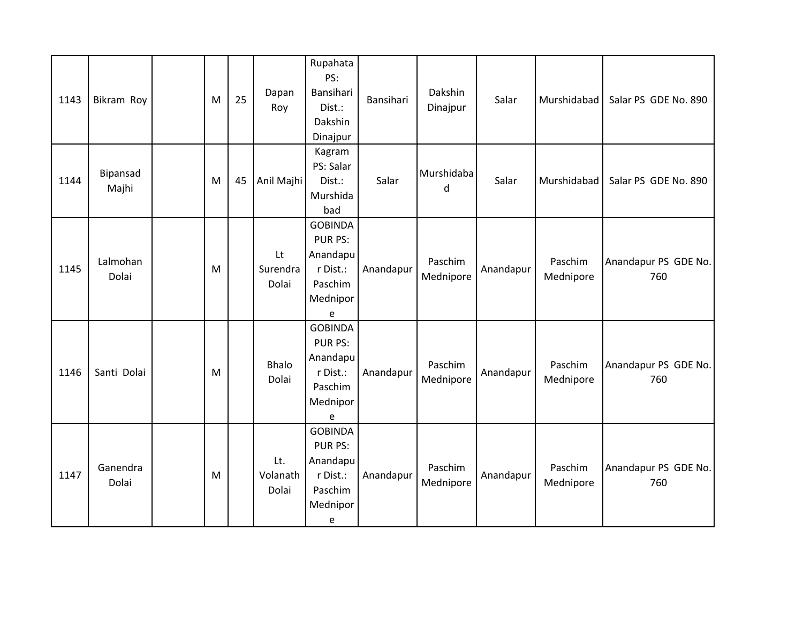| 1143 | Bikram Roy        | M | 25 | Dapan<br>Roy             | Rupahata<br>PS:<br>Bansihari<br>Dist.:<br>Dakshin<br>Dinajpur                        | Bansihari | Dakshin<br>Dinajpur  | Salar     | Murshidabad          | Salar PS GDE No. 890        |
|------|-------------------|---|----|--------------------------|--------------------------------------------------------------------------------------|-----------|----------------------|-----------|----------------------|-----------------------------|
| 1144 | Bipansad<br>Majhi | M | 45 | Anil Majhi               | Kagram<br>PS: Salar<br>Dist.:<br>Murshida<br>bad                                     | Salar     | Murshidaba<br>d      | Salar     | Murshidabad          | Salar PS GDE No. 890        |
| 1145 | Lalmohan<br>Dolai | M |    | Lt<br>Surendra<br>Dolai  | <b>GOBINDA</b><br><b>PUR PS:</b><br>Anandapu<br>r Dist.:<br>Paschim<br>Mednipor<br>e | Anandapur | Paschim<br>Mednipore | Anandapur | Paschim<br>Mednipore | Anandapur PS GDE No.<br>760 |
| 1146 | Santi Dolai       | M |    | Bhalo<br>Dolai           | <b>GOBINDA</b><br><b>PUR PS:</b><br>Anandapu<br>r Dist.:<br>Paschim<br>Mednipor<br>e | Anandapur | Paschim<br>Mednipore | Anandapur | Paschim<br>Mednipore | Anandapur PS GDE No.<br>760 |
| 1147 | Ganendra<br>Dolai | M |    | Lt.<br>Volanath<br>Dolai | <b>GOBINDA</b><br>PUR PS:<br>Anandapu<br>r Dist.:<br>Paschim<br>Mednipor<br>e        | Anandapur | Paschim<br>Mednipore | Anandapur | Paschim<br>Mednipore | Anandapur PS GDE No.<br>760 |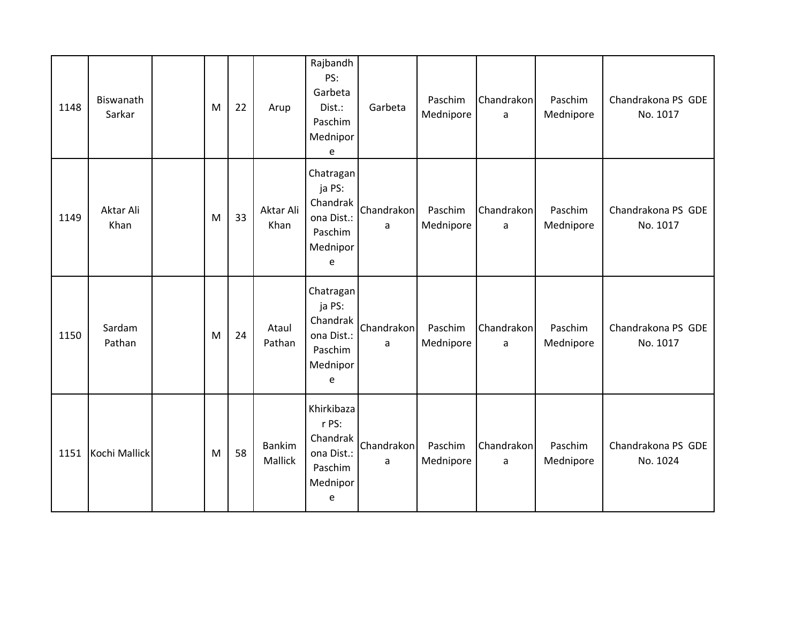| 1148 | Biswanath<br>Sarkar | M | 22 | Arup                     | Rajbandh<br>PS:<br>Garbeta<br>Dist.:<br>Paschim<br>Mednipor<br>e          | Garbeta         | Paschim<br>Mednipore | Chandrakon<br>a            | Paschim<br>Mednipore | Chandrakona PS GDE<br>No. 1017 |
|------|---------------------|---|----|--------------------------|---------------------------------------------------------------------------|-----------------|----------------------|----------------------------|----------------------|--------------------------------|
| 1149 | Aktar Ali<br>Khan   | M | 33 | Aktar Ali<br>Khan        | Chatragan<br>ja PS:<br>Chandrak<br>ona Dist.:<br>Paschim<br>Mednipor<br>e | Chandrakon<br>a | Paschim<br>Mednipore | Chandrakon<br>a            | Paschim<br>Mednipore | Chandrakona PS GDE<br>No. 1017 |
| 1150 | Sardam<br>Pathan    | M | 24 | Ataul<br>Pathan          | Chatragan<br>ja PS:<br>Chandrak<br>ona Dist.:<br>Paschim<br>Mednipor<br>e | Chandrakon<br>a | Paschim<br>Mednipore | Chandrakon<br>a            | Paschim<br>Mednipore | Chandrakona PS GDE<br>No. 1017 |
| 1151 | Kochi Mallick       | M | 58 | <b>Bankim</b><br>Mallick | Khirkibaza<br>r PS:<br>Chandrak<br>ona Dist.:<br>Paschim<br>Mednipor<br>e | Chandrakon<br>a | Paschim<br>Mednipore | Chandrakon<br>$\mathsf{a}$ | Paschim<br>Mednipore | Chandrakona PS GDE<br>No. 1024 |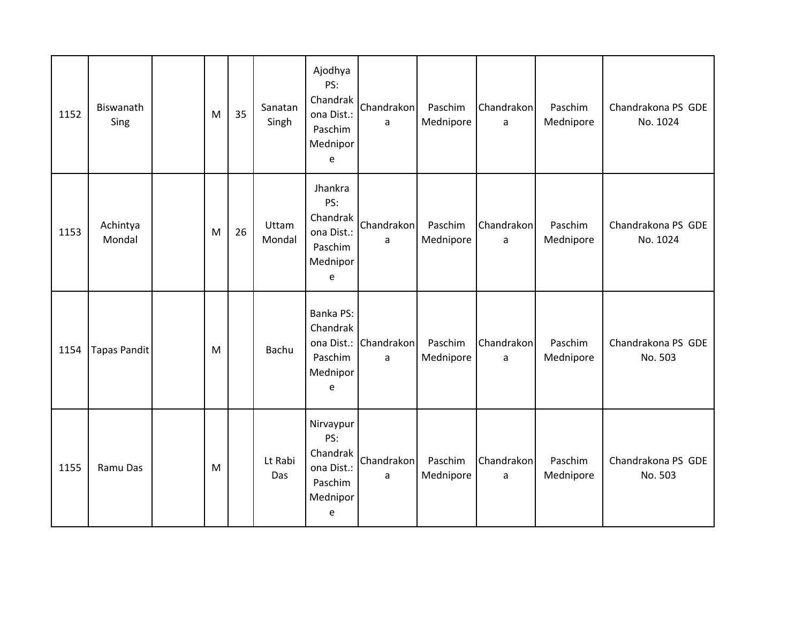| 1152 | Biswanath<br>Sing   | M | 35 | Sanatan<br>Singh | Ajodhya<br>PS:<br>Chandrak<br>ona Dist.:<br>Paschim<br>Mednipor<br>e   | Chandrakon<br>a            | Paschim<br>Mednipore | Chandrakon<br>a | Paschim<br>Mednipore | Chandrakona PS GDE<br>No. 1024 |
|------|---------------------|---|----|------------------|------------------------------------------------------------------------|----------------------------|----------------------|-----------------|----------------------|--------------------------------|
| 1153 | Achintya<br>Mondal  | M | 26 | Uttam<br>Mondal  | Jhankra<br>PS:<br>Chandrak<br>ona Dist.:<br>Paschim<br>Mednipor<br>e   | Chandrakon<br>a            | Paschim<br>Mednipore | Chandrakon<br>a | Paschim<br>Mednipore | Chandrakona PS GDE<br>No. 1024 |
| 1154 | <b>Tapas Pandit</b> | M |    | Bachu            | Banka PS:<br>Chandrak<br>Paschim<br>Mednipor<br>e                      | ona Dist.: Chandrakon<br>a | Paschim<br>Mednipore | Chandrakon<br>a | Paschim<br>Mednipore | Chandrakona PS GDE<br>No. 503  |
| 1155 | Ramu Das            | M |    | Lt Rabi<br>Das   | Nirvaypur<br>PS:<br>Chandrak<br>ona Dist.:<br>Paschim<br>Mednipor<br>e | Chandrakon<br>a            | Paschim<br>Mednipore | Chandrakon<br>a | Paschim<br>Mednipore | Chandrakona PS GDE<br>No. 503  |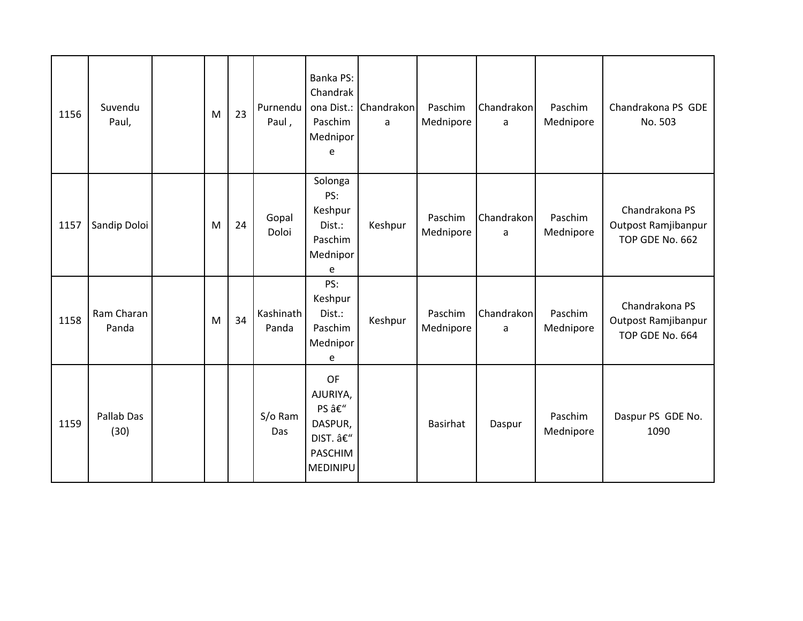| 1156 | Suvendu<br>Paul,    | M | 23 | Purnendu<br>Paul,  | Banka PS:<br>Chandrak<br>ona Dist.:<br>Paschim<br>Mednipor<br>e     | Chandrakon<br>a | Paschim<br>Mednipore | Chandrakon<br>a | Paschim<br>Mednipore | Chandrakona PS GDE<br>No. 503                            |
|------|---------------------|---|----|--------------------|---------------------------------------------------------------------|-----------------|----------------------|-----------------|----------------------|----------------------------------------------------------|
| 1157 | Sandip Doloi        | M | 24 | Gopal<br>Doloi     | Solonga<br>PS:<br>Keshpur<br>Dist.:<br>Paschim<br>Mednipor<br>e     | Keshpur         | Paschim<br>Mednipore | Chandrakon<br>a | Paschim<br>Mednipore | Chandrakona PS<br>Outpost Ramjibanpur<br>TOP GDE No. 662 |
| 1158 | Ram Charan<br>Panda | M | 34 | Kashinath<br>Panda | PS:<br>Keshpur<br>Dist.:<br>Paschim<br>Mednipor<br>e                | Keshpur         | Paschim<br>Mednipore | Chandrakon<br>a | Paschim<br>Mednipore | Chandrakona PS<br>Outpost Ramjibanpur<br>TOP GDE No. 664 |
| 1159 | Pallab Das<br>(30)  |   |    | S/o Ram<br>Das     | OF<br>AJURIYA,<br>PS –<br>DASPUR,<br>DIST. –<br>PASCHIM<br>MEDINIPU |                 | <b>Basirhat</b>      | Daspur          | Paschim<br>Mednipore | Daspur PS GDE No.<br>1090                                |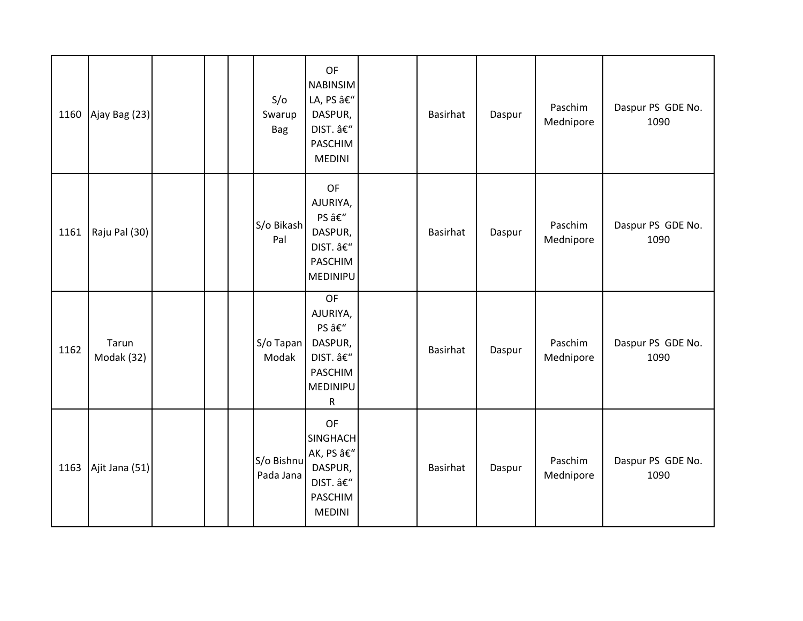| 1160 | Ajay Bag (23)       |  | S/O<br>Swarup<br><b>Bag</b> | OF<br><b>NABINSIM</b><br>LA, PS –<br>DASPUR,<br>DIST. –<br>PASCHIM<br><b>MEDINI</b> | <b>Basirhat</b> | Daspur | Paschim<br>Mednipore | Daspur PS GDE No.<br>1090 |
|------|---------------------|--|-----------------------------|-------------------------------------------------------------------------------------|-----------------|--------|----------------------|---------------------------|
| 1161 | Raju Pal (30)       |  | S/o Bikash<br>Pal           | OF<br>AJURIYA,<br>PS –<br>DASPUR,<br>DIST. –<br>PASCHIM<br><b>MEDINIPU</b>          | <b>Basirhat</b> | Daspur | Paschim<br>Mednipore | Daspur PS GDE No.<br>1090 |
| 1162 | Tarun<br>Modak (32) |  | S/o Tapan<br>Modak          | OF<br>AJURIYA,<br>PS –<br>DASPUR,<br>DIST. –<br>PASCHIM<br>MEDINIPU<br>${\sf R}$    | Basirhat        | Daspur | Paschim<br>Mednipore | Daspur PS GDE No.<br>1090 |
| 1163 | Ajit Jana (51)      |  | S/o Bishnu<br>Pada Jana     | OF<br><b>SINGHACH</b><br>AK, PS –<br>DASPUR,<br>DIST. –<br>PASCHIM<br><b>MEDINI</b> | <b>Basirhat</b> | Daspur | Paschim<br>Mednipore | Daspur PS GDE No.<br>1090 |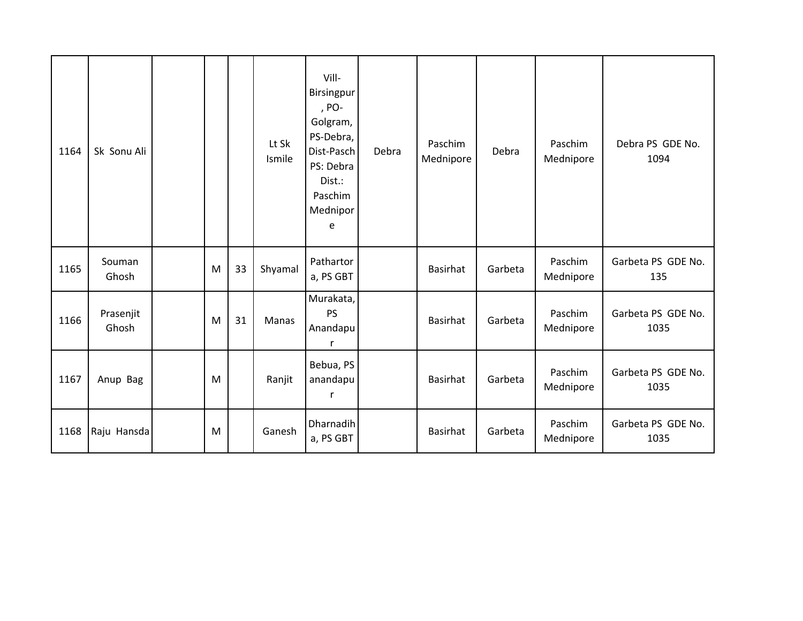| 1164 | Sk Sonu Ali        |   |    | Lt Sk<br>Ismile | Vill-<br>Birsingpur<br>, PO-<br>Golgram,<br>PS-Debra,<br>Dist-Pasch<br>PS: Debra<br>Dist.:<br>Paschim<br>Mednipor<br>e | Debra | Paschim<br>Mednipore | Debra   | Paschim<br>Mednipore | Debra PS GDE No.<br>1094   |
|------|--------------------|---|----|-----------------|------------------------------------------------------------------------------------------------------------------------|-------|----------------------|---------|----------------------|----------------------------|
| 1165 | Souman<br>Ghosh    | M | 33 | Shyamal         | Pathartor<br>a, PS GBT                                                                                                 |       | Basirhat             | Garbeta | Paschim<br>Mednipore | Garbeta PS GDE No.<br>135  |
| 1166 | Prasenjit<br>Ghosh | M | 31 | Manas           | Murakata,<br><b>PS</b><br>Anandapu<br>$\mathsf{r}$                                                                     |       | <b>Basirhat</b>      | Garbeta | Paschim<br>Mednipore | Garbeta PS GDE No.<br>1035 |
| 1167 | Anup Bag           | M |    | Ranjit          | Bebua, PS<br>anandapu<br>$\mathsf{r}$                                                                                  |       | <b>Basirhat</b>      | Garbeta | Paschim<br>Mednipore | Garbeta PS GDE No.<br>1035 |
| 1168 | Raju Hansda        | M |    | Ganesh          | Dharnadih<br>a, PS GBT                                                                                                 |       | Basirhat             | Garbeta | Paschim<br>Mednipore | Garbeta PS GDE No.<br>1035 |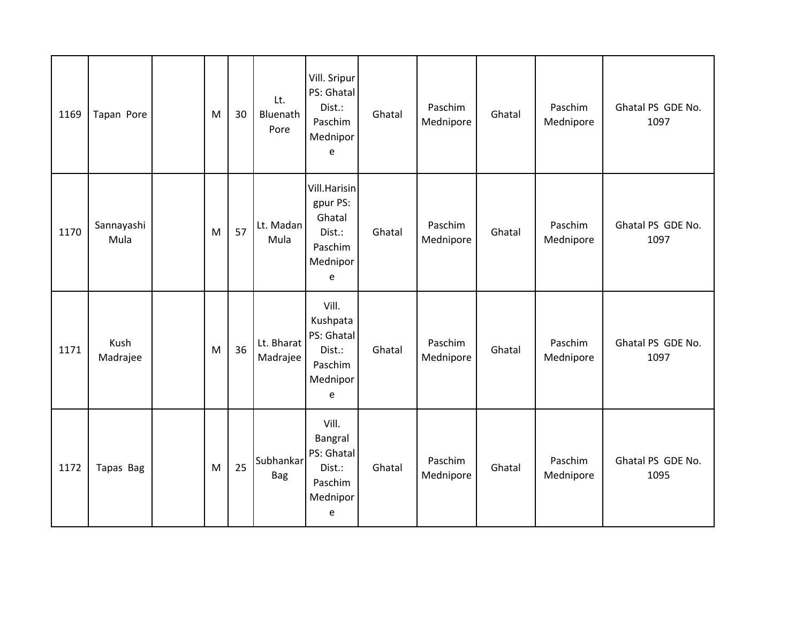| 1169 | Tapan Pore         | M | 30 | Lt.<br>Bluenath<br>Pore | Vill. Sripur<br>PS: Ghatal<br>Dist.:<br>Paschim<br>Mednipor<br>e         | Ghatal | Paschim<br>Mednipore | Ghatal | Paschim<br>Mednipore | Ghatal PS GDE No.<br>1097 |
|------|--------------------|---|----|-------------------------|--------------------------------------------------------------------------|--------|----------------------|--------|----------------------|---------------------------|
| 1170 | Sannayashi<br>Mula | M | 57 | Lt. Madan<br>Mula       | Vill.Harisin<br>gpur PS:<br>Ghatal<br>Dist.:<br>Paschim<br>Mednipor<br>e | Ghatal | Paschim<br>Mednipore | Ghatal | Paschim<br>Mednipore | Ghatal PS GDE No.<br>1097 |
| 1171 | Kush<br>Madrajee   | M | 36 | Lt. Bharat<br>Madrajee  | Vill.<br>Kushpata<br>PS: Ghatal<br>Dist.:<br>Paschim<br>Mednipor<br>e    | Ghatal | Paschim<br>Mednipore | Ghatal | Paschim<br>Mednipore | Ghatal PS GDE No.<br>1097 |
| 1172 | Tapas Bag          | M | 25 | Subhankar<br>Bag        | Vill.<br>Bangral<br>PS: Ghatal<br>Dist.:<br>Paschim<br>Mednipor<br>e     | Ghatal | Paschim<br>Mednipore | Ghatal | Paschim<br>Mednipore | Ghatal PS GDE No.<br>1095 |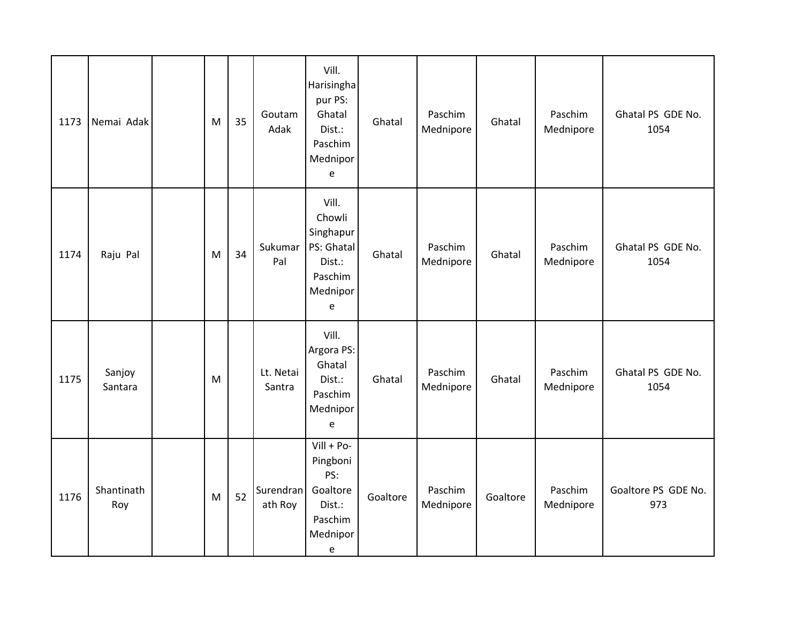| 1173 | Nemai Adak        | M | 35 | Goutam<br>Adak       | Vill.<br>Harisingha<br>pur PS:<br>Ghatal<br>Dist.:<br>Paschim<br>Mednipor<br>e    | Ghatal   | Paschim<br>Mednipore | Ghatal   | Paschim<br>Mednipore | Ghatal PS GDE No.<br>1054  |
|------|-------------------|---|----|----------------------|-----------------------------------------------------------------------------------|----------|----------------------|----------|----------------------|----------------------------|
| 1174 | Raju Pal          | M | 34 | Sukumar<br>Pal       | Vill.<br>Chowli<br>Singhapur<br>PS: Ghatal<br>Dist.:<br>Paschim<br>Mednipor<br>e  | Ghatal   | Paschim<br>Mednipore | Ghatal   | Paschim<br>Mednipore | Ghatal PS GDE No.<br>1054  |
| 1175 | Sanjoy<br>Santara | M |    | Lt. Netai<br>Santra  | Vill.<br>Argora PS:<br>Ghatal<br>Dist.:<br>Paschim<br>Mednipor<br>e               | Ghatal   | Paschim<br>Mednipore | Ghatal   | Paschim<br>Mednipore | Ghatal PS GDE No.<br>1054  |
| 1176 | Shantinath<br>Roy | M | 52 | Surendran<br>ath Roy | $Vill + Po-$<br>Pingboni<br>PS:<br>Goaltore<br>Dist.:<br>Paschim<br>Mednipor<br>e | Goaltore | Paschim<br>Mednipore | Goaltore | Paschim<br>Mednipore | Goaltore PS GDE No.<br>973 |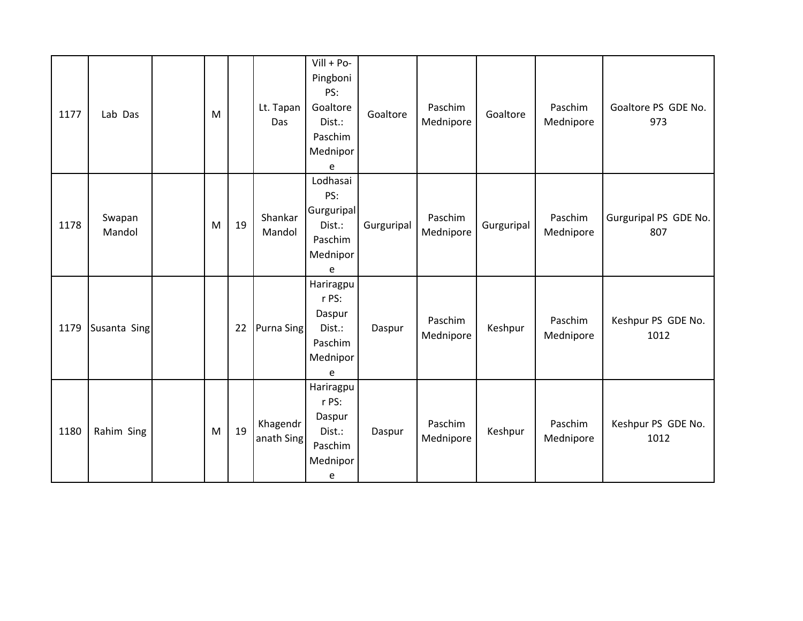| 1177 | Lab Das          | M |    | Lt. Tapan<br>Das       | $Vill + Po-$<br>Pingboni<br>PS:<br>Goaltore<br>Dist.:<br>Paschim<br>Mednipor<br>e | Goaltore   | Paschim<br>Mednipore | Goaltore   | Paschim<br>Mednipore | Goaltore PS GDE No.<br>973   |
|------|------------------|---|----|------------------------|-----------------------------------------------------------------------------------|------------|----------------------|------------|----------------------|------------------------------|
| 1178 | Swapan<br>Mandol | M | 19 | Shankar<br>Mandol      | Lodhasai<br>PS:<br>Gurguripal<br>Dist.:<br>Paschim<br>Mednipor<br>e               | Gurguripal | Paschim<br>Mednipore | Gurguripal | Paschim<br>Mednipore | Gurguripal PS GDE No.<br>807 |
| 1179 | Susanta Sing     |   | 22 | Purna Sing             | Hariragpu<br>r PS:<br>Daspur<br>Dist.:<br>Paschim<br>Mednipor<br>e                | Daspur     | Paschim<br>Mednipore | Keshpur    | Paschim<br>Mednipore | Keshpur PS GDE No.<br>1012   |
| 1180 | Rahim Sing       | M | 19 | Khagendr<br>anath Sing | Hariragpu<br>r PS:<br>Daspur<br>Dist.:<br>Paschim<br>Mednipor<br>e                | Daspur     | Paschim<br>Mednipore | Keshpur    | Paschim<br>Mednipore | Keshpur PS GDE No.<br>1012   |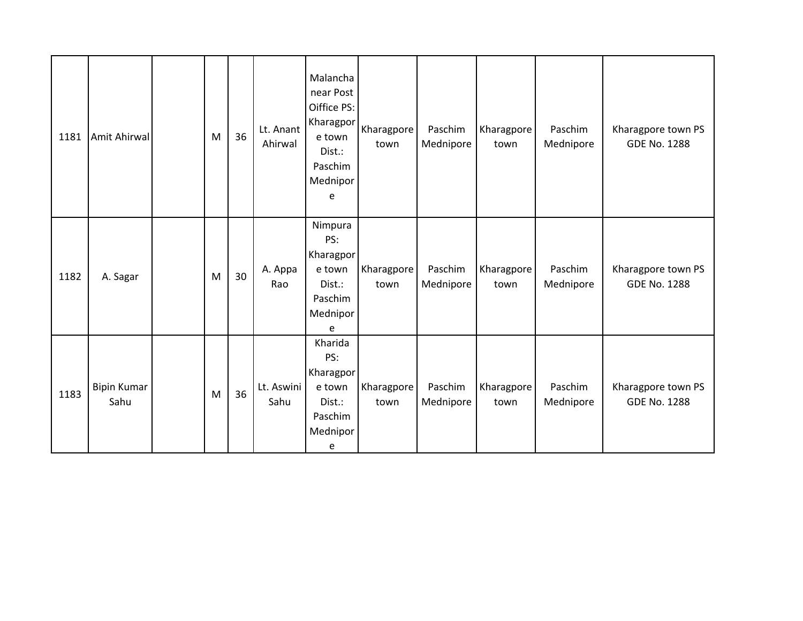| 1181 | Amit Ahirwal               | M | 36 | Lt. Anant<br>Ahirwal | Malancha<br>near Post<br>Oiffice PS:<br>Kharagpor<br>e town<br>Dist.:<br>Paschim<br>Mednipor<br>e | Kharagpore<br>town | Paschim<br>Mednipore | Kharagpore<br>town | Paschim<br>Mednipore | Kharagpore town PS<br><b>GDE No. 1288</b> |
|------|----------------------------|---|----|----------------------|---------------------------------------------------------------------------------------------------|--------------------|----------------------|--------------------|----------------------|-------------------------------------------|
| 1182 | A. Sagar                   | M | 30 | A. Appa<br>Rao       | Nimpura<br>PS:<br>Kharagpor<br>e town<br>Dist.:<br>Paschim<br>Mednipor<br>e                       | Kharagpore<br>town | Paschim<br>Mednipore | Kharagpore<br>town | Paschim<br>Mednipore | Kharagpore town PS<br><b>GDE No. 1288</b> |
| 1183 | <b>Bipin Kumar</b><br>Sahu | M | 36 | Lt. Aswini<br>Sahu   | Kharida<br>PS:<br>Kharagpor<br>e town<br>Dist.:<br>Paschim<br>Mednipor<br>e                       | Kharagpore<br>town | Paschim<br>Mednipore | Kharagpore<br>town | Paschim<br>Mednipore | Kharagpore town PS<br><b>GDE No. 1288</b> |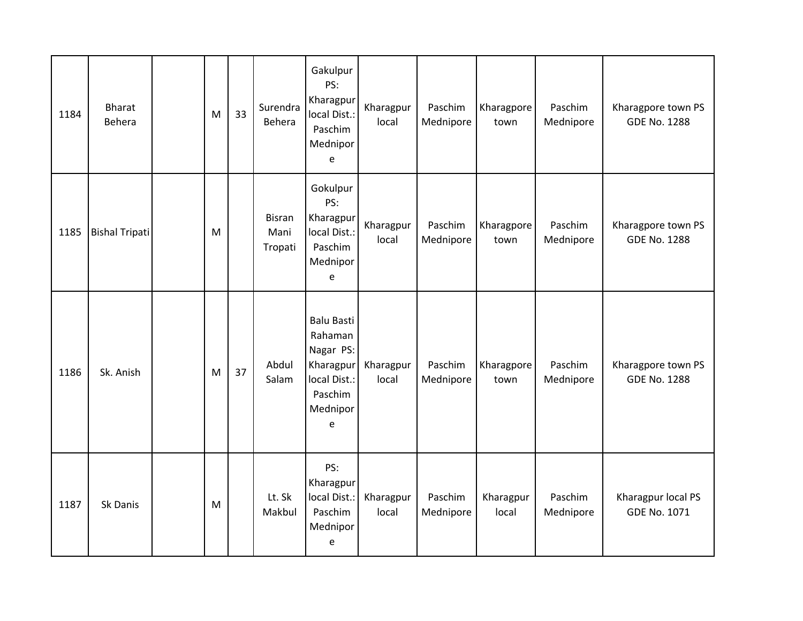| 1184 | <b>Bharat</b><br>Behera | M | 33 | Surendra<br>Behera               | Gakulpur<br>PS:<br>Kharagpur<br>local Dist.:<br>Paschim<br>Mednipor<br>e                           | Kharagpur<br>local | Paschim<br>Mednipore | Kharagpore<br>town | Paschim<br>Mednipore | Kharagpore town PS<br><b>GDE No. 1288</b> |
|------|-------------------------|---|----|----------------------------------|----------------------------------------------------------------------------------------------------|--------------------|----------------------|--------------------|----------------------|-------------------------------------------|
| 1185 | <b>Bishal Tripati</b>   | M |    | <b>Bisran</b><br>Mani<br>Tropati | Gokulpur<br>PS:<br>Kharagpur<br>local Dist.:<br>Paschim<br>Mednipor<br>e                           | Kharagpur<br>local | Paschim<br>Mednipore | Kharagpore<br>town | Paschim<br>Mednipore | Kharagpore town PS<br><b>GDE No. 1288</b> |
| 1186 | Sk. Anish               | M | 37 | Abdul<br>Salam                   | <b>Balu Basti</b><br>Rahaman<br>Nagar PS:<br>Kharagpur<br>local Dist.:<br>Paschim<br>Mednipor<br>e | Kharagpur<br>local | Paschim<br>Mednipore | Kharagpore<br>town | Paschim<br>Mednipore | Kharagpore town PS<br><b>GDE No. 1288</b> |
| 1187 | Sk Danis                | M |    | Lt. Sk<br>Makbul                 | PS:<br>Kharagpur<br>local Dist.:<br>Paschim<br>Mednipor<br>e                                       | Kharagpur<br>local | Paschim<br>Mednipore | Kharagpur<br>local | Paschim<br>Mednipore | Kharagpur local PS<br><b>GDE No. 1071</b> |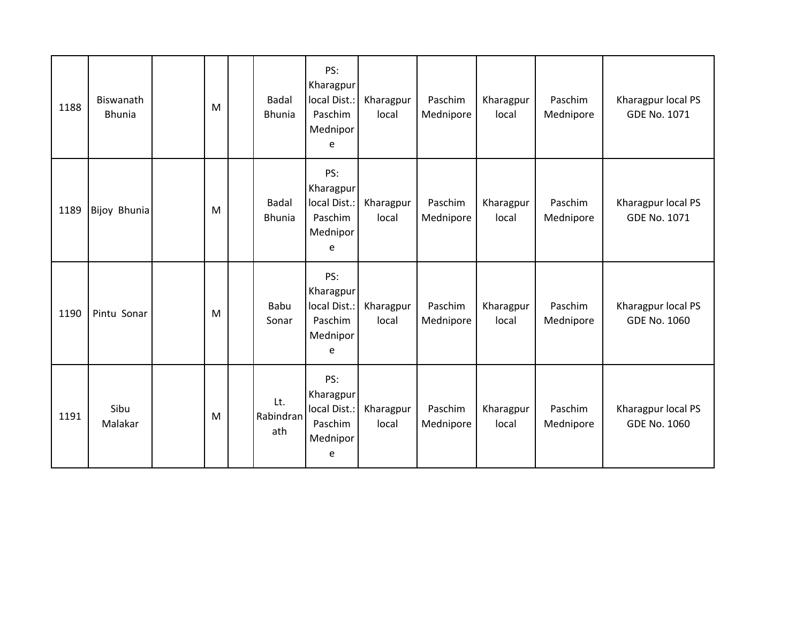| 1188 | Biswanath<br><b>Bhunia</b> | M | <b>Badal</b><br><b>Bhunia</b> | PS:<br>Kharagpur<br>local Dist.:<br>Paschim<br>Mednipor<br>e | Kharagpur<br>local | Paschim<br>Mednipore | Kharagpur<br>local | Paschim<br>Mednipore | Kharagpur local PS<br><b>GDE No. 1071</b> |
|------|----------------------------|---|-------------------------------|--------------------------------------------------------------|--------------------|----------------------|--------------------|----------------------|-------------------------------------------|
| 1189 | Bijoy Bhunia               | M | <b>Badal</b><br><b>Bhunia</b> | PS:<br>Kharagpur<br>local Dist.:<br>Paschim<br>Mednipor<br>e | Kharagpur<br>local | Paschim<br>Mednipore | Kharagpur<br>local | Paschim<br>Mednipore | Kharagpur local PS<br><b>GDE No. 1071</b> |
| 1190 | Pintu Sonar                | M | Babu<br>Sonar                 | PS:<br>Kharagpur<br>local Dist.:<br>Paschim<br>Mednipor<br>e | Kharagpur<br>local | Paschim<br>Mednipore | Kharagpur<br>local | Paschim<br>Mednipore | Kharagpur local PS<br><b>GDE No. 1060</b> |
| 1191 | Sibu<br>Malakar            | M | Lt.<br>Rabindran<br>ath       | PS:<br>Kharagpur<br>local Dist.:<br>Paschim<br>Mednipor<br>e | Kharagpur<br>local | Paschim<br>Mednipore | Kharagpur<br>local | Paschim<br>Mednipore | Kharagpur local PS<br><b>GDE No. 1060</b> |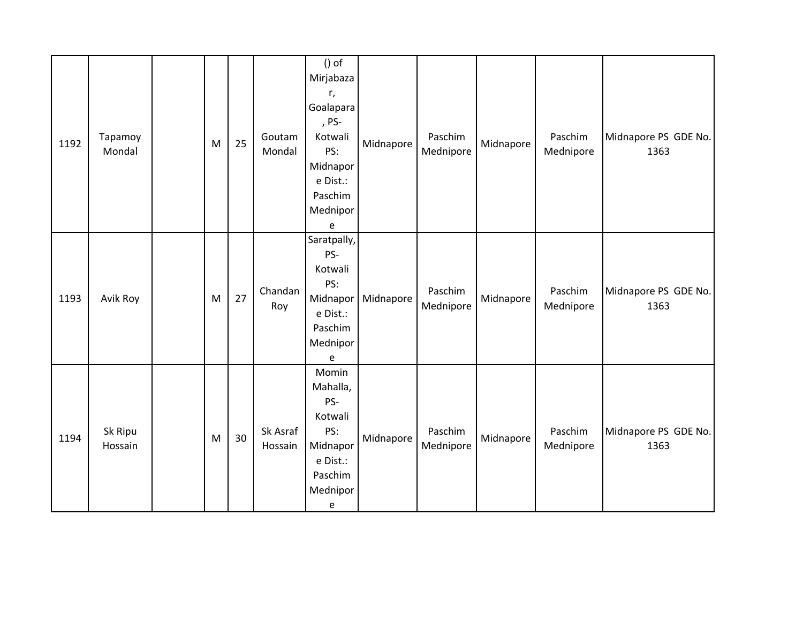| 1192 | Tapamoy<br>Mondal  | M | 25 | Goutam<br>Mondal    | $()$ of<br>Mirjabaza<br>r,<br>Goalapara<br>, PS-<br>Kotwali<br>PS:<br>Midnapor<br>e Dist.:<br>Paschim<br>Mednipor<br>e         | Midnapore | Paschim<br>Mednipore | Midnapore | Paschim<br>Mednipore | Midnapore PS GDE No.<br>1363 |
|------|--------------------|---|----|---------------------|--------------------------------------------------------------------------------------------------------------------------------|-----------|----------------------|-----------|----------------------|------------------------------|
| 1193 | Avik Roy           | M | 27 | Chandan<br>Roy      | Saratpally,<br>PS-<br>Kotwali<br>PS:<br>Midnapor<br>e Dist.:<br>Paschim<br>Mednipor<br>e                                       | Midnapore | Paschim<br>Mednipore | Midnapore | Paschim<br>Mednipore | Midnapore PS GDE No.<br>1363 |
| 1194 | Sk Ripu<br>Hossain | M | 30 | Sk Asraf<br>Hossain | Momin<br>Mahalla,<br>PS-<br>Kotwali<br>PS:<br>Midnapor<br>e Dist.:<br>Paschim<br>Mednipor<br>$\mathsf{e}% _{t}\left( t\right)$ | Midnapore | Paschim<br>Mednipore | Midnapore | Paschim<br>Mednipore | Midnapore PS GDE No.<br>1363 |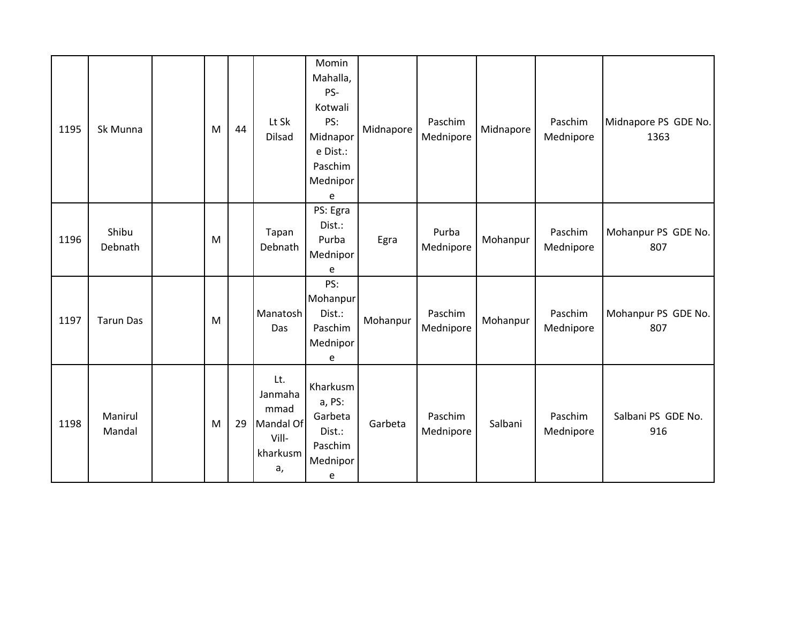| 1195 | Sk Munna          | M | 44 | Lt Sk<br><b>Dilsad</b>                                         | Momin<br>Mahalla,<br>PS-<br>Kotwali<br>PS:<br>Midnapor<br>e Dist.:<br>Paschim<br>Mednipor<br>e | Midnapore | Paschim<br>Mednipore | Midnapore | Paschim<br>Mednipore | Midnapore PS GDE No.<br>1363 |
|------|-------------------|---|----|----------------------------------------------------------------|------------------------------------------------------------------------------------------------|-----------|----------------------|-----------|----------------------|------------------------------|
| 1196 | Shibu<br>Debnath  | M |    | Tapan<br>Debnath                                               | PS: Egra<br>Dist.:<br>Purba<br>Mednipor<br>e                                                   | Egra      | Purba<br>Mednipore   | Mohanpur  | Paschim<br>Mednipore | Mohanpur PS GDE No.<br>807   |
| 1197 | <b>Tarun Das</b>  | M |    | Manatosh<br>Das                                                | PS:<br>Mohanpur<br>Dist.:<br>Paschim<br>Mednipor<br>e                                          | Mohanpur  | Paschim<br>Mednipore | Mohanpur  | Paschim<br>Mednipore | Mohanpur PS GDE No.<br>807   |
| 1198 | Manirul<br>Mandal | M | 29 | Lt.<br>Janmaha<br>mmad<br>Mandal Of<br>Vill-<br>kharkusm<br>a, | Kharkusm<br>a, PS:<br>Garbeta<br>Dist.:<br>Paschim<br>Mednipor<br>e                            | Garbeta   | Paschim<br>Mednipore | Salbani   | Paschim<br>Mednipore | Salbani PS GDE No.<br>916    |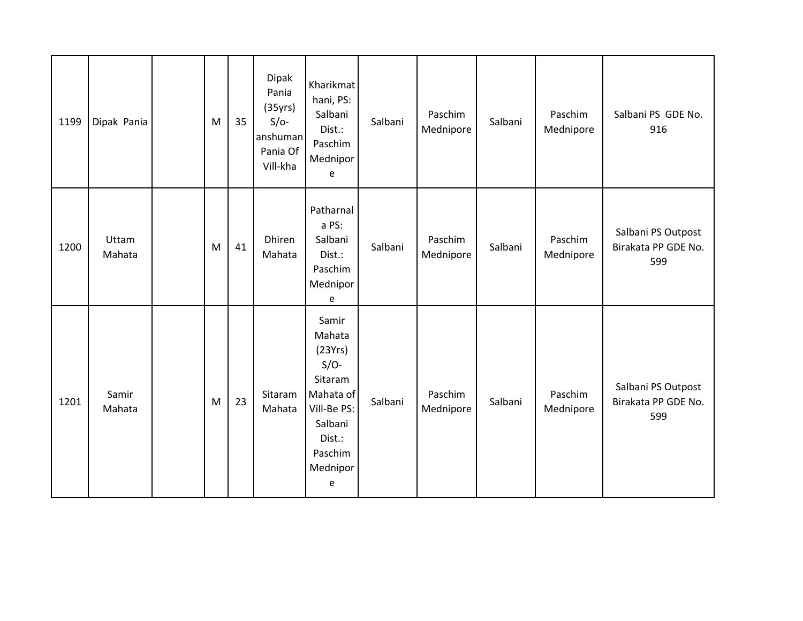| 1199 | Dipak Pania     | M | 35 | Dipak<br>Pania<br>(35yrs)<br>$S/O-$<br>anshuman<br>Pania Of<br>Vill-kha | Kharikmat<br>hani, PS:<br>Salbani<br>Dist.:<br>Paschim<br>Mednipor<br>e                                                      | Salbani | Paschim<br>Mednipore | Salbani | Paschim<br>Mednipore | Salbani PS GDE No.<br>916                        |
|------|-----------------|---|----|-------------------------------------------------------------------------|------------------------------------------------------------------------------------------------------------------------------|---------|----------------------|---------|----------------------|--------------------------------------------------|
| 1200 | Uttam<br>Mahata | M | 41 | Dhiren<br>Mahata                                                        | Patharnal<br>a PS:<br>Salbani<br>Dist.:<br>Paschim<br>Mednipor<br>$\mathsf{e}% _{t}\left( t\right)$                          | Salbani | Paschim<br>Mednipore | Salbani | Paschim<br>Mednipore | Salbani PS Outpost<br>Birakata PP GDE No.<br>599 |
| 1201 | Samir<br>Mahata | M | 23 | Sitaram<br>Mahata                                                       | Samir<br>Mahata<br>(23Yrs)<br>$S/O-$<br>Sitaram<br>Mahata of<br>Vill-Be PS:<br>Salbani<br>Dist.:<br>Paschim<br>Mednipor<br>e | Salbani | Paschim<br>Mednipore | Salbani | Paschim<br>Mednipore | Salbani PS Outpost<br>Birakata PP GDE No.<br>599 |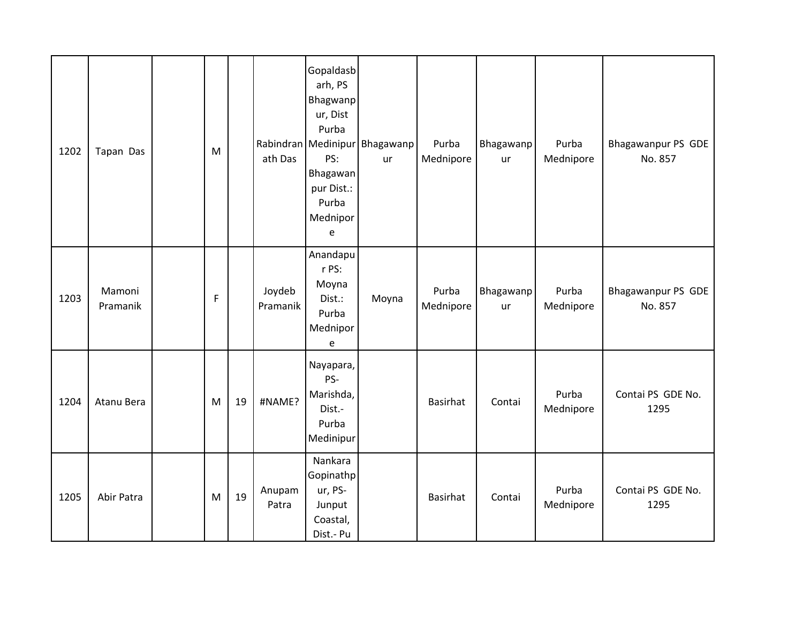| 1202 | Tapan Das          | M |    | ath Das            | Gopaldasb<br>arh, PS<br>Bhagwanp<br>ur, Dist<br>Purba<br>PS:<br>Bhagawan<br>pur Dist.:<br>Purba<br>Mednipor<br>e | Rabindran Medinipur Bhagawanp<br>ur | Purba<br>Mednipore | Bhagawanp<br>ur | Purba<br>Mednipore | Bhagawanpur PS GDE<br>No. 857 |
|------|--------------------|---|----|--------------------|------------------------------------------------------------------------------------------------------------------|-------------------------------------|--------------------|-----------------|--------------------|-------------------------------|
| 1203 | Mamoni<br>Pramanik | F |    | Joydeb<br>Pramanik | Anandapu<br>r PS:<br>Moyna<br>Dist.:<br>Purba<br>Mednipor<br>e                                                   | Moyna                               | Purba<br>Mednipore | Bhagawanp<br>ur | Purba<br>Mednipore | Bhagawanpur PS GDE<br>No. 857 |
| 1204 | Atanu Bera         | M | 19 | #NAME?             | Nayapara,<br>PS-<br>Marishda,<br>Dist.-<br>Purba<br>Medinipur                                                    |                                     | Basirhat           | Contai          | Purba<br>Mednipore | Contai PS GDE No.<br>1295     |
| 1205 | Abir Patra         | M | 19 | Anupam<br>Patra    | Nankara<br>Gopinathp<br>ur, PS-<br>Junput<br>Coastal,<br>Dist.- Pu                                               |                                     | Basirhat           | Contai          | Purba<br>Mednipore | Contai PS GDE No.<br>1295     |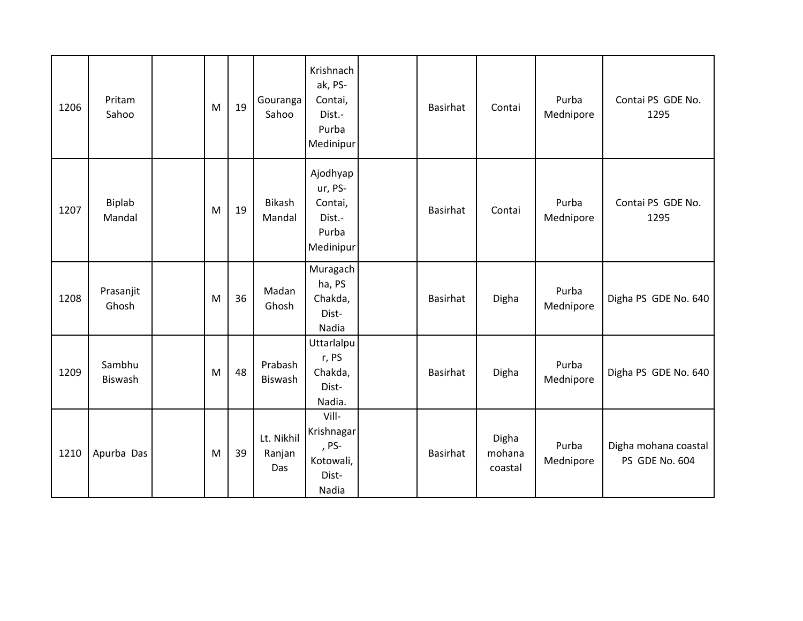| 1206 | Pritam<br>Sahoo         | M | 19 | Gouranga<br>Sahoo           | Krishnach<br>ak, PS-<br>Contai,<br>Dist.-<br>Purba<br>Medinipur | Basirhat        | Contai                     | Purba<br>Mednipore | Contai PS GDE No.<br>1295              |
|------|-------------------------|---|----|-----------------------------|-----------------------------------------------------------------|-----------------|----------------------------|--------------------|----------------------------------------|
| 1207 | <b>Biplab</b><br>Mandal | M | 19 | Bikash<br>Mandal            | Ajodhyap<br>ur, PS-<br>Contai,<br>Dist.-<br>Purba<br>Medinipur  | Basirhat        | Contai                     | Purba<br>Mednipore | Contai PS GDE No.<br>1295              |
| 1208 | Prasanjit<br>Ghosh      | M | 36 | Madan<br>Ghosh              | Muragach<br>ha, PS<br>Chakda,<br>Dist-<br>Nadia                 | <b>Basirhat</b> | Digha                      | Purba<br>Mednipore | Digha PS GDE No. 640                   |
| 1209 | Sambhu<br>Biswash       | M | 48 | Prabash<br>Biswash          | Uttarlalpu<br>r, PS<br>Chakda,<br>Dist-<br>Nadia.               | Basirhat        | Digha                      | Purba<br>Mednipore | Digha PS GDE No. 640                   |
| 1210 | Apurba Das              | M | 39 | Lt. Nikhil<br>Ranjan<br>Das | Vill-<br>Krishnagar<br>, PS-<br>Kotowali,<br>Dist-<br>Nadia     | <b>Basirhat</b> | Digha<br>mohana<br>coastal | Purba<br>Mednipore | Digha mohana coastal<br>PS GDE No. 604 |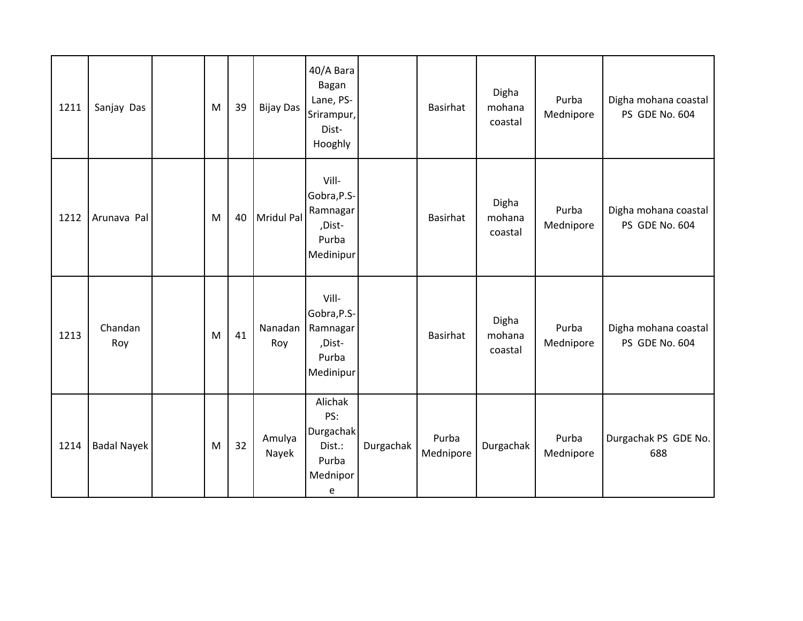| 1211 | Sanjay Das         | M | 39 | <b>Bijay Das</b> | 40/A Bara<br>Bagan<br>Lane, PS-<br>Srirampur,<br>Dist-<br>Hooghly |           | Basirhat           | Digha<br>mohana<br>coastal | Purba<br>Mednipore | Digha mohana coastal<br>PS GDE No. 604 |
|------|--------------------|---|----|------------------|-------------------------------------------------------------------|-----------|--------------------|----------------------------|--------------------|----------------------------------------|
| 1212 | Arunava Pal        | M | 40 | Mridul Pal       | Vill-<br>Gobra, P.S-<br>Ramnagar<br>,Dist-<br>Purba<br>Medinipur  |           | Basirhat           | Digha<br>mohana<br>coastal | Purba<br>Mednipore | Digha mohana coastal<br>PS GDE No. 604 |
| 1213 | Chandan<br>Roy     | M | 41 | Nanadan<br>Roy   | Vill-<br>Gobra, P.S-<br>Ramnagar<br>,Dist-<br>Purba<br>Medinipur  |           | <b>Basirhat</b>    | Digha<br>mohana<br>coastal | Purba<br>Mednipore | Digha mohana coastal<br>PS GDE No. 604 |
| 1214 | <b>Badal Nayek</b> | M | 32 | Amulya<br>Nayek  | Alichak<br>PS:<br>Durgachak<br>Dist.:<br>Purba<br>Mednipor<br>e   | Durgachak | Purba<br>Mednipore | Durgachak                  | Purba<br>Mednipore | Durgachak PS GDE No.<br>688            |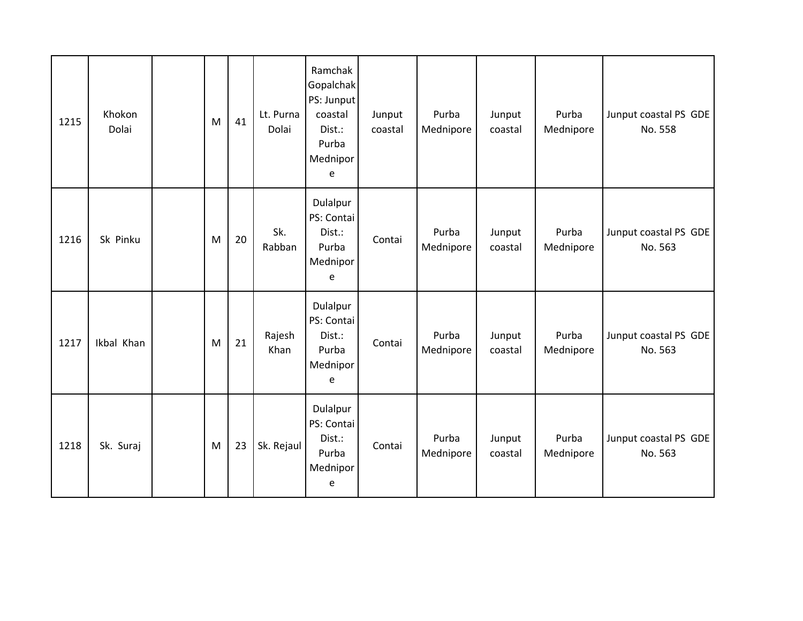| 1215 | Khokon<br>Dolai | M | 41 | Lt. Purna<br>Dolai | Ramchak<br>Gopalchak<br>PS: Junput<br>coastal<br>Dist.:<br>Purba<br>Mednipor<br>e | Junput<br>coastal | Purba<br>Mednipore | Junput<br>coastal | Purba<br>Mednipore | Junput coastal PS GDE<br>No. 558 |
|------|-----------------|---|----|--------------------|-----------------------------------------------------------------------------------|-------------------|--------------------|-------------------|--------------------|----------------------------------|
| 1216 | Sk Pinku        | M | 20 | Sk.<br>Rabban      | Dulalpur<br>PS: Contai<br>Dist.:<br>Purba<br>Mednipor<br>e                        | Contai            | Purba<br>Mednipore | Junput<br>coastal | Purba<br>Mednipore | Junput coastal PS GDE<br>No. 563 |
| 1217 | Ikbal Khan      | M | 21 | Rajesh<br>Khan     | Dulalpur<br>PS: Contai<br>Dist.:<br>Purba<br>Mednipor<br>e                        | Contai            | Purba<br>Mednipore | Junput<br>coastal | Purba<br>Mednipore | Junput coastal PS GDE<br>No. 563 |
| 1218 | Sk. Suraj       | M | 23 | Sk. Rejaul         | Dulalpur<br>PS: Contai<br>Dist.:<br>Purba<br>Mednipor<br>e                        | Contai            | Purba<br>Mednipore | Junput<br>coastal | Purba<br>Mednipore | Junput coastal PS GDE<br>No. 563 |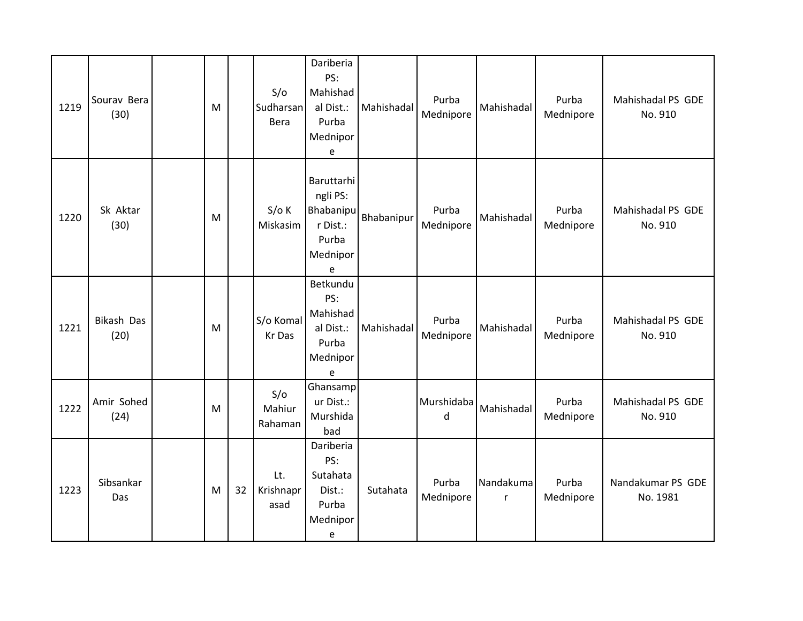| 1219 | Sourav Bera<br>(30) | M |    | S/O<br>Sudharsan<br>Bera | Dariberia<br>PS:<br>Mahishad<br>al Dist.:<br>Purba<br>Mednipor<br>e       | Mahishadal | Purba<br>Mednipore         | Mahishadal     | Purba<br>Mednipore | Mahishadal PS GDE<br>No. 910  |
|------|---------------------|---|----|--------------------------|---------------------------------------------------------------------------|------------|----------------------------|----------------|--------------------|-------------------------------|
| 1220 | Sk Aktar<br>(30)    | M |    | $S/O$ K<br>Miskasim      | Baruttarhi<br>ngli PS:<br>Bhabanipu<br>r Dist.:<br>Purba<br>Mednipor<br>e | Bhabanipur | Purba<br>Mednipore         | Mahishadal     | Purba<br>Mednipore | Mahishadal PS GDE<br>No. 910  |
| 1221 | Bikash Das<br>(20)  | M |    | S/o Komal<br>Kr Das      | Betkundu<br>PS:<br>Mahishad<br>al Dist.:<br>Purba<br>Mednipor<br>e        | Mahishadal | Purba<br>Mednipore         | Mahishadal     | Purba<br>Mednipore | Mahishadal PS GDE<br>No. 910  |
| 1222 | Amir Sohed<br>(24)  | M |    | S/O<br>Mahiur<br>Rahaman | Ghansamp<br>ur Dist.:<br>Murshida<br>bad                                  |            | Murshidaba<br>$\mathsf{d}$ | Mahishadal     | Purba<br>Mednipore | Mahishadal PS GDE<br>No. 910  |
| 1223 | Sibsankar<br>Das    | M | 32 | Lt.<br>Krishnapr<br>asad | Dariberia<br>PS:<br>Sutahata<br>Dist.:<br>Purba<br>Mednipor<br>e          | Sutahata   | Purba<br>Mednipore         | Nandakuma<br>r | Purba<br>Mednipore | Nandakumar PS GDE<br>No. 1981 |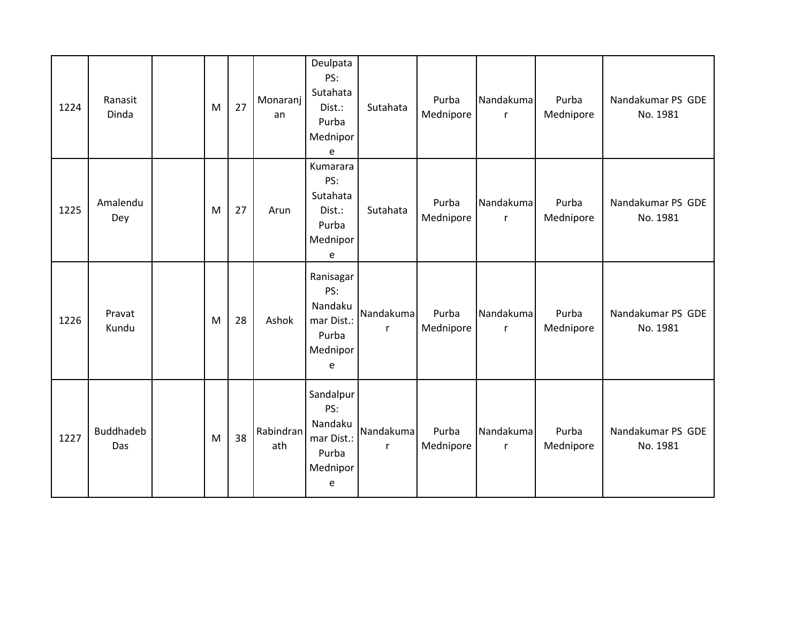| 1224 | Ranasit<br>Dinda | M | 27 | Monaranj<br>an   | Deulpata<br>PS:<br>Sutahata<br>Dist.:<br>Purba<br>Mednipor<br>e     | Sutahata                  | Purba<br>Mednipore | Nandakuma<br>r            | Purba<br>Mednipore | Nandakumar PS GDE<br>No. 1981 |
|------|------------------|---|----|------------------|---------------------------------------------------------------------|---------------------------|--------------------|---------------------------|--------------------|-------------------------------|
| 1225 | Amalendu<br>Dey  | M | 27 | Arun             | Kumarara<br>PS:<br>Sutahata<br>Dist.:<br>Purba<br>Mednipor<br>e     | Sutahata                  | Purba<br>Mednipore | Nandakuma<br>$\mathsf{r}$ | Purba<br>Mednipore | Nandakumar PS GDE<br>No. 1981 |
| 1226 | Pravat<br>Kundu  | M | 28 | Ashok            | Ranisagar<br>PS:<br>Nandaku<br>mar Dist.:<br>Purba<br>Mednipor<br>e | Nandakuma<br>$\mathsf{r}$ | Purba<br>Mednipore | Nandakuma<br>r            | Purba<br>Mednipore | Nandakumar PS GDE<br>No. 1981 |
| 1227 | Buddhadeb<br>Das | M | 38 | Rabindran<br>ath | Sandalpur<br>PS:<br>Nandaku<br>mar Dist.:<br>Purba<br>Mednipor<br>e | Nandakuma<br>r            | Purba<br>Mednipore | Nandakuma<br>r            | Purba<br>Mednipore | Nandakumar PS GDE<br>No. 1981 |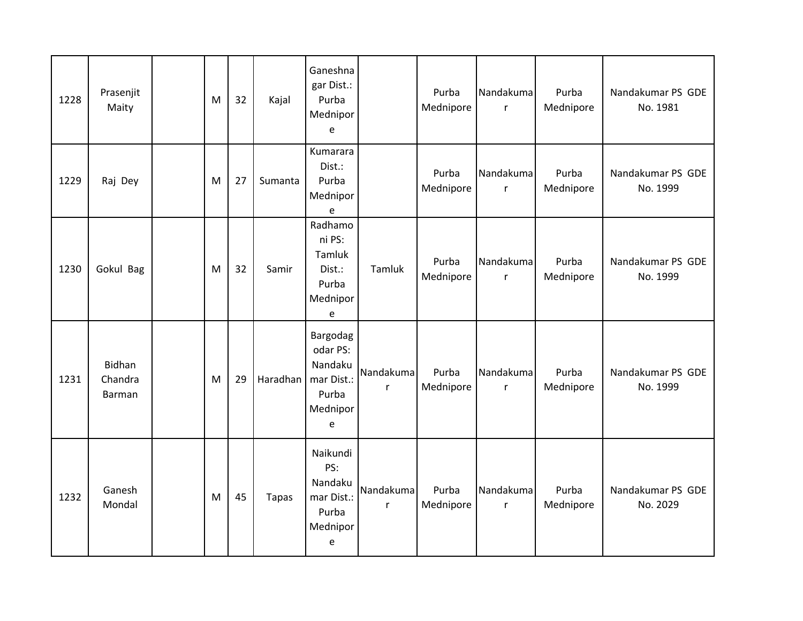| 1228 | Prasenjit<br>Maity                 | M | 32 | Kajal        | Ganeshna<br>gar Dist.:<br>Purba<br>Mednipor<br>e                        |                           | Purba<br>Mednipore | Nandakuma<br>$\mathsf{r}$ | Purba<br>Mednipore | Nandakumar PS GDE<br>No. 1981 |
|------|------------------------------------|---|----|--------------|-------------------------------------------------------------------------|---------------------------|--------------------|---------------------------|--------------------|-------------------------------|
| 1229 | Raj Dey                            | M | 27 | Sumanta      | Kumarara<br>Dist.:<br>Purba<br>Mednipor<br>e                            |                           | Purba<br>Mednipore | Nandakuma<br>$\mathsf{r}$ | Purba<br>Mednipore | Nandakumar PS GDE<br>No. 1999 |
| 1230 | Gokul Bag                          | M | 32 | Samir        | Radhamo<br>ni PS:<br>Tamluk<br>Dist.:<br>Purba<br>Mednipor<br>е         | Tamluk                    | Purba<br>Mednipore | Nandakuma<br>$\mathsf{r}$ | Purba<br>Mednipore | Nandakumar PS GDE<br>No. 1999 |
| 1231 | <b>Bidhan</b><br>Chandra<br>Barman | M | 29 | Haradhan     | Bargodag<br>odar PS:<br>Nandaku<br>mar Dist.:<br>Purba<br>Mednipor<br>e | Nandakuma<br>$\mathsf{r}$ | Purba<br>Mednipore | Nandakuma<br>$\mathsf{r}$ | Purba<br>Mednipore | Nandakumar PS GDE<br>No. 1999 |
| 1232 | Ganesh<br>Mondal                   | M | 45 | <b>Tapas</b> | Naikundi<br>PS:<br>Nandaku<br>mar Dist.:<br>Purba<br>Mednipor<br>e      | Nandakuma<br>$\mathsf{r}$ | Purba<br>Mednipore | Nandakuma<br>$\mathsf{r}$ | Purba<br>Mednipore | Nandakumar PS GDE<br>No. 2029 |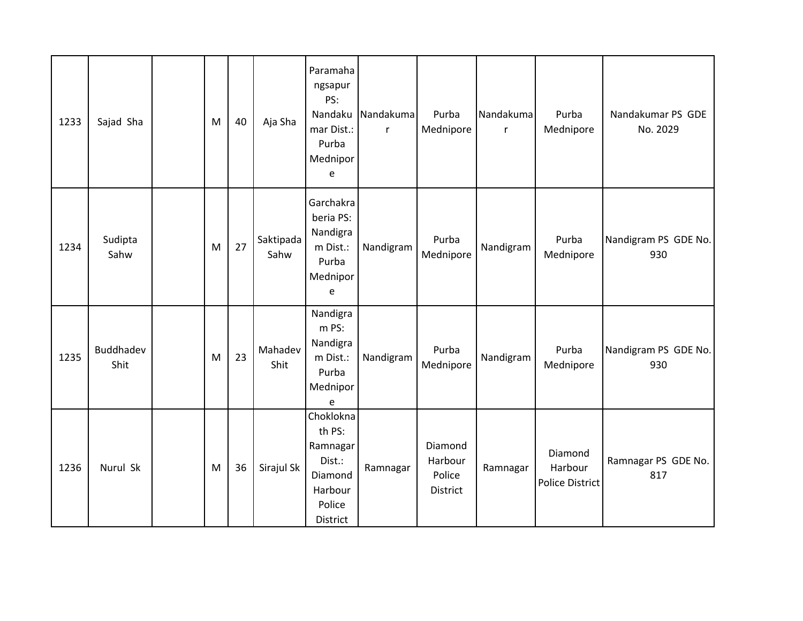| 1233 | Sajad Sha         | M | 40 | Aja Sha           | Paramaha<br>ngsapur<br>PS:<br>Nandaku<br>mar Dist.:<br>Purba<br>Mednipor<br>e         | Nandakuma<br>$\mathsf{r}$ | Purba<br>Mednipore                       | Nandakuma<br>$\mathsf{r}$ | Purba<br>Mednipore                    | Nandakumar PS GDE<br>No. 2029 |
|------|-------------------|---|----|-------------------|---------------------------------------------------------------------------------------|---------------------------|------------------------------------------|---------------------------|---------------------------------------|-------------------------------|
| 1234 | Sudipta<br>Sahw   | M | 27 | Saktipada<br>Sahw | Garchakra<br>beria PS:<br>Nandigra<br>m Dist.:<br>Purba<br>Mednipor<br>e              | Nandigram                 | Purba<br>Mednipore                       | Nandigram                 | Purba<br>Mednipore                    | Nandigram PS GDE No.<br>930   |
| 1235 | Buddhadev<br>Shit | M | 23 | Mahadev<br>Shit   | Nandigra<br>m PS:<br>Nandigra<br>m Dist.:<br>Purba<br>Mednipor<br>e                   | Nandigram                 | Purba<br>Mednipore                       | Nandigram                 | Purba<br>Mednipore                    | Nandigram PS GDE No.<br>930   |
| 1236 | Nurul Sk          | M | 36 | Sirajul Sk        | Choklokna<br>th PS:<br>Ramnagar<br>Dist.:<br>Diamond<br>Harbour<br>Police<br>District | Ramnagar                  | Diamond<br>Harbour<br>Police<br>District | Ramnagar                  | Diamond<br>Harbour<br>Police District | Ramnagar PS GDE No.<br>817    |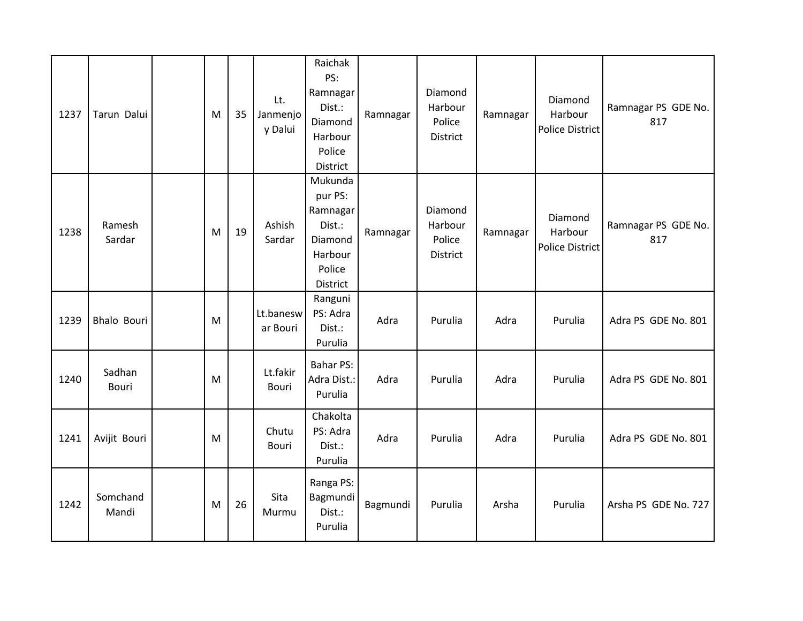| 1237 | Tarun Dalui        | M | 35 | Lt.<br>Janmenjo<br>y Dalui | Raichak<br>PS:<br>Ramnagar<br>Dist.:<br>Diamond<br>Harbour<br>Police<br>District     | Ramnagar | Diamond<br>Harbour<br>Police<br><b>District</b> | Ramnagar | Diamond<br>Harbour<br><b>Police District</b> | Ramnagar PS GDE No.<br>817 |
|------|--------------------|---|----|----------------------------|--------------------------------------------------------------------------------------|----------|-------------------------------------------------|----------|----------------------------------------------|----------------------------|
| 1238 | Ramesh<br>Sardar   | M | 19 | Ashish<br>Sardar           | Mukunda<br>pur PS:<br>Ramnagar<br>Dist.:<br>Diamond<br>Harbour<br>Police<br>District | Ramnagar | Diamond<br>Harbour<br>Police<br>District        | Ramnagar | Diamond<br>Harbour<br><b>Police District</b> | Ramnagar PS GDE No.<br>817 |
| 1239 | <b>Bhalo Bouri</b> | M |    | Lt.banesw<br>ar Bouri      | Ranguni<br>PS: Adra<br>Dist.:<br>Purulia                                             | Adra     | Purulia                                         | Adra     | Purulia                                      | Adra PS GDE No. 801        |
| 1240 | Sadhan<br>Bouri    | M |    | Lt.fakir<br><b>Bouri</b>   | <b>Bahar PS:</b><br>Adra Dist.:<br>Purulia                                           | Adra     | Purulia                                         | Adra     | Purulia                                      | Adra PS GDE No. 801        |
| 1241 | Avijit Bouri       | M |    | Chutu<br><b>Bouri</b>      | Chakolta<br>PS: Adra<br>Dist.:<br>Purulia                                            | Adra     | Purulia                                         | Adra     | Purulia                                      | Adra PS GDE No. 801        |
| 1242 | Somchand<br>Mandi  | M | 26 | Sita<br>Murmu              | Ranga PS:<br>Bagmundi<br>Dist.:<br>Purulia                                           | Bagmundi | Purulia                                         | Arsha    | Purulia                                      | Arsha PS GDE No. 727       |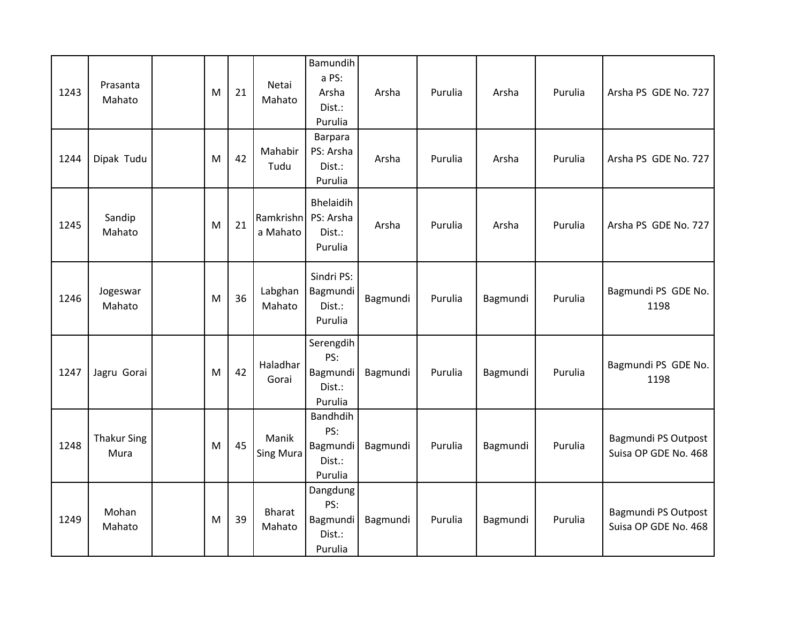| 1243 | Prasanta<br>Mahato         | M | 21 | Netai<br>Mahato           | Bamundih<br>a PS:<br>Arsha<br>Dist.:<br>Purulia   | Arsha    | Purulia | Arsha    | Purulia | Arsha PS GDE No. 727                               |
|------|----------------------------|---|----|---------------------------|---------------------------------------------------|----------|---------|----------|---------|----------------------------------------------------|
| 1244 | Dipak Tudu                 | M | 42 | Mahabir<br>Tudu           | Barpara<br>PS: Arsha<br>Dist.:<br>Purulia         | Arsha    | Purulia | Arsha    | Purulia | Arsha PS GDE No. 727                               |
| 1245 | Sandip<br>Mahato           | M | 21 | Ramkrishn<br>a Mahato     | Bhelaidih<br>PS: Arsha<br>Dist.:<br>Purulia       | Arsha    | Purulia | Arsha    | Purulia | Arsha PS GDE No. 727                               |
| 1246 | Jogeswar<br>Mahato         | M | 36 | Labghan<br>Mahato         | Sindri PS:<br>Bagmundi<br>Dist.:<br>Purulia       | Bagmundi | Purulia | Bagmundi | Purulia | Bagmundi PS GDE No.<br>1198                        |
| 1247 | Jagru Gorai                | M | 42 | Haladhar<br>Gorai         | Serengdih<br>PS:<br>Bagmundi<br>Dist.:<br>Purulia | Bagmundi | Purulia | Bagmundi | Purulia | Bagmundi PS GDE No.<br>1198                        |
| 1248 | <b>Thakur Sing</b><br>Mura | M | 45 | Manik<br><b>Sing Mura</b> | Bandhdih<br>PS:<br>Bagmundi<br>Dist.:<br>Purulia  | Bagmundi | Purulia | Bagmundi | Purulia | <b>Bagmundi PS Outpost</b><br>Suisa OP GDE No. 468 |
| 1249 | Mohan<br>Mahato            | M | 39 | <b>Bharat</b><br>Mahato   | Dangdung<br>PS:<br>Bagmundi<br>Dist.:<br>Purulia  | Bagmundi | Purulia | Bagmundi | Purulia | <b>Bagmundi PS Outpost</b><br>Suisa OP GDE No. 468 |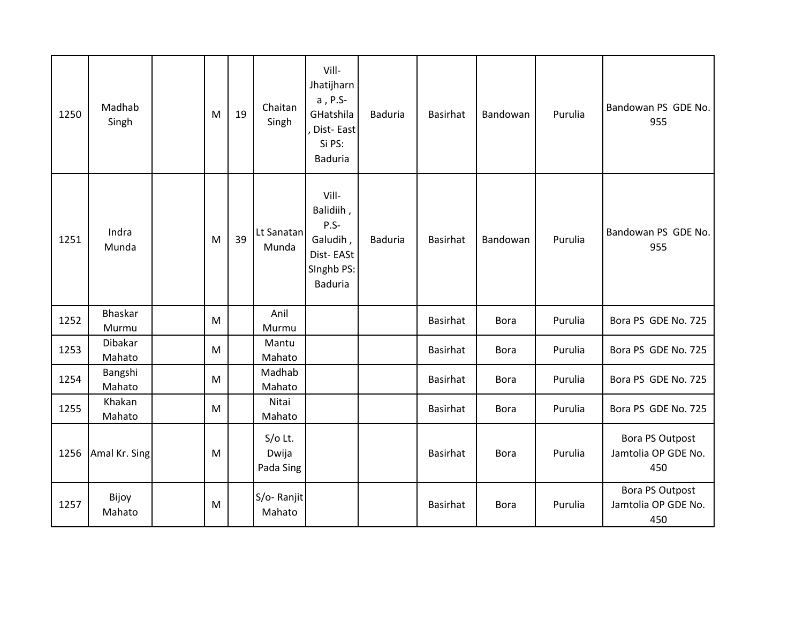| 1250 | Madhab<br>Singh   | M | 19 | Chaitan<br>Singh                | Vill-<br>Jhatijharn<br>a, P.S-<br>GHatshila<br>Dist-East<br>Si PS:<br><b>Baduria</b>  | <b>Baduria</b> | Basirhat        | Bandowan    | Purulia | Bandowan PS GDE No.<br>955                           |
|------|-------------------|---|----|---------------------------------|---------------------------------------------------------------------------------------|----------------|-----------------|-------------|---------|------------------------------------------------------|
| 1251 | Indra<br>Munda    | M | 39 | Lt Sanatan<br>Munda             | Vill-<br>Balidiih,<br>$P.S-$<br>Galudih,<br>Dist-EASt<br>Singhb PS:<br><b>Baduria</b> | <b>Baduria</b> | Basirhat        | Bandowan    | Purulia | Bandowan PS GDE No.<br>955                           |
| 1252 | Bhaskar<br>Murmu  | M |    | Anil<br>Murmu                   |                                                                                       |                | Basirhat        | <b>Bora</b> | Purulia | Bora PS GDE No. 725                                  |
| 1253 | Dibakar<br>Mahato | M |    | Mantu<br>Mahato                 |                                                                                       |                | Basirhat        | <b>Bora</b> | Purulia | Bora PS GDE No. 725                                  |
| 1254 | Bangshi<br>Mahato | M |    | Madhab<br>Mahato                |                                                                                       |                | Basirhat        | <b>Bora</b> | Purulia | Bora PS GDE No. 725                                  |
| 1255 | Khakan<br>Mahato  | M |    | Nitai<br>Mahato                 |                                                                                       |                | Basirhat        | <b>Bora</b> | Purulia | Bora PS GDE No. 725                                  |
| 1256 | Amal Kr. Sing     | M |    | $S/O$ Lt.<br>Dwija<br>Pada Sing |                                                                                       |                | Basirhat        | <b>Bora</b> | Purulia | <b>Bora PS Outpost</b><br>Jamtolia OP GDE No.<br>450 |
| 1257 | Bijoy<br>Mahato   | M |    | S/o-Ranjit<br>Mahato            |                                                                                       |                | <b>Basirhat</b> | <b>Bora</b> | Purulia | <b>Bora PS Outpost</b><br>Jamtolia OP GDE No.<br>450 |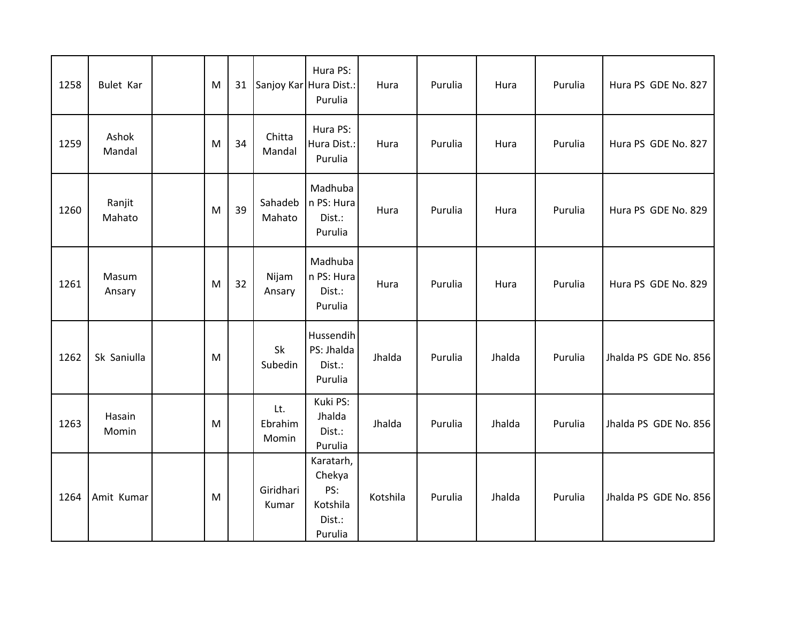| 1258 | <b>Bulet Kar</b> | M | 31 | Sanjoy Kar Hura Dist.:  | Hura PS:<br>Purulia                                         | Hura     | Purulia | Hura   | Purulia | Hura PS GDE No. 827   |
|------|------------------|---|----|-------------------------|-------------------------------------------------------------|----------|---------|--------|---------|-----------------------|
| 1259 | Ashok<br>Mandal  | M | 34 | Chitta<br>Mandal        | Hura PS:<br>Hura Dist.:<br>Purulia                          | Hura     | Purulia | Hura   | Purulia | Hura PS GDE No. 827   |
| 1260 | Ranjit<br>Mahato | M | 39 | Sahadeb<br>Mahato       | Madhuba<br>n PS: Hura<br>Dist.:<br>Purulia                  | Hura     | Purulia | Hura   | Purulia | Hura PS GDE No. 829   |
| 1261 | Masum<br>Ansary  | M | 32 | Nijam<br>Ansary         | Madhuba<br>n PS: Hura<br>Dist.:<br>Purulia                  | Hura     | Purulia | Hura   | Purulia | Hura PS GDE No. 829   |
| 1262 | Sk Saniulla      | M |    | Sk<br>Subedin           | Hussendih<br>PS: Jhalda<br>Dist.:<br>Purulia                | Jhalda   | Purulia | Jhalda | Purulia | Jhalda PS GDE No. 856 |
| 1263 | Hasain<br>Momin  | M |    | Lt.<br>Ebrahim<br>Momin | Kuki PS:<br>Jhalda<br>Dist.:<br>Purulia                     | Jhalda   | Purulia | Jhalda | Purulia | Jhalda PS GDE No. 856 |
| 1264 | Amit Kumar       | M |    | Giridhari<br>Kumar      | Karatarh,<br>Chekya<br>PS:<br>Kotshila<br>Dist.:<br>Purulia | Kotshila | Purulia | Jhalda | Purulia | Jhalda PS GDE No. 856 |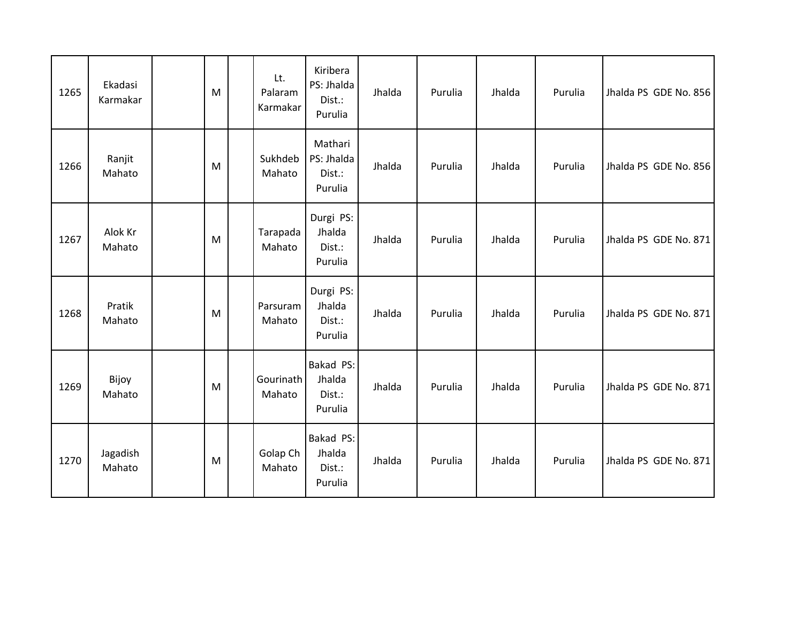| 1265 | Ekadasi<br>Karmakar | M | Lt.<br>Palaram<br>Karmakar | Kiribera<br>PS: Jhalda<br>Dist.:<br>Purulia | Jhalda | Purulia | Jhalda | Purulia | Jhalda PS GDE No. 856 |
|------|---------------------|---|----------------------------|---------------------------------------------|--------|---------|--------|---------|-----------------------|
| 1266 | Ranjit<br>Mahato    | M | Sukhdeb<br>Mahato          | Mathari<br>PS: Jhalda<br>Dist.:<br>Purulia  | Jhalda | Purulia | Jhalda | Purulia | Jhalda PS GDE No. 856 |
| 1267 | Alok Kr<br>Mahato   | M | Tarapada<br>Mahato         | Durgi PS:<br>Jhalda<br>Dist.:<br>Purulia    | Jhalda | Purulia | Jhalda | Purulia | Jhalda PS GDE No. 871 |
| 1268 | Pratik<br>Mahato    | M | Parsuram<br>Mahato         | Durgi PS:<br>Jhalda<br>Dist.:<br>Purulia    | Jhalda | Purulia | Jhalda | Purulia | Jhalda PS GDE No. 871 |
| 1269 | Bijoy<br>Mahato     | M | Gourinath<br>Mahato        | Bakad PS:<br>Jhalda<br>Dist.:<br>Purulia    | Jhalda | Purulia | Jhalda | Purulia | Jhalda PS GDE No. 871 |
| 1270 | Jagadish<br>Mahato  | M | Golap Ch<br>Mahato         | Bakad PS:<br>Jhalda<br>Dist.:<br>Purulia    | Jhalda | Purulia | Jhalda | Purulia | Jhalda PS GDE No. 871 |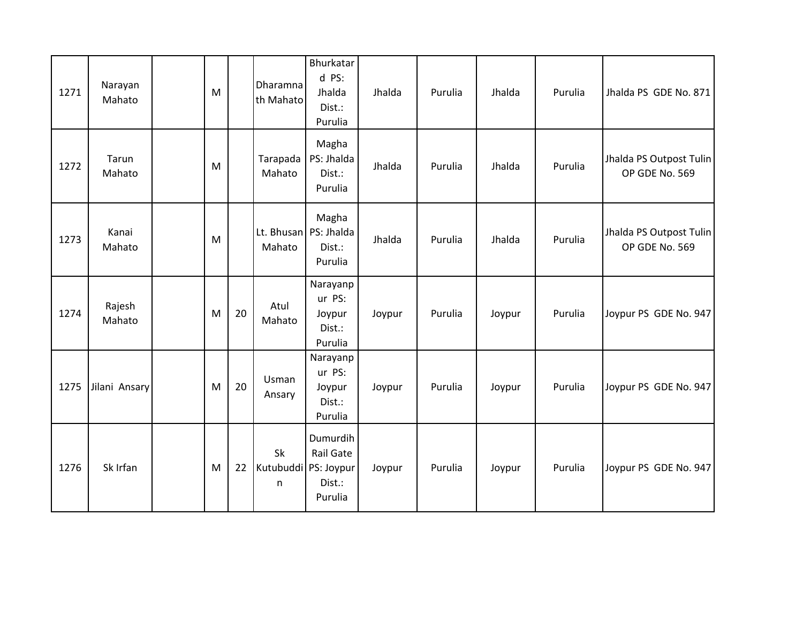| 1271 | Narayan<br>Mahato | M |    | Dharamna<br>th Mahato | Bhurkatar<br>d PS:<br>Jhalda<br>Dist.:<br>Purulia                  | Jhalda | Purulia | Jhalda | Purulia | Jhalda PS GDE No. 871                     |
|------|-------------------|---|----|-----------------------|--------------------------------------------------------------------|--------|---------|--------|---------|-------------------------------------------|
| 1272 | Tarun<br>Mahato   | M |    | Tarapada<br>Mahato    | Magha<br>PS: Jhalda<br>Dist.:<br>Purulia                           | Jhalda | Purulia | Jhalda | Purulia | Jhalda PS Outpost Tulin<br>OP GDE No. 569 |
| 1273 | Kanai<br>Mahato   | M |    | Mahato                | Magha<br>Lt. Bhusan PS: Jhalda<br>Dist.:<br>Purulia                | Jhalda | Purulia | Jhalda | Purulia | Jhalda PS Outpost Tulin<br>OP GDE No. 569 |
| 1274 | Rajesh<br>Mahato  | M | 20 | Atul<br>Mahato        | Narayanp<br>ur PS:<br>Joypur<br>Dist.:<br>Purulia                  | Joypur | Purulia | Joypur | Purulia | Joypur PS GDE No. 947                     |
| 1275 | Jilani Ansary     | M | 20 | Usman<br>Ansary       | Narayanp<br>ur PS:<br>Joypur<br>Dist.:<br>Purulia                  | Joypur | Purulia | Joypur | Purulia | Joypur PS GDE No. 947                     |
| 1276 | Sk Irfan          | M | 22 | Sk<br>n               | Dumurdih<br>Rail Gate<br>Kutubuddi PS: Joypur<br>Dist.:<br>Purulia | Joypur | Purulia | Joypur | Purulia | Joypur PS GDE No. 947                     |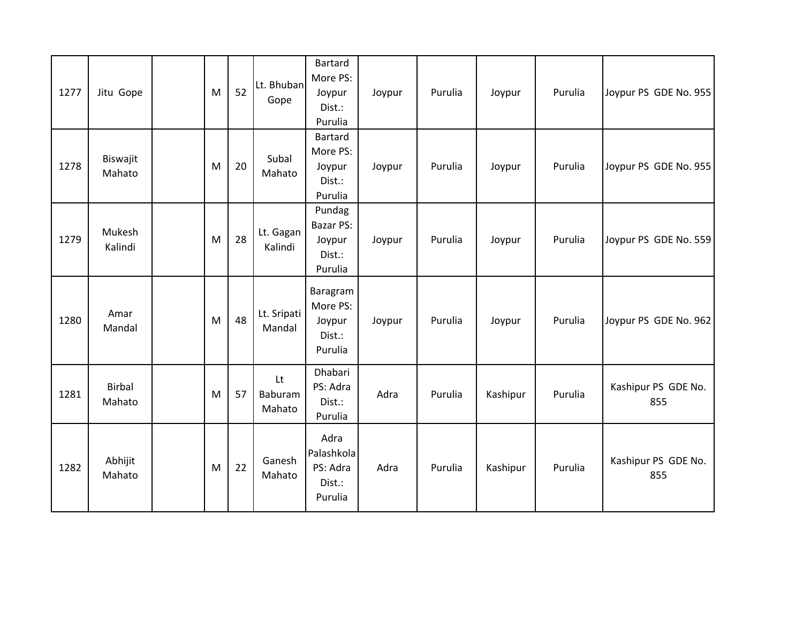| 1277 | Jitu Gope               | M | 52 | Lt. Bhuban<br>Gope      | Bartard<br>More PS:<br>Joypur<br>Dist.:<br>Purulia        | Joypur | Purulia | Joypur   | Purulia | Joypur PS GDE No. 955      |
|------|-------------------------|---|----|-------------------------|-----------------------------------------------------------|--------|---------|----------|---------|----------------------------|
| 1278 | Biswajit<br>Mahato      | M | 20 | Subal<br>Mahato         | Bartard<br>More PS:<br>Joypur<br>Dist.:<br>Purulia        | Joypur | Purulia | Joypur   | Purulia | Joypur PS GDE No. 955      |
| 1279 | Mukesh<br>Kalindi       | M | 28 | Lt. Gagan<br>Kalindi    | Pundag<br><b>Bazar PS:</b><br>Joypur<br>Dist.:<br>Purulia | Joypur | Purulia | Joypur   | Purulia | Joypur PS GDE No. 559      |
| 1280 | Amar<br>Mandal          | M | 48 | Lt. Sripati<br>Mandal   | Baragram<br>More PS:<br>Joypur<br>Dist.:<br>Purulia       | Joypur | Purulia | Joypur   | Purulia | Joypur PS GDE No. 962      |
| 1281 | <b>Birbal</b><br>Mahato | M | 57 | Lt<br>Baburam<br>Mahato | Dhabari<br>PS: Adra<br>Dist.:<br>Purulia                  | Adra   | Purulia | Kashipur | Purulia | Kashipur PS GDE No.<br>855 |
| 1282 | Abhijit<br>Mahato       | M | 22 | Ganesh<br>Mahato        | Adra<br>Palashkola<br>PS: Adra<br>Dist.:<br>Purulia       | Adra   | Purulia | Kashipur | Purulia | Kashipur PS GDE No.<br>855 |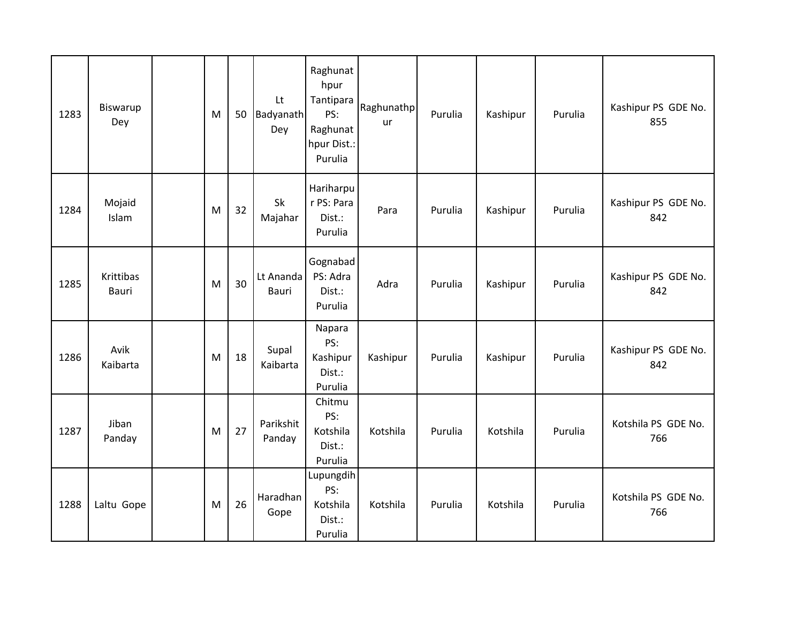| 1283 | Biswarup<br>Dey    | M | 50 | Lt<br><b>Badyanath</b><br>Dey | Raghunat<br>hpur<br>Tantipara<br>PS:<br>Raghunat<br>hpur Dist.:<br>Purulia | Raghunathp<br><b>ur</b> | Purulia | Kashipur | Purulia | Kashipur PS GDE No.<br>855 |
|------|--------------------|---|----|-------------------------------|----------------------------------------------------------------------------|-------------------------|---------|----------|---------|----------------------------|
| 1284 | Mojaid<br>Islam    | M | 32 | Sk<br>Majahar                 | Hariharpu<br>r PS: Para<br>Dist.:<br>Purulia                               | Para                    | Purulia | Kashipur | Purulia | Kashipur PS GDE No.<br>842 |
| 1285 | Krittibas<br>Bauri | M | 30 | Lt Ananda<br><b>Bauri</b>     | Gognabad<br>PS: Adra<br>Dist.:<br>Purulia                                  | Adra                    | Purulia | Kashipur | Purulia | Kashipur PS GDE No.<br>842 |
| 1286 | Avik<br>Kaibarta   | M | 18 | Supal<br>Kaibarta             | Napara<br>PS:<br>Kashipur<br>Dist.:<br>Purulia                             | Kashipur                | Purulia | Kashipur | Purulia | Kashipur PS GDE No.<br>842 |
| 1287 | Jiban<br>Panday    | M | 27 | Parikshit<br>Panday           | Chitmu<br>PS:<br>Kotshila<br>Dist.:<br>Purulia                             | Kotshila                | Purulia | Kotshila | Purulia | Kotshila PS GDE No.<br>766 |
| 1288 | Laltu Gope         | M | 26 | Haradhan<br>Gope              | Lupungdih<br>PS:<br>Kotshila<br>Dist.:<br>Purulia                          | Kotshila                | Purulia | Kotshila | Purulia | Kotshila PS GDE No.<br>766 |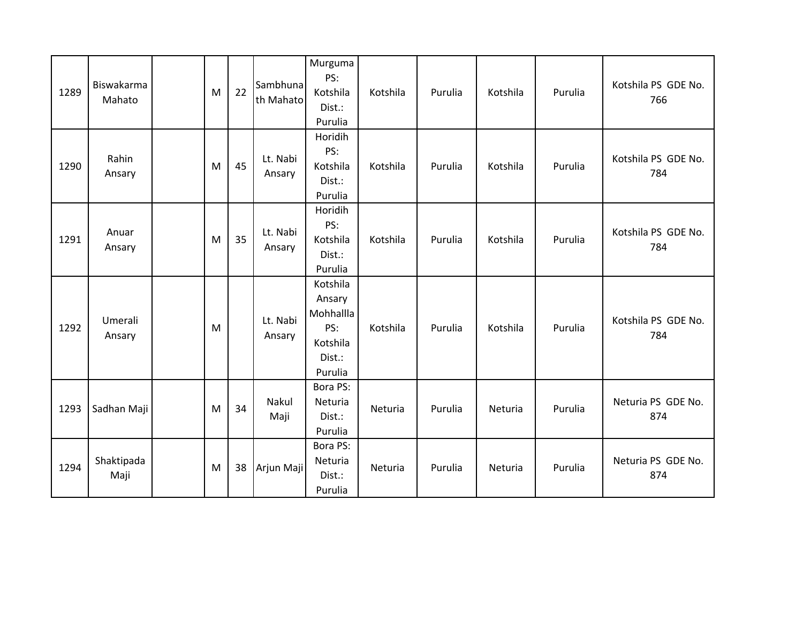| 1289 | Biswakarma<br>Mahato | M | 22 | Sambhuna<br>th Mahato | Murguma<br>PS:<br>Kotshila<br>Dist.:<br>Purulia                         | Kotshila | Purulia | Kotshila | Purulia | Kotshila PS GDE No.<br>766 |
|------|----------------------|---|----|-----------------------|-------------------------------------------------------------------------|----------|---------|----------|---------|----------------------------|
| 1290 | Rahin<br>Ansary      | M | 45 | Lt. Nabi<br>Ansary    | Horidih<br>PS:<br>Kotshila<br>Dist.:<br>Purulia                         | Kotshila | Purulia | Kotshila | Purulia | Kotshila PS GDE No.<br>784 |
| 1291 | Anuar<br>Ansary      | M | 35 | Lt. Nabi<br>Ansary    | Horidih<br>PS:<br>Kotshila<br>Dist.:<br>Purulia                         | Kotshila | Purulia | Kotshila | Purulia | Kotshila PS GDE No.<br>784 |
| 1292 | Umerali<br>Ansary    | M |    | Lt. Nabi<br>Ansary    | Kotshila<br>Ansary<br>Mohhallla<br>PS:<br>Kotshila<br>Dist.:<br>Purulia | Kotshila | Purulia | Kotshila | Purulia | Kotshila PS GDE No.<br>784 |
| 1293 | Sadhan Maji          | M | 34 | Nakul<br>Maji         | Bora PS:<br>Neturia<br>Dist.:<br>Purulia                                | Neturia  | Purulia | Neturia  | Purulia | Neturia PS GDE No.<br>874  |
| 1294 | Shaktipada<br>Maji   | M | 38 | Arjun Maji            | Bora PS:<br>Neturia<br>Dist.:<br>Purulia                                | Neturia  | Purulia | Neturia  | Purulia | Neturia PS GDE No.<br>874  |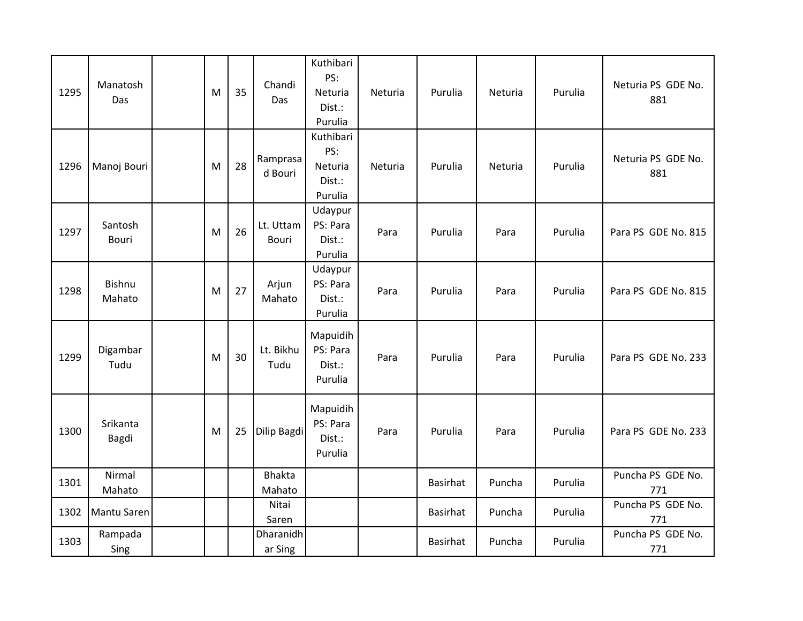| 1295 | Manatosh<br>Das         | M | 35 | Chandi<br>Das           | Kuthibari<br>PS:<br>Neturia<br>Dist.:<br>Purulia | Neturia | Purulia         | Neturia | Purulia | Neturia PS GDE No.<br>881 |
|------|-------------------------|---|----|-------------------------|--------------------------------------------------|---------|-----------------|---------|---------|---------------------------|
| 1296 | Manoj Bouri             | M | 28 | Ramprasa<br>d Bouri     | Kuthibari<br>PS:<br>Neturia<br>Dist.:<br>Purulia | Neturia | Purulia         | Neturia | Purulia | Neturia PS GDE No.<br>881 |
| 1297 | Santosh<br><b>Bouri</b> | M | 26 | Lt. Uttam<br>Bouri      | Udaypur<br>PS: Para<br>Dist.:<br>Purulia         | Para    | Purulia         | Para    | Purulia | Para PS GDE No. 815       |
| 1298 | Bishnu<br>Mahato        | M | 27 | Arjun<br>Mahato         | Udaypur<br>PS: Para<br>Dist.:<br>Purulia         | Para    | Purulia         | Para    | Purulia | Para PS GDE No. 815       |
| 1299 | Digambar<br>Tudu        | M | 30 | Lt. Bikhu<br>Tudu       | Mapuidih<br>PS: Para<br>Dist.:<br>Purulia        | Para    | Purulia         | Para    | Purulia | Para PS GDE No. 233       |
| 1300 | Srikanta<br>Bagdi       | M | 25 | Dilip Bagdi             | Mapuidih<br>PS: Para<br>Dist.:<br>Purulia        | Para    | Purulia         | Para    | Purulia | Para PS GDE No. 233       |
| 1301 | Nirmal<br>Mahato        |   |    | <b>Bhakta</b><br>Mahato |                                                  |         | <b>Basirhat</b> | Puncha  | Purulia | Puncha PS GDE No.<br>771  |
| 1302 | Mantu Saren             |   |    | Nitai<br>Saren          |                                                  |         | <b>Basirhat</b> | Puncha  | Purulia | Puncha PS GDE No.<br>771  |
| 1303 | Rampada<br>Sing         |   |    | Dharanidh<br>ar Sing    |                                                  |         | <b>Basirhat</b> | Puncha  | Purulia | Puncha PS GDE No.<br>771  |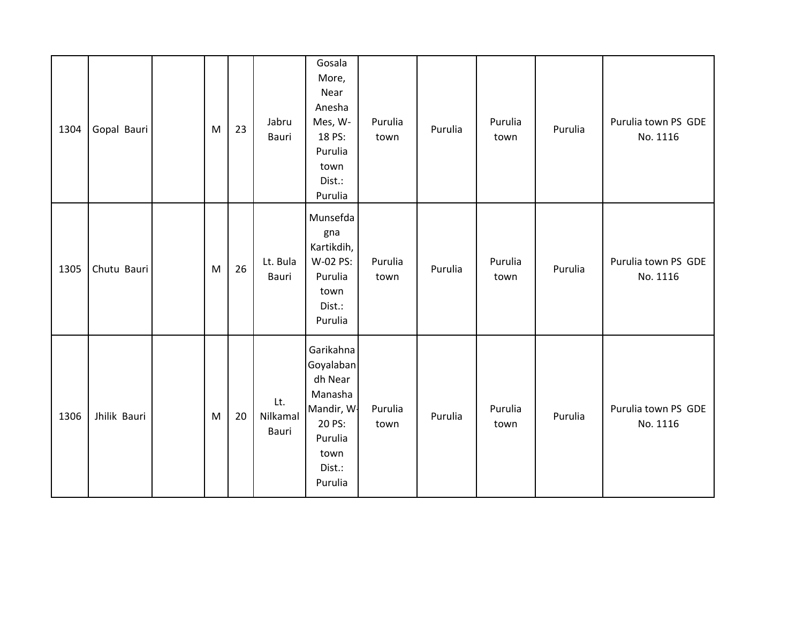| 1304 | Gopal Bauri  | M | 23 | Jabru<br>Bauri           | Gosala<br>More,<br>Near<br>Anesha<br>Mes, W-<br>18 PS:<br>Purulia<br>town<br>Dist.:<br>Purulia               | Purulia<br>town | Purulia | Purulia<br>town | Purulia | Purulia town PS GDE<br>No. 1116 |
|------|--------------|---|----|--------------------------|--------------------------------------------------------------------------------------------------------------|-----------------|---------|-----------------|---------|---------------------------------|
| 1305 | Chutu Bauri  | M | 26 | Lt. Bula<br>Bauri        | Munsefda<br>gna<br>Kartikdih,<br>W-02 PS:<br>Purulia<br>town<br>Dist.:<br>Purulia                            | Purulia<br>town | Purulia | Purulia<br>town | Purulia | Purulia town PS GDE<br>No. 1116 |
| 1306 | Jhilik Bauri | M | 20 | Lt.<br>Nilkamal<br>Bauri | Garikahna<br>Goyalaban<br>dh Near<br>Manasha<br>Mandir, W.<br>20 PS:<br>Purulia<br>town<br>Dist.:<br>Purulia | Purulia<br>town | Purulia | Purulia<br>town | Purulia | Purulia town PS GDE<br>No. 1116 |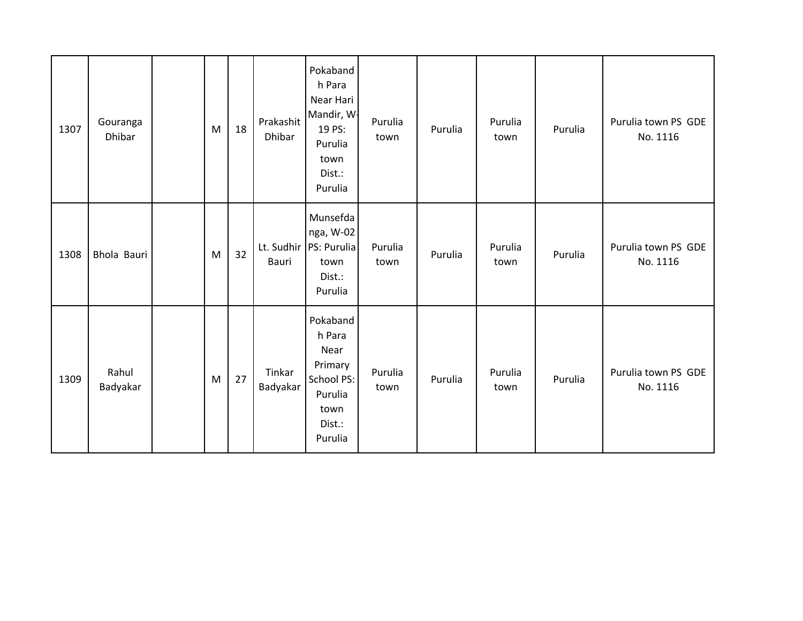| 1307 | Gouranga<br>Dhibar | M | 18 | Prakashit<br>Dhibar | Pokaband<br>h Para<br>Near Hari<br>Mandir, W.<br>19 PS:<br>Purulia<br>town<br>Dist.:<br>Purulia | Purulia<br>town | Purulia | Purulia<br>town | Purulia | Purulia town PS GDE<br>No. 1116 |
|------|--------------------|---|----|---------------------|-------------------------------------------------------------------------------------------------|-----------------|---------|-----------------|---------|---------------------------------|
| 1308 | Bhola Bauri        | M | 32 | Lt. Sudhir<br>Bauri | Munsefda<br>nga, W-02<br>PS: Purulia<br>town<br>Dist.:<br>Purulia                               | Purulia<br>town | Purulia | Purulia<br>town | Purulia | Purulia town PS GDE<br>No. 1116 |
| 1309 | Rahul<br>Badyakar  | M | 27 | Tinkar<br>Badyakar  | Pokaband<br>h Para<br>Near<br>Primary<br>School PS:<br>Purulia<br>town<br>Dist.:<br>Purulia     | Purulia<br>town | Purulia | Purulia<br>town | Purulia | Purulia town PS GDE<br>No. 1116 |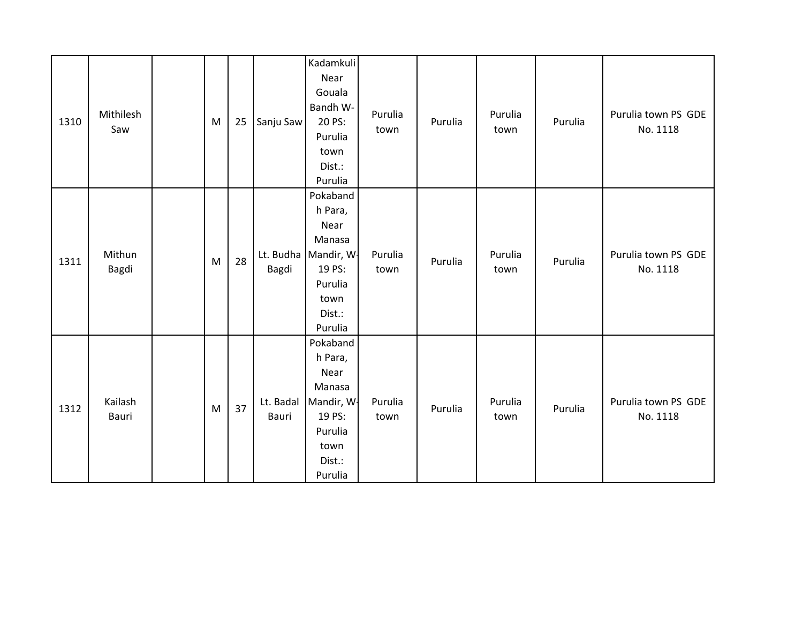| 1310 | Mithilesh<br>Saw | M | 25 | Sanju Saw          | Kadamkuli<br>Near<br>Gouala<br>Bandh W-<br>20 PS:<br>Purulia<br>town<br>Dist.:<br>Purulia             | Purulia<br>town | Purulia | Purulia<br>town | Purulia | Purulia town PS GDE<br>No. 1118 |
|------|------------------|---|----|--------------------|-------------------------------------------------------------------------------------------------------|-----------------|---------|-----------------|---------|---------------------------------|
| 1311 | Mithun<br>Bagdi  | M | 28 | Lt. Budha<br>Bagdi | Pokaband<br>h Para,<br>Near<br>Manasa<br>Mandir, W-<br>19 PS:<br>Purulia<br>town<br>Dist.:<br>Purulia | Purulia<br>town | Purulia | Purulia<br>town | Purulia | Purulia town PS GDE<br>No. 1118 |
| 1312 | Kailash<br>Bauri | M | 37 | Lt. Badal<br>Bauri | Pokaband<br>h Para,<br>Near<br>Manasa<br>Mandir, W-<br>19 PS:<br>Purulia<br>town<br>Dist.:<br>Purulia | Purulia<br>town | Purulia | Purulia<br>town | Purulia | Purulia town PS GDE<br>No. 1118 |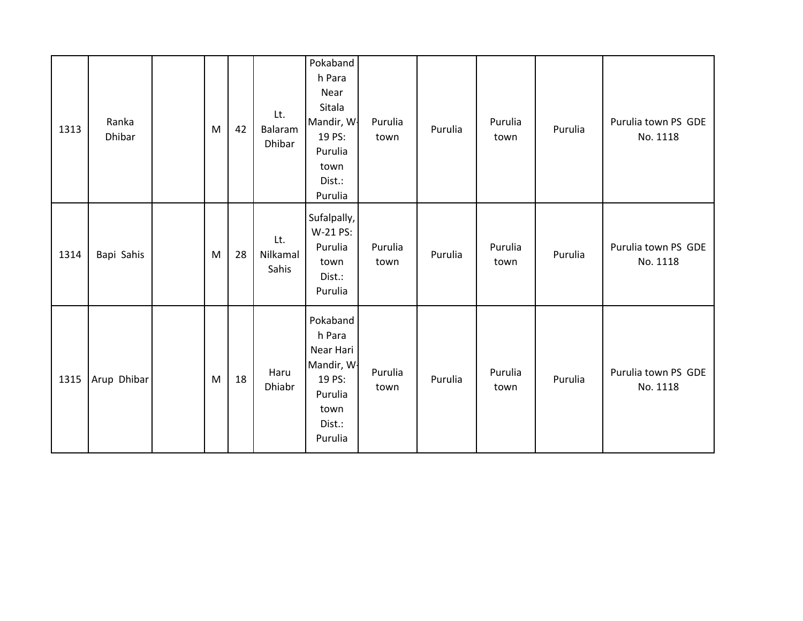| 1313 | Ranka<br>Dhibar | M | 42 | Lt.<br>Balaram<br>Dhibar | Pokaband<br>h Para<br>Near<br>Sitala<br>Mandir, W.<br>19 PS:<br>Purulia<br>town<br>Dist.:<br>Purulia | Purulia<br>town | Purulia | Purulia<br>town | Purulia | Purulia town PS GDE<br>No. 1118 |
|------|-----------------|---|----|--------------------------|------------------------------------------------------------------------------------------------------|-----------------|---------|-----------------|---------|---------------------------------|
| 1314 | Bapi Sahis      | M | 28 | Lt.<br>Nilkamal<br>Sahis | Sufalpally,<br>W-21 PS:<br>Purulia<br>town<br>Dist.:<br>Purulia                                      | Purulia<br>town | Purulia | Purulia<br>town | Purulia | Purulia town PS GDE<br>No. 1118 |
| 1315 | Arup Dhibar     | M | 18 | Haru<br>Dhiabr           | Pokaband<br>h Para<br>Near Hari<br>Mandir, W.<br>19 PS:<br>Purulia<br>town<br>Dist.:<br>Purulia      | Purulia<br>town | Purulia | Purulia<br>town | Purulia | Purulia town PS GDE<br>No. 1118 |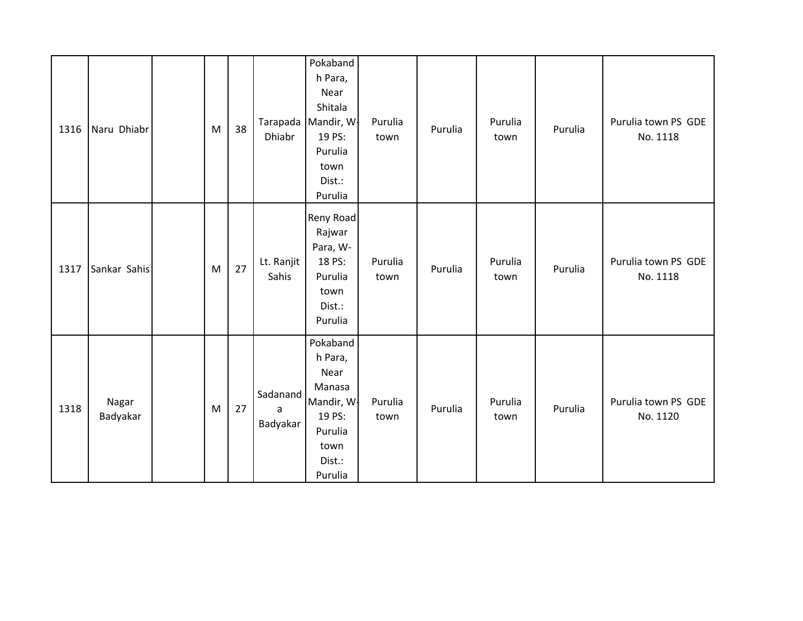| 1316 | Naru Dhiabr       | M | 38 | Tarapada<br>Dhiabr        | Pokaband<br>h Para,<br>Near<br>Shitala<br>Mandir, W.<br>19 PS:<br>Purulia<br>town<br>Dist.:<br>Purulia | Purulia<br>town | Purulia | Purulia<br>town | Purulia | Purulia town PS GDE<br>No. 1118 |
|------|-------------------|---|----|---------------------------|--------------------------------------------------------------------------------------------------------|-----------------|---------|-----------------|---------|---------------------------------|
| 1317 | Sankar Sahis      | M | 27 | Lt. Ranjit<br>Sahis       | Reny Road<br>Rajwar<br>Para, W-<br>18 PS:<br>Purulia<br>town<br>Dist.:<br>Purulia                      | Purulia<br>town | Purulia | Purulia<br>town | Purulia | Purulia town PS GDE<br>No. 1118 |
| 1318 | Nagar<br>Badyakar | M | 27 | Sadanand<br>a<br>Badyakar | Pokaband<br>h Para,<br>Near<br>Manasa<br>Mandir, W<br>19 PS:<br>Purulia<br>town<br>Dist.:<br>Purulia   | Purulia<br>town | Purulia | Purulia<br>town | Purulia | Purulia town PS GDE<br>No. 1120 |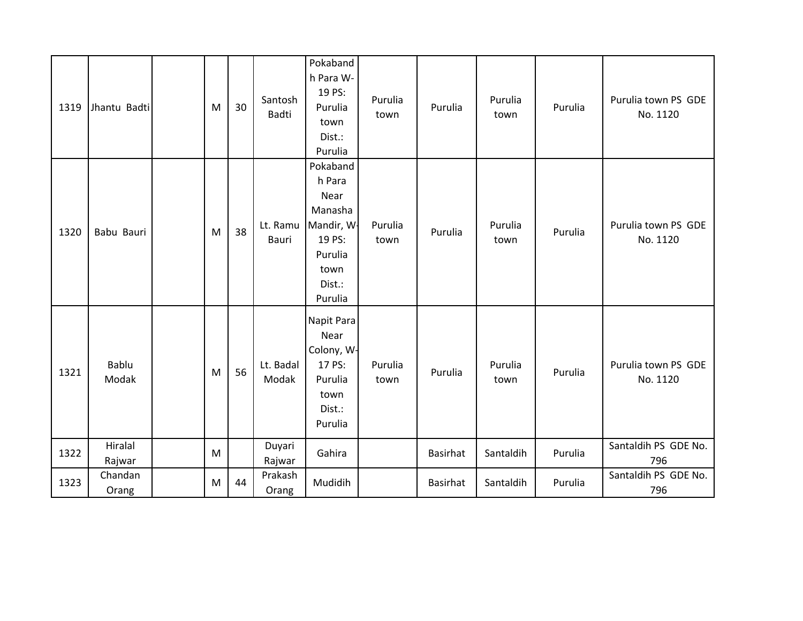| 1319 | Jhantu Badti      | M | 30 | Santosh<br>Badti   | Pokaband<br>h Para W-<br>19 PS:<br>Purulia<br>town<br>Dist.:<br>Purulia                               | Purulia<br>town | Purulia  | Purulia<br>town | Purulia | Purulia town PS GDE<br>No. 1120 |
|------|-------------------|---|----|--------------------|-------------------------------------------------------------------------------------------------------|-----------------|----------|-----------------|---------|---------------------------------|
| 1320 | Babu Bauri        | M | 38 | Lt. Ramu<br>Bauri  | Pokaband<br>h Para<br>Near<br>Manasha<br>Mandir, W.<br>19 PS:<br>Purulia<br>town<br>Dist.:<br>Purulia | Purulia<br>town | Purulia  | Purulia<br>town | Purulia | Purulia town PS GDE<br>No. 1120 |
| 1321 | Bablu<br>Modak    | M | 56 | Lt. Badal<br>Modak | Napit Para<br>Near<br>Colony, W-<br>17 PS:<br>Purulia<br>town<br>Dist.:<br>Purulia                    | Purulia<br>town | Purulia  | Purulia<br>town | Purulia | Purulia town PS GDE<br>No. 1120 |
| 1322 | Hiralal<br>Rajwar | M |    | Duyari<br>Rajwar   | Gahira                                                                                                |                 | Basirhat | Santaldih       | Purulia | Santaldih PS GDE No.<br>796     |
| 1323 | Chandan<br>Orang  | M | 44 | Prakash<br>Orang   | Mudidih                                                                                               |                 | Basirhat | Santaldih       | Purulia | Santaldih PS GDE No.<br>796     |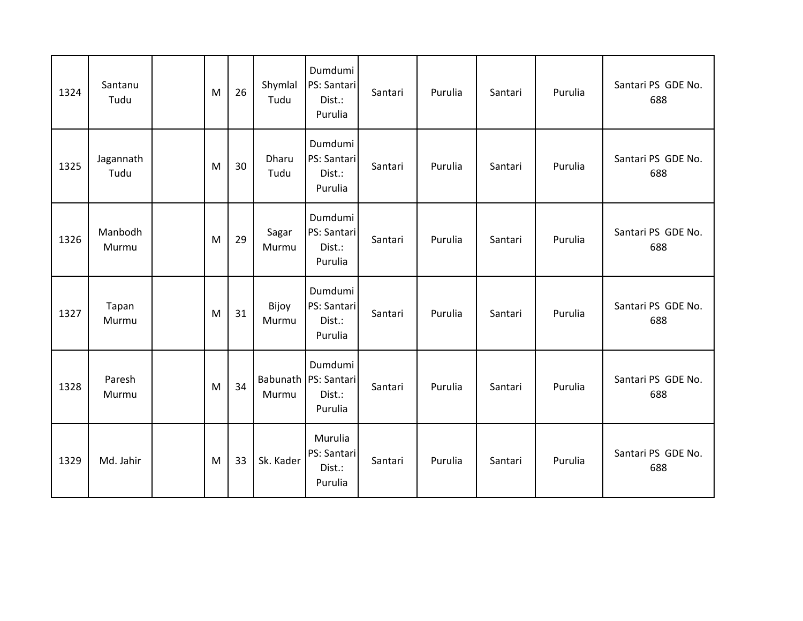| 1324 | Santanu<br>Tudu   | M | 26 | Shymlal<br>Tudu   | Dumdumi<br>PS: Santari<br>Dist.:<br>Purulia | Santari | Purulia | Santari | Purulia | Santari PS GDE No.<br>688 |
|------|-------------------|---|----|-------------------|---------------------------------------------|---------|---------|---------|---------|---------------------------|
| 1325 | Jagannath<br>Tudu | M | 30 | Dharu<br>Tudu     | Dumdumi<br>PS: Santari<br>Dist.:<br>Purulia | Santari | Purulia | Santari | Purulia | Santari PS GDE No.<br>688 |
| 1326 | Manbodh<br>Murmu  | M | 29 | Sagar<br>Murmu    | Dumdumi<br>PS: Santari<br>Dist.:<br>Purulia | Santari | Purulia | Santari | Purulia | Santari PS GDE No.<br>688 |
| 1327 | Tapan<br>Murmu    | M | 31 | Bijoy<br>Murmu    | Dumdumi<br>PS: Santari<br>Dist.:<br>Purulia | Santari | Purulia | Santari | Purulia | Santari PS GDE No.<br>688 |
| 1328 | Paresh<br>Murmu   | M | 34 | Babunath<br>Murmu | Dumdumi<br>PS: Santari<br>Dist.:<br>Purulia | Santari | Purulia | Santari | Purulia | Santari PS GDE No.<br>688 |
| 1329 | Md. Jahir         | M | 33 | Sk. Kader         | Murulia<br>PS: Santari<br>Dist.:<br>Purulia | Santari | Purulia | Santari | Purulia | Santari PS GDE No.<br>688 |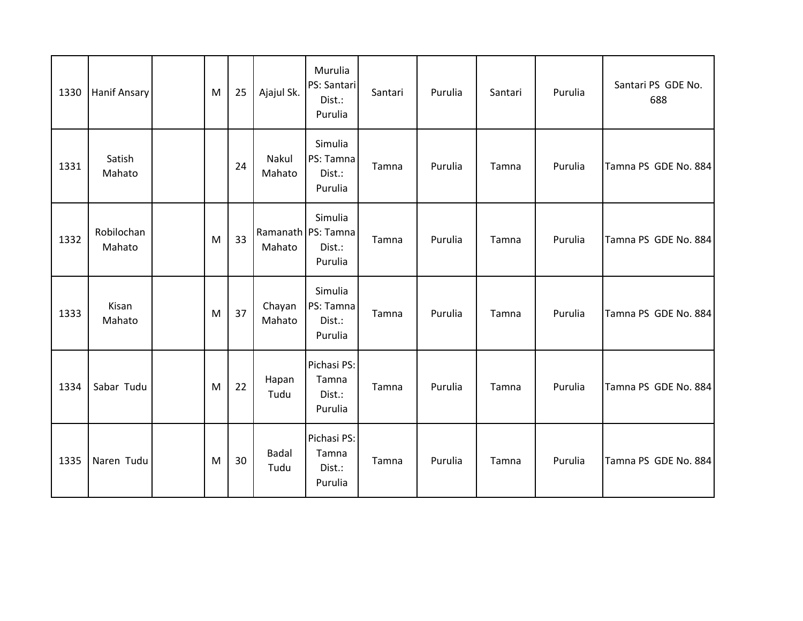| 1330 | <b>Hanif Ansary</b>  | M | 25 | Ajajul Sk.           | Murulia<br>PS: Santari<br>Dist.:<br>Purulia        | Santari | Purulia | Santari | Purulia | Santari PS GDE No.<br>688 |
|------|----------------------|---|----|----------------------|----------------------------------------------------|---------|---------|---------|---------|---------------------------|
| 1331 | Satish<br>Mahato     |   | 24 | Nakul<br>Mahato      | Simulia<br>PS: Tamna<br>Dist.:<br>Purulia          | Tamna   | Purulia | Tamna   | Purulia | Tamna PS GDE No. 884      |
| 1332 | Robilochan<br>Mahato | M | 33 | Mahato               | Simulia<br>Ramanath PS: Tamna<br>Dist.:<br>Purulia | Tamna   | Purulia | Tamna   | Purulia | Tamna PS GDE No. 884      |
| 1333 | Kisan<br>Mahato      | M | 37 | Chayan<br>Mahato     | Simulia<br>PS: Tamna<br>Dist.:<br>Purulia          | Tamna   | Purulia | Tamna   | Purulia | Tamna PS GDE No. 884      |
| 1334 | Sabar Tudu           | M | 22 | Hapan<br>Tudu        | Pichasi PS:<br>Tamna<br>Dist.:<br>Purulia          | Tamna   | Purulia | Tamna   | Purulia | Tamna PS GDE No. 884      |
| 1335 | Naren Tudu           | M | 30 | <b>Badal</b><br>Tudu | Pichasi PS:<br>Tamna<br>Dist.:<br>Purulia          | Tamna   | Purulia | Tamna   | Purulia | Tamna PS GDE No. 884      |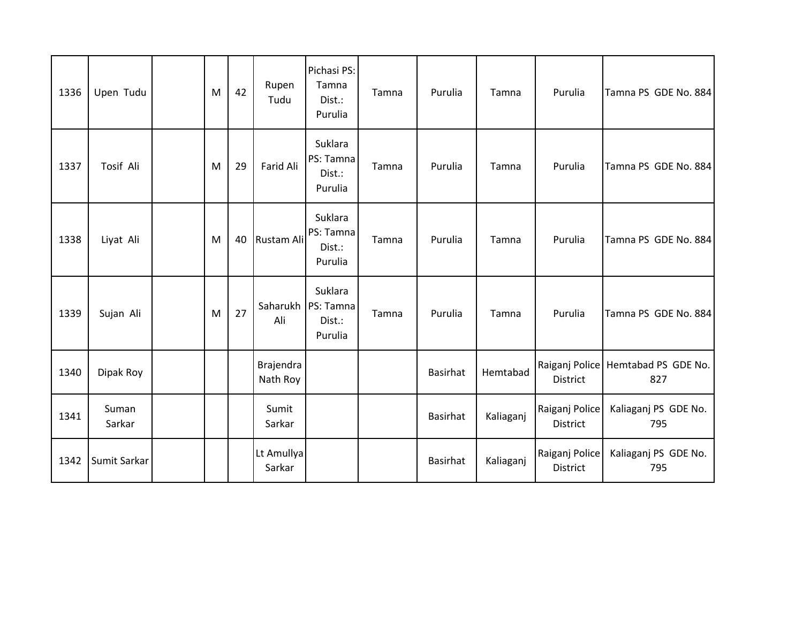| 1336 | Upen Tudu       | M | 42 | Rupen<br>Tudu         | Pichasi PS:<br>Tamna<br>Dist.:<br>Purulia | Tamna | Purulia         | Tamna     | Purulia                    | Tamna PS GDE No. 884                      |
|------|-----------------|---|----|-----------------------|-------------------------------------------|-------|-----------------|-----------|----------------------------|-------------------------------------------|
| 1337 | Tosif Ali       | M | 29 | Farid Ali             | Suklara<br>PS: Tamna<br>Dist.:<br>Purulia | Tamna | Purulia         | Tamna     | Purulia                    | Tamna PS GDE No. 884                      |
| 1338 | Liyat Ali       | M | 40 | Rustam Ali            | Suklara<br>PS: Tamna<br>Dist.:<br>Purulia | Tamna | Purulia         | Tamna     | Purulia                    | Tamna PS GDE No. 884                      |
| 1339 | Sujan Ali       | M | 27 | Saharukh<br>Ali       | Suklara<br>PS: Tamna<br>Dist.:<br>Purulia | Tamna | Purulia         | Tamna     | Purulia                    | Tamna PS GDE No. 884                      |
| 1340 | Dipak Roy       |   |    | Brajendra<br>Nath Roy |                                           |       | <b>Basirhat</b> | Hemtabad  | <b>District</b>            | Raiganj Police Hemtabad PS GDE No.<br>827 |
| 1341 | Suman<br>Sarkar |   |    | Sumit<br>Sarkar       |                                           |       | Basirhat        | Kaliaganj | Raiganj Police<br>District | Kaliaganj PS GDE No.<br>795               |
| 1342 | Sumit Sarkar    |   |    | Lt Amullya<br>Sarkar  |                                           |       | Basirhat        | Kaliaganj | Raiganj Police<br>District | Kaliaganj PS GDE No.<br>795               |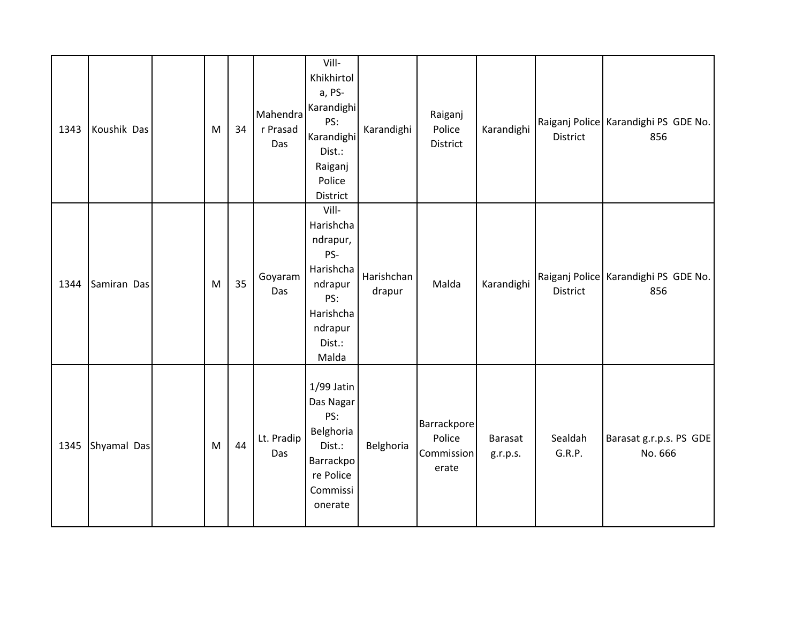| 1343 | Koushik Das | M | 34 | Mahendra<br>r Prasad<br>Das | Vill-<br>Khikhirtol<br>a, PS-<br>Karandighi<br>PS:<br>Karandighi<br>Dist.:<br>Raiganj<br>Police<br>District     | Karandighi           | Raiganj<br>Police<br>District                | Karandighi                 | District          | Raiganj Police   Karandighi PS GDE No.<br>856 |
|------|-------------|---|----|-----------------------------|-----------------------------------------------------------------------------------------------------------------|----------------------|----------------------------------------------|----------------------------|-------------------|-----------------------------------------------|
| 1344 | Samiran Das | M | 35 | Goyaram<br>Das              | Vill-<br>Harishcha<br>ndrapur,<br>PS-<br>Harishcha<br>ndrapur<br>PS:<br>Harishcha<br>ndrapur<br>Dist.:<br>Malda | Harishchan<br>drapur | Malda                                        | Karandighi                 | District          | Raiganj Police   Karandighi PS GDE No.<br>856 |
| 1345 | Shyamal Das | M | 44 | Lt. Pradip<br>Das           | 1/99 Jatin<br>Das Nagar<br>PS:<br>Belghoria<br>Dist.:<br>Barrackpo<br>re Police<br>Commissi<br>onerate          | Belghoria            | Barrackpore<br>Police<br>Commission<br>erate | <b>Barasat</b><br>g.r.p.s. | Sealdah<br>G.R.P. | Barasat g.r.p.s. PS GDE<br>No. 666            |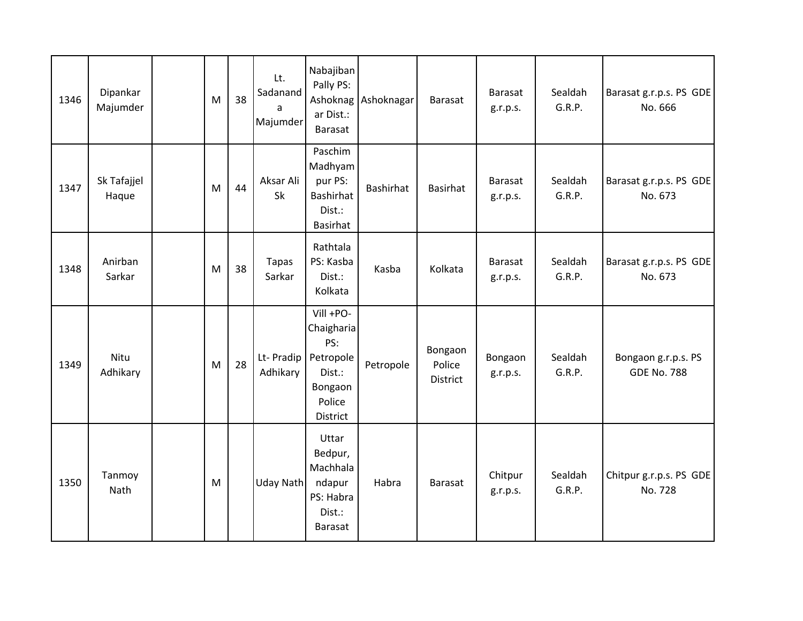| 1346 | Dipankar<br>Majumder | M | 38 | Lt.<br>Sadanand<br>a<br>Majumder | Nabajiban<br>Pally PS:<br>Ashoknag<br>ar Dist.:<br>Barasat                             | Ashoknagar       | Barasat                       | Barasat<br>g.r.p.s. | Sealdah<br>G.R.P. | Barasat g.r.p.s. PS GDE<br>No. 666        |
|------|----------------------|---|----|----------------------------------|----------------------------------------------------------------------------------------|------------------|-------------------------------|---------------------|-------------------|-------------------------------------------|
| 1347 | Sk Tafajjel<br>Haque | M | 44 | Aksar Ali<br>Sk                  | Paschim<br>Madhyam<br>pur PS:<br>Bashirhat<br>Dist.:<br>Basirhat                       | <b>Bashirhat</b> | <b>Basirhat</b>               | Barasat<br>g.r.p.s. | Sealdah<br>G.R.P. | Barasat g.r.p.s. PS GDE<br>No. 673        |
| 1348 | Anirban<br>Sarkar    | M | 38 | <b>Tapas</b><br>Sarkar           | Rathtala<br>PS: Kasba<br>Dist.:<br>Kolkata                                             | Kasba            | Kolkata                       | Barasat<br>g.r.p.s. | Sealdah<br>G.R.P. | Barasat g.r.p.s. PS GDE<br>No. 673        |
| 1349 | Nitu<br>Adhikary     | M | 28 | Lt- Pradip<br>Adhikary           | Vill +PO-<br>Chaigharia<br>PS:<br>Petropole<br>Dist.:<br>Bongaon<br>Police<br>District | Petropole        | Bongaon<br>Police<br>District | Bongaon<br>g.r.p.s. | Sealdah<br>G.R.P. | Bongaon g.r.p.s. PS<br><b>GDE No. 788</b> |
| 1350 | Tanmoy<br>Nath       | M |    | Uday Nath                        | Uttar<br>Bedpur,<br>Machhala<br>ndapur<br>PS: Habra<br>Dist.:<br>Barasat               | Habra            | <b>Barasat</b>                | Chitpur<br>g.r.p.s. | Sealdah<br>G.R.P. | Chitpur g.r.p.s. PS GDE<br>No. 728        |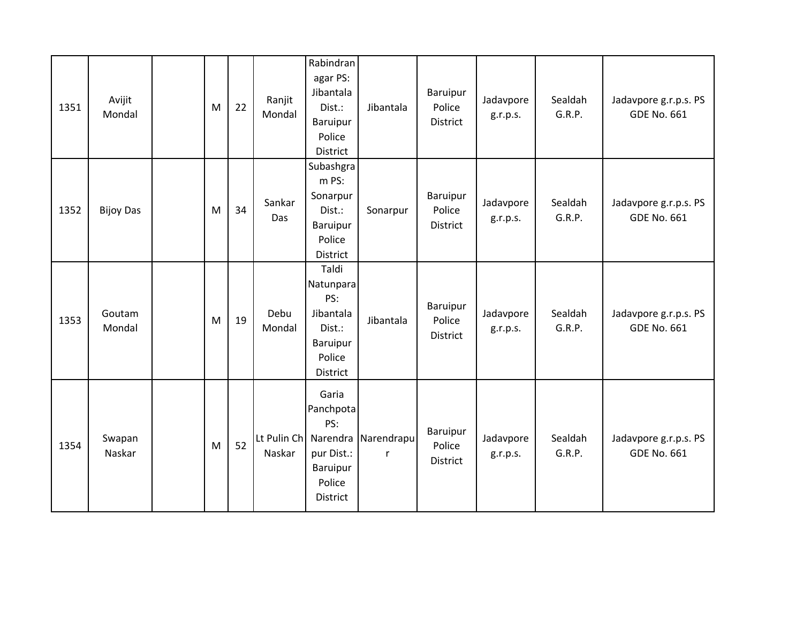| 1351 | Avijit<br>Mondal | M | 22 | Ranjit<br>Mondal      | Rabindran<br>agar PS:<br>Jibantala<br>Dist.:<br>Baruipur<br>Police<br>District     | Jibantala                           | Baruipur<br>Police<br><b>District</b> | Jadavpore<br>g.r.p.s. | Sealdah<br>G.R.P. | Jadavpore g.r.p.s. PS<br><b>GDE No. 661</b> |
|------|------------------|---|----|-----------------------|------------------------------------------------------------------------------------|-------------------------------------|---------------------------------------|-----------------------|-------------------|---------------------------------------------|
| 1352 | <b>Bijoy Das</b> | M | 34 | Sankar<br>Das         | Subashgra<br>m PS:<br>Sonarpur<br>Dist.:<br>Baruipur<br>Police<br>District         | Sonarpur                            | Baruipur<br>Police<br><b>District</b> | Jadavpore<br>g.r.p.s. | Sealdah<br>G.R.P. | Jadavpore g.r.p.s. PS<br><b>GDE No. 661</b> |
| 1353 | Goutam<br>Mondal | M | 19 | Debu<br>Mondal        | Taldi<br>Natunpara<br>PS:<br>Jibantala<br>Dist.:<br>Baruipur<br>Police<br>District | Jibantala                           | Baruipur<br>Police<br>District        | Jadavpore<br>g.r.p.s. | Sealdah<br>G.R.P. | Jadavpore g.r.p.s. PS<br><b>GDE No. 661</b> |
| 1354 | Swapan<br>Naskar | M | 52 | Lt Pulin Ch<br>Naskar | Garia<br>Panchpota<br>PS:<br>pur Dist.:<br>Baruipur<br>Police<br><b>District</b>   | Narendra Narendrapu<br>$\mathsf{r}$ | Baruipur<br>Police<br>District        | Jadavpore<br>g.r.p.s. | Sealdah<br>G.R.P. | Jadavpore g.r.p.s. PS<br><b>GDE No. 661</b> |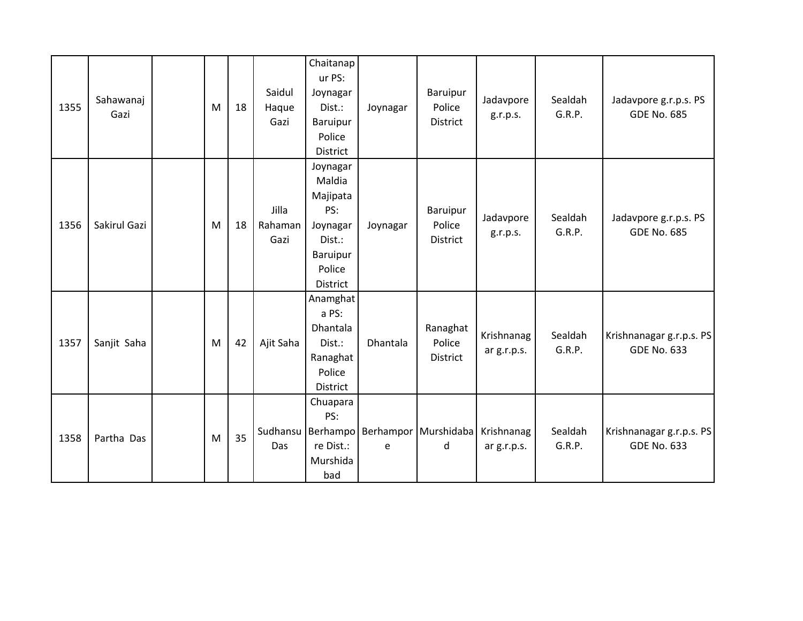| 1355 | Sahawanaj<br>Gazi | M | 18 | Saidul<br>Haque<br>Gazi  | Chaitanap<br>ur PS:<br>Joynagar<br>Dist.:<br>Baruipur<br>Police<br>District                   | Joynagar | Baruipur<br>Police<br>District        | Jadavpore<br>g.r.p.s.     | Sealdah<br>G.R.P. | Jadavpore g.r.p.s. PS<br><b>GDE No. 685</b>    |
|------|-------------------|---|----|--------------------------|-----------------------------------------------------------------------------------------------|----------|---------------------------------------|---------------------------|-------------------|------------------------------------------------|
| 1356 | Sakirul Gazi      | M | 18 | Jilla<br>Rahaman<br>Gazi | Joynagar<br>Maldia<br>Majipata<br>PS:<br>Joynagar<br>Dist.:<br>Baruipur<br>Police<br>District | Joynagar | Baruipur<br>Police<br><b>District</b> | Jadavpore<br>g.r.p.s.     | Sealdah<br>G.R.P. | Jadavpore g.r.p.s. PS<br><b>GDE No. 685</b>    |
| 1357 | Sanjit Saha       | M | 42 | Ajit Saha                | Anamghat<br>a PS:<br><b>Dhantala</b><br>Dist.:<br>Ranaghat<br>Police<br>District              | Dhantala | Ranaghat<br>Police<br>District        | Krishnanag<br>ar g.r.p.s. | Sealdah<br>G.R.P. | Krishnanagar g.r.p.s. PS<br><b>GDE No. 633</b> |
| 1358 | Partha Das        | M | 35 | Sudhansu<br>Das          | Chuapara<br>PS:<br>Berhampo<br>re Dist.:<br>Murshida<br>bad                                   | e        | Berhampor Murshidaba<br>d             | Krishnanag<br>ar g.r.p.s. | Sealdah<br>G.R.P. | Krishnanagar g.r.p.s. PS<br><b>GDE No. 633</b> |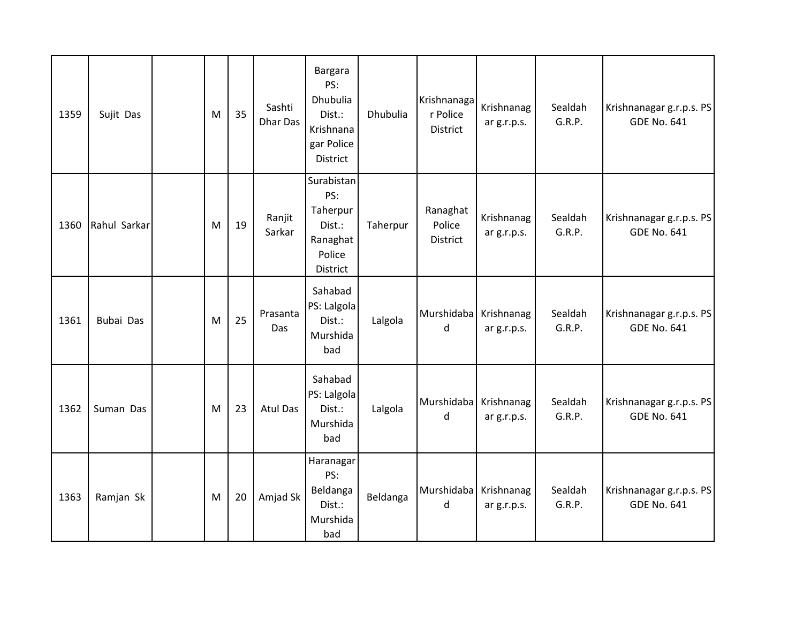| 1359 | Sujit Das    | M | 35 | Sashti<br><b>Dhar Das</b> | Bargara<br>PS:<br>Dhubulia<br>Dist.:<br>Krishnana<br>gar Police<br>District | Dhubulia | Krishnanaga<br>r Police<br>District | Krishnanag<br>ar g.r.p.s. | Sealdah<br>G.R.P. | Krishnanagar g.r.p.s. PS<br><b>GDE No. 641</b> |
|------|--------------|---|----|---------------------------|-----------------------------------------------------------------------------|----------|-------------------------------------|---------------------------|-------------------|------------------------------------------------|
| 1360 | Rahul Sarkar | M | 19 | Ranjit<br>Sarkar          | Surabistan<br>PS:<br>Taherpur<br>Dist.:<br>Ranaghat<br>Police<br>District   | Taherpur | Ranaghat<br>Police<br>District      | Krishnanag<br>ar g.r.p.s. | Sealdah<br>G.R.P. | Krishnanagar g.r.p.s. PS<br><b>GDE No. 641</b> |
| 1361 | Bubai Das    | M | 25 | Prasanta<br>Das           | Sahabad<br>PS: Lalgola<br>Dist.:<br>Murshida<br>bad                         | Lalgola  | Murshidaba<br>d                     | Krishnanag<br>ar g.r.p.s. | Sealdah<br>G.R.P. | Krishnanagar g.r.p.s. PS<br><b>GDE No. 641</b> |
| 1362 | Suman Das    | M | 23 | <b>Atul Das</b>           | Sahabad<br>PS: Lalgola<br>Dist.:<br>Murshida<br>bad                         | Lalgola  | Murshidaba<br>d                     | Krishnanag<br>ar g.r.p.s. | Sealdah<br>G.R.P. | Krishnanagar g.r.p.s. PS<br><b>GDE No. 641</b> |
| 1363 | Ramjan Sk    | M | 20 | Amjad Sk                  | Haranagar<br>PS:<br>Beldanga<br>Dist.:<br>Murshida<br>bad                   | Beldanga | Murshidaba<br>d                     | Krishnanag<br>ar g.r.p.s. | Sealdah<br>G.R.P. | Krishnanagar g.r.p.s. PS<br><b>GDE No. 641</b> |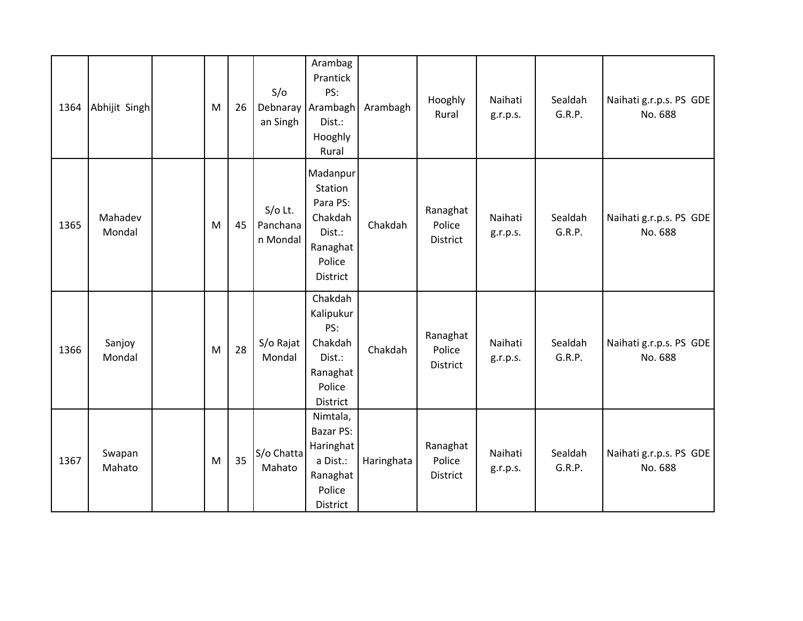| 1364 | Abhijit Singh     | M | 26 | S/O<br>Debnaray<br>an Singh       | Arambag<br>Prantick<br>PS:<br>Arambagh<br>Dist.:<br>Hooghly<br>Rural                    | Arambagh   | Hooghly<br>Rural               | Naihati<br>g.r.p.s. | Sealdah<br>G.R.P. | Naihati g.r.p.s. PS GDE<br>No. 688 |
|------|-------------------|---|----|-----------------------------------|-----------------------------------------------------------------------------------------|------------|--------------------------------|---------------------|-------------------|------------------------------------|
| 1365 | Mahadev<br>Mondal | M | 45 | $S/O$ Lt.<br>Panchana<br>n Mondal | Madanpur<br>Station<br>Para PS:<br>Chakdah<br>Dist.:<br>Ranaghat<br>Police<br>District  | Chakdah    | Ranaghat<br>Police<br>District | Naihati<br>g.r.p.s. | Sealdah<br>G.R.P. | Naihati g.r.p.s. PS GDE<br>No. 688 |
| 1366 | Sanjoy<br>Mondal  | M | 28 | S/o Rajat<br>Mondal               | Chakdah<br>Kalipukur<br>PS:<br>Chakdah<br>Dist.:<br>Ranaghat<br>Police<br>District      | Chakdah    | Ranaghat<br>Police<br>District | Naihati<br>g.r.p.s. | Sealdah<br>G.R.P. | Naihati g.r.p.s. PS GDE<br>No. 688 |
| 1367 | Swapan<br>Mahato  | M | 35 | S/o Chatta<br>Mahato              | Nimtala,<br><b>Bazar PS:</b><br>Haringhat<br>a Dist.:<br>Ranaghat<br>Police<br>District | Haringhata | Ranaghat<br>Police<br>District | Naihati<br>g.r.p.s. | Sealdah<br>G.R.P. | Naihati g.r.p.s. PS GDE<br>No. 688 |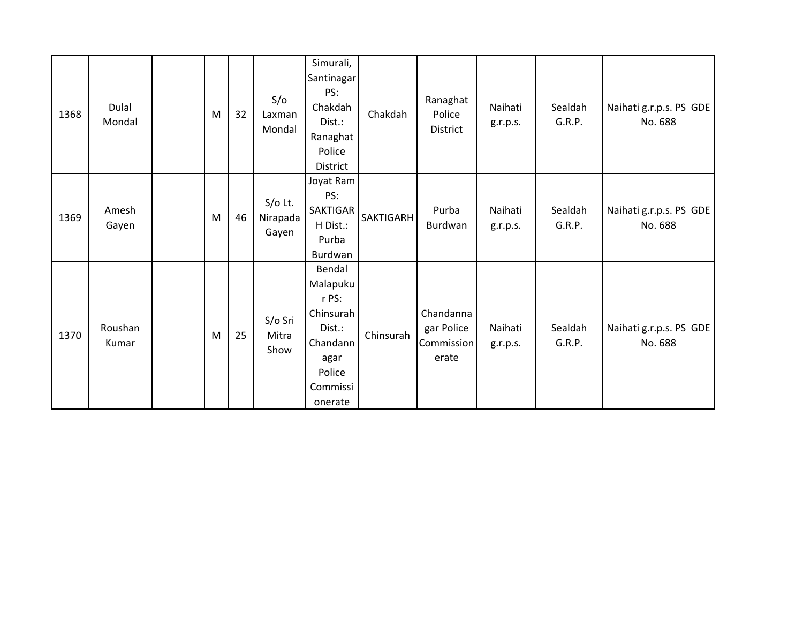| 1368 | Dulal<br>Mondal  | M | 32 | S/O<br>Laxman<br>Mondal        | Simurali,<br>Santinagar<br>PS:<br>Chakdah<br>Dist.:<br>Ranaghat<br>Police<br>District                   | Chakdah          | Ranaghat<br>Police<br>District                 | Naihati<br>g.r.p.s. | Sealdah<br>G.R.P. | Naihati g.r.p.s. PS GDE<br>No. 688 |
|------|------------------|---|----|--------------------------------|---------------------------------------------------------------------------------------------------------|------------------|------------------------------------------------|---------------------|-------------------|------------------------------------|
| 1369 | Amesh<br>Gayen   | M | 46 | $S/O$ Lt.<br>Nirapada<br>Gayen | Joyat Ram<br>PS:<br><b>SAKTIGAR</b><br>H Dist.:<br>Purba<br>Burdwan                                     | <b>SAKTIGARH</b> | Purba<br>Burdwan                               | Naihati<br>g.r.p.s. | Sealdah<br>G.R.P. | Naihati g.r.p.s. PS GDE<br>No. 688 |
| 1370 | Roushan<br>Kumar | M | 25 | S/o Sri<br>Mitra<br>Show       | Bendal<br>Malapuku<br>r PS:<br>Chinsurah<br>Dist.:<br>Chandann<br>agar<br>Police<br>Commissi<br>onerate | Chinsurah        | Chandanna<br>gar Police<br>Commission<br>erate | Naihati<br>g.r.p.s. | Sealdah<br>G.R.P. | Naihati g.r.p.s. PS GDE<br>No. 688 |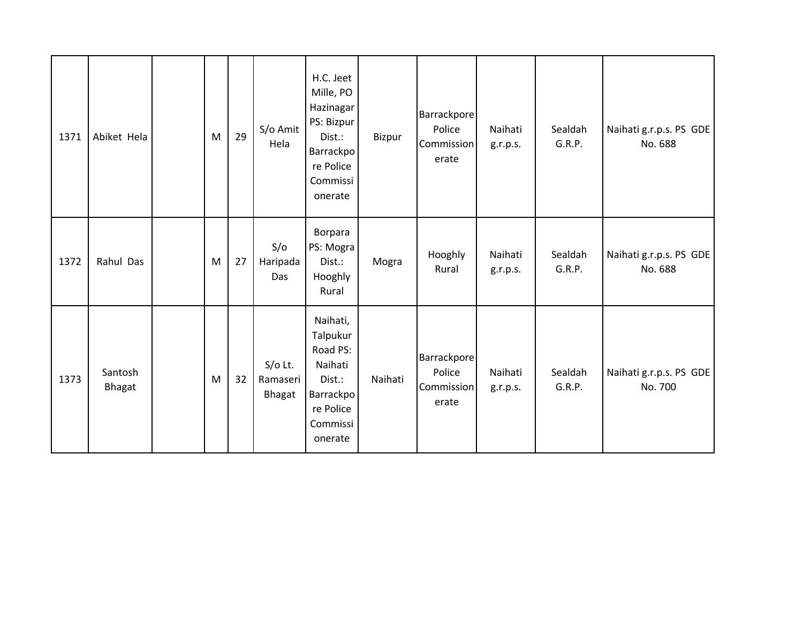| 1371 | Abiket Hela              | M | 29 | S/o Amit<br>Hela                | H.C. Jeet<br>Mille, PO<br>Hazinagar<br>PS: Bizpur<br>Dist.:<br>Barrackpo<br>re Police<br>Commissi<br>onerate | Bizpur  | Barrackpore<br>Police<br>Commission<br>erate | Naihati<br>g.r.p.s. | Sealdah<br>G.R.P. | Naihati g.r.p.s. PS GDE<br>No. 688 |
|------|--------------------------|---|----|---------------------------------|--------------------------------------------------------------------------------------------------------------|---------|----------------------------------------------|---------------------|-------------------|------------------------------------|
| 1372 | Rahul Das                | M | 27 | S/O<br>Haripada<br>Das          | Borpara<br>PS: Mogra<br>Dist.:<br>Hooghly<br>Rural                                                           | Mogra   | Hooghly<br>Rural                             | Naihati<br>g.r.p.s. | Sealdah<br>G.R.P. | Naihati g.r.p.s. PS GDE<br>No. 688 |
| 1373 | Santosh<br><b>Bhagat</b> | M | 32 | $S/O$ Lt.<br>Ramaseri<br>Bhagat | Naihati,<br>Talpukur<br>Road PS:<br>Naihati<br>Dist.:<br>Barrackpo<br>re Police<br>Commissi<br>onerate       | Naihati | Barrackpore<br>Police<br>Commission<br>erate | Naihati<br>g.r.p.s. | Sealdah<br>G.R.P. | Naihati g.r.p.s. PS GDE<br>No. 700 |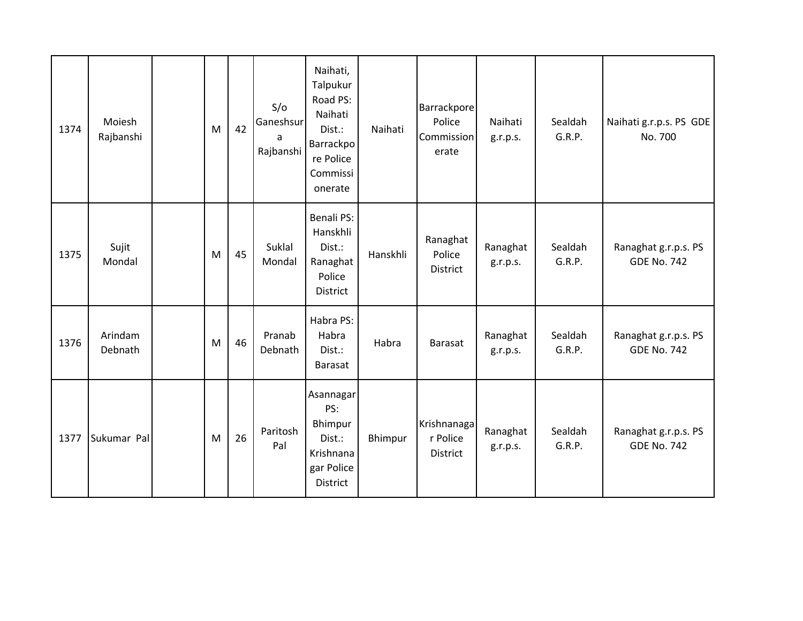| 1374 | Moiesh<br>Rajbanshi | M | 42 | S/O<br>Ganeshsur<br>a<br>Rajbanshi | Naihati,<br>Talpukur<br>Road PS:<br>Naihati<br>Dist.:<br>Barrackpo<br>re Police<br>Commissi<br>onerate | Naihati  | Barrackpore<br>Police<br>Commission<br>erate | Naihati<br>g.r.p.s.  | Sealdah<br>G.R.P. | Naihati g.r.p.s. PS GDE<br>No. 700         |
|------|---------------------|---|----|------------------------------------|--------------------------------------------------------------------------------------------------------|----------|----------------------------------------------|----------------------|-------------------|--------------------------------------------|
| 1375 | Sujit<br>Mondal     | M | 45 | Suklal<br>Mondal                   | Benali PS:<br>Hanskhli<br>Dist.:<br>Ranaghat<br>Police<br>District                                     | Hanskhli | Ranaghat<br>Police<br>District               | Ranaghat<br>g.r.p.s. | Sealdah<br>G.R.P. | Ranaghat g.r.p.s. PS<br><b>GDE No. 742</b> |
| 1376 | Arindam<br>Debnath  | M | 46 | Pranab<br>Debnath                  | Habra PS:<br>Habra<br>Dist.:<br><b>Barasat</b>                                                         | Habra    | Barasat                                      | Ranaghat<br>g.r.p.s. | Sealdah<br>G.R.P. | Ranaghat g.r.p.s. PS<br><b>GDE No. 742</b> |
| 1377 | Sukumar Pal         | M | 26 | Paritosh<br>Pal                    | Asannagar<br>PS:<br>Bhimpur<br>Dist.:<br>Krishnana<br>gar Police<br>District                           | Bhimpur  | Krishnanaga<br>r Police<br>District          | Ranaghat<br>g.r.p.s. | Sealdah<br>G.R.P. | Ranaghat g.r.p.s. PS<br><b>GDE No. 742</b> |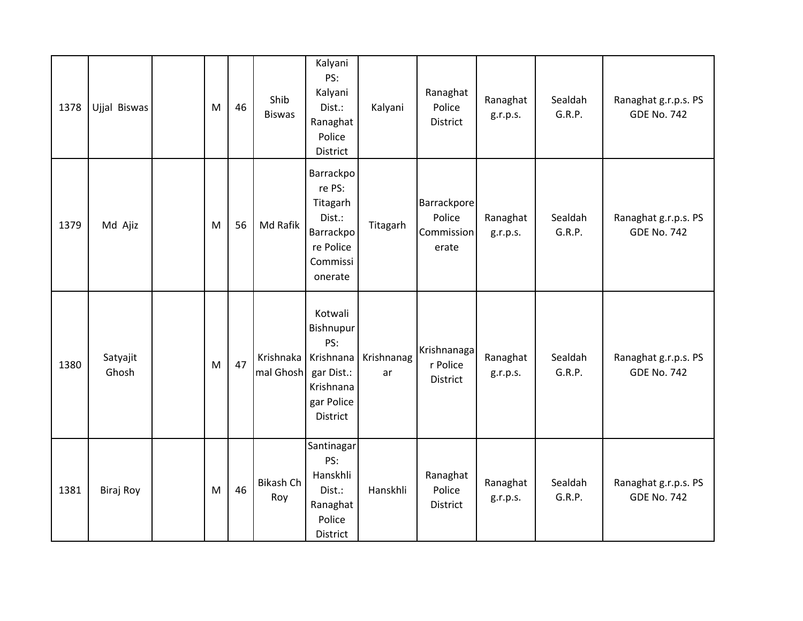| 1378 | Ujjal Biswas      | M | 46 | Shib<br><b>Biswas</b>               | Kalyani<br>PS:<br>Kalyani<br>Dist.:<br>Ranaghat<br>Police<br>District                      | Kalyani          | Ranaghat<br>Police<br>District                      | Ranaghat<br>g.r.p.s. | Sealdah<br>G.R.P. | Ranaghat g.r.p.s. PS<br><b>GDE No. 742</b> |
|------|-------------------|---|----|-------------------------------------|--------------------------------------------------------------------------------------------|------------------|-----------------------------------------------------|----------------------|-------------------|--------------------------------------------|
| 1379 | Md Ajiz           | M | 56 | Md Rafik                            | Barrackpo<br>re PS:<br>Titagarh<br>Dist.:<br>Barrackpo<br>re Police<br>Commissi<br>onerate | Titagarh         | <b>Barrackpore</b><br>Police<br>Commission<br>erate | Ranaghat<br>g.r.p.s. | Sealdah<br>G.R.P. | Ranaghat g.r.p.s. PS<br><b>GDE No. 742</b> |
| 1380 | Satyajit<br>Ghosh | M | 47 | Krishnaka<br>mal Ghosh   gar Dist.: | Kotwali<br>Bishnupur<br>PS:<br>Krishnana<br>Krishnana<br>gar Police<br>District            | Krishnanag<br>ar | Krishnanaga<br>r Police<br>District                 | Ranaghat<br>g.r.p.s. | Sealdah<br>G.R.P. | Ranaghat g.r.p.s. PS<br><b>GDE No. 742</b> |
| 1381 | Biraj Roy         | M | 46 | Bikash Ch<br>Roy                    | Santinagar<br>PS:<br>Hanskhli<br>Dist.:<br>Ranaghat<br>Police<br>District                  | Hanskhli         | Ranaghat<br>Police<br>District                      | Ranaghat<br>g.r.p.s. | Sealdah<br>G.R.P. | Ranaghat g.r.p.s. PS<br><b>GDE No. 742</b> |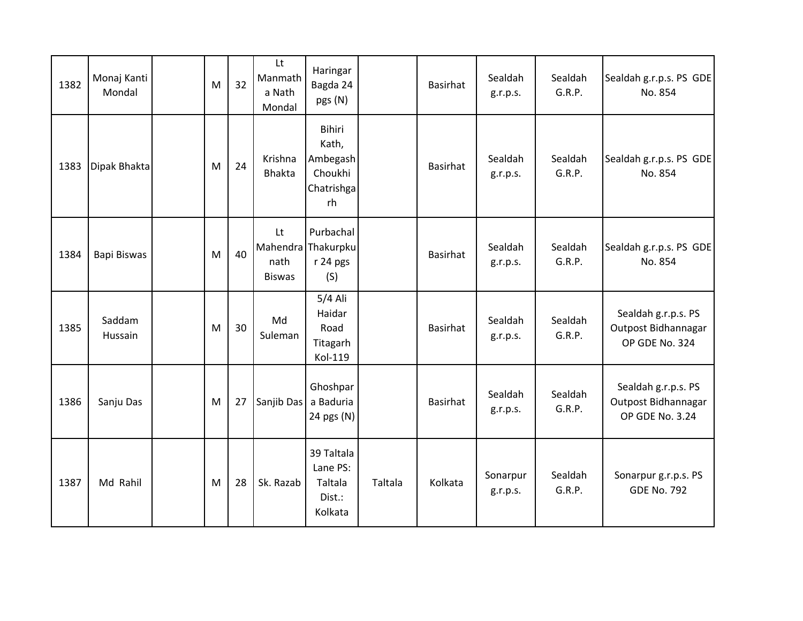| 1382 | Monaj Kanti<br>Mondal | M | 32 | Lt<br>Manmath<br>a Nath<br>Mondal | Haringar<br>Bagda 24<br>pgs (N)                                   |         | Basirhat        | Sealdah<br>g.r.p.s.  | Sealdah<br>G.R.P. | Sealdah g.r.p.s. PS GDE<br>No. 854                            |
|------|-----------------------|---|----|-----------------------------------|-------------------------------------------------------------------|---------|-----------------|----------------------|-------------------|---------------------------------------------------------------|
| 1383 | Dipak Bhakta          | M | 24 | Krishna<br><b>Bhakta</b>          | <b>Bihiri</b><br>Kath,<br>Ambegash<br>Choukhi<br>Chatrishga<br>rh |         | <b>Basirhat</b> | Sealdah<br>g.r.p.s.  | Sealdah<br>G.R.P. | Sealdah g.r.p.s. PS GDE<br>No. 854                            |
| 1384 | Bapi Biswas           | M | 40 | Lt<br>nath<br><b>Biswas</b>       | Purbachal<br>Mahendra Thakurpku<br>r 24 pgs<br>(S)                |         | Basirhat        | Sealdah<br>g.r.p.s.  | Sealdah<br>G.R.P. | Sealdah g.r.p.s. PS GDE<br>No. 854                            |
| 1385 | Saddam<br>Hussain     | M | 30 | Md<br>Suleman                     | 5/4 Ali<br>Haidar<br>Road<br>Titagarh<br>Kol-119                  |         | Basirhat        | Sealdah<br>g.r.p.s.  | Sealdah<br>G.R.P. | Sealdah g.r.p.s. PS<br>Outpost Bidhannagar<br>OP GDE No. 324  |
| 1386 | Sanju Das             | M | 27 | Sanjib Das a Baduria              | Ghoshpar<br>24 pgs (N)                                            |         | Basirhat        | Sealdah<br>g.r.p.s.  | Sealdah<br>G.R.P. | Sealdah g.r.p.s. PS<br>Outpost Bidhannagar<br>OP GDE No. 3.24 |
| 1387 | Md Rahil              | M | 28 | Sk. Razab                         | 39 Taltala<br>Lane PS:<br>Taltala<br>Dist.:<br>Kolkata            | Taltala | Kolkata         | Sonarpur<br>g.r.p.s. | Sealdah<br>G.R.P. | Sonarpur g.r.p.s. PS<br><b>GDE No. 792</b>                    |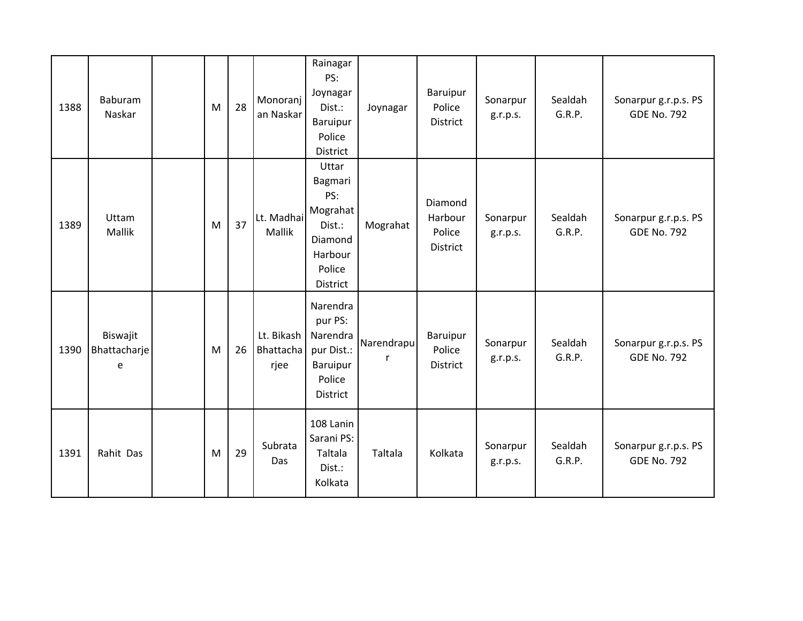| 1388 | <b>Baburam</b><br>Naskar      | M | 28 | Monoranj<br>an Naskar                  | Rainagar<br>PS:<br>Joynagar<br>Dist.:<br>Baruipur<br>Police<br>District                   | Joynagar        | Baruipur<br>Police<br><b>District</b>           | Sonarpur<br>g.r.p.s. | Sealdah<br>G.R.P. | Sonarpur g.r.p.s. PS<br><b>GDE No. 792</b> |
|------|-------------------------------|---|----|----------------------------------------|-------------------------------------------------------------------------------------------|-----------------|-------------------------------------------------|----------------------|-------------------|--------------------------------------------|
| 1389 | Uttam<br>Mallik               | M | 37 | Lt. Madhai<br>Mallik                   | Uttar<br>Bagmari<br>PS:<br>Mograhat<br>Dist.:<br>Diamond<br>Harbour<br>Police<br>District | Mograhat        | Diamond<br>Harbour<br>Police<br><b>District</b> | Sonarpur<br>g.r.p.s. | Sealdah<br>G.R.P. | Sonarpur g.r.p.s. PS<br><b>GDE No. 792</b> |
| 1390 | Biswajit<br>Bhattacharje<br>e | M | 26 | Lt. Bikash<br><b>Bhattacha</b><br>rjee | Narendra<br>pur PS:<br>Narendra<br>pur Dist.:<br>Baruipur<br>Police<br>District           | Narendrapu<br>r | Baruipur<br>Police<br><b>District</b>           | Sonarpur<br>g.r.p.s. | Sealdah<br>G.R.P. | Sonarpur g.r.p.s. PS<br><b>GDE No. 792</b> |
| 1391 | Rahit Das                     | M | 29 | Subrata<br>Das                         | 108 Lanin<br>Sarani PS:<br>Taltala<br>Dist.:<br>Kolkata                                   | Taltala         | Kolkata                                         | Sonarpur<br>g.r.p.s. | Sealdah<br>G.R.P. | Sonarpur g.r.p.s. PS<br><b>GDE No. 792</b> |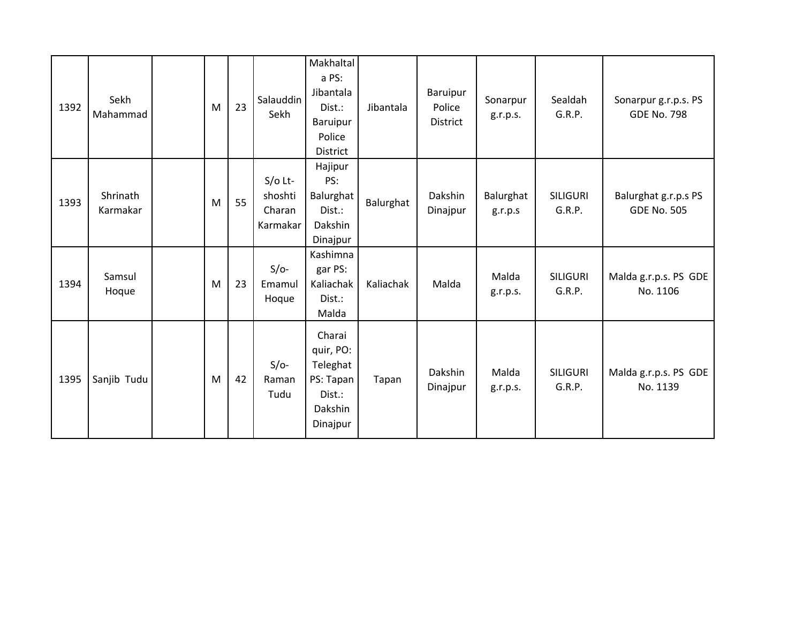| 1392 | Sekh<br>Mahammad     | M | 23 | Salauddin<br>Sekh                          | Makhaltal<br>a PS:<br>Jibantala<br>Dist.:<br>Baruipur<br>Police<br>District   | Jibantala | Baruipur<br>Police<br><b>District</b> | Sonarpur<br>g.r.p.s. | Sealdah<br>G.R.P.         | Sonarpur g.r.p.s. PS<br><b>GDE No. 798</b> |
|------|----------------------|---|----|--------------------------------------------|-------------------------------------------------------------------------------|-----------|---------------------------------------|----------------------|---------------------------|--------------------------------------------|
| 1393 | Shrinath<br>Karmakar | M | 55 | $S/O$ Lt-<br>shoshti<br>Charan<br>Karmakar | Hajipur<br>PS:<br>Balurghat<br>Dist.:<br>Dakshin<br>Dinajpur                  | Balurghat | Dakshin<br>Dinajpur                   | Balurghat<br>g.r.p.s | <b>SILIGURI</b><br>G.R.P. | Balurghat g.r.p.s PS<br><b>GDE No. 505</b> |
| 1394 | Samsul<br>Hoque      | M | 23 | $S/O-$<br>Emamul<br>Hoque                  | Kashimna<br>gar PS:<br>Kaliachak<br>Dist.:<br>Malda                           | Kaliachak | Malda                                 | Malda<br>g.r.p.s.    | <b>SILIGURI</b><br>G.R.P. | Malda g.r.p.s. PS GDE<br>No. 1106          |
| 1395 | Sanjib Tudu          | M | 42 | $S/O-$<br>Raman<br>Tudu                    | Charai<br>quir, PO:<br>Teleghat<br>PS: Tapan<br>Dist.:<br>Dakshin<br>Dinajpur | Tapan     | Dakshin<br>Dinajpur                   | Malda<br>g.r.p.s.    | <b>SILIGURI</b><br>G.R.P. | Malda g.r.p.s. PS GDE<br>No. 1139          |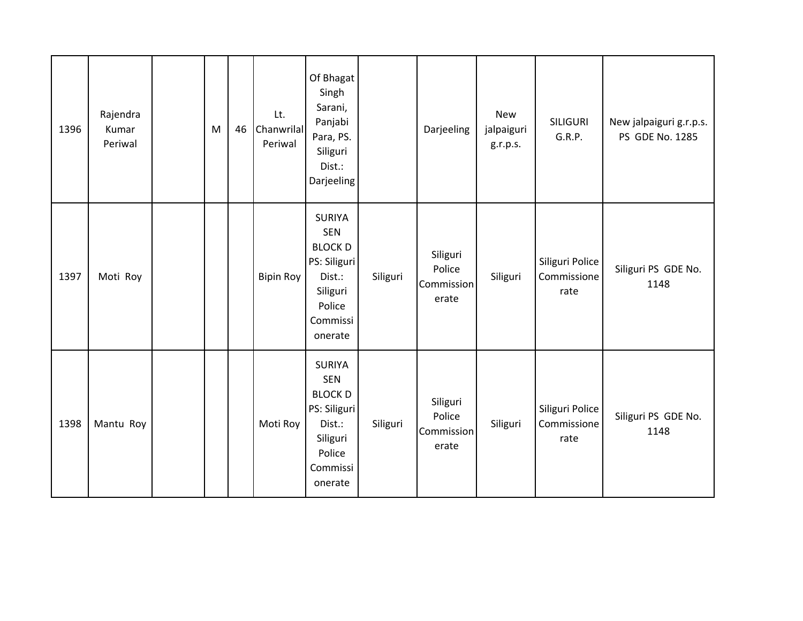| 1396 | Rajendra<br>Kumar<br>Periwal | M | 46 | Lt.<br>Chanwrilal<br>Periwal | Of Bhagat<br>Singh<br>Sarani,<br>Panjabi<br>Para, PS.<br>Siliguri<br>Dist.:<br>Darjeeling                            |          | Darjeeling                                | <b>New</b><br>jalpaiguri<br>g.r.p.s. | <b>SILIGURI</b><br>G.R.P.              | New jalpaiguri g.r.p.s.<br>PS GDE No. 1285 |
|------|------------------------------|---|----|------------------------------|----------------------------------------------------------------------------------------------------------------------|----------|-------------------------------------------|--------------------------------------|----------------------------------------|--------------------------------------------|
| 1397 | Moti Roy                     |   |    | <b>Bipin Roy</b>             | <b>SURIYA</b><br><b>SEN</b><br><b>BLOCK D</b><br>PS: Siliguri<br>Dist.:<br>Siliguri<br>Police<br>Commissi<br>onerate | Siliguri | Siliguri<br>Police<br>Commission<br>erate | Siliguri                             | Siliguri Police<br>Commissione<br>rate | Siliguri PS GDE No.<br>1148                |
| 1398 | Mantu Roy                    |   |    | Moti Roy                     | <b>SURIYA</b><br><b>SEN</b><br><b>BLOCK D</b><br>PS: Siliguri<br>Dist.:<br>Siliguri<br>Police<br>Commissi<br>onerate | Siliguri | Siliguri<br>Police<br>Commission<br>erate | Siliguri                             | Siliguri Police<br>Commissione<br>rate | Siliguri PS GDE No.<br>1148                |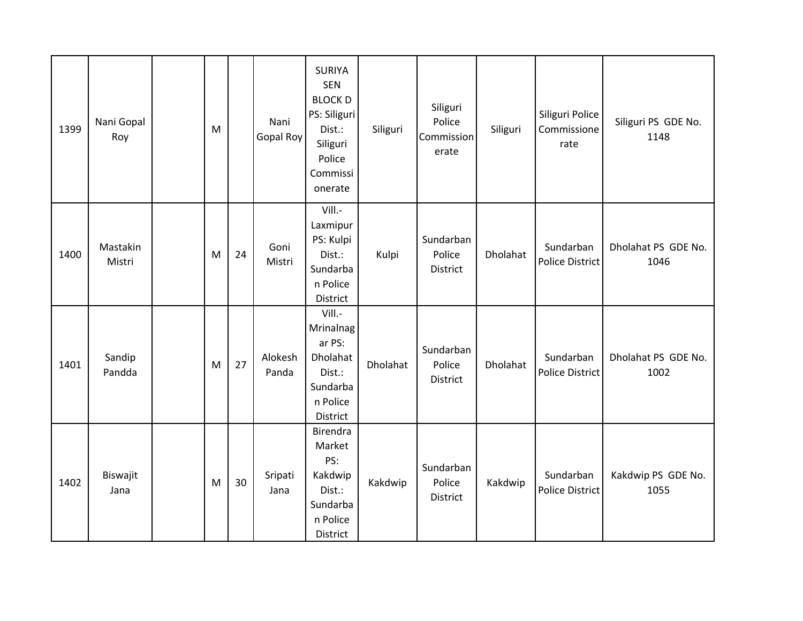| 1399 | Nani Gopal<br>Roy  | M |    | Nani<br>Gopal Roy | <b>SURIYA</b><br><b>SEN</b><br><b>BLOCK D</b><br>PS: Siliguri<br>Dist.:<br>Siliguri<br>Police<br>Commissi<br>onerate | Siliguri | Siliguri<br>Police<br>Commission<br>erate | Siliguri | Siliguri Police<br>Commissione<br>rate | Siliguri PS GDE No.<br>1148 |
|------|--------------------|---|----|-------------------|----------------------------------------------------------------------------------------------------------------------|----------|-------------------------------------------|----------|----------------------------------------|-----------------------------|
| 1400 | Mastakin<br>Mistri | M | 24 | Goni<br>Mistri    | Vill.-<br>Laxmipur<br>PS: Kulpi<br>Dist.:<br>Sundarba<br>n Police<br>District                                        | Kulpi    | Sundarban<br>Police<br>District           | Dholahat | Sundarban<br><b>Police District</b>    | Dholahat PS GDE No.<br>1046 |
| 1401 | Sandip<br>Pandda   | M | 27 | Alokesh<br>Panda  | Vill.-<br>Mrinalnag<br>ar PS:<br>Dholahat<br>Dist.:<br>Sundarba<br>n Police<br>District                              | Dholahat | Sundarban<br>Police<br>District           | Dholahat | Sundarban<br><b>Police District</b>    | Dholahat PS GDE No.<br>1002 |
| 1402 | Biswajit<br>Jana   | M | 30 | Sripati<br>Jana   | Birendra<br>Market<br>PS:<br>Kakdwip<br>Dist.:<br>Sundarba<br>n Police<br>District                                   | Kakdwip  | Sundarban<br>Police<br>District           | Kakdwip  | Sundarban<br><b>Police District</b>    | Kakdwip PS GDE No.<br>1055  |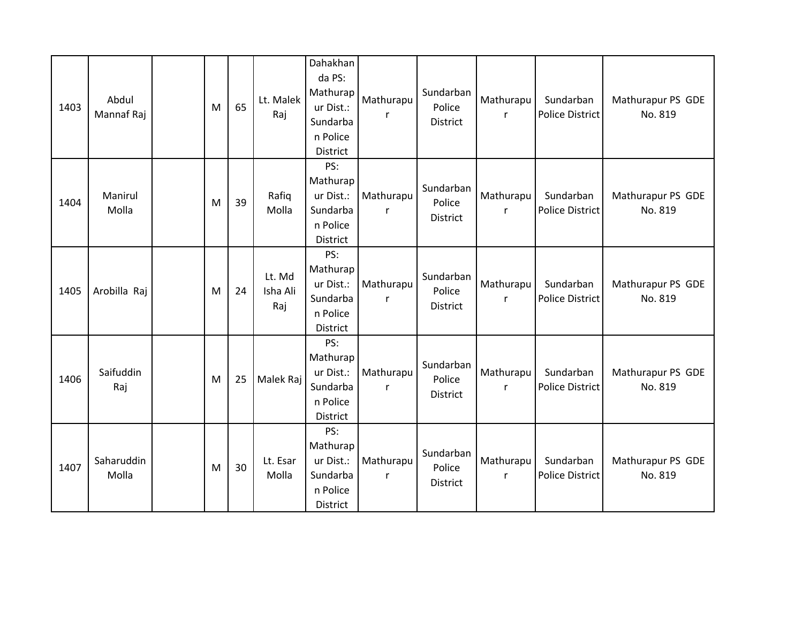| 1403 | Abdul<br>Mannaf Raj | M | 65 | Lt. Malek<br>Raj          | Dahakhan<br>da PS:<br>Mathurap<br>ur Dist.:<br>Sundarba<br>n Police<br>District | Mathurapu<br>r            | Sundarban<br>Police<br><b>District</b> | Mathurapu<br>r            | Sundarban<br><b>Police District</b> | Mathurapur PS GDE<br>No. 819 |
|------|---------------------|---|----|---------------------------|---------------------------------------------------------------------------------|---------------------------|----------------------------------------|---------------------------|-------------------------------------|------------------------------|
| 1404 | Manirul<br>Molla    | M | 39 | Rafiq<br>Molla            | PS:<br>Mathurap<br>ur Dist.:<br>Sundarba<br>n Police<br>District                | Mathurapu<br>r            | Sundarban<br>Police<br><b>District</b> | Mathurapu<br>$\mathsf{r}$ | Sundarban<br><b>Police District</b> | Mathurapur PS GDE<br>No. 819 |
| 1405 | Arobilla Raj        | M | 24 | Lt. Md<br>Isha Ali<br>Raj | PS:<br>Mathurap<br>ur Dist.:<br>Sundarba<br>n Police<br>District                | Mathurapu<br>r            | Sundarban<br>Police<br>District        | Mathurapu<br>r            | Sundarban<br><b>Police District</b> | Mathurapur PS GDE<br>No. 819 |
| 1406 | Saifuddin<br>Raj    | M | 25 | Malek Raj                 | PS:<br>Mathurap<br>ur Dist.:<br>Sundarba<br>n Police<br>District                | Mathurapu<br>r            | Sundarban<br>Police<br>District        | Mathurapu<br>$\mathsf{r}$ | Sundarban<br><b>Police District</b> | Mathurapur PS GDE<br>No. 819 |
| 1407 | Saharuddin<br>Molla | M | 30 | Lt. Esar<br>Molla         | PS:<br>Mathurap<br>ur Dist.:<br>Sundarba<br>n Police<br>District                | Mathurapu<br>$\mathsf{r}$ | Sundarban<br>Police<br>District        | Mathurapu<br>$\mathsf{r}$ | Sundarban<br><b>Police District</b> | Mathurapur PS GDE<br>No. 819 |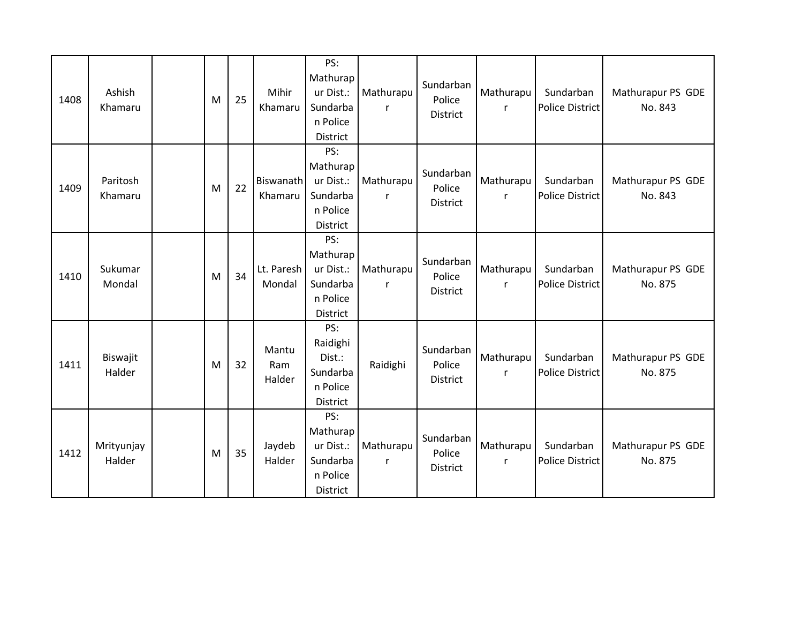| 1408 | Ashish<br>Khamaru    | M | 25 | Mihir<br>Khamaru            | PS:<br>Mathurap<br>ur Dist.:<br>Sundarba<br>n Police<br>District | Mathurapu      | Sundarban<br>Police<br>District | Mathurapu<br>r            | Sundarban<br>Police District        | Mathurapur PS GDE<br>No. 843 |
|------|----------------------|---|----|-----------------------------|------------------------------------------------------------------|----------------|---------------------------------|---------------------------|-------------------------------------|------------------------------|
| 1409 | Paritosh<br>Khamaru  | M | 22 | <b>Biswanath</b><br>Khamaru | PS:<br>Mathurap<br>ur Dist.:<br>Sundarba<br>n Police<br>District | Mathurapu<br>r | Sundarban<br>Police<br>District | Mathurapu<br>$\mathsf{r}$ | Sundarban<br><b>Police District</b> | Mathurapur PS GDE<br>No. 843 |
| 1410 | Sukumar<br>Mondal    | M | 34 | Lt. Paresh<br>Mondal        | PS:<br>Mathurap<br>ur Dist.:<br>Sundarba<br>n Police<br>District | Mathurapu<br>r | Sundarban<br>Police<br>District | Mathurapu<br>$\mathsf{r}$ | Sundarban<br><b>Police District</b> | Mathurapur PS GDE<br>No. 875 |
| 1411 | Biswajit<br>Halder   | M | 32 | Mantu<br>Ram<br>Halder      | PS:<br>Raidighi<br>Dist.:<br>Sundarba<br>n Police<br>District    | Raidighi       | Sundarban<br>Police<br>District | Mathurapu<br>$\mathsf{r}$ | Sundarban<br><b>Police District</b> | Mathurapur PS GDE<br>No. 875 |
| 1412 | Mrityunjay<br>Halder | M | 35 | Jaydeb<br>Halder            | PS:<br>Mathurap<br>ur Dist.:<br>Sundarba<br>n Police<br>District | Mathurapu<br>r | Sundarban<br>Police<br>District | Mathurapu<br>$\mathsf{r}$ | Sundarban<br><b>Police District</b> | Mathurapur PS GDE<br>No. 875 |